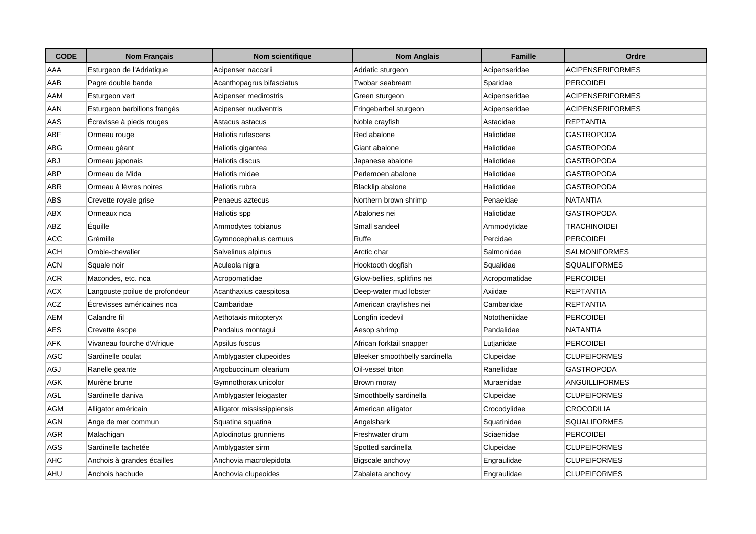| <b>CODE</b> | <b>Nom Français</b>            | Nom scientifique           | <b>Nom Anglais</b>             | <b>Famille</b> | Ordre                   |
|-------------|--------------------------------|----------------------------|--------------------------------|----------------|-------------------------|
| AAA         | Esturgeon de l'Adriatique      | Acipenser naccarii         | Adriatic sturgeon              | Acipenseridae  | ACIPENSERIFORMES        |
| AAB         | Pagre double bande             | Acanthopagrus bifasciatus  | Twobar seabream                | Sparidae       | <b>PERCOIDEI</b>        |
| AAM         | Esturgeon vert                 | Acipenser medirostris      | Green sturgeon                 | Acipenseridae  | <b>ACIPENSERIFORMES</b> |
| AAN         | Esturgeon barbillons frangés   | Acipenser nudiventris      | Fringebarbel sturgeon          | Acipenseridae  | <b>ACIPENSERIFORMES</b> |
| AAS         | Ecrevisse à pieds rouges       | Astacus astacus            | Noble crayfish                 | Astacidae      | <b>REPTANTIA</b>        |
| <b>ABF</b>  | Ormeau rouge                   | Haliotis rufescens         | Red abalone                    | Haliotidae     | GASTROPODA              |
| ABG         | Ormeau géant                   | Haliotis gigantea          | Giant abalone                  | Haliotidae     | <b>GASTROPODA</b>       |
| <b>ABJ</b>  | Ormeau japonais                | Haliotis discus            | Japanese abalone               | Haliotidae     | <b>GASTROPODA</b>       |
| ABP         | Ormeau de Mida                 | Haliotis midae             | Perlemoen abalone              | Haliotidae     | GASTROPODA              |
| ABR         | Ormeau à lèvres noires         | Haliotis rubra             | Blacklip abalone               | Haliotidae     | GASTROPODA              |
| ABS         | Crevette royale grise          | Penaeus aztecus            | Northern brown shrimp          | Penaeidae      | <b>NATANTIA</b>         |
| ABX         | Ormeaux nca                    | Haliotis spp               | Abalones nei                   | Haliotidae     | <b>GASTROPODA</b>       |
| ABZ         | Équille                        | Ammodytes tobianus         | Small sandeel                  | Ammodytidae    | <b>TRACHINOIDEI</b>     |
| ACC         | Grémille                       | Gymnocephalus cernuus      | Ruffe                          | Percidae       | <b>PERCOIDEI</b>        |
| ACH         | Omble-chevalier                | Salvelinus alpinus         | Arctic char                    | Salmonidae     | SALMONIFORMES           |
| <b>ACN</b>  | Squale noir                    | Aculeola nigra             | Hooktooth dogfish              | Squalidae      | <b>SQUALIFORMES</b>     |
| <b>ACR</b>  | Macondes, etc. nca             | Acropomatidae              | Glow-bellies, splitfins nei    | Acropomatidae  | <b>PERCOIDEI</b>        |
| <b>ACX</b>  | Langouste poilue de profondeur | Acanthaxius caespitosa     | Deep-water mud lobster         | Axiidae        | REPTANTIA               |
| <b>ACZ</b>  | Écrevisses américaines nca     | Cambaridae                 | American crayfishes nei        | Cambaridae     | <b>REPTANTIA</b>        |
| AEM         | Calandre fil                   | Aethotaxis mitopteryx      | Longfin icedevil               | Nototheniidae  | <b>PERCOIDEI</b>        |
| AES         | Crevette ésope                 | Pandalus montagui          | Aesop shrimp                   | Pandalidae     | NATANTIA                |
| AFK         | Vivaneau fourche d'Afrique     | Apsilus fuscus             | African forktail snapper       | Lutjanidae     | <b>PERCOIDEI</b>        |
| AGC         | Sardinelle coulat              | Amblygaster clupeoides     | Bleeker smoothbelly sardinella | Clupeidae      | <b>CLUPEIFORMES</b>     |
| AGJ         | Ranelle geante                 | Argobuccinum olearium      | Oil-vessel triton              | Ranellidae     | GASTROPODA              |
| AGK         | Murène brune                   | Gymnothorax unicolor       | Brown moray                    | Muraenidae     | ANGUILLIFORMES          |
| <b>AGL</b>  | Sardinelle daniva              | Amblygaster leiogaster     | Smoothbelly sardinella         | Clupeidae      | <b>CLUPEIFORMES</b>     |
| <b>AGM</b>  | Alligator américain            | Alligator mississippiensis | American alligator             | Crocodylidae   | <b>CROCODILIA</b>       |
| AGN         | Ange de mer commun             | Squatina squatina          | Angelshark                     | Squatinidae    | <b>SQUALIFORMES</b>     |
| AGR         | Malachigan                     | Aplodinotus grunniens      | Freshwater drum                | Sciaenidae     | PERCOIDEI               |
| AGS         | Sardinelle tachetée            | Amblygaster sirm           | Spotted sardinella             | Clupeidae      | <b>CLUPEIFORMES</b>     |
| AHC         | Anchois à grandes écailles     | Anchovia macrolepidota     | Bigscale anchovy               | Engraulidae    | <b>CLUPEIFORMES</b>     |
| AHU         | Anchois hachude                | Anchovia clupeoides        | Zabaleta anchovy               | Engraulidae    | <b>CLUPEIFORMES</b>     |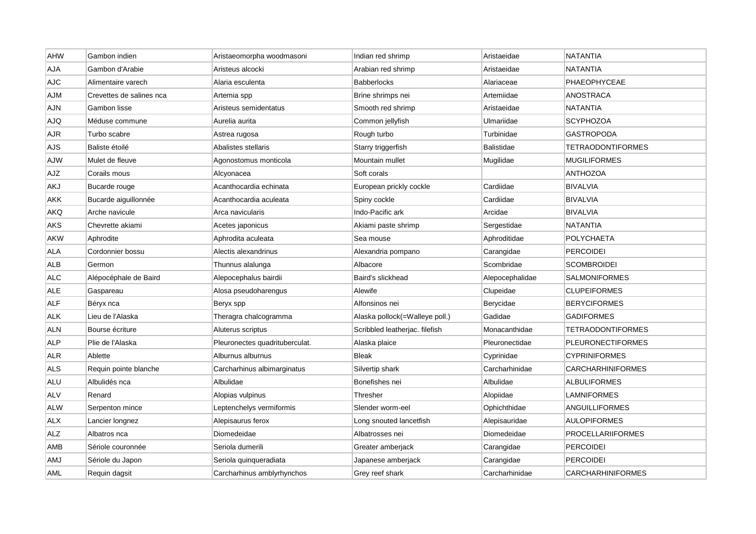| AHW        | Gambon indien            | Aristaeomorpha woodmasoni      | Indian red shrimp              | Aristaeidae       | <b>NATANTIA</b>          |
|------------|--------------------------|--------------------------------|--------------------------------|-------------------|--------------------------|
| AJA        | Gambon d'Arabie          | Aristeus alcocki               | Arabian red shrimp             | Aristaeidae       | <b>NATANTIA</b>          |
| <b>AJC</b> | Alimentaire varech       | Alaria esculenta               | <b>Babberlocks</b>             | Alariaceae        | PHAEOPHYCEAE             |
| AJM        | Crevettes de salines nca | Artemia spp                    | Brine shrimps nei              | Artemiidae        | ANOSTRACA                |
| AJN        | Gambon lisse             | Aristeus semidentatus          | Smooth red shrimp              | Aristaeidae       | <b>NATANTIA</b>          |
| AJQ        | Méduse commune           | Aurelia aurita                 | Common jellyfish               | Ulmariidae        | <b>SCYPHOZOA</b>         |
| AJR        | Turbo scabre             | Astrea rugosa                  | Rough turbo                    | Turbinidae        | <b>GASTROPODA</b>        |
| AJS        | Baliste étoilé           | Abalistes stellaris            | Starry triggerfish             | <b>Balistidae</b> | <b>TETRAODONTIFORMES</b> |
| AJW        | Mulet de fleuve          | Agonostomus monticola          | Mountain mullet                | Mugilidae         | <b>MUGILIFORMES</b>      |
| AJZ        | Corails mous             | Alcyonacea                     | Soft corals                    |                   | <b>ANTHOZOA</b>          |
| AKJ        | Bucarde rouge            | Acanthocardia echinata         | European prickly cockle        | Cardiidae         | <b>BIVALVIA</b>          |
| AKK        | Bucarde aiguillonnée     | Acanthocardia aculeata         | Spiny cockle                   | Cardiidae         | <b>BIVALVIA</b>          |
| AKQ        | Arche navicule           | Arca navicularis               | Indo-Pacific ark               | Arcidae           | <b>BIVALVIA</b>          |
| AKS        | Chevrette akiami         | Acetes japonicus               | Akiami paste shrimp            | Sergestidae       | <b>NATANTIA</b>          |
| <b>AKW</b> | Aphrodite                | Aphrodita aculeata             | Sea mouse                      | Aphroditidae      | POLYCHAETA               |
| ALA        | Cordonnier bossu         | Alectis alexandrinus           | Alexandria pompano             | Carangidae        | <b>PERCOIDEI</b>         |
| ALB        | Germon                   | Thunnus alalunga               | Albacore                       | Scombridae        | <b>SCOMBROIDEI</b>       |
| <b>ALC</b> | Alépocéphale de Baird    | Alepocephalus bairdii          | Baird's slickhead              | Alepocephalidae   | <b>SALMONIFORMES</b>     |
| <b>ALE</b> | Gaspareau                | Alosa pseudoharengus           | Alewife                        | Clupeidae         | <b>CLUPEIFORMES</b>      |
| ALF        | Béryx nca                | Beryx spp                      | Alfonsinos nei                 | Berycidae         | <b>BERYCIFORMES</b>      |
| <b>ALK</b> | Lieu de l'Alaska         | Theragra chalcogramma          | Alaska pollock(=Walleye poll.) | Gadidae           | <b>GADIFORMES</b>        |
| <b>ALN</b> | Bourse écriture          | Aluterus scriptus              | Scribbled leatherjac. filefish | Monacanthidae     | <b>TETRAODONTIFORMES</b> |
| <b>ALP</b> | Plie de l'Alaska         | Pleuronectes quadrituberculat. | Alaska plaice                  | Pleuronectidae    | <b>PLEURONECTIFORMES</b> |
| <b>ALR</b> | Ablette                  | Alburnus alburnus              | <b>Bleak</b>                   | Cyprinidae        | <b>CYPRINIFORMES</b>     |
| ALS        | Requin pointe blanche    | Carcharhinus albimarginatus    | Silvertip shark                | Carcharhinidae    | <b>CARCHARHINIFORMES</b> |
| ALU        | Albulidés nca            | Albulidae                      | Bonefishes nei                 | Albulidae         | <b>ALBULIFORMES</b>      |
| <b>ALV</b> | Renard                   | Alopias vulpinus               | Thresher                       | Alopiidae         | <b>LAMNIFORMES</b>       |
| <b>ALW</b> | Serpenton mince          | Leptenchelys vermiformis       | Slender worm-eel               | Ophichthidae      | ANGUILLIFORMES           |
| <b>ALX</b> | Lancier longnez          | Alepisaurus ferox              | Long snouted lancetfish        | Alepisauridae     | <b>AULOPIFORMES</b>      |
| ALZ        | Albatros nca             | Diomedeidae                    | Albatrosses nei                | Diomedeidae       | PROCELLARIIFORMES        |
| AMB        | Sériole couronnée        | Seriola dumerili               | Greater amberjack              | Carangidae        | <b>PERCOIDEI</b>         |
| <b>AMJ</b> | Sériole du Japon         | Seriola quinqueradiata         | Japanese amberjack             | Carangidae        | <b>PERCOIDEI</b>         |
| AML        | Requin dagsit            | Carcharhinus amblyrhynchos     | Grey reef shark                | Carcharhinidae    | <b>CARCHARHINIFORMES</b> |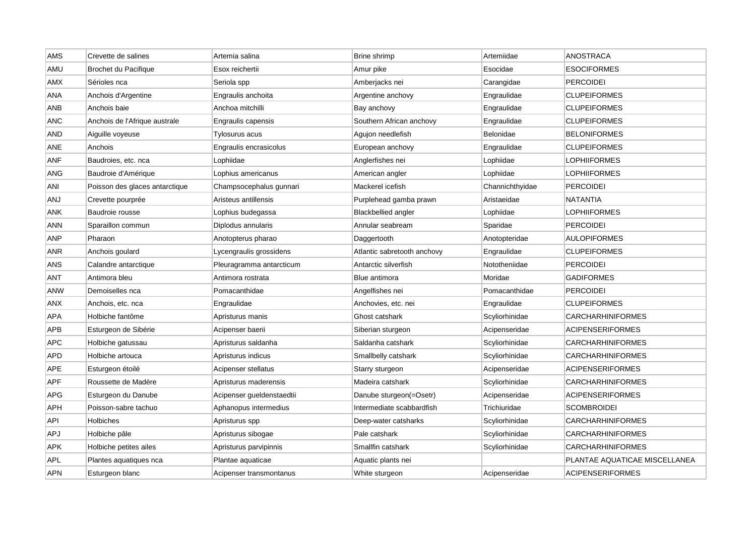| AMS        | Crevette de salines            | Artemia salina            | Brine shrimp                | Artemiidae      | <b>ANOSTRACA</b>              |
|------------|--------------------------------|---------------------------|-----------------------------|-----------------|-------------------------------|
| AMU        | Brochet du Pacifique           | Esox reichertii           | Amur pike                   | Esocidae        | <b>ESOCIFORMES</b>            |
| AMX        | Sérioles nca                   | Seriola spp               | Amberjacks nei              | Carangidae      | <b>PERCOIDEI</b>              |
| ANA        | Anchois d'Argentine            | Engraulis anchoita        | Argentine anchovy           | Engraulidae     | <b>CLUPEIFORMES</b>           |
| ANB        | Anchois baie                   | Anchoa mitchilli          | Bay anchovy                 | Engraulidae     | <b>CLUPEIFORMES</b>           |
| ANC        | Anchois de l'Afrique australe  | Engraulis capensis        | Southern African anchovy    | Engraulidae     | <b>CLUPEIFORMES</b>           |
| AND        | Aiguille voyeuse               | Tylosurus acus            | Agujon needlefish           | Belonidae       | <b>BELONIFORMES</b>           |
| ANE        | Anchois                        | Engraulis encrasicolus    | European anchovy            | Engraulidae     | <b>CLUPEIFORMES</b>           |
| ANF        | Baudroies, etc. nca            | Lophiidae                 | Anglerfishes nei            | Lophiidae       | LOPHIIFORMES                  |
| ANG        | Baudroie d'Amérique            | Lophius americanus        | American angler             | Lophiidae       | LOPHIIFORMES                  |
| ANI        | Poisson des glaces antarctique | Champsocephalus gunnari   | Mackerel icefish            | Channichthyidae | <b>PERCOIDEI</b>              |
| ANJ        | Crevette pourprée              | Aristeus antillensis      | Purplehead gamba prawn      | Aristaeidae     | <b>NATANTIA</b>               |
| ANK        | Baudroie rousse                | Lophius budegassa         | <b>Blackbellied angler</b>  | Lophiidae       | LOPHIIFORMES                  |
| ANN        | Sparaillon commun              | Diplodus annularis        | Annular seabream            | Sparidae        | <b>PERCOIDEI</b>              |
| <b>ANP</b> | Pharaon                        | Anotopterus pharao        | Daggertooth                 | Anotopteridae   | <b>AULOPIFORMES</b>           |
| ANR        | Anchois goulard                | Lycengraulis grossidens   | Atlantic sabretooth anchovy | Engraulidae     | <b>CLUPEIFORMES</b>           |
| ANS        | Calandre antarctique           | Pleuragramma antarcticum  | Antarctic silverfish        | Nototheniidae   | <b>PERCOIDEI</b>              |
| ANT        | Antimora bleu                  | Antimora rostrata         | Blue antimora               | Moridae         | <b>GADIFORMES</b>             |
| ANW        | Demoiselles nca                | Pomacanthidae             | Angelfishes nei             | Pomacanthidae   | <b>PERCOIDEI</b>              |
| ANX        | Anchois, etc. nca              | Engraulidae               | Anchovies, etc. nei         | Engraulidae     | <b>CLUPEIFORMES</b>           |
| APA        | Holbiche fantôme               | Apristurus manis          | Ghost catshark              | Scyliorhinidae  | <b>CARCHARHINIFORMES</b>      |
| APB        | Esturgeon de Sibérie           | Acipenser baerii          | Siberian sturgeon           | Acipenseridae   | <b>ACIPENSERIFORMES</b>       |
| APC        | Holbiche gatussau              | Apristurus saldanha       | Saldanha catshark           | Scyliorhinidae  | <b>CARCHARHINIFORMES</b>      |
| APD        | Holbiche artouca               | Apristurus indicus        | Smallbelly catshark         | Scyliorhinidae  | CARCHARHINIFORMES             |
| APE        | Esturgeon étoilé               | Acipenser stellatus       | Starry sturgeon             | Acipenseridae   | <b>ACIPENSERIFORMES</b>       |
| APF        | Roussette de Madère            | Apristurus maderensis     | Madeira catshark            | Scyliorhinidae  | CARCHARHINIFORMES             |
| APG        | Esturgeon du Danube            | Acipenser gueldenstaedtii | Danube sturgeon(=Osetr)     | Acipenseridae   | <b>ACIPENSERIFORMES</b>       |
| APH        | Poisson-sabre tachuo           | Aphanopus intermedius     | Intermediate scabbardfish   | Trichiuridae    | <b>SCOMBROIDEI</b>            |
| API        | Holbiches                      | Apristurus spp            | Deep-water catsharks        | Scyliorhinidae  | <b>CARCHARHINIFORMES</b>      |
| APJ        | Holbiche pâle                  | Apristurus sibogae        | Pale catshark               | Scyliorhinidae  | CARCHARHINIFORMES             |
| APK        | Holbiche petites ailes         | Apristurus parvipinnis    | Smallfin catshark           | Scyliorhinidae  | <b>CARCHARHINIFORMES</b>      |
| APL        | Plantes aquatiques nca         | Plantae aquaticae         | Aquatic plants nei          |                 | PLANTAE AQUATICAE MISCELLANEA |
| <b>APN</b> | Esturgeon blanc                | Acipenser transmontanus   | White sturgeon              | Acipenseridae   | <b>ACIPENSERIFORMES</b>       |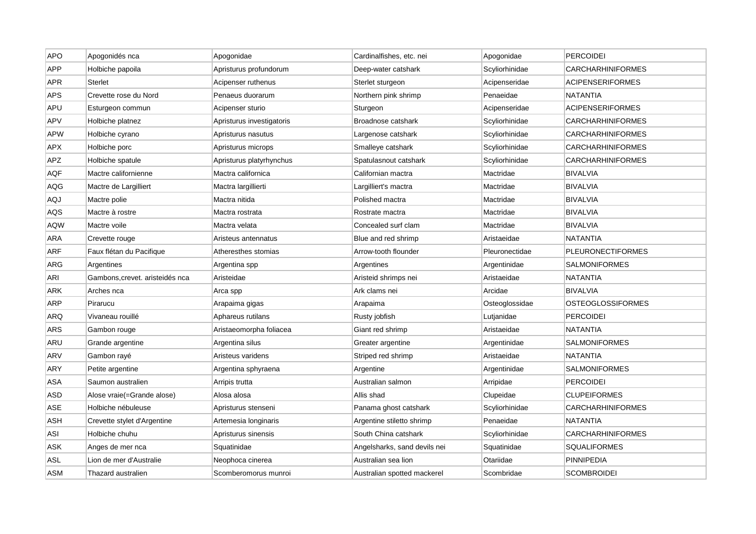| <b>APO</b> | Apogonidés nca                  | Apogonidae                | Cardinalfishes, etc. nei     | Apogonidae     | <b>PERCOIDEI</b>         |
|------------|---------------------------------|---------------------------|------------------------------|----------------|--------------------------|
| <b>APP</b> | Holbiche papoila                | Apristurus profundorum    | Deep-water catshark          | Scyliorhinidae | <b>CARCHARHINIFORMES</b> |
| <b>APR</b> | Sterlet                         | Acipenser ruthenus        | Sterlet sturgeon             | Acipenseridae  | <b>ACIPENSERIFORMES</b>  |
| <b>APS</b> | Crevette rose du Nord           | Penaeus duorarum          | Northern pink shrimp         | Penaeidae      | NATANTIA                 |
| APU        | Esturgeon commun                | Acipenser sturio          | Sturgeon                     | Acipenseridae  | <b>ACIPENSERIFORMES</b>  |
| APV        | Holbiche platnez                | Apristurus investigatoris | Broadnose catshark           | Scyliorhinidae | <b>CARCHARHINIFORMES</b> |
| APW        | Holbiche cyrano                 | Apristurus nasutus        | Largenose catshark           | Scyliorhinidae | <b>CARCHARHINIFORMES</b> |
| APX        | Holbiche porc                   | Apristurus microps        | Smalleye catshark            | Scyliorhinidae | CARCHARHINIFORMES        |
| APZ        | Holbiche spatule                | Apristurus platyrhynchus  | Spatulasnout catshark        | Scyliorhinidae | <b>CARCHARHINIFORMES</b> |
| AQF        | Mactre californienne            | Mactra californica        | Californian mactra           | Mactridae      | <b>BIVALVIA</b>          |
| AQG        | Mactre de Largilliert           | Mactra largillierti       | Largilliert's mactra         | Mactridae      | <b>BIVALVIA</b>          |
| AQJ        | Mactre polie                    | Mactra nitida             | Polished mactra              | Mactridae      | <b>BIVALVIA</b>          |
| AQS        | Mactre à rostre                 | Mactra rostrata           | Rostrate mactra              | Mactridae      | <b>BIVALVIA</b>          |
| <b>AQW</b> | Mactre voile                    | Mactra velata             | Concealed surf clam          | Mactridae      | <b>BIVALVIA</b>          |
| ARA        | Crevette rouge                  | Aristeus antennatus       | Blue and red shrimp          | Aristaeidae    | NATANTIA                 |
| ARF        | Faux flétan du Pacifique        | Atheresthes stomias       | Arrow-tooth flounder         | Pleuronectidae | <b>PLEURONECTIFORMES</b> |
| ARG        | Argentines                      | Argentina spp             | Argentines                   | Argentinidae   | <b>SALMONIFORMES</b>     |
| ARI        | Gambons, crevet. aristeidés nca | Aristeidae                | Aristeid shrimps nei         | Aristaeidae    | NATANTIA                 |
| ARK        | Arches nca                      | Arca spp                  | Ark clams nei                | Arcidae        | <b>BIVALVIA</b>          |
| ARP        | Pirarucu                        | Arapaima gigas            | Arapaima                     | Osteoglossidae | <b>OSTEOGLOSSIFORMES</b> |
| ARQ        | Vivaneau rouillé                | Aphareus rutilans         | Rusty jobfish                | Lutjanidae     | <b>PERCOIDEI</b>         |
| ARS        | Gambon rouge                    | Aristaeomorpha foliacea   | Giant red shrimp             | Aristaeidae    | <b>NATANTIA</b>          |
| ARU        | Grande argentine                | Argentina silus           | Greater argentine            | Argentinidae   | <b>SALMONIFORMES</b>     |
| ARV        | Gambon rayé                     | Aristeus varidens         | Striped red shrimp           | Aristaeidae    | <b>NATANTIA</b>          |
| ARY        | Petite argentine                | Argentina sphyraena       | Argentine                    | Argentinidae   | <b>SALMONIFORMES</b>     |
| <b>ASA</b> | Saumon australien               | Arripis trutta            | Australian salmon            | Arripidae      | PERCOIDEI                |
| ASD        | Alose vraie(=Grande alose)      | Alosa alosa               | Allis shad                   | Clupeidae      | <b>CLUPEIFORMES</b>      |
| ASE        | Holbiche nébuleuse              | Apristurus stenseni       | Panama ghost catshark        | Scyliorhinidae | <b>CARCHARHINIFORMES</b> |
| <b>ASH</b> | Crevette stylet d'Argentine     | Artemesia longinaris      | Argentine stiletto shrimp    | Penaeidae      | NATANTIA                 |
| ASI        | Holbiche chuhu                  | Apristurus sinensis       | South China catshark         | Scyliorhinidae | <b>CARCHARHINIFORMES</b> |
| ASK        | Anges de mer nca                | Squatinidae               | Angelsharks, sand devils nei | Squatinidae    | <b>SQUALIFORMES</b>      |
| <b>ASL</b> | Lion de mer d'Australie         | Neophoca cinerea          | Australian sea lion          | Otariidae      | <b>PINNIPEDIA</b>        |
| ASM        | Thazard australien              | Scomberomorus munroi      | Australian spotted mackerel  | Scombridae     | <b>SCOMBROIDEI</b>       |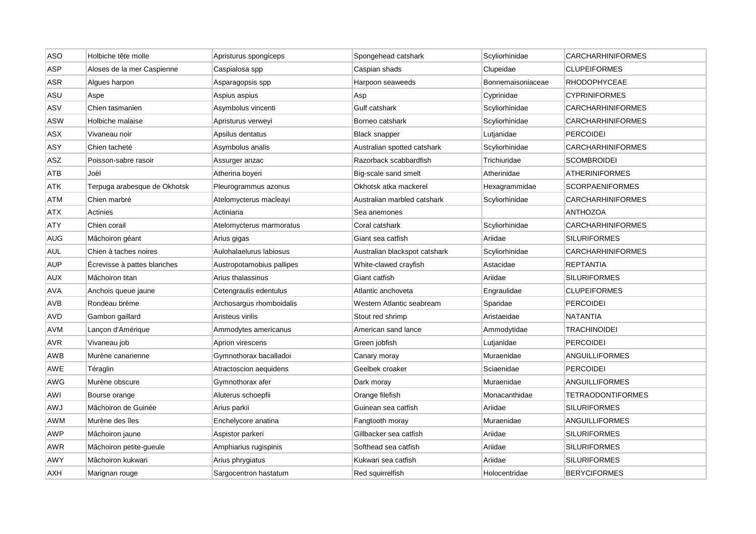| <b>ASO</b> | Holbiche tête molle          | Apristurus spongiceps     | Spongehead catshark           | Scyliorhinidae    | <b>CARCHARHINIFORMES</b> |
|------------|------------------------------|---------------------------|-------------------------------|-------------------|--------------------------|
| ASP        | Aloses de la mer Caspienne   | Caspialosa spp            | Caspian shads                 | Clupeidae         | <b>CLUPEIFORMES</b>      |
| ASR        | Algues harpon                | Asparagopsis spp          | Harpoon seaweeds              | Bonnemaisoniaceae | <b>RHODOPHYCEAE</b>      |
| ASU        | Aspe                         | Aspius aspius             | Asp                           | Cyprinidae        | <b>CYPRINIFORMES</b>     |
| ASV        | Chien tasmanien              | Asymbolus vincenti        | Gulf catshark                 | Scyliorhinidae    | <b>CARCHARHINIFORMES</b> |
| <b>ASW</b> | Holbiche malaise             | Apristurus verweyi        | Borneo catshark               | Scyliorhinidae    | <b>CARCHARHINIFORMES</b> |
| ASX        | Vivaneau noir                | Apsilus dentatus          | <b>Black snapper</b>          | Lutjanidae        | <b>PERCOIDEI</b>         |
| ASY        | Chien tacheté                | Asymbolus analis          | Australian spotted catshark   | Scyliorhinidae    | <b>CARCHARHINIFORMES</b> |
| ASZ        | Poisson-sabre rasoir         | Assurger anzac            | Razorback scabbardfish        | Trichiuridae      | <b>SCOMBROIDEI</b>       |
| ATB        | Joël                         | Atherina boyeri           | Big-scale sand smelt          | Atherinidae       | <b>ATHERINIFORMES</b>    |
| ATK        | Terpuga arabesque de Okhotsk | Pleurogrammus azonus      | Okhotsk atka mackerel         | Hexagrammidae     | <b>SCORPAENIFORMES</b>   |
| ATM        | Chien marbré                 | Atelomycterus macleayi    | Australian marbled catshark   | Scyliorhinidae    | CARCHARHINIFORMES        |
| ATX        | <b>Actinies</b>              | Actiniaria                | Sea anemones                  |                   | <b>ANTHOZOA</b>          |
| ATY        | Chien corail                 | Atelomycterus marmoratus  | Coral catshark                | Scyliorhinidae    | <b>CARCHARHINIFORMES</b> |
| AUG        | Mâchoiron géant              | Arius gigas               | Giant sea catfish             | Ariidae           | <b>SILURIFORMES</b>      |
| <b>AUL</b> | Chien à taches noires        | Aulohalaelurus labiosus   | Australian blackspot catshark | Scyliorhinidae    | <b>CARCHARHINIFORMES</b> |
| <b>AUP</b> | Écrevisse à pattes blanches  | Austropotamobius pallipes | White-clawed crayfish         | Astacidae         | <b>REPTANTIA</b>         |
| <b>AUX</b> | Mâchoiron titan              | Arius thalassinus         | Giant catfish                 | Ariidae           | <b>SILURIFORMES</b>      |
| AVA        | Anchois queue jaune          | Cetengraulis edentulus    | Atlantic anchoveta            | Engraulidae       | <b>CLUPEIFORMES</b>      |
| <b>AVB</b> | Rondeau brème                | Archosargus rhomboidalis  | Western Atlantic seabream     | Sparidae          | <b>PERCOIDEI</b>         |
| AVD        | Gambon gaillard              | Aristeus virilis          | Stout red shrimp              | Aristaeidae       | <b>NATANTIA</b>          |
| AVM        | Lançon d'Amérique            | Ammodytes americanus      | American sand lance           | Ammodytidae       | <b>TRACHINOIDEI</b>      |
| <b>AVR</b> | Vivaneau job                 | Aprion virescens          | Green jobfish                 | Lutjanidae        | <b>PERCOIDEI</b>         |
| AWB        | Murène canarienne            | Gymnothorax bacalladoi    | Canary moray                  | Muraenidae        | ANGUILLIFORMES           |
| AWE        | Téraglin                     | Atractoscion aequidens    | Geelbek croaker               | Sciaenidae        | <b>PERCOIDEI</b>         |
| AWG        | Murène obscure               | Gymnothorax afer          | Dark moray                    | Muraenidae        | <b>ANGUILLIFORMES</b>    |
| AWI        | Bourse orange                | Aluterus schoepfii        | Orange filefish               | Monacanthidae     | <b>TETRAODONTIFORMES</b> |
| LWA        | Mâchoiron de Guinée          | Arius parkii              | Guinean sea catfish           | Ariidae           | <b>SILURIFORMES</b>      |
| AWM        | Murène des îles              | Enchelycore anatina       | Fangtooth moray               | Muraenidae        | ANGUILLIFORMES           |
| AWP        | Mâchoiron jaune              | Aspistor parkeri          | Gillbacker sea catfish        | Ariidae           | <b>SILURIFORMES</b>      |
| AWR        | Mâchoiron petite-gueule      | Amphiarius rugispinis     | Softhead sea catfish          | Ariidae           | <b>SILURIFORMES</b>      |
| AWY        | Mâchoiron kukwari            | Arius phrygiatus          | Kukwari sea catfish           | Ariidae           | <b>SILURIFORMES</b>      |
| AXH        | Marignan rouge               | Sargocentron hastatum     | Red squirrelfish              | Holocentridae     | <b>BERYCIFORMES</b>      |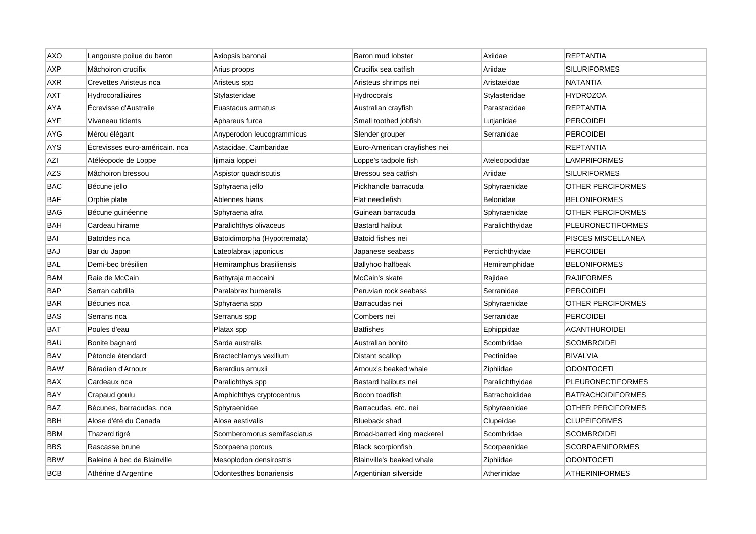| <b>AXO</b> | Langouste poilue du baron      | Axiopsis baronai            | Baron mud lobster            | Axiidae         | <b>REPTANTIA</b>         |
|------------|--------------------------------|-----------------------------|------------------------------|-----------------|--------------------------|
| <b>AXP</b> | Mâchoiron crucifix             | Arius proops                | Crucifix sea catfish         | Ariidae         | <b>SILURIFORMES</b>      |
| AXR        | Crevettes Aristeus nca         | Aristeus spp                | Aristeus shrimps nei         | Aristaeidae     | <b>NATANTIA</b>          |
| AXT        | Hydrocoralliaires              | Stylasteridae               | Hydrocorals                  | Stylasteridae   | HYDROZOA                 |
| AYA        | Écrevisse d'Australie          | Euastacus armatus           | Australian crayfish          | Parastacidae    | <b>REPTANTIA</b>         |
| AYF        | Vivaneau tidents               | Aphareus furca              | Small toothed jobfish        | Lutjanidae      | <b>PERCOIDEI</b>         |
| AYG        | Mérou élégant                  | Anyperodon leucogrammicus   | Slender grouper              | Serranidae      | <b>PERCOIDEI</b>         |
| AYS        | Écrevisses euro-américain. nca | Astacidae, Cambaridae       | Euro-American crayfishes nei |                 | <b>REPTANTIA</b>         |
| AZI        | Atéléopode de Loppe            | Ijimaia loppei              | Loppe's tadpole fish         | Ateleopodidae   | <b>LAMPRIFORMES</b>      |
| <b>AZS</b> | Mâchoiron bressou              | Aspistor quadriscutis       | Bressou sea catfish          | Ariidae         | <b>SILURIFORMES</b>      |
| BAC        | Bécune jello                   | Sphyraena jello             | Pickhandle barracuda         | Sphyraenidae    | <b>OTHER PERCIFORMES</b> |
| <b>BAF</b> | Orphie plate                   | Ablennes hians              | Flat needlefish              | Belonidae       | <b>BELONIFORMES</b>      |
| BAG        | Bécune guinéenne               | Sphyraena afra              | Guinean barracuda            | Sphyraenidae    | OTHER PERCIFORMES        |
| <b>BAH</b> | Cardeau hirame                 | Paralichthys olivaceus      | <b>Bastard halibut</b>       | Paralichthyidae | <b>PLEURONECTIFORMES</b> |
| BAI        | Batoïdes nca                   | Batoidimorpha (Hypotremata) | Batoid fishes nei            |                 | PISCES MISCELLANEA       |
| <b>BAJ</b> | Bar du Japon                   | Lateolabrax japonicus       | Japanese seabass             | Percichthyidae  | <b>PERCOIDEI</b>         |
| BAL        | Demi-bec brésilien             | Hemiramphus brasiliensis    | <b>Ballyhoo halfbeak</b>     | Hemiramphidae   | <b>BELONIFORMES</b>      |
| BAM        | Raie de McCain                 | Bathyraja maccaini          | McCain's skate               | Rajidae         | <b>RAJIFORMES</b>        |
| BAP        | Serran cabrilla                | Paralabrax humeralis        | Peruvian rock seabass        | Serranidae      | <b>PERCOIDEI</b>         |
| BAR        | Bécunes nca                    | Sphyraena spp               | Barracudas nei               | Sphyraenidae    | OTHER PERCIFORMES        |
| BAS        | Serrans nca                    | Serranus spp                | Combers nei                  | Serranidae      | <b>PERCOIDEI</b>         |
| BAT        | Poules d'eau                   | Platax spp                  | <b>Batfishes</b>             | Ephippidae      | <b>ACANTHUROIDEI</b>     |
| BAU        | Bonite bagnard                 | Sarda australis             | Australian bonito            | Scombridae      | <b>SCOMBROIDEI</b>       |
| BAV        | Pétoncle étendard              | Bractechlamys vexillum      | Distant scallop              | Pectinidae      | <b>BIVALVIA</b>          |
| <b>BAW</b> | Béradien d'Arnoux              | Berardius arnuxii           | Arnoux's beaked whale        | Ziphiidae       | <b>ODONTOCETI</b>        |
| <b>BAX</b> | Cardeaux nca                   | Paralichthys spp            | Bastard halibuts nei         | Paralichthyidae | <b>PLEURONECTIFORMES</b> |
| BAY        | Crapaud goulu                  | Amphichthys cryptocentrus   | Bocon toadfish               | Batrachoididae  | <b>BATRACHOIDIFORMES</b> |
| BAZ        | Bécunes, barracudas, nca       | Sphyraenidae                | Barracudas, etc. nei         | Sphyraenidae    | OTHER PERCIFORMES        |
| BBH        | Alose d'été du Canada          | Alosa aestivalis            | <b>Blueback shad</b>         | Clupeidae       | <b>CLUPEIFORMES</b>      |
| BBM        | Thazard tigré                  | Scomberomorus semifasciatus | Broad-barred king mackerel   | Scombridae      | <b>SCOMBROIDEI</b>       |
| BBS        | Rascasse brune                 | Scorpaena porcus            | Black scorpionfish           | Scorpaenidae    | <b>SCORPAENIFORMES</b>   |
| <b>BBW</b> | Baleine à bec de Blainville    | Mesoplodon densirostris     | Blainville's beaked whale    | Ziphiidae       | <b>ODONTOCETI</b>        |
| <b>BCB</b> | Athérine d'Argentine           | Odontesthes bonariensis     | Argentinian silverside       | Atherinidae     | <b>ATHERINIFORMES</b>    |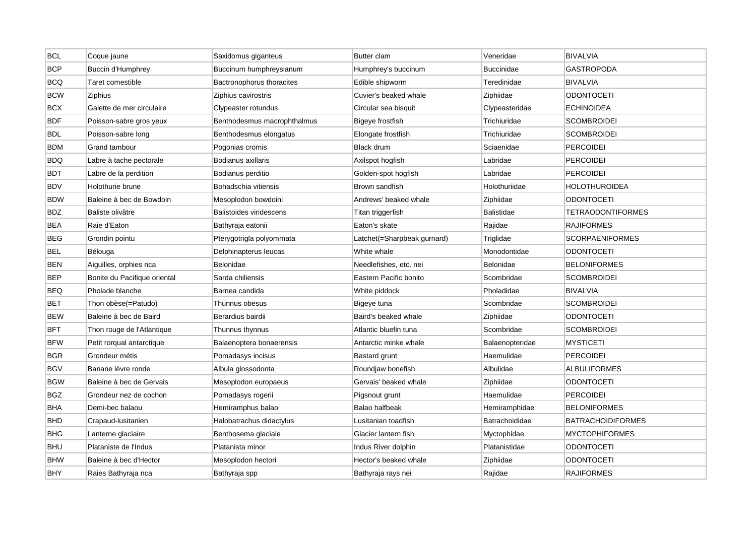| <b>BCL</b> | Coque jaune                  | Saxidomus giganteus            | <b>Butter clam</b>          | Veneridae         | <b>BIVALVIA</b>          |
|------------|------------------------------|--------------------------------|-----------------------------|-------------------|--------------------------|
| <b>BCP</b> | <b>Buccin d'Humphrey</b>     | Buccinum humphreysianum        | Humphrey's buccinum         | <b>Buccinidae</b> | <b>GASTROPODA</b>        |
| <b>BCQ</b> | Taret comestible             | Bactronophorus thoracites      | Edible shipworm             | Teredinidae       | <b>BIVALVIA</b>          |
| <b>BCW</b> | Ziphius                      | Ziphius cavirostris            | Cuvier's beaked whale       | Ziphiidae         | <b>ODONTOCETI</b>        |
| <b>BCX</b> | Galette de mer circulaire    | Clypeaster rotundus            | Circular sea bisquit        | Clypeasteridae    | <b>ECHINOIDEA</b>        |
| <b>BDF</b> | Poisson-sabre gros yeux      | Benthodesmus macrophthalmus    | Bigeye frostfish            | Trichiuridae      | <b>SCOMBROIDEI</b>       |
| <b>BDL</b> | Poisson-sabre long           | Benthodesmus elongatus         | Elongate frostfish          | Trichiuridae      | <b>SCOMBROIDEI</b>       |
| <b>BDM</b> | Grand tambour                | Pogonias cromis                | <b>Black drum</b>           | Sciaenidae        | <b>PERCOIDEI</b>         |
| BDQ        | Labre à tache pectorale      | Bodianus axillaris             | Axilspot hogfish            | Labridae          | PERCOIDEI                |
| <b>BDT</b> | Labre de la perdition        | Bodianus perditio              | Golden-spot hogfish         | Labridae          | <b>PERCOIDEI</b>         |
| <b>BDV</b> | Holothurie brune             | Bohadschia vitiensis           | Brown sandfish              | Holothuriidae     | HOLOTHUROIDEA            |
| <b>BDW</b> | Baleine à bec de Bowdoin     | Mesoplodon bowdoini            | Andrews' beaked whale       | Ziphiidae         | ODONTOCETI               |
| <b>BDZ</b> | Baliste olivâtre             | <b>Balistoides viridescens</b> | Titan triggerfish           | <b>Balistidae</b> | <b>TETRAODONTIFORMES</b> |
| <b>BEA</b> | Raie d'Eaton                 | Bathyraja eatonii              | Eaton's skate               | Rajidae           | <b>RAJIFORMES</b>        |
| <b>BEG</b> | Grondin pointu               | Pterygotrigla polyommata       | Latchet(=Sharpbeak gurnard) | Triglidae         | <b>SCORPAENIFORMES</b>   |
| <b>BEL</b> | Bélouga                      | Delphinapterus leucas          | White whale                 | Monodontidae      | <b>ODONTOCETI</b>        |
| <b>BEN</b> | Aiguilles, orphies nca       | Belonidae                      | Needlefishes, etc. nei      | Belonidae         | <b>BELONIFORMES</b>      |
| <b>BEP</b> | Bonite du Pacifique oriental | Sarda chiliensis               | Eastern Pacific bonito      | Scombridae        | <b>SCOMBROIDEI</b>       |
| BEQ        | Pholade blanche              | Barnea candida                 | White piddock               | Pholadidae        | <b>BIVALVIA</b>          |
| <b>BET</b> | Thon obèse(=Patudo)          | Thunnus obesus                 | Bigeye tuna                 | Scombridae        | <b>SCOMBROIDEI</b>       |
| <b>BEW</b> | Baleine à bec de Baird       | Berardius bairdii              | Baird's beaked whale        | Ziphiidae         | <b>ODONTOCETI</b>        |
| <b>BFT</b> | Thon rouge de l'Atlantique   | Thunnus thynnus                | Atlantic bluefin tuna       | Scombridae        | <b>SCOMBROIDEI</b>       |
| <b>BFW</b> | Petit rorqual antarctique    | Balaenoptera bonaerensis       | Antarctic minke whale       | Balaenopteridae   | <b>MYSTICETI</b>         |
| <b>BGR</b> | Grondeur métis               | Pomadasys incisus              | <b>Bastard grunt</b>        | Haemulidae        | PERCOIDEI                |
| <b>BGV</b> | Banane lèvre ronde           | Albula glossodonta             | Roundjaw bonefish           | Albulidae         | <b>ALBULIFORMES</b>      |
| <b>BGW</b> | Baleine à bec de Gervais     | Mesoplodon europaeus           | Gervais' beaked whale       | Ziphiidae         | <b>ODONTOCETI</b>        |
| BGZ        | Grondeur nez de cochon       | Pomadasys rogerii              | Pigsnout grunt              | Haemulidae        | PERCOIDEI                |
| <b>BHA</b> | Demi-bec balaou              | Hemiramphus balao              | Balao halfbeak              | Hemiramphidae     | <b>BELONIFORMES</b>      |
| <b>BHD</b> | Crapaud-Iusitanien           | Halobatrachus didactylus       | Lusitanian toadfish         | Batrachoididae    | <b>BATRACHOIDIFORMES</b> |
| BHG        | Lanterne glaciaire           | Benthosema glaciale            | Glacier lantern fish        | Myctophidae       | <b>MYCTOPHIFORMES</b>    |
| <b>BHU</b> | Plataniste de l'Indus        | Platanista minor               | Indus River dolphin         | Platanistidae     | <b>ODONTOCETI</b>        |
| <b>BHW</b> | Baleine à bec d'Hector       | Mesoplodon hectori             | Hector's beaked whale       | Ziphiidae         | ODONTOCETI               |
| <b>BHY</b> | Raies Bathyraja nca          | Bathyraja spp                  | Bathyraja rays nei          | Rajidae           | <b>RAJIFORMES</b>        |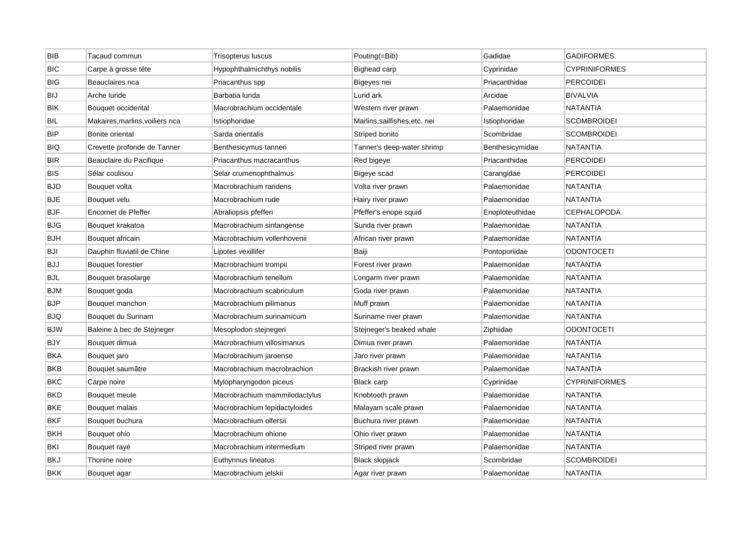| <b>BIB</b> | Tacaud commun                   | Trisopterus luscus            | Pouting(=Bib)                 | Gadidae         | <b>GADIFORMES</b>    |
|------------|---------------------------------|-------------------------------|-------------------------------|-----------------|----------------------|
| <b>BIC</b> | Carpe à grosse tête             | Hypophthalmichthys nobilis    | <b>Bighead carp</b>           | Cyprinidae      | <b>CYPRINIFORMES</b> |
| <b>BIG</b> | Beauclaires nca                 | Priacanthus spp               | Bigeyes nei                   | Priacanthidae   | <b>PERCOIDEI</b>     |
| <b>BIJ</b> | Arche luride                    | Barbatia lurida               | Lurid ark                     | Arcidae         | <b>BIVALVIA</b>      |
| <b>BIK</b> | Bouquet occidental              | Macrobrachium occidentale     | Western river prawn           | Palaemonidae    | <b>NATANTIA</b>      |
| <b>BIL</b> | Makaires, marlins, voiliers nca | Istiophoridae                 | Marlins, sailfishes, etc. nei | Istiophoridae   | <b>SCOMBROIDEI</b>   |
| <b>BIP</b> | Bonite oriental                 | Sarda orientalis              | Striped bonito                | Scombridae      | <b>SCOMBROIDEI</b>   |
| <b>BIQ</b> | Crevette profonde de Tanner     | Benthesicymus tanneri         | Tanner's deep-water shrimp    | Benthesicymidae | NATANTIA             |
| <b>BIR</b> | Beauclaire du Pacifique         | Priacanthus macracanthus      | Red bigeye                    | Priacanthidae   | <b>PERCOIDEI</b>     |
| BIS        | Sélar coulisou                  | Selar crumenophthalmus        | Bigeye scad                   | Carangidae      | <b>PERCOIDEI</b>     |
| <b>BJD</b> | Bouquet volta                   | Macrobrachium raridens        | Volta river prawn             | Palaemonidae    | NATANTIA             |
| <b>BJE</b> | Bouquet velu                    | Macrobrachium rude            | Hairy river prawn             | Palaemonidae    | NATANTIA             |
| <b>BJF</b> | Encornet de Pfeffer             | Abraliopsis pfefferi          | Pfeffer's enope squid         | Enoploteuthidae | <b>CEPHALOPODA</b>   |
| <b>BJG</b> | Bouquet krakatoa                | Macrobrachium sintangense     | Sunda river prawn             | Palaemonidae    | <b>NATANTIA</b>      |
| <b>BJH</b> | Bouquet africain                | Macrobrachium vollenhovenii   | African river prawn           | Palaemonidae    | <b>NATANTIA</b>      |
| BJI        | Dauphin fluviatil de Chine      | Lipotes vexillifer            | Baiji                         | Pontoporiidae   | <b>ODONTOCETI</b>    |
| <b>BJJ</b> | Bouquet forestier               | Macrobrachium trompii         | Forest river prawn            | Palaemonidae    | <b>NATANTIA</b>      |
| <b>BJL</b> | Bouquet brasolarge              | Macrobrachium tenellum        | Longarm river prawn           | Palaemonidae    | NATANTIA             |
| <b>BJM</b> | Bouquet goda                    | Macrobrachium scabriculum     | Goda river prawn              | Palaemonidae    | <b>NATANTIA</b>      |
| <b>BJP</b> | Bouquet manchon                 | Macrobrachium pilimanus       | Muff prawn                    | Palaemonidae    | <b>NATANTIA</b>      |
| <b>BJQ</b> | Bouquet du Surinam              | Macrobrachium surinamicum     | Suriname river prawn          | Palaemonidae    | <b>NATANTIA</b>      |
| <b>BJW</b> | Baleine à bec de Stejneger      | Mesoplodon stejnegeri         | Stejneger's beaked whale      | Ziphiidae       | <b>ODONTOCETI</b>    |
| BJY        | Bouquet dimua                   | Macrobrachium villosimanus    | Dimua river prawn             | Palaemonidae    | NATANTIA             |
| <b>BKA</b> | Bouquet jaro                    | Macrobrachium jaroense        | Jaro river prawn              | Palaemonidae    | <b>NATANTIA</b>      |
| <b>BKB</b> | Bouquet saumâtre                | Macrobrachium macrobrachion   | Brackish river prawn          | Palaemonidae    | <b>NATANTIA</b>      |
| <b>BKC</b> | Carpe noire                     | Mylopharyngodon piceus        | <b>Black carp</b>             | Cyprinidae      | <b>CYPRINIFORMES</b> |
| <b>BKD</b> | Bouquet meule                   | Macrobrachium mammilodactylus | Knobtooth prawn               | Palaemonidae    | <b>NATANTIA</b>      |
| <b>BKE</b> | Bouquet malais                  | Macrobrachium lepidactyloides | Malayam scale prawn           | Palaemonidae    | <b>NATANTIA</b>      |
| <b>BKF</b> | Bouquet buchura                 | Macrobrachium olfersii        | Buchura river prawn           | Palaemonidae    | NATANTIA             |
| <b>BKH</b> | Bouquet ohio                    | Macrobrachium ohione          | Ohio river prawn              | Palaemonidae    | <b>NATANTIA</b>      |
| BKI        | Bouquet rayé                    | Macrobrachium intermedium     | Striped river prawn           | Palaemonidae    | <b>NATANTIA</b>      |
| <b>BKJ</b> | Thonine noire                   | Euthynnus lineatus            | <b>Black skipjack</b>         | Scombridae      | <b>SCOMBROIDEI</b>   |
| <b>BKK</b> | Bouguet agar                    | Macrobrachium jelskii         | Agar river prawn              | Palaemonidae    | <b>NATANTIA</b>      |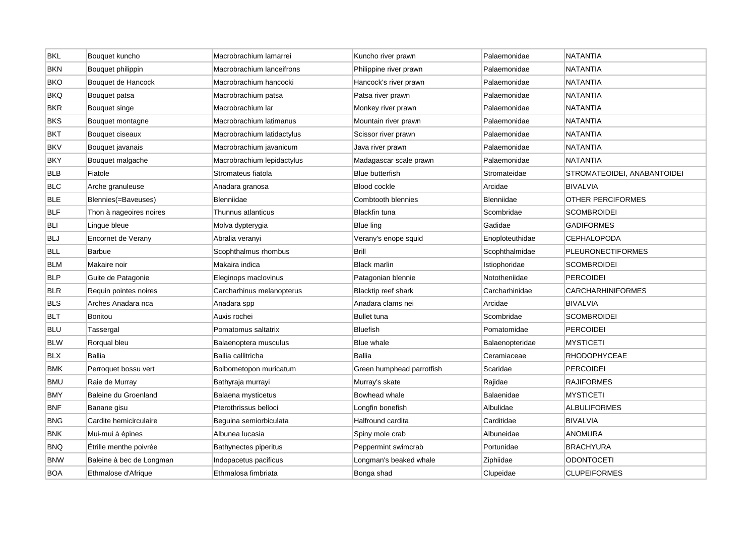| <b>BKL</b> | Bouquet kuncho           | Macrobrachium lamarrei     | Kuncho river prawn         | Palaemonidae    | <b>NATANTIA</b>             |
|------------|--------------------------|----------------------------|----------------------------|-----------------|-----------------------------|
| <b>BKN</b> | Bouquet philippin        | Macrobrachium lanceifrons  | Philippine river prawn     | Palaemonidae    | <b>NATANTIA</b>             |
| <b>BKO</b> | Bouquet de Hancock       | Macrobrachium hancocki     | Hancock's river prawn      | Palaemonidae    | NATANTIA                    |
| BKQ        | Bouquet patsa            | Macrobrachium patsa        | Patsa river prawn          | Palaemonidae    | <b>NATANTIA</b>             |
| <b>BKR</b> | Bouquet singe            | Macrobrachium Iar          | Monkey river prawn         | Palaemonidae    | <b>NATANTIA</b>             |
| <b>BKS</b> | Bouquet montagne         | Macrobrachium latimanus    | Mountain river prawn       | Palaemonidae    | <b>NATANTIA</b>             |
| <b>BKT</b> | Bouquet ciseaux          | Macrobrachium latidactylus | Scissor river prawn        | Palaemonidae    | NATANTIA                    |
| <b>BKV</b> | Bouquet javanais         | Macrobrachium javanicum    | Java river prawn           | Palaemonidae    | NATANTIA                    |
| <b>BKY</b> | Bouquet malgache         | Macrobrachium lepidactylus | Madagascar scale prawn     | Palaemonidae    | <b>NATANTIA</b>             |
| <b>BLB</b> | Fiatole                  | Stromateus fiatola         | <b>Blue butterfish</b>     | Stromateidae    | STROMATEOIDEI, ANABANTOIDEI |
| <b>BLC</b> | Arche granuleuse         | Anadara granosa            | Blood cockle               | Arcidae         | <b>BIVALVIA</b>             |
| <b>BLE</b> | Blennies(=Baveuses)      | Blenniidae                 | Combtooth blennies         | Blenniidae      | OTHER PERCIFORMES           |
| <b>BLF</b> | Thon à nageoires noires  | Thunnus atlanticus         | Blackfin tuna              | Scombridae      | <b>SCOMBROIDEI</b>          |
| <b>BLI</b> | Lingue bleue             | Molva dypterygia           | Blue ling                  | Gadidae         | <b>GADIFORMES</b>           |
| <b>BLJ</b> | Encornet de Verany       | Abralia veranyi            | Verany's enope squid       | Enoploteuthidae | <b>CEPHALOPODA</b>          |
| <b>BLL</b> | <b>Barbue</b>            | Scophthalmus rhombus       | <b>Brill</b>               | Scophthalmidae  | <b>PLEURONECTIFORMES</b>    |
| <b>BLM</b> | Makaire noir             | Makaira indica             | <b>Black marlin</b>        | Istiophoridae   | <b>SCOMBROIDEI</b>          |
| <b>BLP</b> | Guite de Patagonie       | Eleginops maclovinus       | Patagonian blennie         | Nototheniidae   | <b>PERCOIDEI</b>            |
| <b>BLR</b> | Requin pointes noires    | Carcharhinus melanopterus  | <b>Blacktip reef shark</b> | Carcharhinidae  | <b>CARCHARHINIFORMES</b>    |
| <b>BLS</b> | Arches Anadara nca       | Anadara spp                | Anadara clams nei          | Arcidae         | <b>BIVALVIA</b>             |
| <b>BLT</b> | <b>Bonitou</b>           | Auxis rochei               | <b>Bullet tuna</b>         | Scombridae      | <b>SCOMBROIDEI</b>          |
| <b>BLU</b> | Tassergal                | Pomatomus saltatrix        | <b>Bluefish</b>            | Pomatomidae     | <b>PERCOIDEI</b>            |
| <b>BLW</b> | Rorqual bleu             | Balaenoptera musculus      | Blue whale                 | Balaenopteridae | <b>MYSTICETI</b>            |
| <b>BLX</b> | <b>Ballia</b>            | Ballia callitricha         | Ballia                     | Ceramiaceae     | RHODOPHYCEAE                |
| <b>BMK</b> | Perroquet bossu vert     | Bolbometopon muricatum     | Green humphead parrotfish  | Scaridae        | <b>PERCOIDEI</b>            |
| <b>BMU</b> | Raie de Murray           | Bathyraja murrayi          | Murray's skate             | Rajidae         | <b>RAJIFORMES</b>           |
| <b>BMY</b> | Baleine du Groenland     | Balaena mysticetus         | Bowhead whale              | Balaenidae      | <b>MYSTICETI</b>            |
| <b>BNF</b> | Banane gisu              | Pterothrissus belloci      | Longfin bonefish           | Albulidae       | <b>ALBULIFORMES</b>         |
| <b>BNG</b> | Cardite hemicirculaire   | Beguina semiorbiculata     | Halfround cardita          | Carditidae      | <b>BIVALVIA</b>             |
| <b>BNK</b> | Mui-mui à épines         | Albunea lucasia            | Spiny mole crab            | Albuneidae      | <b>ANOMURA</b>              |
| <b>BNQ</b> | Étrille menthe poivrée   | Bathynectes piperitus      | Peppermint swimcrab        | Portunidae      | <b>BRACHYURA</b>            |
| <b>BNW</b> | Baleine à bec de Longman | Indopacetus pacificus      | Longman's beaked whale     | Ziphiidae       | <b>ODONTOCETI</b>           |
| BOA        | Ethmalose d'Afrique      | Ethmalosa fimbriata        | Bonga shad                 | Clupeidae       | <b>CLUPEIFORMES</b>         |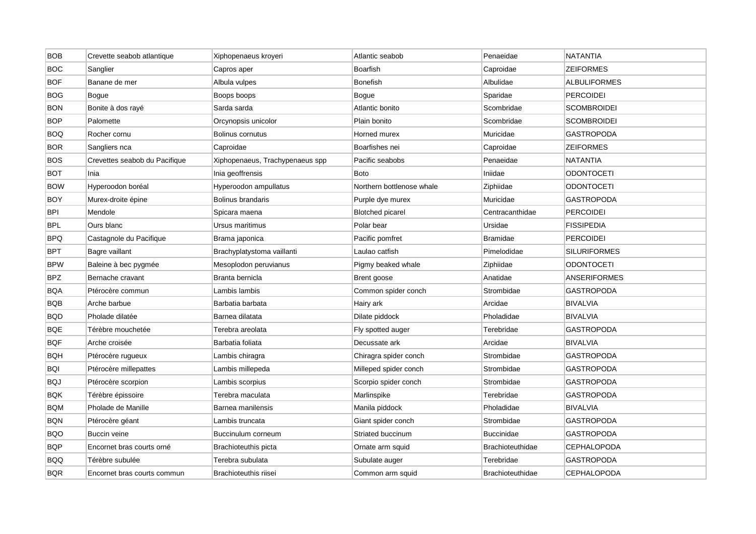| <b>BOB</b> | Crevette seabob atlantique    | Xiphopenaeus kroyeri            | Atlantic seabob           | Penaeidae               | <b>NATANTIA</b>     |
|------------|-------------------------------|---------------------------------|---------------------------|-------------------------|---------------------|
| <b>BOC</b> | Sanglier                      | Capros aper                     | Boarfish                  | Caproidae               | <b>ZEIFORMES</b>    |
| <b>BOF</b> | Banane de mer                 | Albula vulpes                   | <b>Bonefish</b>           | Albulidae               | <b>ALBULIFORMES</b> |
| <b>BOG</b> | Bogue                         | Boops boops                     | Bogue                     | Sparidae                | <b>PERCOIDEI</b>    |
| <b>BON</b> | Bonite à dos rayé             | Sarda sarda                     | Atlantic bonito           | Scombridae              | <b>SCOMBROIDEI</b>  |
| <b>BOP</b> | Palomette                     | Orcynopsis unicolor             | Plain bonito              | Scombridae              | <b>SCOMBROIDEI</b>  |
| <b>BOQ</b> | Rocher cornu                  | Bolinus cornutus                | Horned murex              | Muricidae               | <b>GASTROPODA</b>   |
| <b>BOR</b> | Sangliers nca                 | Caproidae                       | Boarfishes nei            | Caproidae               | <b>ZEIFORMES</b>    |
| <b>BOS</b> | Crevettes seabob du Pacifique | Xiphopenaeus, Trachypenaeus spp | Pacific seabobs           | Penaeidae               | <b>NATANTIA</b>     |
| <b>BOT</b> | Inia                          | Inia geoffrensis                | <b>Boto</b>               | Iniidae                 | <b>ODONTOCETI</b>   |
| <b>BOW</b> | Hyperoodon boréal             | Hyperoodon ampullatus           | Northern bottlenose whale | Ziphiidae               | <b>ODONTOCETI</b>   |
| <b>BOY</b> | Murex-droite épine            | Bolinus brandaris               | Purple dye murex          | Muricidae               | <b>GASTROPODA</b>   |
| <b>BPI</b> | Mendole                       | Spicara maena                   | <b>Blotched picarel</b>   | Centracanthidae         | <b>PERCOIDEI</b>    |
| <b>BPL</b> | Ours blanc                    | Ursus maritimus                 | Polar bear                | Ursidae                 | <b>FISSIPEDIA</b>   |
| <b>BPQ</b> | Castagnole du Pacifique       | Brama japonica                  | Pacific pomfret           | <b>Bramidae</b>         | <b>PERCOIDEI</b>    |
| <b>BPT</b> | Bagre vaillant                | Brachyplatystoma vaillanti      | Laulao catfish            | Pimelodidae             | <b>SILURIFORMES</b> |
| <b>BPW</b> | Baleine à bec pygmée          | Mesoplodon peruvianus           | Pigmy beaked whale        | Ziphiidae               | <b>ODONTOCETI</b>   |
| <b>BPZ</b> | Bernache cravant              | Branta bernicla                 | Brent goose               | Anatidae                | <b>ANSERIFORMES</b> |
| <b>BQA</b> | Ptérocère commun              | Lambis lambis                   | Common spider conch       | Strombidae              | GASTROPODA          |
| <b>BQB</b> | Arche barbue                  | Barbatia barbata                | Hairy ark                 | Arcidae                 | <b>BIVALVIA</b>     |
| <b>BQD</b> | Pholade dilatée               | Barnea dilatata                 | Dilate piddock            | Pholadidae              | <b>BIVALVIA</b>     |
| <b>BQE</b> | Térèbre mouchetée             | Terebra areolata                | Fly spotted auger         | Terebridae              | <b>GASTROPODA</b>   |
| <b>BQF</b> | Arche croisée                 | Barbatia foliata                | Decussate ark             | Arcidae                 | <b>BIVALVIA</b>     |
| BQH        | Ptérocère rugueux             | Lambis chiragra                 | Chiragra spider conch     | Strombidae              | <b>GASTROPODA</b>   |
| <b>BQI</b> | Ptérocère millepattes         | Lambis millepeda                | Milleped spider conch     | Strombidae              | <b>GASTROPODA</b>   |
| <b>BQJ</b> | Ptérocère scorpion            | Lambis scorpius                 | Scorpio spider conch      | Strombidae              | GASTROPODA          |
| <b>BQK</b> | Térèbre épissoire             | Terebra maculata                | Marlinspike               | Terebridae              | <b>GASTROPODA</b>   |
| <b>BQM</b> | Pholade de Manille            | Barnea manilensis               | Manila piddock            | Pholadidae              | <b>BIVALVIA</b>     |
| <b>BQN</b> | Ptérocère géant               | Lambis truncata                 | Giant spider conch        | Strombidae              | <b>GASTROPODA</b>   |
| <b>BQO</b> | Buccin veine                  | Buccinulum corneum              | Striated buccinum         | <b>Buccinidae</b>       | GASTROPODA          |
| <b>BQP</b> | Encornet bras courts orné     | Brachioteuthis picta            | Ornate arm squid          | <b>Brachioteuthidae</b> | <b>CEPHALOPODA</b>  |
| BQQ        | Térèbre subulée               | Terebra subulata                | Subulate auger            | Terebridae              | <b>GASTROPODA</b>   |
| <b>BQR</b> | Encornet bras courts commun   | Brachioteuthis riisei           | Common arm squid          | <b>Brachioteuthidae</b> | <b>CEPHALOPODA</b>  |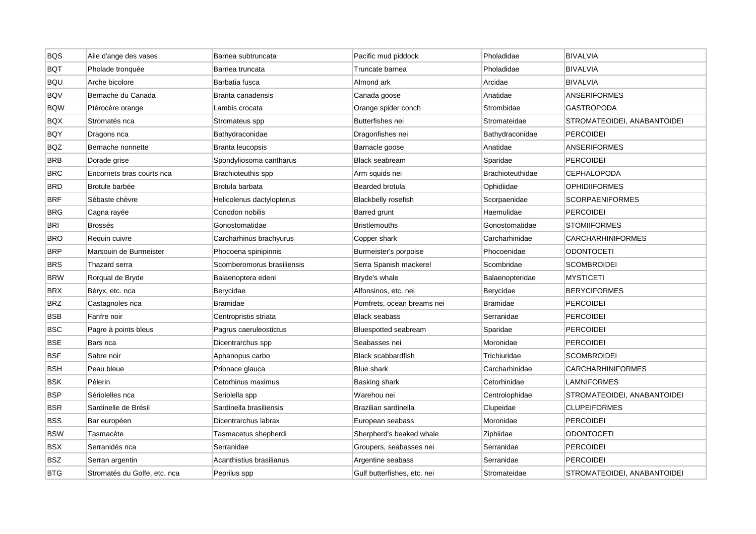| <b>BQS</b> | Aile d'ange des vases        | Barnea subtruncata         | Pacific mud piddock         | Pholadidae              | <b>BIVALVIA</b>             |
|------------|------------------------------|----------------------------|-----------------------------|-------------------------|-----------------------------|
| <b>BQT</b> | Pholade tronquée             | Barnea truncata            | Truncate barnea             | Pholadidae              | <b>BIVALVIA</b>             |
| <b>BQU</b> | Arche bicolore               | Barbatia fusca             | Almond ark                  | Arcidae                 | <b>BIVALVIA</b>             |
| <b>BQV</b> | Bernache du Canada           | Branta canadensis          | Canada goose                | Anatidae                | <b>ANSERIFORMES</b>         |
| <b>BQW</b> | Ptérocère orange             | Lambis crocata             | Orange spider conch         | Strombidae              | <b>GASTROPODA</b>           |
| <b>BQX</b> | Stromatés nca                | Stromateus spp             | Butterfishes nei            | Stromateidae            | STROMATEOIDEI, ANABANTOIDEI |
| <b>BQY</b> | Dragons nca                  | Bathydraconidae            | Dragonfishes nei            | Bathydraconidae         | <b>PERCOIDEI</b>            |
| <b>BQZ</b> | Bernache nonnette            | Branta leucopsis           | Barnacle goose              | Anatidae                | <b>ANSERIFORMES</b>         |
| <b>BRB</b> | Dorade grise                 | Spondyliosoma cantharus    | <b>Black seabream</b>       | Sparidae                | <b>PERCOIDEI</b>            |
| <b>BRC</b> | Encornets bras courts nca    | Brachioteuthis spp         | Arm squids nei              | <b>Brachioteuthidae</b> | <b>CEPHALOPODA</b>          |
| <b>BRD</b> | Brotule barbée               | Brotula barbata            | Bearded brotula             | Ophidiidae              | <b>OPHIDIIFORMES</b>        |
| <b>BRF</b> | Sébaste chèvre               | Helicolenus dactylopterus  | <b>Blackbelly rosefish</b>  | Scorpaenidae            | <b>SCORPAENIFORMES</b>      |
| <b>BRG</b> | Cagna rayée                  | Conodon nobilis            | Barred grunt                | Haemulidae              | <b>PERCOIDEI</b>            |
| <b>BRI</b> | <b>Brossés</b>               | Gonostomatidae             | <b>Bristlemouths</b>        | Gonostomatidae          | <b>STOMIIFORMES</b>         |
| <b>BRO</b> | Requin cuivre                | Carcharhinus brachyurus    | Copper shark                | Carcharhinidae          | CARCHARHINIFORMES           |
| <b>BRP</b> | Marsouin de Burmeister       | Phocoena spinipinnis       | Burmeister's porpoise       | Phocoenidae             | <b>ODONTOCETI</b>           |
| <b>BRS</b> | Thazard serra                | Scomberomorus brasiliensis | Serra Spanish mackerel      | Scombridae              | <b>SCOMBROIDEI</b>          |
| <b>BRW</b> | Rorqual de Bryde             | Balaenoptera edeni         | Bryde's whale               | Balaenopteridae         | <b>MYSTICETI</b>            |
| <b>BRX</b> | Béryx, etc. nca              | Berycidae                  | Alfonsinos, etc. nei        | Berycidae               | <b>BERYCIFORMES</b>         |
| <b>BRZ</b> | Castagnoles nca              | Bramidae                   | Pomfrets, ocean breams nei  | <b>Bramidae</b>         | <b>PERCOIDEI</b>            |
| <b>BSB</b> | Fanfre noir                  | Centropristis striata      | <b>Black seabass</b>        | Serranidae              | <b>PERCOIDEI</b>            |
| <b>BSC</b> | Pagre à points bleus         | Pagrus caeruleostictus     | <b>Bluespotted seabream</b> | Sparidae                | <b>PERCOIDEI</b>            |
| <b>BSE</b> | Bars nca                     | Dicentrarchus spp          | Seabasses nei               | Moronidae               | <b>PERCOIDEI</b>            |
| <b>BSF</b> | Sabre noir                   | Aphanopus carbo            | Black scabbardfish          | Trichiuridae            | <b>SCOMBROIDEI</b>          |
| <b>BSH</b> | Peau bleue                   | Prionace glauca            | <b>Blue shark</b>           | Carcharhinidae          | CARCHARHINIFORMES           |
| <b>BSK</b> | Pèlerin                      | Cetorhinus maximus         | Basking shark               | Cetorhinidae            | LAMNIFORMES                 |
| <b>BSP</b> | Sériolelles nca              | Seriolella spp             | Warehou nei                 | Centrolophidae          | STROMATEOIDEI, ANABANTOIDEI |
| <b>BSR</b> | Sardinelle de Brésil         | Sardinella brasiliensis    | Brazilian sardinella        | Clupeidae               | <b>CLUPEIFORMES</b>         |
| <b>BSS</b> | Bar européen                 | Dicentrarchus labrax       | European seabass            | Moronidae               | <b>PERCOIDEI</b>            |
| <b>BSW</b> | Tasmacète                    | Tasmacetus shepherdi       | Sherpherd's beaked whale    | Ziphiidae               | <b>ODONTOCETI</b>           |
| <b>BSX</b> | Serranidés nca               | Serranidae                 | Groupers, seabasses nei     | Serranidae              | <b>PERCOIDEI</b>            |
| <b>BSZ</b> | Serran argentin              | Acanthistius brasilianus   | Argentine seabass           | Serranidae              | <b>PERCOIDEI</b>            |
| <b>BTG</b> | Stromatés du Golfe, etc. nca | Peprilus spp               | Gulf butterfishes, etc. nei | Stromateidae            | STROMATEOIDEI, ANABANTOIDEI |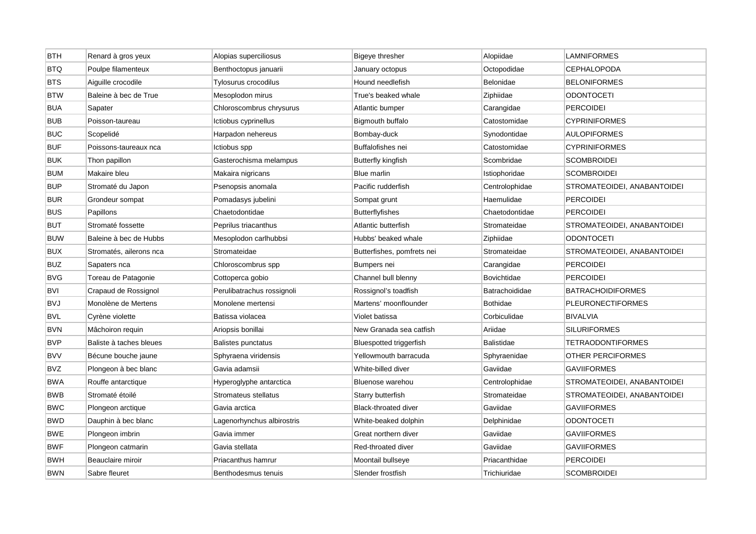| <b>BTH</b> | Renard à gros yeux      | Alopias superciliosus      | <b>Bigeye thresher</b>      | Alopiidae          | <b>LAMNIFORMES</b>          |
|------------|-------------------------|----------------------------|-----------------------------|--------------------|-----------------------------|
| <b>BTQ</b> | Poulpe filamenteux      | Benthoctopus januarii      | January octopus             | Octopodidae        | <b>CEPHALOPODA</b>          |
| <b>BTS</b> | Aiguille crocodile      | Tylosurus crocodilus       | Hound needlefish            | Belonidae          | <b>BELONIFORMES</b>         |
| <b>BTW</b> | Baleine à bec de True   | Mesoplodon mirus           | True's beaked whale         | Ziphiidae          | ODONTOCETI                  |
| <b>BUA</b> | Sapater                 | Chloroscombrus chrysurus   | Atlantic bumper             | Carangidae         | <b>PERCOIDEI</b>            |
| <b>BUB</b> | Poisson-taureau         | Ictiobus cyprinellus       | Bigmouth buffalo            | Catostomidae       | <b>CYPRINIFORMES</b>        |
| <b>BUC</b> | Scopelidé               | Harpadon nehereus          | Bombay-duck                 | Synodontidae       | <b>AULOPIFORMES</b>         |
| <b>BUF</b> | Poissons-taureaux nca   | Ictiobus spp               | Buffalofishes nei           | Catostomidae       | <b>CYPRINIFORMES</b>        |
| <b>BUK</b> | Thon papillon           | Gasterochisma melampus     | <b>Butterfly kingfish</b>   | Scombridae         | <b>SCOMBROIDEI</b>          |
| <b>BUM</b> | Makaire bleu            | Makaira nigricans          | Blue marlin                 | Istiophoridae      | <b>SCOMBROIDEI</b>          |
| <b>BUP</b> | Stromaté du Japon       | Psenopsis anomala          | Pacific rudderfish          | Centrolophidae     | STROMATEOIDEI, ANABANTOIDEI |
| <b>BUR</b> | Grondeur sompat         | Pomadasys jubelini         | Sompat grunt                | Haemulidae         | <b>PERCOIDEI</b>            |
| <b>BUS</b> | Papillons               | Chaetodontidae             | <b>Butterflyfishes</b>      | Chaetodontidae     | <b>PERCOIDEI</b>            |
| <b>BUT</b> | Stromaté fossette       | Peprilus triacanthus       | Atlantic butterfish         | Stromateidae       | STROMATEOIDEI, ANABANTOIDEI |
| <b>BUW</b> | Baleine à bec de Hubbs  | Mesoplodon carlhubbsi      | Hubbs' beaked whale         | Ziphiidae          | <b>ODONTOCETI</b>           |
| <b>BUX</b> | Stromatés, ailerons nca | Stromateidae               | Butterfishes, pomfrets nei  | Stromateidae       | STROMATEOIDEI, ANABANTOIDEI |
| <b>BUZ</b> | Sapaters nca            | Chloroscombrus spp         | Bumpers nei                 | Carangidae         | <b>PERCOIDEI</b>            |
| <b>BVG</b> | Toreau de Patagonie     | Cottoperca gobio           | Channel bull blenny         | <b>Bovichtidae</b> | <b>PERCOIDEI</b>            |
| <b>BVI</b> | Crapaud de Rossignol    | Perulibatrachus rossignoli | Rossignol's toadfish        | Batrachoididae     | <b>BATRACHOIDIFORMES</b>    |
| <b>BVJ</b> | Monolène de Mertens     | Monolene mertensi          | Martens' moonflounder       | <b>Bothidae</b>    | <b>PLEURONECTIFORMES</b>    |
| <b>BVL</b> | Cyrène violette         | Batissa violacea           | Violet batissa              | Corbiculidae       | <b>BIVALVIA</b>             |
| <b>BVN</b> | Mâchoiron requin        | Ariopsis bonillai          | New Granada sea catfish     | Ariidae            | <b>SILURIFORMES</b>         |
| <b>BVP</b> | Baliste à taches bleues | Balistes punctatus         | Bluespotted triggerfish     | Balistidae         | <b>TETRAODONTIFORMES</b>    |
| <b>BVV</b> | Bécune bouche jaune     | Sphyraena viridensis       | Yellowmouth barracuda       | Sphyraenidae       | OTHER PERCIFORMES           |
| <b>BVZ</b> | Plongeon à bec blanc    | Gavia adamsii              | White-billed diver          | Gaviidae           | <b>GAVIIFORMES</b>          |
| <b>BWA</b> | Rouffe antarctique      | Hyperoglyphe antarctica    | Bluenose warehou            | Centrolophidae     | STROMATEOIDEI, ANABANTOIDEI |
| <b>BWB</b> | Stromaté étoilé         | Stromateus stellatus       | Starry butterfish           | Stromateidae       | STROMATEOIDEI, ANABANTOIDEI |
| <b>BWC</b> | Plongeon arctique       | Gavia arctica              | <b>Black-throated diver</b> | Gaviidae           | <b>GAVIIFORMES</b>          |
| <b>BWD</b> | Dauphin à bec blanc     | Lagenorhynchus albirostris | White-beaked dolphin        | Delphinidae        | ODONTOCETI                  |
| <b>BWE</b> | Plongeon imbrin         | Gavia immer                | Great northern diver        | Gaviidae           | GAVIIFORMES                 |
| <b>BWF</b> | Plongeon catmarin       | Gavia stellata             | Red-throated diver          | Gaviidae           | <b>GAVIIFORMES</b>          |
| <b>BWH</b> | Beauclaire miroir       | Priacanthus hamrur         | Moontail bullseye           | Priacanthidae      | <b>PERCOIDEI</b>            |
| <b>BWN</b> | Sabre fleuret           | Benthodesmus tenuis        | Slender frostfish           | Trichiuridae       | <b>SCOMBROIDEI</b>          |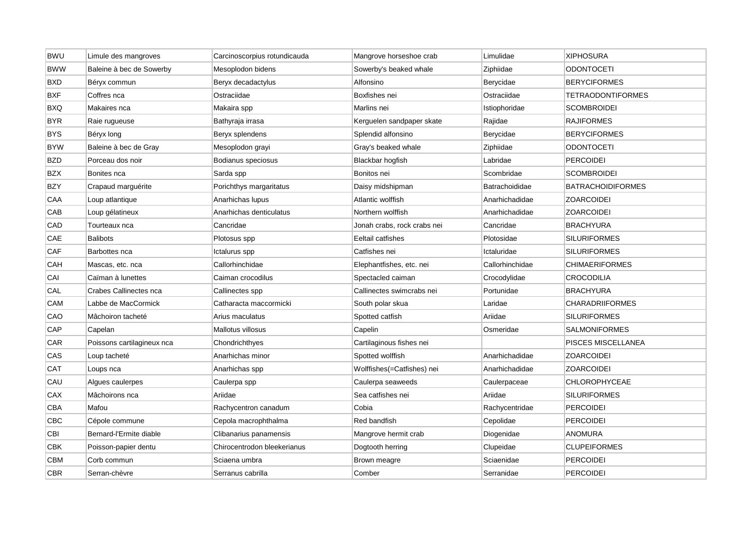| <b>BWU</b> | Limule des mangroves       | Carcinoscorpius rotundicauda | Mangrove horseshoe crab     | Limulidae       | <b>XIPHOSURA</b>         |
|------------|----------------------------|------------------------------|-----------------------------|-----------------|--------------------------|
| <b>BWW</b> | Baleine à bec de Sowerby   | Mesoplodon bidens            | Sowerby's beaked whale      | Ziphiidae       | <b>ODONTOCETI</b>        |
| <b>BXD</b> | Béryx commun               | Beryx decadactylus           | Alfonsino                   | Berycidae       | <b>BERYCIFORMES</b>      |
| <b>BXF</b> | Coffres nca                | Ostraciidae                  | Boxfishes nei               | Ostraciidae     | <b>TETRAODONTIFORMES</b> |
| <b>BXQ</b> | Makaires nca               | Makaira spp                  | Marlins nei                 | Istiophoridae   | <b>SCOMBROIDEI</b>       |
| <b>BYR</b> | Raie rugueuse              | Bathyraja irrasa             | Kerguelen sandpaper skate   | Rajidae         | <b>RAJIFORMES</b>        |
| <b>BYS</b> | Béryx long                 | Beryx splendens              | Splendid alfonsino          | Berycidae       | <b>BERYCIFORMES</b>      |
| <b>BYW</b> | Baleine à bec de Gray      | Mesoplodon grayi             | Gray's beaked whale         | Ziphiidae       | <b>ODONTOCETI</b>        |
| <b>BZD</b> | Porceau dos noir           | Bodianus speciosus           | Blackbar hogfish            | Labridae        | <b>PERCOIDEI</b>         |
| <b>BZX</b> | Bonites nca                | Sarda spp                    | Bonitos nei                 | Scombridae      | <b>SCOMBROIDEI</b>       |
| <b>BZY</b> | Crapaud marguérite         | Porichthys margaritatus      | Daisy midshipman            | Batrachoididae  | <b>BATRACHOIDIFORMES</b> |
| CAA        | Loup atlantique            | Anarhichas Iupus             | Atlantic wolffish           | Anarhichadidae  | <b>ZOARCOIDEI</b>        |
| CAB        | Loup gélatineux            | Anarhichas denticulatus      | Northern wolffish           | Anarhichadidae  | <b>ZOARCOIDEI</b>        |
| CAD        | Tourteaux nca              | Cancridae                    | Jonah crabs, rock crabs nei | Cancridae       | <b>BRACHYURA</b>         |
| CAE        | <b>Balibots</b>            | Plotosus spp                 | Eeltail catfishes           | Plotosidae      | <b>SILURIFORMES</b>      |
| CAF        | Barbottes nca              | Ictalurus spp                | Catfishes nei               | Ictaluridae     | <b>SILURIFORMES</b>      |
| CAH        | Mascas, etc. nca           | Callorhinchidae              | Elephantfishes, etc. nei    | Callorhinchidae | <b>CHIMAERIFORMES</b>    |
| CAI        | Caïman à lunettes          | Caiman crocodilus            | Spectacled caiman           | Crocodylidae    | <b>CROCODILIA</b>        |
| CAL        | Crabes Callinectes nca     | Callinectes spp              | Callinectes swimcrabs nei   | Portunidae      | <b>BRACHYURA</b>         |
| <b>CAM</b> | Labbe de MacCormick        | Catharacta maccormicki       | South polar skua            | Laridae         | <b>CHARADRIIFORMES</b>   |
| CAO        | Mâchoiron tacheté          | Arius maculatus              | Spotted catfish             | Ariidae         | <b>SILURIFORMES</b>      |
| CAP        | Capelan                    | Mallotus villosus            | Capelin                     | Osmeridae       | <b>SALMONIFORMES</b>     |
| CAR        | Poissons cartilagineux nca | Chondrichthyes               | Cartilaginous fishes nei    |                 | PISCES MISCELLANEA       |
| CAS        | Loup tacheté               | Anarhichas minor             | Spotted wolffish            | Anarhichadidae  | <b>ZOARCOIDEI</b>        |
| <b>CAT</b> | Loups nca                  | Anarhichas spp               | Wolffishes(=Catfishes) nei  | Anarhichadidae  | <b>ZOARCOIDEI</b>        |
| CAU        | Algues caulerpes           | Caulerpa spp                 | Caulerpa seaweeds           | Caulerpaceae    | <b>CHLOROPHYCEAE</b>     |
| CAX        | Mâchoirons nca             | Ariidae                      | Sea catfishes nei           | Ariidae         | <b>SILURIFORMES</b>      |
| CBA        | Mafou                      | Rachycentron canadum         | Cobia                       | Rachycentridae  | <b>PERCOIDEI</b>         |
| CBC        | Cépole commune             | Cepola macrophthalma         | Red bandfish                | Cepolidae       | <b>PERCOIDEI</b>         |
| CBI        | Bernard-l'Ermite diable    | Clibanarius panamensis       | Mangrove hermit crab        | Diogenidae      | <b>ANOMURA</b>           |
| <b>CBK</b> | Poisson-papier dentu       | Chirocentrodon bleekerianus  | Dogtooth herring            | Clupeidae       | <b>CLUPEIFORMES</b>      |
| CBM        | Corb commun                | Sciaena umbra                | Brown meagre                | Sciaenidae      | <b>PERCOIDEI</b>         |
| <b>CBR</b> | Serran-chèvre              | Serranus cabrilla            | Comber                      | Serranidae      | <b>PERCOIDEI</b>         |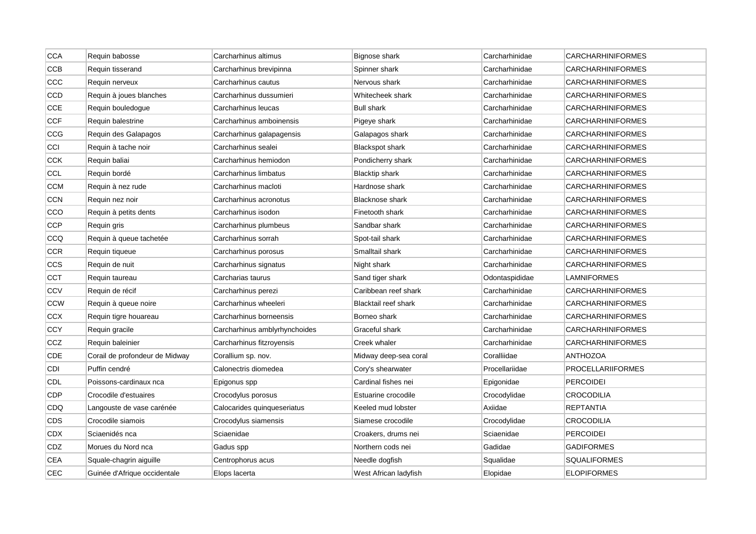| <b>CCA</b> | Requin babosse                 | Carcharhinus altimus          | Bignose shark          | Carcharhinidae | <b>CARCHARHINIFORMES</b> |
|------------|--------------------------------|-------------------------------|------------------------|----------------|--------------------------|
| <b>CCB</b> | Requin tisserand               | Carcharhinus brevipinna       | Spinner shark          | Carcharhinidae | <b>CARCHARHINIFORMES</b> |
| CCC        | Requin nerveux                 | Carcharhinus cautus           | Nervous shark          | Carcharhinidae | <b>CARCHARHINIFORMES</b> |
| CCD        | Requin à joues blanches        | Carcharhinus dussumieri       | Whitecheek shark       | Carcharhinidae | <b>CARCHARHINIFORMES</b> |
| CCE        | Requin bouledogue              | Carcharhinus leucas           | <b>Bull shark</b>      | Carcharhinidae | <b>CARCHARHINIFORMES</b> |
| <b>CCF</b> | Requin balestrine              | Carcharhinus amboinensis      | Pigeye shark           | Carcharhinidae | <b>CARCHARHINIFORMES</b> |
| CCG        | Requin des Galapagos           | Carcharhinus galapagensis     | Galapagos shark        | Carcharhinidae | <b>CARCHARHINIFORMES</b> |
| CCI        | Requin à tache noir            | Carcharhinus sealei           | <b>Blackspot shark</b> | Carcharhinidae | <b>CARCHARHINIFORMES</b> |
| <b>CCK</b> | Requin baliai                  | Carcharhinus hemiodon         | Pondicherry shark      | Carcharhinidae | <b>CARCHARHINIFORMES</b> |
| CCL        | Requin bordé                   | Carcharhinus limbatus         | Blacktip shark         | Carcharhinidae | <b>CARCHARHINIFORMES</b> |
| <b>CCM</b> | Requin à nez rude              | Carcharhinus macloti          | Hardnose shark         | Carcharhinidae | <b>CARCHARHINIFORMES</b> |
| <b>CCN</b> | Requin nez noir                | Carcharhinus acronotus        | Blacknose shark        | Carcharhinidae | <b>CARCHARHINIFORMES</b> |
| CCO        | Requin à petits dents          | Carcharhinus isodon           | Finetooth shark        | Carcharhinidae | <b>CARCHARHINIFORMES</b> |
| CCP        | Requin gris                    | Carcharhinus plumbeus         | Sandbar shark          | Carcharhinidae | <b>CARCHARHINIFORMES</b> |
| CCQ        | Requin à queue tachetée        | Carcharhinus sorrah           | Spot-tail shark        | Carcharhinidae | <b>CARCHARHINIFORMES</b> |
| <b>CCR</b> | Requin tiqueue                 | Carcharhinus porosus          | Smalltail shark        | Carcharhinidae | <b>CARCHARHINIFORMES</b> |
| CCS        | Requin de nuit                 | Carcharhinus signatus         | Night shark            | Carcharhinidae | <b>CARCHARHINIFORMES</b> |
| CCT        | Requin taureau                 | Carcharias taurus             | Sand tiger shark       | Odontaspididae | LAMNIFORMES              |
| CCV        | Requin de récif                | Carcharhinus perezi           | Caribbean reef shark   | Carcharhinidae | <b>CARCHARHINIFORMES</b> |
| <b>CCW</b> | Requin à queue noire           | Carcharhinus wheeleri         | Blacktail reef shark   | Carcharhinidae | <b>CARCHARHINIFORMES</b> |
| CCX        | Requin tigre houareau          | Carcharhinus borneensis       | Borneo shark           | Carcharhinidae | <b>CARCHARHINIFORMES</b> |
| <b>CCY</b> | Requin gracile                 | Carcharhinus amblyrhynchoides | Graceful shark         | Carcharhinidae | <b>CARCHARHINIFORMES</b> |
| CCZ        | Requin baleinier               | Carcharhinus fitzroyensis     | Creek whaler           | Carcharhinidae | <b>CARCHARHINIFORMES</b> |
| CDE        | Corail de profondeur de Midway | Corallium sp. nov.            | Midway deep-sea coral  | Coralliidae    | <b>ANTHOZOA</b>          |
| CDI        | Puffin cendré                  | Calonectris diomedea          | Cory's shearwater      | Procellariidae | <b>PROCELLARIIFORMES</b> |
| <b>CDL</b> | Poissons-cardinaux nca         | Epigonus spp                  | Cardinal fishes nei    | Epigonidae     | <b>PERCOIDEI</b>         |
| CDP        | Crocodile d'estuaires          | Crocodylus porosus            | Estuarine crocodile    | Crocodylidae   | <b>CROCODILIA</b>        |
| CDQ        | Langouste de vase carénée      | Calocarides quinqueseriatus   | Keeled mud lobster     | Axiidae        | <b>REPTANTIA</b>         |
| CDS        | Crocodile siamois              | Crocodylus siamensis          | Siamese crocodile      | Crocodylidae   | <b>CROCODILIA</b>        |
| <b>CDX</b> | Sciaenidés nca                 | Sciaenidae                    | Croakers, drums nei    | Sciaenidae     | <b>PERCOIDEI</b>         |
| CDZ        | Morues du Nord nca             | Gadus spp                     | Northern cods nei      | Gadidae        | <b>GADIFORMES</b>        |
| <b>CEA</b> | Squale-chagrin aiguille        | Centrophorus acus             | Needle dogfish         | Squalidae      | <b>SQUALIFORMES</b>      |
| <b>CEC</b> | Guinée d'Afrique occidentale   | Elops lacerta                 | West African ladyfish  | Elopidae       | <b>ELOPIFORMES</b>       |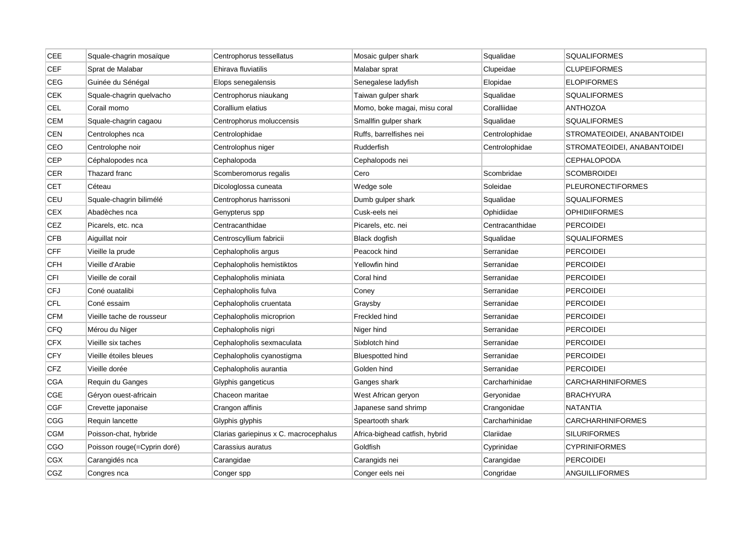| CEE        | Squale-chagrin mosaïque     | Centrophorus tessellatus              | Mosaic gulper shark            | Squalidae       | <b>SQUALIFORMES</b>         |
|------------|-----------------------------|---------------------------------------|--------------------------------|-----------------|-----------------------------|
| <b>CEF</b> | Sprat de Malabar            | Ehirava fluviatilis                   | Malabar sprat                  | Clupeidae       | <b>CLUPEIFORMES</b>         |
| CEG        | Guinée du Sénégal           | Elops senegalensis                    | Senegalese ladyfish            | Elopidae        | <b>ELOPIFORMES</b>          |
| <b>CEK</b> | Squale-chagrin quelvacho    | Centrophorus niaukang                 | Taiwan gulper shark            | Squalidae       | <b>SQUALIFORMES</b>         |
| <b>CEL</b> | Corail momo                 | Corallium elatius                     | Momo, boke magai, misu coral   | Coralliidae     | <b>ANTHOZOA</b>             |
| <b>CEM</b> | Squale-chagrin cagaou       | Centrophorus moluccensis              | Smallfin gulper shark          | Squalidae       | <b>SQUALIFORMES</b>         |
| CEN        | Centrolophes nca            | Centrolophidae                        | Ruffs, barrelfishes nei        | Centrolophidae  | STROMATEOIDEI, ANABANTOIDEI |
| CEO        | Centrolophe noir            | Centrolophus niger                    | Rudderfish                     | Centrolophidae  | STROMATEOIDEI, ANABANTOIDEI |
| CEP        | Céphalopodes nca            | Cephalopoda                           | Cephalopods nei                |                 | <b>CEPHALOPODA</b>          |
| CER        | Thazard franc               | Scomberomorus regalis                 | Cero                           | Scombridae      | <b>SCOMBROIDEI</b>          |
| <b>CET</b> | Céteau                      | Dicologlossa cuneata                  | Wedge sole                     | Soleidae        | <b>PLEURONECTIFORMES</b>    |
| CEU        | Squale-chagrin bilimélé     | Centrophorus harrissoni               | Dumb gulper shark              | Squalidae       | <b>SQUALIFORMES</b>         |
| <b>CEX</b> | Abadèches nca               | Genypterus spp                        | Cusk-eels nei                  | Ophidiidae      | <b>OPHIDIIFORMES</b>        |
| CEZ        | Picarels, etc. nca          | Centracanthidae                       | Picarels, etc. nei             | Centracanthidae | PERCOIDEI                   |
| <b>CFB</b> | Aiguillat noir              | Centroscyllium fabricii               | Black dogfish                  | Squalidae       | <b>SQUALIFORMES</b>         |
| <b>CFF</b> | Vieille la prude            | Cephalopholis argus                   | Peacock hind                   | Serranidae      | <b>PERCOIDEI</b>            |
| <b>CFH</b> | Vieille d'Arabie            | Cephalopholis hemistiktos             | Yellowfin hind                 | Serranidae      | <b>PERCOIDEI</b>            |
| CFI        | Vieille de corail           | Cephalopholis miniata                 | Coral hind                     | Serranidae      | <b>PERCOIDEI</b>            |
| CFJ        | Coné ouatalibi              | Cephalopholis fulva                   | Coney                          | Serranidae      | <b>PERCOIDEI</b>            |
| <b>CFL</b> | Coné essaim                 | Cephalopholis cruentata               | Graysby                        | Serranidae      | <b>PERCOIDEI</b>            |
| <b>CFM</b> | Vieille tache de rousseur   | Cephalopholis microprion              | Freckled hind                  | Serranidae      | <b>PERCOIDEI</b>            |
| <b>CFQ</b> | Mérou du Niger              | Cephalopholis nigri                   | Niger hind                     | Serranidae      | <b>PERCOIDEI</b>            |
| <b>CFX</b> | Vieille six taches          | Cephalopholis sexmaculata             | Sixblotch hind                 | Serranidae      | <b>PERCOIDEI</b>            |
| <b>CFY</b> | Vieille étoiles bleues      | Cephalopholis cyanostigma             | <b>Bluespotted hind</b>        | Serranidae      | <b>PERCOIDEI</b>            |
| CFZ        | Vieille dorée               | Cephalopholis aurantia                | Golden hind                    | Serranidae      | <b>PERCOIDEI</b>            |
| CGA        | Requin du Ganges            | Glyphis gangeticus                    | Ganges shark                   | Carcharhinidae  | <b>CARCHARHINIFORMES</b>    |
| CGE        | Géryon ouest-africain       | Chaceon maritae                       | West African geryon            | Geryonidae      | <b>BRACHYURA</b>            |
| <b>CGF</b> | Crevette japonaise          | Crangon affinis                       | Japanese sand shrimp           | Crangonidae     | <b>NATANTIA</b>             |
| CGG        | Requin lancette             | Glyphis glyphis                       | Speartooth shark               | Carcharhinidae  | <b>CARCHARHINIFORMES</b>    |
| <b>CGM</b> | Poisson-chat, hybride       | Clarias gariepinus x C. macrocephalus | Africa-bighead catfish, hybrid | Clariidae       | <b>SILURIFORMES</b>         |
| <b>CGO</b> | Poisson rouge(=Cyprin doré) | Carassius auratus                     | Goldfish                       | Cyprinidae      | <b>CYPRINIFORMES</b>        |
| <b>CGX</b> | Carangidés nca              | Carangidae                            | Carangids nei                  | Carangidae      | PERCOIDEI                   |
| CGZ        | Congres nca                 | Conger spp                            | Conger eels nei                | Congridae       | ANGUILLIFORMES              |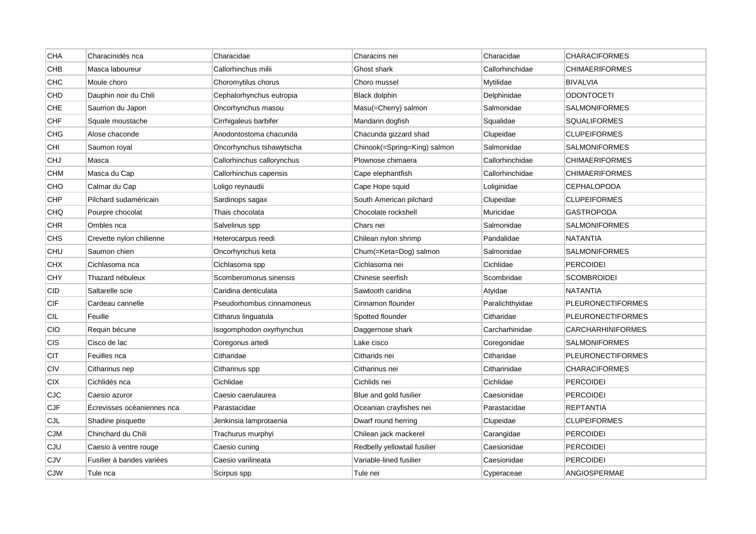| <b>CHA</b> | Characinidés nca           | Characidae                 | Characins nei                | Characidae      | <b>CHARACIFORMES</b>     |
|------------|----------------------------|----------------------------|------------------------------|-----------------|--------------------------|
| CHB        | Masca laboureur            | Callorhinchus milii        | Ghost shark                  | Callorhinchidae | <b>CHIMAERIFORMES</b>    |
| <b>CHC</b> | Moule choro                | Choromytilus chorus        | Choro mussel                 | Mytilidae       | <b>BIVALVIA</b>          |
| CHD        | Dauphin noir du Chili      | Cephalorhynchus eutropia   | Black dolphin                | Delphinidae     | <b>ODONTOCETI</b>        |
| CHE        | Saumon du Japon            | Oncorhynchus masou         | Masu(=Cherry) salmon         | Salmonidae      | <b>SALMONIFORMES</b>     |
| CHF        | Squale moustache           | Cirrhigaleus barbifer      | Mandarin dogfish             | Squalidae       | <b>SQUALIFORMES</b>      |
| <b>CHG</b> | Alose chaconde             | Anodontostoma chacunda     | Chacunda gizzard shad        | Clupeidae       | <b>CLUPEIFORMES</b>      |
| CHI        | Saumon royal               | Oncorhynchus tshawytscha   | Chinook(=Spring=King) salmon | Salmonidae      | <b>SALMONIFORMES</b>     |
| <b>CHJ</b> | Masca                      | Callorhinchus callorynchus | Plownose chimaera            | Callorhinchidae | <b>CHIMAERIFORMES</b>    |
| <b>CHM</b> | Masca du Cap               | Callorhinchus capensis     | Cape elephantfish            | Callorhinchidae | <b>CHIMAERIFORMES</b>    |
| CHO        | Calmar du Cap              | Loligo reynaudii           | Cape Hope squid              | Loliginidae     | <b>CEPHALOPODA</b>       |
| <b>CHP</b> | Pilchard sudaméricain      | Sardinops sagax            | South American pilchard      | Clupeidae       | <b>CLUPEIFORMES</b>      |
| CHQ        | Pourpre chocolat           | Thais chocolata            | Chocolate rockshell          | Muricidae       | <b>GASTROPODA</b>        |
| <b>CHR</b> | Ombles nca                 | Salvelinus spp             | Chars nei                    | Salmonidae      | <b>SALMONIFORMES</b>     |
| <b>CHS</b> | Crevette nylon chilienne   | Heterocarpus reedi         | Chilean nylon shrimp         | Pandalidae      | <b>NATANTIA</b>          |
| CHU        | Saumon chien               | Oncorhynchus keta          | Chum(=Keta=Dog) salmon       | Salmonidae      | <b>SALMONIFORMES</b>     |
| <b>CHX</b> | Cichlasoma nca             | Cichlasoma spp             | Cichlasoma nei               | Cichlidae       | <b>PERCOIDEI</b>         |
| CHY        | Thazard nébuleux           | Scomberomorus sinensis     | Chinese seerfish             | Scombridae      | <b>SCOMBROIDEI</b>       |
| <b>CID</b> | Saltarelle scie            | Caridina denticulata       | Sawtooth caridina            | Atyidae         | NATANTIA                 |
| <b>CIF</b> | Cardeau cannelle           | Pseudorhombus cinnamoneus  | Cinnamon flounder            | Paralichthyidae | <b>PLEURONECTIFORMES</b> |
| CIL        | Feuille                    | Citharus linguatula        | Spotted flounder             | Citharidae      | <b>PLEURONECTIFORMES</b> |
| <b>CIO</b> | Requin bécune              | Isogomphodon oxyrhynchus   | Daggernose shark             | Carcharhinidae  | <b>CARCHARHINIFORMES</b> |
| CIS        | Cisco de lac               | Coregonus artedi           | Lake cisco                   | Coregonidae     | <b>SALMONIFORMES</b>     |
| CIT        | Feuilles nca               | Citharidae                 | Citharids nei                | Citharidae      | <b>PLEURONECTIFORMES</b> |
| <b>CIV</b> | Citharinus nep             | Citharinus spp             | Citharinus nei               | Citharinidae    | <b>CHARACIFORMES</b>     |
| CIX        | Cichlidés nca              | Cichlidae                  | Cichlids nei                 | Cichlidae       | <b>PERCOIDEI</b>         |
| CJC        | Caesio azuror              | Caesio caerulaurea         | Blue and gold fusilier       | Caesionidae     | <b>PERCOIDEI</b>         |
| <b>CJF</b> | Ecrevisses océaniennes nca | Parastacidae               | Oceanian crayfishes nei      | Parastacidae    | <b>REPTANTIA</b>         |
| CJL        | Shadine pisquette          | Jenkinsia lamprotaenia     | Dwarf round herring          | Clupeidae       | <b>CLUPEIFORMES</b>      |
| <b>CJM</b> | Chinchard du Chili         | Trachurus murphyi          | Chilean jack mackerel        | Carangidae      | PERCOIDEI                |
| CJU        | Caesio à ventre rouge      | Caesio cuning              | Redbelly yellowtail fusilier | Caesionidae     | <b>PERCOIDEI</b>         |
| CJV        | Fusilier à bandes variées  | Caesio varilineata         | Variable-lined fusilier      | Caesionidae     | PERCOIDEI                |
| <b>CJW</b> | Tule nca                   | Scirpus spp                | Tule nei                     | Cyperaceae      | <b>ANGIOSPERMAE</b>      |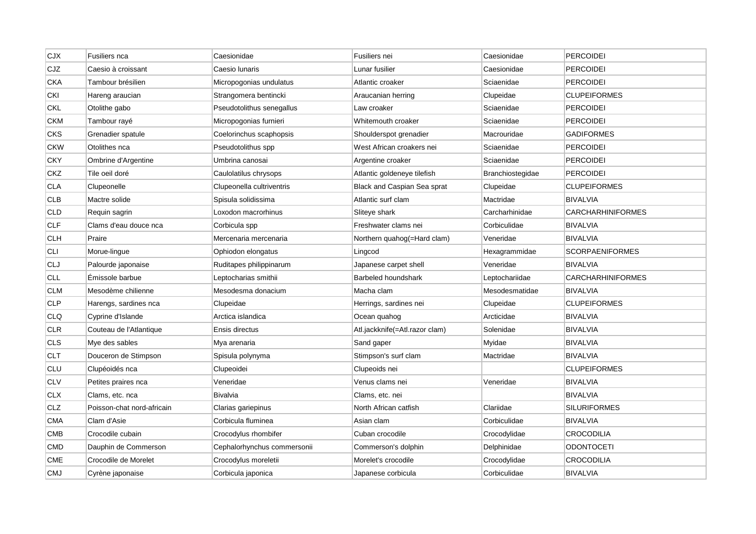| <b>CJX</b> | Fusiliers nca              | Caesionidae                 | Fusiliers nei                  | Caesionidae      | <b>PERCOIDEI</b>         |
|------------|----------------------------|-----------------------------|--------------------------------|------------------|--------------------------|
| CJZ        | Caesio à croissant         | Caesio Iunaris              | Lunar fusilier                 | Caesionidae      | <b>PERCOIDEI</b>         |
| <b>CKA</b> | Tambour brésilien          | Micropogonias undulatus     | Atlantic croaker               | Sciaenidae       | <b>PERCOIDEI</b>         |
| CKI        | Hareng araucian            | Strangomera bentincki       | Araucanian herring             | Clupeidae        | <b>CLUPEIFORMES</b>      |
| <b>CKL</b> | Otolithe gabo              | Pseudotolithus senegallus   | Law croaker                    | Sciaenidae       | <b>PERCOIDEI</b>         |
| <b>CKM</b> | Tambour rayé               | Micropogonias furnieri      | Whitemouth croaker             | Sciaenidae       | <b>PERCOIDEI</b>         |
| CKS        | Grenadier spatule          | Coelorinchus scaphopsis     | Shoulderspot grenadier         | Macrouridae      | <b>GADIFORMES</b>        |
| <b>CKW</b> | Otolithes nca              | Pseudotolithus spp          | West African croakers nei      | Sciaenidae       | <b>PERCOIDEI</b>         |
| <b>CKY</b> | Ombrine d'Argentine        | Umbrina canosai             | Argentine croaker              | Sciaenidae       | <b>PERCOIDEI</b>         |
| <b>CKZ</b> | Tile oeil doré             | Caulolatilus chrysops       | Atlantic goldeneye tilefish    | Branchiostegidae | <b>PERCOIDEI</b>         |
| <b>CLA</b> | Clupeonelle                | Clupeonella cultriventris   | Black and Caspian Sea sprat    | Clupeidae        | <b>CLUPEIFORMES</b>      |
| <b>CLB</b> | Mactre solide              | Spisula solidissima         | Atlantic surf clam             | Mactridae        | <b>BIVALVIA</b>          |
| <b>CLD</b> | Requin sagrin              | Loxodon macrorhinus         | Sliteye shark                  | Carcharhinidae   | <b>CARCHARHINIFORMES</b> |
| <b>CLF</b> | Clams d'eau douce nca      | Corbicula spp               | Freshwater clams nei           | Corbiculidae     | <b>BIVALVIA</b>          |
| <b>CLH</b> | Praire                     | Mercenaria mercenaria       | Northern quahog(=Hard clam)    | Veneridae        | <b>BIVALVIA</b>          |
| <b>CLI</b> | Morue-lingue               | Ophiodon elongatus          | Lingcod                        | Hexagrammidae    | <b>SCORPAENIFORMES</b>   |
| CLJ        | Palourde japonaise         | Ruditapes philippinarum     | Japanese carpet shell          | Veneridae        | <b>BIVALVIA</b>          |
| <b>CLL</b> | Émissole barbue            | Leptocharias smithii        | Barbeled houndshark            | Leptochariidae   | <b>CARCHARHINIFORMES</b> |
| <b>CLM</b> | Mesodème chilienne         | Mesodesma donacium          | Macha clam                     | Mesodesmatidae   | <b>BIVALVIA</b>          |
| <b>CLP</b> | Harengs, sardines nca      | Clupeidae                   | Herrings, sardines nei         | Clupeidae        | <b>CLUPEIFORMES</b>      |
| <b>CLQ</b> | Cyprine d'Islande          | Arctica islandica           | Ocean quahog                   | Arcticidae       | <b>BIVALVIA</b>          |
| <b>CLR</b> | Couteau de l'Atlantique    | Ensis directus              | Atl.jackknife(=Atl.razor clam) | Solenidae        | <b>BIVALVIA</b>          |
| <b>CLS</b> | Mye des sables             | Mya arenaria                | Sand gaper                     | Myidae           | <b>BIVALVIA</b>          |
| <b>CLT</b> | Douceron de Stimpson       | Spisula polynyma            | Stimpson's surf clam           | Mactridae        | <b>BIVALVIA</b>          |
| <b>CLU</b> | Clupéoidés nca             | Clupeoidei                  | Clupeoids nei                  |                  | <b>CLUPEIFORMES</b>      |
| <b>CLV</b> | Petites praires nca        | Veneridae                   | Venus clams nei                | Veneridae        | <b>BIVALVIA</b>          |
| <b>CLX</b> | Clams, etc. nca            | <b>Bivalvia</b>             | Clams, etc. nei                |                  | <b>BIVALVIA</b>          |
| CLZ        | Poisson-chat nord-africain | Clarias gariepinus          | North African catfish          | Clariidae        | <b>SILURIFORMES</b>      |
| <b>CMA</b> | Clam d'Asie                | Corbicula fluminea          | Asian clam                     | Corbiculidae     | <b>BIVALVIA</b>          |
| CMB        | Crocodile cubain           | Crocodylus rhombifer        | Cuban crocodile                | Crocodylidae     | CROCODILIA               |
| <b>CMD</b> | Dauphin de Commerson       | Cephalorhynchus commersonii | Commerson's dolphin            | Delphinidae      | <b>ODONTOCETI</b>        |
| <b>CME</b> | Crocodile de Morelet       | Crocodylus moreletii        | Morelet's crocodile            | Crocodylidae     | <b>CROCODILIA</b>        |
| <b>CMJ</b> | Cyrène japonaise           | Corbicula japonica          | Japanese corbicula             | Corbiculidae     | <b>BIVALVIA</b>          |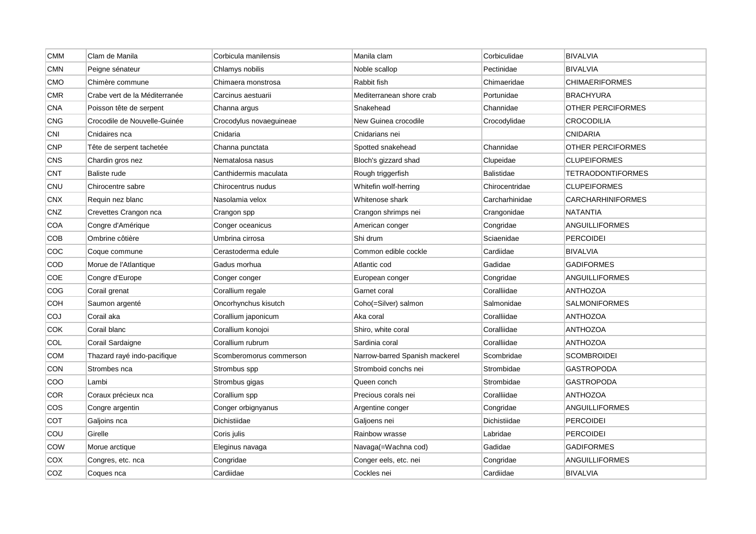| <b>CMM</b> | Clam de Manila                | Corbicula manilensis    | Manila clam                    | Corbiculidae      | <b>BIVALVIA</b>          |
|------------|-------------------------------|-------------------------|--------------------------------|-------------------|--------------------------|
| <b>CMN</b> | Peigne sénateur               | Chlamys nobilis         | Noble scallop                  | Pectinidae        | <b>BIVALVIA</b>          |
| CMO        | Chimère commune               | Chimaera monstrosa      | Rabbit fish                    | Chimaeridae       | <b>CHIMAERIFORMES</b>    |
| <b>CMR</b> | Crabe vert de la Méditerranée | Carcinus aestuarii      | Mediterranean shore crab       | Portunidae        | <b>BRACHYURA</b>         |
| <b>CNA</b> | Poisson tête de serpent       | Channa argus            | Snakehead                      | Channidae         | OTHER PERCIFORMES        |
| <b>CNG</b> | Crocodile de Nouvelle-Guinée  | Crocodylus novaeguineae | New Guinea crocodile           | Crocodylidae      | <b>CROCODILIA</b>        |
| <b>CNI</b> | Cnidaires nca                 | Cnidaria                | Cnidarians nei                 |                   | <b>CNIDARIA</b>          |
| CNP        | Tête de serpent tachetée      | Channa punctata         | Spotted snakehead              | Channidae         | OTHER PERCIFORMES        |
| <b>CNS</b> | Chardin gros nez              | Nematalosa nasus        | Bloch's gizzard shad           | Clupeidae         | <b>CLUPEIFORMES</b>      |
| <b>CNT</b> | Baliste rude                  | Canthidermis maculata   | Rough triggerfish              | <b>Balistidae</b> | <b>TETRAODONTIFORMES</b> |
| CNU        | Chirocentre sabre             | Chirocentrus nudus      | Whitefin wolf-herring          | Chirocentridae    | <b>CLUPEIFORMES</b>      |
| <b>CNX</b> | Requin nez blanc              | Nasolamia velox         | Whitenose shark                | Carcharhinidae    | <b>CARCHARHINIFORMES</b> |
| CNZ        | Crevettes Crangon nca         | Crangon spp             | Crangon shrimps nei            | Crangonidae       | <b>NATANTIA</b>          |
| <b>COA</b> | Congre d'Amérique             | Conger oceanicus        | American conger                | Congridae         | ANGUILLIFORMES           |
| COB        | Ombrine côtière               | Umbrina cirrosa         | Shi drum                       | Sciaenidae        | <b>PERCOIDEI</b>         |
| COC        | Coque commune                 | Cerastoderma edule      | Common edible cockle           | Cardiidae         | <b>BIVALVIA</b>          |
| COD        | Morue de l'Atlantique         | Gadus morhua            | Atlantic cod                   | Gadidae           | <b>GADIFORMES</b>        |
| <b>COE</b> | Congre d'Europe               | Conger conger           | European conger                | Congridae         | ANGUILLIFORMES           |
| COG        | Corail grenat                 | Corallium regale        | Garnet coral                   | Coralliidae       | <b>ANTHOZOA</b>          |
| COH        | Saumon argenté                | Oncorhynchus kisutch    | Coho(=Silver) salmon           | Salmonidae        | <b>SALMONIFORMES</b>     |
| COJ        | Corail aka                    | Corallium japonicum     | Aka coral                      | Coralliidae       | <b>ANTHOZOA</b>          |
| COK        | Corail blanc                  | Corallium konojoi       | Shiro, white coral             | Coralliidae       | <b>ANTHOZOA</b>          |
| COL        | Corail Sardaigne              | Corallium rubrum        | Sardinia coral                 | Coralliidae       | <b>ANTHOZOA</b>          |
| <b>COM</b> | Thazard rayé indo-pacifique   | Scomberomorus commerson | Narrow-barred Spanish mackerel | Scombridae        | <b>SCOMBROIDEI</b>       |
| CON        | Strombes nca                  | Strombus spp            | Stromboid conchs nei           | Strombidae        | <b>GASTROPODA</b>        |
| COO        | Lambi                         | Strombus gigas          | Queen conch                    | Strombidae        | <b>GASTROPODA</b>        |
| COR        | Coraux précieux nca           | Corallium spp           | Precious corals nei            | Coralliidae       | <b>ANTHOZOA</b>          |
| COS        | Congre argentin               | Conger orbignyanus      | Argentine conger               | Congridae         | ANGUILLIFORMES           |
| COT        | Galjoins nca                  | Dichistiidae            | Galjoens nei                   | Dichistiidae      | <b>PERCOIDEI</b>         |
| COU        | Girelle                       | Coris julis             | Rainbow wrasse                 | Labridae          | <b>PERCOIDEI</b>         |
| COW        | Morue arctique                | Eleginus navaga         | Navaga(=Wachna cod)            | Gadidae           | <b>GADIFORMES</b>        |
| COX        | Congres, etc. nca             | Congridae               | Conger eels, etc. nei          | Congridae         | ANGUILLIFORMES           |
| COZ        | Coques nca                    | Cardiidae               | Cockles nei                    | Cardiidae         | <b>BIVALVIA</b>          |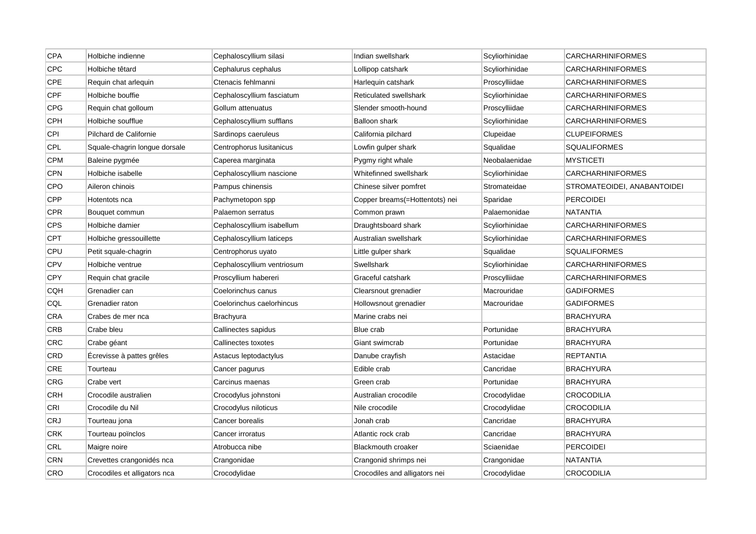| CPA        | Holbiche indienne             | Cephaloscyllium silasi     | Indian swellshark              | Scyliorhinidae | <b>CARCHARHINIFORMES</b>    |
|------------|-------------------------------|----------------------------|--------------------------------|----------------|-----------------------------|
| <b>CPC</b> | Holbiche têtard               | Cephalurus cephalus        | Lollipop catshark              | Scyliorhinidae | <b>CARCHARHINIFORMES</b>    |
| CPE        | Requin chat arlequin          | Ctenacis fehlmanni         | Harlequin catshark             | Proscylliidae  | CARCHARHINIFORMES           |
| CPF        | Holbiche bouffie              | Cephaloscyllium fasciatum  | Reticulated swellshark         | Scyliorhinidae | <b>CARCHARHINIFORMES</b>    |
| CPG        | Requin chat golloum           | Gollum attenuatus          | Slender smooth-hound           | Proscylliidae  | <b>CARCHARHINIFORMES</b>    |
| CPH        | Holbiche soufflue             | Cephaloscyllium sufflans   | Balloon shark                  | Scyliorhinidae | <b>CARCHARHINIFORMES</b>    |
| CPI        | Pilchard de Californie        | Sardinops caeruleus        | California pilchard            | Clupeidae      | <b>CLUPEIFORMES</b>         |
| CPL        | Squale-chagrin longue dorsale | Centrophorus Iusitanicus   | Lowfin gulper shark            | Squalidae      | <b>SQUALIFORMES</b>         |
| <b>CPM</b> | Baleine pygmée                | Caperea marginata          | Pygmy right whale              | Neobalaenidae  | <b>MYSTICETI</b>            |
| <b>CPN</b> | Holbiche isabelle             | Cephaloscyllium nascione   | Whitefinned swellshark         | Scyliorhinidae | <b>CARCHARHINIFORMES</b>    |
| <b>CPO</b> | Aileron chinois               | Pampus chinensis           | Chinese silver pomfret         | Stromateidae   | STROMATEOIDEI, ANABANTOIDEI |
| CPP        | Hotentots nca                 | Pachymetopon spp           | Copper breams(=Hottentots) nei | Sparidae       | <b>PERCOIDEI</b>            |
| <b>CPR</b> | Bouquet commun                | Palaemon serratus          | Common prawn                   | Palaemonidae   | <b>NATANTIA</b>             |
| <b>CPS</b> | Holbiche damier               | Cephaloscyllium isabellum  | Draughtsboard shark            | Scyliorhinidae | <b>CARCHARHINIFORMES</b>    |
| <b>CPT</b> | Holbiche gressouillette       | Cephaloscyllium laticeps   | Australian swellshark          | Scyliorhinidae | <b>CARCHARHINIFORMES</b>    |
| CPU        | Petit squale-chagrin          | Centrophorus uyato         | Little gulper shark            | Squalidae      | <b>SQUALIFORMES</b>         |
| <b>CPV</b> | Holbiche ventrue              | Cephaloscyllium ventriosum | Swellshark                     | Scyliorhinidae | <b>CARCHARHINIFORMES</b>    |
| <b>CPY</b> | Requin chat gracile           | Proscyllium habereri       | Graceful catshark              | Proscylliidae  | <b>CARCHARHINIFORMES</b>    |
| <b>CQH</b> | Grenadier can                 | Coelorinchus canus         | Clearsnout grenadier           | Macrouridae    | <b>GADIFORMES</b>           |
| CQL        | Grenadier raton               | Coelorinchus caelorhincus  | Hollowsnout grenadier          | Macrouridae    | <b>GADIFORMES</b>           |
| <b>CRA</b> | Crabes de mer nca             | Brachyura                  | Marine crabs nei               |                | <b>BRACHYURA</b>            |
| <b>CRB</b> | Crabe bleu                    | Callinectes sapidus        | Blue crab                      | Portunidae     | <b>BRACHYURA</b>            |
| CRC        | Crabe géant                   | Callinectes toxotes        | Giant swimcrab                 | Portunidae     | <b>BRACHYURA</b>            |
| CRD        | Ecrevisse à pattes grêles     | Astacus leptodactylus      | Danube crayfish                | Astacidae      | <b>REPTANTIA</b>            |
| CRE        | Tourteau                      | Cancer pagurus             | Edible crab                    | Cancridae      | <b>BRACHYURA</b>            |
| CRG        | Crabe vert                    | Carcinus maenas            | Green crab                     | Portunidae     | <b>BRACHYURA</b>            |
| <b>CRH</b> | Crocodile australien          | Crocodylus johnstoni       | Australian crocodile           | Crocodylidae   | <b>CROCODILIA</b>           |
| CRI        | Crocodile du Nil              | Crocodylus niloticus       | Nile crocodile                 | Crocodylidae   | <b>CROCODILIA</b>           |
| <b>CRJ</b> | Tourteau jona                 | Cancer borealis            | Jonah crab                     | Cancridae      | <b>BRACHYURA</b>            |
| <b>CRK</b> | Tourteau poïnclos             | Cancer irroratus           | Atlantic rock crab             | Cancridae      | <b>BRACHYURA</b>            |
| CRL        | Maigre noire                  | Atrobucca nibe             | <b>Blackmouth croaker</b>      | Sciaenidae     | <b>PERCOIDEI</b>            |
| <b>CRN</b> | Crevettes crangonidés nca     | Crangonidae                | Crangonid shrimps nei          | Crangonidae    | <b>NATANTIA</b>             |
| CRO        | Crocodiles et alligators nca  | Crocodylidae               | Crocodiles and alligators nei  | Crocodylidae   | <b>CROCODILIA</b>           |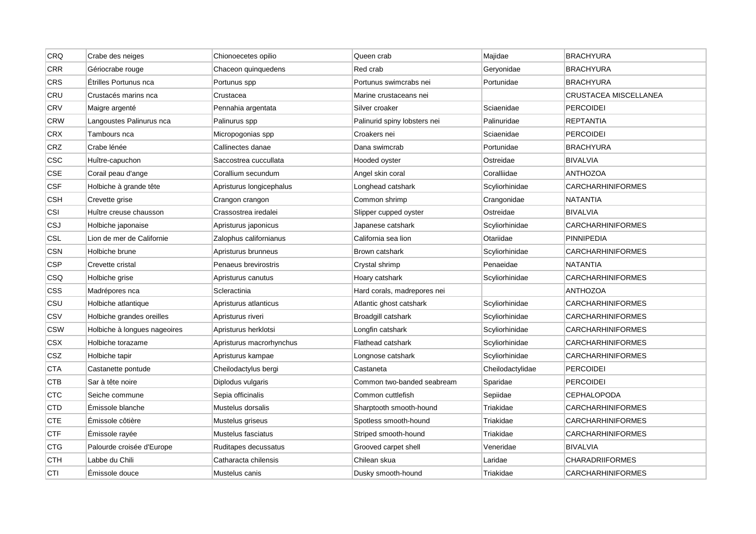| CRQ        | Crabe des neiges             | Chionoecetes opilio      | Queen crab                   | Majidae          | <b>BRACHYURA</b>         |
|------------|------------------------------|--------------------------|------------------------------|------------------|--------------------------|
| <b>CRR</b> | Gériocrabe rouge             | Chaceon quinquedens      | Red crab                     | Geryonidae       | <b>BRACHYURA</b>         |
| <b>CRS</b> | Étrilles Portunus nca        | Portunus spp             | Portunus swimcrabs nei       | Portunidae       | <b>BRACHYURA</b>         |
| CRU        | Crustacés marins nca         | Crustacea                | Marine crustaceans nei       |                  | CRUSTACEA MISCELLANEA    |
| CRV        | Maigre argenté               | Pennahia argentata       | Silver croaker               | Sciaenidae       | <b>PERCOIDEI</b>         |
| <b>CRW</b> | Langoustes Palinurus nca     | Palinurus spp            | Palinurid spiny lobsters nei | Palinuridae      | <b>REPTANTIA</b>         |
| <b>CRX</b> | Tambours nca                 | Micropogonias spp        | Croakers nei                 | Sciaenidae       | <b>PERCOIDEI</b>         |
| CRZ        | Crabe lénée                  | Callinectes danae        | Dana swimcrab                | Portunidae       | <b>BRACHYURA</b>         |
| <b>CSC</b> | Huître-capuchon              | Saccostrea cuccullata    | Hooded oyster                | Ostreidae        | <b>BIVALVIA</b>          |
| <b>CSE</b> | Corail peau d'ange           | Corallium secundum       | Angel skin coral             | Coralliidae      | <b>ANTHOZOA</b>          |
| <b>CSF</b> | Holbiche à grande tête       | Apristurus longicephalus | Longhead catshark            | Scyliorhinidae   | <b>CARCHARHINIFORMES</b> |
| <b>CSH</b> | Crevette grise               | Crangon crangon          | Common shrimp                | Crangonidae      | NATANTIA                 |
| CSI        | Huître creuse chausson       | Crassostrea iredalei     | Slipper cupped oyster        | Ostreidae        | <b>BIVALVIA</b>          |
| CSJ        | Holbiche japonaise           | Apristurus japonicus     | Japanese catshark            | Scyliorhinidae   | <b>CARCHARHINIFORMES</b> |
| <b>CSL</b> | Lion de mer de Californie    | Zalophus californianus   | California sea lion          | Otariidae        | <b>PINNIPEDIA</b>        |
| <b>CSN</b> | Holbiche brune               | Apristurus brunneus      | Brown catshark               | Scyliorhinidae   | <b>CARCHARHINIFORMES</b> |
| <b>CSP</b> | Crevette cristal             | Penaeus brevirostris     | Crystal shrimp               | Penaeidae        | <b>NATANTIA</b>          |
| CSQ        | Holbiche grise               | Apristurus canutus       | Hoary catshark               | Scyliorhinidae   | <b>CARCHARHINIFORMES</b> |
| CSS        | Madrépores nca               | Scleractinia             | Hard corals, madrepores nei  |                  | <b>ANTHOZOA</b>          |
| CSU        | Holbiche atlantique          | Apristurus atlanticus    | Atlantic ghost catshark      | Scyliorhinidae   | <b>CARCHARHINIFORMES</b> |
| CSV        | Holbiche grandes oreilles    | Apristurus riveri        | Broadgill catshark           | Scyliorhinidae   | <b>CARCHARHINIFORMES</b> |
| <b>CSW</b> | Holbiche à longues nageoires | Apristurus herklotsi     | Longfin catshark             | Scyliorhinidae   | <b>CARCHARHINIFORMES</b> |
| CSX        | Holbiche torazame            | Apristurus macrorhynchus | Flathead catshark            | Scyliorhinidae   | <b>CARCHARHINIFORMES</b> |
| CSZ        | Holbiche tapir               | Apristurus kampae        | Longnose catshark            | Scyliorhinidae   | <b>CARCHARHINIFORMES</b> |
| <b>CTA</b> | Castanette pontude           | Cheilodactylus bergi     | Castaneta                    | Cheilodactylidae | <b>PERCOIDEI</b>         |
| <b>CTB</b> | Sar à tête noire             | Diplodus vulgaris        | Common two-banded seabream   | Sparidae         | <b>PERCOIDEI</b>         |
| <b>CTC</b> | Seiche commune               | Sepia officinalis        | Common cuttlefish            | Sepiidae         | <b>CEPHALOPODA</b>       |
| <b>CTD</b> | Émissole blanche             | Mustelus dorsalis        | Sharptooth smooth-hound      | Triakidae        | <b>CARCHARHINIFORMES</b> |
| <b>CTE</b> | Emissole côtière             | Mustelus griseus         | Spotless smooth-hound        | Triakidae        | <b>CARCHARHINIFORMES</b> |
| <b>CTF</b> | Emissole rayée               | Mustelus fasciatus       | Striped smooth-hound         | Triakidae        | <b>CARCHARHINIFORMES</b> |
| <b>CTG</b> | Palourde croisée d'Europe    | Ruditapes decussatus     | Grooved carpet shell         | Veneridae        | <b>BIVALVIA</b>          |
| <b>CTH</b> | Labbe du Chili               | Catharacta chilensis     | Chilean skua                 | Laridae          | <b>CHARADRIIFORMES</b>   |
| CTI        | Émissole douce               | Mustelus canis           | Dusky smooth-hound           | Triakidae        | <b>CARCHARHINIFORMES</b> |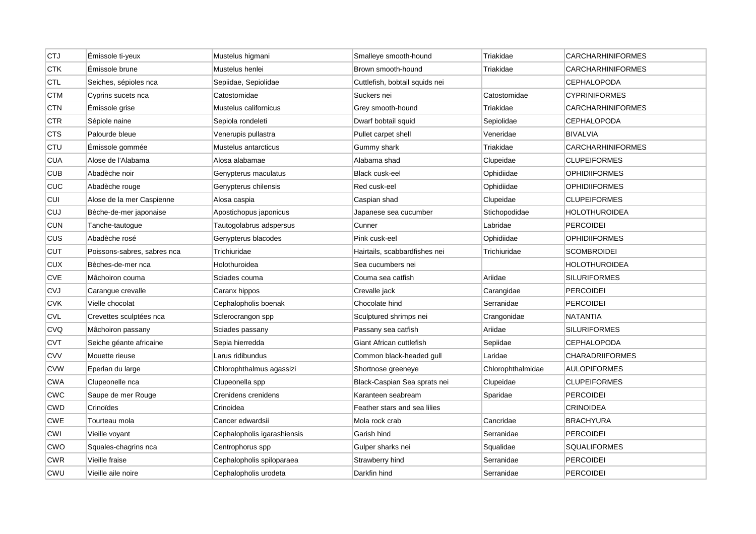| <b>CTJ</b> | Émissole ti-yeux            | Mustelus higmani            | Smalleye smooth-hound          | Triakidae         | <b>CARCHARHINIFORMES</b> |
|------------|-----------------------------|-----------------------------|--------------------------------|-------------------|--------------------------|
| <b>CTK</b> | Émissole brune              | Mustelus henlei             | Brown smooth-hound             | Triakidae         | <b>CARCHARHINIFORMES</b> |
| <b>CTL</b> | Seiches, sépioles nca       | Sepiidae, Sepiolidae        | Cuttlefish, bobtail squids nei |                   | CEPHALOPODA              |
| <b>CTM</b> | Cyprins sucets nca          | Catostomidae                | Suckers nei                    | Catostomidae      | <b>CYPRINIFORMES</b>     |
| <b>CTN</b> | Emissole grise              | Mustelus californicus       | Grey smooth-hound              | Triakidae         | <b>CARCHARHINIFORMES</b> |
| <b>CTR</b> | Sépiole naine               | Sepiola rondeleti           | Dwarf bobtail squid            | Sepiolidae        | <b>CEPHALOPODA</b>       |
| CTS        | Palourde bleue              | Venerupis pullastra         | Pullet carpet shell            | Veneridae         | <b>BIVALVIA</b>          |
| <b>CTU</b> | Émissole gommée             | Mustelus antarcticus        | Gummy shark                    | Triakidae         | <b>CARCHARHINIFORMES</b> |
| <b>CUA</b> | Alose de l'Alabama          | Alosa alabamae              | Alabama shad                   | Clupeidae         | <b>CLUPEIFORMES</b>      |
| <b>CUB</b> | Abadèche noir               | Genypterus maculatus        | Black cusk-eel                 | Ophidiidae        | <b>OPHIDIIFORMES</b>     |
| <b>CUC</b> | Abadèche rouge              | Genypterus chilensis        | Red cusk-eel                   | Ophidiidae        | <b>OPHIDIIFORMES</b>     |
| <b>CUI</b> | Alose de la mer Caspienne   | Alosa caspia                | Caspian shad                   | Clupeidae         | <b>CLUPEIFORMES</b>      |
| <b>CUJ</b> | Bèche-de-mer japonaise      | Apostichopus japonicus      | Japanese sea cucumber          | Stichopodidae     | <b>HOLOTHUROIDEA</b>     |
| <b>CUN</b> | Tanche-tautogue             | Tautogolabrus adspersus     | Cunner                         | Labridae          | <b>PERCOIDEI</b>         |
| <b>CUS</b> | Abadèche rosé               | Genypterus blacodes         | Pink cusk-eel                  | Ophidiidae        | <b>OPHIDIIFORMES</b>     |
| <b>CUT</b> | Poissons-sabres, sabres nca | Trichiuridae                | Hairtails, scabbardfishes nei  | Trichiuridae      | <b>SCOMBROIDEI</b>       |
| <b>CUX</b> | Bèches-de-mer nca           | Holothuroidea               | Sea cucumbers nei              |                   | <b>HOLOTHUROIDEA</b>     |
| <b>CVE</b> | Mâchoiron couma             | Sciades couma               | Couma sea catfish              | Ariidae           | <b>SILURIFORMES</b>      |
| <b>CVJ</b> | Carangue crevalle           | Caranx hippos               | Crevalle jack                  | Carangidae        | <b>PERCOIDEI</b>         |
| <b>CVK</b> | Vielle chocolat             | Cephalopholis boenak        | Chocolate hind                 | Serranidae        | <b>PERCOIDEI</b>         |
| <b>CVL</b> | Crevettes sculptées nca     | Sclerocrangon spp           | Sculptured shrimps nei         | Crangonidae       | <b>NATANTIA</b>          |
| <b>CVQ</b> | Mâchoiron passany           | Sciades passany             | Passany sea catfish            | Ariidae           | <b>SILURIFORMES</b>      |
| <b>CVT</b> | Seiche géante africaine     | Sepia hierredda             | Giant African cuttlefish       | Sepiidae          | <b>CEPHALOPODA</b>       |
| <b>CVV</b> | Mouette rieuse              | Larus ridibundus            | Common black-headed gull       | Laridae           | <b>CHARADRIIFORMES</b>   |
| <b>CVW</b> | Eperlan du large            | Chlorophthalmus agassizi    | Shortnose greeneye             | Chlorophthalmidae | <b>AULOPIFORMES</b>      |
| <b>CWA</b> | Clupeonelle nca             | Clupeonella spp             | Black-Caspian Sea sprats nei   | Clupeidae         | <b>CLUPEIFORMES</b>      |
| <b>CWC</b> | Saupe de mer Rouge          | Crenidens crenidens         | Karanteen seabream             | Sparidae          | <b>PERCOIDEI</b>         |
| <b>CWD</b> | Crinoïdes                   | Crinoidea                   | Feather stars and sea lilies   |                   | <b>CRINOIDEA</b>         |
| <b>CWE</b> | Tourteau mola               | Cancer edwardsii            | Mola rock crab                 | Cancridae         | <b>BRACHYURA</b>         |
| CWI        | Vieille voyant              | Cephalopholis igarashiensis | Garish hind                    | Serranidae        | <b>PERCOIDEI</b>         |
| <b>CWO</b> | Squales-chagrins nca        | Centrophorus spp            | Gulper sharks nei              | Squalidae         | <b>SQUALIFORMES</b>      |
| <b>CWR</b> | Vieille fraise              | Cephalopholis spiloparaea   | Strawberry hind                | Serranidae        | PERCOIDEI                |
| <b>CWU</b> | Vieille aile noire          | Cephalopholis urodeta       | Darkfin hind                   | Serranidae        | <b>PERCOIDEI</b>         |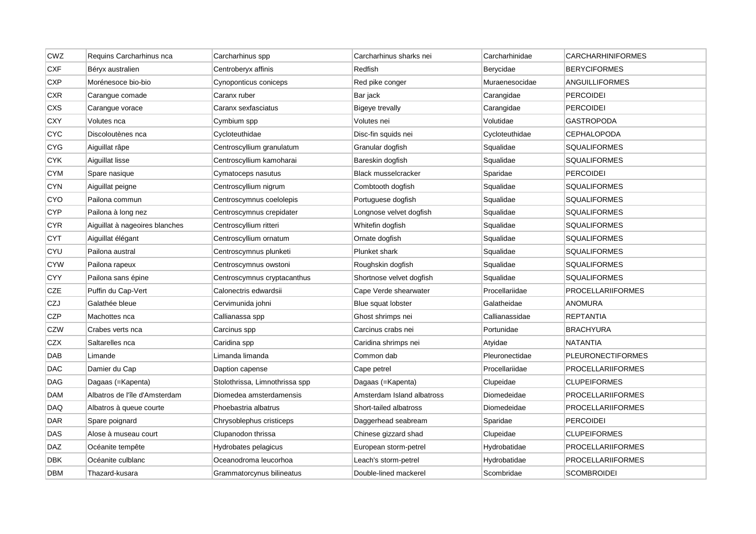| <b>CWZ</b> | Requins Carcharhinus nca       | Carcharhinus spp               | Carcharhinus sharks nei    | Carcharhinidae | <b>CARCHARHINIFORMES</b> |
|------------|--------------------------------|--------------------------------|----------------------------|----------------|--------------------------|
| <b>CXF</b> | Béryx australien               | Centroberyx affinis            | Redfish                    | Berycidae      | <b>BERYCIFORMES</b>      |
| <b>CXP</b> | Morénesoce bio-bio             | Cynoponticus coniceps          | Red pike conger            | Muraenesocidae | <b>ANGUILLIFORMES</b>    |
| <b>CXR</b> | Carangue comade                | Caranx ruber                   | Bar jack                   | Carangidae     | <b>PERCOIDEI</b>         |
| <b>CXS</b> | Carangue vorace                | Caranx sexfasciatus            | <b>Bigeye trevally</b>     | Carangidae     | <b>PERCOIDEI</b>         |
| <b>CXY</b> | Volutes nca                    | Cymbium spp                    | Volutes nei                | Volutidae      | <b>GASTROPODA</b>        |
| <b>CYC</b> | Discoloutènes nca              | Cycloteuthidae                 | Disc-fin squids nei        | Cycloteuthidae | <b>CEPHALOPODA</b>       |
| <b>CYG</b> | Aiguillat râpe                 | Centroscyllium granulatum      | Granular dogfish           | Squalidae      | <b>SQUALIFORMES</b>      |
| <b>CYK</b> | Aiguillat lisse                | Centroscyllium kamoharai       | Bareskin dogfish           | Squalidae      | <b>SQUALIFORMES</b>      |
| <b>CYM</b> | Spare nasique                  | Cymatoceps nasutus             | <b>Black musselcracker</b> | Sparidae       | <b>PERCOIDEI</b>         |
| <b>CYN</b> | Aiguillat peigne               | Centroscyllium nigrum          | Combtooth dogfish          | Squalidae      | <b>SQUALIFORMES</b>      |
| <b>CYO</b> | Pailona commun                 | Centroscymnus coelolepis       | Portuguese dogfish         | Squalidae      | <b>SQUALIFORMES</b>      |
| <b>CYP</b> | Pailona à long nez             | Centroscymnus crepidater       | Longnose velvet dogfish    | Squalidae      | <b>SQUALIFORMES</b>      |
| <b>CYR</b> | Aiguillat à nageoires blanches | Centroscyllium ritteri         | Whitefin dogfish           | Squalidae      | <b>SQUALIFORMES</b>      |
| <b>CYT</b> | Aiguillat élégant              | Centroscyllium ornatum         | Ornate dogfish             | Squalidae      | <b>SQUALIFORMES</b>      |
| CYU        | Pailona austral                | Centroscymnus plunketi         | Plunket shark              | Squalidae      | <b>SQUALIFORMES</b>      |
| <b>CYW</b> | Pailona rapeux                 | Centroscymnus owstoni          | Roughskin dogfish          | Squalidae      | <b>SQUALIFORMES</b>      |
| <b>CYY</b> | Pailona sans épine             | Centroscymnus cryptacanthus    | Shortnose velvet dogfish   | Squalidae      | <b>SQUALIFORMES</b>      |
| <b>CZE</b> | Puffin du Cap-Vert             | Calonectris edwardsii          | Cape Verde shearwater      | Procellariidae | <b>PROCELLARIIFORMES</b> |
| CZJ        | Galathée bleue                 | Cervimunida johni              | Blue squat lobster         | Galatheidae    | <b>ANOMURA</b>           |
| <b>CZP</b> | Machottes nca                  | Callianassa spp                | Ghost shrimps nei          | Callianassidae | <b>REPTANTIA</b>         |
| <b>CZW</b> | Crabes verts nca               | Carcinus spp                   | Carcinus crabs nei         | Portunidae     | <b>BRACHYURA</b>         |
| <b>CZX</b> | Saltarelles nca                | Caridina spp                   | Caridina shrimps nei       | Atyidae        | <b>NATANTIA</b>          |
| <b>DAB</b> | Limande                        | Limanda limanda                | Common dab                 | Pleuronectidae | <b>PLEURONECTIFORMES</b> |
| DAC        | Damier du Cap                  | Daption capense                | Cape petrel                | Procellariidae | <b>PROCELLARIIFORMES</b> |
| DAG        | Dagaas (=Kapenta)              | Stolothrissa, Limnothrissa spp | Dagaas (=Kapenta)          | Clupeidae      | <b>CLUPEIFORMES</b>      |
| <b>DAM</b> | Albatros de l'île d'Amsterdam  | Diomedea amsterdamensis        | Amsterdam Island albatross | Diomedeidae    | <b>PROCELLARIIFORMES</b> |
| DAQ        | Albatros à queue courte        | Phoebastria albatrus           | Short-tailed albatross     | Diomedeidae    | <b>PROCELLARIIFORMES</b> |
| DAR        | Spare poignard                 | Chrysoblephus cristiceps       | Daggerhead seabream        | Sparidae       | PERCOIDEI                |
| <b>DAS</b> | Alose à museau court           | Clupanodon thrissa             | Chinese gizzard shad       | Clupeidae      | <b>CLUPEIFORMES</b>      |
| <b>DAZ</b> | Océanite tempête               | Hydrobates pelagicus           | European storm-petrel      | Hydrobatidae   | <b>PROCELLARIIFORMES</b> |
| <b>DBK</b> | Océanite culblanc              | Oceanodroma leucorhoa          | Leach's storm-petrel       | Hydrobatidae   | <b>PROCELLARIIFORMES</b> |
| <b>DBM</b> | Thazard-kusara                 | Grammatorcynus bilineatus      | Double-lined mackerel      | Scombridae     | <b>SCOMBROIDEI</b>       |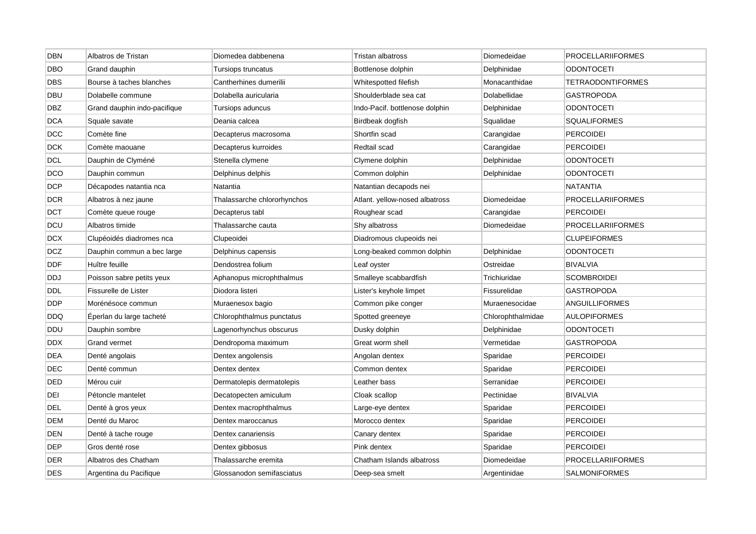| <b>DBN</b> | Albatros de Tristan          | Diomedea dabbenena          | Tristan albatross              | Diomedeidae       | <b>PROCELLARIIFORMES</b> |
|------------|------------------------------|-----------------------------|--------------------------------|-------------------|--------------------------|
| <b>DBO</b> | Grand dauphin                | Tursiops truncatus          | Bottlenose dolphin             | Delphinidae       | <b>ODONTOCETI</b>        |
| <b>DBS</b> | Bourse à taches blanches     | Cantherhines dumerilii      | Whitespotted filefish          | Monacanthidae     | <b>TETRAODONTIFORMES</b> |
| DBU        | Dolabelle commune            | Dolabella auricularia       | Shoulderblade sea cat          | Dolabellidae      | GASTROPODA               |
| <b>DBZ</b> | Grand dauphin indo-pacifique | Tursiops aduncus            | Indo-Pacif. bottlenose dolphin | Delphinidae       | <b>ODONTOCETI</b>        |
| <b>DCA</b> | Squale savate                | Deania calcea               | Birdbeak dogfish               | Squalidae         | <b>SQUALIFORMES</b>      |
| DCC        | Comète fine                  | Decapterus macrosoma        | Shortfin scad                  | Carangidae        | <b>PERCOIDEI</b>         |
| <b>DCK</b> | Comète maouane               | Decapterus kurroides        | Redtail scad                   | Carangidae        | <b>PERCOIDEI</b>         |
| <b>DCL</b> | Dauphin de Clyméné           | Stenella clymene            | Clymene dolphin                | Delphinidae       | <b>ODONTOCETI</b>        |
| <b>DCO</b> | Dauphin commun               | Delphinus delphis           | Common dolphin                 | Delphinidae       | <b>ODONTOCETI</b>        |
| <b>DCP</b> | Décapodes natantia nca       | Natantia                    | Natantian decapods nei         |                   | <b>NATANTIA</b>          |
| DCR        | Albatros à nez jaune         | Thalassarche chlororhynchos | Atlant. yellow-nosed albatross | Diomedeidae       | <b>PROCELLARIIFORMES</b> |
| <b>DCT</b> | Comète queue rouge           | Decapterus tabl             | Roughear scad                  | Carangidae        | <b>PERCOIDEI</b>         |
| DCU        | Albatros timide              | Thalassarche cauta          | Shy albatross                  | Diomedeidae       | <b>PROCELLARIIFORMES</b> |
| DCX        | Clupéoidés diadromes nca     | Clupeoidei                  | Diadromous clupeoids nei       |                   | <b>CLUPEIFORMES</b>      |
| DCZ        | Dauphin commun a bec large   | Delphinus capensis          | Long-beaked common dolphin     | Delphinidae       | <b>ODONTOCETI</b>        |
| <b>DDF</b> | Huître feuille               | Dendostrea folium           | Leaf oyster                    | Ostreidae         | <b>BIVALVIA</b>          |
| DDJ        | Poisson sabre petits yeux    | Aphanopus microphthalmus    | Smalleye scabbardfish          | Trichiuridae      | <b>SCOMBROIDEI</b>       |
| <b>DDL</b> | Fissurelle de Lister         | Diodora listeri             | Lister's keyhole limpet        | Fissurelidae      | <b>GASTROPODA</b>        |
| <b>DDP</b> | Morénésoce commun            | Muraenesox bagio            | Common pike conger             | Muraenesocidae    | <b>ANGUILLIFORMES</b>    |
| DDQ        | Eperlan du large tacheté     | Chlorophthalmus punctatus   | Spotted greeneye               | Chlorophthalmidae | <b>AULOPIFORMES</b>      |
| <b>DDU</b> | Dauphin sombre               | Lagenorhynchus obscurus     | Dusky dolphin                  | Delphinidae       | <b>ODONTOCETI</b>        |
| <b>DDX</b> | Grand vermet                 | Dendropoma maximum          | Great worm shell               | Vermetidae        | <b>GASTROPODA</b>        |
| <b>DEA</b> | Denté angolais               | Dentex angolensis           | Angolan dentex                 | Sparidae          | <b>PERCOIDEI</b>         |
| <b>DEC</b> | Denté commun                 | Dentex dentex               | Common dentex                  | Sparidae          | <b>PERCOIDEI</b>         |
| DED        | Mérou cuir                   | Dermatolepis dermatolepis   | Leather bass                   | Serranidae        | <b>PERCOIDEI</b>         |
| DEI        | Pétoncle mantelet            | Decatopecten amiculum       | Cloak scallop                  | Pectinidae        | <b>BIVALVIA</b>          |
| <b>DEL</b> | Denté à gros yeux            | Dentex macrophthalmus       | Large-eye dentex               | Sparidae          | <b>PERCOIDEI</b>         |
| DEM        | Denté du Maroc               | Dentex maroccanus           | Morocco dentex                 | Sparidae          | <b>PERCOIDEI</b>         |
| <b>DEN</b> | Denté à tache rouge          | Dentex canariensis          | Canary dentex                  | Sparidae          | <b>PERCOIDEI</b>         |
| <b>DEP</b> | Gros denté rose              | Dentex gibbosus             | Pink dentex                    | Sparidae          | <b>PERCOIDEI</b>         |
| <b>DER</b> | Albatros des Chatham         | Thalassarche eremita        | Chatham Islands albatross      | Diomedeidae       | <b>PROCELLARIIFORMES</b> |
| <b>DES</b> | Argentina du Pacifique       | Glossanodon semifasciatus   | Deep-sea smelt                 | Argentinidae      | <b>SALMONIFORMES</b>     |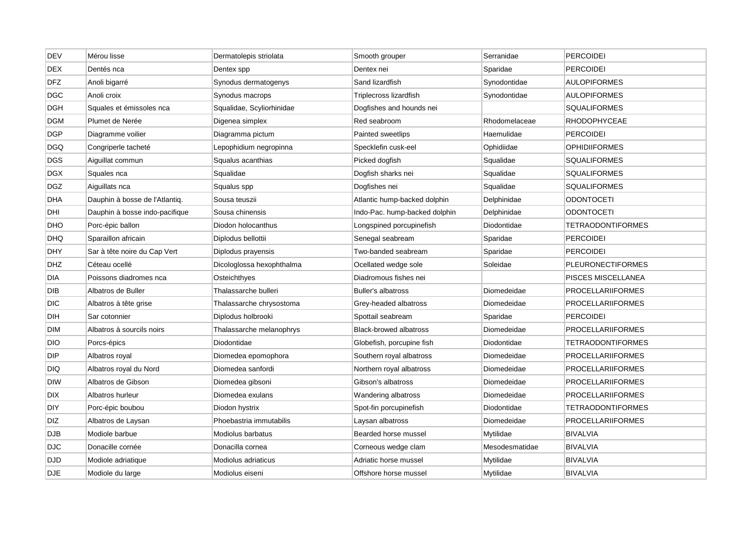| <b>DEV</b> | Mérou lisse                    | Dermatolepis striolata    | Smooth grouper                | Serranidae     | <b>PERCOIDEI</b>         |
|------------|--------------------------------|---------------------------|-------------------------------|----------------|--------------------------|
| <b>DEX</b> | Dentés nca                     | Dentex spp                | Dentex nei                    | Sparidae       | <b>PERCOIDEI</b>         |
| <b>DFZ</b> | Anoli bigarré                  | Synodus dermatogenys      | Sand lizardfish               | Synodontidae   | <b>AULOPIFORMES</b>      |
| <b>DGC</b> | Anoli croix                    | Synodus macrops           | Triplecross lizardfish        | Synodontidae   | <b>AULOPIFORMES</b>      |
| <b>DGH</b> | Squales et émissoles nca       | Squalidae, Scyliorhinidae | Dogfishes and hounds nei      |                | <b>SQUALIFORMES</b>      |
| <b>DGM</b> | Plumet de Nerée                | Digenea simplex           | Red seabroom                  | Rhodomelaceae  | <b>RHODOPHYCEAE</b>      |
| <b>DGP</b> | Diagramme voilier              | Diagramma pictum          | Painted sweetlips             | Haemulidae     | <b>PERCOIDEI</b>         |
| <b>DGQ</b> | Congriperle tacheté            | Lepophidium negropinna    | Specklefin cusk-eel           | Ophidiidae     | <b>OPHIDIIFORMES</b>     |
| <b>DGS</b> | Aiguillat commun               | Squalus acanthias         | Picked dogfish                | Squalidae      | <b>SQUALIFORMES</b>      |
| <b>DGX</b> | Squales nca                    | Squalidae                 | Dogfish sharks nei            | Squalidae      | <b>SQUALIFORMES</b>      |
| DGZ        | Aiguillats nca                 | Squalus spp               | Dogfishes nei                 | Squalidae      | <b>SQUALIFORMES</b>      |
| <b>DHA</b> | Dauphin à bosse de l'Atlantiq. | Sousa teuszii             | Atlantic hump-backed dolphin  | Delphinidae    | ODONTOCETI               |
| DHI        | Dauphin à bosse indo-pacifique | Sousa chinensis           | Indo-Pac. hump-backed dolphin | Delphinidae    | <b>ODONTOCETI</b>        |
| DHO        | Porc-épic ballon               | Diodon holocanthus        | Longspined porcupinefish      | Diodontidae    | TETRAODONTIFORMES        |
| <b>DHQ</b> | Sparaillon africain            | Diplodus bellottii        | Senegal seabream              | Sparidae       | <b>PERCOIDEI</b>         |
| <b>DHY</b> | Sar à tête noire du Cap Vert   | Diplodus prayensis        | Two-banded seabream           | Sparidae       | <b>PERCOIDEI</b>         |
| <b>DHZ</b> | Céteau ocellé                  | Dicologlossa hexophthalma | Ocellated wedge sole          | Soleidae       | <b>PLEURONECTIFORMES</b> |
| DIA        | Poissons diadromes nca         | Osteichthyes              | Diadromous fishes nei         |                | PISCES MISCELLANEA       |
| DIB        | Albatros de Buller             | Thalassarche bulleri      | <b>Buller's albatross</b>     | Diomedeidae    | PROCELLARIIFORMES        |
| <b>DIC</b> | Albatros à tête grise          | Thalassarche chrysostoma  | Grey-headed albatross         | Diomedeidae    | <b>PROCELLARIIFORMES</b> |
| DIH        | Sar cotonnier                  | Diplodus holbrooki        | Spottail seabream             | Sparidae       | <b>PERCOIDEI</b>         |
| <b>DIM</b> | Albatros à sourcils noirs      | Thalassarche melanophrys  | <b>Black-browed albatross</b> | Diomedeidae    | <b>PROCELLARIIFORMES</b> |
| <b>DIO</b> | Porcs-épics                    | Diodontidae               | Globefish, porcupine fish     | Diodontidae    | TETRAODONTIFORMES        |
| DIP        | Albatros royal                 | Diomedea epomophora       | Southern royal albatross      | Diomedeidae    | <b>PROCELLARIIFORMES</b> |
| DIQ        | Albatros royal du Nord         | Diomedea sanfordi         | Northern royal albatross      | Diomedeidae    | <b>PROCELLARIIFORMES</b> |
| <b>DIW</b> | Albatros de Gibson             | Diomedea gibsoni          | Gibson's albatross            | Diomedeidae    | PROCELLARIIFORMES        |
| <b>DIX</b> | Albatros hurleur               | Diomedea exulans          | Wandering albatross           | Diomedeidae    | <b>PROCELLARIIFORMES</b> |
| <b>DIY</b> | Porc-épic boubou               | Diodon hystrix            | Spot-fin porcupinefish        | Diodontidae    | <b>TETRAODONTIFORMES</b> |
| DIZ        | Albatros de Laysan             | Phoebastria immutabilis   | Laysan albatross              | Diomedeidae    | <b>PROCELLARIIFORMES</b> |
| <b>DJB</b> | Modiole barbue                 | Modiolus barbatus         | Bearded horse mussel          | Mytilidae      | <b>BIVALVIA</b>          |
| <b>DJC</b> | Donacille cornée               | Donacilla cornea          | Corneous wedge clam           | Mesodesmatidae | <b>BIVALVIA</b>          |
| <b>DJD</b> | Modiole adriatique             | Modiolus adriaticus       | Adriatic horse mussel         | Mytilidae      | <b>BIVALVIA</b>          |
| <b>DJE</b> | Modiole du large               | Modiolus eiseni           | Offshore horse mussel         | Mytilidae      | <b>BIVALVIA</b>          |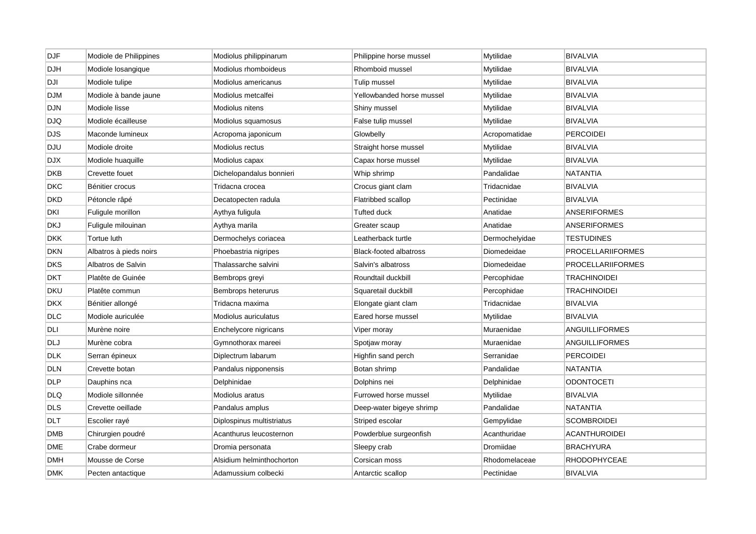| DJF        | Modiole de Philippines | Modiolus philippinarum    | Philippine horse mussel       | Mytilidae      | <b>BIVALVIA</b>          |
|------------|------------------------|---------------------------|-------------------------------|----------------|--------------------------|
| <b>DJH</b> | Modiole losangique     | Modiolus rhomboideus      | Rhomboid mussel               | Mytilidae      | <b>BIVALVIA</b>          |
| <b>DJI</b> | Modiole tulipe         | Modiolus americanus       | Tulip mussel                  | Mytilidae      | <b>BIVALVIA</b>          |
| <b>DJM</b> | Modiole à bande jaune  | Modiolus metcalfei        | Yellowbanded horse mussel     | Mytilidae      | <b>BIVALVIA</b>          |
| <b>DJN</b> | Modiole lisse          | Modiolus nitens           | Shiny mussel                  | Mytilidae      | <b>BIVALVIA</b>          |
| <b>DJQ</b> | Modiole écailleuse     | Modiolus squamosus        | False tulip mussel            | Mytilidae      | <b>BIVALVIA</b>          |
| <b>DJS</b> | Maconde lumineux       | Acropoma japonicum        | Glowbelly                     | Acropomatidae  | <b>PERCOIDEI</b>         |
| DJU        | Modiole droite         | Modiolus rectus           | Straight horse mussel         | Mytilidae      | <b>BIVALVIA</b>          |
| <b>DJX</b> | Modiole huaquille      | Modiolus capax            | Capax horse mussel            | Mytilidae      | <b>BIVALVIA</b>          |
| <b>DKB</b> | Crevette fouet         | Dichelopandalus bonnieri  | Whip shrimp                   | Pandalidae     | <b>NATANTIA</b>          |
| <b>DKC</b> | Bénitier crocus        | Tridacna crocea           | Crocus giant clam             | Tridacnidae    | <b>BIVALVIA</b>          |
| <b>DKD</b> | Pétoncle râpé          | Decatopecten radula       | Flatribbed scallop            | Pectinidae     | <b>BIVALVIA</b>          |
| DKI        | Fuligule morillon      | Aythya fuligula           | <b>Tufted duck</b>            | Anatidae       | <b>ANSERIFORMES</b>      |
| DKJ        | Fuligule milouinan     | Aythya marila             | Greater scaup                 | Anatidae       | <b>ANSERIFORMES</b>      |
| <b>DKK</b> | Tortue luth            | Dermochelys coriacea      | Leatherback turtle            | Dermochelyidae | <b>TESTUDINES</b>        |
| <b>DKN</b> | Albatros à pieds noirs | Phoebastria nigripes      | <b>Black-footed albatross</b> | Diomedeidae    | <b>PROCELLARIIFORMES</b> |
| DKS        | Albatros de Salvin     | Thalassarche salvini      | Salvin's albatross            | Diomedeidae    | <b>PROCELLARIIFORMES</b> |
| DKT        | Platête de Guinée      | Bembrops greyi            | Roundtail duckbill            | Percophidae    | <b>TRACHINOIDEI</b>      |
| DKU        | Platête commun         | Bembrops heterurus        | Squaretail duckbill           | Percophidae    | <b>TRACHINOIDEI</b>      |
| <b>DKX</b> | Bénitier allongé       | Tridacna maxima           | Elongate giant clam           | Tridacnidae    | <b>BIVALVIA</b>          |
| DLC        | Modiole auriculée      | Modiolus auriculatus      | Eared horse mussel            | Mytilidae      | <b>BIVALVIA</b>          |
| DLI        | Murène noire           | Enchelycore nigricans     | Viper moray                   | Muraenidae     | <b>ANGUILLIFORMES</b>    |
| DLJ        | Murène cobra           | Gymnothorax mareei        | Spotjaw moray                 | Muraenidae     | <b>ANGUILLIFORMES</b>    |
| <b>DLK</b> | Serran épineux         | Diplectrum labarum        | Highfin sand perch            | Serranidae     | <b>PERCOIDEI</b>         |
| <b>DLN</b> | Crevette botan         | Pandalus nipponensis      | Botan shrimp                  | Pandalidae     | NATANTIA                 |
| DLP        | Dauphins nca           | Delphinidae               | Dolphins nei                  | Delphinidae    | <b>ODONTOCETI</b>        |
| DLQ        | Modiole sillonnée      | Modiolus aratus           | Furrowed horse mussel         | Mytilidae      | <b>BIVALVIA</b>          |
| DLS        | Crevette oeillade      | Pandalus amplus           | Deep-water bigeye shrimp      | Pandalidae     | <b>NATANTIA</b>          |
| <b>DLT</b> | Escolier rayé          | Diplospinus multistriatus | Striped escolar               | Gempylidae     | <b>SCOMBROIDEI</b>       |
| DMB        | Chirurgien poudré      | Acanthurus leucosternon   | Powderblue surgeonfish        | Acanthuridae   | ACANTHUROIDEI            |
| DME        | Crabe dormeur          | Dromia personata          | Sleepy crab                   | Dromiidae      | <b>BRACHYURA</b>         |
| <b>DMH</b> | Mousse de Corse        | Alsidium helminthochorton | Corsican moss                 | Rhodomelaceae  | <b>RHODOPHYCEAE</b>      |
| <b>DMK</b> | Pecten antactique      | Adamussium colbecki       | Antarctic scallop             | Pectinidae     | <b>BIVALVIA</b>          |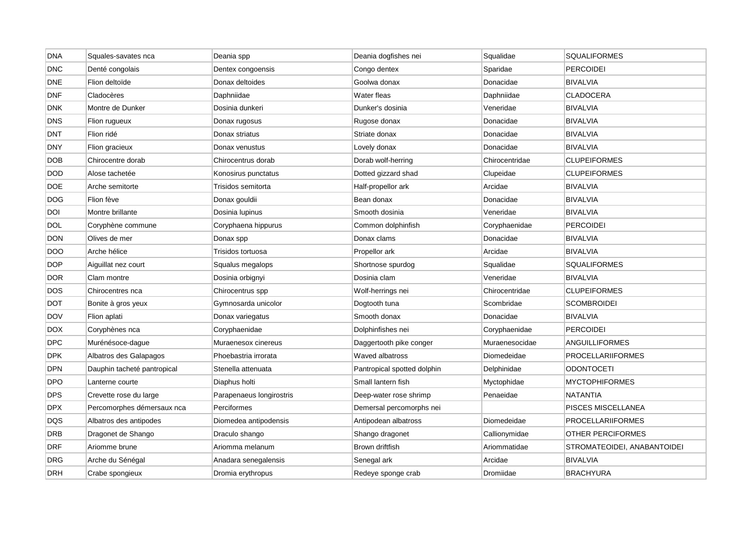| <b>DNA</b> | Squales-savates nca         | Deania spp               | Deania dogfishes nei        | Squalidae      | <b>SQUALIFORMES</b>         |
|------------|-----------------------------|--------------------------|-----------------------------|----------------|-----------------------------|
| <b>DNC</b> | Denté congolais             | Dentex congoensis        | Congo dentex                | Sparidae       | <b>PERCOIDEI</b>            |
| <b>DNE</b> | Flion deltoïde              | Donax deltoides          | Goolwa donax                | Donacidae      | <b>BIVALVIA</b>             |
| <b>DNF</b> | Cladocères                  | Daphniidae               | Water fleas                 | Daphniidae     | CLADOCERA                   |
| <b>DNK</b> | Montre de Dunker            | Dosinia dunkeri          | Dunker's dosinia            | Veneridae      | <b>BIVALVIA</b>             |
| <b>DNS</b> | Flion rugueux               | Donax rugosus            | Rugose donax                | Donacidae      | <b>BIVALVIA</b>             |
| <b>DNT</b> | Flion ridé                  | Donax striatus           | Striate donax               | Donacidae      | <b>BIVALVIA</b>             |
| <b>DNY</b> | Flion gracieux              | Donax venustus           | Lovely donax                | Donacidae      | <b>BIVALVIA</b>             |
| <b>DOB</b> | Chirocentre dorab           | Chirocentrus dorab       | Dorab wolf-herring          | Chirocentridae | <b>CLUPEIFORMES</b>         |
| <b>DOD</b> | Alose tachetée              | Konosirus punctatus      | Dotted gizzard shad         | Clupeidae      | <b>CLUPEIFORMES</b>         |
| <b>DOE</b> | Arche semitorte             | Trisidos semitorta       | Half-propellor ark          | Arcidae        | <b>BIVALVIA</b>             |
| DOG        | Flion fève                  | Donax gouldii            | Bean donax                  | Donacidae      | <b>BIVALVIA</b>             |
| DOI        | Montre brillante            | Dosinia Iupinus          | Smooth dosinia              | Veneridae      | <b>BIVALVIA</b>             |
| <b>DOL</b> | Coryphène commune           | Coryphaena hippurus      | Common dolphinfish          | Coryphaenidae  | <b>PERCOIDEI</b>            |
| <b>DON</b> | Olives de mer               | Donax spp                | Donax clams                 | Donacidae      | <b>BIVALVIA</b>             |
| DOO        | Arche hélice                | Trisidos tortuosa        | Propellor ark               | Arcidae        | <b>BIVALVIA</b>             |
| <b>DOP</b> | Aiguillat nez court         | Squalus megalops         | Shortnose spurdog           | Squalidae      | <b>SQUALIFORMES</b>         |
| <b>DOR</b> | Clam montre                 | Dosinia orbignyi         | Dosinia clam                | Veneridae      | <b>BIVALVIA</b>             |
| <b>DOS</b> | Chirocentres nca            | Chirocentrus spp         | Wolf-herrings nei           | Chirocentridae | <b>CLUPEIFORMES</b>         |
| <b>DOT</b> | Bonite à gros yeux          | Gymnosarda unicolor      | Dogtooth tuna               | Scombridae     | <b>SCOMBROIDEI</b>          |
| <b>DOV</b> | Flion aplati                | Donax variegatus         | Smooth donax                | Donacidae      | <b>BIVALVIA</b>             |
| <b>DOX</b> | Coryphènes nca              | Coryphaenidae            | Dolphinfishes nei           | Coryphaenidae  | <b>PERCOIDEI</b>            |
| <b>DPC</b> | Murénésoce-dague            | Muraenesox cinereus      | Daggertooth pike conger     | Muraenesocidae | ANGUILLIFORMES              |
| <b>DPK</b> | Albatros des Galapagos      | Phoebastria irrorata     | Waved albatross             | Diomedeidae    | <b>PROCELLARIIFORMES</b>    |
| <b>DPN</b> | Dauphin tacheté pantropical | Stenella attenuata       | Pantropical spotted dolphin | Delphinidae    | ODONTOCETI                  |
| DPO        | Lanterne courte             | Diaphus holti            | Small lantern fish          | Myctophidae    | MYCTOPHIFORMES              |
| <b>DPS</b> | Crevette rose du large      | Parapenaeus longirostris | Deep-water rose shrimp      | Penaeidae      | NATANTIA                    |
| <b>DPX</b> | Percomorphes démersaux nca  | Perciformes              | Demersal percomorphs nei    |                | PISCES MISCELLANEA          |
| <b>DQS</b> | Albatros des antipodes      | Diomedea antipodensis    | Antipodean albatross        | Diomedeidae    | <b>PROCELLARIIFORMES</b>    |
| DRB        | Dragonet de Shango          | Draculo shango           | Shango dragonet             | Callionymidae  | OTHER PERCIFORMES           |
| <b>DRF</b> | Ariomme brune               | Ariomma melanum          | Brown driftfish             | Ariommatidae   | STROMATEOIDEI, ANABANTOIDEI |
| <b>DRG</b> | Arche du Sénégal            | Anadara senegalensis     | Senegal ark                 | Arcidae        | <b>BIVALVIA</b>             |
| <b>DRH</b> | Crabe spongieux             | Dromia erythropus        | Redeye sponge crab          | Dromiidae      | <b>BRACHYURA</b>            |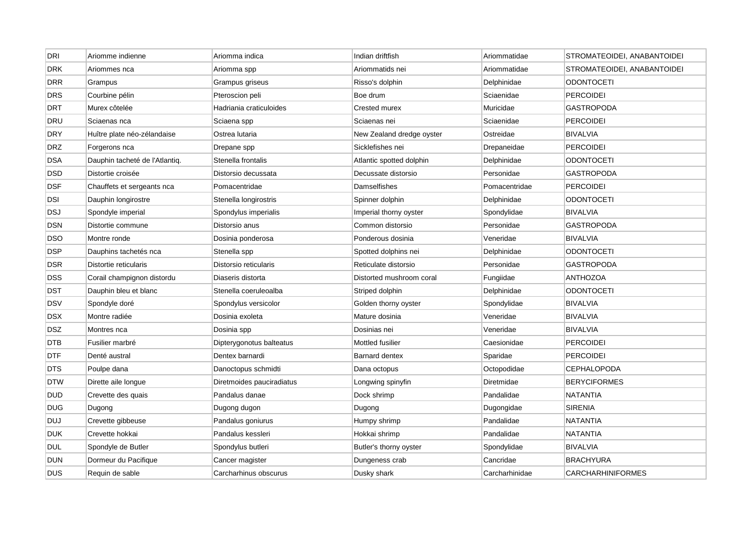| <b>DRI</b> | Ariomme indienne               | Ariomma indica            | Indian driftfish          | Ariommatidae   | STROMATEOIDEI, ANABANTOIDEI |
|------------|--------------------------------|---------------------------|---------------------------|----------------|-----------------------------|
| DRK        | Ariommes nca                   | Ariomma spp               | Ariommatids nei           | Ariommatidae   | STROMATEOIDEI, ANABANTOIDEI |
| <b>DRR</b> | Grampus                        | Grampus griseus           | Risso's dolphin           | Delphinidae    | <b>ODONTOCETI</b>           |
| <b>DRS</b> | Courbine pélin                 | Pteroscion peli           | Boe drum                  | Sciaenidae     | <b>PERCOIDEI</b>            |
| <b>DRT</b> | Murex côtelée                  | Hadriania craticuloides   | Crested murex             | Muricidae      | <b>GASTROPODA</b>           |
| <b>DRU</b> | Sciaenas nca                   | Sciaena spp               | Sciaenas nei              | Sciaenidae     | <b>PERCOIDEI</b>            |
| <b>DRY</b> | Huître plate néo-zélandaise    | Ostrea lutaria            | New Zealand dredge oyster | Ostreidae      | <b>BIVALVIA</b>             |
| <b>DRZ</b> | Forgerons nca                  | Drepane spp               | Sicklefishes nei          | Drepaneidae    | <b>PERCOIDEI</b>            |
| DSA        | Dauphin tacheté de l'Atlantiq. | Stenella frontalis        | Atlantic spotted dolphin  | Delphinidae    | <b>ODONTOCETI</b>           |
| <b>DSD</b> | Distortie croisée              | Distorsio decussata       | Decussate distorsio       | Personidae     | <b>GASTROPODA</b>           |
| <b>DSF</b> | Chauffets et sergeants nca     | Pomacentridae             | Damselfishes              | Pomacentridae  | <b>PERCOIDEI</b>            |
| DSI        | Dauphin longirostre            | Stenella longirostris     | Spinner dolphin           | Delphinidae    | <b>ODONTOCETI</b>           |
| <b>DSJ</b> | Spondyle imperial              | Spondylus imperialis      | Imperial thorny oyster    | Spondylidae    | <b>BIVALVIA</b>             |
| <b>DSN</b> | Distortie commune              | Distorsio anus            | Common distorsio          | Personidae     | <b>GASTROPODA</b>           |
| <b>DSO</b> | Montre ronde                   | Dosinia ponderosa         | Ponderous dosinia         | Veneridae      | <b>BIVALVIA</b>             |
| DSP        | Dauphins tachetés nca          | Stenella spp              | Spotted dolphins nei      | Delphinidae    | <b>ODONTOCETI</b>           |
| DSR        | Distortie reticularis          | Distorsio reticularis     | Reticulate distorsio      | Personidae     | <b>GASTROPODA</b>           |
| DSS        | Corail champignon distordu     | Diaseris distorta         | Distorted mushroom coral  | Fungiidae      | <b>ANTHOZOA</b>             |
| DST        | Dauphin bleu et blanc          | Stenella coeruleoalba     | Striped dolphin           | Delphinidae    | <b>ODONTOCETI</b>           |
| <b>DSV</b> | Spondyle doré                  | Spondylus versicolor      | Golden thorny oyster      | Spondylidae    | <b>BIVALVIA</b>             |
| <b>DSX</b> | Montre radiée                  | Dosinia exoleta           | Mature dosinia            | Veneridae      | <b>BIVALVIA</b>             |
| <b>DSZ</b> | Montres nca                    | Dosinia spp               | Dosinias nei              | Veneridae      | <b>BIVALVIA</b>             |
| <b>DTB</b> | Fusilier marbré                | Dipterygonotus balteatus  | Mottled fusilier          | Caesionidae    | <b>PERCOIDEI</b>            |
| <b>DTF</b> | Denté austral                  | Dentex barnardi           | <b>Barnard dentex</b>     | Sparidae       | <b>PERCOIDEI</b>            |
| <b>DTS</b> | Poulpe dana                    | Danoctopus schmidti       | Dana octopus              | Octopodidae    | <b>CEPHALOPODA</b>          |
| <b>DTW</b> | Dirette aile longue            | Diretmoides pauciradiatus | Longwing spinyfin         | Diretmidae     | <b>BERYCIFORMES</b>         |
| <b>DUD</b> | Crevette des quais             | Pandalus danae            | Dock shrimp               | Pandalidae     | <b>NATANTIA</b>             |
| <b>DUG</b> | Dugong                         | Dugong dugon              | Dugong                    | Dugongidae     | <b>SIRENIA</b>              |
| DUJ        | Crevette gibbeuse              | Pandalus goniurus         | Humpy shrimp              | Pandalidae     | <b>NATANTIA</b>             |
| <b>DUK</b> | Crevette hokkai                | Pandalus kessleri         | Hokkai shrimp             | Pandalidae     | <b>NATANTIA</b>             |
| <b>DUL</b> | Spondyle de Butler             | Spondylus butleri         | Butler's thorny oyster    | Spondylidae    | <b>BIVALVIA</b>             |
| <b>DUN</b> | Dormeur du Pacifique           | Cancer magister           | Dungeness crab            | Cancridae      | <b>BRACHYURA</b>            |
| <b>DUS</b> | Requin de sable                | Carcharhinus obscurus     | Dusky shark               | Carcharhinidae | <b>CARCHARHINIFORMES</b>    |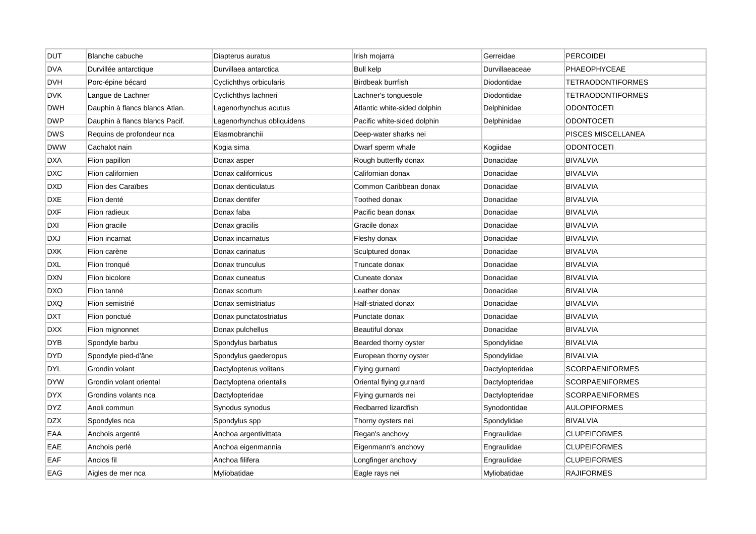| <b>DUT</b> | Blanche cabuche                | Diapterus auratus          | Irish mojarra                | Gerreidae       | <b>PERCOIDEI</b>         |
|------------|--------------------------------|----------------------------|------------------------------|-----------------|--------------------------|
| <b>DVA</b> | Durvillée antarctique          | Durvillaea antarctica      | <b>Bull kelp</b>             | Durvillaeaceae  | <b>PHAEOPHYCEAE</b>      |
| <b>DVH</b> | Porc-épine bécard              | Cyclichthys orbicularis    | Birdbeak burrfish            | Diodontidae     | <b>TETRAODONTIFORMES</b> |
| <b>DVK</b> | Langue de Lachner              | Cyclichthys lachneri       | Lachner's tonguesole         | Diodontidae     | TETRAODONTIFORMES        |
| <b>DWH</b> | Dauphin à flancs blancs Atlan. | Lagenorhynchus acutus      | Atlantic white-sided dolphin | Delphinidae     | <b>ODONTOCETI</b>        |
| <b>DWP</b> | Dauphin à flancs blancs Pacif. | Lagenorhynchus obliquidens | Pacific white-sided dolphin  | Delphinidae     | <b>ODONTOCETI</b>        |
| <b>DWS</b> | Requins de profondeur nca      | Elasmobranchii             | Deep-water sharks nei        |                 | PISCES MISCELLANEA       |
| <b>DWW</b> | Cachalot nain                  | Kogia sima                 | Dwarf sperm whale            | Kogiidae        | <b>ODONTOCETI</b>        |
| <b>DXA</b> | Flion papillon                 | Donax asper                | Rough butterfly donax        | Donacidae       | <b>BIVALVIA</b>          |
| <b>DXC</b> | Flion californien              | Donax californicus         | Californian donax            | Donacidae       | <b>BIVALVIA</b>          |
| <b>DXD</b> | <b>Flion des Caraïbes</b>      | Donax denticulatus         | Common Caribbean donax       | Donacidae       | <b>BIVALVIA</b>          |
| <b>DXE</b> | Flion denté                    | Donax dentifer             | Toothed donax                | Donacidae       | <b>BIVALVIA</b>          |
| <b>DXF</b> | Flion radieux                  | Donax faba                 | Pacific bean donax           | Donacidae       | <b>BIVALVIA</b>          |
| DXI        | Flion gracile                  | Donax gracilis             | Gracile donax                | Donacidae       | <b>BIVALVIA</b>          |
| <b>DXJ</b> | Flion incarnat                 | Donax incarnatus           | Fleshy donax                 | Donacidae       | <b>BIVALVIA</b>          |
| <b>DXK</b> | Flion carène                   | Donax carinatus            | Sculptured donax             | Donacidae       | <b>BIVALVIA</b>          |
| <b>DXL</b> | Flion tronqué                  | Donax trunculus            | Truncate donax               | Donacidae       | <b>BIVALVIA</b>          |
| <b>DXN</b> | Flion bicolore                 | Donax cuneatus             | Cuneate donax                | Donacidae       | <b>BIVALVIA</b>          |
| <b>DXO</b> | Flion tanné                    | Donax scortum              | Leather donax                | Donacidae       | <b>BIVALVIA</b>          |
| <b>DXQ</b> | Flion semistrié                | Donax semistriatus         | Half-striated donax          | Donacidae       | <b>BIVALVIA</b>          |
| <b>DXT</b> | Flion ponctué                  | Donax punctatostriatus     | Punctate donax               | Donacidae       | <b>BIVALVIA</b>          |
| <b>DXX</b> | Flion mignonnet                | Donax pulchellus           | Beautiful donax              | Donacidae       | <b>BIVALVIA</b>          |
| <b>DYB</b> | Spondyle barbu                 | Spondylus barbatus         | Bearded thorny oyster        | Spondylidae     | <b>BIVALVIA</b>          |
| <b>DYD</b> | Spondyle pied-d'âne            | Spondylus gaederopus       | European thorny oyster       | Spondylidae     | <b>BIVALVIA</b>          |
| <b>DYL</b> | Grondin volant                 | Dactylopterus volitans     | Flying gurnard               | Dactylopteridae | <b>SCORPAENIFORMES</b>   |
| <b>DYW</b> | Grondin volant oriental        | Dactyloptena orientalis    | Oriental flying gurnard      | Dactylopteridae | <b>SCORPAENIFORMES</b>   |
| <b>DYX</b> | Grondins volants nca           | Dactylopteridae            | Flying gurnards nei          | Dactylopteridae | <b>SCORPAENIFORMES</b>   |
| <b>DYZ</b> | Anoli commun                   | Synodus synodus            | Redbarred lizardfish         | Synodontidae    | <b>AULOPIFORMES</b>      |
| DZX        | Spondyles nca                  | Spondylus spp              | Thorny oysters nei           | Spondylidae     | <b>BIVALVIA</b>          |
| EAA        | Anchois argenté                | Anchoa argentivittata      | Regan's anchovy              | Engraulidae     | <b>CLUPEIFORMES</b>      |
| EAE        | Anchois perlé                  | Anchoa eigenmannia         | Eigenmann's anchovy          | Engraulidae     | <b>CLUPEIFORMES</b>      |
| EAF        | Ancios fil                     | Anchoa filifera            | Longfinger anchovy           | Engraulidae     | <b>CLUPEIFORMES</b>      |
| EAG        | Aigles de mer nca              | Myliobatidae               | Eagle rays nei               | Myliobatidae    | <b>RAJIFORMES</b>        |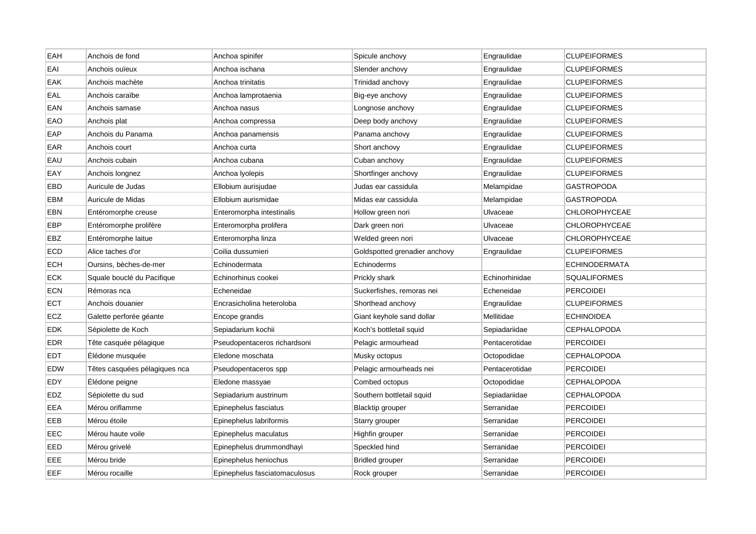| EAH        | Anchois de fond               | Anchoa spinifer               | Spicule anchovy               | Engraulidae    | <b>CLUPEIFORMES</b>  |
|------------|-------------------------------|-------------------------------|-------------------------------|----------------|----------------------|
| EAI        | Anchois ouïeux                | Anchoa ischana                | Slender anchovy               | Engraulidae    | <b>CLUPEIFORMES</b>  |
| <b>EAK</b> | Anchois machète               | Anchoa trinitatis             | Trinidad anchovy              | Engraulidae    | <b>CLUPEIFORMES</b>  |
| EAL        | Anchois caraïbe               | Anchoa lamprotaenia           | Big-eye anchovy               | Engraulidae    | <b>CLUPEIFORMES</b>  |
| EAN        | Anchois samase                | Anchoa nasus                  | Longnose anchovy              | Engraulidae    | <b>CLUPEIFORMES</b>  |
| EAO        | Anchois plat                  | Anchoa compressa              | Deep body anchovy             | Engraulidae    | <b>CLUPEIFORMES</b>  |
| EAP        | Anchois du Panama             | Anchoa panamensis             | Panama anchovy                | Engraulidae    | <b>CLUPEIFORMES</b>  |
| EAR        | Anchois court                 | Anchoa curta                  | Short anchovy                 | Engraulidae    | <b>CLUPEIFORMES</b>  |
| EAU        | Anchois cubain                | Anchoa cubana                 | Cuban anchovy                 | Engraulidae    | <b>CLUPEIFORMES</b>  |
| EAY        | Anchois longnez               | Anchoa Iyolepis               | Shortfinger anchovy           | Engraulidae    | <b>CLUPEIFORMES</b>  |
| EBD        | Auricule de Judas             | Ellobium aurisjudae           | Judas ear cassidula           | Melampidae     | <b>GASTROPODA</b>    |
| EBM        | Auricule de Midas             | Ellobium aurismidae           | Midas ear cassidula           | Melampidae     | GASTROPODA           |
| EBN        | Entéromorphe creuse           | Enteromorpha intestinalis     | Hollow green nori             | Ulvaceae       | <b>CHLOROPHYCEAE</b> |
| EBP        | Entéromorphe prolifère        | Enteromorpha prolifera        | Dark green nori               | Ulvaceae       | <b>CHLOROPHYCEAE</b> |
| EBZ        | Entéromorphe laitue           | Enteromorpha linza            | Welded green nori             | Ulvaceae       | <b>CHLOROPHYCEAE</b> |
| ECD        | Alice taches d'or             | Coilia dussumieri             | Goldspotted grenadier anchovy | Engraulidae    | <b>CLUPEIFORMES</b>  |
| <b>ECH</b> | Oursins, bèches-de-mer        | Echinodermata                 | Echinoderms                   |                | <b>ECHINODERMATA</b> |
| <b>ECK</b> | Squale bouclé du Pacifique    | Echinorhinus cookei           | Prickly shark                 | Echinorhinidae | <b>SQUALIFORMES</b>  |
| ECN        | Rémoras nca                   | Echeneidae                    | Suckerfishes, remoras nei     | Echeneidae     | PERCOIDEI            |
| ECT        | Anchois douanier              | Encrasicholina heteroloba     | Shorthead anchovy             | Engraulidae    | <b>CLUPEIFORMES</b>  |
| ECZ        | Galette perforée géante       | Encope grandis                | Giant keyhole sand dollar     | Mellitidae     | <b>ECHINOIDEA</b>    |
| <b>EDK</b> | Sépiolette de Koch            | Sepiadarium kochii            | Koch's bottletail squid       | Sepiadariidae  | <b>CEPHALOPODA</b>   |
| <b>EDR</b> | Tête casquée pélagique        | Pseudopentaceros richardsoni  | Pelagic armourhead            | Pentacerotidae | <b>PERCOIDEI</b>     |
| <b>EDT</b> | Elédone musquée               | Eledone moschata              | Musky octopus                 | Octopodidae    | <b>CEPHALOPODA</b>   |
| <b>EDW</b> | Têtes casquées pélagiques nca | Pseudopentaceros spp          | Pelagic armourheads nei       | Pentacerotidae | <b>PERCOIDEI</b>     |
| EDY        | Élédone peigne                | Eledone massyae               | Combed octopus                | Octopodidae    | <b>CEPHALOPODA</b>   |
| <b>EDZ</b> | Sépiolette du sud             | Sepiadarium austrinum         | Southern bottletail squid     | Sepiadariidae  | <b>CEPHALOPODA</b>   |
| EEA        | Mérou oriflamme               | Epinephelus fasciatus         | <b>Blacktip grouper</b>       | Serranidae     | <b>PERCOIDEI</b>     |
| EEB        | Mérou étoile                  | Epinephelus labriformis       | Starry grouper                | Serranidae     | <b>PERCOIDEI</b>     |
| EEC        | Mérou haute voile             | Epinephelus maculatus         | Highfin grouper               | Serranidae     | <b>PERCOIDEI</b>     |
| EED        | Mérou grivelé                 | Epinephelus drummondhayi      | Speckled hind                 | Serranidae     | <b>PERCOIDEI</b>     |
| EEE        | Mérou bride                   | Epinephelus heniochus         | <b>Bridled grouper</b>        | Serranidae     | PERCOIDEI            |
| EEF        | Mérou rocaille                | Epinephelus fasciatomaculosus | Rock grouper                  | Serranidae     | <b>PERCOIDEI</b>     |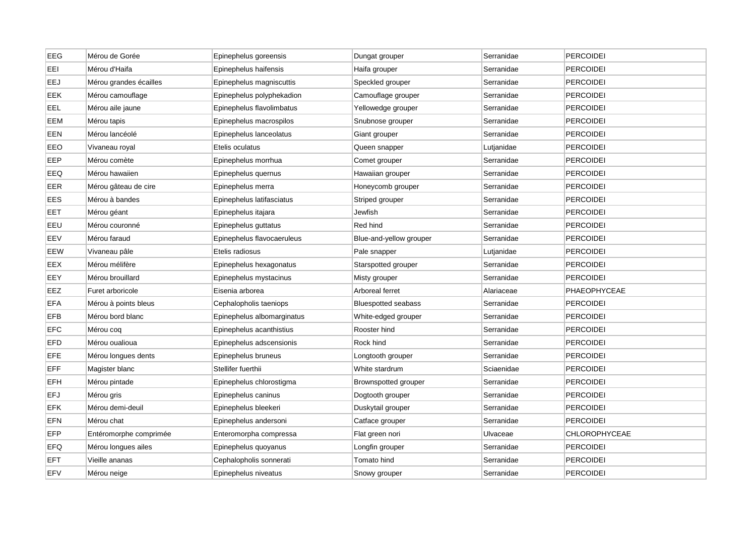| <b>EEG</b> | Mérou de Gorée         | Epinephelus goreensis      | Dungat grouper             | Serranidae | <b>PERCOIDEI</b> |
|------------|------------------------|----------------------------|----------------------------|------------|------------------|
| EEI        | Mérou d'Haifa          | Epinephelus haifensis      | Haifa grouper              | Serranidae | PERCOIDEI        |
| EEJ        | Mérou grandes écailles | Epinephelus magniscuttis   | Speckled grouper           | Serranidae | <b>PERCOIDEI</b> |
| <b>EEK</b> | Mérou camouflage       | Epinephelus polyphekadion  | Camouflage grouper         | Serranidae | <b>PERCOIDEI</b> |
| EEL        | Mérou aile jaune       | Epinephelus flavolimbatus  | Yellowedge grouper         | Serranidae | <b>PERCOIDEI</b> |
| EEM        | Mérou tapis            | Epinephelus macrospilos    | Snubnose grouper           | Serranidae | <b>PERCOIDEI</b> |
| EEN        | Mérou lancéolé         | Epinephelus lanceolatus    | Giant grouper              | Serranidae | <b>PERCOIDEI</b> |
| EEO        | Vivaneau royal         | Etelis oculatus            | Queen snapper              | Lutjanidae | <b>PERCOIDEI</b> |
| EEP        | Mérou comète           | Epinephelus morrhua        | Comet grouper              | Serranidae | <b>PERCOIDEI</b> |
| EEQ        | Mérou hawaiien         | Epinephelus quernus        | Hawaiian grouper           | Serranidae | <b>PERCOIDEI</b> |
| EER        | Mérou gâteau de cire   | Epinephelus merra          | Honeycomb grouper          | Serranidae | PERCOIDEI        |
| EES        | Mérou à bandes         | Epinephelus latifasciatus  | Striped grouper            | Serranidae | <b>PERCOIDEI</b> |
| EET        | Mérou géant            | Epinephelus itajara        | Jewfish                    | Serranidae | <b>PERCOIDEI</b> |
| EEU        | Mérou couronné         | Epinephelus guttatus       | Red hind                   | Serranidae | <b>PERCOIDEI</b> |
| EEV        | Mérou faraud           | Epinephelus flavocaeruleus | Blue-and-yellow grouper    | Serranidae | <b>PERCOIDEI</b> |
| EEW        | Vivaneau pâle          | Etelis radiosus            | Pale snapper               | Lutjanidae | PERCOIDEI        |
| EEX        | Mérou mélifère         | Epinephelus hexagonatus    | Starspotted grouper        | Serranidae | PERCOIDEI        |
| EEY        | Mérou brouillard       | Epinephelus mystacinus     | Misty grouper              | Serranidae | <b>PERCOIDEI</b> |
| EEZ        | Furet arboricole       | Eisenia arborea            | Arboreal ferret            | Alariaceae | PHAEOPHYCEAE     |
| <b>EFA</b> | Mérou à points bleus   | Cephalopholis taeniops     | <b>Bluespotted seabass</b> | Serranidae | <b>PERCOIDEI</b> |
| <b>EFB</b> | Mérou bord blanc       | Epinephelus albomarginatus | White-edged grouper        | Serranidae | <b>PERCOIDEI</b> |
| <b>EFC</b> | Mérou coq              | Epinephelus acanthistius   | Rooster hind               | Serranidae | <b>PERCOIDEI</b> |
| <b>EFD</b> | Mérou oualioua         | Epinephelus adscensionis   | Rock hind                  | Serranidae | <b>PERCOIDEI</b> |
| <b>EFE</b> | Mérou longues dents    | Epinephelus bruneus        | Longtooth grouper          | Serranidae | <b>PERCOIDEI</b> |
| EFF        | Magister blanc         | Stellifer fuerthii         | White stardrum             | Sciaenidae | <b>PERCOIDEI</b> |
| <b>EFH</b> | Mérou pintade          | Epinephelus chlorostigma   | Brownspotted grouper       | Serranidae | <b>PERCOIDEI</b> |
| <b>EFJ</b> | Mérou gris             | Epinephelus caninus        | Dogtooth grouper           | Serranidae | <b>PERCOIDEI</b> |
| <b>EFK</b> | Mérou demi-deuil       | Epinephelus bleekeri       | Duskytail grouper          | Serranidae | <b>PERCOIDEI</b> |
| EFN        | Mérou chat             | Epinephelus andersoni      | Catface grouper            | Serranidae | <b>PERCOIDEI</b> |
| <b>EFP</b> | Entéromorphe comprimée | Enteromorpha compressa     | Flat green nori            | Ulvaceae   | CHLOROPHYCEAE    |
| EFQ        | Mérou longues ailes    | Epinephelus quoyanus       | Longfin grouper            | Serranidae | <b>PERCOIDEI</b> |
| EFT        | Vieille ananas         | Cephalopholis sonnerati    | Tomato hind                | Serranidae | PERCOIDEI        |
| <b>EFV</b> | Mérou neige            | Epinephelus niveatus       | Snowy grouper              | Serranidae | PERCOIDEI        |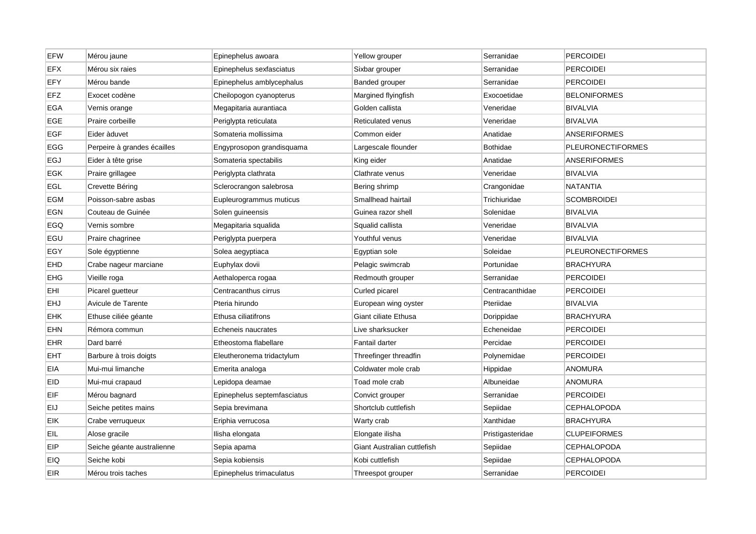| <b>EFW</b> | Mérou jaune                 | Epinephelus awoara          | Yellow grouper              | Serranidae       | <b>PERCOIDEI</b>         |
|------------|-----------------------------|-----------------------------|-----------------------------|------------------|--------------------------|
| <b>EFX</b> | Mérou six raies             | Epinephelus sexfasciatus    | Sixbar grouper              | Serranidae       | <b>PERCOIDEI</b>         |
| EFY        | Mérou bande                 | Epinephelus amblycephalus   | Banded grouper              | Serranidae       | <b>PERCOIDEI</b>         |
| EFZ        | Exocet codène               | Cheilopogon cyanopterus     | Margined flyingfish         | Exocoetidae      | <b>BELONIFORMES</b>      |
| EGA        | Vernis orange               | Megapitaria aurantiaca      | Golden callista             | Veneridae        | <b>BIVALVIA</b>          |
| EGE        | Praire corbeille            | Periglypta reticulata       | <b>Reticulated venus</b>    | Veneridae        | <b>BIVALVIA</b>          |
| <b>EGF</b> | Eider àduvet                | Somateria mollissima        | Common eider                | Anatidae         | <b>ANSERIFORMES</b>      |
| <b>EGG</b> | Perpeire à grandes écailles | Engyprosopon grandisquama   | Largescale flounder         | <b>Bothidae</b>  | <b>PLEURONECTIFORMES</b> |
| EGJ        | Eider à tête grise          | Somateria spectabilis       | King eider                  | Anatidae         | <b>ANSERIFORMES</b>      |
| EGK        | Praire grillagee            | Periglypta clathrata        | Clathrate venus             | Veneridae        | <b>BIVALVIA</b>          |
| EGL        | Crevette Béring             | Sclerocrangon salebrosa     | Bering shrimp               | Crangonidae      | <b>NATANTIA</b>          |
| <b>EGM</b> | Poisson-sabre asbas         | Eupleurogrammus muticus     | Smallhead hairtail          | Trichiuridae     | <b>SCOMBROIDEI</b>       |
| EGN        | Couteau de Guinée           | Solen guineensis            | Guinea razor shell          | Solenidae        | <b>BIVALVIA</b>          |
| EGQ        | Vernis sombre               | Megapitaria squalida        | Squalid callista            | Veneridae        | <b>BIVALVIA</b>          |
| EGU        | Praire chagrinee            | Periglypta puerpera         | Youthful venus              | Veneridae        | <b>BIVALVIA</b>          |
| EGY        | Sole égyptienne             | Solea aegyptiaca            | Egyptian sole               | Soleidae         | <b>PLEURONECTIFORMES</b> |
| <b>EHD</b> | Crabe nageur marciane       | Euphylax dovii              | Pelagic swimcrab            | Portunidae       | <b>BRACHYURA</b>         |
| EHG        | Vieille roga                | Aethaloperca rogaa          | Redmouth grouper            | Serranidae       | PERCOIDEI                |
| EHI        | Picarel guetteur            | Centracanthus cirrus        | Curled picarel              | Centracanthidae  | PERCOIDEI                |
| <b>EHJ</b> | Avicule de Tarente          | Pteria hirundo              | European wing oyster        | Pteriidae        | <b>BIVALVIA</b>          |
| <b>EHK</b> | Ethuse ciliée géante        | Ethusa ciliatifrons         | Giant ciliate Ethusa        | Dorippidae       | <b>BRACHYURA</b>         |
| <b>EHN</b> | Rémora commun               | Echeneis naucrates          | Live sharksucker            | Echeneidae       | <b>PERCOIDEI</b>         |
| <b>EHR</b> | Dard barré                  | Etheostoma flabellare       | Fantail darter              | Percidae         | <b>PERCOIDEI</b>         |
| <b>EHT</b> | Barbure à trois doigts      | Eleutheronema tridactylum   | Threefinger threadfin       | Polynemidae      | <b>PERCOIDEI</b>         |
| <b>EIA</b> | Mui-mui limanche            | Emerita analoga             | Coldwater mole crab         | Hippidae         | <b>ANOMURA</b>           |
| <b>EID</b> | Mui-mui crapaud             | Lepidopa deamae             | Toad mole crab              | Albuneidae       | <b>ANOMURA</b>           |
| EIF        | Mérou bagnard               | Epinephelus septemfasciatus | Convict grouper             | Serranidae       | <b>PERCOIDEI</b>         |
| <b>EIJ</b> | Seiche petites mains        | Sepia brevimana             | Shortclub cuttlefish        | Sepiidae         | <b>CEPHALOPODA</b>       |
| EIK        | Crabe verruqueux            | Eriphia verrucosa           | Warty crab                  | Xanthidae        | <b>BRACHYURA</b>         |
| EIL        | Alose gracile               | Ilisha elongata             | Elongate ilisha             | Pristigasteridae | <b>CLUPEIFORMES</b>      |
| EIP        | Seiche géante australienne  | Sepia apama                 | Giant Australian cuttlefish | Sepiidae         | <b>CEPHALOPODA</b>       |
| <b>EIQ</b> | Seiche kobi                 | Sepia kobiensis             | Kobi cuttlefish             | Sepiidae         | <b>CEPHALOPODA</b>       |
| <b>EIR</b> | Mérou trois taches          | Epinephelus trimaculatus    | Threespot grouper           | Serranidae       | <b>PERCOIDEI</b>         |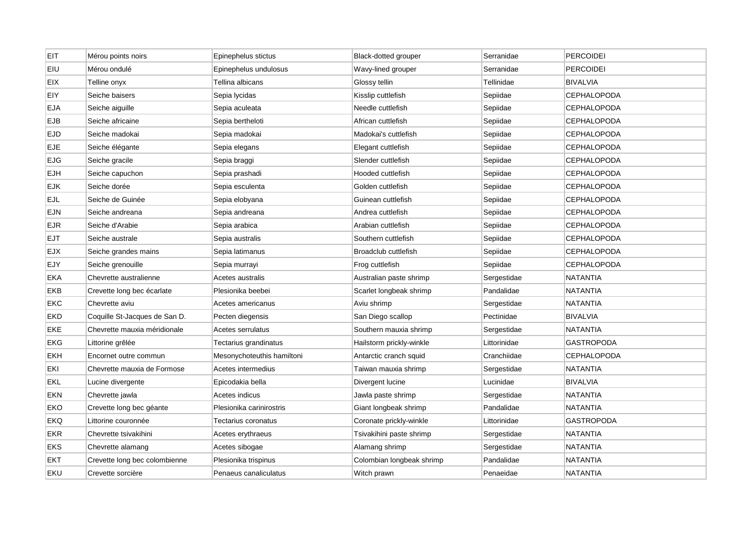| <b>EIT</b> | Mérou points noirs            | Epinephelus stictus        | Black-dotted grouper      | Serranidae   | <b>PERCOIDEI</b>   |
|------------|-------------------------------|----------------------------|---------------------------|--------------|--------------------|
| EIU        | Mérou ondulé                  | Epinephelus undulosus      | Wavy-lined grouper        | Serranidae   | <b>PERCOIDEI</b>   |
| <b>EIX</b> | Telline onyx                  | Tellina albicans           | Glossy tellin             | Tellinidae   | <b>BIVALVIA</b>    |
| EIY        | Seiche baisers                | Sepia lycidas              | Kisslip cuttlefish        | Sepiidae     | CEPHALOPODA        |
| <b>EJA</b> | Seiche aiguille               | Sepia aculeata             | Needle cuttlefish         | Sepiidae     | <b>CEPHALOPODA</b> |
| <b>EJB</b> | Seiche africaine              | Sepia bertheloti           | African cuttlefish        | Sepiidae     | <b>CEPHALOPODA</b> |
| <b>EJD</b> | Seiche madokai                | Sepia madokai              | Madokai's cuttlefish      | Sepiidae     | <b>CEPHALOPODA</b> |
| <b>EJE</b> | Seiche élégante               | Sepia elegans              | Elegant cuttlefish        | Sepiidae     | <b>CEPHALOPODA</b> |
| <b>EJG</b> | Seiche gracile                | Sepia braggi               | Slender cuttlefish        | Sepiidae     | <b>CEPHALOPODA</b> |
| <b>EJH</b> | Seiche capuchon               | Sepia prashadi             | Hooded cuttlefish         | Sepiidae     | <b>CEPHALOPODA</b> |
| <b>EJK</b> | Seiche dorée                  | Sepia esculenta            | Golden cuttlefish         | Sepiidae     | <b>CEPHALOPODA</b> |
| <b>EJL</b> | Seiche de Guinée              | Sepia elobyana             | Guinean cuttlefish        | Sepiidae     | CEPHALOPODA        |
| <b>EJN</b> | Seiche andreana               | Sepia andreana             | Andrea cuttlefish         | Sepiidae     | <b>CEPHALOPODA</b> |
| <b>EJR</b> | Seiche d'Arabie               | Sepia arabica              | Arabian cuttlefish        | Sepiidae     | <b>CEPHALOPODA</b> |
| <b>EJT</b> | Seiche australe               | Sepia australis            | Southern cuttlefish       | Sepiidae     | CEPHALOPODA        |
| <b>EJX</b> | Seiche grandes mains          | Sepia latimanus            | Broadclub cuttlefish      | Sepiidae     | <b>CEPHALOPODA</b> |
| EJY        | Seiche grenouille             | Sepia murrayi              | Frog cuttlefish           | Sepiidae     | <b>CEPHALOPODA</b> |
| <b>EKA</b> | Chevrette australienne        | Acetes australis           | Australian paste shrimp   | Sergestidae  | <b>NATANTIA</b>    |
| EKB        | Crevette long bec écarlate    | Plesionika beebei          | Scarlet longbeak shrimp   | Pandalidae   | NATANTIA           |
| <b>EKC</b> | Chevrette aviu                | Acetes americanus          | Aviu shrimp               | Sergestidae  | <b>NATANTIA</b>    |
| <b>EKD</b> | Coquille St-Jacques de San D. | Pecten diegensis           | San Diego scallop         | Pectinidae   | <b>BIVALVIA</b>    |
| <b>EKE</b> | Chevrette mauxia méridionale  | Acetes serrulatus          | Southern mauxia shrimp    | Sergestidae  | NATANTIA           |
| <b>EKG</b> | Littorine grêlée              | Tectarius grandinatus      | Hailstorm prickly-winkle  | Littorinidae | <b>GASTROPODA</b>  |
| <b>EKH</b> | Encornet outre commun         | Mesonychoteuthis hamiltoni | Antarctic cranch squid    | Cranchiidae  | <b>CEPHALOPODA</b> |
| EKI        | Chevrette mauxia de Formose   | Acetes intermedius         | Taiwan mauxia shrimp      | Sergestidae  | <b>NATANTIA</b>    |
| <b>EKL</b> | Lucine divergente             | Epicodakia bella           | Divergent lucine          | Lucinidae    | <b>BIVALVIA</b>    |
| <b>EKN</b> | Chevrette jawla               | Acetes indicus             | Jawla paste shrimp        | Sergestidae  | NATANTIA           |
| EKO        | Crevette long bec géante      | Plesionika carinirostris   | Giant longbeak shrimp     | Pandalidae   | <b>NATANTIA</b>    |
| EKQ        | Littorine couronnée           | Tectarius coronatus        | Coronate prickly-winkle   | Littorinidae | GASTROPODA         |
| <b>EKR</b> | Chevrette tsivakihini         | Acetes erythraeus          | Tsivakihini paste shrimp  | Sergestidae  | NATANTIA           |
| EKS        | Chevrette alamang             | Acetes sibogae             | Alamang shrimp            | Sergestidae  | <b>NATANTIA</b>    |
| EKT        | Crevette long bec colombienne | Plesionika trispinus       | Colombian longbeak shrimp | Pandalidae   | NATANTIA           |
| EKU        | Crevette sorcière             | Penaeus canaliculatus      | Witch prawn               | Penaeidae    | <b>NATANTIA</b>    |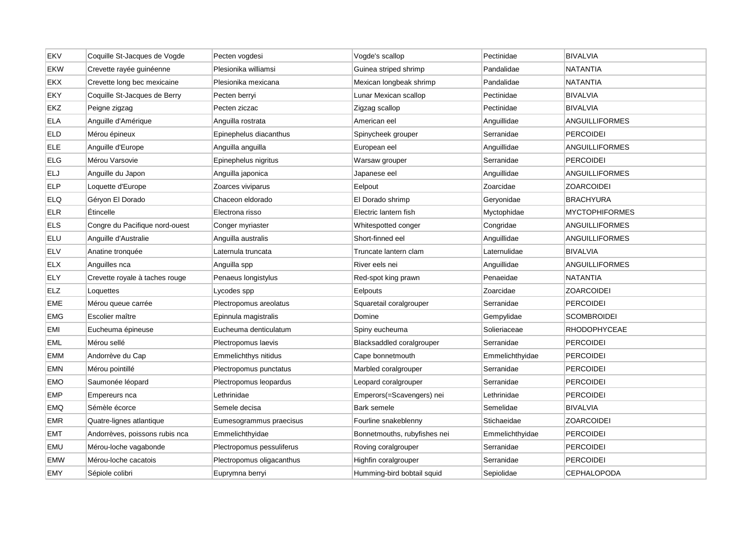| EKV        | Coquille St-Jacques de Vogde   | Pecten vogdesi            | Vogde's scallop              | Pectinidae      | <b>BIVALVIA</b>       |
|------------|--------------------------------|---------------------------|------------------------------|-----------------|-----------------------|
| EKW        | Crevette rayée guinéenne       | Plesionika williamsi      | Guinea striped shrimp        | Pandalidae      | NATANTIA              |
| EKX        | Crevette long bec mexicaine    | Plesionika mexicana       | Mexican longbeak shrimp      | Pandalidae      | <b>NATANTIA</b>       |
| EKY        | Coquille St-Jacques de Berry   | Pecten berryi             | Lunar Mexican scallop        | Pectinidae      | <b>BIVALVIA</b>       |
| EKZ        | Peigne zigzag                  | Pecten ziczac             | Zigzag scallop               | Pectinidae      | <b>BIVALVIA</b>       |
| <b>ELA</b> | Anguille d'Amérique            | Anguilla rostrata         | American eel                 | Anguillidae     | <b>ANGUILLIFORMES</b> |
| <b>ELD</b> | Mérou épineux                  | Epinephelus diacanthus    | Spinycheek grouper           | Serranidae      | <b>PERCOIDEI</b>      |
| ELE        | Anguille d'Europe              | Anguilla anguilla         | European eel                 | Anguillidae     | ANGUILLIFORMES        |
| <b>ELG</b> | Mérou Varsovie                 | Epinephelus nigritus      | Warsaw grouper               | Serranidae      | <b>PERCOIDEI</b>      |
| <b>ELJ</b> | Anguille du Japon              | Anguilla japonica         | Japanese eel                 | Anguillidae     | ANGUILLIFORMES        |
| <b>ELP</b> | Loquette d'Europe              | Zoarces viviparus         | Eelpout                      | Zoarcidae       | <b>ZOARCOIDEI</b>     |
| <b>ELQ</b> | Géryon El Dorado               | Chaceon eldorado          | El Dorado shrimp             | Geryonidae      | <b>BRACHYURA</b>      |
| <b>ELR</b> | Étincelle                      | Electrona risso           | Electric lantern fish        | Myctophidae     | <b>MYCTOPHIFORMES</b> |
| <b>ELS</b> | Congre du Pacifique nord-ouest | Conger myriaster          | Whitespotted conger          | Congridae       | <b>ANGUILLIFORMES</b> |
| ELU        | Anguille d'Australie           | Anguilla australis        | Short-finned eel             | Anguillidae     | ANGUILLIFORMES        |
| <b>ELV</b> | Anatine tronquée               | Laternula truncata        | Truncate lantern clam        | Laternulidae    | <b>BIVALVIA</b>       |
| <b>ELX</b> | Anguilles nca                  | Anguilla spp              | River eels nei               | Anguillidae     | <b>ANGUILLIFORMES</b> |
| <b>ELY</b> | Crevette royale à taches rouge | Penaeus longistylus       | Red-spot king prawn          | Penaeidae       | NATANTIA              |
| <b>ELZ</b> | Loquettes                      | Lycodes spp               | Eelpouts                     | Zoarcidae       | <b>ZOARCOIDEI</b>     |
| EME        | Mérou queue carrée             | Plectropomus areolatus    | Squaretail coralgrouper      | Serranidae      | PERCOIDEI             |
| EMG        | Escolier maître                | Epinnula magistralis      | Domine                       | Gempylidae      | <b>SCOMBROIDEI</b>    |
| EMI        | Eucheuma épineuse              | Eucheuma denticulatum     | Spiny eucheuma               | Solieriaceae    | <b>RHODOPHYCEAE</b>   |
| EML        | Mérou sellé                    | Plectropomus laevis       | Blacksaddled coralgrouper    | Serranidae      | <b>PERCOIDEI</b>      |
| EMM        | Andorrève du Cap               | Emmelichthys nitidus      | Cape bonnetmouth             | Emmelichthyidae | <b>PERCOIDEI</b>      |
| EMN        | Mérou pointillé                | Plectropomus punctatus    | Marbled coralgrouper         | Serranidae      | <b>PERCOIDEI</b>      |
| EMO        | Saumonée léopard               | Plectropomus leopardus    | Leopard coralgrouper         | Serranidae      | <b>PERCOIDEI</b>      |
| EMP        | Empereurs nca                  | Lethrinidae               | Emperors(=Scavengers) nei    | Lethrinidae     | <b>PERCOIDEI</b>      |
| EMQ        | Sémèle écorce                  | Semele decisa             | Bark semele                  | Semelidae       | <b>BIVALVIA</b>       |
| EMR        | Quatre-lignes atlantique       | Eumesogrammus praecisus   | Fourline snakeblenny         | Stichaeidae     | <b>ZOARCOIDEI</b>     |
| EMT        | Andorrèves, poissons rubis nca | Emmelichthyidae           | Bonnetmouths, rubyfishes nei | Emmelichthyidae | <b>PERCOIDEI</b>      |
| <b>EMU</b> | Mérou-loche vagabonde          | Plectropomus pessuliferus | Roving coralgrouper          | Serranidae      | <b>PERCOIDEI</b>      |
| EMW        | Mérou-loche cacatois           | Plectropomus oligacanthus | Highfin coralgrouper         | Serranidae      | PERCOIDEI             |
| <b>EMY</b> | Sépiole colibri                | Euprymna berryi           | Humming-bird bobtail squid   | Sepiolidae      | <b>CEPHALOPODA</b>    |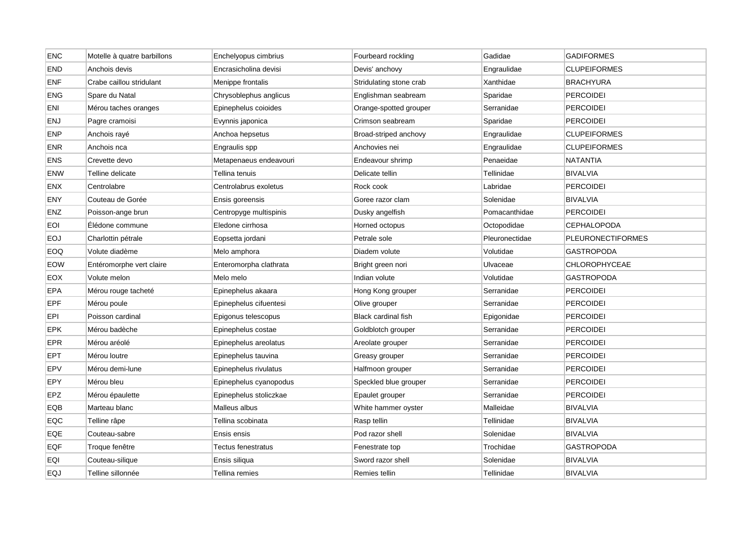| <b>ENC</b> | Motelle à quatre barbillons | Enchelyopus cimbrius   | Fourbeard rockling      | Gadidae        | <b>GADIFORMES</b>        |
|------------|-----------------------------|------------------------|-------------------------|----------------|--------------------------|
| <b>END</b> | Anchois devis               | Encrasicholina devisi  | Devis' anchovy          | Engraulidae    | <b>CLUPEIFORMES</b>      |
| <b>ENF</b> | Crabe caillou stridulant    | Menippe frontalis      | Stridulating stone crab | Xanthidae      | <b>BRACHYURA</b>         |
| <b>ENG</b> | Spare du Natal              | Chrysoblephus anglicus | Englishman seabream     | Sparidae       | <b>PERCOIDEI</b>         |
| ENI        | Mérou taches oranges        | Epinephelus coioides   | Orange-spotted grouper  | Serranidae     | <b>PERCOIDEI</b>         |
| <b>ENJ</b> | Pagre cramoisi              | Evynnis japonica       | Crimson seabream        | Sparidae       | <b>PERCOIDEI</b>         |
| <b>ENP</b> | Anchois rayé                | Anchoa hepsetus        | Broad-striped anchovy   | Engraulidae    | <b>CLUPEIFORMES</b>      |
| <b>ENR</b> | Anchois nca                 | Engraulis spp          | Anchovies nei           | Engraulidae    | <b>CLUPEIFORMES</b>      |
| <b>ENS</b> | Crevette devo               | Metapenaeus endeavouri | Endeavour shrimp        | Penaeidae      | <b>NATANTIA</b>          |
| <b>ENW</b> | Telline delicate            | Tellina tenuis         | Delicate tellin         | Tellinidae     | <b>BIVALVIA</b>          |
| <b>ENX</b> | Centrolabre                 | Centrolabrus exoletus  | Rock cook               | Labridae       | <b>PERCOIDEI</b>         |
| ENY        | Couteau de Gorée            | Ensis goreensis        | Goree razor clam        | Solenidae      | <b>BIVALVIA</b>          |
| <b>ENZ</b> | Poisson-ange brun           | Centropyge multispinis | Dusky angelfish         | Pomacanthidae  | <b>PERCOIDEI</b>         |
| <b>EOI</b> | Élédone commune             | Eledone cirrhosa       | Horned octopus          | Octopodidae    | <b>CEPHALOPODA</b>       |
| <b>EOJ</b> | Charlottin pétrale          | Eopsetta jordani       | Petrale sole            | Pleuronectidae | <b>PLEURONECTIFORMES</b> |
| EOQ        | Volute diadème              | Melo amphora           | Diadem volute           | Volutidae      | <b>GASTROPODA</b>        |
| <b>EOW</b> | Entéromorphe vert claire    | Enteromorpha clathrata | Bright green nori       | Ulvaceae       | <b>CHLOROPHYCEAE</b>     |
| <b>EOX</b> | Volute melon                | Melo melo              | Indian volute           | Volutidae      | <b>GASTROPODA</b>        |
| EPA        | Mérou rouge tacheté         | Epinephelus akaara     | Hong Kong grouper       | Serranidae     | PERCOIDEI                |
| <b>EPF</b> | Mérou poule                 | Epinephelus cifuentesi | Olive grouper           | Serranidae     | <b>PERCOIDEI</b>         |
| EPI        | Poisson cardinal            | Epigonus telescopus    | Black cardinal fish     | Epigonidae     | <b>PERCOIDEI</b>         |
| <b>EPK</b> | Mérou badèche               | Epinephelus costae     | Goldblotch grouper      | Serranidae     | <b>PERCOIDEI</b>         |
| EPR        | Mérou aréolé                | Epinephelus areolatus  | Areolate grouper        | Serranidae     | <b>PERCOIDEI</b>         |
| <b>EPT</b> | Mérou loutre                | Epinephelus tauvina    | Greasy grouper          | Serranidae     | <b>PERCOIDEI</b>         |
| <b>EPV</b> | Mérou demi-lune             | Epinephelus rivulatus  | Halfmoon grouper        | Serranidae     | <b>PERCOIDEI</b>         |
| EPY        | Mérou bleu                  | Epinephelus cyanopodus | Speckled blue grouper   | Serranidae     | <b>PERCOIDEI</b>         |
| EPZ        | Mérou épaulette             | Epinephelus stoliczkae | Epaulet grouper         | Serranidae     | <b>PERCOIDEI</b>         |
| EQB        | Marteau blanc               | Malleus albus          | White hammer oyster     | Malleidae      | <b>BIVALVIA</b>          |
| EQC        | Telline râpe                | Tellina scobinata      | Rasp tellin             | Tellinidae     | <b>BIVALVIA</b>          |
| EQE        | Couteau-sabre               | Ensis ensis            | Pod razor shell         | Solenidae      | <b>BIVALVIA</b>          |
| EQF        | Troque fenêtre              | Tectus fenestratus     | Fenestrate top          | Trochidae      | <b>GASTROPODA</b>        |
| EQI        | Couteau-silique             | Ensis siliqua          | Sword razor shell       | Solenidae      | <b>BIVALVIA</b>          |
| <b>EQJ</b> | Telline sillonnée           | Tellina remies         | Remies tellin           | Tellinidae     | <b>BIVALVIA</b>          |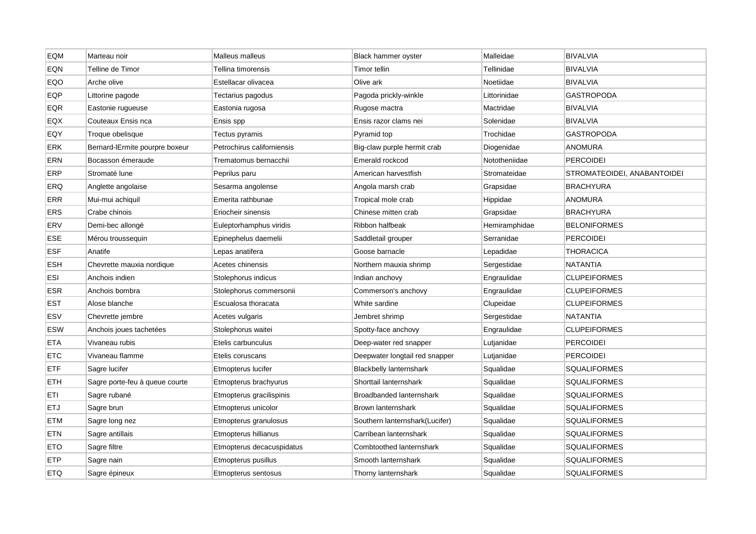| EQM        | Marteau noir                   | Malleus malleus            | Black hammer oyster            | Malleidae     | <b>BIVALVIA</b>             |
|------------|--------------------------------|----------------------------|--------------------------------|---------------|-----------------------------|
| EQN        | Telline de Timor               | Tellina timorensis         | Timor tellin                   | Tellinidae    | <b>BIVALVIA</b>             |
| EQO        | Arche olive                    | Estellacar olivacea        | Olive ark                      | Noetiidae     | <b>BIVALVIA</b>             |
| EQP        | Littorine pagode               | Tectarius pagodus          | Pagoda prickly-winkle          | Littorinidae  | <b>GASTROPODA</b>           |
| <b>EQR</b> | Eastonie rugueuse              | Eastonia rugosa            | Rugose mactra                  | Mactridae     | <b>BIVALVIA</b>             |
| EQX        | Couteaux Ensis nca             | Ensis spp                  | Ensis razor clams nei          | Solenidae     | <b>BIVALVIA</b>             |
| EQY        | Troque obelisque               | Tectus pyramis             | Pyramid top                    | Trochidae     | <b>GASTROPODA</b>           |
| ERK        | Bernard-IErmite pourpre boxeur | Petrochirus californiensis | Big-claw purple hermit crab    | Diogenidae    | <b>ANOMURA</b>              |
| <b>ERN</b> | Bocasson émeraude              | Trematomus bernacchii      | Emerald rockcod                | Nototheniidae | <b>PERCOIDEI</b>            |
| <b>ERP</b> | Stromaté lune                  | Peprilus paru              | American harvestfish           | Stromateidae  | STROMATEOIDEI, ANABANTOIDEI |
| ERQ        | Anglette angolaise             | Sesarma angolense          | Angola marsh crab              | Grapsidae     | <b>BRACHYURA</b>            |
| <b>ERR</b> | Mui-mui achiquil               | Emerita rathbunae          | Tropical mole crab             | Hippidae      | <b>ANOMURA</b>              |
| ERS        | Crabe chinois                  | Eriocheir sinensis         | Chinese mitten crab            | Grapsidae     | <b>BRACHYURA</b>            |
| ERV        | Demi-bec allongé               | Euleptorhamphus viridis    | Ribbon halfbeak                | Hemiramphidae | <b>BELONIFORMES</b>         |
| ESE        | Mérou troussequin              | Epinephelus daemelii       | Saddletail grouper             | Serranidae    | <b>PERCOIDEI</b>            |
| <b>ESF</b> | Anatife                        | Lepas anatifera            | Goose barnacle                 | Lepadidae     | <b>THORACICA</b>            |
| <b>ESH</b> | Chevrette mauxia nordique      | Acetes chinensis           | Northern mauxia shrimp         | Sergestidae   | <b>NATANTIA</b>             |
| <b>ESI</b> | Anchois indien                 | Stolephorus indicus        | Indian anchovy                 | Engraulidae   | <b>CLUPEIFORMES</b>         |
| <b>ESR</b> | Anchois bombra                 | Stolephorus commersonii    | Commerson's anchovy            | Engraulidae   | <b>CLUPEIFORMES</b>         |
| <b>EST</b> | Alose blanche                  | Escualosa thoracata        | White sardine                  | Clupeidae     | <b>CLUPEIFORMES</b>         |
| <b>ESV</b> | Chevrette jembre               | Acetes vulgaris            | Jembret shrimp                 | Sergestidae   | <b>NATANTIA</b>             |
| <b>ESW</b> | Anchois joues tachetées        | Stolephorus waitei         | Spotty-face anchovy            | Engraulidae   | <b>CLUPEIFORMES</b>         |
| <b>ETA</b> | Vivaneau rubis                 | Etelis carbunculus         | Deep-water red snapper         | Lutjanidae    | <b>PERCOIDEI</b>            |
| <b>ETC</b> | Vivaneau flamme                | Etelis coruscans           | Deepwater longtail red snapper | Lutjanidae    | <b>PERCOIDEI</b>            |
| <b>ETF</b> | Sagre lucifer                  | Etmopterus lucifer         | <b>Blackbelly lanternshark</b> | Squalidae     | <b>SQUALIFORMES</b>         |
| <b>ETH</b> | Sagre porte-feu à queue courte | Etmopterus brachyurus      | Shorttail lanternshark         | Squalidae     | <b>SQUALIFORMES</b>         |
| ETI        | Sagre rubané                   | Etmopterus gracilispinis   | Broadbanded lanternshark       | Squalidae     | <b>SQUALIFORMES</b>         |
| <b>ETJ</b> | Sagre brun                     | Etmopterus unicolor        | Brown lanternshark             | Squalidae     | <b>SQUALIFORMES</b>         |
| <b>ETM</b> | Sagre long nez                 | Etmopterus granulosus      | Southern lanternshark(Lucifer) | Squalidae     | <b>SQUALIFORMES</b>         |
| <b>ETN</b> | Sagre antillais                | Etmopterus hillianus       | Carribean lanternshark         | Squalidae     | <b>SQUALIFORMES</b>         |
| <b>ETO</b> | Sagre filtre                   | Etmopterus decacuspidatus  | Combtoothed lanternshark       | Squalidae     | <b>SQUALIFORMES</b>         |
| <b>ETP</b> | Sagre nain                     | Etmopterus pusillus        | Smooth lanternshark            | Squalidae     | <b>SQUALIFORMES</b>         |
| <b>ETQ</b> | Sagre épineux                  | Etmopterus sentosus        | Thorny lanternshark            | Squalidae     | <b>SQUALIFORMES</b>         |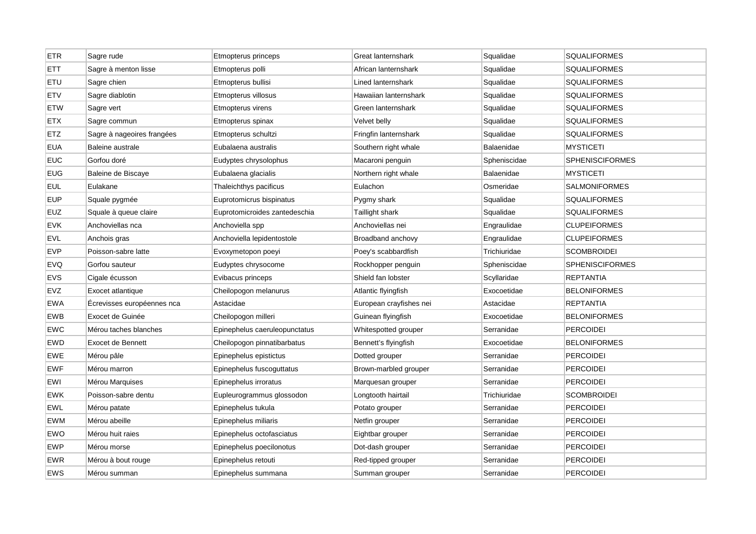| <b>ETR</b> | Sagre rude                 | Etmopterus princeps           | Great lanternshark      | Squalidae         | <b>SQUALIFORMES</b>    |
|------------|----------------------------|-------------------------------|-------------------------|-------------------|------------------------|
| <b>ETT</b> | Sagre à menton lisse       | Etmopterus polli              | African lanternshark    | Squalidae         | <b>SQUALIFORMES</b>    |
| ETU        | Sagre chien                | Etmopterus bullisi            | Lined lanternshark      | Squalidae         | <b>SQUALIFORMES</b>    |
| <b>ETV</b> | Sagre diablotin            | Etmopterus villosus           | Hawaiian lanternshark   | Squalidae         | <b>SQUALIFORMES</b>    |
| <b>ETW</b> | Sagre vert                 | Etmopterus virens             | Green lanternshark      | Squalidae         | <b>SQUALIFORMES</b>    |
| <b>ETX</b> | Sagre commun               | Etmopterus spinax             | Velvet belly            | Squalidae         | <b>SQUALIFORMES</b>    |
| <b>ETZ</b> | Sagre à nageoires frangées | Etmopterus schultzi           | Fringfin lanternshark   | Squalidae         | <b>SQUALIFORMES</b>    |
| <b>EUA</b> | Baleine australe           | Eubalaena australis           | Southern right whale    | Balaenidae        | <b>MYSTICETI</b>       |
| <b>EUC</b> | Gorfou doré                | Eudyptes chrysolophus         | Macaroni penguin        | Spheniscidae      | <b>SPHENISCIFORMES</b> |
| <b>EUG</b> | Baleine de Biscaye         | Eubalaena glacialis           | Northern right whale    | <b>Balaenidae</b> | <b>MYSTICETI</b>       |
| <b>EUL</b> | Eulakane                   | Thaleichthys pacificus        | Eulachon                | Osmeridae         | <b>SALMONIFORMES</b>   |
| <b>EUP</b> | Squale pygmée              | Euprotomicrus bispinatus      | Pygmy shark             | Squalidae         | <b>SQUALIFORMES</b>    |
| <b>EUZ</b> | Squale à queue claire      | Euprotomicroides zantedeschia | Taillight shark         | Squalidae         | <b>SQUALIFORMES</b>    |
| <b>EVK</b> | Anchoviellas nca           | Anchoviella spp               | Anchoviellas nei        | Engraulidae       | <b>CLUPEIFORMES</b>    |
| <b>EVL</b> | Anchois gras               | Anchoviella lepidentostole    | Broadband anchovy       | Engraulidae       | <b>CLUPEIFORMES</b>    |
| <b>EVP</b> | Poisson-sabre latte        | Evoxymetopon poeyi            | Poey's scabbardfish     | Trichiuridae      | <b>SCOMBROIDEI</b>     |
| <b>EVQ</b> | Gorfou sauteur             | Eudyptes chrysocome           | Rockhopper penguin      | Spheniscidae      | <b>SPHENISCIFORMES</b> |
| <b>EVS</b> | Cigale écusson             | Evibacus princeps             | Shield fan lobster      | Scyllaridae       | <b>REPTANTIA</b>       |
| <b>EVZ</b> | Exocet atlantique          | Cheilopogon melanurus         | Atlantic flyingfish     | Exocoetidae       | <b>BELONIFORMES</b>    |
| <b>EWA</b> | Ecrevisses européennes nca | Astacidae                     | European crayfishes nei | Astacidae         | <b>REPTANTIA</b>       |
| <b>EWB</b> | Exocet de Guinée           | Cheilopogon milleri           | Guinean flyingfish      | Exocoetidae       | <b>BELONIFORMES</b>    |
| EWC        | Mérou taches blanches      | Epinephelus caeruleopunctatus | Whitespotted grouper    | Serranidae        | <b>PERCOIDEI</b>       |
| EWD        | Exocet de Bennett          | Cheilopogon pinnatibarbatus   | Bennett's flyingfish    | Exocoetidae       | <b>BELONIFORMES</b>    |
| <b>EWE</b> | Mérou pâle                 | Epinephelus epistictus        | Dotted grouper          | Serranidae        | <b>PERCOIDEI</b>       |
| <b>EWF</b> | Mérou marron               | Epinephelus fuscoguttatus     | Brown-marbled grouper   | Serranidae        | PERCOIDEI              |
| <b>EWI</b> | Mérou Marquises            | Epinephelus irroratus         | Marquesan grouper       | Serranidae        | <b>PERCOIDEI</b>       |
| EWK        | Poisson-sabre dentu        | Eupleurogrammus glossodon     | Longtooth hairtail      | Trichiuridae      | <b>SCOMBROIDEI</b>     |
| <b>EWL</b> | Mérou patate               | Epinephelus tukula            | Potato grouper          | Serranidae        | <b>PERCOIDEI</b>       |
| <b>EWM</b> | Mérou abeille              | Epinephelus miliaris          | Netfin grouper          | Serranidae        | <b>PERCOIDEI</b>       |
| EWO        | Mérou huit raies           | Epinephelus octofasciatus     | Eightbar grouper        | Serranidae        | <b>PERCOIDEI</b>       |
| <b>EWP</b> | Mérou morse                | Epinephelus poecilonotus      | Dot-dash grouper        | Serranidae        | <b>PERCOIDEI</b>       |
| <b>EWR</b> | Mérou à bout rouge         | Epinephelus retouti           | Red-tipped grouper      | Serranidae        | PERCOIDEI              |
| <b>EWS</b> | Mérou summan               | Epinephelus summana           | Summan grouper          | Serranidae        | <b>PERCOIDEI</b>       |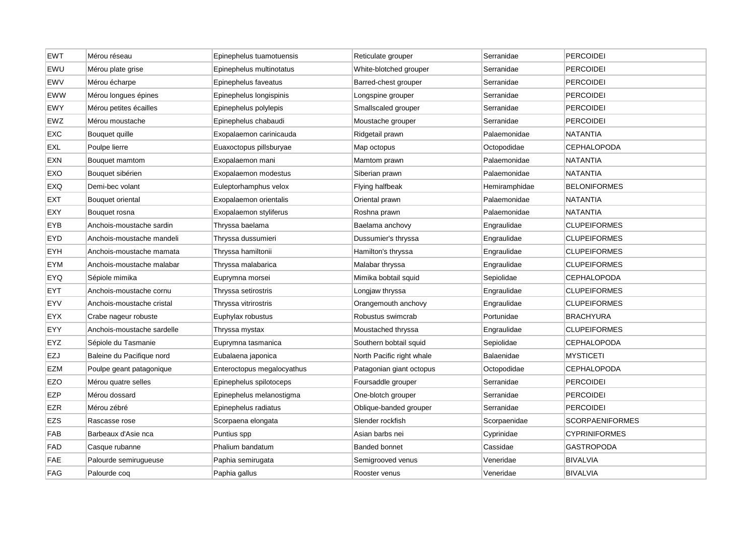| <b>EWT</b> | Mérou réseau               | Epinephelus tuamotuensis   | Reticulate grouper        | Serranidae    | <b>PERCOIDEI</b>       |
|------------|----------------------------|----------------------------|---------------------------|---------------|------------------------|
| EWU        | Mérou plate grise          | Epinephelus multinotatus   | White-blotched grouper    | Serranidae    | PERCOIDEI              |
| <b>EWV</b> | Mérou écharpe              | Epinephelus faveatus       | Barred-chest grouper      | Serranidae    | <b>PERCOIDEI</b>       |
| <b>EWW</b> | Mérou longues épines       | Epinephelus longispinis    | Longspine grouper         | Serranidae    | <b>PERCOIDEI</b>       |
| <b>EWY</b> | Mérou petites écailles     | Epinephelus polylepis      | Smallscaled grouper       | Serranidae    | <b>PERCOIDEI</b>       |
| EWZ        | Mérou moustache            | Epinephelus chabaudi       | Moustache grouper         | Serranidae    | <b>PERCOIDEI</b>       |
| <b>EXC</b> | Bouquet quille             | Exopalaemon carinicauda    | Ridgetail prawn           | Palaemonidae  | NATANTIA               |
| <b>EXL</b> | Poulpe lierre              | Euaxoctopus pillsburyae    | Map octopus               | Octopodidae   | <b>CEPHALOPODA</b>     |
| <b>EXN</b> | Bouquet mamtom             | Exopalaemon mani           | Mamtom prawn              | Palaemonidae  | <b>NATANTIA</b>        |
| EXO        | Bouquet sibérien           | Exopalaemon modestus       | Siberian prawn            | Palaemonidae  | <b>NATANTIA</b>        |
| EXQ        | Demi-bec volant            | Euleptorhamphus velox      | Flying halfbeak           | Hemiramphidae | <b>BELONIFORMES</b>    |
| <b>EXT</b> | Bouquet oriental           | Exopalaemon orientalis     | Oriental prawn            | Palaemonidae  | <b>NATANTIA</b>        |
| EXY        | Bouquet rosna              | Exopalaemon styliferus     | Roshna prawn              | Palaemonidae  | <b>NATANTIA</b>        |
| EYB        | Anchois-moustache sardin   | Thryssa baelama            | Baelama anchovy           | Engraulidae   | <b>CLUPEIFORMES</b>    |
| <b>EYD</b> | Anchois-moustache mandeli  | Thryssa dussumieri         | Dussumier's thryssa       | Engraulidae   | <b>CLUPEIFORMES</b>    |
| EYH        | Anchois-moustache mamata   | Thryssa hamiltonii         | Hamilton's thryssa        | Engraulidae   | <b>CLUPEIFORMES</b>    |
| <b>EYM</b> | Anchois-moustache malabar  | Thryssa malabarica         | Malabar thryssa           | Engraulidae   | <b>CLUPEIFORMES</b>    |
| EYQ        | Sépiole mimika             | Euprymna morsei            | Mimika bobtail squid      | Sepiolidae    | <b>CEPHALOPODA</b>     |
| <b>EYT</b> | Anchois-moustache cornu    | Thryssa setirostris        | Longjaw thryssa           | Engraulidae   | <b>CLUPEIFORMES</b>    |
| EYV        | Anchois-moustache cristal  | Thryssa vitrirostris       | Orangemouth anchovy       | Engraulidae   | <b>CLUPEIFORMES</b>    |
| <b>EYX</b> | Crabe nageur robuste       | Euphylax robustus          | Robustus swimcrab         | Portunidae    | <b>BRACHYURA</b>       |
| EYY        | Anchois-moustache sardelle | Thryssa mystax             | Moustached thryssa        | Engraulidae   | <b>CLUPEIFORMES</b>    |
| EYZ        | Sépiole du Tasmanie        | Euprymna tasmanica         | Southern bobtail squid    | Sepiolidae    | <b>CEPHALOPODA</b>     |
| EZJ        | Baleine du Pacifique nord  | Eubalaena japonica         | North Pacific right whale | Balaenidae    | <b>MYSTICETI</b>       |
| <b>EZM</b> | Poulpe geant patagonique   | Enteroctopus megalocyathus | Patagonian giant octopus  | Octopodidae   | <b>CEPHALOPODA</b>     |
| <b>EZO</b> | Mérou quatre selles        | Epinephelus spilotoceps    | Foursaddle grouper        | Serranidae    | <b>PERCOIDEI</b>       |
| <b>EZP</b> | Mérou dossard              | Epinephelus melanostigma   | One-blotch grouper        | Serranidae    | PERCOIDEI              |
| <b>EZR</b> | Mérou zébré                | Epinephelus radiatus       | Oblique-banded grouper    | Serranidae    | <b>PERCOIDEI</b>       |
| <b>EZS</b> | Rascasse rose              | Scorpaena elongata         | Slender rockfish          | Scorpaenidae  | <b>SCORPAENIFORMES</b> |
| <b>FAB</b> | Barbeaux d'Asie nca        | Puntius spp                | Asian barbs nei           | Cyprinidae    | <b>CYPRINIFORMES</b>   |
| <b>FAD</b> | Casque rubanne             | Phalium bandatum           | <b>Banded bonnet</b>      | Cassidae      | <b>GASTROPODA</b>      |
| <b>FAE</b> | Palourde semirugueuse      | Paphia semirugata          | Semigrooved venus         | Veneridae     | <b>BIVALVIA</b>        |
| <b>FAG</b> | Palourde cog               | Paphia gallus              | Rooster venus             | Veneridae     | <b>BIVALVIA</b>        |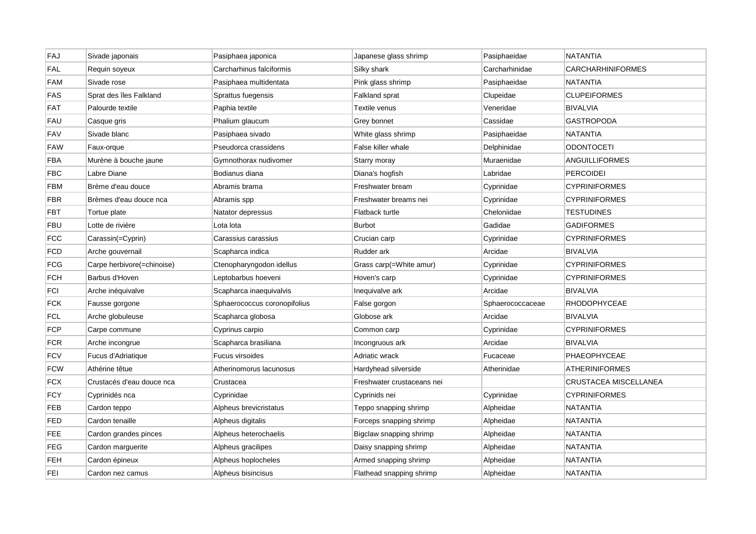| FAJ        | Sivade japonais            | Pasiphaea japonica           | Japanese glass shrimp      | Pasiphaeidae     | <b>NATANTIA</b>       |
|------------|----------------------------|------------------------------|----------------------------|------------------|-----------------------|
| FAL        | Requin soyeux              | Carcharhinus falciformis     | Silky shark                | Carcharhinidae   | CARCHARHINIFORMES     |
| <b>FAM</b> | Sivade rose                | Pasiphaea multidentata       | Pink glass shrimp          | Pasiphaeidae     | <b>NATANTIA</b>       |
| FAS        | Sprat des îles Falkland    | Sprattus fuegensis           | Falkland sprat             | Clupeidae        | <b>CLUPEIFORMES</b>   |
| <b>FAT</b> | Palourde textile           | Paphia textile               | Textile venus              | Veneridae        | <b>BIVALVIA</b>       |
| FAU        | Casque gris                | Phalium glaucum              | Grey bonnet                | Cassidae         | GASTROPODA            |
| <b>FAV</b> | Sivade blanc               | Pasiphaea sivado             | White glass shrimp         | Pasiphaeidae     | <b>NATANTIA</b>       |
| FAW        | Faux-orque                 | Pseudorca crassidens         | False killer whale         | Delphinidae      | ODONTOCETI            |
| FBA        | Murène à bouche jaune      | Gymnothorax nudivomer        | Starry moray               | Muraenidae       | ANGUILLIFORMES        |
| <b>FBC</b> | Labre Diane                | Bodianus diana               | Diana's hogfish            | Labridae         | <b>PERCOIDEI</b>      |
| FBM        | Brème d'eau douce          | Abramis brama                | Freshwater bream           | Cyprinidae       | <b>CYPRINIFORMES</b>  |
| FBR        | Brèmes d'eau douce nca     | Abramis spp                  | Freshwater breams nei      | Cyprinidae       | <b>CYPRINIFORMES</b>  |
| <b>FBT</b> | Tortue plate               | Natator depressus            | Flatback turtle            | Cheloniidae      | <b>TESTUDINES</b>     |
| <b>FBU</b> | Lotte de rivière           | Lota lota                    | <b>Burbot</b>              | Gadidae          | <b>GADIFORMES</b>     |
| FCC        | Carassin(=Cyprin)          | Carassius carassius          | Crucian carp               | Cyprinidae       | <b>CYPRINIFORMES</b>  |
| FCD        | Arche gouvernail           | Scapharca indica             | Rudder ark                 | Arcidae          | <b>BIVALVIA</b>       |
| FCG        | Carpe herbivore(=chinoise) | Ctenopharyngodon idellus     | Grass carp(=White amur)    | Cyprinidae       | <b>CYPRINIFORMES</b>  |
| FCH        | Barbus d'Hoven             | Leptobarbus hoeveni          | Hoven's carp               | Cyprinidae       | <b>CYPRINIFORMES</b>  |
| FCI        | Arche inéquivalve          | Scapharca inaequivalvis      | Inequivalve ark            | Arcidae          | <b>BIVALVIA</b>       |
| FCK        | Fausse gorgone             | Sphaerococcus coronopifolius | False gorgon               | Sphaerococcaceae | <b>RHODOPHYCEAE</b>   |
| FCL        | Arche globuleuse           | Scapharca globosa            | Globose ark                | Arcidae          | <b>BIVALVIA</b>       |
| <b>FCP</b> | Carpe commune              | Cyprinus carpio              | Common carp                | Cyprinidae       | <b>CYPRINIFORMES</b>  |
| FCR        | Arche incongrue            | Scapharca brasiliana         | Incongruous ark            | Arcidae          | <b>BIVALVIA</b>       |
| <b>FCV</b> | Fucus d'Adriatique         | <b>Fucus virsoides</b>       | Adriatic wrack             | Fucaceae         | <b>PHAEOPHYCEAE</b>   |
| <b>FCW</b> | Athérine têtue             | Atherinomorus lacunosus      | Hardyhead silverside       | Atherinidae      | <b>ATHERINIFORMES</b> |
| <b>FCX</b> | Crustacés d'eau douce nca  | Crustacea                    | Freshwater crustaceans nei |                  | CRUSTACEA MISCELLANEA |
| <b>FCY</b> | Cyprinidés nca             | Cyprinidae                   | Cyprinids nei              | Cyprinidae       | <b>CYPRINIFORMES</b>  |
| <b>FEB</b> | Cardon teppo               | Alpheus brevicristatus       | Teppo snapping shrimp      | Alpheidae        | <b>NATANTIA</b>       |
| <b>FED</b> | Cardon tenaille            | Alpheus digitalis            | Forceps snapping shrimp    | Alpheidae        | <b>NATANTIA</b>       |
| FEE        | Cardon grandes pinces      | Alpheus heterochaelis        | Bigclaw snapping shrimp    | Alpheidae        | NATANTIA              |
| FEG        | Cardon marguerite          | Alpheus gracilipes           | Daisy snapping shrimp      | Alpheidae        | <b>NATANTIA</b>       |
| FEH        | Cardon épineux             | Alpheus hoplocheles          | Armed snapping shrimp      | Alpheidae        | NATANTIA              |
| <b>FEI</b> | Cardon nez camus           | Alpheus bisincisus           | Flathead snapping shrimp   | Alpheidae        | <b>NATANTIA</b>       |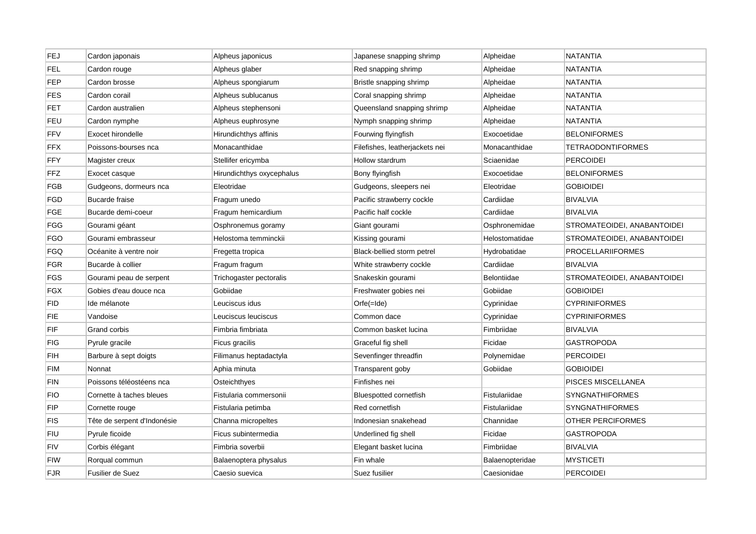| FEJ        | Cardon japonais             | Alpheus japonicus         | Japanese snapping shrimp       | Alpheidae          | NATANTIA                    |
|------------|-----------------------------|---------------------------|--------------------------------|--------------------|-----------------------------|
| <b>FEL</b> | Cardon rouge                | Alpheus glaber            | Red snapping shrimp            | Alpheidae          | <b>NATANTIA</b>             |
| <b>FEP</b> | Cardon brosse               | Alpheus spongiarum        | Bristle snapping shrimp        | Alpheidae          | <b>NATANTIA</b>             |
| FES        | Cardon corail               | Alpheus sublucanus        | Coral snapping shrimp          | Alpheidae          | <b>NATANTIA</b>             |
| <b>FET</b> | Cardon australien           | Alpheus stephensoni       | Queensland snapping shrimp     | Alpheidae          | <b>NATANTIA</b>             |
| <b>FEU</b> | Cardon nymphe               | Alpheus euphrosyne        | Nymph snapping shrimp          | Alpheidae          | NATANTIA                    |
| <b>FFV</b> | Exocet hirondelle           | Hirundichthys affinis     | Fourwing flyingfish            | Exocoetidae        | <b>BELONIFORMES</b>         |
| FFX        | Poissons-bourses nca        | Monacanthidae             | Filefishes, leatherjackets nei | Monacanthidae      | <b>TETRAODONTIFORMES</b>    |
| <b>FFY</b> | Magister creux              | Stellifer ericymba        | Hollow stardrum                | Sciaenidae         | <b>PERCOIDEI</b>            |
| <b>FFZ</b> | Exocet casque               | Hirundichthys oxycephalus | Bony flyingfish                | Exocoetidae        | <b>BELONIFORMES</b>         |
| <b>FGB</b> | Gudgeons, dormeurs nca      | Eleotridae                | Gudgeons, sleepers nei         | Eleotridae         | <b>GOBIOIDEI</b>            |
| <b>FGD</b> | <b>Bucarde fraise</b>       | Fragum unedo              | Pacific strawberry cockle      | Cardiidae          | <b>BIVALVIA</b>             |
| <b>FGE</b> | Bucarde demi-coeur          | Fragum hemicardium        | Pacific half cockle            | Cardiidae          | <b>BIVALVIA</b>             |
| <b>FGG</b> | Gourami géant               | Osphronemus goramy        | Giant gourami                  | Osphronemidae      | STROMATEOIDEI, ANABANTOIDEI |
| <b>FGO</b> | Gourami embrasseur          | Helostoma temminckii      | Kissing gourami                | Helostomatidae     | STROMATEOIDEI, ANABANTOIDEI |
| <b>FGQ</b> | Océanite à ventre noir      | Fregetta tropica          | Black-bellied storm petrel     | Hydrobatidae       | <b>PROCELLARIIFORMES</b>    |
| <b>FGR</b> | Bucarde à collier           | Fragum fragum             | White strawberry cockle        | Cardiidae          | <b>BIVALVIA</b>             |
| <b>FGS</b> | Gourami peau de serpent     | Trichogaster pectoralis   | Snakeskin gourami              | <b>Belontiidae</b> | STROMATEOIDEI, ANABANTOIDEI |
| <b>FGX</b> | Gobies d'eau douce nca      | Gobiidae                  | Freshwater gobies nei          | Gobiidae           | <b>GOBIOIDEI</b>            |
| FID        | Ide mélanote                | Leuciscus idus            | $Orfe( =  de)$                 | Cyprinidae         | <b>CYPRINIFORMES</b>        |
| FIE        | Vandoise                    | Leuciscus leuciscus       | Common dace                    | Cyprinidae         | <b>CYPRINIFORMES</b>        |
| FIF        | Grand corbis                | Fimbria fimbriata         | Common basket lucina           | Fimbriidae         | <b>BIVALVIA</b>             |
| <b>FIG</b> | Pyrule gracile              | Ficus gracilis            | Graceful fig shell             | Ficidae            | <b>GASTROPODA</b>           |
| <b>FIH</b> | Barbure à sept doigts       | Filimanus heptadactyla    | Sevenfinger threadfin          | Polynemidae        | <b>PERCOIDEI</b>            |
| <b>FIM</b> | Nonnat                      | Aphia minuta              | Transparent goby               | Gobiidae           | <b>GOBIOIDEI</b>            |
| <b>FIN</b> | Poissons téléostéens nca    | Osteichthyes              | Finfishes nei                  |                    | PISCES MISCELLANEA          |
| <b>FIO</b> | Cornette à taches bleues    | Fistularia commersonii    | <b>Bluespotted cornetfish</b>  | Fistulariidae      | <b>SYNGNATHIFORMES</b>      |
| <b>FIP</b> | Cornette rouge              | Fistularia petimba        | Red cornetfish                 | Fistulariidae      | <b>SYNGNATHIFORMES</b>      |
| <b>FIS</b> | Tête de serpent d'Indonésie | Channa micropeltes        | Indonesian snakehead           | Channidae          | OTHER PERCIFORMES           |
| FIU        | Pyrule ficoide              | Ficus subintermedia       | Underlined fig shell           | Ficidae            | <b>GASTROPODA</b>           |
| FIV        | Corbis élégant              | Fimbria soverbii          | Elegant basket lucina          | Fimbriidae         | BIVALVIA                    |
| <b>FIW</b> | Rorqual commun              | Balaenoptera physalus     | Fin whale                      | Balaenopteridae    | <b>MYSTICETI</b>            |
| <b>FJR</b> | Fusilier de Suez            | Caesio suevica            | Suez fusilier                  | Caesionidae        | <b>PERCOIDEI</b>            |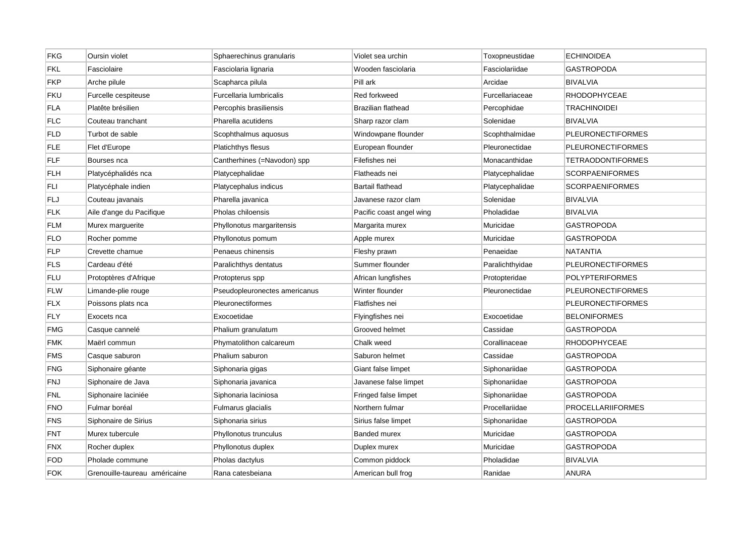| <b>FKG</b> | Oursin violet                 | Sphaerechinus granularis      | Violet sea urchin         | Toxopneustidae  | <b>ECHINOIDEA</b>        |
|------------|-------------------------------|-------------------------------|---------------------------|-----------------|--------------------------|
| <b>FKL</b> | Fasciolaire                   | Fasciolaria lignaria          | Wooden fasciolaria        | Fasciolariidae  | GASTROPODA               |
| <b>FKP</b> | Arche pilule                  | Scapharca pilula              | Pill ark                  | Arcidae         | <b>BIVALVIA</b>          |
| <b>FKU</b> | Furcelle cespiteuse           | Furcellaria lumbricalis       | Red forkweed              | Furcellariaceae | <b>RHODOPHYCEAE</b>      |
| <b>FLA</b> | Platête brésilien             | Percophis brasiliensis        | <b>Brazilian flathead</b> | Percophidae     | TRACHINOIDEI             |
| <b>FLC</b> | Couteau tranchant             | Pharella acutidens            | Sharp razor clam          | Solenidae       | <b>BIVALVIA</b>          |
| FLD        | Turbot de sable               | Scophthalmus aquosus          | Windowpane flounder       | Scophthalmidae  | <b>PLEURONECTIFORMES</b> |
| <b>FLE</b> | Flet d'Europe                 | <b>Platichthys flesus</b>     | European flounder         | Pleuronectidae  | <b>PLEURONECTIFORMES</b> |
| <b>FLF</b> | Bourses nca                   | Cantherhines (=Navodon) spp   | Filefishes nei            | Monacanthidae   | <b>TETRAODONTIFORMES</b> |
| <b>FLH</b> | Platycéphalidés nca           | Platycephalidae               | Flatheads nei             | Platycephalidae | <b>SCORPAENIFORMES</b>   |
| FLI        | Platycéphale indien           | Platycephalus indicus         | Bartail flathead          | Platycephalidae | <b>SCORPAENIFORMES</b>   |
| <b>FLJ</b> | Couteau javanais              | Pharella javanica             | Javanese razor clam       | Solenidae       | <b>BIVALVIA</b>          |
| <b>FLK</b> | Aile d'ange du Pacifique      | Pholas chiloensis             | Pacific coast angel wing  | Pholadidae      | <b>BIVALVIA</b>          |
| <b>FLM</b> | Murex marguerite              | Phyllonotus margaritensis     | Margarita murex           | Muricidae       | <b>GASTROPODA</b>        |
| <b>FLO</b> | Rocher pomme                  | Phyllonotus pomum             | Apple murex               | Muricidae       | <b>GASTROPODA</b>        |
| <b>FLP</b> | Crevette charnue              | Penaeus chinensis             | Fleshy prawn              | Penaeidae       | <b>NATANTIA</b>          |
| <b>FLS</b> | Cardeau d'été                 | Paralichthys dentatus         | Summer flounder           | Paralichthyidae | <b>PLEURONECTIFORMES</b> |
| <b>FLU</b> | Protoptères d'Afrique         | Protopterus spp               | African lungfishes        | Protopteridae   | <b>POLYPTERIFORMES</b>   |
| <b>FLW</b> | Limande-plie rouge            | Pseudopleuronectes americanus | Winter flounder           | Pleuronectidae  | <b>PLEURONECTIFORMES</b> |
| <b>FLX</b> | Poissons plats nca            | Pleuronectiformes             | Flatfishes nei            |                 | <b>PLEURONECTIFORMES</b> |
| <b>FLY</b> | Exocets nca                   | Exocoetidae                   | Flyingfishes nei          | Exocoetidae     | <b>BELONIFORMES</b>      |
| <b>FMG</b> | Casque cannelé                | Phalium granulatum            | Grooved helmet            | Cassidae        | <b>GASTROPODA</b>        |
| <b>FMK</b> | Maërl commun                  | Phymatolithon calcareum       | Chalk weed                | Corallinaceae   | RHODOPHYCEAE             |
| <b>FMS</b> | Casque saburon                | Phalium saburon               | Saburon helmet            | Cassidae        | GASTROPODA               |
| <b>FNG</b> | Siphonaire géante             | Siphonaria gigas              | Giant false limpet        | Siphonariidae   | <b>GASTROPODA</b>        |
| <b>FNJ</b> | Siphonaire de Java            | Siphonaria javanica           | Javanese false limpet     | Siphonariidae   | GASTROPODA               |
| <b>FNL</b> | Siphonaire laciniée           | Siphonaria laciniosa          | Fringed false limpet      | Siphonariidae   | <b>GASTROPODA</b>        |
| <b>FNO</b> | Fulmar boréal                 | Fulmarus glacialis            | Northern fulmar           | Procellariidae  | <b>PROCELLARIIFORMES</b> |
| <b>FNS</b> | Siphonaire de Sirius          | Siphonaria sirius             | Sirius false limpet       | Siphonariidae   | <b>GASTROPODA</b>        |
| <b>FNT</b> | Murex tubercule               | Phyllonotus trunculus         | Banded murex              | Muricidae       | GASTROPODA               |
| <b>FNX</b> | Rocher duplex                 | Phyllonotus duplex            | Duplex murex              | Muricidae       | <b>GASTROPODA</b>        |
| <b>FOD</b> | Pholade commune               | Pholas dactylus               | Common piddock            | Pholadidae      | <b>BIVALVIA</b>          |
| <b>FOK</b> | Grenouille-taureau américaine | Rana catesbeiana              | American bull frog        | Ranidae         | <b>ANURA</b>             |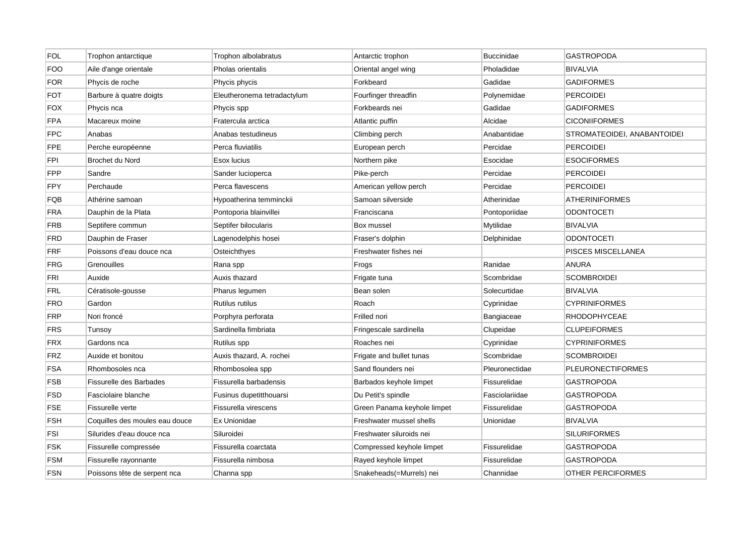| <b>FOL</b> | Trophon antarctique            | Trophon albolabratus        | Antarctic trophon           | <b>Buccinidae</b> | <b>GASTROPODA</b>           |
|------------|--------------------------------|-----------------------------|-----------------------------|-------------------|-----------------------------|
| <b>FOO</b> | Aile d'ange orientale          | Pholas orientalis           | Oriental angel wing         | Pholadidae        | <b>BIVALVIA</b>             |
| <b>FOR</b> | Phycis de roche                | Phycis phycis               | Forkbeard                   | Gadidae           | <b>GADIFORMES</b>           |
| FOT        | Barbure à quatre doigts        | Eleutheronema tetradactylum | Fourfinger threadfin        | Polynemidae       | PERCOIDEI                   |
| <b>FOX</b> | Phycis nca                     | Phycis spp                  | Forkbeards nei              | Gadidae           | <b>GADIFORMES</b>           |
| <b>FPA</b> | Macareux moine                 | Fratercula arctica          | Atlantic puffin             | Alcidae           | <b>CICONIIFORMES</b>        |
| <b>FPC</b> | Anabas                         | Anabas testudineus          | Climbing perch              | Anabantidae       | STROMATEOIDEI, ANABANTOIDEI |
| <b>FPE</b> | Perche européenne              | Perca fluviatilis           | European perch              | Percidae          | <b>PERCOIDEI</b>            |
| <b>FPI</b> | <b>Brochet du Nord</b>         | Esox lucius                 | Northern pike               | Esocidae          | <b>ESOCIFORMES</b>          |
| <b>FPP</b> | Sandre                         | Sander lucioperca           | Pike-perch                  | Percidae          | PERCOIDEI                   |
| <b>FPY</b> | Perchaude                      | Perca flavescens            | American yellow perch       | Percidae          | <b>PERCOIDEI</b>            |
| FQB        | Athérine samoan                | Hypoatherina temminckii     | Samoan silverside           | Atherinidae       | <b>ATHERINIFORMES</b>       |
| <b>FRA</b> | Dauphin de la Plata            | Pontoporia blainvillei      | Franciscana                 | Pontoporiidae     | <b>ODONTOCETI</b>           |
| <b>FRB</b> | Septifere commun               | Septifer bilocularis        | Box mussel                  | Mytilidae         | <b>BIVALVIA</b>             |
| <b>FRD</b> | Dauphin de Fraser              | Lagenodelphis hosei         | Fraser's dolphin            | Delphinidae       | <b>ODONTOCETI</b>           |
| <b>FRF</b> | Poissons d'eau douce nca       | Osteichthyes                | Freshwater fishes nei       |                   | PISCES MISCELLANEA          |
| <b>FRG</b> | Grenouilles                    | Rana spp                    | Frogs                       | Ranidae           | <b>ANURA</b>                |
| FRI        | Auxide                         | Auxis thazard               | Frigate tuna                | Scombridae        | <b>SCOMBROIDEI</b>          |
| <b>FRL</b> | Cératisole-gousse              | Pharus legumen              | Bean solen                  | Solecurtidae      | <b>BIVALVIA</b>             |
| <b>FRO</b> | Gardon                         | Rutilus rutilus             | Roach                       | Cyprinidae        | <b>CYPRINIFORMES</b>        |
| <b>FRP</b> | Nori froncé                    | Porphyra perforata          | Frilled nori                | Bangiaceae        | <b>RHODOPHYCEAE</b>         |
| <b>FRS</b> | Tunsoy                         | Sardinella fimbriata        | Fringescale sardinella      | Clupeidae         | <b>CLUPEIFORMES</b>         |
| <b>FRX</b> | Gardons nca                    | Rutilus spp                 | Roaches nei                 | Cyprinidae        | <b>CYPRINIFORMES</b>        |
| <b>FRZ</b> | Auxide et bonitou              | Auxis thazard, A. rochei    | Frigate and bullet tunas    | Scombridae        | <b>SCOMBROIDEI</b>          |
| <b>FSA</b> | Rhombosoles nca                | Rhombosolea spp             | Sand flounders nei          | Pleuronectidae    | <b>PLEURONECTIFORMES</b>    |
| <b>FSB</b> | Fissurelle des Barbades        | Fissurella barbadensis      | Barbados keyhole limpet     | Fissurelidae      | GASTROPODA                  |
| <b>FSD</b> | Fasciolaire blanche            | Fusinus dupetitthouarsi     | Du Petit's spindle          | Fasciolariidae    | <b>GASTROPODA</b>           |
| <b>FSE</b> | Fissurelle verte               | Fissurella virescens        | Green Panama keyhole limpet | Fissurelidae      | <b>GASTROPODA</b>           |
| <b>FSH</b> | Coquilles des moules eau douce | Ex Unionidae                | Freshwater mussel shells    | Unionidae         | <b>BIVALVIA</b>             |
| FSI        | Silurides d'eau douce nca      | Siluroidei                  | Freshwater siluroids nei    |                   | <b>SILURIFORMES</b>         |
| <b>FSK</b> | Fissurelle compressée          | Fissurella coarctata        | Compressed keyhole limpet   | Fissurelidae      | <b>GASTROPODA</b>           |
| <b>FSM</b> | Fissurelle rayonnante          | Fissurella nimbosa          | Rayed keyhole limpet        | Fissurelidae      | <b>GASTROPODA</b>           |
| <b>FSN</b> | Poissons tête de serpent nca   | Channa spp                  | Snakeheads(=Murrels) nei    | Channidae         | <b>OTHER PERCIFORMES</b>    |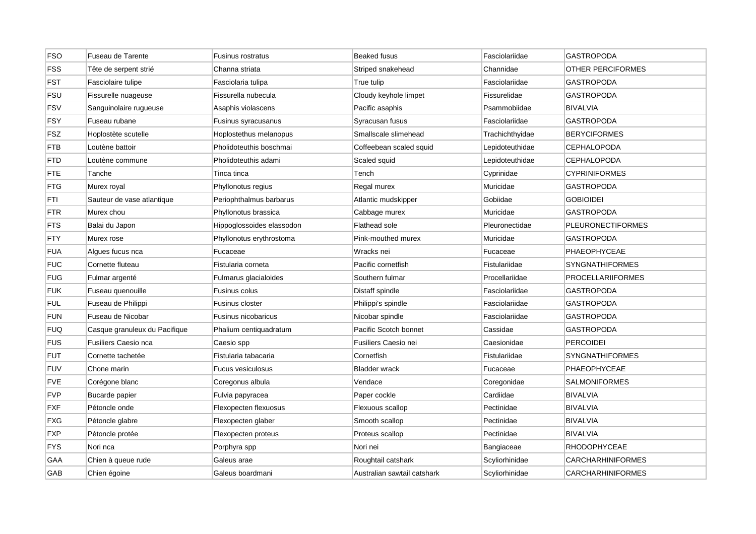| <b>FSO</b> | Fuseau de Tarente             | Fusinus rostratus         | <b>Beaked fusus</b>         | Fasciolariidae  | <b>GASTROPODA</b>        |
|------------|-------------------------------|---------------------------|-----------------------------|-----------------|--------------------------|
| <b>FSS</b> | Tête de serpent strié         | Channa striata            | Striped snakehead           | Channidae       | <b>OTHER PERCIFORMES</b> |
| <b>FST</b> | Fasciolaire tulipe            | Fasciolaria tulipa        | True tulip                  | Fasciolariidae  | <b>GASTROPODA</b>        |
| <b>FSU</b> | Fissurelle nuageuse           | Fissurella nubecula       | Cloudy keyhole limpet       | Fissurelidae    | GASTROPODA               |
| <b>FSV</b> | Sanguinolaire rugueuse        | Asaphis violascens        | Pacific asaphis             | Psammobiidae    | <b>BIVALVIA</b>          |
| <b>FSY</b> | Fuseau rubane                 | Fusinus syracusanus       | Syracusan fusus             | Fasciolariidae  | <b>GASTROPODA</b>        |
| <b>FSZ</b> | Hoplostète scutelle           | Hoplostethus melanopus    | Smallscale slimehead        | Trachichthyidae | <b>BERYCIFORMES</b>      |
| FTB        | Loutène battoir               | Pholidoteuthis boschmai   | Coffeebean scaled squid     | Lepidoteuthidae | CEPHALOPODA              |
| FTD        | Loutène commune               | Pholidoteuthis adami      | Scaled squid                | Lepidoteuthidae | <b>CEPHALOPODA</b>       |
| FTE        | Tanche                        | Tinca tinca               | Tench                       | Cyprinidae      | <b>CYPRINIFORMES</b>     |
| FTG        | Murex royal                   | Phyllonotus regius        | Regal murex                 | Muricidae       | <b>GASTROPODA</b>        |
| FTI        | Sauteur de vase atlantique    | Periophthalmus barbarus   | Atlantic mudskipper         | Gobiidae        | <b>GOBIOIDEI</b>         |
| FTR        | Murex chou                    | Phyllonotus brassica      | Cabbage murex               | Muricidae       | <b>GASTROPODA</b>        |
| FTS        | Balai du Japon                | Hippoglossoides elassodon | Flathead sole               | Pleuronectidae  | <b>PLEURONECTIFORMES</b> |
| FTY        | Murex rose                    | Phyllonotus erythrostoma  | Pink-mouthed murex          | Muricidae       | GASTROPODA               |
| FUA        | Algues fucus nca              | Fucaceae                  | Wracks nei                  | Fucaceae        | PHAEOPHYCEAE             |
| <b>FUC</b> | Cornette fluteau              | Fistularia corneta        | Pacific cornetfish          | Fistulariidae   | SYNGNATHIFORMES          |
| <b>FUG</b> | Fulmar argenté                | Fulmarus glacialoides     | Southern fulmar             | Procellariidae  | <b>PROCELLARIIFORMES</b> |
| <b>FUK</b> | Fuseau quenouille             | Fusinus colus             | Distaff spindle             | Fasciolariidae  | GASTROPODA               |
| <b>FUL</b> | Fuseau de Philippi            | Fusinus closter           | Philippi's spindle          | Fasciolariidae  | <b>GASTROPODA</b>        |
| <b>FUN</b> | Fuseau de Nicobar             | Fusinus nicobaricus       | Nicobar spindle             | Fasciolariidae  | <b>GASTROPODA</b>        |
| <b>FUQ</b> | Casque granuleux du Pacifique | Phalium centiquadratum    | Pacific Scotch bonnet       | Cassidae        | <b>GASTROPODA</b>        |
| <b>FUS</b> | <b>Fusiliers Caesio nca</b>   | Caesio spp                | Fusiliers Caesio nei        | Caesionidae     | <b>PERCOIDEI</b>         |
| FUT        | Cornette tachetée             | Fistularia tabacaria      | Cornetfish                  | Fistulariidae   | <b>SYNGNATHIFORMES</b>   |
| <b>FUV</b> | Chone marin                   | <b>Fucus vesiculosus</b>  | <b>Bladder wrack</b>        | Fucaceae        | PHAEOPHYCEAE             |
| FVE        | Corégone blanc                | Coregonus albula          | Vendace                     | Coregonidae     | SALMONIFORMES            |
| <b>FVP</b> | Bucarde papier                | Fulvia papyracea          | Paper cockle                | Cardiidae       | <b>BIVALVIA</b>          |
| FXF        | Pétoncle onde                 | Flexopecten flexuosus     | Flexuous scallop            | Pectinidae      | <b>BIVALVIA</b>          |
| FXG        | Pétoncle glabre               | Flexopecten glaber        | Smooth scallop              | Pectinidae      | <b>BIVALVIA</b>          |
| FXP        | Pétoncle protée               | Flexopecten proteus       | Proteus scallop             | Pectinidae      | <b>BIVALVIA</b>          |
| FYS        | Nori nca                      | Porphyra spp              | Nori nei                    | Bangiaceae      | <b>RHODOPHYCEAE</b>      |
| GAA        | Chien à queue rude            | Galeus arae               | Roughtail catshark          | Scyliorhinidae  | <b>CARCHARHINIFORMES</b> |
| GAB        | Chien égoine                  | Galeus boardmani          | Australian sawtail catshark | Scyliorhinidae  | <b>CARCHARHINIFORMES</b> |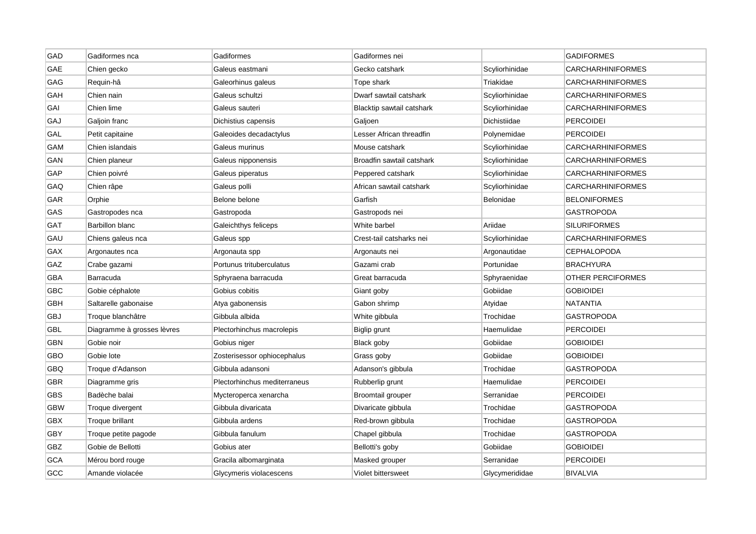| <b>GAD</b> | Gadiformes nca             | Gadiformes                   | Gadiformes nei            |                | <b>GADIFORMES</b>        |
|------------|----------------------------|------------------------------|---------------------------|----------------|--------------------------|
| GAE        | Chien gecko                | Galeus eastmani              | Gecko catshark            | Scyliorhinidae | <b>CARCHARHINIFORMES</b> |
| GAG        | Requin-hâ                  | Galeorhinus galeus           | Tope shark                | Triakidae      | <b>CARCHARHINIFORMES</b> |
| GAH        | Chien nain                 | Galeus schultzi              | Dwarf sawtail catshark    | Scyliorhinidae | CARCHARHINIFORMES        |
| GAI        | Chien lime                 | Galeus sauteri               | Blacktip sawtail catshark | Scyliorhinidae | <b>CARCHARHINIFORMES</b> |
| GAJ        | Galjoin franc              | Dichistius capensis          | Galjoen                   | Dichistiidae   | <b>PERCOIDEI</b>         |
| GAL        | Petit capitaine            | Galeoides decadactylus       | Lesser African threadfin  | Polynemidae    | <b>PERCOIDEI</b>         |
| GAM        | Chien islandais            | Galeus murinus               | Mouse catshark            | Scyliorhinidae | CARCHARHINIFORMES        |
| GAN        | Chien planeur              | Galeus nipponensis           | Broadfin sawtail catshark | Scyliorhinidae | <b>CARCHARHINIFORMES</b> |
| GAP        | Chien poivré               | Galeus piperatus             | Peppered catshark         | Scyliorhinidae | <b>CARCHARHINIFORMES</b> |
| GAQ        | Chien râpe                 | Galeus polli                 | African sawtail catshark  | Scyliorhinidae | <b>CARCHARHINIFORMES</b> |
| GAR        | Orphie                     | Belone belone                | Garfish                   | Belonidae      | <b>BELONIFORMES</b>      |
| GAS        | Gastropodes nca            | Gastropoda                   | Gastropods nei            |                | <b>GASTROPODA</b>        |
| GAT        | Barbillon blanc            | Galeichthys feliceps         | White barbel              | Ariidae        | <b>SILURIFORMES</b>      |
| GAU        | Chiens galeus nca          | Galeus spp                   | Crest-tail catsharks nei  | Scyliorhinidae | CARCHARHINIFORMES        |
| GAX        | Argonautes nca             | Argonauta spp                | Argonauts nei             | Argonautidae   | <b>CEPHALOPODA</b>       |
| GAZ        | Crabe gazami               | Portunus trituberculatus     | Gazami crab               | Portunidae     | <b>BRACHYURA</b>         |
| GBA        | Barracuda                  | Sphyraena barracuda          | Great barracuda           | Sphyraenidae   | OTHER PERCIFORMES        |
| GBC        | Gobie céphalote            | Gobius cobitis               | Giant goby                | Gobiidae       | GOBIOIDEI                |
| GBH        | Saltarelle gabonaise       | Atya gabonensis              | Gabon shrimp              | Atyidae        | <b>NATANTIA</b>          |
| GBJ        | Troque blanchâtre          | Gibbula albida               | White gibbula             | Trochidae      | <b>GASTROPODA</b>        |
| GBL        | Diagramme à grosses lèvres | Plectorhinchus macrolepis    | Biglip grunt              | Haemulidae     | <b>PERCOIDEI</b>         |
| GBN        | Gobie noir                 | Gobius niger                 | Black goby                | Gobiidae       | <b>GOBIOIDEI</b>         |
| GBO        | Gobie lote                 | Zosterisessor ophiocephalus  | Grass goby                | Gobiidae       | <b>GOBIOIDEI</b>         |
| GBQ        | Troque d'Adanson           | Gibbula adansoni             | Adanson's gibbula         | Trochidae      | <b>GASTROPODA</b>        |
| <b>GBR</b> | Diagramme gris             | Plectorhinchus mediterraneus | Rubberlip grunt           | Haemulidae     | <b>PERCOIDEI</b>         |
| <b>GBS</b> | Badèche balai              | Mycteroperca xenarcha        | Broomtail grouper         | Serranidae     | <b>PERCOIDEI</b>         |
| <b>GBW</b> | Troque divergent           | Gibbula divaricata           | Divaricate gibbula        | Trochidae      | <b>GASTROPODA</b>        |
| GBX        | Troque brillant            | Gibbula ardens               | Red-brown gibbula         | Trochidae      | GASTROPODA               |
| GBY        | Troque petite pagode       | Gibbula fanulum              | Chapel gibbula            | Trochidae      | GASTROPODA               |
| GBZ        | Gobie de Bellotti          | Gobius ater                  | Bellotti's goby           | Gobiidae       | <b>GOBIOIDEI</b>         |
| GCA        | Mérou bord rouge           | Gracila albomarginata        | Masked grouper            | Serranidae     | <b>PERCOIDEI</b>         |
| GCC        | Amande violacée            | Glycymeris violacescens      | Violet bittersweet        | Glycymerididae | <b>BIVALVIA</b>          |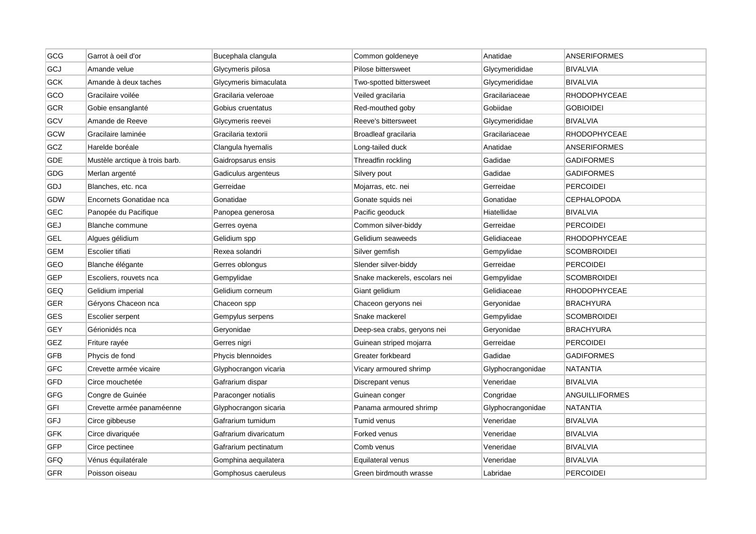| GCG        | Garrot à oeil d'or             | Bucephala clangula    | Common goldeneye              | Anatidae          | <b>ANSERIFORMES</b>   |
|------------|--------------------------------|-----------------------|-------------------------------|-------------------|-----------------------|
| GCJ        | Amande velue                   | Glycymeris pilosa     | Pilose bittersweet            | Glycymerididae    | <b>BIVALVIA</b>       |
| GCK        | Amande à deux taches           | Glycymeris bimaculata | Two-spotted bittersweet       | Glycymerididae    | <b>BIVALVIA</b>       |
| GCO        | Gracilaire voilée              | Gracilaria veleroae   | Veiled gracilaria             | Gracilariaceae    | RHODOPHYCEAE          |
| GCR        | Gobie ensanglanté              | Gobius cruentatus     | Red-mouthed goby              | Gobiidae          | <b>GOBIOIDEI</b>      |
| GCV        | Amande de Reeve                | Glycymeris reevei     | Reeve's bittersweet           | Glycymerididae    | <b>BIVALVIA</b>       |
| GCW        | Gracilaire laminée             | Gracilaria textorii   | Broadleaf gracilaria          | Gracilariaceae    | <b>RHODOPHYCEAE</b>   |
| GCZ        | Harelde boréale                | Clangula hyemalis     | Long-tailed duck              | Anatidae          | ANSERIFORMES          |
| <b>GDE</b> | Mustèle arctique à trois barb. | Gaidropsarus ensis    | Threadfin rockling            | Gadidae           | <b>GADIFORMES</b>     |
| GDG        | Merlan argenté                 | Gadiculus argenteus   | Silvery pout                  | Gadidae           | <b>GADIFORMES</b>     |
| GDJ        | Blanches, etc. nca             | Gerreidae             | Mojarras, etc. nei            | Gerreidae         | <b>PERCOIDEI</b>      |
| GDW        | Encornets Gonatidae nca        | Gonatidae             | Gonate squids nei             | Gonatidae         | CEPHALOPODA           |
| GEC        | Panopée du Pacifique           | Panopea generosa      | Pacific geoduck               | Hiatellidae       | <b>BIVALVIA</b>       |
| GEJ        | Blanche commune                | Gerres oyena          | Common silver-biddy           | Gerreidae         | <b>PERCOIDEI</b>      |
| <b>GEL</b> | Algues gélidium                | Gelidium spp          | Gelidium seaweeds             | Gelidiaceae       | <b>RHODOPHYCEAE</b>   |
| <b>GEM</b> | Escolier tifiati               | Rexea solandri        | Silver gemfish                | Gempylidae        | <b>SCOMBROIDEI</b>    |
| GEO        | Blanche élégante               | Gerres oblongus       | Slender silver-biddy          | Gerreidae         | <b>PERCOIDEI</b>      |
| <b>GEP</b> | Escoliers, rouvets nca         | Gempylidae            | Snake mackerels, escolars nei | Gempylidae        | <b>SCOMBROIDEI</b>    |
| GEQ        | Gelidium imperial              | Gelidium corneum      | Giant gelidium                | Gelidiaceae       | <b>RHODOPHYCEAE</b>   |
| GER        | Géryons Chaceon nca            | Chaceon spp           | Chaceon geryons nei           | Geryonidae        | <b>BRACHYURA</b>      |
| GES        | Escolier serpent               | Gempylus serpens      | Snake mackerel                | Gempylidae        | <b>SCOMBROIDEI</b>    |
| <b>GEY</b> | Gérionidés nca                 | Geryonidae            | Deep-sea crabs, geryons nei   | Geryonidae        | <b>BRACHYURA</b>      |
| GEZ        | Friture rayée                  | Gerres nigri          | Guinean striped mojarra       | Gerreidae         | <b>PERCOIDEI</b>      |
| <b>GFB</b> | Phycis de fond                 | Phycis blennoides     | Greater forkbeard             | Gadidae           | <b>GADIFORMES</b>     |
| <b>GFC</b> | Crevette armée vicaire         | Glyphocrangon vicaria | Vicary armoured shrimp        | Glyphocrangonidae | <b>NATANTIA</b>       |
| GFD        | Circe mouchetée                | Gafrarium dispar      | Discrepant venus              | Veneridae         | <b>BIVALVIA</b>       |
| <b>GFG</b> | Congre de Guinée               | Paraconger notialis   | Guinean conger                | Congridae         | <b>ANGUILLIFORMES</b> |
| GFI        | Crevette armée panaméenne      | Glyphocrangon sicaria | Panama armoured shrimp        | Glyphocrangonidae | <b>NATANTIA</b>       |
| GFJ        | Circe gibbeuse                 | Gafrarium tumidum     | Tumid venus                   | Veneridae         | <b>BIVALVIA</b>       |
| GFK        | Circe divariquée               | Gafrarium divaricatum | Forked venus                  | Veneridae         | BIVALVIA              |
| <b>GFP</b> | Circe pectinee                 | Gafrarium pectinatum  | Comb venus                    | Veneridae         | <b>BIVALVIA</b>       |
| GFQ        | Vénus équilatérale             | Gomphina aequilatera  | Equilateral venus             | Veneridae         | BIVALVIA              |
| <b>GFR</b> | Poisson oiseau                 | Gomphosus caeruleus   | Green birdmouth wrasse        | Labridae          | <b>PERCOIDEI</b>      |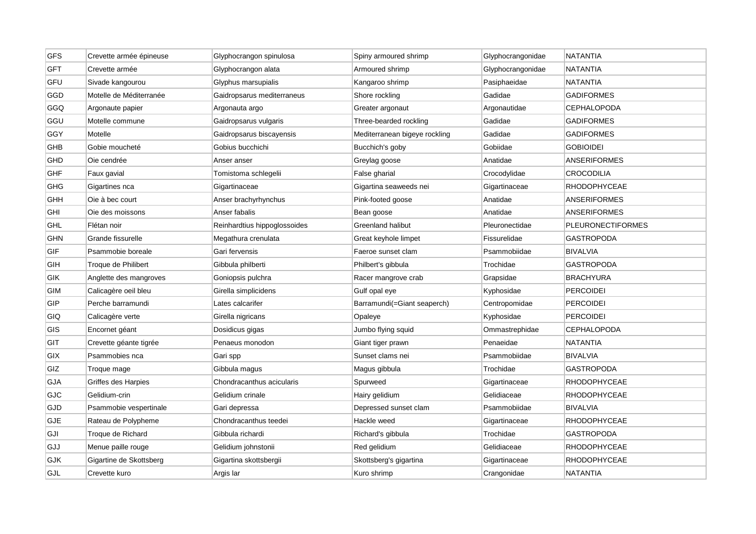| GFS        | Crevette armée épineuse | Glyphocrangon spinulosa      | Spiny armoured shrimp         | Glyphocrangonidae | <b>NATANTIA</b>          |
|------------|-------------------------|------------------------------|-------------------------------|-------------------|--------------------------|
| <b>GFT</b> | Crevette armée          | Glyphocrangon alata          | Armoured shrimp               | Glyphocrangonidae | <b>NATANTIA</b>          |
| GFU        | Sivade kangourou        | Glyphus marsupialis          | Kangaroo shrimp               | Pasiphaeidae      | <b>NATANTIA</b>          |
| GGD        | Motelle de Méditerranée | Gaidropsarus mediterraneus   | Shore rockling                | Gadidae           | <b>GADIFORMES</b>        |
| GGQ        | Argonaute papier        | Argonauta argo               | Greater argonaut              | Argonautidae      | <b>CEPHALOPODA</b>       |
| GGU        | Motelle commune         | Gaidropsarus vulgaris        | Three-bearded rockling        | Gadidae           | <b>GADIFORMES</b>        |
| GGY        | Motelle                 | Gaidropsarus biscayensis     | Mediterranean bigeye rockling | Gadidae           | <b>GADIFORMES</b>        |
| GHB        | Gobie moucheté          | Gobius bucchichi             | Bucchich's goby               | Gobiidae          | <b>GOBIOIDEI</b>         |
| GHD        | Oie cendrée             | Anser anser                  | Greylag goose                 | Anatidae          | <b>ANSERIFORMES</b>      |
| <b>GHF</b> | Faux gavial             | Tomistoma schlegelii         | False gharial                 | Crocodylidae      | <b>CROCODILIA</b>        |
| <b>GHG</b> | Gigartines nca          | Gigartinaceae                | Gigartina seaweeds nei        | Gigartinaceae     | <b>RHODOPHYCEAE</b>      |
| <b>GHH</b> | Oie à bec court         | Anser brachyrhynchus         | Pink-footed goose             | Anatidae          | <b>ANSERIFORMES</b>      |
| GHI        | Oie des moissons        | Anser fabalis                | Bean goose                    | Anatidae          | <b>ANSERIFORMES</b>      |
| <b>GHL</b> | Flétan noir             | Reinhardtius hippoglossoides | Greenland halibut             | Pleuronectidae    | <b>PLEURONECTIFORMES</b> |
| GHN        | Grande fissurelle       | Megathura crenulata          | Great keyhole limpet          | Fissurelidae      | <b>GASTROPODA</b>        |
| GIF        | Psammobie boreale       | Gari fervensis               | Faeroe sunset clam            | Psammobiidae      | <b>BIVALVIA</b>          |
| GIH        | Troque de Philibert     | Gibbula philberti            | Philbert's gibbula            | Trochidae         | <b>GASTROPODA</b>        |
| GIK        | Anglette des mangroves  | Goniopsis pulchra            | Racer mangrove crab           | Grapsidae         | <b>BRACHYURA</b>         |
| GIM        | Calicagère oeil bleu    | Girella simplicidens         | Gulf opal eye                 | Kyphosidae        | <b>PERCOIDEI</b>         |
| GIP        | Perche barramundi       | Lates calcarifer             | Barramundi(=Giant seaperch)   | Centropomidae     | <b>PERCOIDEI</b>         |
| GIQ        | Calicagère verte        | Girella nigricans            | Opaleye                       | Kyphosidae        | <b>PERCOIDEI</b>         |
| GIS        | Encornet géant          | Dosidicus gigas              | Jumbo flying squid            | Ommastrephidae    | <b>CEPHALOPODA</b>       |
| GIT        | Crevette géante tigrée  | Penaeus monodon              | Giant tiger prawn             | Penaeidae         | <b>NATANTIA</b>          |
| <b>GIX</b> | Psammobies nca          | Gari spp                     | Sunset clams nei              | Psammobiidae      | <b>BIVALVIA</b>          |
| GIZ        | Troque mage             | Gibbula magus                | Magus gibbula                 | Trochidae         | <b>GASTROPODA</b>        |
| GJA        | Griffes des Harpies     | Chondracanthus acicularis    | Spurweed                      | Gigartinaceae     | RHODOPHYCEAE             |
| GJC        | Gelidium-crin           | Gelidium crinale             | Hairy gelidium                | Gelidiaceae       | <b>RHODOPHYCEAE</b>      |
| GJD        | Psammobie vespertinale  | Gari depressa                | Depressed sunset clam         | Psammobiidae      | <b>BIVALVIA</b>          |
| GJE        | Rateau de Polypheme     | Chondracanthus teedei        | Hackle weed                   | Gigartinaceae     | RHODOPHYCEAE             |
| GJI        | Troque de Richard       | Gibbula richardi             | Richard's gibbula             | Trochidae         | GASTROPODA               |
| GJJ        | Menue paille rouge      | Gelidium johnstonii          | Red gelidium                  | Gelidiaceae       | <b>RHODOPHYCEAE</b>      |
| <b>GJK</b> | Gigartine de Skottsberg | Gigartina skottsbergii       | Skottsberg's gigartina        | Gigartinaceae     | <b>RHODOPHYCEAE</b>      |
| GJL        | Crevette kuro           | Argis lar                    | Kuro shrimp                   | Crangonidae       | <b>NATANTIA</b>          |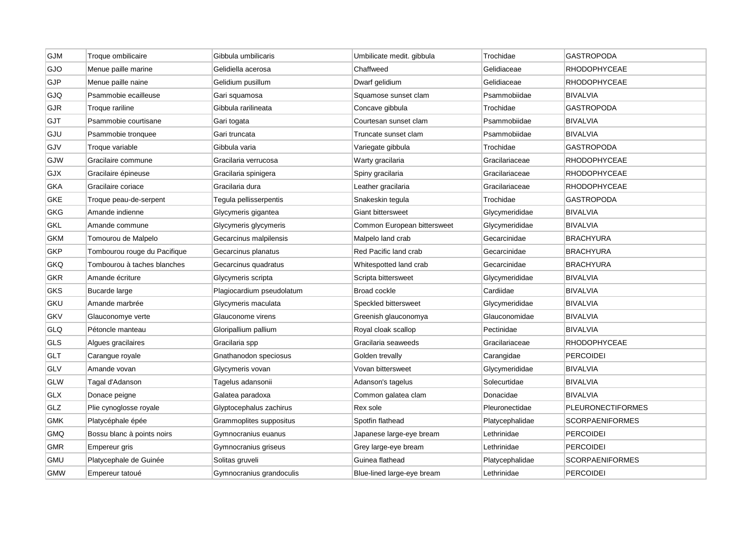| GJM        | Troque ombilicaire           | Gibbula umbilicaris       | Umbilicate medit. gibbula   | Trochidae       | <b>GASTROPODA</b>        |
|------------|------------------------------|---------------------------|-----------------------------|-----------------|--------------------------|
| GJO        | Menue paille marine          | Gelidiella acerosa        | Chaffweed                   | Gelidiaceae     | RHODOPHYCEAE             |
| GJP        | Menue paille naine           | Gelidium pusillum         | Dwarf gelidium              | Gelidiaceae     | <b>RHODOPHYCEAE</b>      |
| GJQ        | Psammobie ecailleuse         | Gari squamosa             | Squamose sunset clam        | Psammobiidae    | <b>BIVALVIA</b>          |
| GJR        | Troque rariline              | Gibbula rarilineata       | Concave gibbula             | Trochidae       | <b>GASTROPODA</b>        |
| GJT        | Psammobie courtisane         | Gari togata               | Courtesan sunset clam       | Psammobiidae    | <b>BIVALVIA</b>          |
| GJU        | Psammobie tronquee           | Gari truncata             | Truncate sunset clam        | Psammobiidae    | <b>BIVALVIA</b>          |
| GJV        | Troque variable              | Gibbula varia             | Variegate gibbula           | Trochidae       | <b>GASTROPODA</b>        |
| GJW        | Gracilaire commune           | Gracilaria verrucosa      | Warty gracilaria            | Gracilariaceae  | <b>RHODOPHYCEAE</b>      |
| GJX        | Gracilaire épineuse          | Gracilaria spinigera      | Spiny gracilaria            | Gracilariaceae  | <b>RHODOPHYCEAE</b>      |
| <b>GKA</b> | Gracilaire coriace           | Gracilaria dura           | Leather gracilaria          | Gracilariaceae  | <b>RHODOPHYCEAE</b>      |
| GKE        | Troque peau-de-serpent       | Tegula pellisserpentis    | Snakeskin tegula            | Trochidae       | <b>GASTROPODA</b>        |
| GKG        | Amande indienne              | Glycymeris gigantea       | <b>Giant bittersweet</b>    | Glycymerididae  | <b>BIVALVIA</b>          |
| <b>GKL</b> | Amande commune               | Glycymeris glycymeris     | Common European bittersweet | Glycymerididae  | <b>BIVALVIA</b>          |
| <b>GKM</b> | Tomourou de Malpelo          | Gecarcinus malpilensis    | Malpelo land crab           | Gecarcinidae    | <b>BRACHYURA</b>         |
| <b>GKP</b> | Tombourou rouge du Pacifique | Gecarcinus planatus       | Red Pacific land crab       | Gecarcinidae    | <b>BRACHYURA</b>         |
| GKQ        | Tombourou à taches blanches  | Gecarcinus quadratus      | Whitespotted land crab      | Gecarcinidae    | <b>BRACHYURA</b>         |
| GKR        | Amande écriture              | Glycymeris scripta        | Scripta bittersweet         | Glycymerididae  | <b>BIVALVIA</b>          |
| <b>GKS</b> | Bucarde large                | Plagiocardium pseudolatum | Broad cockle                | Cardiidae       | <b>BIVALVIA</b>          |
| GKU        | Amande marbrée               | Glycymeris maculata       | Speckled bittersweet        | Glycymerididae  | <b>BIVALVIA</b>          |
| <b>GKV</b> | Glauconomye verte            | Glauconome virens         | Greenish glauconomya        | Glauconomidae   | <b>BIVALVIA</b>          |
| GLQ        | Pétoncle manteau             | Gloripallium pallium      | Royal cloak scallop         | Pectinidae      | <b>BIVALVIA</b>          |
| <b>GLS</b> | Algues gracilaires           | Gracilaria spp            | Gracilaria seaweeds         | Gracilariaceae  | RHODOPHYCEAE             |
| <b>GLT</b> | Carangue royale              | Gnathanodon speciosus     | Golden trevally             | Carangidae      | <b>PERCOIDEI</b>         |
| GLV        | Amande vovan                 | Glycymeris vovan          | Vovan bittersweet           | Glycymerididae  | <b>BIVALVIA</b>          |
| GLW        | Tagal d'Adanson              | Tagelus adansonii         | Adanson's tagelus           | Solecurtidae    | <b>BIVALVIA</b>          |
| <b>GLX</b> | Donace peigne                | Galatea paradoxa          | Common galatea clam         | Donacidae       | <b>BIVALVIA</b>          |
| GLZ        | Plie cynoglosse royale       | Glyptocephalus zachirus   | Rex sole                    | Pleuronectidae  | <b>PLEURONECTIFORMES</b> |
| GMK        | Platycéphale épée            | Grammoplites suppositus   | Spotfin flathead            | Platycephalidae | <b>SCORPAENIFORMES</b>   |
| <b>GMQ</b> | Bossu blanc à points noirs   | Gymnocranius euanus       | Japanese large-eye bream    | Lethrinidae     | <b>PERCOIDEI</b>         |
| <b>GMR</b> | Empereur gris                | Gymnocranius griseus      | Grey large-eye bream        | Lethrinidae     | <b>PERCOIDEI</b>         |
| <b>GMU</b> | Platycephale de Guinée       | Solitas gruveli           | Guinea flathead             | Platycephalidae | <b>SCORPAENIFORMES</b>   |
| <b>GMW</b> | Empereur tatoué              | Gymnocranius grandoculis  | Blue-lined large-eye bream  | Lethrinidae     | <b>PERCOIDEI</b>         |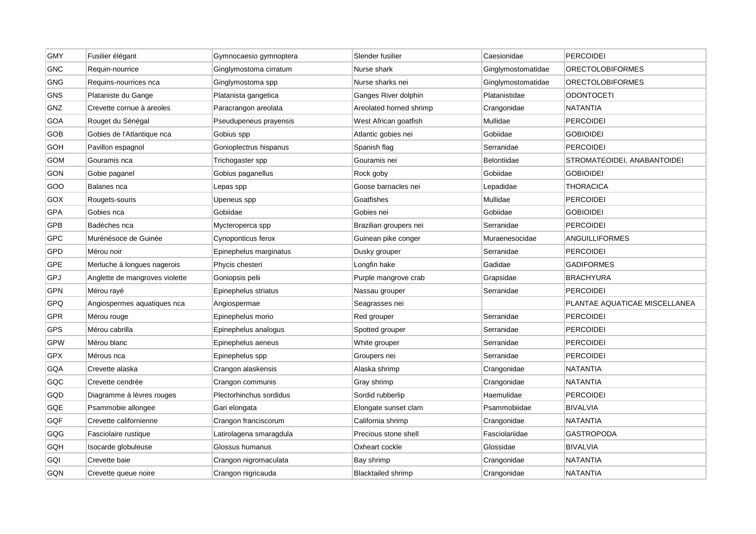| <b>GMY</b> | Fusilier élégant               | Gymnocaesio gymnoptera  | Slender fusilier          | Caesionidae        | <b>PERCOIDEI</b>              |
|------------|--------------------------------|-------------------------|---------------------------|--------------------|-------------------------------|
| <b>GNC</b> | Requin-nourrice                | Ginglymostoma cirratum  | Nurse shark               | Ginglymostomatidae | <b>ORECTOLOBIFORMES</b>       |
| <b>GNG</b> | Requins-nourrices nca          | Ginglymostoma spp       | Nurse sharks nei          | Ginglymostomatidae | <b>ORECTOLOBIFORMES</b>       |
| <b>GNS</b> | Plataniste du Gange            | Platanista gangetica    | Ganges River dolphin      | Platanistidae      | <b>ODONTOCETI</b>             |
| GNZ        | Crevette cornue à areoles      | Paracrangon areolata    | Areolated horned shrimp   | Crangonidae        | <b>NATANTIA</b>               |
| GOA        | Rouget du Sénégal              | Pseudupeneus prayensis  | West African goatfish     | Mullidae           | <b>PERCOIDEI</b>              |
| GOB        | Gobies de l'Atlantique nca     | Gobius spp              | Atlantic gobies nei       | Gobiidae           | <b>GOBIOIDEI</b>              |
| GOH        | Pavillon espagnol              | Gonioplectrus hispanus  | Spanish flag              | Serranidae         | <b>PERCOIDEI</b>              |
| <b>GOM</b> | Gouramis nca                   | Trichogaster spp        | Gouramis nei              | Belontiidae        | STROMATEOIDEI, ANABANTOIDEI   |
| GON        | Gobie paganel                  | Gobius paganellus       | Rock goby                 | Gobiidae           | <b>GOBIOIDEI</b>              |
| GOO        | Balanes nca                    | Lepas spp               | Goose barnacles nei       | Lepadidae          | <b>THORACICA</b>              |
| GOX        | Rougets-souris                 | Upeneus spp             | Goatfishes                | Mullidae           | <b>PERCOIDEI</b>              |
| <b>GPA</b> | Gobies nca                     | Gobiidae                | Gobies nei                | Gobiidae           | <b>GOBIOIDEI</b>              |
| <b>GPB</b> | Badèches nca                   | Mycteroperca spp        | Brazilian groupers nei    | Serranidae         | <b>PERCOIDEI</b>              |
| <b>GPC</b> | Murénésoce de Guinée           | Cynoponticus ferox      | Guinean pike conger       | Muraenesocidae     | ANGUILLIFORMES                |
| GPD        | Mérou noir                     | Epinephelus marginatus  | Dusky grouper             | Serranidae         | <b>PERCOIDEI</b>              |
| GPE        | Merluche à longues nagerois    | Phycis chesteri         | Longfin hake              | Gadidae            | <b>GADIFORMES</b>             |
| GPJ        | Anglette de mangroves violette | Goniopsis pelii         | Purple mangrove crab      | Grapsidae          | <b>BRACHYURA</b>              |
| GPN        | Mérou rayé                     | Epinephelus striatus    | Nassau grouper            | Serranidae         | <b>PERCOIDEI</b>              |
| GPQ        | Angiospermes aquatiques nca    | Angiospermae            | Seagrasses nei            |                    | PLANTAE AQUATICAE MISCELLANEA |
| <b>GPR</b> | Mérou rouge                    | Epinephelus morio       | Red grouper               | Serranidae         | <b>PERCOIDEI</b>              |
| <b>GPS</b> | Mérou cabrilla                 | Epinephelus analogus    | Spotted grouper           | Serranidae         | <b>PERCOIDEI</b>              |
| <b>GPW</b> | Mérou blanc                    | Epinephelus aeneus      | White grouper             | Serranidae         | <b>PERCOIDEI</b>              |
| <b>GPX</b> | Mérous nca                     | Epinephelus spp         | Groupers nei              | Serranidae         | <b>PERCOIDEI</b>              |
| GQA        | Crevette alaska                | Crangon alaskensis      | Alaska shrimp             | Crangonidae        | <b>NATANTIA</b>               |
| GQC        | Crevette cendrée               | Crangon communis        | Gray shrimp               | Crangonidae        | <b>NATANTIA</b>               |
| GQD        | Diagramme à lèvres rouges      | Plectorhinchus sordidus | Sordid rubberlip          | Haemulidae         | <b>PERCOIDEI</b>              |
| GQE        | Psammobie allongee             | Gari elongata           | Elongate sunset clam      | Psammobiidae       | <b>BIVALVIA</b>               |
| GQF        | Crevette californienne         | Crangon franciscorum    | California shrimp         | Crangonidae        | <b>NATANTIA</b>               |
| GQG        | Fasciolaire rustique           | Latirolagena smaragdula | Precious stone shell      | Fasciolariidae     | <b>GASTROPODA</b>             |
| GQH        | Isocarde globuleuse            | Glossus humanus         | Oxheart cockle            | Glossidae          | <b>BIVALVIA</b>               |
| GQI        | Crevette baie                  | Crangon nigromaculata   | Bay shrimp                | Crangonidae        | <b>NATANTIA</b>               |
| GQN        | Crevette queue noire           | Crangon nigricauda      | <b>Blacktailed shrimp</b> | Crangonidae        | <b>NATANTIA</b>               |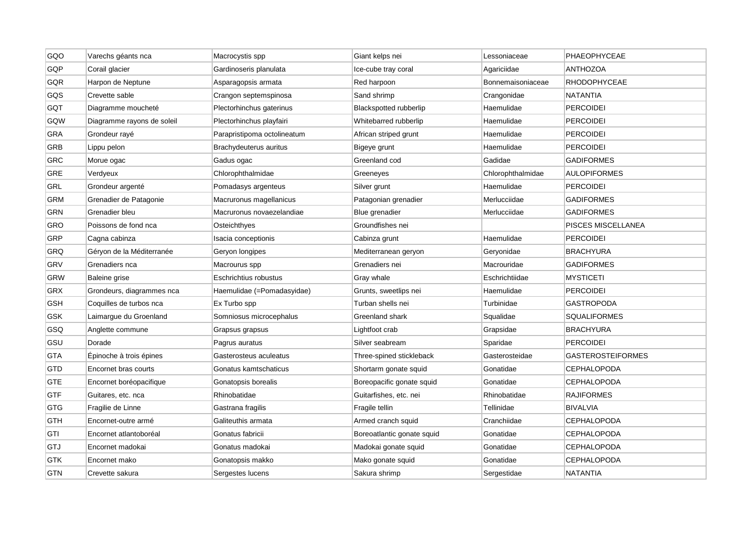| GQO        | Varechs géants nca         | Macrocystis spp             | Giant kelps nei               | Lessoniaceae      | PHAEOPHYCEAE             |
|------------|----------------------------|-----------------------------|-------------------------------|-------------------|--------------------------|
| GQP        | Corail glacier             | Gardinoseris planulata      | Ice-cube tray coral           | Agariciidae       | <b>ANTHOZOA</b>          |
| GQR        | Harpon de Neptune          | Asparagopsis armata         | Red harpoon                   | Bonnemaisoniaceae | <b>RHODOPHYCEAE</b>      |
| GQS        | Crevette sable             | Crangon septemspinosa       | Sand shrimp                   | Crangonidae       | NATANTIA                 |
| GQT        | Diagramme moucheté         | Plectorhinchus gaterinus    | <b>Blackspotted rubberlip</b> | Haemulidae        | <b>PERCOIDEI</b>         |
| GQW        | Diagramme rayons de soleil | Plectorhinchus playfairi    | Whitebarred rubberlip         | Haemulidae        | <b>PERCOIDEI</b>         |
| GRA        | Grondeur rayé              | Parapristipoma octolineatum | African striped grunt         | Haemulidae        | <b>PERCOIDEI</b>         |
| GRB        | Lippu pelon                | Brachydeuterus auritus      | Bigeye grunt                  | Haemulidae        | <b>PERCOIDEI</b>         |
| GRC        | Morue ogac                 | Gadus ogac                  | Greenland cod                 | Gadidae           | <b>GADIFORMES</b>        |
| <b>GRE</b> | Verdyeux                   | Chlorophthalmidae           | Greeneyes                     | Chlorophthalmidae | <b>AULOPIFORMES</b>      |
| GRL        | Grondeur argenté           | Pomadasys argenteus         | Silver grunt                  | Haemulidae        | <b>PERCOIDEI</b>         |
| <b>GRM</b> | Grenadier de Patagonie     | Macruronus magellanicus     | Patagonian grenadier          | Merlucciidae      | <b>GADIFORMES</b>        |
| <b>GRN</b> | Grenadier bleu             | Macruronus novaezelandiae   | Blue grenadier                | Merlucciidae      | <b>GADIFORMES</b>        |
| GRO        | Poissons de fond nca       | Osteichthyes                | Groundfishes nei              |                   | PISCES MISCELLANEA       |
| GRP        | Cagna cabinza              | Isacia conceptionis         | Cabinza grunt                 | Haemulidae        | <b>PERCOIDEI</b>         |
| GRQ        | Géryon de la Méditerranée  | Geryon longipes             | Mediterranean geryon          | Geryonidae        | <b>BRACHYURA</b>         |
| <b>GRV</b> | Grenadiers nca             | Macrourus spp               | Grenadiers nei                | Macrouridae       | <b>GADIFORMES</b>        |
| <b>GRW</b> | Baleine grise              | Eschrichtius robustus       | Gray whale                    | Eschrichtiidae    | <b>MYSTICETI</b>         |
| GRX        | Grondeurs, diagrammes nca  | Haemulidae (=Pomadasyidae)  | Grunts, sweetlips nei         | Haemulidae        | PERCOIDEI                |
| <b>GSH</b> | Coquilles de turbos nca    | Ex Turbo spp                | Turban shells nei             | Turbinidae        | <b>GASTROPODA</b>        |
| GSK        | Laimargue du Groenland     | Somniosus microcephalus     | Greenland shark               | Squalidae         | <b>SQUALIFORMES</b>      |
| GSQ        | Anglette commune           | Grapsus grapsus             | Lightfoot crab                | Grapsidae         | <b>BRACHYURA</b>         |
| GSU        | Dorade                     | Pagrus auratus              | Silver seabream               | Sparidae          | <b>PERCOIDEI</b>         |
| GTA        | Epinoche à trois épines    | Gasterosteus aculeatus      | Three-spined stickleback      | Gasterosteidae    | <b>GASTEROSTEIFORMES</b> |
| <b>GTD</b> | Encornet bras courts       | Gonatus kamtschaticus       | Shortarm gonate squid         | Gonatidae         | <b>CEPHALOPODA</b>       |
| <b>GTE</b> | Encornet boréopacifique    | Gonatopsis borealis         | Boreopacific gonate squid     | Gonatidae         | <b>CEPHALOPODA</b>       |
| <b>GTF</b> | Guitares, etc. nca         | Rhinobatidae                | Guitarfishes, etc. nei        | Rhinobatidae      | RAJIFORMES               |
| <b>GTG</b> | Fragilie de Linne          | Gastrana fragilis           | Fragile tellin                | Tellinidae        | <b>BIVALVIA</b>          |
| GTH        | Encornet-outre armé        | Galiteuthis armata          | Armed cranch squid            | Cranchiidae       | <b>CEPHALOPODA</b>       |
| GTI        | Encornet atlantoboréal     | Gonatus fabricii            | Boreoatlantic gonate squid    | Gonatidae         | CEPHALOPODA              |
| GTJ        | Encornet madokai           | Gonatus madokai             | Madokai gonate squid          | Gonatidae         | <b>CEPHALOPODA</b>       |
| GTK        | Encornet mako              | Gonatopsis makko            | Mako gonate squid             | Gonatidae         | <b>CEPHALOPODA</b>       |
| <b>GTN</b> | Crevette sakura            | Sergestes lucens            | Sakura shrimp                 | Sergestidae       | <b>NATANTIA</b>          |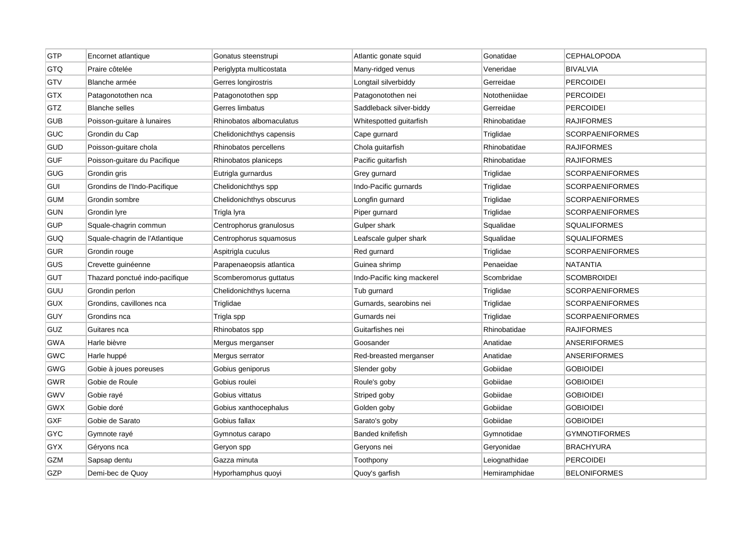| GTP        | Encornet atlantique            | Gonatus steenstrupi      | Atlantic gonate squid      | Gonatidae     | <b>CEPHALOPODA</b>     |
|------------|--------------------------------|--------------------------|----------------------------|---------------|------------------------|
| GTQ        | Praire côtelée                 | Periglypta multicostata  | Many-ridged venus          | Veneridae     | <b>BIVALVIA</b>        |
| GTV        | Blanche armée                  | Gerres longirostris      | Longtail silverbiddy       | Gerreidae     | <b>PERCOIDEI</b>       |
| <b>GTX</b> | Patagonotothen nca             | Patagonotothen spp       | Patagonotothen nei         | Nototheniidae | <b>PERCOIDEI</b>       |
| GTZ        | <b>Blanche selles</b>          | Gerres limbatus          | Saddleback silver-biddy    | Gerreidae     | <b>PERCOIDEI</b>       |
| GUB        | Poisson-guitare à lunaires     | Rhinobatos albomaculatus | Whitespotted guitarfish    | Rhinobatidae  | <b>RAJIFORMES</b>      |
| GUC        | Grondin du Cap                 | Chelidonichthys capensis | Cape gurnard               | Triglidae     | <b>SCORPAENIFORMES</b> |
| <b>GUD</b> | Poisson-guitare chola          | Rhinobatos percellens    | Chola guitarfish           | Rhinobatidae  | <b>RAJIFORMES</b>      |
| <b>GUF</b> | Poisson-guitare du Pacifique   | Rhinobatos planiceps     | Pacific guitarfish         | Rhinobatidae  | <b>RAJIFORMES</b>      |
| GUG        | Grondin gris                   | Eutrigla gurnardus       | Grey gurnard               | Triglidae     | <b>SCORPAENIFORMES</b> |
| <b>GUI</b> | Grondins de l'Indo-Pacifique   | Chelidonichthys spp      | Indo-Pacific gurnards      | Triglidae     | <b>SCORPAENIFORMES</b> |
| <b>GUM</b> | Grondin sombre                 | Chelidonichthys obscurus | Longfin gurnard            | Triglidae     | <b>SCORPAENIFORMES</b> |
| <b>GUN</b> | Grondin lyre                   | Trigla Iyra              | Piper gurnard              | Triglidae     | <b>SCORPAENIFORMES</b> |
| <b>GUP</b> | Squale-chagrin commun          | Centrophorus granulosus  | Gulper shark               | Squalidae     | <b>SQUALIFORMES</b>    |
| GUQ        | Squale-chagrin de l'Atlantique | Centrophorus squamosus   | Leafscale gulper shark     | Squalidae     | <b>SQUALIFORMES</b>    |
| <b>GUR</b> | Grondin rouge                  | Aspitrigla cuculus       | Red gurnard                | Triglidae     | <b>SCORPAENIFORMES</b> |
| GUS        | Crevette guinéenne             | Parapenaeopsis atlantica | Guinea shrimp              | Penaeidae     | <b>NATANTIA</b>        |
| <b>GUT</b> | Thazard ponctué indo-pacifique | Scomberomorus guttatus   | Indo-Pacific king mackerel | Scombridae    | <b>SCOMBROIDEI</b>     |
| <b>GUU</b> | Grondin perlon                 | Chelidonichthys lucerna  | Tub gurnard                | Triglidae     | <b>SCORPAENIFORMES</b> |
| <b>GUX</b> | Grondins, cavillones nca       | Triglidae                | Gurnards, searobins nei    | Triglidae     | <b>SCORPAENIFORMES</b> |
| <b>GUY</b> | Grondins nca                   | Trigla spp               | Gurnards nei               | Triglidae     | <b>SCORPAENIFORMES</b> |
| GUZ        | Guitares nca                   | Rhinobatos spp           | Guitarfishes nei           | Rhinobatidae  | <b>RAJIFORMES</b>      |
| <b>GWA</b> | Harle bièvre                   | Mergus merganser         | Goosander                  | Anatidae      | <b>ANSERIFORMES</b>    |
| <b>GWC</b> | Harle huppé                    | Mergus serrator          | Red-breasted merganser     | Anatidae      | <b>ANSERIFORMES</b>    |
| GWG        | Gobie à joues poreuses         | Gobius geniporus         | Slender goby               | Gobiidae      | <b>GOBIOIDEI</b>       |
| <b>GWR</b> | Gobie de Roule                 | Gobius roulei            | Roule's goby               | Gobiidae      | <b>GOBIOIDEI</b>       |
| <b>GWV</b> | Gobie rayé                     | Gobius vittatus          | Striped goby               | Gobiidae      | <b>GOBIOIDEI</b>       |
| <b>GWX</b> | Gobie doré                     | Gobius xanthocephalus    | Golden goby                | Gobiidae      | <b>GOBIOIDEI</b>       |
| GXF        | Gobie de Sarato                | Gobius fallax            | Sarato's goby              | Gobiidae      | <b>GOBIOIDEI</b>       |
| <b>GYC</b> | Gymnote rayé                   | Gymnotus carapo          | Banded knifefish           | Gymnotidae    | <b>GYMNOTIFORMES</b>   |
| GYX        | Géryons nca                    | Geryon spp               | Geryons nei                | Geryonidae    | <b>BRACHYURA</b>       |
| <b>GZM</b> | Sapsap dentu                   | Gazza minuta             | Toothpony                  | Leiognathidae | <b>PERCOIDEI</b>       |
| GZP        | Demi-bec de Quoy               | Hyporhamphus quoyi       | Quoy's garfish             | Hemiramphidae | <b>BELONIFORMES</b>    |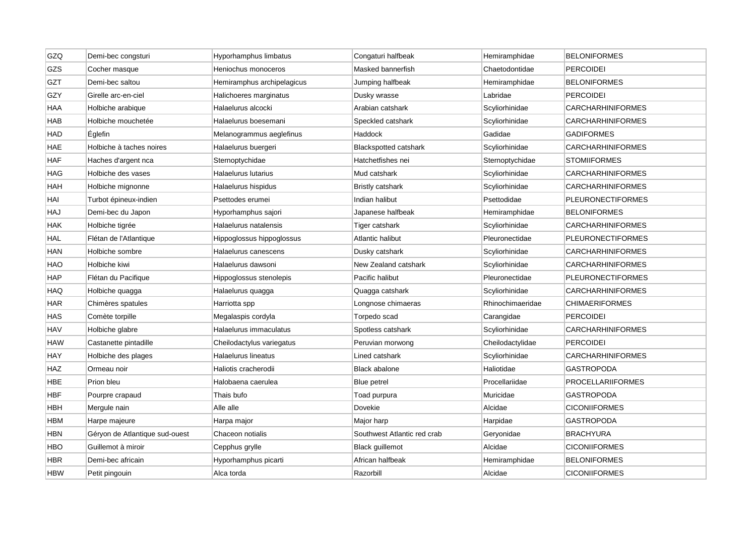| GZQ        | Demi-bec congsturi             | Hyporhamphus limbatus      | Congaturi halfbeak           | Hemiramphidae    | <b>BELONIFORMES</b>      |
|------------|--------------------------------|----------------------------|------------------------------|------------------|--------------------------|
| GZS        | Cocher masque                  | Heniochus monoceros        | Masked bannerfish            | Chaetodontidae   | <b>PERCOIDEI</b>         |
| GZT        | Demi-bec saltou                | Hemiramphus archipelagicus | Jumping halfbeak             | Hemiramphidae    | <b>BELONIFORMES</b>      |
| GZY        | Girelle arc-en-ciel            | Halichoeres marginatus     | Dusky wrasse                 | Labridae         | <b>PERCOIDEI</b>         |
| HAA        | Holbiche arabique              | Halaelurus alcocki         | Arabian catshark             | Scyliorhinidae   | <b>CARCHARHINIFORMES</b> |
| <b>HAB</b> | Holbiche mouchetée             | Halaelurus boesemani       | Speckled catshark            | Scyliorhinidae   | CARCHARHINIFORMES        |
| <b>HAD</b> | Églefin                        | Melanogrammus aeglefinus   | Haddock                      | Gadidae          | <b>GADIFORMES</b>        |
| HAE        | Holbiche à taches noires       | Halaelurus buergeri        | <b>Blackspotted catshark</b> | Scyliorhinidae   | <b>CARCHARHINIFORMES</b> |
| HAF        | Haches d'argent nca            | Sternoptychidae            | Hatchetfishes nei            | Sternoptychidae  | <b>STOMIIFORMES</b>      |
| HAG        | Holbiche des vases             | Halaelurus lutarius        | Mud catshark                 | Scyliorhinidae   | <b>CARCHARHINIFORMES</b> |
| HAH        | Holbiche mignonne              | Halaelurus hispidus        | <b>Bristly catshark</b>      | Scyliorhinidae   | <b>CARCHARHINIFORMES</b> |
| HAI        | Turbot épineux-indien          | Psettodes erumei           | Indian halibut               | Psettodidae      | <b>PLEURONECTIFORMES</b> |
| HAJ        | Demi-bec du Japon              | Hyporhamphus sajori        | Japanese halfbeak            | Hemiramphidae    | <b>BELONIFORMES</b>      |
| <b>HAK</b> | Holbiche tigrée                | Halaelurus natalensis      | Tiger catshark               | Scyliorhinidae   | <b>CARCHARHINIFORMES</b> |
| <b>HAL</b> | Flétan de l'Atlantique         | Hippoglossus hippoglossus  | Atlantic halibut             | Pleuronectidae   | <b>PLEURONECTIFORMES</b> |
| HAN        | Holbiche sombre                | Halaelurus canescens       | Dusky catshark               | Scyliorhinidae   | <b>CARCHARHINIFORMES</b> |
| HAO        | Holbiche kiwi                  | Halaelurus dawsoni         | New Zealand catshark         | Scyliorhinidae   | <b>CARCHARHINIFORMES</b> |
| <b>HAP</b> | Flétan du Pacifique            | Hippoglossus stenolepis    | Pacific halibut              | Pleuronectidae   | <b>PLEURONECTIFORMES</b> |
| HAQ        | Holbiche quagga                | Halaelurus quagga          | Quagga catshark              | Scyliorhinidae   | CARCHARHINIFORMES        |
| HAR        | Chimères spatules              | Harriotta spp              | Longnose chimaeras           | Rhinochimaeridae | <b>CHIMAERIFORMES</b>    |
| HAS        | Comète torpille                | Megalaspis cordyla         | Torpedo scad                 | Carangidae       | <b>PERCOIDEI</b>         |
| <b>HAV</b> | Holbiche glabre                | Halaelurus immaculatus     | Spotless catshark            | Scyliorhinidae   | <b>CARCHARHINIFORMES</b> |
| HAW        | Castanette pintadille          | Cheilodactylus variegatus  | Peruvian morwong             | Cheilodactylidae | PERCOIDEI                |
| HAY        | Holbiche des plages            | Halaelurus lineatus        | Lined catshark               | Scyliorhinidae   | <b>CARCHARHINIFORMES</b> |
| HAZ        | Ormeau noir                    | Haliotis cracherodii       | Black abalone                | Haliotidae       | GASTROPODA               |
| HBE        | Prion bleu                     | Halobaena caerulea         | <b>Blue petrel</b>           | Procellariidae   | <b>PROCELLARIIFORMES</b> |
| HBF        | Pourpre crapaud                | Thais bufo                 | Toad purpura                 | Muricidae        | <b>GASTROPODA</b>        |
| HBH        | Mergule nain                   | Alle alle                  | Dovekie                      | Alcidae          | <b>CICONIIFORMES</b>     |
| HBM        | Harpe majeure                  | Harpa major                | Major harp                   | Harpidae         | <b>GASTROPODA</b>        |
| HBN        | Géryon de Atlantique sud-ouest | Chaceon notialis           | Southwest Atlantic red crab  | Geryonidae       | <b>BRACHYURA</b>         |
| HBO        | Guillemot à miroir             | Cepphus grylle             | Black guillemot              | Alcidae          | <b>CICONIIFORMES</b>     |
| HBR        | Demi-bec africain              | Hyporhamphus picarti       | African halfbeak             | Hemiramphidae    | <b>BELONIFORMES</b>      |
| <b>HBW</b> | Petit pingouin                 | Alca torda                 | Razorbill                    | Alcidae          | <b>CICONIIFORMES</b>     |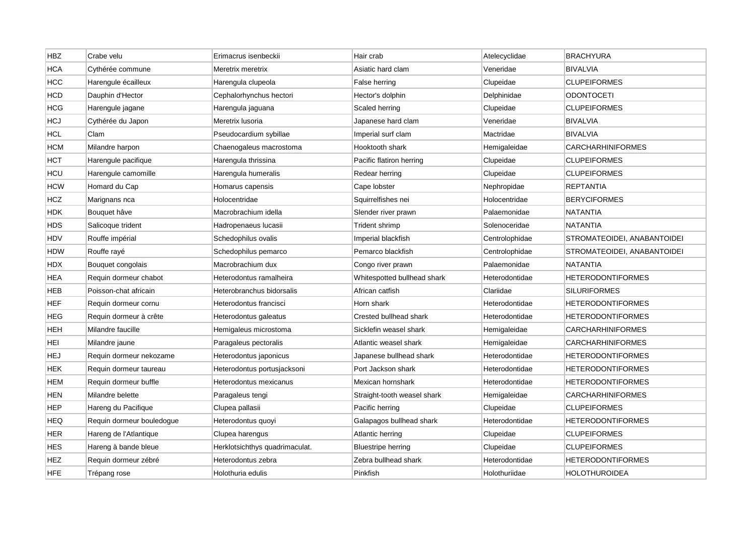| HBZ        | Crabe velu                | Erimacrus isenbeckii           | Hair crab                   | Atelecyclidae  | <b>BRACHYURA</b>            |
|------------|---------------------------|--------------------------------|-----------------------------|----------------|-----------------------------|
| <b>HCA</b> | Cythérée commune          | Meretrix meretrix              | Asiatic hard clam           | Veneridae      | <b>BIVALVIA</b>             |
| <b>HCC</b> | Harengule écailleux       | Harengula clupeola             | False herring               | Clupeidae      | <b>CLUPEIFORMES</b>         |
| <b>HCD</b> | Dauphin d'Hector          | Cephalorhynchus hectori        | Hector's dolphin            | Delphinidae    | ODONTOCETI                  |
| HCG        | Harengule jagane          | Harengula jaguana              | Scaled herring              | Clupeidae      | <b>CLUPEIFORMES</b>         |
| <b>HCJ</b> | Cythérée du Japon         | Meretrix Iusoria               | Japanese hard clam          | Veneridae      | <b>BIVALVIA</b>             |
| HCL        | Clam                      | Pseudocardium sybillae         | Imperial surf clam          | Mactridae      | <b>BIVALVIA</b>             |
| нсм        | Milandre harpon           | Chaenogaleus macrostoma        | Hooktooth shark             | Hemigaleidae   | CARCHARHINIFORMES           |
| нст        | Harengule pacifique       | Harengula thrissina            | Pacific flatiron herring    | Clupeidae      | <b>CLUPEIFORMES</b>         |
| HCU        | Harengule camomille       | Harengula humeralis            | Redear herring              | Clupeidae      | <b>CLUPEIFORMES</b>         |
| HCW        | Homard du Cap             | Homarus capensis               | Cape lobster                | Nephropidae    | <b>REPTANTIA</b>            |
| HCZ.       | Marignans nca             | Holocentridae                  | Squirrelfishes nei          | Holocentridae  | <b>BERYCIFORMES</b>         |
| <b>HDK</b> | Bouquet hâve              | Macrobrachium idella           | Slender river prawn         | Palaemonidae   | <b>NATANTIA</b>             |
| HDS        | Salicoque trident         | Hadropenaeus lucasii           | Trident shrimp              | Solenoceridae  | <b>NATANTIA</b>             |
| <b>HDV</b> | Rouffe impérial           | Schedophilus ovalis            | Imperial blackfish          | Centrolophidae | STROMATEOIDEI, ANABANTOIDEI |
| HDW        | Rouffe rayé               | Schedophilus pemarco           | Pemarco blackfish           | Centrolophidae | STROMATEOIDEI, ANABANTOIDEI |
| <b>HDX</b> | Bouquet congolais         | Macrobrachium dux              | Congo river prawn           | Palaemonidae   | NATANTIA                    |
| <b>HEA</b> | Requin dormeur chabot     | Heterodontus ramalheira        | Whitespotted bullhead shark | Heterodontidae | <b>HETERODONTIFORMES</b>    |
| HEB        | Poisson-chat africain     | Heterobranchus bidorsalis      | African catfish             | Clariidae      | <b>SILURIFORMES</b>         |
| <b>HEF</b> | Requin dormeur cornu      | Heterodontus francisci         | Horn shark                  | Heterodontidae | <b>HETERODONTIFORMES</b>    |
| HEG        | Requin dormeur à crête    | Heterodontus galeatus          | Crested bullhead shark      | Heterodontidae | <b>HETERODONTIFORMES</b>    |
| HEH        | Milandre faucille         | Hemigaleus microstoma          | Sicklefin weasel shark      | Hemigaleidae   | <b>CARCHARHINIFORMES</b>    |
| HEI        | Milandre jaune            | Paragaleus pectoralis          | Atlantic weasel shark       | Hemigaleidae   | CARCHARHINIFORMES           |
| HEJ        | Requin dormeur nekozame   | Heterodontus japonicus         | Japanese bullhead shark     | Heterodontidae | <b>HETERODONTIFORMES</b>    |
| HEK        | Requin dormeur taureau    | Heterodontus portusjacksoni    | Port Jackson shark          | Heterodontidae | <b>HETERODONTIFORMES</b>    |
| <b>HEM</b> | Requin dormeur buffle     | Heterodontus mexicanus         | Mexican hornshark           | Heterodontidae | HETERODONTIFORMES           |
| HEN        | Milandre belette          | Paragaleus tengi               | Straight-tooth weasel shark | Hemigaleidae   | <b>CARCHARHINIFORMES</b>    |
| HEP        | Hareng du Pacifique       | Clupea pallasii                | Pacific herring             | Clupeidae      | <b>CLUPEIFORMES</b>         |
| <b>HEQ</b> | Requin dormeur bouledogue | Heterodontus quoyi             | Galapagos bullhead shark    | Heterodontidae | <b>HETERODONTIFORMES</b>    |
| <b>HER</b> | Hareng de l'Atlantique    | Clupea harengus                | Atlantic herring            | Clupeidae      | <b>CLUPEIFORMES</b>         |
| HES        | Hareng à bande bleue      | Herklotsichthys quadrimaculat. | <b>Bluestripe herring</b>   | Clupeidae      | <b>CLUPEIFORMES</b>         |
| HEZ        | Requin dormeur zébré      | Heterodontus zebra             | Zebra bullhead shark        | Heterodontidae | HETERODONTIFORMES           |
| <b>HFE</b> | Trépang rose              | Holothuria edulis              | Pinkfish                    | Holothuriidae  | HOLOTHUROIDEA               |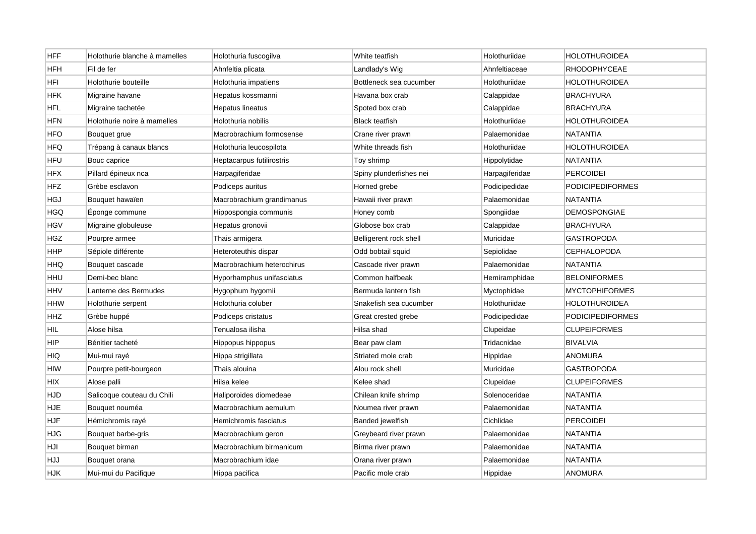| <b>HFF</b> | Holothurie blanche à mamelles | Holothuria fuscogilva      | White teatfish          | Holothuriidae  | HOLOTHUROIDEA           |
|------------|-------------------------------|----------------------------|-------------------------|----------------|-------------------------|
| HFH        | Fil de fer                    | Ahnfeltia plicata          | Landlady's Wig          | Ahnfeltiaceae  | <b>RHODOPHYCEAE</b>     |
| HFI        | Holothurie bouteille          | Holothuria impatiens       | Bottleneck sea cucumber | Holothuriidae  | <b>HOLOTHUROIDEA</b>    |
| <b>HFK</b> | Migraine havane               | Hepatus kossmanni          | Havana box crab         | Calappidae     | <b>BRACHYURA</b>        |
| HFL        | Migraine tachetée             | Hepatus lineatus           | Spoted box crab         | Calappidae     | <b>BRACHYURA</b>        |
| <b>HFN</b> | Holothurie noire à mamelles   | Holothuria nobilis         | <b>Black teatfish</b>   | Holothuriidae  | HOLOTHUROIDEA           |
| HFO        | Bouquet grue                  | Macrobrachium formosense   | Crane river prawn       | Palaemonidae   | NATANTIA                |
| HFQ        | Trépang à canaux blancs       | Holothuria leucospilota    | White threads fish      | Holothuriidae  | HOLOTHUROIDEA           |
| HFU        | Bouc caprice                  | Heptacarpus futilirostris  | Toy shrimp              | Hippolytidae   | <b>NATANTIA</b>         |
| HFX        | Pillard épineux nca           | Harpagiferidae             | Spiny plunderfishes nei | Harpagiferidae | <b>PERCOIDEI</b>        |
| HFZ        | Grèbe esclavon                | Podiceps auritus           | Horned grebe            | Podicipedidae  | <b>PODICIPEDIFORMES</b> |
| HGJ        | Bouquet hawaïen               | Macrobrachium grandimanus  | Hawaii river prawn      | Palaemonidae   | NATANTIA                |
| HGQ        | Eponge commune                | Hippospongia communis      | Honey comb              | Spongiidae     | <b>DEMOSPONGIAE</b>     |
| <b>HGV</b> | Migraine globuleuse           | Hepatus gronovii           | Globose box crab        | Calappidae     | <b>BRACHYURA</b>        |
| <b>HGZ</b> | Pourpre armee                 | Thais armigera             | Belligerent rock shell  | Muricidae      | <b>GASTROPODA</b>       |
| HHP        | Sépiole différente            | Heteroteuthis dispar       | Odd bobtail squid       | Sepiolidae     | <b>CEPHALOPODA</b>      |
| HHQ        | Bouquet cascade               | Macrobrachium heterochirus | Cascade river prawn     | Palaemonidae   | <b>NATANTIA</b>         |
| HHU        | Demi-bec blanc                | Hyporhamphus unifasciatus  | Common halfbeak         | Hemiramphidae  | <b>BELONIFORMES</b>     |
| HHV        | Lanterne des Bermudes         | Hygophum hygomii           | Bermuda lantern fish    | Myctophidae    | <b>MYCTOPHIFORMES</b>   |
| HHW        | Holothurie serpent            | Holothuria coluber         | Snakefish sea cucumber  | Holothuriidae  | <b>HOLOTHUROIDEA</b>    |
| HHZ        | Grèbe huppé                   | Podiceps cristatus         | Great crested grebe     | Podicipedidae  | <b>PODICIPEDIFORMES</b> |
| HIL        | Alose hilsa                   | Tenualosa ilisha           | Hilsa shad              | Clupeidae      | <b>CLUPEIFORMES</b>     |
| HIP        | Bénitier tacheté              | Hippopus hippopus          | Bear paw clam           | Tridacnidae    | <b>BIVALVIA</b>         |
| HIQ        | Mui-mui rayé                  | Hippa strigillata          | Striated mole crab      | Hippidae       | <b>ANOMURA</b>          |
| HIW        | Pourpre petit-bourgeon        | Thais alouina              | Alou rock shell         | Muricidae      | <b>GASTROPODA</b>       |
| HIX        | Alose palli                   | Hilsa kelee                | Kelee shad              | Clupeidae      | <b>CLUPEIFORMES</b>     |
| HJD        | Salicoque couteau du Chili    | Haliporoides diomedeae     | Chilean knife shrimp    | Solenoceridae  | <b>NATANTIA</b>         |
| <b>HJE</b> | Bouquet nouméa                | Macrobrachium aemulum      | Noumea river prawn      | Palaemonidae   | <b>NATANTIA</b>         |
| <b>HJF</b> | Hémichromis rayé              | Hemichromis fasciatus      | <b>Banded jewelfish</b> | Cichlidae      | <b>PERCOIDEI</b>        |
| HJG        | Bouquet barbe-gris            | Macrobrachium geron        | Greybeard river prawn   | Palaemonidae   | NATANTIA                |
| HJI        | Bouquet birman                | Macrobrachium birmanicum   | Birma river prawn       | Palaemonidae   | <b>NATANTIA</b>         |
| HJJ        | Bouquet orana                 | Macrobrachium idae         | Orana river prawn       | Palaemonidae   | NATANTIA                |
| <b>HJK</b> | Mui-mui du Pacifique          | Hippa pacifica             | Pacific mole crab       | Hippidae       | <b>ANOMURA</b>          |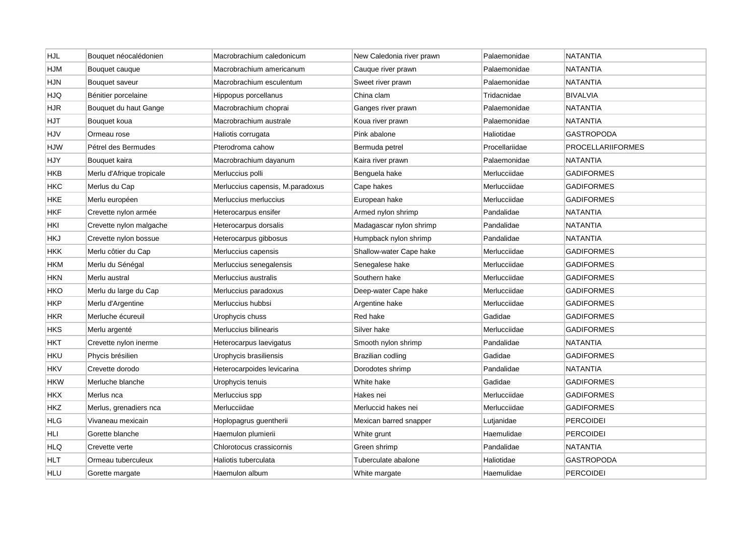| HJL        | Bouquet néocalédonien     | Macrobrachium caledonicum        | New Caledonia river prawn | Palaemonidae   | <b>NATANTIA</b>   |
|------------|---------------------------|----------------------------------|---------------------------|----------------|-------------------|
| HJM        | Bouquet cauque            | Macrobrachium americanum         | Cauque river prawn        | Palaemonidae   | NATANTIA          |
| HJN        | Bouquet saveur            | Macrobrachium esculentum         | Sweet river prawn         | Palaemonidae   | <b>NATANTIA</b>   |
| HJQ        | Bénitier porcelaine       | Hippopus porcellanus             | China clam                | Tridacnidae    | <b>BIVALVIA</b>   |
| <b>HJR</b> | Bouquet du haut Gange     | Macrobrachium choprai            | Ganges river prawn        | Palaemonidae   | <b>NATANTIA</b>   |
| HJT        | Bouquet koua              | Macrobrachium australe           | Koua river prawn          | Palaemonidae   | <b>NATANTIA</b>   |
| HJV        | Ormeau rose               | Haliotis corrugata               | Pink abalone              | Haliotidae     | GASTROPODA        |
| <b>HJW</b> | Pétrel des Bermudes       | Pterodroma cahow                 | Bermuda petrel            | Procellariidae | PROCELLARIIFORMES |
| HJY        | Bouquet kaira             | Macrobrachium dayanum            | Kaira river prawn         | Palaemonidae   | NATANTIA          |
| HKB        | Merlu d'Afrique tropicale | Merluccius polli                 | Benguela hake             | Merlucciidae   | <b>GADIFORMES</b> |
| HKC        | Merlus du Cap             | Merluccius capensis, M.paradoxus | Cape hakes                | Merlucciidae   | <b>GADIFORMES</b> |
| HKE        | Merlu européen            | Merluccius merluccius            | European hake             | Merlucciidae   | GADIFORMES        |
| <b>HKF</b> | Crevette nylon armée      | Heterocarpus ensifer             | Armed nylon shrimp        | Pandalidae     | <b>NATANTIA</b>   |
| HKI        | Crevette nylon malgache   | Heterocarpus dorsalis            | Madagascar nylon shrimp   | Pandalidae     | NATANTIA          |
| HKJ        | Crevette nylon bossue     | Heterocarpus gibbosus            | Humpback nylon shrimp     | Pandalidae     | NATANTIA          |
| <b>HKK</b> | Merlu côtier du Cap       | Merluccius capensis              | Shallow-water Cape hake   | Merlucciidae   | <b>GADIFORMES</b> |
| HKM        | Merlu du Sénégal          | Merluccius senegalensis          | Senegalese hake           | Merlucciidae   | GADIFORMES        |
| HKN        | Merlu austral             | Merluccius australis             | Southern hake             | Merlucciidae   | <b>GADIFORMES</b> |
| HKO        | Merlu du large du Cap     | Merluccius paradoxus             | Deep-water Cape hake      | Merlucciidae   | GADIFORMES        |
| HKP        | Merlu d'Argentine         | Merluccius hubbsi                | Argentine hake            | Merlucciidae   | <b>GADIFORMES</b> |
| HKR        | Merluche écureuil         | Urophycis chuss                  | Red hake                  | Gadidae        | <b>GADIFORMES</b> |
| HKS        | Merlu argenté             | Merluccius bilinearis            | Silver hake               | Merlucciidae   | <b>GADIFORMES</b> |
| нкт        | Crevette nylon inerme     | Heterocarpus laevigatus          | Smooth nylon shrimp       | Pandalidae     | NATANTIA          |
| HKU        | Phycis brésilien          | Urophycis brasiliensis           | Brazilian codling         | Gadidae        | <b>GADIFORMES</b> |
| HKV        | Crevette dorodo           | Heterocarpoides levicarina       | Dorodotes shrimp          | Pandalidae     | NATANTIA          |
| HKW        | Merluche blanche          | Urophycis tenuis                 | White hake                | Gadidae        | <b>GADIFORMES</b> |
| <b>HKX</b> | Merlus nca                | Merluccius spp                   | Hakes nei                 | Merlucciidae   | <b>GADIFORMES</b> |
| <b>HKZ</b> | Merlus, grenadiers nca    | Merlucciidae                     | Merluccid hakes nei       | Merlucciidae   | GADIFORMES        |
| <b>HLG</b> | Vivaneau mexicain         | Hoplopagrus guentherii           | Mexican barred snapper    | Lutjanidae     | <b>PERCOIDEI</b>  |
| HLI        | Gorette blanche           | Haemulon plumierii               | White grunt               | Haemulidae     | PERCOIDEI         |
| HLQ        | Crevette verte            | Chlorotocus crassicornis         | Green shrimp              | Pandalidae     | <b>NATANTIA</b>   |
| HLT        | Ormeau tuberculeux        | Haliotis tuberculata             | Tuberculate abalone       | Haliotidae     | GASTROPODA        |
| <b>HLU</b> | Gorette margate           | Haemulon album                   | White margate             | Haemulidae     | <b>PERCOIDEI</b>  |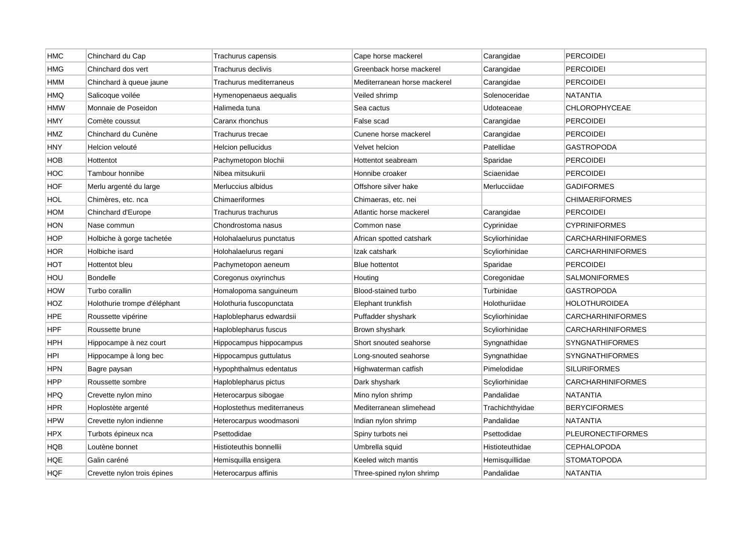| HMC        | Chinchard du Cap             | Trachurus capensis         | Cape horse mackerel          | Carangidae      | <b>PERCOIDEI</b>         |
|------------|------------------------------|----------------------------|------------------------------|-----------------|--------------------------|
| HMG        | Chinchard dos vert           | Trachurus declivis         | Greenback horse mackerel     | Carangidae      | <b>PERCOIDEI</b>         |
| HMM        | Chinchard à queue jaune      | Trachurus mediterraneus    | Mediterranean horse mackerel | Carangidae      | <b>PERCOIDEI</b>         |
| HMQ        | Salicoque voilée             | Hymenopenaeus aequalis     | Veiled shrimp                | Solenoceridae   | NATANTIA                 |
| HMW        | Monnaie de Poseidon          | Halimeda tuna              | Sea cactus                   | Udoteaceae      | <b>CHLOROPHYCEAE</b>     |
| HMY        | Comète coussut               | Caranx rhonchus            | False scad                   | Carangidae      | <b>PERCOIDEI</b>         |
| HMZ        | Chinchard du Cunène          | Trachurus trecae           | Cunene horse mackerel        | Carangidae      | <b>PERCOIDEI</b>         |
| HNY        | Helcion velouté              | Helcion pellucidus         | Velvet helcion               | Patellidae      | GASTROPODA               |
| HOB        | Hottentot                    | Pachymetopon blochii       | Hottentot seabream           | Sparidae        | <b>PERCOIDEI</b>         |
| HOC        | Tambour honnibe              | Nibea mitsukurii           | Honnibe croaker              | Sciaenidae      | <b>PERCOIDEI</b>         |
| <b>HOF</b> | Merlu argenté du large       | Merluccius albidus         | Offshore silver hake         | Merlucciidae    | GADIFORMES               |
| HOL        | Chimères, etc. nca           | Chimaeriformes             | Chimaeras, etc. nei          |                 | <b>CHIMAERIFORMES</b>    |
| HOM        | Chinchard d'Europe           | Trachurus trachurus        | Atlantic horse mackerel      | Carangidae      | <b>PERCOIDEI</b>         |
| HON        | Nase commun                  | Chondrostoma nasus         | Common nase                  | Cyprinidae      | <b>CYPRINIFORMES</b>     |
| <b>HOP</b> | Holbiche à gorge tachetée    | Holohalaelurus punctatus   | African spotted catshark     | Scyliorhinidae  | CARCHARHINIFORMES        |
| HOR        | Holbiche isard               | Holohalaelurus regani      | Izak catshark                | Scyliorhinidae  | <b>CARCHARHINIFORMES</b> |
| нот        | Hottentot bleu               | Pachymetopon aeneum        | <b>Blue hottentot</b>        | Sparidae        | <b>PERCOIDEI</b>         |
| HOU        | <b>Bondelle</b>              | Coregonus oxyrinchus       | Houting                      | Coregonidae     | <b>SALMONIFORMES</b>     |
| HOW        | Turbo corallin               | Homalopoma sanguineum      | Blood-stained turbo          | Turbinidae      | <b>GASTROPODA</b>        |
| HOZ        | Holothurie trompe d'éléphant | Holothuria fuscopunctata   | Elephant trunkfish           | Holothuriidae   | HOLOTHUROIDEA            |
| HPE        | Roussette vipérine           | Haploblepharus edwardsii   | Puffadder shyshark           | Scyliorhinidae  | <b>CARCHARHINIFORMES</b> |
| HPF        | Roussette brune              | Haploblepharus fuscus      | Brown shyshark               | Scyliorhinidae  | <b>CARCHARHINIFORMES</b> |
| HPH        | Hippocampe à nez court       | Hippocampus hippocampus    | Short snouted seahorse       | Syngnathidae    | <b>SYNGNATHIFORMES</b>   |
| HPI        | Hippocampe à long bec        | Hippocampus guttulatus     | Long-snouted seahorse        | Syngnathidae    | <b>SYNGNATHIFORMES</b>   |
| HPN        | Bagre paysan                 | Hypophthalmus edentatus    | Highwaterman catfish         | Pimelodidae     | <b>SILURIFORMES</b>      |
| <b>HPP</b> | Roussette sombre             | Haploblepharus pictus      | Dark shyshark                | Scyliorhinidae  | CARCHARHINIFORMES        |
| <b>HPQ</b> | Crevette nylon mino          | Heterocarpus sibogae       | Mino nylon shrimp            | Pandalidae      | NATANTIA                 |
| <b>HPR</b> | Hoplostète argenté           | Hoplostethus mediterraneus | Mediterranean slimehead      | Trachichthyidae | <b>BERYCIFORMES</b>      |
| <b>HPW</b> | Crevette nylon indienne      | Heterocarpus woodmasoni    | Indian nylon shrimp          | Pandalidae      | <b>NATANTIA</b>          |
| HPX        | Turbots épineux nca          | Psettodidae                | Spiny turbots nei            | Psettodidae     | <b>PLEURONECTIFORMES</b> |
| HQB        | Loutène bonnet               | Histioteuthis bonnellii    | Umbrella squid               | Histioteuthidae | <b>CEPHALOPODA</b>       |
| HQE        | Galin caréné                 | Hemisquilla ensigera       | Keeled witch mantis          | Hemisquillidae  | <b>STOMATOPODA</b>       |
| <b>HQF</b> | Crevette nylon trois épines  | Heterocarpus affinis       | Three-spined nylon shrimp    | Pandalidae      | <b>NATANTIA</b>          |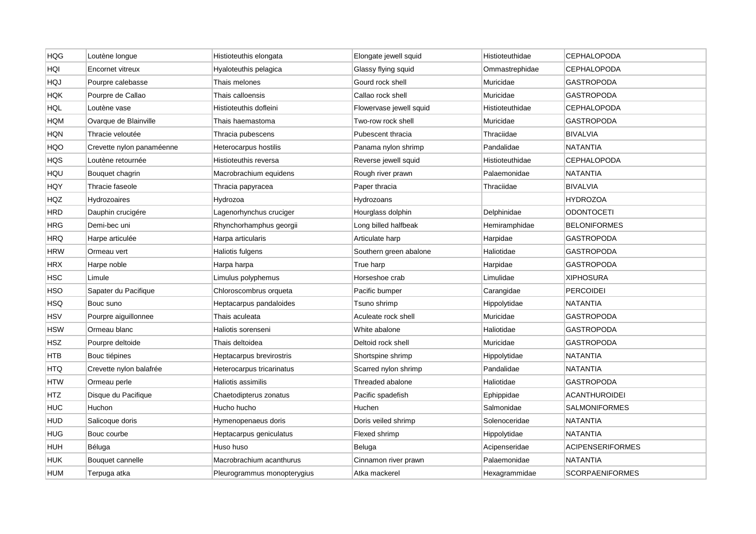| <b>HQG</b> | Loutène longue            | Histioteuthis elongata      | Elongate jewell squid   | Histioteuthidae | <b>CEPHALOPODA</b>      |
|------------|---------------------------|-----------------------------|-------------------------|-----------------|-------------------------|
| HQI        | Encornet vitreux          | Hyaloteuthis pelagica       | Glassy flying squid     | Ommastrephidae  | <b>CEPHALOPODA</b>      |
| HQJ        | Pourpre calebasse         | Thais melones               | Gourd rock shell        | Muricidae       | <b>GASTROPODA</b>       |
| HQK        | Pourpre de Callao         | Thais calloensis            | Callao rock shell       | Muricidae       | GASTROPODA              |
| <b>HQL</b> | Loutène vase              | Histioteuthis dofleini      | Flowervase jewell squid | Histioteuthidae | <b>CEPHALOPODA</b>      |
| <b>HQM</b> | Ovarque de Blainville     | Thais haemastoma            | Two-row rock shell      | Muricidae       | GASTROPODA              |
| HQN        | Thracie veloutée          | Thracia pubescens           | Pubescent thracia       | Thraciidae      | <b>BIVALVIA</b>         |
| HQO        | Crevette nylon panaméenne | Heterocarpus hostilis       | Panama nylon shrimp     | Pandalidae      | NATANTIA                |
| HQS        | Loutène retournée         | Histioteuthis reversa       | Reverse jewell squid    | Histioteuthidae | <b>CEPHALOPODA</b>      |
| HQU        | Bouquet chagrin           | Macrobrachium equidens      | Rough river prawn       | Palaemonidae    | <b>NATANTIA</b>         |
| HQY        | Thracie faseole           | Thracia papyracea           | Paper thracia           | Thraciidae      | BIVALVIA                |
| HQZ        | Hydrozoaires              | Hydrozoa                    | Hydrozoans              |                 | <b>HYDROZOA</b>         |
| HRD        | Dauphin crucigére         | Lagenorhynchus cruciger     | Hourglass dolphin       | Delphinidae     | <b>ODONTOCETI</b>       |
| <b>HRG</b> | Demi-bec uni              | Rhynchorhamphus georgii     | Long billed halfbeak    | Hemiramphidae   | <b>BELONIFORMES</b>     |
| <b>HRQ</b> | Harpe articulée           | Harpa articularis           | Articulate harp         | Harpidae        | GASTROPODA              |
| <b>HRW</b> | Ormeau vert               | Haliotis fulgens            | Southern green abalone  | Haliotidae      | <b>GASTROPODA</b>       |
| HRX        | Harpe noble               | Harpa harpa                 | True harp               | Harpidae        | <b>GASTROPODA</b>       |
| <b>HSC</b> | Limule                    | Limulus polyphemus          | Horseshoe crab          | Limulidae       | <b>XIPHOSURA</b>        |
| HSO        | Sapater du Pacifique      | Chloroscombrus orqueta      | Pacific bumper          | Carangidae      | <b>PERCOIDEI</b>        |
| <b>HSQ</b> | Bouc suno                 | Heptacarpus pandaloides     | Tsuno shrimp            | Hippolytidae    | NATANTIA                |
| HSV        | Pourpre aiguillonnee      | Thais aculeata              | Aculeate rock shell     | Muricidae       | <b>GASTROPODA</b>       |
| <b>HSW</b> | Ormeau blanc              | Haliotis sorenseni          | White abalone           | Haliotidae      | <b>GASTROPODA</b>       |
| HSZ        | Pourpre deltoide          | Thais deltoidea             | Deltoid rock shell      | Muricidae       | <b>GASTROPODA</b>       |
| <b>HTB</b> | Bouc tiépines             | Heptacarpus brevirostris    | Shortspine shrimp       | Hippolytidae    | <b>NATANTIA</b>         |
| <b>HTQ</b> | Crevette nylon balafrée   | Heterocarpus tricarinatus   | Scarred nylon shrimp    | Pandalidae      | NATANTIA                |
| <b>HTW</b> | Ormeau perle              | Haliotis assimilis          | Threaded abalone        | Haliotidae      | <b>GASTROPODA</b>       |
| <b>HTZ</b> | Disque du Pacifique       | Chaetodipterus zonatus      | Pacific spadefish       | Ephippidae      | ACANTHUROIDEI           |
| <b>HUC</b> | Huchon                    | Hucho hucho                 | Huchen                  | Salmonidae      | <b>SALMONIFORMES</b>    |
| <b>HUD</b> | Salicoque doris           | Hymenopenaeus doris         | Doris veiled shrimp     | Solenoceridae   | <b>NATANTIA</b>         |
| HUG        | Bouc courbe               | Heptacarpus geniculatus     | Flexed shrimp           | Hippolytidae    | NATANTIA                |
| HUH        | Béluga                    | Huso huso                   | Beluga                  | Acipenseridae   | <b>ACIPENSERIFORMES</b> |
| HUK        | Bouquet cannelle          | Macrobrachium acanthurus    | Cinnamon river prawn    | Palaemonidae    | NATANTIA                |
| <b>HUM</b> | Terpuga atka              | Pleurogrammus monopterygius | Atka mackerel           | Hexagrammidae   | <b>SCORPAENIFORMES</b>  |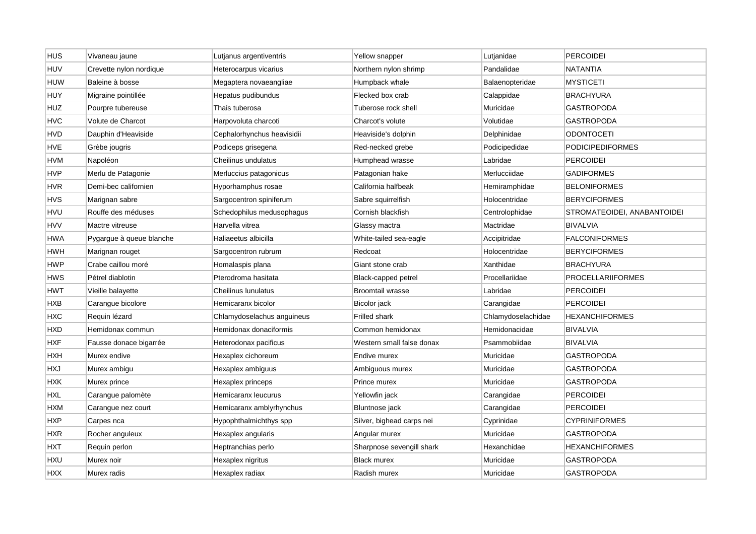| HUS        | Vivaneau jaune           | Lutjanus argentiventris    | Yellow snapper            | Lutjanidae         | <b>PERCOIDEI</b>            |
|------------|--------------------------|----------------------------|---------------------------|--------------------|-----------------------------|
| <b>HUV</b> | Crevette nylon nordique  | Heterocarpus vicarius      | Northern nylon shrimp     | Pandalidae         | NATANTIA                    |
| HUW        | Baleine à bosse          | Megaptera novaeangliae     | Humpback whale            | Balaenopteridae    | <b>MYSTICETI</b>            |
| HUY        | Migraine pointillée      | Hepatus pudibundus         | Flecked box crab          | Calappidae         | BRACHYURA                   |
| <b>HUZ</b> | Pourpre tubereuse        | Thais tuberosa             | Tuberose rock shell       | Muricidae          | GASTROPODA                  |
| <b>HVC</b> | Volute de Charcot        | Harpovoluta charcoti       | Charcot's volute          | Volutidae          | GASTROPODA                  |
| HVD        | Dauphin d'Heaviside      | Cephalorhynchus heavisidii | Heaviside's dolphin       | Delphinidae        | <b>ODONTOCETI</b>           |
| HVE        | Grèbe jougris            | Podiceps grisegena         | Red-necked grebe          | Podicipedidae      | <b>PODICIPEDIFORMES</b>     |
| HVM        | Napoléon                 | Cheilinus undulatus        | Humphead wrasse           | Labridae           | <b>PERCOIDEI</b>            |
| HVP        | Merlu de Patagonie       | Merluccius patagonicus     | Patagonian hake           | Merlucciidae       | <b>GADIFORMES</b>           |
| HVR        | Demi-bec californien     | Hyporhamphus rosae         | California halfbeak       | Hemiramphidae      | <b>BELONIFORMES</b>         |
| HVS        | Marignan sabre           | Sargocentron spiniferum    | Sabre squirrelfish        | Holocentridae      | <b>BERYCIFORMES</b>         |
| HVU        | Rouffe des méduses       | Schedophilus medusophagus  | Cornish blackfish         | Centrolophidae     | STROMATEOIDEI, ANABANTOIDEI |
| <b>HVV</b> | Mactre vitreuse          | Harvella vitrea            | Glassy mactra             | Mactridae          | <b>BIVALVIA</b>             |
| HWA        | Pygargue à queue blanche | Haliaeetus albicilla       | White-tailed sea-eagle    | Accipitridae       | <b>FALCONIFORMES</b>        |
| HWH        | Marignan rouget          | Sargocentron rubrum        | Redcoat                   | Holocentridae      | <b>BERYCIFORMES</b>         |
| HWP        | Crabe caillou moré       | Homalaspis plana           | Giant stone crab          | Xanthidae          | <b>BRACHYURA</b>            |
| HWS        | Pétrel diablotin         | Pterodroma hasitata        | Black-capped petrel       | Procellariidae     | <b>PROCELLARIIFORMES</b>    |
| HWT        | Vieille balayette        | Cheilinus lunulatus        | <b>Broomtail wrasse</b>   | Labridae           | <b>PERCOIDEI</b>            |
| HXB        | Carangue bicolore        | Hemicaranx bicolor         | Bicolor jack              | Carangidae         | <b>PERCOIDEI</b>            |
| HXC        | Requin lézard            | Chlamydoselachus anguineus | Frilled shark             | Chlamydoselachidae | <b>HEXANCHIFORMES</b>       |
| HXD        | Hemidonax commun         | Hemidonax donaciformis     | Common hemidonax          | Hemidonacidae      | <b>BIVALVIA</b>             |
| HXF        | Fausse donace bigarrée   | Heterodonax pacificus      | Western small false donax | Psammobiidae       | <b>BIVALVIA</b>             |
| HXH        | Murex endive             | Hexaplex cichoreum         | Endive murex              | Muricidae          | <b>GASTROPODA</b>           |
| <b>HXJ</b> | Murex ambigu             | Hexaplex ambiguus          | Ambiguous murex           | Muricidae          | <b>GASTROPODA</b>           |
| <b>HXK</b> | Murex prince             | Hexaplex princeps          | Prince murex              | Muricidae          | <b>GASTROPODA</b>           |
| HXL        | Carangue palomète        | Hemicaranx leucurus        | Yellowfin jack            | Carangidae         | <b>PERCOIDEI</b>            |
| HXM        | Carangue nez court       | Hemicaranx amblyrhynchus   | Bluntnose jack            | Carangidae         | <b>PERCOIDEI</b>            |
| <b>HXP</b> | Carpes nca               | Hypophthalmichthys spp     | Silver, bighead carps nei | Cyprinidae         | <b>CYPRINIFORMES</b>        |
| HXR        | Rocher anguleux          | Hexaplex angularis         | Angular murex             | Muricidae          | GASTROPODA                  |
| HXT        | Requin perlon            | Heptranchias perlo         | Sharpnose sevengill shark | Hexanchidae        | <b>HEXANCHIFORMES</b>       |
| HXU        | Murex noir               | Hexaplex nigritus          | <b>Black murex</b>        | Muricidae          | GASTROPODA                  |
| <b>HXX</b> | Murex radis              | Hexaplex radiax            | Radish murex              | Muricidae          | <b>GASTROPODA</b>           |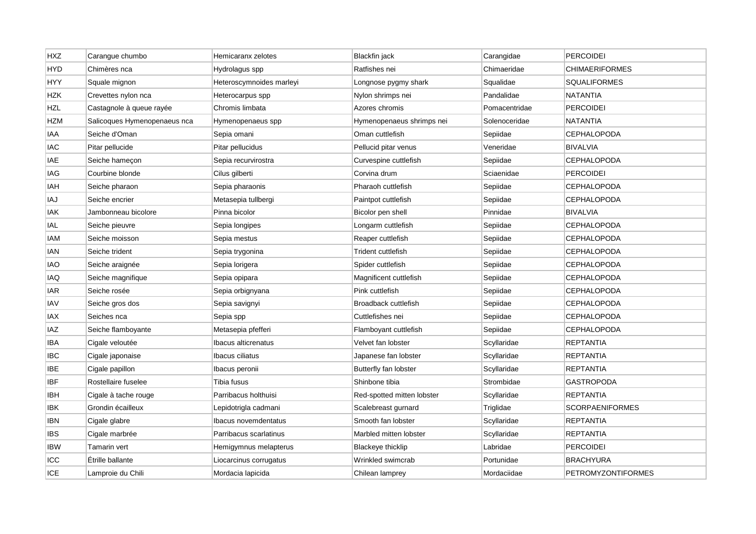| <b>HXZ</b> | Carangue chumbo              | Hemicaranx zelotes       | <b>Blackfin</b> jack       | Carangidae    | <b>PERCOIDEI</b>          |
|------------|------------------------------|--------------------------|----------------------------|---------------|---------------------------|
| <b>HYD</b> | Chimères nca                 | Hydrolagus spp           | Ratfishes nei              | Chimaeridae   | CHIMAERIFORMES            |
| <b>HYY</b> | Squale mignon                | Heteroscymnoides marleyi | Longnose pygmy shark       | Squalidae     | <b>SQUALIFORMES</b>       |
| <b>HZK</b> | Crevettes nylon nca          | Heterocarpus spp         | Nylon shrimps nei          | Pandalidae    | NATANTIA                  |
| <b>HZL</b> | Castagnole à queue rayée     | Chromis limbata          | Azores chromis             | Pomacentridae | <b>PERCOIDEI</b>          |
| <b>HZM</b> | Salicoques Hymenopenaeus nca | Hymenopenaeus spp        | Hymenopenaeus shrimps nei  | Solenoceridae | <b>NATANTIA</b>           |
| IAA        | Seiche d'Oman                | Sepia omani              | Oman cuttlefish            | Sepiidae      | <b>CEPHALOPODA</b>        |
| IAC        | Pitar pellucide              | Pitar pellucidus         | Pellucid pitar venus       | Veneridae     | <b>BIVALVIA</b>           |
| IAE        | Seiche hameçon               | Sepia recurvirostra      | Curvespine cuttlefish      | Sepiidae      | <b>CEPHALOPODA</b>        |
| IAG        | Courbine blonde              | Cilus gilberti           | Corvina drum               | Sciaenidae    | <b>PERCOIDEI</b>          |
| IAH        | Seiche pharaon               | Sepia pharaonis          | Pharaoh cuttlefish         | Sepiidae      | <b>CEPHALOPODA</b>        |
| IAJ        | Seiche encrier               | Metasepia tullbergi      | Paintpot cuttlefish        | Sepiidae      | <b>CEPHALOPODA</b>        |
| IAK        | Jambonneau bicolore          | Pinna bicolor            | Bicolor pen shell          | Pinnidae      | <b>BIVALVIA</b>           |
| IAL        | Seiche pieuvre               | Sepia longipes           | Longarm cuttlefish         | Sepiidae      | <b>CEPHALOPODA</b>        |
| IAM        | Seiche moisson               | Sepia mestus             | Reaper cuttlefish          | Sepiidae      | <b>CEPHALOPODA</b>        |
| IAN        | Seiche trident               | Sepia trygonina          | Trident cuttlefish         | Sepiidae      | <b>CEPHALOPODA</b>        |
| IAO        | Seiche araignée              | Sepia lorigera           | Spider cuttlefish          | Sepiidae      | CEPHALOPODA               |
| IAQ        | Seiche magnifique            | Sepia opipara            | Magnificent cuttlefish     | Sepiidae      | <b>CEPHALOPODA</b>        |
| iar        | Seiche rosée                 | Sepia orbignyana         | Pink cuttlefish            | Sepiidae      | CEPHALOPODA               |
| IAV        | Seiche gros dos              | Sepia savignyi           | Broadback cuttlefish       | Sepiidae      | <b>CEPHALOPODA</b>        |
| IAX        | Seiches nca                  | Sepia spp                | Cuttlefishes nei           | Sepiidae      | <b>CEPHALOPODA</b>        |
| IAZ        | Seiche flamboyante           | Metasepia pfefferi       | Flamboyant cuttlefish      | Sepiidae      | <b>CEPHALOPODA</b>        |
| IBA        | Cigale veloutée              | Ibacus alticrenatus      | Velvet fan lobster         | Scyllaridae   | <b>REPTANTIA</b>          |
| IBC        | Cigale japonaise             | Ibacus ciliatus          | Japanese fan lobster       | Scyllaridae   | <b>REPTANTIA</b>          |
| IBE        | Cigale papillon              | lbacus peronii           | Butterfly fan lobster      | Scyllaridae   | <b>REPTANTIA</b>          |
| <b>IBF</b> | Rostellaire fuselee          | Tibia fusus              | Shinbone tibia             | Strombidae    | GASTROPODA                |
| IBH        | Cigale à tache rouge         | Parribacus holthuisi     | Red-spotted mitten lobster | Scyllaridae   | <b>REPTANTIA</b>          |
| <b>IBK</b> | Grondin écailleux            | Lepidotrigla cadmani     | Scalebreast gurnard        | Triglidae     | <b>SCORPAENIFORMES</b>    |
| <b>IBN</b> | Cigale glabre                | lbacus novemdentatus     | Smooth fan lobster         | Scyllaridae   | <b>REPTANTIA</b>          |
| ibs        | Cigale marbrée               | Parribacus scarlatinus   | Marbled mitten lobster     | Scyllaridae   | REPTANTIA                 |
| <b>IBW</b> | Tamarin vert                 | Hemigymnus melapterus    | <b>Blackeye thicklip</b>   | Labridae      | <b>PERCOIDEI</b>          |
| ICC        | Étrille ballante             | Liocarcinus corrugatus   | Wrinkled swimcrab          | Portunidae    | <b>BRACHYURA</b>          |
| ICE        | Lamproie du Chili            | Mordacia lapicida        | Chilean lamprey            | Mordaciidae   | <b>PETROMYZONTIFORMES</b> |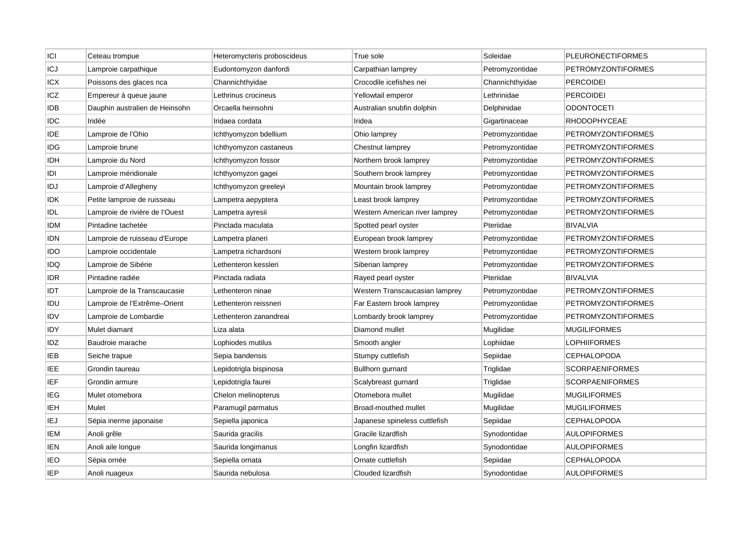| C          | Ceteau trompue                 | Heteromycteris proboscideus | True sole                      | Soleidae        | <b>PLEURONECTIFORMES</b>  |
|------------|--------------------------------|-----------------------------|--------------------------------|-----------------|---------------------------|
| ICJ        | Lamproie carpathique           | Eudontomyzon danfordi       | Carpathian lamprey             | Petromyzontidae | PETROMYZONTIFORMES        |
| ICX        | Poissons des glaces nca        | Channichthyidae             | Crocodile icefishes nei        | Channichthyidae | <b>PERCOIDEI</b>          |
| ICZ        | Empereur à queue jaune         | Lethrinus crocineus         | Yellowtail emperor             | Lethrinidae     | <b>PERCOIDEI</b>          |
| idb        | Dauphin australien de Heinsohn | Orcaella heinsohni          | Australian snubfin dolphin     | Delphinidae     | <b>ODONTOCETI</b>         |
| IDC        | Iridée                         | Iridaea cordata             | Iridea                         | Gigartinaceae   | RHODOPHYCEAE              |
| IDE        | Lamproie de l'Ohio             | lchthyomyzon bdellium       | Ohio lamprey                   | Petromyzontidae | <b>PETROMYZONTIFORMES</b> |
| IDG        | Lamproie brune                 | Ichthyomyzon castaneus      | Chestnut lamprey               | Petromyzontidae | <b>PETROMYZONTIFORMES</b> |
| IDH        | Lamproie du Nord               | Ichthyomyzon fossor         | Northern brook lamprey         | Petromyzontidae | <b>PETROMYZONTIFORMES</b> |
| idi        | Lamproie méridionale           | Ichthyomyzon gagei          | Southern brook lamprey         | Petromyzontidae | PETROMYZONTIFORMES        |
| IDJ        | Lamproie d'Allegheny           | Ichthyomyzon greeleyi       | Mountain brook lamprey         | Petromyzontidae | PETROMYZONTIFORMES        |
| IDK        | Petite lamproie de ruisseau    | Lampetra aepyptera          | Least brook lamprey            | Petromyzontidae | <b>PETROMYZONTIFORMES</b> |
| IDL        | Lamproie de rivière de l'Ouest | Lampetra ayresii            | Western American river lamprey | Petromyzontidae | <b>PETROMYZONTIFORMES</b> |
| IDM        | Pintadine tachetée             | Pinctada maculata           | Spotted pearl oyster           | Pteriidae       | <b>BIVALVIA</b>           |
| idn        | Lamproie de ruisseau d'Europe  | Lampetra planeri            | European brook lamprey         | Petromyzontidae | PETROMYZONTIFORMES        |
| ido        | Lamproie occidentale           | Lampetra richardsoni        | Western brook lamprey          | Petromyzontidae | <b>PETROMYZONTIFORMES</b> |
| IDQ        | Lamproie de Sibérie            | Lethenteron kessleri        | Siberian lamprey               | Petromyzontidae | PETROMYZONTIFORMES        |
| IDR        | Pintadine radiée               | Pinctada radiata            | Rayed pearl oyster             | Pteriidae       | BIVALVIA                  |
| IDT        | Lamproie de la Transcaucasie   | Lethenteron ninae           | Western Transcaucasian lamprey | Petromyzontidae | PETROMYZONTIFORMES        |
| IDU        | Lamproie de l'Extrême-Orient   | Lethenteron reissneri       | Far Eastern brook lamprey      | Petromyzontidae | <b>PETROMYZONTIFORMES</b> |
| idv        | Lamproie de Lombardie          | Lethenteron zanandreai      | Lombardy brook lamprey         | Petromyzontidae | <b>PETROMYZONTIFORMES</b> |
| IDY        | Mulet diamant                  | Liza alata                  | Diamond mullet                 | Mugilidae       | <b>MUGILIFORMES</b>       |
| IDZ        | Baudroie marache               | Lophiodes mutilus           | Smooth angler                  | Lophiidae       | <b>LOPHIIFORMES</b>       |
| IEB        | Seiche trapue                  | Sepia bandensis             | Stumpy cuttlefish              | Sepiidae        | <b>CEPHALOPODA</b>        |
| IEE        | Grondin taureau                | Lepidotrigla bispinosa      | Bullhorn gurnard               | Triglidae       | <b>SCORPAENIFORMES</b>    |
| IEF        | Grondin armure                 | Lepidotrigla faurei         | Scalybreast gurnard            | Triglidae       | <b>SCORPAENIFORMES</b>    |
| IEG        | Mulet otomebora                | Chelon melinopterus         | Otomebora mullet               | Mugilidae       | <b>MUGILIFORMES</b>       |
| IEH        | Mulet                          | Paramugil parmatus          | Broad-mouthed mullet           | Mugilidae       | <b>MUGILIFORMES</b>       |
| IEJ        | Sépia inerme japonaise         | Sepiella japonica           | Japanese spineless cuttlefish  | Sepiidae        | <b>CEPHALOPODA</b>        |
| IEM        | Anoli grêle                    | Saurida gracilis            | Gracile lizardfish             | Synodontidae    | <b>AULOPIFORMES</b>       |
| IEN        | Anoli aile longue              | Saurida longimanus          | Longfin lizardfish             | Synodontidae    | <b>AULOPIFORMES</b>       |
| IEO        | Sépia ornée                    | Sepiella ornata             | Ornate cuttlefish              | Sepiidae        | <b>CEPHALOPODA</b>        |
| <b>IEP</b> | Anoli nuageux                  | Saurida nebulosa            | Clouded lizardfish             | Synodontidae    | <b>AULOPIFORMES</b>       |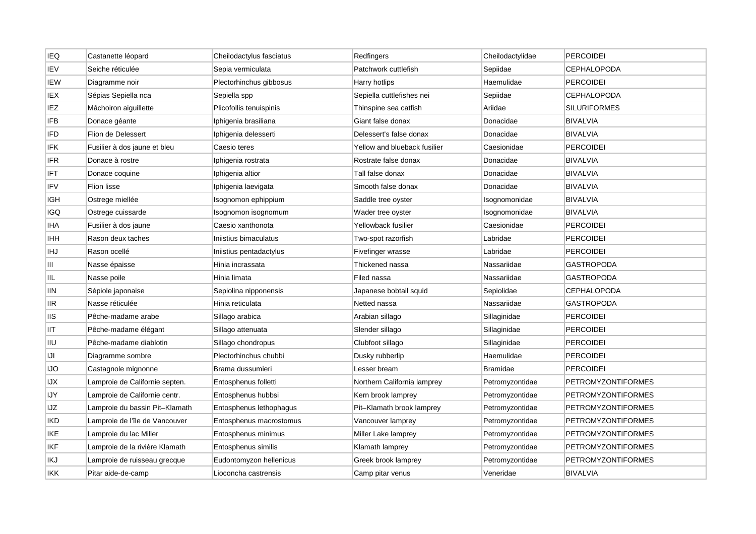| <b>IEQ</b> | Castanette léopard             | Cheilodactylus fasciatus | Redfingers                   | Cheilodactylidae | <b>PERCOIDEI</b>          |
|------------|--------------------------------|--------------------------|------------------------------|------------------|---------------------------|
| IEV        | Seiche réticulée               | Sepia vermiculata        | Patchwork cuttlefish         | Sepiidae         | <b>CEPHALOPODA</b>        |
| IEW        | Diagramme noir                 | Plectorhinchus gibbosus  | Harry hotlips                | Haemulidae       | <b>PERCOIDEI</b>          |
| IEX        | Sépias Sepiella nca            | Sepiella spp             | Sepiella cuttlefishes nei    | Sepiidae         | <b>CEPHALOPODA</b>        |
| IEZ        | Mâchoiron aiguillette          | Plicofollis tenuispinis  | Thinspine sea catfish        | Ariidae          | <b>SILURIFORMES</b>       |
| <b>IFB</b> | Donace géante                  | Iphigenia brasiliana     | Giant false donax            | Donacidae        | <b>BIVALVIA</b>           |
| IFD        | Flion de Delessert             | Iphigenia delesserti     | Delessert's false donax      | Donacidae        | <b>BIVALVIA</b>           |
| IFK        | Fusilier à dos jaune et bleu   | Caesio teres             | Yellow and blueback fusilier | Caesionidae      | <b>PERCOIDEI</b>          |
| IFR        | Donace à rostre                | Iphigenia rostrata       | Rostrate false donax         | Donacidae        | <b>BIVALVIA</b>           |
| IFT        | Donace coquine                 | Iphigenia altior         | Tall false donax             | Donacidae        | <b>BIVALVIA</b>           |
| IFV        | Flion lisse                    | Iphigenia laevigata      | Smooth false donax           | Donacidae        | <b>BIVALVIA</b>           |
| IGH        | Ostrege miellée                | Isognomon ephippium      | Saddle tree oyster           | Isognomonidae    | <b>BIVALVIA</b>           |
| IGQ        | Ostrege cuissarde              | Isognomon isognomum      | Wader tree oyster            | Isognomonidae    | <b>BIVALVIA</b>           |
| IHA        | Fusilier à dos jaune           | Caesio xanthonota        | Yellowback fusilier          | Caesionidae      | <b>PERCOIDEI</b>          |
| <b>IHH</b> | Rason deux taches              | Iniistius bimaculatus    | Two-spot razorfish           | Labridae         | PERCOIDEI                 |
| IHJ        | Rason ocellé                   | Iniistius pentadactylus  | Fivefinger wrasse            | Labridae         | <b>PERCOIDEI</b>          |
| Ш          | Nasse épaisse                  | Hinia incrassata         | Thickened nassa              | Nassariidae      | GASTROPODA                |
| IIL        | Nasse poile                    | Hinia limata             | Filed nassa                  | Nassariidae      | GASTROPODA                |
| ΙIΝ        | Sépiole japonaise              | Sepiolina nipponensis    | Japanese bobtail squid       | Sepiolidae       | CEPHALOPODA               |
| <b>IIR</b> | Nasse réticulée                | Hinia reticulata         | Netted nassa                 | Nassariidae      | <b>GASTROPODA</b>         |
| <b>IIS</b> | Pêche-madame arabe             | Sillago arabica          | Arabian sillago              | Sillaginidae     | <b>PERCOIDEI</b>          |
| IIT        | Pêche-madame élégant           | Sillago attenuata        | Slender sillago              | Sillaginidae     | <b>PERCOIDEI</b>          |
| ΠU         | Pêche-madame diablotin         | Sillago chondropus       | Clubfoot sillago             | Sillaginidae     | <b>PERCOIDEI</b>          |
| IJI        | Diagramme sombre               | Plectorhinchus chubbi    | Dusky rubberlip              | Haemulidae       | <b>PERCOIDEI</b>          |
| IJO        | Castagnole mignonne            | Brama dussumieri         | Lesser bream                 | <b>Bramidae</b>  | <b>PERCOIDEI</b>          |
| IJХ        | Lamproie de Californie septen. | Entosphenus folletti     | Northern California lamprey  | Petromyzontidae  | <b>PETROMYZONTIFORMES</b> |
| IJΥ        | Lamproie de Californie centr.  | Entosphenus hubbsi       | Kern brook lamprey           | Petromyzontidae  | <b>PETROMYZONTIFORMES</b> |
| IJZ        | Lamproie du bassin Pit-Klamath | Entosphenus lethophagus  | Pit-Klamath brook lamprey    | Petromyzontidae  | <b>PETROMYZONTIFORMES</b> |
| IKD        | Lamproie de l'île de Vancouver | Entosphenus macrostomus  | Vancouver lamprey            | Petromyzontidae  | PETROMYZONTIFORMES        |
| IKE        | Lamproie du lac Miller         | Entosphenus minimus      | Miller Lake lamprey          | Petromyzontidae  | PETROMYZONTIFORMES        |
| IKF        | Lamproie de la rivière Klamath | Entosphenus similis      | Klamath lamprey              | Petromyzontidae  | <b>PETROMYZONTIFORMES</b> |
| IKJ        | Lamproie de ruisseau grecque   | Eudontomyzon hellenicus  | Greek brook lamprey          | Petromyzontidae  | <b>PETROMYZONTIFORMES</b> |
| IKK        | Pitar aide-de-camp             | Lioconcha castrensis     | Camp pitar venus             | Veneridae        | <b>BIVALVIA</b>           |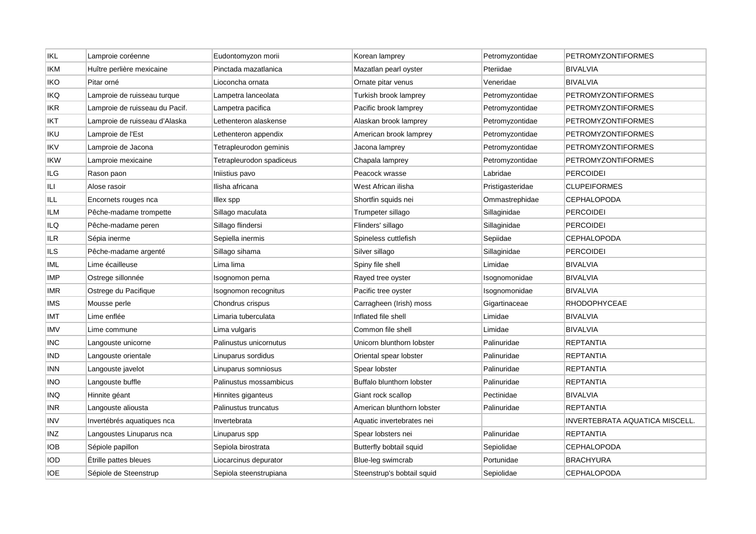| <b>IKL</b> | Lamproie coréenne              | Eudontomyzon morii       | Korean lamprey             | Petromyzontidae  | <b>PETROMYZONTIFORMES</b>      |
|------------|--------------------------------|--------------------------|----------------------------|------------------|--------------------------------|
| IKM        | Huître perlière mexicaine      | Pinctada mazatlanica     | Mazatlan pearl oyster      | Pteriidae        | <b>BIVALVIA</b>                |
| iko        | Pitar orné                     | Lioconcha ornata         | Ornate pitar venus         | Veneridae        | <b>BIVALVIA</b>                |
| IKQ        | Lamproie de ruisseau turque    | Lampetra lanceolata      | Turkish brook lamprey      | Petromyzontidae  | PETROMYZONTIFORMES             |
| <b>IKR</b> | Lamproie de ruisseau du Pacif. | Lampetra pacifica        | Pacific brook lamprey      | Petromyzontidae  | <b>PETROMYZONTIFORMES</b>      |
| IKT        | Lamproie de ruisseau d'Alaska  | Lethenteron alaskense    | Alaskan brook lamprey      | Petromyzontidae  | PETROMYZONTIFORMES             |
| <b>IKU</b> | Lamproie de l'Est              | Lethenteron appendix     | American brook lamprey     | Petromyzontidae  | PETROMYZONTIFORMES             |
| IKV        | Lamproie de Jacona             | Tetrapleurodon geminis   | Jacona lamprey             | Petromyzontidae  | <b>PETROMYZONTIFORMES</b>      |
| ikw        | Lamproie mexicaine             | Tetrapleurodon spadiceus | Chapala lamprey            | Petromyzontidae  | PETROMYZONTIFORMES             |
| ILG        | Rason paon                     | Iniistius pavo           | Peacock wrasse             | Labridae         | <b>PERCOIDEI</b>               |
| ILI        | Alose rasoir                   | Ilisha africana          | West African ilisha        | Pristigasteridae | <b>CLUPEIFORMES</b>            |
| ILL        | Encornets rouges nca           | Illex spp                | Shortfin squids nei        | Ommastrephidae   | <b>CEPHALOPODA</b>             |
| ILM        | Pêche-madame trompette         | Sillago maculata         | Trumpeter sillago          | Sillaginidae     | <b>PERCOIDEI</b>               |
| ILQ        | Pêche-madame peren             | Sillago flindersi        | Flinders' sillago          | Sillaginidae     | <b>PERCOIDEI</b>               |
| <b>ILR</b> | Sépia inerme                   | Sepiella inermis         | Spineless cuttlefish       | Sepiidae         | <b>CEPHALOPODA</b>             |
| ILS        | Pêche-madame argenté           | Sillago sihama           | Silver sillago             | Sillaginidae     | <b>PERCOIDEI</b>               |
| IML.       | Lime écailleuse                | Lima lima                | Spiny file shell           | Limidae          | <b>BIVALVIA</b>                |
| IMP        | Ostrege sillonnée              | Isognomon perna          | Rayed tree oyster          | Isognomonidae    | <b>BIVALVIA</b>                |
| imr        | Ostrege du Pacifique           | Isognomon recognitus     | Pacific tree oyster        | Isognomonidae    | <b>BIVALVIA</b>                |
| IMS        | Mousse perle                   | Chondrus crispus         | Carragheen (Irish) moss    | Gigartinaceae    | <b>RHODOPHYCEAE</b>            |
| IMT        | Lime enflée                    | Limaria tuberculata      | Inflated file shell        | Limidae          | <b>BIVALVIA</b>                |
| <b>IMV</b> | Lime commune                   | Lima vulgaris            | Common file shell          | Limidae          | <b>BIVALVIA</b>                |
| INC        | Langouste unicorne             | Palinustus unicornutus   | Unicorn blunthorn lobster  | Palinuridae      | <b>REPTANTIA</b>               |
| ind        | Langouste orientale            | Linuparus sordidus       | Oriental spear lobster     | Palinuridae      | <b>REPTANTIA</b>               |
| inn        | Langouste javelot              | Linuparus somniosus      | Spear lobster              | Palinuridae      | <b>REPTANTIA</b>               |
| INO        | Langouste buffle               | Palinustus mossambicus   | Buffalo blunthorn lobster  | Palinuridae      | <b>REPTANTIA</b>               |
| INQ        | Hinnite géant                  | Hinnites giganteus       | Giant rock scallop         | Pectinidae       | <b>BIVALVIA</b>                |
| INR        | Langouste aliousta             | Palinustus truncatus     | American blunthorn lobster | Palinuridae      | <b>REPTANTIA</b>               |
| INV        | Invertébrés aquatiques nca     | Invertebrata             | Aquatic invertebrates nei  |                  | INVERTEBRATA AQUATICA MISCELL. |
| inz        | Langoustes Linuparus nca       | Linuparus spp            | Spear lobsters nei         | Palinuridae      | REPTANTIA                      |
| iob        | Sépiole papillon               | Sepiola birostrata       | Butterfly bobtail squid    | Sepiolidae       | <b>CEPHALOPODA</b>             |
| iod        | Etrille pattes bleues          | Liocarcinus depurator    | Blue-leg swimcrab          | Portunidae       | <b>BRACHYURA</b>               |
| IOE        | Sépiole de Steenstrup          | Sepiola steenstrupiana   | Steenstrup's bobtail squid | Sepiolidae       | <b>CEPHALOPODA</b>             |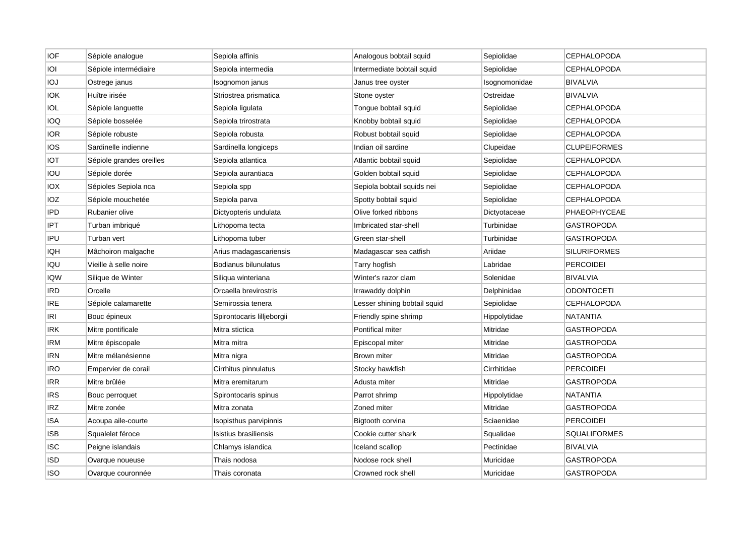| <b>IOF</b> | Sépiole analogue         | Sepiola affinis            | Analogous bobtail squid      | Sepiolidae    | <b>CEPHALOPODA</b>  |
|------------|--------------------------|----------------------------|------------------------------|---------------|---------------------|
| IOI        | Sépiole intermédiaire    | Sepiola intermedia         | Intermediate bobtail squid   | Sepiolidae    | <b>CEPHALOPODA</b>  |
| ЮJ         | Ostrege janus            | Isognomon janus            | Janus tree oyster            | Isognomonidae | <b>BIVALVIA</b>     |
| <b>IOK</b> | Huître irisée            | Striostrea prismatica      | Stone oyster                 | Ostreidae     | <b>BIVALVIA</b>     |
| IOL        | Sépiole languette        | Sepiola ligulata           | Tongue bobtail squid         | Sepiolidae    | <b>CEPHALOPODA</b>  |
| IOQ        | Sépiole bosselée         | Sepiola trirostrata        | Knobby bobtail squid         | Sepiolidae    | <b>CEPHALOPODA</b>  |
| <b>IOR</b> | Sépiole robuste          | Sepiola robusta            | Robust bobtail squid         | Sepiolidae    | <b>CEPHALOPODA</b>  |
| IOS.       | Sardinelle indienne      | Sardinella longiceps       | Indian oil sardine           | Clupeidae     | <b>CLUPEIFORMES</b> |
| IOT        | Sépiole grandes oreilles | Sepiola atlantica          | Atlantic bobtail squid       | Sepiolidae    | <b>CEPHALOPODA</b>  |
| iou        | Sépiole dorée            | Sepiola aurantiaca         | Golden bobtail squid         | Sepiolidae    | <b>CEPHALOPODA</b>  |
| ЮX         | Sépioles Sepiola nca     | Sepiola spp                | Sepiola bobtail squids nei   | Sepiolidae    | <b>CEPHALOPODA</b>  |
| IOZ        | Sépiole mouchetée        | Sepiola parva              | Spotty bobtail squid         | Sepiolidae    | <b>CEPHALOPODA</b>  |
| <b>IPD</b> | Rubanier olive           | Dictyopteris undulata      | Olive forked ribbons         | Dictyotaceae  | PHAEOPHYCEAE        |
| IPT        | Turban imbriqué          | Lithopoma tecta            | Imbricated star-shell        | Turbinidae    | <b>GASTROPODA</b>   |
| IPU        | Turban vert              | Lithopoma tuber            | Green star-shell             | Turbinidae    | GASTROPODA          |
| IQH        | Mâchoiron malgache       | Arius madagascariensis     | Madagascar sea catfish       | Ariidae       | <b>SILURIFORMES</b> |
| IQU        | Vieille à selle noire    | Bodianus bilunulatus       | Tarry hogfish                | Labridae      | <b>PERCOIDEI</b>    |
| IQW        | Silique de Winter        | Siliqua winteriana         | Winter's razor clam          | Solenidae     | <b>BIVALVIA</b>     |
| IRD        | Orcelle                  | Orcaella brevirostris      | Irrawaddy dolphin            | Delphinidae   | ODONTOCETI          |
| IRE        | Sépiole calamarette      | Semirossia tenera          | Lesser shining bobtail squid | Sepiolidae    | <b>CEPHALOPODA</b>  |
| IRI        | Bouc épineux             | Spirontocaris lilljeborgii | Friendly spine shrimp        | Hippolytidae  | <b>NATANTIA</b>     |
| IRK        | Mitre pontificale        | Mitra stictica             | Pontifical miter             | Mitridae      | <b>GASTROPODA</b>   |
| IRM        | Mitre épiscopale         | Mitra mitra                | Episcopal miter              | Mitridae      | <b>GASTROPODA</b>   |
| <b>IRN</b> | Mitre mélanésienne       | Mitra nigra                | <b>Brown miter</b>           | Mitridae      | GASTROPODA          |
| IRO        | Empervier de corail      | Cirrhitus pinnulatus       | Stocky hawkfish              | Cirrhitidae   | <b>PERCOIDEI</b>    |
| <b>IRR</b> | Mitre brûlée             | Mitra eremitarum           | Adusta miter                 | Mitridae      | GASTROPODA          |
| <b>IRS</b> | Bouc perroquet           | Spirontocaris spinus       | Parrot shrimp                | Hippolytidae  | <b>NATANTIA</b>     |
| IRZ        | Mitre zonée              | Mitra zonata               | Zoned miter                  | Mitridae      | <b>GASTROPODA</b>   |
| ISA        | Acoupa aile-courte       | Isopisthus parvipinnis     | Bigtooth corvina             | Sciaenidae    | <b>PERCOIDEI</b>    |
| ISB        | Squalelet féroce         | Isistius brasiliensis      | Cookie cutter shark          | Squalidae     | SQUALIFORMES        |
| ISC        | Peigne islandais         | Chlamys islandica          | Iceland scallop              | Pectinidae    | <b>BIVALVIA</b>     |
| ISD        | Ovarque noueuse          | Thais nodosa               | Nodose rock shell            | Muricidae     | <b>GASTROPODA</b>   |
| ISO        | Ovarque couronnée        | Thais coronata             | Crowned rock shell           | Muricidae     | <b>GASTROPODA</b>   |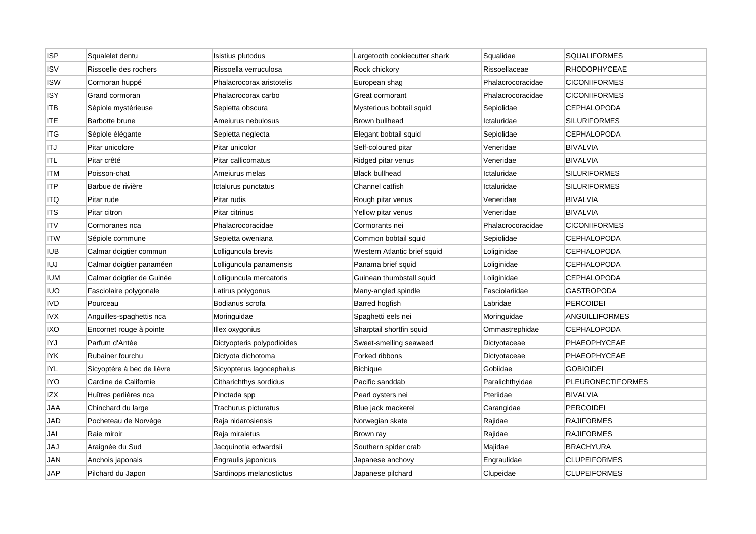| <b>ISP</b> | Squalelet dentu            | Isistius plutodus          | Largetooth cookiecutter shark | Squalidae         | <b>SQUALIFORMES</b>      |
|------------|----------------------------|----------------------------|-------------------------------|-------------------|--------------------------|
| ISV        | Rissoelle des rochers      | Rissoella verruculosa      | Rock chickory                 | Rissoellaceae     | RHODOPHYCEAE             |
| <b>ISW</b> | Cormoran huppé             | Phalacrocorax aristotelis  | European shag                 | Phalacrocoracidae | <b>CICONIIFORMES</b>     |
| <b>ISY</b> | Grand cormoran             | Phalacrocorax carbo        | Great cormorant               | Phalacrocoracidae | <b>CICONIIFORMES</b>     |
| ITB        | Sépiole mystérieuse        | Sepietta obscura           | Mysterious bobtail squid      | Sepiolidae        | <b>CEPHALOPODA</b>       |
| ITE        | Barbotte brune             | Ameiurus nebulosus         | Brown bullhead                | Ictaluridae       | <b>SILURIFORMES</b>      |
| ITG        | Sépiole élégante           | Sepietta neglecta          | Elegant bobtail squid         | Sepiolidae        | <b>CEPHALOPODA</b>       |
| <b>ITJ</b> | Pitar unicolore            | Pitar unicolor             | Self-coloured pitar           | Veneridae         | <b>BIVALVIA</b>          |
| ITL        | Pitar crêté                | Pitar callicomatus         | Ridged pitar venus            | Veneridae         | <b>BIVALVIA</b>          |
| ITM        | Poisson-chat               | Ameiurus melas             | <b>Black bullhead</b>         | Ictaluridae       | <b>SILURIFORMES</b>      |
| ITP        | Barbue de rivière          | Ictalurus punctatus        | Channel catfish               | Ictaluridae       | <b>SILURIFORMES</b>      |
| ITQ        | Pitar rude                 | Pitar rudis                | Rough pitar venus             | Veneridae         | <b>BIVALVIA</b>          |
| <b>ITS</b> | Pitar citron               | Pitar citrinus             | Yellow pitar venus            | Veneridae         | <b>BIVALVIA</b>          |
| ITV        | Cormoranes nca             | Phalacrocoracidae          | Cormorants nei                | Phalacrocoracidae | <b>CICONIIFORMES</b>     |
| <b>ITW</b> | Sépiole commune            | Sepietta oweniana          | Common bobtail squid          | Sepiolidae        | <b>CEPHALOPODA</b>       |
| <b>IUB</b> | Calmar doigtier commun     | Lolliguncula brevis        | Western Atlantic brief squid  | Loliginidae       | <b>CEPHALOPODA</b>       |
| IUJ        | Calmar doigtier panaméen   | Lolliguncula panamensis    | Panama brief squid            | Loliginidae       | <b>CEPHALOPODA</b>       |
| IUM        | Calmar doigtier de Guinée  | Lolliguncula mercatoris    | Guinean thumbstall squid      | Loliginidae       | <b>CEPHALOPODA</b>       |
| iuo        | Fasciolaire polygonale     | Latirus polygonus          | Many-angled spindle           | Fasciolariidae    | GASTROPODA               |
| <b>IVD</b> | Pourceau                   | Bodianus scrofa            | Barred hogfish                | Labridae          | <b>PERCOIDEI</b>         |
| <b>IVX</b> | Anguilles-spaghettis nca   | Moringuidae                | Spaghetti eels nei            | Moringuidae       | <b>ANGUILLIFORMES</b>    |
| IXO        | Encornet rouge à pointe    | Illex oxygonius            | Sharptail shortfin squid      | Ommastrephidae    | <b>CEPHALOPODA</b>       |
| IYJ        | Parfum d'Antée             | Dictyopteris polypodioides | Sweet-smelling seaweed        | Dictyotaceae      | PHAEOPHYCEAE             |
| IYK        | Rubainer fourchu           | Dictyota dichotoma         | Forked ribbons                | Dictyotaceae      | PHAEOPHYCEAE             |
| IYL        | Sicyoptère à bec de lièvre | Sicyopterus lagocephalus   | <b>Bichique</b>               | Gobiidae          | <b>GOBIOIDEI</b>         |
| <b>IYO</b> | Cardine de Californie      | Citharichthys sordidus     | Pacific sanddab               | Paralichthyidae   | <b>PLEURONECTIFORMES</b> |
| IZX        | Huîtres perlières nca      | Pinctada spp               | Pearl oysters nei             | Pteriidae         | <b>BIVALVIA</b>          |
| JAA        | Chinchard du large         | Trachurus picturatus       | Blue jack mackerel            | Carangidae        | <b>PERCOIDEI</b>         |
| JAD        | Pocheteau de Norvège       | Raja nidarosiensis         | Norwegian skate               | Rajidae           | <b>RAJIFORMES</b>        |
| JAI        | Raie miroir                | Raja miraletus             | Brown ray                     | Rajidae           | <b>RAJIFORMES</b>        |
| JAJ        | Araignée du Sud            | Jacquinotia edwardsii      | Southern spider crab          | Majidae           | <b>BRACHYURA</b>         |
| JAN        | Anchois japonais           | Engraulis japonicus        | Japanese anchovy              | Engraulidae       | <b>CLUPEIFORMES</b>      |
| JAP        | Pilchard du Japon          | Sardinops melanostictus    | Japanese pilchard             | Clupeidae         | <b>CLUPEIFORMES</b>      |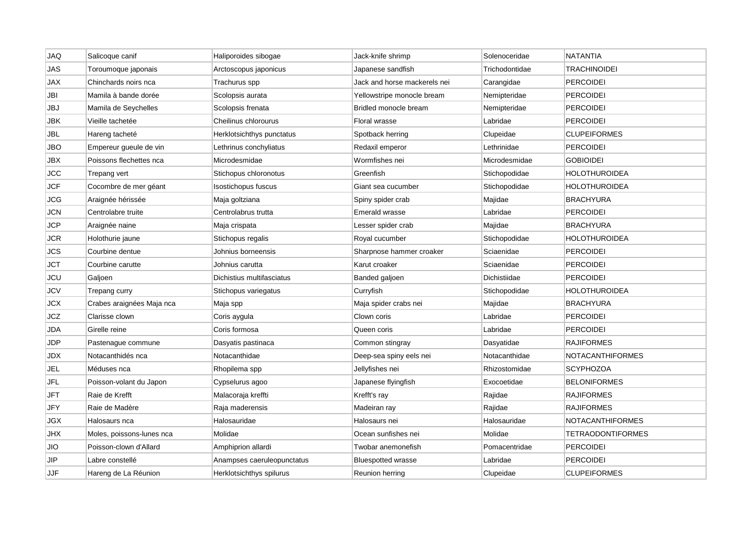| <b>JAQ</b> | Salicoque canif           | Haliporoides sibogae       | Jack-knife shrimp            | Solenoceridae  | <b>NATANTIA</b>         |
|------------|---------------------------|----------------------------|------------------------------|----------------|-------------------------|
| <b>JAS</b> | Toroumoque japonais       | Arctoscopus japonicus      | Japanese sandfish            | Trichodontidae | <b>TRACHINOIDEI</b>     |
| JAX        | Chinchards noirs nca      | Trachurus spp              | Jack and horse mackerels nei | Carangidae     | <b>PERCOIDEI</b>        |
| JBI        | Mamila à bande dorée      | Scolopsis aurata           | Yellowstripe monocle bream   | Nemipteridae   | <b>PERCOIDEI</b>        |
| JBJ        | Mamila de Seychelles      | Scolopsis frenata          | Bridled monocle bream        | Nemipteridae   | <b>PERCOIDEI</b>        |
| JBK        | Vieille tachetée          | Cheilinus chlorourus       | Floral wrasse                | Labridae       | <b>PERCOIDEI</b>        |
| JBL        | Hareng tacheté            | Herklotsichthys punctatus  | Spotback herring             | Clupeidae      | <b>CLUPEIFORMES</b>     |
| JBO        | Empereur gueule de vin    | Lethrinus conchyliatus     | Redaxil emperor              | Lethrinidae    | <b>PERCOIDEI</b>        |
| JBX        | Poissons flechettes nca   | Microdesmidae              | Wormfishes nei               | Microdesmidae  | <b>GOBIOIDEI</b>        |
| <b>JCC</b> | Trepang vert              | Stichopus chloronotus      | Greenfish                    | Stichopodidae  | <b>HOLOTHUROIDEA</b>    |
| <b>JCF</b> | Cocombre de mer géant     | Isostichopus fuscus        | Giant sea cucumber           | Stichopodidae  | HOLOTHUROIDEA           |
| JCG        | Araignée hérissée         | Maja goltziana             | Spiny spider crab            | Majidae        | <b>BRACHYURA</b>        |
| <b>JCN</b> | Centrolabre truite        | Centrolabrus trutta        | <b>Emerald wrasse</b>        | Labridae       | <b>PERCOIDEI</b>        |
| <b>JCP</b> | Araignée naine            | Maja crispata              | Lesser spider crab           | Majidae        | <b>BRACHYURA</b>        |
| <b>JCR</b> | Holothurie jaune          | Stichopus regalis          | Royal cucumber               | Stichopodidae  | <b>HOLOTHUROIDEA</b>    |
| JCS        | Courbine dentue           | Johnius borneensis         | Sharpnose hammer croaker     | Sciaenidae     | <b>PERCOIDEI</b>        |
| JCT        | Courbine carutte          | Johnius carutta            | Karut croaker                | Sciaenidae     | <b>PERCOIDEI</b>        |
| JCU        | Galjoen                   | Dichistius multifasciatus  | Banded galjoen               | Dichistiidae   | <b>PERCOIDEI</b>        |
| JCV        | Trepang curry             | Stichopus variegatus       | Curryfish                    | Stichopodidae  | HOLOTHUROIDEA           |
| <b>JCX</b> | Crabes araignées Maja nca | Maja spp                   | Maja spider crabs nei        | Majidae        | <b>BRACHYURA</b>        |
| JCZ        | Clarisse clown            | Coris aygula               | Clown coris                  | Labridae       | <b>PERCOIDEI</b>        |
| JDA        | Girelle reine             | Coris formosa              | Queen coris                  | Labridae       | <b>PERCOIDEI</b>        |
| JDP        | Pastenague commune        | Dasyatis pastinaca         | Common stingray              | Dasyatidae     | <b>RAJIFORMES</b>       |
| JDX        | Notacanthidés nca         | Notacanthidae              | Deep-sea spiny eels nei      | Notacanthidae  | <b>NOTACANTHIFORMES</b> |
| JEL        | Méduses nca               | Rhopilema spp              | Jellyfishes nei              | Rhizostomidae  | <b>SCYPHOZOA</b>        |
| JFL        | Poisson-volant du Japon   | Cypselurus agoo            | Japanese flyingfish          | Exocoetidae    | <b>BELONIFORMES</b>     |
| JFT        | Raie de Krefft            | Malacoraja kreffti         | Krefft's ray                 | Rajidae        | <b>RAJIFORMES</b>       |
| JFY        | Raie de Madère            | Raja maderensis            | Madeiran ray                 | Rajidae        | <b>RAJIFORMES</b>       |
| <b>JGX</b> | Halosaurs nca             | Halosauridae               | Halosaurs nei                | Halosauridae   | <b>NOTACANTHIFORMES</b> |
| JHX        | Moles, poissons-lunes nca | Molidae                    | Ocean sunfishes nei          | Molidae        | TETRAODONTIFORMES       |
| JIO        | Poisson-clown d'Allard    | Amphiprion allardi         | Twobar anemonefish           | Pomacentridae  | <b>PERCOIDEI</b>        |
| JIP        | Labre constellé           | Anampses caeruleopunctatus | <b>Bluespotted wrasse</b>    | Labridae       | PERCOIDEI               |
| <b>JJF</b> | Hareng de La Réunion      | Herklotsichthys spilurus   | Reunion herring              | Clupeidae      | <b>CLUPEIFORMES</b>     |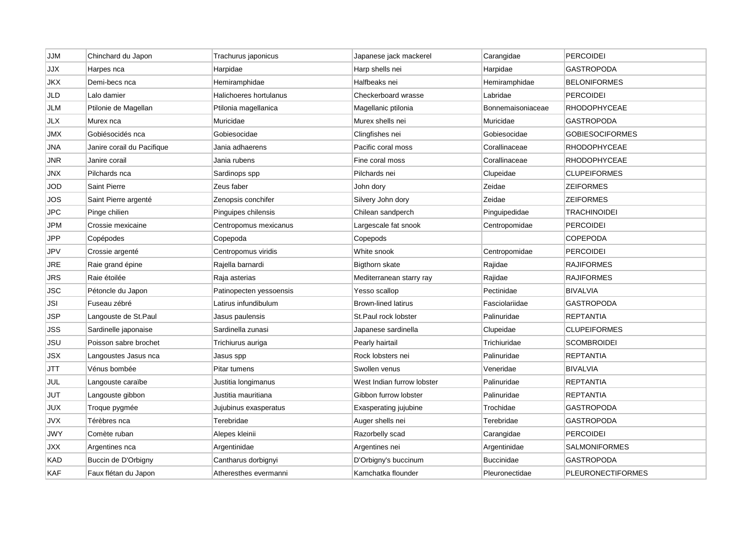| <b>JJM</b> | Chinchard du Japon         | Trachurus japonicus     | Japanese jack mackerel     | Carangidae        | PERCOIDEI                |
|------------|----------------------------|-------------------------|----------------------------|-------------------|--------------------------|
| <b>JJX</b> | Harpes nca                 | Harpidae                | Harp shells nei            | Harpidae          | <b>GASTROPODA</b>        |
| JKX        | Demi-becs nca              | Hemiramphidae           | Halfbeaks nei              | Hemiramphidae     | <b>BELONIFORMES</b>      |
| JLD        | Lalo damier                | Halichoeres hortulanus  | Checkerboard wrasse        | Labridae          | <b>PERCOIDEI</b>         |
| JLM        | Ptilonie de Magellan       | Ptilonia magellanica    | Magellanic ptilonia        | Bonnemaisoniaceae | <b>RHODOPHYCEAE</b>      |
| JLX        | Murex nca                  | Muricidae               | Murex shells nei           | Muricidae         | <b>GASTROPODA</b>        |
| JMX        | Gobiésocidés nca           | Gobiesocidae            | Clingfishes nei            | Gobiesocidae      | <b>GOBIESOCIFORMES</b>   |
| JNA        | Janire corail du Pacifique | Jania adhaerens         | Pacific coral moss         | Corallinaceae     | RHODOPHYCEAE             |
| JNR        | Janire corail              | Jania rubens            | Fine coral moss            | Corallinaceae     | <b>RHODOPHYCEAE</b>      |
| JNX        | Pilchards nca              | Sardinops spp           | Pilchards nei              | Clupeidae         | <b>CLUPEIFORMES</b>      |
| JOD        | <b>Saint Pierre</b>        | Zeus faber              | John dory                  | Zeidae            | <b>ZEIFORMES</b>         |
| JOS        | Saint Pierre argenté       | Zenopsis conchifer      | Silvery John dory          | Zeidae            | <b>ZEIFORMES</b>         |
| <b>JPC</b> | Pinge chilien              | Pinguipes chilensis     | Chilean sandperch          | Pinguipedidae     | <b>TRACHINOIDEI</b>      |
| JPM        | Crossie mexicaine          | Centropomus mexicanus   | Largescale fat snook       | Centropomidae     | <b>PERCOIDEI</b>         |
| <b>JPP</b> | Copépodes                  | Copepoda                | Copepods                   |                   | COPEPODA                 |
| <b>JPV</b> | Crossie argenté            | Centropomus viridis     | White snook                | Centropomidae     | <b>PERCOIDEI</b>         |
| JRE        | Raie grand épine           | Rajella barnardi        | Bigthorn skate             | Rajidae           | <b>RAJIFORMES</b>        |
| JRS        | Raie étoilée               | Raja asterias           | Mediterranean starry ray   | Rajidae           | <b>RAJIFORMES</b>        |
| <b>JSC</b> | Pétoncle du Japon          | Patinopecten yessoensis | Yesso scallop              | Pectinidae        | <b>BIVALVIA</b>          |
| JSI        | Fuseau zébré               | Latirus infundibulum    | <b>Brown-lined latirus</b> | Fasciolariidae    | <b>GASTROPODA</b>        |
| JSP        | Langouste de St.Paul       | Jasus paulensis         | St.Paul rock lobster       | Palinuridae       | <b>REPTANTIA</b>         |
| <b>JSS</b> | Sardinelle japonaise       | Sardinella zunasi       | Japanese sardinella        | Clupeidae         | <b>CLUPEIFORMES</b>      |
| JSU        | Poisson sabre brochet      | Trichiurus auriga       | Pearly hairtail            | Trichiuridae      | <b>SCOMBROIDEI</b>       |
| JSX        | Langoustes Jasus nca       | Jasus spp               | Rock lobsters nei          | Palinuridae       | <b>REPTANTIA</b>         |
| <b>JTT</b> | Vénus bombée               | Pitar tumens            | Swollen venus              | Veneridae         | <b>BIVALVIA</b>          |
| JUL        | Langouste caraïbe          | Justitia longimanus     | West Indian furrow lobster | Palinuridae       | <b>REPTANTIA</b>         |
| JUT        | Langouste gibbon           | Justitia mauritiana     | Gibbon furrow lobster      | Palinuridae       | <b>REPTANTIA</b>         |
| JUX        | Troque pygmée              | Jujubinus exasperatus   | Exasperating jujubine      | Trochidae         | <b>GASTROPODA</b>        |
| <b>JVX</b> | Térèbres nca               | Terebridae              | Auger shells nei           | Terebridae        | <b>GASTROPODA</b>        |
| JWY        | Comète ruban               | Alepes kleinii          | Razorbelly scad            | Carangidae        | <b>PERCOIDEI</b>         |
| JXX        | Argentines nca             | Argentinidae            | Argentines nei             | Argentinidae      | <b>SALMONIFORMES</b>     |
| <b>KAD</b> | Buccin de D'Orbigny        | Cantharus dorbignyi     | D'Orbigny's buccinum       | <b>Buccinidae</b> | <b>GASTROPODA</b>        |
| <b>KAF</b> | Faux flétan du Japon       | Atheresthes evermanni   | Kamchatka flounder         | Pleuronectidae    | <b>PLEURONECTIFORMES</b> |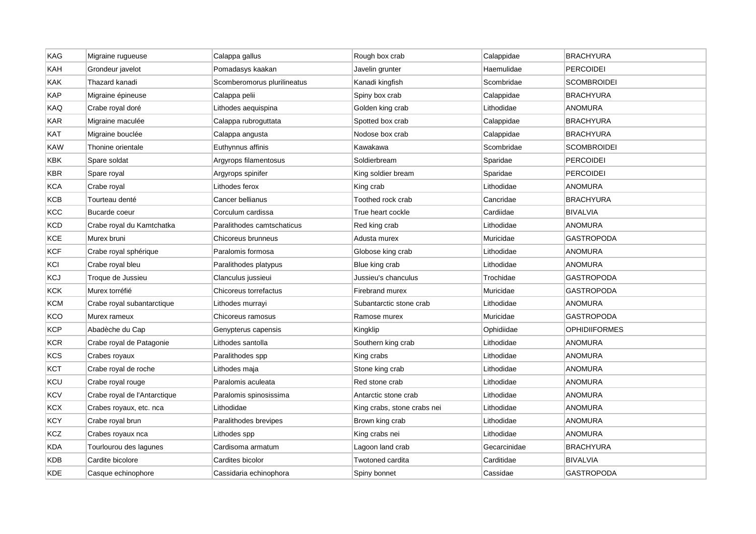| KAG        | Migraine rugueuse            | Calappa gallus              | Rough box crab              | Calappidae   | <b>BRACHYURA</b>     |
|------------|------------------------------|-----------------------------|-----------------------------|--------------|----------------------|
| KAH        | Grondeur javelot             | Pomadasys kaakan            | Javelin grunter             | Haemulidae   | <b>PERCOIDEI</b>     |
| KAK        | Thazard kanadi               | Scomberomorus plurilineatus | Kanadi kingfish             | Scombridae   | <b>SCOMBROIDEI</b>   |
| <b>KAP</b> | Migraine épineuse            | Calappa pelii               | Spiny box crab              | Calappidae   | <b>BRACHYURA</b>     |
| KAQ        | Crabe royal doré             | Lithodes aequispina         | Golden king crab            | Lithodidae   | <b>ANOMURA</b>       |
| <b>KAR</b> | Migraine maculée             | Calappa rubroguttata        | Spotted box crab            | Calappidae   | <b>BRACHYURA</b>     |
| <b>KAT</b> | Migraine bouclée             | Calappa angusta             | Nodose box crab             | Calappidae   | <b>BRACHYURA</b>     |
| KAW        | Thonine orientale            | Euthynnus affinis           | Kawakawa                    | Scombridae   | <b>SCOMBROIDEI</b>   |
| KBK        | Spare soldat                 | Argyrops filamentosus       | Soldierbream                | Sparidae     | <b>PERCOIDEI</b>     |
| KBR        | Spare royal                  | Argyrops spinifer           | King soldier bream          | Sparidae     | <b>PERCOIDEI</b>     |
| <b>KCA</b> | Crabe royal                  | Lithodes ferox              | King crab                   | Lithodidae   | <b>ANOMURA</b>       |
| <b>KCB</b> | Tourteau denté               | Cancer bellianus            | Toothed rock crab           | Cancridae    | <b>BRACHYURA</b>     |
| KCC        | Bucarde coeur                | Corculum cardissa           | True heart cockle           | Cardiidae    | <b>BIVALVIA</b>      |
| <b>KCD</b> | Crabe royal du Kamtchatka    | Paralithodes camtschaticus  | Red king crab               | Lithodidae   | <b>ANOMURA</b>       |
| <b>KCE</b> | Murex bruni                  | Chicoreus brunneus          | Adusta murex                | Muricidae    | <b>GASTROPODA</b>    |
| <b>KCF</b> | Crabe royal sphérique        | Paralomis formosa           | Globose king crab           | Lithodidae   | <b>ANOMURA</b>       |
| KCI        | Crabe royal bleu             | Paralithodes platypus       | Blue king crab              | Lithodidae   | ANOMURA              |
| <b>KCJ</b> | Troque de Jussieu            | Clanculus jussieui          | Jussieu's chanculus         | Trochidae    | GASTROPODA           |
| <b>KCK</b> | Murex torréfié               | Chicoreus torrefactus       | Firebrand murex             | Muricidae    | GASTROPODA           |
| <b>KCM</b> | Crabe royal subantarctique   | Lithodes murrayi            | Subantarctic stone crab     | Lithodidae   | <b>ANOMURA</b>       |
| KCO        | Murex rameux                 | Chicoreus ramosus           | Ramose murex                | Muricidae    | <b>GASTROPODA</b>    |
| <b>KCP</b> | Abadèche du Cap              | Genypterus capensis         | Kingklip                    | Ophidiidae   | <b>OPHIDIIFORMES</b> |
| KCR        | Crabe royal de Patagonie     | Lithodes santolla           | Southern king crab          | Lithodidae   | ANOMURA              |
| KCS        | Crabes royaux                | Paralithodes spp            | King crabs                  | Lithodidae   | <b>ANOMURA</b>       |
| <b>KCT</b> | Crabe royal de roche         | Lithodes maja               | Stone king crab             | Lithodidae   | <b>ANOMURA</b>       |
| KCU        | Crabe royal rouge            | Paralomis aculeata          | Red stone crab              | Lithodidae   | <b>ANOMURA</b>       |
| KCV        | Crabe royal de l'Antarctique | Paralomis spinosissima      | Antarctic stone crab        | Lithodidae   | <b>ANOMURA</b>       |
| <b>KCX</b> | Crabes royaux, etc. nca      | Lithodidae                  | King crabs, stone crabs nei | Lithodidae   | <b>ANOMURA</b>       |
| <b>KCY</b> | Crabe royal brun             | Paralithodes brevipes       | Brown king crab             | Lithodidae   | <b>ANOMURA</b>       |
| KCZ        | Crabes royaux nca            | Lithodes spp                | King crabs nei              | Lithodidae   | <b>ANOMURA</b>       |
| <b>KDA</b> | Tourlourou des lagunes       | Cardisoma armatum           | Lagoon land crab            | Gecarcinidae | <b>BRACHYURA</b>     |
| <b>KDB</b> | Cardite bicolore             | Cardites bicolor            | Twotoned cardita            | Carditidae   | <b>BIVALVIA</b>      |
| <b>KDE</b> | Casque echinophore           | Cassidaria echinophora      | Spiny bonnet                | Cassidae     | <b>GASTROPODA</b>    |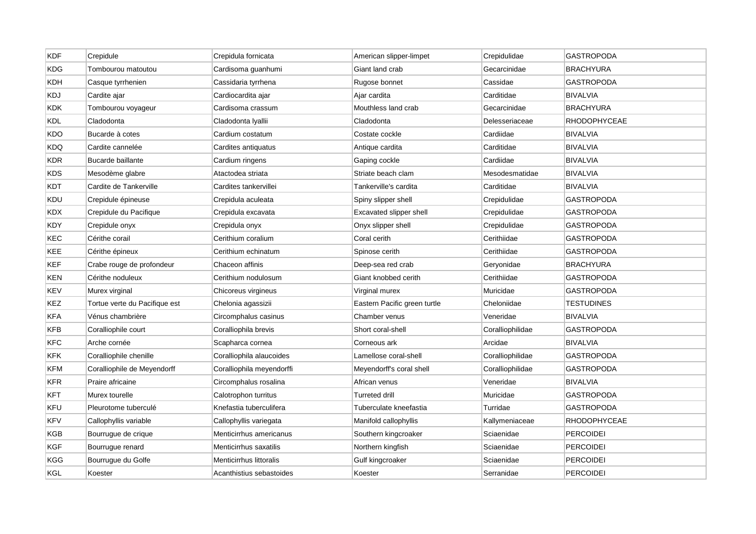| <b>KDF</b> | Crepidule                     | Crepidula fornicata       | American slipper-limpet      | Crepidulidae     | <b>GASTROPODA</b>   |
|------------|-------------------------------|---------------------------|------------------------------|------------------|---------------------|
| <b>KDG</b> | Tombourou matoutou            | Cardisoma guanhumi        | Giant land crab              | Gecarcinidae     | <b>BRACHYURA</b>    |
| KDH        | Casque tyrrhenien             | Cassidaria tyrrhena       | Rugose bonnet                | Cassidae         | <b>GASTROPODA</b>   |
| KDJ        | Cardite ajar                  | Cardiocardita ajar        | Ajar cardita                 | Carditidae       | <b>BIVALVIA</b>     |
| KDK.       | Tombourou voyageur            | Cardisoma crassum         | Mouthless land crab          | Gecarcinidae     | <b>BRACHYURA</b>    |
| <b>KDL</b> | Cladodonta                    | Cladodonta Iyallii        | Cladodonta                   | Delesseriaceae   | <b>RHODOPHYCEAE</b> |
| KDO        | Bucarde à cotes               | Cardium costatum          | Costate cockle               | Cardiidae        | <b>BIVALVIA</b>     |
| KDQ        | Cardite cannelée              | Cardites antiquatus       | Antique cardita              | Carditidae       | <b>BIVALVIA</b>     |
| KDR        | Bucarde baillante             | Cardium ringens           | Gaping cockle                | Cardiidae        | <b>BIVALVIA</b>     |
| KDS        | Mesodème glabre               | Atactodea striata         | Striate beach clam           | Mesodesmatidae   | BIVALVIA            |
| KDT        | Cardite de Tankerville        | Cardites tankervillei     | Tankerville's cardita        | Carditidae       | <b>BIVALVIA</b>     |
| KDU        | Crepidule épineuse            | Crepidula aculeata        | Spiny slipper shell          | Crepidulidae     | GASTROPODA          |
| <b>KDX</b> | Crepidule du Pacifique        | Crepidula excavata        | Excavated slipper shell      | Crepidulidae     | <b>GASTROPODA</b>   |
| KDY        | Crepidule onyx                | Crepidula onyx            | Onyx slipper shell           | Crepidulidae     | <b>GASTROPODA</b>   |
| KEC        | Cérithe corail                | Cerithium coralium        | Coral cerith                 | Cerithiidae      | GASTROPODA          |
| KEE        | Cérithe épineux               | Cerithium echinatum       | Spinose cerith               | Cerithiidae      | <b>GASTROPODA</b>   |
| KEF        | Crabe rouge de profondeur     | Chaceon affinis           | Deep-sea red crab            | Geryonidae       | <b>BRACHYURA</b>    |
| KEN        | Cérithe noduleux              | Cerithium nodulosum       | Giant knobbed cerith         | Cerithiidae      | <b>GASTROPODA</b>   |
| KEV        | Murex virginal                | Chicoreus virgineus       | Virginal murex               | Muricidae        | <b>GASTROPODA</b>   |
| KEZ        | Tortue verte du Pacifique est | Chelonia agassizii        | Eastern Pacific green turtle | Cheloniidae      | <b>TESTUDINES</b>   |
| <b>KFA</b> | Vénus chambrière              | Circomphalus casinus      | Chamber venus                | Veneridae        | <b>BIVALVIA</b>     |
| KFB        | Coralliophile court           | Coralliophila brevis      | Short coral-shell            | Coralliophilidae | <b>GASTROPODA</b>   |
| <b>KFC</b> | Arche cornée                  | Scapharca cornea          | Corneous ark                 | Arcidae          | <b>BIVALVIA</b>     |
| <b>KFK</b> | Coralliophile chenille        | Coralliophila alaucoides  | Lamellose coral-shell        | Coralliophilidae | <b>GASTROPODA</b>   |
| <b>KFM</b> | Coralliophile de Meyendorff   | Coralliophila meyendorffi | Meyendorff's coral shell     | Coralliophilidae | <b>GASTROPODA</b>   |
| <b>KFR</b> | Praire africaine              | Circomphalus rosalina     | African venus                | Veneridae        | <b>BIVALVIA</b>     |
| <b>KFT</b> | Murex tourelle                | Calotrophon turritus      | Turreted drill               | Muricidae        | GASTROPODA          |
| KFU        | Pleurotome tuberculé          | Knefastia tuberculifera   | Tuberculate kneefastia       | Turridae         | GASTROPODA          |
| <b>KFV</b> | Callophyllis variable         | Callophyllis variegata    | Manifold callophyllis        | Kallymeniaceae   | RHODOPHYCEAE        |
| KGB        | Bourrugue de crique           | Menticirrhus americanus   | Southern kingcroaker         | Sciaenidae       | <b>PERCOIDEI</b>    |
| KGF        | Bourrugue renard              | Menticirrhus saxatilis    | Northern kingfish            | Sciaenidae       | <b>PERCOIDEI</b>    |
| KGG        | Bourrugue du Golfe            | Menticirrhus littoralis   | Gulf kingcroaker             | Sciaenidae       | <b>PERCOIDEI</b>    |
| KGL        | Koester                       | Acanthistius sebastoides  | Koester                      | Serranidae       | PERCOIDEI           |
|            |                               |                           |                              |                  |                     |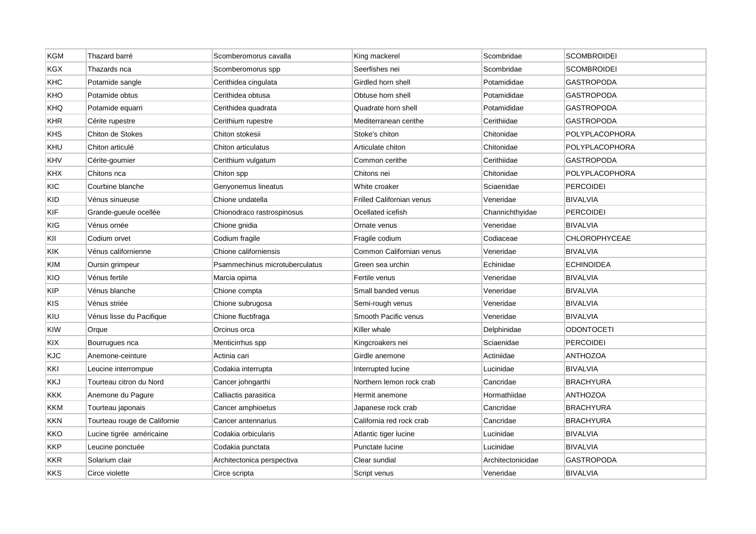| <b>KGM</b> | Thazard barré                | Scomberomorus cavalla          | King mackerel                    | Scombridae        | <b>SCOMBROIDEI</b>    |
|------------|------------------------------|--------------------------------|----------------------------------|-------------------|-----------------------|
| <b>KGX</b> | Thazards nca                 | Scomberomorus spp              | Seerfishes nei                   | Scombridae        | <b>SCOMBROIDEI</b>    |
| KHC        | Potamide sangle              | Cerithidea cingulata           | Girdled horn shell               | Potamididae       | <b>GASTROPODA</b>     |
| KHO        | Potamide obtus               | Cerithidea obtusa              | Obtuse horn shell                | Potamididae       | <b>GASTROPODA</b>     |
| <b>KHQ</b> | Potamide equarri             | Cerithidea quadrata            | Quadrate horn shell              | Potamididae       | GASTROPODA            |
| <b>KHR</b> | Cérite rupestre              | Cerithium rupestre             | Mediterranean cerithe            | Cerithiidae       | <b>GASTROPODA</b>     |
| KHS        | Chiton de Stokes             | Chiton stokesii                | Stoke's chiton                   | Chitonidae        | POLYPLACOPHORA        |
| KHU        | Chiton articulé              | Chiton articulatus             | Articulate chiton                | Chitonidae        | POLYPLACOPHORA        |
| KHV        | Cérite-goumier               | Cerithium vulgatum             | Common cerithe                   | Cerithiidae       | <b>GASTROPODA</b>     |
| KHX        | Chitons nca                  | Chiton spp                     | Chitons nei                      | Chitonidae        | <b>POLYPLACOPHORA</b> |
| KIC        | Courbine blanche             | Genyonemus lineatus            | White croaker                    | Sciaenidae        | <b>PERCOIDEI</b>      |
| <b>KID</b> | Vénus sinueuse               | Chione undatella               | <b>Frilled Californian venus</b> | Veneridae         | <b>BIVALVIA</b>       |
| KIF        | Grande-gueule ocellée        | Chionodraco rastrospinosus     | Ocellated icefish                | Channichthyidae   | <b>PERCOIDEI</b>      |
| KIG        | Vénus ornée                  | Chione gnidia                  | Ornate venus                     | Veneridae         | <b>BIVALVIA</b>       |
| KII        | Codium orvet                 | Codium fragile                 | Fragile codium                   | Codiaceae         | <b>CHLOROPHYCEAE</b>  |
| KIK        | Vénus californienne          | Chione californiensis          | Common Californian venus         | Veneridae         | <b>BIVALVIA</b>       |
| <b>KIM</b> | Oursin grimpeur              | Psammechinus microtuberculatus | Green sea urchin                 | Echinidae         | <b>ECHINOIDEA</b>     |
| KIO        | Vénus fertile                | Marcia opima                   | Fertile venus                    | Veneridae         | BIVALVIA              |
| <b>KIP</b> | Vénus blanche                | Chione compta                  | Small banded venus               | Veneridae         | <b>BIVALVIA</b>       |
| KIS        | Vénus striée                 | Chione subrugosa               | Semi-rough venus                 | Veneridae         | <b>BIVALVIA</b>       |
| KIU        | Vénus lisse du Pacifique     | Chione fluctifraga             | Smooth Pacific venus             | Veneridae         | <b>BIVALVIA</b>       |
| <b>KIW</b> | Orque                        | Orcinus orca                   | Killer whale                     | Delphinidae       | <b>ODONTOCETI</b>     |
| KIX        | Bourrugues nca               | Menticirrhus spp               | Kingcroakers nei                 | Sciaenidae        | <b>PERCOIDEI</b>      |
| <b>KJC</b> | Anemone-ceinture             | Actinia cari                   | Girdle anemone                   | Actiniidae        | <b>ANTHOZOA</b>       |
| KKI        | Leucine interrompue          | Codakia interrupta             | Interrupted lucine               | Lucinidae         | <b>BIVALVIA</b>       |
| KKJ        | Tourteau citron du Nord      | Cancer johngarthi              | Northern lemon rock crab         | Cancridae         | <b>BRACHYURA</b>      |
| <b>KKK</b> | Anemone du Pagure            | Calliactis parasitica          | Hermit anemone                   | Hormathiidae      | <b>ANTHOZOA</b>       |
| KKM        | Tourteau japonais            | Cancer amphioetus              | Japanese rock crab               | Cancridae         | <b>BRACHYURA</b>      |
| <b>KKN</b> | Tourteau rouge de Californie | Cancer antennarius             | California red rock crab         | Cancridae         | <b>BRACHYURA</b>      |
| KKO        | Lucine tigrée américaine     | Codakia orbicularis            | Atlantic tiger lucine            | Lucinidae         | <b>BIVALVIA</b>       |
| KKP        | Leucine ponctuée             | Codakia punctata               | Punctate lucine                  | Lucinidae         | BIVALVIA              |
| KKR        | Solarium clair               | Architectonica perspectiva     | Clear sundial                    | Architectonicidae | <b>GASTROPODA</b>     |
| <b>KKS</b> | Circe violette               | Circe scripta                  | Script venus                     | Veneridae         | <b>BIVALVIA</b>       |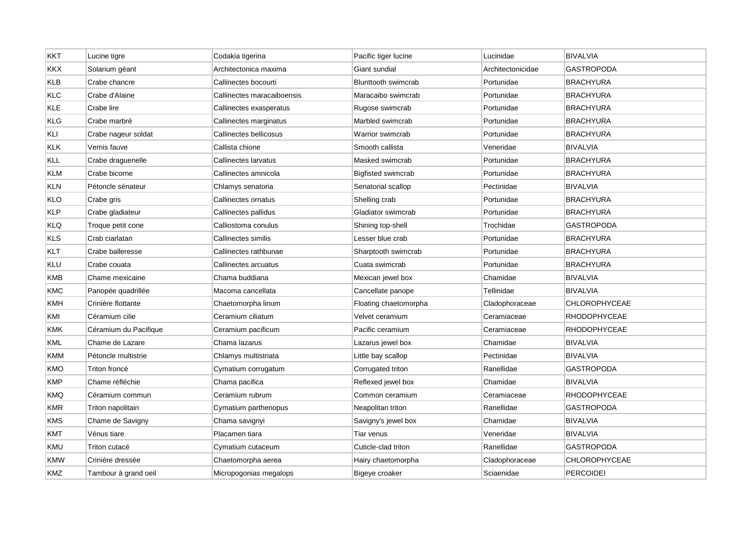| <b>KKT</b> | Lucine tigre          | Codakia tigerina           | Pacific tiger lucine       | Lucinidae         | <b>BIVALVIA</b>      |
|------------|-----------------------|----------------------------|----------------------------|-------------------|----------------------|
| <b>KKX</b> | Solarium géant        | Architectonica maxima      | Giant sundial              | Architectonicidae | <b>GASTROPODA</b>    |
| <b>KLB</b> | Crabe chancre         | Callinectes bocourti       | <b>Blunttooth swimcrab</b> | Portunidae        | <b>BRACHYURA</b>     |
| KLC        | Crabe d'Alaine        | Callinectes maracaiboensis | Maracaibo swimcrab         | Portunidae        | <b>BRACHYURA</b>     |
| <b>KLE</b> | Crabe lire            | Callinectes exasperatus    | Rugose swimcrab            | Portunidae        | <b>BRACHYURA</b>     |
| KLG        | Crabe marbré          | Callinectes marginatus     | Marbled swimcrab           | Portunidae        | <b>BRACHYURA</b>     |
| KLI        | Crabe nageur soldat   | Callinectes bellicosus     | Warrior swimcrab           | Portunidae        | <b>BRACHYURA</b>     |
| <b>KLK</b> | Vernis fauve          | Callista chione            | Smooth callista            | Veneridae         | <b>BIVALVIA</b>      |
| KLL        | Crabe draguenelle     | Callinectes larvatus       | Masked swimcrab            | Portunidae        | <b>BRACHYURA</b>     |
| <b>KLM</b> | Crabe bicorne         | Callinectes amnicola       | <b>Bigfisted swimcrab</b>  | Portunidae        | <b>BRACHYURA</b>     |
| <b>KLN</b> | Pétoncle sénateur     | Chlamys senatoria          | Senatorial scallop         | Pectinidae        | BIVALVIA             |
| KLO        | Crabe gris            | Callinectes ornatus        | Shelling crab              | Portunidae        | <b>BRACHYURA</b>     |
| <b>KLP</b> | Crabe gladiateur      | Callinectes pallidus       | Gladiator swimcrab         | Portunidae        | <b>BRACHYURA</b>     |
| <b>KLQ</b> | Troque petit cone     | Calliostoma conulus        | Shining top-shell          | Trochidae         | GASTROPODA           |
| <b>KLS</b> | Crab ciarlatan        | Callinectes similis        | Lesser blue crab           | Portunidae        | <b>BRACHYURA</b>     |
| KLT        | Crabe balleresse      | Callinectes rathbunae      | Sharptooth swimcrab        | Portunidae        | <b>BRACHYURA</b>     |
| KLU        | Crabe couata          | Callinectes arcuatus       | Cuata swimcrab             | Portunidae        | <b>BRACHYURA</b>     |
| <b>KMB</b> | Chame mexicaine       | Chama buddiana             | Mexican jewel box          | Chamidae          | <b>BIVALVIA</b>      |
| <b>KMC</b> | Panopée quadrillée    | Macoma cancellata          | Cancellate panope          | Tellinidae        | <b>BIVALVIA</b>      |
| KMH        | Crinière flottante    | Chaetomorpha linum         | Floating chaetomorpha      | Cladophoraceae    | <b>CHLOROPHYCEAE</b> |
| KMI        | Céramium cilie        | Ceramium ciliatum          | Velvet ceramium            | Ceramiaceae       | <b>RHODOPHYCEAE</b>  |
| <b>KMK</b> | Céramium du Pacifique | Ceramium pacificum         | Pacific ceramium           | Ceramiaceae       | <b>RHODOPHYCEAE</b>  |
| <b>KML</b> | Chame de Lazare       | Chama lazarus              | Lazarus jewel box          | Chamidae          | <b>BIVALVIA</b>      |
| KMM        | Pétoncle multistrie   | Chlamys multistriata       | Little bay scallop         | Pectinidae        | <b>BIVALVIA</b>      |
| <b>KMO</b> | Triton froncé         | Cymatium corrugatum        | Corrugated triton          | Ranellidae        | <b>GASTROPODA</b>    |
| <b>KMP</b> | Chame réfléchie       | Chama pacifica             | Reflexed jewel box         | Chamidae          | <b>BIVALVIA</b>      |
| <b>KMQ</b> | Céramium commun       | Ceramium rubrum            | Common ceramium            | Ceramiaceae       | <b>RHODOPHYCEAE</b>  |
| <b>KMR</b> | Triton napolitain     | Cymatium parthenopus       | Neapolitan triton          | Ranellidae        | <b>GASTROPODA</b>    |
| KMS        | Chame de Savigny      | Chama savignyi             | Savigny's jewel box        | Chamidae          | <b>BIVALVIA</b>      |
| KMT        | Vénus tiare           | Placamen tiara             | Tiar venus                 | Veneridae         | <b>BIVALVIA</b>      |
| KMU        | Triton cutacé         | Cymatium cutaceum          | Cuticle-clad triton        | Ranellidae        | <b>GASTROPODA</b>    |
| <b>KMW</b> | Crinière dressée      | Chaetomorpha aerea         | Hairy chaetomorpha         | Cladophoraceae    | <b>CHLOROPHYCEAE</b> |
| <b>KMZ</b> | Tambour à grand oeil  | Micropogonias megalops     | Bigeye croaker             | Sciaenidae        | <b>PERCOIDEI</b>     |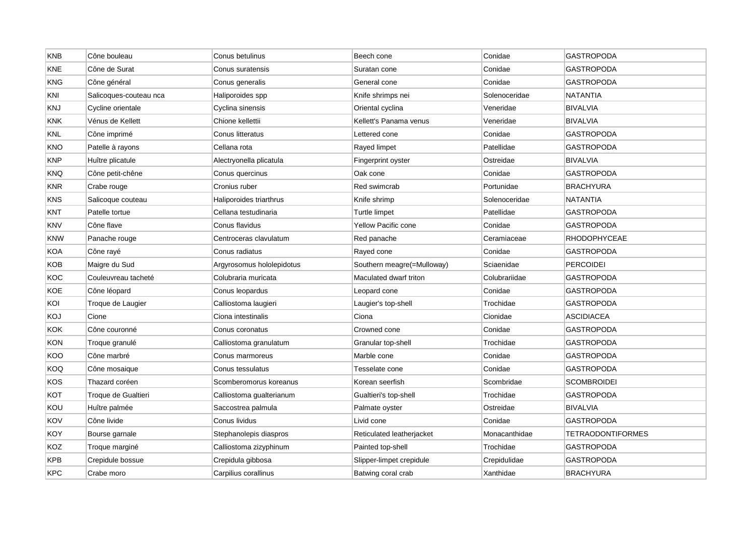| <b>KNB</b> | Cône bouleau           | Conus betulinus           | Beech cone                 | Conidae       | <b>GASTROPODA</b>        |
|------------|------------------------|---------------------------|----------------------------|---------------|--------------------------|
| KNE        | Cône de Surat          | Conus suratensis          | Suratan cone               | Conidae       | <b>GASTROPODA</b>        |
| KNG        | Cône général           | Conus generalis           | General cone               | Conidae       | GASTROPODA               |
| KNI        | Salicoques-couteau nca | Haliporoides spp          | Knife shrimps nei          | Solenoceridae | NATANTIA                 |
| KNJ        | Cycline orientale      | Cyclina sinensis          | Oriental cyclina           | Veneridae     | <b>BIVALVIA</b>          |
| KNK        | Vénus de Kellett       | Chione kellettii          | Kellett's Panama venus     | Veneridae     | <b>BIVALVIA</b>          |
| <b>KNL</b> | Cône imprimé           | Conus litteratus          | Lettered cone              | Conidae       | <b>GASTROPODA</b>        |
| KNO        | Patelle à rayons       | Cellana rota              | Rayed limpet               | Patellidae    | GASTROPODA               |
| KNP        | Huître plicatule       | Alectryonella plicatula   | Fingerprint oyster         | Ostreidae     | <b>BIVALVIA</b>          |
| KNQ        | Cône petit-chêne       | Conus quercinus           | Oak cone                   | Conidae       | <b>GASTROPODA</b>        |
| <b>KNR</b> | Crabe rouge            | Cronius ruber             | Red swimcrab               | Portunidae    | <b>BRACHYURA</b>         |
| KNS        | Salicoque couteau      | Haliporoides triarthrus   | Knife shrimp               | Solenoceridae | NATANTIA                 |
| <b>KNT</b> | Patelle tortue         | Cellana testudinaria      | Turtle limpet              | Patellidae    | <b>GASTROPODA</b>        |
| <b>KNV</b> | Cône flave             | Conus flavidus            | Yellow Pacific cone        | Conidae       | <b>GASTROPODA</b>        |
| KNW        | Panache rouge          | Centroceras clavulatum    | Red panache                | Ceramiaceae   | <b>RHODOPHYCEAE</b>      |
| KOA        | Cône rayé              | Conus radiatus            | Rayed cone                 | Conidae       | GASTROPODA               |
| KOB        | Maigre du Sud          | Argyrosomus hololepidotus | Southern meagre(=Mulloway) | Sciaenidae    | <b>PERCOIDEI</b>         |
| KOC        | Couleuvreau tacheté    | Colubraria muricata       | Maculated dwarf triton     | Colubrariidae | <b>GASTROPODA</b>        |
| KOE        | Cône léopard           | Conus leopardus           | Leopard cone               | Conidae       | GASTROPODA               |
| KOI        | Troque de Laugier      | Calliostoma laugieri      | Laugier's top-shell        | Trochidae     | GASTROPODA               |
| KOJ        | Cione                  | Ciona intestinalis        | Ciona                      | Cionidae      | <b>ASCIDIACEA</b>        |
| KOK        | Cône couronné          | Conus coronatus           | Crowned cone               | Conidae       | <b>GASTROPODA</b>        |
| <b>KON</b> | Troque granulé         | Calliostoma granulatum    | Granular top-shell         | Trochidae     | GASTROPODA               |
| KOO        | Cône marbré            | Conus marmoreus           | Marble cone                | Conidae       | GASTROPODA               |
| KOQ        | Cône mosaique          | Conus tessulatus          | Tesselate cone             | Conidae       | <b>GASTROPODA</b>        |
| KOS        | Thazard coréen         | Scomberomorus koreanus    | Korean seerfish            | Scombridae    | <b>SCOMBROIDEI</b>       |
| кот        | Troque de Gualtieri    | Calliostoma gualterianum  | Gualtieri's top-shell      | Trochidae     | GASTROPODA               |
| KOU        | Huître palmée          | Saccostrea palmula        | Palmate oyster             | Ostreidae     | <b>BIVALVIA</b>          |
| KOV        | Cône livide            | Conus lividus             | Livid cone                 | Conidae       | <b>GASTROPODA</b>        |
| KOY        | Bourse garnale         | Stephanolepis diaspros    | Reticulated leatherjacket  | Monacanthidae | <b>TETRAODONTIFORMES</b> |
| KOZ        | Troque marginé         | Calliostoma zizyphinum    | Painted top-shell          | Trochidae     | GASTROPODA               |
| KPB        | Crepidule bossue       | Crepidula gibbosa         | Slipper-limpet crepidule   | Crepidulidae  | <b>GASTROPODA</b>        |
| <b>KPC</b> | Crabe moro             | Carpilius corallinus      | Batwing coral crab         | Xanthidae     | <b>BRACHYURA</b>         |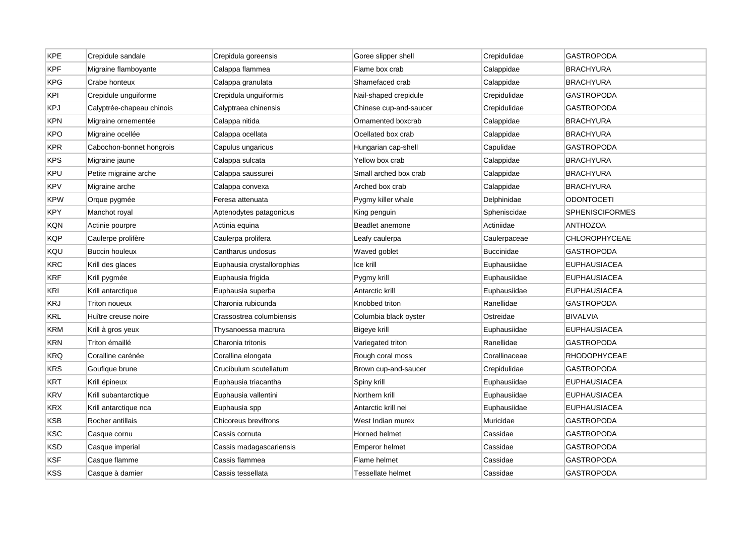| <b>KPE</b> | Crepidule sandale         | Crepidula goreensis        | Goree slipper shell    | Crepidulidae      | <b>GASTROPODA</b>      |
|------------|---------------------------|----------------------------|------------------------|-------------------|------------------------|
| <b>KPF</b> | Migraine flamboyante      | Calappa flammea            | Flame box crab         | Calappidae        | <b>BRACHYURA</b>       |
| <b>KPG</b> | Crabe honteux             | Calappa granulata          | Shamefaced crab        | Calappidae        | <b>BRACHYURA</b>       |
| KPI        | Crepidule unguiforme      | Crepidula unguiformis      | Nail-shaped crepidule  | Crepidulidae      | GASTROPODA             |
| <b>KPJ</b> | Calyptrée-chapeau chinois | Calyptraea chinensis       | Chinese cup-and-saucer | Crepidulidae      | <b>GASTROPODA</b>      |
| <b>KPN</b> | Migraine ornementée       | Calappa nitida             | Ornamented boxcrab     | Calappidae        | <b>BRACHYURA</b>       |
| KPO        | Migraine ocellée          | Calappa ocellata           | Ocellated box crab     | Calappidae        | <b>BRACHYURA</b>       |
| <b>KPR</b> | Cabochon-bonnet hongrois  | Capulus ungaricus          | Hungarian cap-shell    | Capulidae         | <b>GASTROPODA</b>      |
| <b>KPS</b> | Migraine jaune            | Calappa sulcata            | Yellow box crab        | Calappidae        | <b>BRACHYURA</b>       |
| KPU        | Petite migraine arche     | Calappa saussurei          | Small arched box crab  | Calappidae        | <b>BRACHYURA</b>       |
| <b>KPV</b> | Migraine arche            | Calappa convexa            | Arched box crab        | Calappidae        | <b>BRACHYURA</b>       |
| <b>KPW</b> | Orque pygmée              | Feresa attenuata           | Pygmy killer whale     | Delphinidae       | ODONTOCETI             |
| <b>KPY</b> | Manchot royal             | Aptenodytes patagonicus    | King penguin           | Spheniscidae      | <b>SPHENISCIFORMES</b> |
| KQN        | Actinie pourpre           | Actinia equina             | Beadlet anemone        | Actiniidae        | <b>ANTHOZOA</b>        |
| KQP        | Caulerpe prolifère        | Caulerpa prolifera         | Leafy caulerpa         | Caulerpaceae      | CHLOROPHYCEAE          |
| KQU        | <b>Buccin houleux</b>     | Cantharus undosus          | Waved goblet           | <b>Buccinidae</b> | <b>GASTROPODA</b>      |
| <b>KRC</b> | Krill des glaces          | Euphausia crystallorophias | Ice krill              | Euphausiidae      | <b>EUPHAUSIACEA</b>    |
| <b>KRF</b> | Krill pygmée              | Euphausia frigida          | Pygmy krill            | Euphausiidae      | <b>EUPHAUSIACEA</b>    |
| KRI        | Krill antarctique         | Euphausia superba          | Antarctic krill        | Euphausiidae      | <b>EUPHAUSIACEA</b>    |
| <b>KRJ</b> | Triton noueux             | Charonia rubicunda         | Knobbed triton         | Ranellidae        | <b>GASTROPODA</b>      |
| KRL        | Huître creuse noire       | Crassostrea columbiensis   | Columbia black oyster  | Ostreidae         | <b>BIVALVIA</b>        |
| <b>KRM</b> | Krill à gros yeux         | Thysanoessa macrura        | Bigeye krill           | Euphausiidae      | <b>EUPHAUSIACEA</b>    |
| KRN        | Triton émaillé            | Charonia tritonis          | Variegated triton      | Ranellidae        | <b>GASTROPODA</b>      |
| <b>KRQ</b> | Coralline carénée         | Corallina elongata         | Rough coral moss       | Corallinaceae     | <b>RHODOPHYCEAE</b>    |
| KRS        | Goufique brune            | Crucibulum scutellatum     | Brown cup-and-saucer   | Crepidulidae      | <b>GASTROPODA</b>      |
| <b>KRT</b> | Krill épineux             | Euphausia triacantha       | Spiny krill            | Euphausiidae      | <b>EUPHAUSIACEA</b>    |
| <b>KRV</b> | Krill subantarctique      | Euphausia vallentini       | Northern krill         | Euphausiidae      | <b>EUPHAUSIACEA</b>    |
| <b>KRX</b> | Krill antarctique nca     | Euphausia spp              | Antarctic krill nei    | Euphausiidae      | <b>EUPHAUSIACEA</b>    |
| <b>KSB</b> | Rocher antillais          | Chicoreus brevifrons       | West Indian murex      | Muricidae         | <b>GASTROPODA</b>      |
| <b>KSC</b> | Casque cornu              | Cassis cornuta             | Horned helmet          | Cassidae          | <b>GASTROPODA</b>      |
| KSD        | Casque imperial           | Cassis madagascariensis    | <b>Emperor helmet</b>  | Cassidae          | <b>GASTROPODA</b>      |
| <b>KSF</b> | Casque flamme             | Cassis flammea             | Flame helmet           | Cassidae          | GASTROPODA             |
| KSS        | Casque à damier           | Cassis tessellata          | Tessellate helmet      | Cassidae          | <b>GASTROPODA</b>      |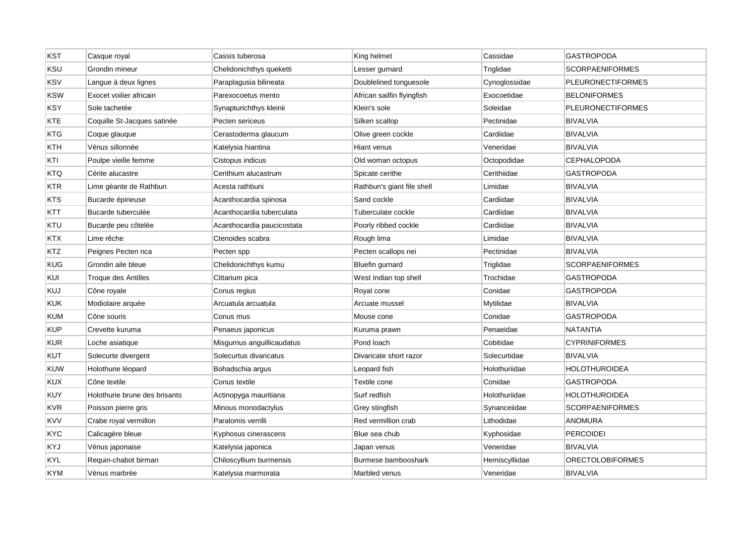| <b>KST</b> | Casque royal                  | Cassis tuberosa            | King helmet                | Cassidae       | <b>GASTROPODA</b>        |
|------------|-------------------------------|----------------------------|----------------------------|----------------|--------------------------|
| KSU        | Grondin mineur                | Chelidonichthys queketti   | Lesser gurnard             | Triglidae      | <b>SCORPAENIFORMES</b>   |
| <b>KSV</b> | Langue à deux lignes          | Paraplagusia bilineata     | Doublelined tonguesole     | Cynoglossidae  | <b>PLEURONECTIFORMES</b> |
| <b>KSW</b> | Exocet voilier africain       | Parexocoetus mento         | African sailfin flyingfish | Exocoetidae    | <b>BELONIFORMES</b>      |
| <b>KSY</b> | Sole tachetée                 | Synapturichthys kleinii    | Klein's sole               | Soleidae       | <b>PLEURONECTIFORMES</b> |
| KTE        | Coquille St-Jacques satinée   | Pecten sericeus            | Silken scallop             | Pectinidae     | <b>BIVALVIA</b>          |
| <b>KTG</b> | Coque glauque                 | Cerastoderma glaucum       | Olive green cockle         | Cardiidae      | <b>BIVALVIA</b>          |
| KTH        | Vénus sillonnée               | Katelysia hiantina         | Hiant venus                | Veneridae      | <b>BIVALVIA</b>          |
| KTI        | Poulpe vieille femme          | Cistopus indicus           | Old woman octopus          | Octopodidae    | <b>CEPHALOPODA</b>       |
| KTQ        | Cérite alucastre              | Cerithium alucastrum       | Spicate cerithe            | Cerithiidae    | <b>GASTROPODA</b>        |
| <b>KTR</b> | Lime géante de Rathbun        | Acesta rathbuni            | Rathbun's giant file shell | Limidae        | <b>BIVALVIA</b>          |
| <b>KTS</b> | Bucarde épineuse              | Acanthocardia spinosa      | Sand cockle                | Cardiidae      | <b>BIVALVIA</b>          |
| KTT        | Bucarde tuberculée            | Acanthocardia tuberculata  | Tuberculate cockle         | Cardiidae      | <b>BIVALVIA</b>          |
| KTU        | Bucarde peu côtelée           | Acanthocardia paucicostata | Poorly ribbed cockle       | Cardiidae      | <b>BIVALVIA</b>          |
| KTX        | Lime rêche                    | Ctenoides scabra           | Rough lima                 | Limidae        | <b>BIVALVIA</b>          |
| KTZ        | Peignes Pecten nca            | Pecten spp                 | Pecten scallops nei        | Pectinidae     | <b>BIVALVIA</b>          |
| <b>KUG</b> | Grondin aile bleue            | Chelidonichthys kumu       | <b>Bluefin gurnard</b>     | Triglidae      | <b>SCORPAENIFORMES</b>   |
| KUI        | Troque des Antilles           | Cittarium pica             | West Indian top shell      | Trochidae      | GASTROPODA               |
| KUJ        | Cône royale                   | Conus regius               | Royal cone                 | Conidae        | GASTROPODA               |
| <b>KUK</b> | Modiolaire arquée             | Arcuatula arcuatula        | Arcuate mussel             | Mytilidae      | <b>BIVALVIA</b>          |
| <b>KUM</b> | Cône souris                   | Conus mus                  | Mouse cone                 | Conidae        | <b>GASTROPODA</b>        |
| <b>KUP</b> | Crevette kuruma               | Penaeus japonicus          | Kuruma prawn               | Penaeidae      | <b>NATANTIA</b>          |
| <b>KUR</b> | Loche asiatique               | Misgurnus anguillicaudatus | Pond loach                 | Cobitidae      | <b>CYPRINIFORMES</b>     |
| <b>KUT</b> | Solecurte divergent           | Solecurtus divaricatus     | Divaricate short razor     | Solecurtidae   | <b>BIVALVIA</b>          |
| <b>KUW</b> | Holothurie léopard            | Bohadschia argus           | Leopard fish               | Holothuriidae  | HOLOTHUROIDEA            |
| KUX        | Cône textile                  | Conus textile              | Textile cone               | Conidae        | GASTROPODA               |
| KUY        | Holothurie brune des brisants | Actinopyga mauritiana      | Surf redfish               | Holothuriidae  | HOLOTHUROIDEA            |
| <b>KVR</b> | Poisson pierre gris           | Minous monodactylus        | Grey stingfish             | Synanceiidae   | <b>SCORPAENIFORMES</b>   |
| <b>KVV</b> | Crabe royal vermillon         | Paralomis verrilli         | Red vermillion crab        | Lithodidae     | <b>ANOMURA</b>           |
| KYC        | Calicagère bleue              | Kyphosus cinerascens       | Blue sea chub              | Kyphosidae     | <b>PERCOIDEI</b>         |
| KYJ        | Vénus japonaise               | Katelysia japonica         | Japan venus                | Veneridae      | <b>BIVALVIA</b>          |
| KYL        | Requin-chabot birman          | Chiloscyllium burmensis    | Burmese bambooshark        | Hemiscylliidae | <b>ORECTOLOBIFORMES</b>  |
| <b>KYM</b> | Vénus marbrée                 | Katelysia marmorata        | Marbled venus              | Veneridae      | <b>BIVALVIA</b>          |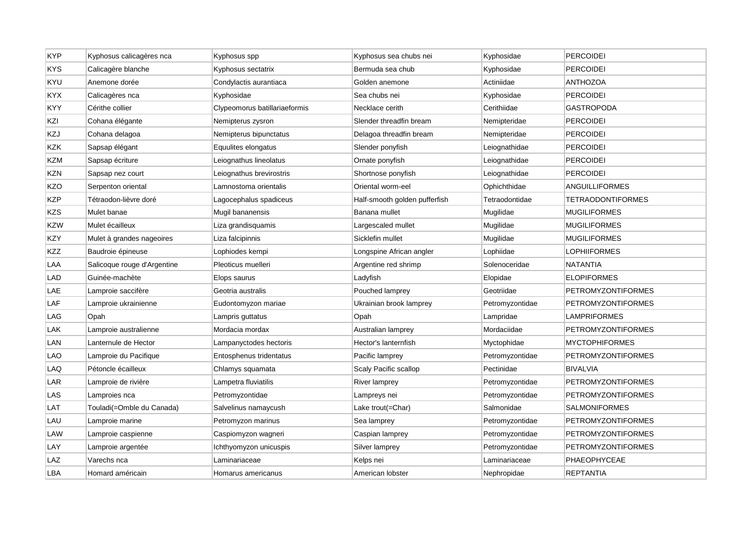| <b>KYP</b> | Kyphosus calicagères nca    | Kyphosus spp                  | Kyphosus sea chubs nei        | Kyphosidae      | <b>PERCOIDEI</b>          |
|------------|-----------------------------|-------------------------------|-------------------------------|-----------------|---------------------------|
| <b>KYS</b> | Calicagère blanche          | Kyphosus sectatrix            | Bermuda sea chub              | Kyphosidae      | <b>PERCOIDEI</b>          |
| KYU        | Anemone dorée               | Condylactis aurantiaca        | Golden anemone                | Actiniidae      | <b>ANTHOZOA</b>           |
| KYX        | Calicagères nca             | Kyphosidae                    | Sea chubs nei                 | Kyphosidae      | <b>PERCOIDEI</b>          |
| KYY        | Cérithe collier             | Clypeomorus batillariaeformis | Necklace cerith               | Cerithiidae     | <b>GASTROPODA</b>         |
| KZI        | Cohana élégante             | Nemipterus zysron             | Slender threadfin bream       | Nemipteridae    | PERCOIDEI                 |
| KZJ        | Cohana delagoa              | Nemipterus bipunctatus        | Delagoa threadfin bream       | Nemipteridae    | <b>PERCOIDEI</b>          |
| KZK        | Sapsap élégant              | Equulites elongatus           | Slender ponyfish              | Leiognathidae   | <b>PERCOIDEI</b>          |
| KZM        | Sapsap écriture             | Leiognathus lineolatus        | Ornate ponyfish               | Leiognathidae   | <b>PERCOIDEI</b>          |
| KZN        | Sapsap nez court            | Leiognathus brevirostris      | Shortnose ponyfish            | Leiognathidae   | <b>PERCOIDEI</b>          |
| KZO        | Serpenton oriental          | Lamnostoma orientalis         | Oriental worm-eel             | Ophichthidae    | ANGUILLIFORMES            |
| KZP        | Tétraodon-lièvre doré       | Lagocephalus spadiceus        | Half-smooth golden pufferfish | Tetraodontidae  | <b>TETRAODONTIFORMES</b>  |
| <b>KZS</b> | Mulet banae                 | Mugil bananensis              | Banana mullet                 | Mugilidae       | <b>MUGILIFORMES</b>       |
| KZW        | Mulet écailleux             | Liza grandisquamis            | Largescaled mullet            | Mugilidae       | <b>MUGILIFORMES</b>       |
| KZY        | Mulet à grandes nageoires   | Liza falcipinnis              | Sicklefin mullet              | Mugilidae       | <b>MUGILIFORMES</b>       |
| <b>KZZ</b> | Baudroie épineuse           | Lophiodes kempi               | Longspine African angler      | Lophiidae       | <b>LOPHIIFORMES</b>       |
| LAA        | Salicoque rouge d'Argentine | Pleoticus muelleri            | Argentine red shrimp          | Solenoceridae   | NATANTIA                  |
| LAD        | Guinée-machète              | Elops saurus                  | Ladyfish                      | Elopidae        | <b>ELOPIFORMES</b>        |
| LAE        | Lamproie saccifère          | Geotria australis             | Pouched lamprey               | Geotriidae      | <b>PETROMYZONTIFORMES</b> |
| LAF        | Lamproie ukrainienne        | Eudontomyzon mariae           | Ukrainian brook lamprey       | Petromyzontidae | <b>PETROMYZONTIFORMES</b> |
| LAG        | Opah                        | Lampris guttatus              | Opah                          | Lampridae       | <b>LAMPRIFORMES</b>       |
| LAK        | Lamproie australienne       | Mordacia mordax               | Australian lamprey            | Mordaciidae     | PETROMYZONTIFORMES        |
| LAN        | Lanternule de Hector        | Lampanyctodes hectoris        | Hector's lanternfish          | Myctophidae     | <b>MYCTOPHIFORMES</b>     |
| LAO        | Lamproie du Pacifique       | Entosphenus tridentatus       | Pacific lamprey               | Petromyzontidae | <b>PETROMYZONTIFORMES</b> |
| LAQ        | Pétoncle écailleux          | Chlamys squamata              | Scaly Pacific scallop         | Pectinidae      | <b>BIVALVIA</b>           |
| LAR        | Lamproie de rivière         | Lampetra fluviatilis          | <b>River lamprey</b>          | Petromyzontidae | <b>PETROMYZONTIFORMES</b> |
| LAS        | Lamproies nca               | Petromyzontidae               | Lampreys nei                  | Petromyzontidae | <b>PETROMYZONTIFORMES</b> |
| LAT        | Touladi(=Omble du Canada)   | Salvelinus namaycush          | Lake trout(=Char)             | Salmonidae      | <b>SALMONIFORMES</b>      |
| LAU        | Lamproie marine             | Petromyzon marinus            | Sea lamprey                   | Petromyzontidae | <b>PETROMYZONTIFORMES</b> |
| LAW        | Lamproie caspienne          | Caspiomyzon wagneri           | Caspian lamprey               | Petromyzontidae | PETROMYZONTIFORMES        |
| LAY        | Lamproie argentée           | Ichthyomyzon unicuspis        | Silver lamprey                | Petromyzontidae | <b>PETROMYZONTIFORMES</b> |
| LAZ        | Varechs nca                 | Laminariaceae                 | Kelps nei                     | Laminariaceae   | PHAEOPHYCEAE              |
| LBA        | Homard américain            | Homarus americanus            | American lobster              | Nephropidae     | <b>REPTANTIA</b>          |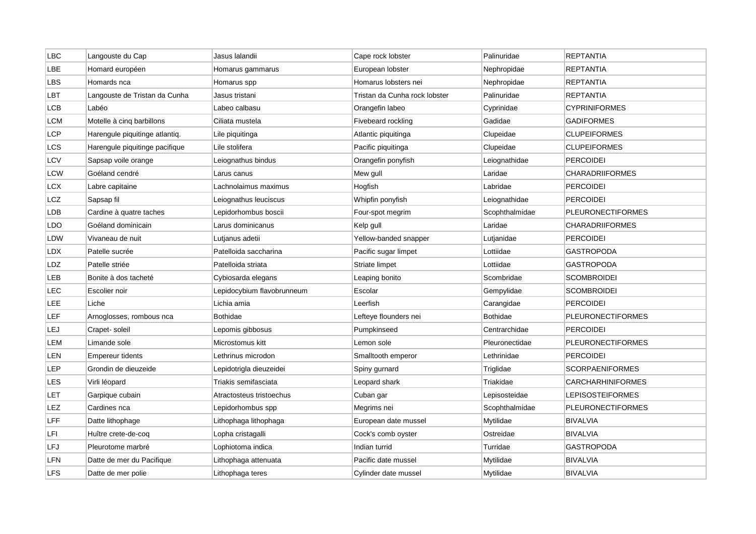| <b>LBC</b> | Langouste du Cap               | Jasus lalandii             | Cape rock lobster             | Palinuridae     | <b>REPTANTIA</b>         |
|------------|--------------------------------|----------------------------|-------------------------------|-----------------|--------------------------|
| LBE        | Homard européen                | Homarus gammarus           | European lobster              | Nephropidae     | <b>REPTANTIA</b>         |
| LBS        | Homards nca                    | Homarus spp                | Homarus lobsters nei          | Nephropidae     | <b>REPTANTIA</b>         |
| LBT        | Langouste de Tristan da Cunha  | Jasus tristani             | Tristan da Cunha rock lobster | Palinuridae     | REPTANTIA                |
| LCB        | Labéo                          | Labeo calbasu              | Orangefin labeo               | Cyprinidae      | <b>CYPRINIFORMES</b>     |
| <b>LCM</b> | Motelle à cinq barbillons      | Ciliata mustela            | Fivebeard rockling            | Gadidae         | <b>GADIFORMES</b>        |
| LCP        | Harengule piquitinge atlantiq. | Lile piquitinga            | Atlantic piquitinga           | Clupeidae       | <b>CLUPEIFORMES</b>      |
| LCS        | Harengule piquitinge pacifique | Lile stolifera             | Pacific piquitinga            | Clupeidae       | <b>CLUPEIFORMES</b>      |
| LCV        | Sapsap voile orange            | Leiognathus bindus         | Orangefin ponyfish            | Leiognathidae   | <b>PERCOIDEI</b>         |
| LCW        | Goéland cendré                 | Larus canus                | Mew gull                      | Laridae         | <b>CHARADRIIFORMES</b>   |
| LCX        | Labre capitaine                | Lachnolaimus maximus       | Hogfish                       | Labridae        | <b>PERCOIDEI</b>         |
| LCZ        | Sapsap fil                     | Leiognathus leuciscus      | Whipfin ponyfish              | Leiognathidae   | <b>PERCOIDEI</b>         |
| LDB        | Cardine à quatre taches        | Lepidorhombus boscii       | Four-spot megrim              | Scophthalmidae  | <b>PLEURONECTIFORMES</b> |
| LDO        | Goéland dominicain             | Larus dominicanus          | Kelp gull                     | Laridae         | <b>CHARADRIIFORMES</b>   |
| LDW        | Vivaneau de nuit               | Lutjanus adetii            | Yellow-banded snapper         | Lutjanidae      | PERCOIDEI                |
| LDX        | Patelle sucrée                 | Patelloida saccharina      | Pacific sugar limpet          | Lottiidae       | <b>GASTROPODA</b>        |
| LDZ        | Patelle striée                 | Patelloida striata         | Striate limpet                | Lottiidae       | <b>GASTROPODA</b>        |
| LEB        | Bonite à dos tacheté           | Cybiosarda elegans         | Leaping bonito                | Scombridae      | <b>SCOMBROIDEI</b>       |
| LEC        | Escolier noir                  | Lepidocybium flavobrunneum | Escolar                       | Gempylidae      | <b>SCOMBROIDEI</b>       |
| LEE        | Liche                          | Lichia amia                | Leerfish                      | Carangidae      | <b>PERCOIDEI</b>         |
| LEF        | Arnoglosses, rombous nca       | <b>Bothidae</b>            | Lefteye flounders nei         | <b>Bothidae</b> | <b>PLEURONECTIFORMES</b> |
| LEJ        | Crapet-soleil                  | Lepomis gibbosus           | Pumpkinseed                   | Centrarchidae   | <b>PERCOIDEI</b>         |
| LEM        | Limande sole                   | Microstomus kitt           | Lemon sole                    | Pleuronectidae  | <b>PLEURONECTIFORMES</b> |
| LEN        | <b>Empereur tidents</b>        | Lethrinus microdon         | Smalltooth emperor            | Lethrinidae     | <b>PERCOIDEI</b>         |
| LEP        | Grondin de dieuzeide           | Lepidotrigla dieuzeidei    | Spiny gurnard                 | Triglidae       | <b>SCORPAENIFORMES</b>   |
| LES        | Virli léopard                  | Triakis semifasciata       | Leopard shark                 | Triakidae       | CARCHARHINIFORMES        |
| LET        | Garpique cubain                | Atractosteus tristoechus   | Cuban gar                     | Lepisosteidae   | LEPISOSTEIFORMES         |
| LEZ        | Cardines nca                   | Lepidorhombus spp          | Megrims nei                   | Scophthalmidae  | <b>PLEURONECTIFORMES</b> |
| LFF        | Datte lithophage               | Lithophaga lithophaga      | European date mussel          | Mytilidae       | <b>BIVALVIA</b>          |
| LFI        | Huître crete-de-coq            | Lopha cristagalli          | Cock's comb oyster            | Ostreidae       | <b>BIVALVIA</b>          |
| LFJ        | Pleurotome marbré              | Lophiotoma indica          | Indian turrid                 | Turridae        | <b>GASTROPODA</b>        |
| LFN        | Datte de mer du Pacifique      | Lithophaga attenuata       | Pacific date mussel           | Mytilidae       | <b>BIVALVIA</b>          |
| <b>LFS</b> | Datte de mer polie             | Lithophaga teres           | Cylinder date mussel          | Mytilidae       | <b>BIVALVIA</b>          |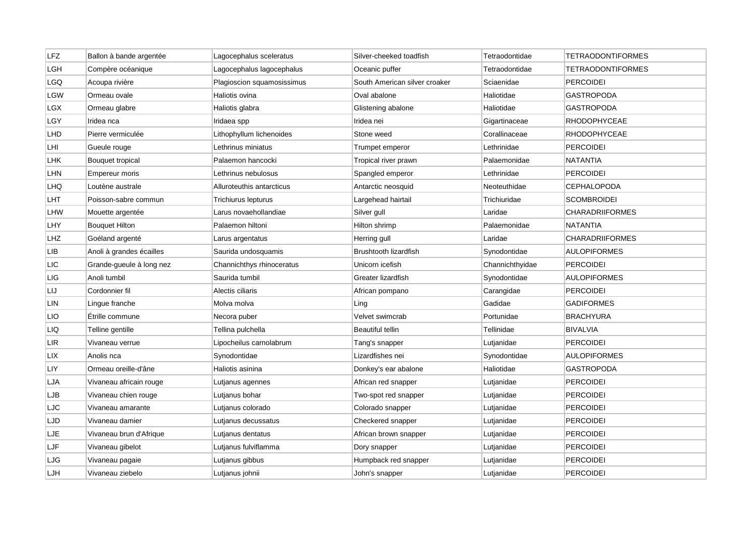| LFZ        | Ballon à bande argentée  | Lagocephalus sceleratus    | Silver-cheeked toadfish       | Tetraodontidae  | TETRAODONTIFORMES        |
|------------|--------------------------|----------------------------|-------------------------------|-----------------|--------------------------|
| LGH        | Compère océanique        | Lagocephalus lagocephalus  | Oceanic puffer                | Tetraodontidae  | <b>TETRAODONTIFORMES</b> |
| LGQ        | Acoupa rivière           | Plagioscion squamosissimus | South American silver croaker | Sciaenidae      | <b>PERCOIDEI</b>         |
| LGW        | Ormeau ovale             | Haliotis ovina             | Oval abalone                  | Haliotidae      | <b>GASTROPODA</b>        |
| LGX        | Ormeau glabre            | Haliotis glabra            | Glistening abalone            | Haliotidae      | <b>GASTROPODA</b>        |
| LGY        | Iridea nca               | Iridaea spp                | Iridea nei                    | Gigartinaceae   | <b>RHODOPHYCEAE</b>      |
| LHD        | Pierre vermiculée        | Lithophyllum lichenoides   | Stone weed                    | Corallinaceae   | <b>RHODOPHYCEAE</b>      |
| LHI        | Gueule rouge             | Lethrinus miniatus         | Trumpet emperor               | Lethrinidae     | <b>PERCOIDEI</b>         |
| LHK        | Bouquet tropical         | Palaemon hancocki          | Tropical river prawn          | Palaemonidae    | <b>NATANTIA</b>          |
| LHN        | <b>Empereur moris</b>    | Lethrinus nebulosus        | Spangled emperor              | Lethrinidae     | <b>PERCOIDEI</b>         |
| LHQ        | Loutène australe         | Alluroteuthis antarcticus  | Antarctic neosquid            | Neoteuthidae    | CEPHALOPODA              |
| LHT        | Poisson-sabre commun     | Trichiurus lepturus        | Largehead hairtail            | Trichiuridae    | <b>SCOMBROIDEI</b>       |
| LHW        | Mouette argentée         | Larus novaehollandiae      | Silver gull                   | Laridae         | <b>CHARADRIIFORMES</b>   |
| LHY        | <b>Bouquet Hilton</b>    | Palaemon hiltoni           | Hilton shrimp                 | Palaemonidae    | <b>NATANTIA</b>          |
| LHZ        | Goéland argenté          | Larus argentatus           | Herring gull                  | Laridae         | <b>CHARADRIIFORMES</b>   |
| <b>LIB</b> | Anoli à grandes écailles | Saurida undosquamis        | <b>Brushtooth lizardfish</b>  | Synodontidae    | <b>AULOPIFORMES</b>      |
| LIC        | Grande-gueule à long nez | Channichthys rhinoceratus  | Unicorn icefish               | Channichthyidae | <b>PERCOIDEI</b>         |
| LIG        | Anoli tumbil             | Saurida tumbil             | Greater lizardfish            | Synodontidae    | <b>AULOPIFORMES</b>      |
| LIJ        | Cordonnier fil           | Alectis ciliaris           | African pompano               | Carangidae      | <b>PERCOIDEI</b>         |
| LIN        | Lingue franche           | Molva molva                | Ling                          | Gadidae         | <b>GADIFORMES</b>        |
| LIO        | Étrille commune          | Necora puber               | Velvet swimcrab               | Portunidae      | <b>BRACHYURA</b>         |
| LIQ        | Telline gentille         | Tellina pulchella          | Beautiful tellin              | Tellinidae      | <b>BIVALVIA</b>          |
| LIR        | Vivaneau verrue          | Lipocheilus carnolabrum    | Tang's snapper                | Lutjanidae      | <b>PERCOIDEI</b>         |
| LIX        | Anolis nca               | Synodontidae               | Lizardfishes nei              | Synodontidae    | <b>AULOPIFORMES</b>      |
| LIY        | Ormeau oreille-d'âne     | Haliotis asinina           | Donkey's ear abalone          | Haliotidae      | <b>GASTROPODA</b>        |
| LJA        | Vivaneau africain rouge  | Lutjanus agennes           | African red snapper           | Lutjanidae      | <b>PERCOIDEI</b>         |
| LJB        | Vivaneau chien rouge     | Lutjanus bohar             | Two-spot red snapper          | Lutjanidae      | <b>PERCOIDEI</b>         |
| LJC        | Vivaneau amarante        | Lutjanus colorado          | Colorado snapper              | Lutjanidae      | <b>PERCOIDEI</b>         |
| LJD        | Vivaneau damier          | Lutjanus decussatus        | Checkered snapper             | Lutjanidae      | <b>PERCOIDEI</b>         |
| LJE        | Vivaneau brun d'Afrique  | Lutjanus dentatus          | African brown snapper         | Lutjanidae      | <b>PERCOIDEI</b>         |
| LJF        | Vivaneau gibelot         | Lutjanus fulviflamma       | Dory snapper                  | Lutjanidae      | <b>PERCOIDEI</b>         |
| LJG        | Vivaneau pagaie          | Lutjanus gibbus            | Humpback red snapper          | Lutjanidae      | <b>PERCOIDEI</b>         |
| LJH        | Vivaneau ziebelo         | Lutjanus johnii            | John's snapper                | Lutjanidae      | <b>PERCOIDEI</b>         |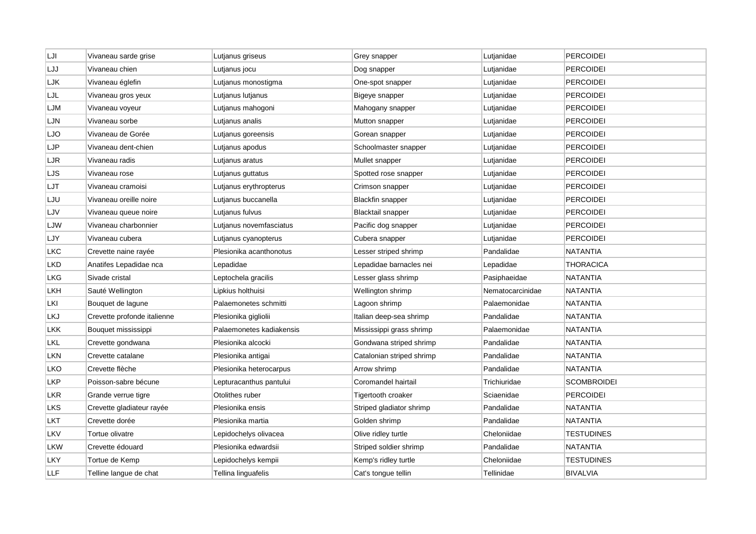| LJI        | Vivaneau sarde grise        | Lutjanus griseus         | Grey snapper              | Lutjanidae       | <b>PERCOIDEI</b>   |
|------------|-----------------------------|--------------------------|---------------------------|------------------|--------------------|
| LJJ        | Vivaneau chien              | Lutjanus jocu            | Dog snapper               | Lutjanidae       | <b>PERCOIDEI</b>   |
| LJK        | Vivaneau églefin            | Lutjanus monostigma      | One-spot snapper          | Lutjanidae       | <b>PERCOIDEI</b>   |
| LJL        | Vivaneau gros yeux          | Lutjanus lutjanus        | Bigeye snapper            | Lutjanidae       | <b>PERCOIDEI</b>   |
| LJM        | Vivaneau voyeur             | Lutjanus mahogoni        | Mahogany snapper          | Lutjanidae       | <b>PERCOIDEI</b>   |
| LJN        | Vivaneau sorbe              | Lutjanus analis          | Mutton snapper            | Lutjanidae       | <b>PERCOIDEI</b>   |
| LJO        | Vivaneau de Gorée           | Lutjanus goreensis       | Gorean snapper            | Lutjanidae       | <b>PERCOIDEI</b>   |
| LJP        | Vivaneau dent-chien         | Lutjanus apodus          | Schoolmaster snapper      | Lutjanidae       | <b>PERCOIDEI</b>   |
| LJR        | Vivaneau radis              | Lutjanus aratus          | Mullet snapper            | Lutjanidae       | <b>PERCOIDEI</b>   |
| LJS        | Vivaneau rose               | Lutjanus guttatus        | Spotted rose snapper      | Lutjanidae       | PERCOIDEI          |
| LJT        | Vivaneau cramoisi           | Lutjanus erythropterus   | Crimson snapper           | Lutjanidae       | <b>PERCOIDEI</b>   |
| LJU        | Vivaneau oreille noire      | Lutjanus buccanella      | <b>Blackfin snapper</b>   | Lutjanidae       | <b>PERCOIDEI</b>   |
| LJV        | Vivaneau queue noire        | Lutjanus fulvus          | Blacktail snapper         | Lutjanidae       | <b>PERCOIDEI</b>   |
| LJW        | Vivaneau charbonnier        | Lutjanus novemfasciatus  | Pacific dog snapper       | Lutjanidae       | <b>PERCOIDEI</b>   |
| LJY        | Vivaneau cubera             | Lutjanus cyanopterus     | Cubera snapper            | Lutjanidae       | <b>PERCOIDEI</b>   |
| LKC        | Crevette naine rayée        | Plesionika acanthonotus  | Lesser striped shrimp     | Pandalidae       | <b>NATANTIA</b>    |
| LKD        | Anatifes Lepadidae nca      | Lepadidae                | Lepadidae barnacles nei   | Lepadidae        | <b>THORACICA</b>   |
| LKG        | Sivade cristal              | Leptochela gracilis      | Lesser glass shrimp       | Pasiphaeidae     | <b>NATANTIA</b>    |
| LKH        | Sauté Wellington            | Lipkius holthuisi        | Wellington shrimp         | Nematocarcinidae | <b>NATANTIA</b>    |
| LKI        | Bouquet de lagune           | Palaemonetes schmitti    | Lagoon shrimp             | Palaemonidae     | <b>NATANTIA</b>    |
| LKJ        | Crevette profonde italienne | Plesionika gigliolii     | Italian deep-sea shrimp   | Pandalidae       | <b>NATANTIA</b>    |
| LKK        | Bouquet mississippi         | Palaemonetes kadiakensis | Mississippi grass shrimp  | Palaemonidae     | <b>NATANTIA</b>    |
| LKL        | Crevette gondwana           | Plesionika alcocki       | Gondwana striped shrimp   | Pandalidae       | <b>NATANTIA</b>    |
| LKN        | Crevette catalane           | Plesionika antigai       | Catalonian striped shrimp | Pandalidae       | <b>NATANTIA</b>    |
| LKO        | Crevette flèche             | Plesionika heterocarpus  | Arrow shrimp              | Pandalidae       | <b>NATANTIA</b>    |
| <b>LKP</b> | Poisson-sabre bécune        | Lepturacanthus pantului  | Coromandel hairtail       | Trichiuridae     | <b>SCOMBROIDEI</b> |
| LKR        | Grande verrue tigre         | Otolithes ruber          | Tigertooth croaker        | Sciaenidae       | <b>PERCOIDEI</b>   |
| LKS        | Crevette gladiateur rayée   | Plesionika ensis         | Striped gladiator shrimp  | Pandalidae       | <b>NATANTIA</b>    |
| LKT        | Crevette dorée              | Plesionika martia        | Golden shrimp             | Pandalidae       | <b>NATANTIA</b>    |
| LKV        | Tortue olivatre             | Lepidochelys olivacea    | Olive ridley turtle       | Cheloniidae      | TESTUDINES         |
| LKW        | Crevette édouard            | Plesionika edwardsii     | Striped soldier shrimp    | Pandalidae       | <b>NATANTIA</b>    |
| LKY        | Tortue de Kemp              | Lepidochelys kempii      | Kemp's ridley turtle      | Cheloniidae      | <b>TESTUDINES</b>  |
| <b>LLF</b> | Telline langue de chat      | Tellina linguafelis      | Cat's tonque tellin       | Tellinidae       | <b>BIVALVIA</b>    |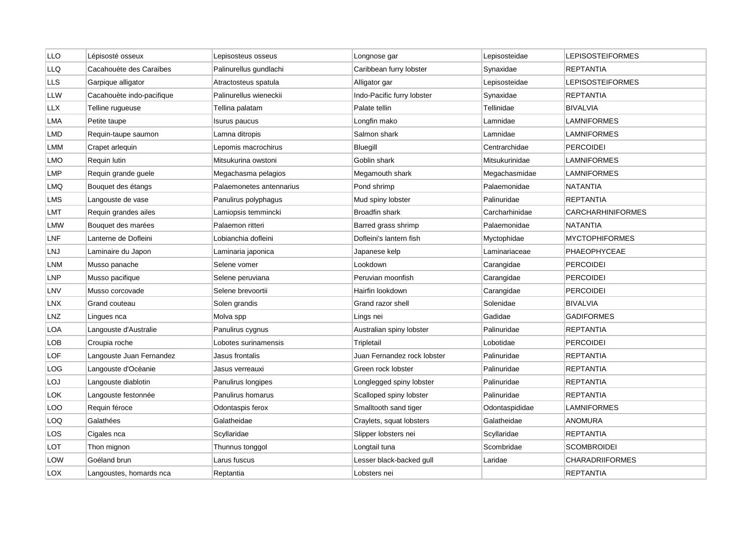| <b>LLO</b> | Lépisosté osseux          | Lepisosteus osseus       | Longnose gar                | Lepisosteidae  | <b>LEPISOSTEIFORMES</b>  |
|------------|---------------------------|--------------------------|-----------------------------|----------------|--------------------------|
| <b>LLQ</b> | Cacahouète des Caraïbes   | Palinurellus gundlachi   | Caribbean furry lobster     | Synaxidae      | <b>REPTANTIA</b>         |
| <b>LLS</b> | Garpique alligator        | Atractosteus spatula     | Alligator gar               | Lepisosteidae  | <b>LEPISOSTEIFORMES</b>  |
| LLW        | Cacahouète indo-pacifique | Palinurellus wieneckii   | Indo-Pacific furry lobster  | Synaxidae      | <b>REPTANTIA</b>         |
| LLX        | Telline rugueuse          | Tellina palatam          | Palate tellin               | Tellinidae     | <b>BIVALVIA</b>          |
| LMA        | Petite taupe              | Isurus paucus            | Longfin mako                | Lamnidae       | <b>LAMNIFORMES</b>       |
| LMD        | Requin-taupe saumon       | Lamna ditropis           | Salmon shark                | Lamnidae       | LAMNIFORMES              |
| LMM        | Crapet arlequin           | Lepomis macrochirus      | Bluegill                    | Centrarchidae  | <b>PERCOIDEI</b>         |
| LMO        | Requin lutin              | Mitsukurina owstoni      | Goblin shark                | Mitsukurinidae | <b>LAMNIFORMES</b>       |
| LMP        | Requin grande guele       | Megachasma pelagios      | Megamouth shark             | Megachasmidae  | <b>LAMNIFORMES</b>       |
| LMQ        | Bouquet des étangs        | Palaemonetes antennarius | Pond shrimp                 | Palaemonidae   | <b>NATANTIA</b>          |
| LMS        | Langouste de vase         | Panulirus polyphagus     | Mud spiny lobster           | Palinuridae    | <b>REPTANTIA</b>         |
| LMT        | Requin grandes ailes      | Lamiopsis temmincki      | <b>Broadfin shark</b>       | Carcharhinidae | <b>CARCHARHINIFORMES</b> |
| LMW        | Bouquet des marées        | Palaemon ritteri         | Barred grass shrimp         | Palaemonidae   | <b>NATANTIA</b>          |
| LNF        | Lanterne de Dofleini      | Lobianchia dofleini      | Dofleini's lantern fish     | Myctophidae    | <b>MYCTOPHIFORMES</b>    |
| LNJ        | Laminaire du Japon        | Laminaria japonica       | Japanese kelp               | Laminariaceae  | PHAEOPHYCEAE             |
| LNM        | Musso panache             | Selene vomer             | Lookdown                    | Carangidae     | <b>PERCOIDEI</b>         |
| <b>LNP</b> | Musso pacifique           | Selene peruviana         | Peruvian moonfish           | Carangidae     | <b>PERCOIDEI</b>         |
| LNV        | Musso corcovade           | Selene brevoortii        | Hairfin lookdown            | Carangidae     | <b>PERCOIDEI</b>         |
| LNX        | Grand couteau             | Solen grandis            | Grand razor shell           | Solenidae      | <b>BIVALVIA</b>          |
| LNZ        | Lingues nca               | Molva spp                | Lings nei                   | Gadidae        | <b>GADIFORMES</b>        |
| LOA        | Langouste d'Australie     | Panulirus cygnus         | Australian spiny lobster    | Palinuridae    | <b>REPTANTIA</b>         |
| LOB        | Croupia roche             | Lobotes surinamensis     | Tripletail                  | Lobotidae      | <b>PERCOIDEI</b>         |
| LOF        | Langouste Juan Fernandez  | Jasus frontalis          | Juan Fernandez rock lobster | Palinuridae    | <b>REPTANTIA</b>         |
| LOG        | Langouste d'Océanie       | Jasus verreauxi          | Green rock lobster          | Palinuridae    | <b>REPTANTIA</b>         |
| LOJ        | Langouste diablotin       | Panulirus longipes       | Longlegged spiny lobster    | Palinuridae    | <b>REPTANTIA</b>         |
| <b>LOK</b> | Langouste festonnée       | Panulirus homarus        | Scalloped spiny lobster     | Palinuridae    | <b>REPTANTIA</b>         |
| LOO        | Requin féroce             | Odontaspis ferox         | Smalltooth sand tiger       | Odontaspididae | <b>LAMNIFORMES</b>       |
| LOQ        | Galathées                 | Galatheidae              | Craylets, squat lobsters    | Galatheidae    | <b>ANOMURA</b>           |
| LOS        | Cigales nca               | Scyllaridae              | Slipper lobsters nei        | Scyllaridae    | <b>REPTANTIA</b>         |
| LOT        | Thon mignon               | Thunnus tonggol          | Longtail tuna               | Scombridae     | <b>SCOMBROIDEI</b>       |
| LOW        | Goéland brun              | Larus fuscus             | Lesser black-backed gull    | Laridae        | <b>CHARADRIIFORMES</b>   |
| LOX        | Langoustes, homards nca   | Reptantia                | Lobsters nei                |                | <b>REPTANTIA</b>         |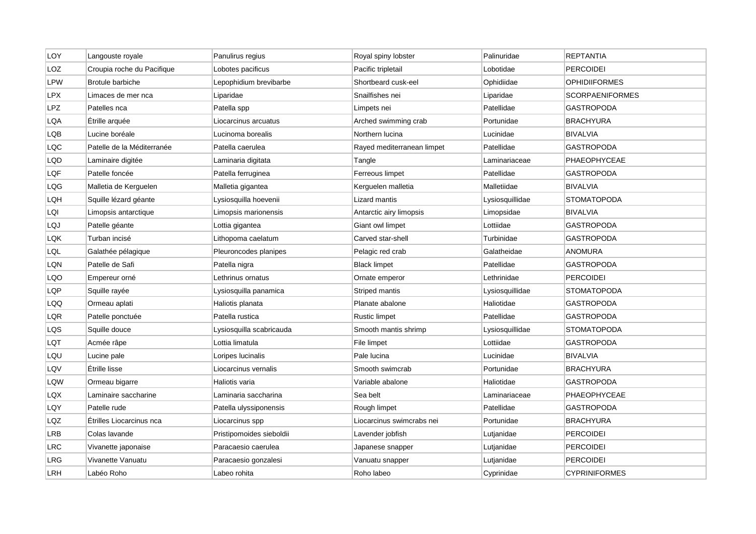| LOY        | Langouste royale           | Panulirus regius         | Royal spiny lobster        | Palinuridae     | REPTANTIA              |
|------------|----------------------------|--------------------------|----------------------------|-----------------|------------------------|
| LOZ        | Croupia roche du Pacifique | Lobotes pacificus        | Pacific tripletail         | Lobotidae       | <b>PERCOIDEI</b>       |
| <b>LPW</b> | <b>Brotule barbiche</b>    | Lepophidium brevibarbe   | Shortbeard cusk-eel        | Ophidiidae      | <b>OPHIDIIFORMES</b>   |
| <b>LPX</b> | Limaces de mer nca         | Liparidae                | Snailfishes nei            | Liparidae       | <b>SCORPAENIFORMES</b> |
| <b>LPZ</b> | Patelles nca               | Patella spp              | Limpets nei                | Patellidae      | <b>GASTROPODA</b>      |
| LQA        | Étrille arquée             | Liocarcinus arcuatus     | Arched swimming crab       | Portunidae      | BRACHYURA              |
| LQB        | Lucine boréale             | Lucinoma borealis        | Northern lucina            | Lucinidae       | <b>BIVALVIA</b>        |
| LQC        | Patelle de la Méditerranée | Patella caerulea         | Rayed mediterranean limpet | Patellidae      | GASTROPODA             |
| LQD        | Laminaire digitée          | Laminaria digitata       | Tangle                     | Laminariaceae   | PHAEOPHYCEAE           |
| LQF        | Patelle foncée             | Patella ferruginea       | Ferreous limpet            | Patellidae      | <b>GASTROPODA</b>      |
| LQG        | Malletia de Kerguelen      | Malletia gigantea        | Kerguelen malletia         | Malletiidae     | <b>BIVALVIA</b>        |
| LQH        | Squille lézard géante      | Lysiosquilla hoevenii    | Lizard mantis              | Lysiosquillidae | <b>STOMATOPODA</b>     |
| LQI        | Limopsis antarctique       | Limopsis marionensis     | Antarctic airy limopsis    | Limopsidae      | <b>BIVALVIA</b>        |
| LQJ        | Patelle géante             | Lottia gigantea          | Giant owl limpet           | Lottiidae       | <b>GASTROPODA</b>      |
| LQK        | Turban incisé              | Lithopoma caelatum       | Carved star-shell          | Turbinidae      | <b>GASTROPODA</b>      |
| LQL        | Galathée pélagique         | Pleuroncodes planipes    | Pelagic red crab           | Galatheidae     | <b>ANOMURA</b>         |
| LQN        | Patelle de Safi            | Patella nigra            | <b>Black limpet</b>        | Patellidae      | <b>GASTROPODA</b>      |
| LQO        | Empereur orné              | Lethrinus ornatus        | Ornate emperor             | Lethrinidae     | <b>PERCOIDEI</b>       |
| LQP        | Squille rayée              | Lysiosquilla panamica    | Striped mantis             | Lysiosquillidae | STOMATOPODA            |
| LQQ        | Ormeau aplati              | Haliotis planata         | Planate abalone            | Haliotidae      | GASTROPODA             |
| LQR        | Patelle ponctuée           | Patella rustica          | <b>Rustic limpet</b>       | Patellidae      | <b>GASTROPODA</b>      |
| LQS        | Squille douce              | Lysiosquilla scabricauda | Smooth mantis shrimp       | Lysiosquillidae | <b>STOMATOPODA</b>     |
| LQT        | Acmée râpe                 | Lottia limatula          | File limpet                | Lottiidae       | GASTROPODA             |
| LQU        | Lucine pale                | Loripes lucinalis        | Pale lucina                | Lucinidae       | <b>BIVALVIA</b>        |
| LQV        | Étrille lisse              | Liocarcinus vernalis     | Smooth swimcrab            | Portunidae      | <b>BRACHYURA</b>       |
| LQW        | Ormeau bigarre             | Haliotis varia           | Variable abalone           | Haliotidae      | <b>GASTROPODA</b>      |
| LQX        | Laminaire saccharine       | Laminaria saccharina     | Sea belt                   | Laminariaceae   | PHAEOPHYCEAE           |
| LQY        | Patelle rude               | Patella ulyssiponensis   | Rough limpet               | Patellidae      | GASTROPODA             |
| LQZ        | Étrilles Liocarcinus nca   | Liocarcinus spp          | Liocarcinus swimcrabs nei  | Portunidae      | <b>BRACHYURA</b>       |
| LRB        | Colas lavande              | Pristipomoides sieboldii | Lavender jobfish           | Lutjanidae      | <b>PERCOIDEI</b>       |
| <b>LRC</b> | Vivanette japonaise        | Paracaesio caerulea      | Japanese snapper           | Lutjanidae      | <b>PERCOIDEI</b>       |
| LRG        | Vivanette Vanuatu          | Paracaesio gonzalesi     | Vanuatu snapper            | Lutjanidae      | <b>PERCOIDEI</b>       |
| LRH        | Labéo Roho                 | Labeo rohita             | Roho labeo                 | Cyprinidae      | <b>CYPRINIFORMES</b>   |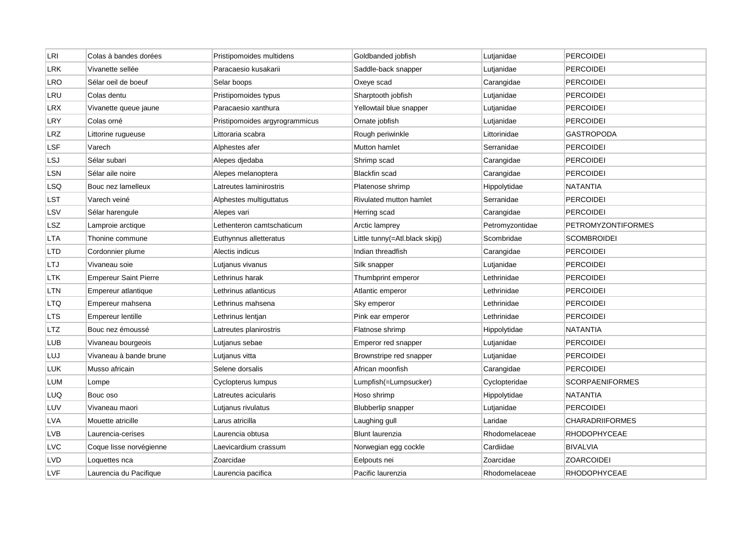| LRI        | Colas à bandes dorées        | Pristipomoides multidens       | Goldbanded jobfish             | Lutjanidae      | <b>PERCOIDEI</b>          |
|------------|------------------------------|--------------------------------|--------------------------------|-----------------|---------------------------|
| LRK        | Vivanette sellée             | Paracaesio kusakarii           | Saddle-back snapper            | Lutjanidae      | <b>PERCOIDEI</b>          |
| <b>LRO</b> | Sélar oeil de boeuf          | Selar boops                    | Oxeye scad                     | Carangidae      | <b>PERCOIDEI</b>          |
| LRU        | Colas dentu                  | Pristipomoides typus           | Sharptooth jobfish             | Lutjanidae      | <b>PERCOIDEI</b>          |
| LRX        | Vivanette queue jaune        | Paracaesio xanthura            | Yellowtail blue snapper        | Lutjanidae      | <b>PERCOIDEI</b>          |
| LRY        | Colas orné                   | Pristipomoides argyrogrammicus | Ornate jobfish                 | Lutjanidae      | <b>PERCOIDEI</b>          |
| LRZ        | Littorine rugueuse           | Littoraria scabra              | Rough periwinkle               | Littorinidae    | <b>GASTROPODA</b>         |
| LSF        | Varech                       | Alphestes afer                 | Mutton hamlet                  | Serranidae      | <b>PERCOIDEI</b>          |
| <b>LSJ</b> | Sélar subari                 | Alepes djedaba                 | Shrimp scad                    | Carangidae      | <b>PERCOIDEI</b>          |
| LSN        | Sélar aile noire             | Alepes melanoptera             | Blackfin scad                  | Carangidae      | <b>PERCOIDEI</b>          |
| LSQ        | Bouc nez lamelleux           | Latreutes laminirostris        | Platenose shrimp               | Hippolytidae    | <b>NATANTIA</b>           |
| LST        | Varech veiné                 | Alphestes multiguttatus        | Rivulated mutton hamlet        | Serranidae      | <b>PERCOIDEI</b>          |
| LSV        | Sélar harengule              | Alepes vari                    | Herring scad                   | Carangidae      | <b>PERCOIDEI</b>          |
| LSZ        | Lamproie arctique            | Lethenteron camtschaticum      | Arctic lamprey                 | Petromyzontidae | <b>PETROMYZONTIFORMES</b> |
| <b>LTA</b> | Thonine commune              | Euthynnus alletteratus         | Little tunny(=Atl.black skipj) | Scombridae      | <b>SCOMBROIDEI</b>        |
| LTD        | Cordonnier plume             | Alectis indicus                | Indian threadfish              | Carangidae      | <b>PERCOIDEI</b>          |
| LTJ        | Vivaneau soie                | Lutjanus vivanus               | Silk snapper                   | Lutjanidae      | <b>PERCOIDEI</b>          |
| LTK        | <b>Empereur Saint Pierre</b> | Lethrinus harak                | Thumbprint emperor             | Lethrinidae     | <b>PERCOIDEI</b>          |
| LTN        | Empereur atlantique          | Lethrinus atlanticus           | Atlantic emperor               | Lethrinidae     | <b>PERCOIDEI</b>          |
| LTQ        | Empereur mahsena             | Lethrinus mahsena              | Sky emperor                    | Lethrinidae     | <b>PERCOIDEI</b>          |
| LTS        | <b>Empereur lentille</b>     | Lethrinus lentjan              | Pink ear emperor               | Lethrinidae     | <b>PERCOIDEI</b>          |
| <b>LTZ</b> | Bouc nez émoussé             | Latreutes planirostris         | Flatnose shrimp                | Hippolytidae    | <b>NATANTIA</b>           |
| LUB        | Vivaneau bourgeois           | Lutjanus sebae                 | Emperor red snapper            | Lutjanidae      | <b>PERCOIDEI</b>          |
| LUJ        | Vivaneau à bande brune       | Lutjanus vitta                 | Brownstripe red snapper        | Lutjanidae      | <b>PERCOIDEI</b>          |
| <b>LUK</b> | Musso africain               | Selene dorsalis                | African moonfish               | Carangidae      | <b>PERCOIDEI</b>          |
| LUM        | Lompe                        | Cyclopterus lumpus             | Lumpfish(=Lumpsucker)          | Cyclopteridae   | <b>SCORPAENIFORMES</b>    |
| LUQ        | Bouc oso                     | Latreutes acicularis           | Hoso shrimp                    | Hippolytidae    | <b>NATANTIA</b>           |
| LUV        | Vivaneau maori               | Lutjanus rivulatus             | <b>Blubberlip snapper</b>      | Lutjanidae      | <b>PERCOIDEI</b>          |
| <b>LVA</b> | Mouette atricille            | Larus atricilla                | Laughing gull                  | Laridae         | <b>CHARADRIIFORMES</b>    |
| LVB        | Laurencia-cerises            | Laurencia obtusa               | Blunt laurenzia                | Rhodomelaceae   | <b>RHODOPHYCEAE</b>       |
| <b>LVC</b> | Coque lisse norvégienne      | Laevicardium crassum           | Norwegian egg cockle           | Cardiidae       | <b>BIVALVIA</b>           |
| <b>LVD</b> | Loquettes nca                | Zoarcidae                      | Eelpouts nei                   | Zoarcidae       | <b>ZOARCOIDEI</b>         |
| <b>LVF</b> | Laurencia du Pacifique       | Laurencia pacifica             | Pacific laurenzia              | Rhodomelaceae   | <b>RHODOPHYCEAE</b>       |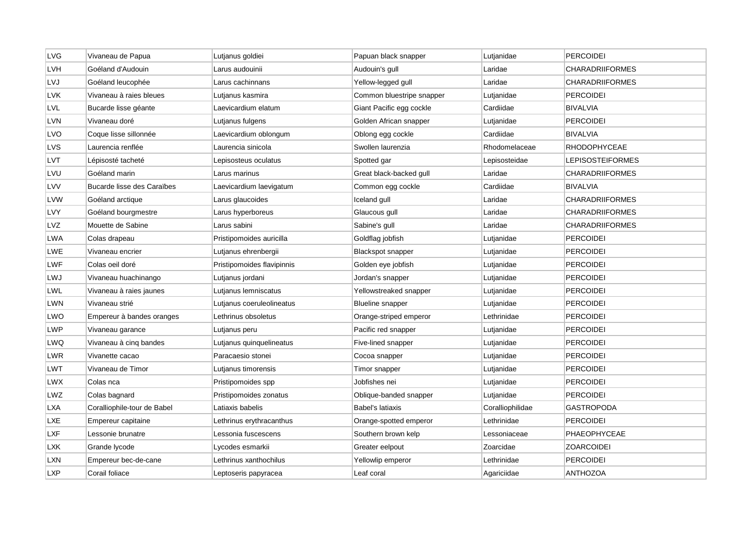| <b>LVG</b> | Vivaneau de Papua           | Lutjanus goldiei           | Papuan black snapper      | Lutjanidae       | <b>PERCOIDEI</b>        |
|------------|-----------------------------|----------------------------|---------------------------|------------------|-------------------------|
| LVH        | Goéland d'Audouin           | Larus audouinii            | Audouin's gull            | Laridae          | <b>CHARADRIIFORMES</b>  |
| LVJ        | Goéland leucophée           | Larus cachinnans           | Yellow-legged gull        | Laridae          | <b>CHARADRIIFORMES</b>  |
| LVK        | Vivaneau à raies bleues     | Lutjanus kasmira           | Common bluestripe snapper | Lutjanidae       | <b>PERCOIDEI</b>        |
| <b>LVL</b> | Bucarde lisse géante        | Laevicardium elatum        | Giant Pacific egg cockle  | Cardiidae        | <b>BIVALVIA</b>         |
| LVN        | Vivaneau doré               | Lutjanus fulgens           | Golden African snapper    | Lutjanidae       | <b>PERCOIDEI</b>        |
| <b>LVO</b> | Coque lisse sillonnée       | Laevicardium oblongum      | Oblong egg cockle         | Cardiidae        | <b>BIVALVIA</b>         |
| LVS        | Laurencia renflée           | Laurencia sinicola         | Swollen laurenzia         | Rhodomelaceae    | RHODOPHYCEAE            |
| LVT        | Lépisosté tacheté           | Lepisosteus oculatus       | Spotted gar               | Lepisosteidae    | <b>LEPISOSTEIFORMES</b> |
| LVU        | Goéland marin               | Larus marinus              | Great black-backed gull   | Laridae          | <b>CHARADRIIFORMES</b>  |
| <b>LVV</b> | Bucarde lisse des Caraïbes  | Laevicardium laevigatum    | Common egg cockle         | Cardiidae        | <b>BIVALVIA</b>         |
| <b>LVW</b> | Goéland arctique            | Larus glaucoides           | Iceland gull              | Laridae          | <b>CHARADRIIFORMES</b>  |
| LVY        | Goéland bourgmestre         | Larus hyperboreus          | Glaucous gull             | Laridae          | <b>CHARADRIIFORMES</b>  |
| <b>LVZ</b> | Mouette de Sabine           | Larus sabini               | Sabine's gull             | Laridae          | <b>CHARADRIIFORMES</b>  |
| LWA        | Colas drapeau               | Pristipomoides auricilla   | Goldflag jobfish          | Lutjanidae       | <b>PERCOIDEI</b>        |
| LWE        | Vivaneau encrier            | Lutjanus ehrenbergii       | Blackspot snapper         | Lutjanidae       | <b>PERCOIDEI</b>        |
| LWF        | Colas oeil doré             | Pristipomoides flavipinnis | Golden eye jobfish        | Lutjanidae       | <b>PERCOIDEI</b>        |
| LWJ        | Vivaneau huachinango        | Lutjanus jordani           | Jordan's snapper          | Lutjanidae       | <b>PERCOIDEI</b>        |
| LWL        | Vivaneau à raies jaunes     | Lutjanus lemniscatus       | Yellowstreaked snapper    | Lutjanidae       | <b>PERCOIDEI</b>        |
| LWN        | Vivaneau strié              | Lutjanus coeruleolineatus  | Blueline snapper          | Lutjanidae       | <b>PERCOIDEI</b>        |
| LWO        | Empereur à bandes oranges   | Lethrinus obsoletus        | Orange-striped emperor    | Lethrinidae      | <b>PERCOIDEI</b>        |
| LWP        | Vivaneau garance            | Lutjanus peru              | Pacific red snapper       | Lutjanidae       | <b>PERCOIDEI</b>        |
| LWQ        | Vivaneau à cinq bandes      | Lutjanus quinquelineatus   | Five-lined snapper        | Lutjanidae       | <b>PERCOIDEI</b>        |
| LWR        | Vivanette cacao             | Paracaesio stonei          | Cocoa snapper             | Lutjanidae       | <b>PERCOIDEI</b>        |
| LWT        | Vivaneau de Timor           | Lutjanus timorensis        | Timor snapper             | Lutjanidae       | <b>PERCOIDEI</b>        |
| <b>LWX</b> | Colas nca                   | Pristipomoides spp         | Jobfishes nei             | Lutjanidae       | <b>PERCOIDEI</b>        |
| LWZ        | Colas bagnard               | Pristipomoides zonatus     | Oblique-banded snapper    | Lutjanidae       | <b>PERCOIDEI</b>        |
| <b>LXA</b> | Coralliophile-tour de Babel | Latiaxis babelis           | Babel's latiaxis          | Coralliophilidae | <b>GASTROPODA</b>       |
| LXE        | Empereur capitaine          | Lethrinus erythracanthus   | Orange-spotted emperor    | Lethrinidae      | <b>PERCOIDEI</b>        |
| LXF        | Lessonie brunatre           | Lessonia fuscescens        | Southern brown kelp       | Lessoniaceae     | PHAEOPHYCEAE            |
| LXK        | Grande lycode               | Lycodes esmarkii           | Greater eelpout           | Zoarcidae        | <b>ZOARCOIDEI</b>       |
| LXN        | Empereur bec-de-cane        | Lethrinus xanthochilus     | Yellowlip emperor         | Lethrinidae      | <b>PERCOIDEI</b>        |
| <b>LXP</b> | Corail foliace              | Leptoseris papyracea       | Leaf coral                | Agariciidae      | <b>ANTHOZOA</b>         |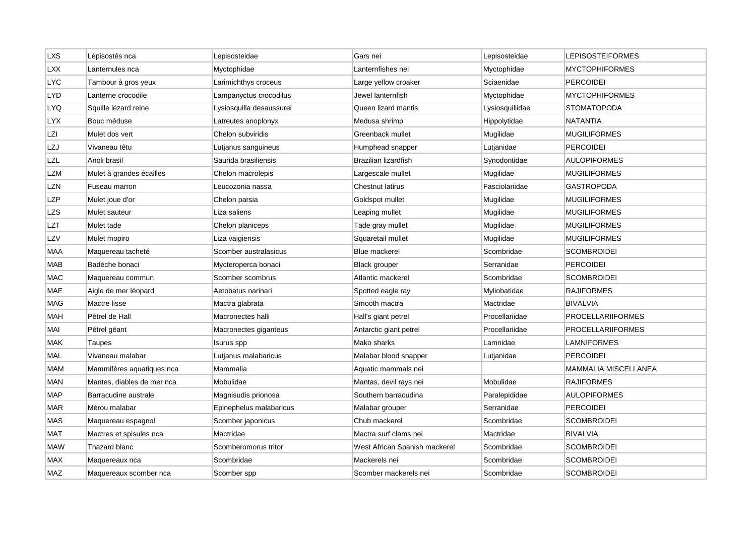| <b>LXS</b> | Lépisostés nca             | Lepisosteidae            | Gars nei                      | Lepisosteidae   | LEPISOSTEIFORMES         |
|------------|----------------------------|--------------------------|-------------------------------|-----------------|--------------------------|
| <b>LXX</b> | Lanternules nca            | Myctophidae              | Lanternfishes nei             | Myctophidae     | <b>MYCTOPHIFORMES</b>    |
| <b>LYC</b> | Tambour à gros yeux        | Larimichthys croceus     | Large yellow croaker          | Sciaenidae      | <b>PERCOIDEI</b>         |
| LYD        | Lanterne crocodile         | Lampanyctus crocodilus   | Jewel lanternfish             | Myctophidae     | <b>MYCTOPHIFORMES</b>    |
| LYQ        | Squille lézard reine       | Lysiosquilla desaussurei | Queen lizard mantis           | Lysiosquillidae | <b>STOMATOPODA</b>       |
| <b>LYX</b> | Bouc méduse                | Latreutes anoplonyx      | Medusa shrimp                 | Hippolytidae    | <b>NATANTIA</b>          |
| LZI        | Mulet dos vert             | Chelon subviridis        | Greenback mullet              | Mugilidae       | <b>MUGILIFORMES</b>      |
| LZJ        | Vivaneau têtu              | Lutjanus sanguineus      | Humphead snapper              | Lutjanidae      | <b>PERCOIDEI</b>         |
| LZL        | Anoli brasil               | Saurida brasiliensis     | Brazilian lizardfish          | Synodontidae    | <b>AULOPIFORMES</b>      |
| LZM        | Mulet à grandes écailles   | Chelon macrolepis        | Largescale mullet             | Mugilidae       | <b>MUGILIFORMES</b>      |
| LZN        | Fuseau marron              | Leucozonia nassa         | <b>Chestnut latirus</b>       | Fasciolariidae  | GASTROPODA               |
| LZP        | Mulet joue d'or            | Chelon parsia            | Goldspot mullet               | Mugilidae       | <b>MUGILIFORMES</b>      |
| <b>LZS</b> | Mulet sauteur              | Liza saliens             | Leaping mullet                | Mugilidae       | <b>MUGILIFORMES</b>      |
| LZT        | Mulet tade                 | Chelon planiceps         | Tade gray mullet              | Mugilidae       | <b>MUGILIFORMES</b>      |
| LZV        | Mulet mopiro               | Liza vaigiensis          | Squaretail mullet             | Mugilidae       | <b>MUGILIFORMES</b>      |
| MAA        | Maquereau tacheté          | Scomber australasicus    | Blue mackerel                 | Scombridae      | <b>SCOMBROIDEI</b>       |
| MAB        | Badèche bonaci             | Mycteroperca bonaci      | <b>Black grouper</b>          | Serranidae      | <b>PERCOIDEI</b>         |
| <b>MAC</b> | Maquereau commun           | Scomber scombrus         | Atlantic mackerel             | Scombridae      | <b>SCOMBROIDEI</b>       |
| MAE        | Aigle de mer léopard       | Aetobatus narinari       | Spotted eagle ray             | Myliobatidae    | RAJIFORMES               |
| <b>MAG</b> | Mactre lisse               | Mactra glabrata          | Smooth mactra                 | Mactridae       | <b>BIVALVIA</b>          |
| <b>MAH</b> | Pétrel de Hall             | Macronectes halli        | Hall's giant petrel           | Procellariidae  | <b>PROCELLARIIFORMES</b> |
| MAI        | Pétrel géant               | Macronectes giganteus    | Antarctic giant petrel        | Procellariidae  | <b>PROCELLARIIFORMES</b> |
| MAK        | Taupes                     | Isurus spp               | Mako sharks                   | Lamnidae        | <b>LAMNIFORMES</b>       |
| MAL        | Vivaneau malabar           | Lutjanus malabaricus     | Malabar blood snapper         | Lutjanidae      | <b>PERCOIDEI</b>         |
| MAM        | Mammifères aquatiques nca  | Mammalia                 | Aquatic mammals nei           |                 | MAMMALIA MISCELLANEA     |
| MAN        | Mantes, diables de mer nca | Mobulidae                | Mantas, devil rays nei        | Mobulidae       | <b>RAJIFORMES</b>        |
| MAP        | Barracudine australe       | Magnisudis prionosa      | Southern barracudina          | Paralepididae   | <b>AULOPIFORMES</b>      |
| <b>MAR</b> | Mérou malabar              | Epinephelus malabaricus  | Malabar grouper               | Serranidae      | <b>PERCOIDEI</b>         |
| MAS        | Maquereau espagnol         | Scomber japonicus        | Chub mackerel                 | Scombridae      | <b>SCOMBROIDEI</b>       |
| MAT        | Mactres et spisules nca    | Mactridae                | Mactra surf clams nei         | Mactridae       | <b>BIVALVIA</b>          |
| <b>MAW</b> | Thazard blanc              | Scomberomorus tritor     | West African Spanish mackerel | Scombridae      | <b>SCOMBROIDEI</b>       |
| <b>MAX</b> | Maquereaux nca             | Scombridae               | Mackerels nei                 | Scombridae      | <b>SCOMBROIDEI</b>       |
| MAZ        | Maquereaux scomber nca     | Scomber spp              | Scomber mackerels nei         | Scombridae      | <b>SCOMBROIDEI</b>       |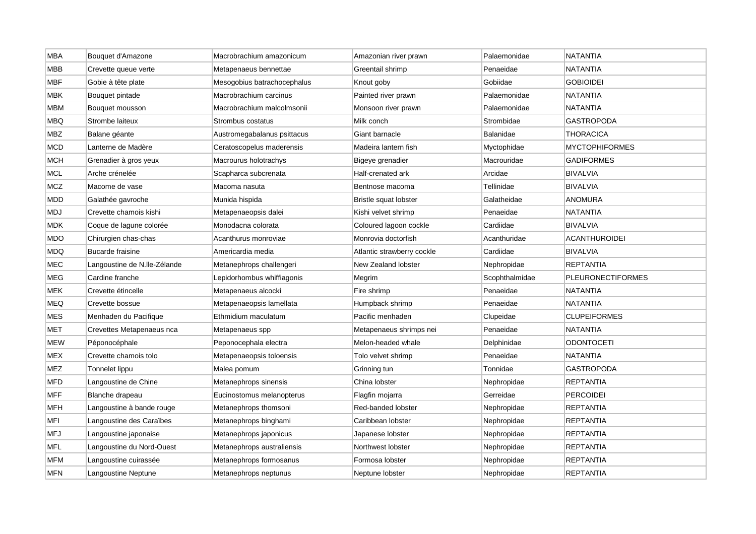| <b>MBA</b> | Bouquet d'Amazone            | Macrobrachium amazonicum    | Amazonian river prawn      | Palaemonidae   | <b>NATANTIA</b>          |
|------------|------------------------------|-----------------------------|----------------------------|----------------|--------------------------|
| <b>MBB</b> | Crevette queue verte         | Metapenaeus bennettae       | Greentail shrimp           | Penaeidae      | <b>NATANTIA</b>          |
| <b>MBF</b> | Gobie à tête plate           | Mesogobius batrachocephalus | Knout goby                 | Gobiidae       | <b>GOBIOIDEI</b>         |
| MBK        | Bouquet pintade              | Macrobrachium carcinus      | Painted river prawn        | Palaemonidae   | NATANTIA                 |
| <b>MBM</b> | Bouquet mousson              | Macrobrachium malcolmsonii  | Monsoon river prawn        | Palaemonidae   | <b>NATANTIA</b>          |
| <b>MBQ</b> | Strombe laiteux              | Strombus costatus           | Milk conch                 | Strombidae     | GASTROPODA               |
| <b>MBZ</b> | Balane géante                | Austromegabalanus psittacus | Giant barnacle             | Balanidae      | <b>THORACICA</b>         |
| MCD        | Lanterne de Madère           | Ceratoscopelus maderensis   | Madeira lantern fish       | Myctophidae    | <b>MYCTOPHIFORMES</b>    |
| <b>MCH</b> | Grenadier à gros yeux        | Macrourus holotrachys       | Bigeye grenadier           | Macrouridae    | <b>GADIFORMES</b>        |
| <b>MCL</b> | Arche crénelée               | Scapharca subcrenata        | Half-crenated ark          | Arcidae        | <b>BIVALVIA</b>          |
| <b>MCZ</b> | Macome de vase               | Macoma nasuta               | Bentnose macoma            | Tellinidae     | <b>BIVALVIA</b>          |
| <b>MDD</b> | Galathée gavroche            | Munida hispida              | Bristle squat lobster      | Galatheidae    | ANOMURA                  |
| <b>MDJ</b> | Crevette chamois kishi       | Metapenaeopsis dalei        | Kishi velvet shrimp        | Penaeidae      | <b>NATANTIA</b>          |
| <b>MDK</b> | Coque de lagune colorée      | Monodacna colorata          | Coloured lagoon cockle     | Cardiidae      | <b>BIVALVIA</b>          |
| <b>MDO</b> | Chirurgien chas-chas         | Acanthurus monroviae        | Monrovia doctorfish        | Acanthuridae   | <b>ACANTHUROIDEI</b>     |
| MDQ        | <b>Bucarde fraisine</b>      | Americardia media           | Atlantic strawberry cockle | Cardiidae      | <b>BIVALVIA</b>          |
| <b>MEC</b> | Langoustine de N.Ile-Zélande | Metanephrops challengeri    | New Zealand lobster        | Nephropidae    | <b>REPTANTIA</b>         |
| <b>MEG</b> | Cardine franche              | Lepidorhombus whiffiagonis  | Megrim                     | Scophthalmidae | <b>PLEURONECTIFORMES</b> |
| <b>MEK</b> | Crevette étincelle           | Metapenaeus alcocki         | Fire shrimp                | Penaeidae      | NATANTIA                 |
| <b>MEQ</b> | Crevette bossue              | Metapenaeopsis lamellata    | Humpback shrimp            | Penaeidae      | NATANTIA                 |
| <b>MES</b> | Menhaden du Pacifique        | Ethmidium maculatum         | Pacific menhaden           | Clupeidae      | <b>CLUPEIFORMES</b>      |
| <b>MET</b> | Crevettes Metapenaeus nca    | Metapenaeus spp             | Metapenaeus shrimps nei    | Penaeidae      | <b>NATANTIA</b>          |
| MEW        | Péponocéphale                | Peponocephala electra       | Melon-headed whale         | Delphinidae    | ODONTOCETI               |
| <b>MEX</b> | Crevette chamois tolo        | Metapenaeopsis toloensis    | Tolo velvet shrimp         | Penaeidae      | <b>NATANTIA</b>          |
| <b>MEZ</b> | Tonnelet lippu               | Malea pomum                 | Grinning tun               | Tonnidae       | <b>GASTROPODA</b>        |
| <b>MFD</b> | Langoustine de Chine         | Metanephrops sinensis       | China lobster              | Nephropidae    | <b>REPTANTIA</b>         |
| <b>MFF</b> | Blanche drapeau              | Eucinostomus melanopterus   | Flagfin mojarra            | Gerreidae      | <b>PERCOIDEI</b>         |
| <b>MFH</b> | Langoustine à bande rouge    | Metanephrops thomsoni       | Red-banded lobster         | Nephropidae    | <b>REPTANTIA</b>         |
| <b>MFI</b> | Langoustine des Caraïbes     | Metanephrops binghami       | Caribbean lobster          | Nephropidae    | <b>REPTANTIA</b>         |
| <b>MFJ</b> | Langoustine japonaise        | Metanephrops japonicus      | Japanese lobster           | Nephropidae    | <b>REPTANTIA</b>         |
| <b>MFL</b> | Langoustine du Nord-Ouest    | Metanephrops australiensis  | Northwest lobster          | Nephropidae    | <b>REPTANTIA</b>         |
| MFM        | Langoustine cuirassée        | Metanephrops formosanus     | Formosa lobster            | Nephropidae    | REPTANTIA                |
| <b>MFN</b> | Langoustine Neptune          | Metanephrops neptunus       | Neptune lobster            | Nephropidae    | <b>REPTANTIA</b>         |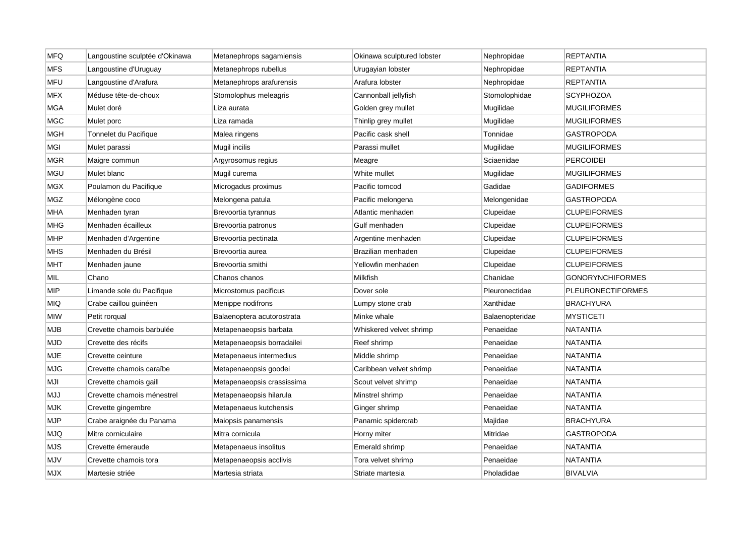| <b>MFQ</b> | Langoustine sculptée d'Okinawa | Metanephrops sagamiensis   | Okinawa sculptured lobster | Nephropidae     | <b>REPTANTIA</b>         |
|------------|--------------------------------|----------------------------|----------------------------|-----------------|--------------------------|
| <b>MFS</b> | Langoustine d'Uruguay          | Metanephrops rubellus      | Urugayian lobster          | Nephropidae     | <b>REPTANTIA</b>         |
| <b>MFU</b> | Langoustine d'Arafura          | Metanephrops arafurensis   | Arafura lobster            | Nephropidae     | <b>REPTANTIA</b>         |
| <b>MFX</b> | Méduse tête-de-choux           | Stomolophus meleagris      | Cannonball jellyfish       | Stomolophidae   | <b>SCYPHOZOA</b>         |
| <b>MGA</b> | Mulet doré                     | Liza aurata                | Golden grey mullet         | Mugilidae       | <b>MUGILIFORMES</b>      |
| <b>MGC</b> | Mulet porc                     | Liza ramada                | Thinlip grey mullet        | Mugilidae       | <b>MUGILIFORMES</b>      |
| <b>MGH</b> | Tonnelet du Pacifique          | Malea ringens              | Pacific cask shell         | Tonnidae        | <b>GASTROPODA</b>        |
| MGI        | Mulet parassi                  | Mugil incilis              | Parassi mullet             | Mugilidae       | <b>MUGILIFORMES</b>      |
| <b>MGR</b> | Maigre commun                  | Argyrosomus regius         | Meagre                     | Sciaenidae      | <b>PERCOIDEI</b>         |
| <b>MGU</b> | Mulet blanc                    | Mugil curema               | White mullet               | Mugilidae       | <b>MUGILIFORMES</b>      |
| MGX        | Poulamon du Pacifique          | Microgadus proximus        | Pacific tomcod             | Gadidae         | <b>GADIFORMES</b>        |
| MGZ        | Mélongène coco                 | Melongena patula           | Pacific melongena          | Melongenidae    | <b>GASTROPODA</b>        |
| MHA        | Menhaden tyran                 | Brevoortia tyrannus        | Atlantic menhaden          | Clupeidae       | <b>CLUPEIFORMES</b>      |
| <b>MHG</b> | Menhaden écailleux             | Brevoortia patronus        | Gulf menhaden              | Clupeidae       | <b>CLUPEIFORMES</b>      |
| <b>MHP</b> | Menhaden d'Argentine           | Brevoortia pectinata       | Argentine menhaden         | Clupeidae       | <b>CLUPEIFORMES</b>      |
| <b>MHS</b> | Menhaden du Brésil             | Brevoortia aurea           | Brazilian menhaden         | Clupeidae       | <b>CLUPEIFORMES</b>      |
| <b>MHT</b> | Menhaden jaune                 | Brevoortia smithi          | Yellowfin menhaden         | Clupeidae       | <b>CLUPEIFORMES</b>      |
| MIL.       | Chano                          | Chanos chanos              | Milkfish                   | Chanidae        | <b>GONORYNCHIFORMES</b>  |
| MIP        | Limande sole du Pacifique      | Microstomus pacificus      | Dover sole                 | Pleuronectidae  | <b>PLEURONECTIFORMES</b> |
| <b>MIQ</b> | Crabe caillou guinéen          | Menippe nodifrons          | Lumpy stone crab           | Xanthidae       | <b>BRACHYURA</b>         |
| <b>MIW</b> | Petit rorgual                  | Balaenoptera acutorostrata | Minke whale                | Balaenopteridae | <b>MYSTICETI</b>         |
| <b>MJB</b> | Crevette chamois barbulée      | Metapenaeopsis barbata     | Whiskered velvet shrimp    | Penaeidae       | <b>NATANTIA</b>          |
| MJD        | Crevette des récifs            | Metapenaeopsis borradailei | Reef shrimp                | Penaeidae       | NATANTIA                 |
| <b>MJE</b> | Crevette ceinture              | Metapenaeus intermedius    | Middle shrimp              | Penaeidae       | <b>NATANTIA</b>          |
| <b>MJG</b> | Crevette chamois caraïbe       | Metapenaeopsis goodei      | Caribbean velvet shrimp    | Penaeidae       | NATANTIA                 |
| MJI        | Crevette chamois gaill         | Metapenaeopsis crassissima | Scout velvet shrimp        | Penaeidae       | <b>NATANTIA</b>          |
| MJJ        | Crevette chamois ménestrel     | Metapenaeopsis hilarula    | Minstrel shrimp            | Penaeidae       | <b>NATANTIA</b>          |
| <b>MJK</b> | Crevette gingembre             | Metapenaeus kutchensis     | Ginger shrimp              | Penaeidae       | <b>NATANTIA</b>          |
| <b>MJP</b> | Crabe araignée du Panama       | Maiopsis panamensis        | Panamic spidercrab         | Majidae         | <b>BRACHYURA</b>         |
| MJQ        | Mitre corniculaire             | Mitra cornicula            | Horny miter                | Mitridae        | GASTROPODA               |
| <b>MJS</b> | Crevette émeraude              | Metapenaeus insolitus      | Emerald shrimp             | Penaeidae       | <b>NATANTIA</b>          |
| MJV        | Crevette chamois tora          | Metapenaeopsis acclivis    | Tora velvet shrimp         | Penaeidae       | NATANTIA                 |
| <b>MJX</b> | Martesie striée                | Martesia striata           | Striate martesia           | Pholadidae      | <b>BIVALVIA</b>          |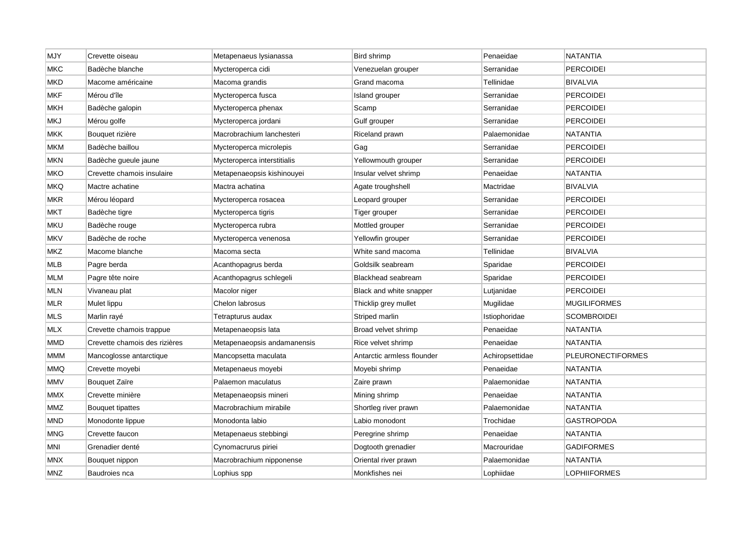| <b>MJY</b> | Crevette oiseau               | Metapenaeus lysianassa      | Bird shrimp                | Penaeidae       | <b>NATANTIA</b>          |
|------------|-------------------------------|-----------------------------|----------------------------|-----------------|--------------------------|
| <b>MKC</b> | Badèche blanche               | Mycteroperca cidi           | Venezuelan grouper         | Serranidae      | <b>PERCOIDEI</b>         |
| <b>MKD</b> | Macome américaine             | Macoma grandis              | Grand macoma               | Tellinidae      | <b>BIVALVIA</b>          |
| <b>MKF</b> | Mérou d'île                   | Mycteroperca fusca          | Island grouper             | Serranidae      | PERCOIDEI                |
| MKH        | Badèche galopin               | Mycteroperca phenax         | Scamp                      | Serranidae      | <b>PERCOIDEI</b>         |
| <b>MKJ</b> | Mérou golfe                   | Mycteroperca jordani        | Gulf grouper               | Serranidae      | <b>PERCOIDEI</b>         |
| <b>MKK</b> | Bouquet rizière               | Macrobrachium lanchesteri   | Riceland prawn             | Palaemonidae    | NATANTIA                 |
| МКМ        | Badèche baillou               | Mycteroperca microlepis     | Gag                        | Serranidae      | <b>PERCOIDEI</b>         |
| MKN        | Badèche gueule jaune          | Mycteroperca interstitialis | Yellowmouth grouper        | Serranidae      | <b>PERCOIDEI</b>         |
| MKO        | Crevette chamois insulaire    | Metapenaeopsis kishinouyei  | Insular velvet shrimp      | Penaeidae       | <b>NATANTIA</b>          |
| <b>MKQ</b> | Mactre achatine               | Mactra achatina             | Agate troughshell          | Mactridae       | <b>BIVALVIA</b>          |
| MKR        | Mérou léopard                 | Mycteroperca rosacea        | Leopard grouper            | Serranidae      | <b>PERCOIDEI</b>         |
| <b>MKT</b> | Badèche tigre                 | Mycteroperca tigris         | Tiger grouper              | Serranidae      | <b>PERCOIDEI</b>         |
| mku        | Badèche rouge                 | Mycteroperca rubra          | Mottled grouper            | Serranidae      | <b>PERCOIDEI</b>         |
| <b>MKV</b> | Badèche de roche              | Mycteroperca venenosa       | Yellowfin grouper          | Serranidae      | <b>PERCOIDEI</b>         |
| <b>MKZ</b> | Macome blanche                | Macoma secta                | White sand macoma          | Tellinidae      | <b>BIVALVIA</b>          |
| <b>MLB</b> | Pagre berda                   | Acanthopagrus berda         | Goldsilk seabream          | Sparidae        | <b>PERCOIDEI</b>         |
| <b>MLM</b> | Pagre tête noire              | Acanthopagrus schlegeli     | Blackhead seabream         | Sparidae        | <b>PERCOIDEI</b>         |
| MLN        | Vivaneau plat                 | Macolor niger               | Black and white snapper    | Lutjanidae      | PERCOIDEI                |
| <b>MLR</b> | Mulet lippu                   | Chelon labrosus             | Thicklip grey mullet       | Mugilidae       | <b>MUGILIFORMES</b>      |
| <b>MLS</b> | Marlin rayé                   | Tetrapturus audax           | Striped marlin             | Istiophoridae   | <b>SCOMBROIDEI</b>       |
| <b>MLX</b> | Crevette chamois trappue      | Metapenaeopsis lata         | Broad velvet shrimp        | Penaeidae       | NATANTIA                 |
| MMD        | Crevette chamois des rizières | Metapenaeopsis andamanensis | Rice velvet shrimp         | Penaeidae       | NATANTIA                 |
| МММ        | Mancoglosse antarctique       | Mancopsetta maculata        | Antarctic armless flounder | Achiropsettidae | <b>PLEURONECTIFORMES</b> |
| MMQ        | Crevette moyebi               | Metapenaeus moyebi          | Moyebi shrimp              | Penaeidae       | <b>NATANTIA</b>          |
| MMV        | Bouquet Zaïre                 | Palaemon maculatus          | Zaire prawn                | Palaemonidae    | NATANTIA                 |
| MMX        | Crevette minière              | Metapenaeopsis mineri       | Mining shrimp              | Penaeidae       | NATANTIA                 |
| <b>MMZ</b> | Bouquet tipattes              | Macrobrachium mirabile      | Shortleg river prawn       | Palaemonidae    | <b>NATANTIA</b>          |
| <b>MND</b> | Monodonte lippue              | Monodonta labio             | Labio monodont             | Trochidae       | GASTROPODA               |
| MNG        | Crevette faucon               | Metapenaeus stebbingi       | Peregrine shrimp           | Penaeidae       | NATANTIA                 |
| MNI        | Grenadier denté               | Cynomacrurus piriei         | Dogtooth grenadier         | Macrouridae     | <b>GADIFORMES</b>        |
| <b>MNX</b> | Bouquet nippon                | Macrobrachium nipponense    | Oriental river prawn       | Palaemonidae    | NATANTIA                 |
| <b>MNZ</b> | Baudroies nca                 | Lophius spp                 | Monkfishes nei             | Lophiidae       | LOPHIIFORMES             |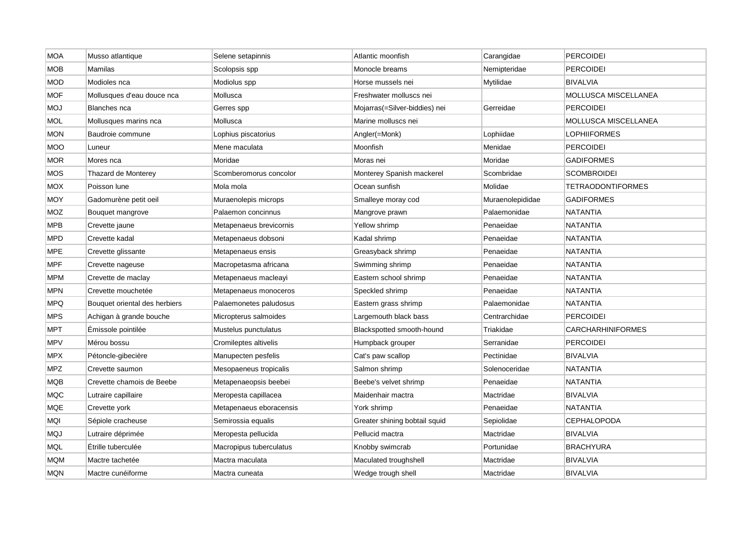| <b>MOA</b> | Musso atlantique              | Selene setapinnis       | Atlantic moonfish             | Carangidae       | PERCOIDEI                |
|------------|-------------------------------|-------------------------|-------------------------------|------------------|--------------------------|
| <b>MOB</b> | Mamilas                       | Scolopsis spp           | Monocle breams                | Nemipteridae     | <b>PERCOIDEI</b>         |
| <b>MOD</b> | Modioles nca                  | Modiolus spp            | Horse mussels nei             | Mytilidae        | <b>BIVALVIA</b>          |
| <b>MOF</b> | Mollusques d'eau douce nca    | Mollusca                | Freshwater molluscs nei       |                  | MOLLUSCA MISCELLANEA     |
| <b>LOM</b> | Blanches nca                  | Gerres spp              | Mojarras(=Silver-biddies) nei | Gerreidae        | <b>PERCOIDEI</b>         |
| <b>MOL</b> | Mollusques marins nca         | Mollusca                | Marine molluscs nei           |                  | MOLLUSCA MISCELLANEA     |
| <b>MON</b> | Baudroie commune              | Lophius piscatorius     | Angler(=Monk)                 | Lophiidae        | LOPHIIFORMES             |
| <b>MOO</b> | Luneur                        | Mene maculata           | Moonfish                      | Menidae          | <b>PERCOIDEI</b>         |
| MOR        | Mores nca                     | Moridae                 | Moras nei                     | Moridae          | <b>GADIFORMES</b>        |
| <b>MOS</b> | Thazard de Monterey           | Scomberomorus concolor  | Monterey Spanish mackerel     | Scombridae       | <b>SCOMBROIDEI</b>       |
| <b>MOX</b> | Poisson lune                  | Mola mola               | Ocean sunfish                 | Molidae          | <b>TETRAODONTIFORMES</b> |
| MOY        | Gadomurène petit oeil         | Muraenolepis microps    | Smalleye moray cod            | Muraenolepididae | GADIFORMES               |
| <b>MOZ</b> | Bouquet mangrove              | Palaemon concinnus      | Mangrove prawn                | Palaemonidae     | <b>NATANTIA</b>          |
| <b>MPB</b> | Crevette jaune                | Metapenaeus brevicornis | Yellow shrimp                 | Penaeidae        | NATANTIA                 |
| <b>MPD</b> | Crevette kadal                | Metapenaeus dobsoni     | Kadal shrimp                  | Penaeidae        | <b>NATANTIA</b>          |
| <b>MPE</b> | Crevette glissante            | Metapenaeus ensis       | Greasyback shrimp             | Penaeidae        | <b>NATANTIA</b>          |
| <b>MPF</b> | Crevette nageuse              | Macropetasma africana   | Swimming shrimp               | Penaeidae        | <b>NATANTIA</b>          |
| <b>MPM</b> | Crevette de maclay            | Metapenaeus macleayi    | Eastern school shrimp         | Penaeidae        | NATANTIA                 |
| <b>MPN</b> | Crevette mouchetée            | Metapenaeus monoceros   | Speckled shrimp               | Penaeidae        | NATANTIA                 |
| <b>MPQ</b> | Bouquet oriental des herbiers | Palaemonetes paludosus  | Eastern grass shrimp          | Palaemonidae     | <b>NATANTIA</b>          |
| <b>MPS</b> | Achigan à grande bouche       | Micropterus salmoides   | Largemouth black bass         | Centrarchidae    | <b>PERCOIDEI</b>         |
| <b>MPT</b> | Emissole pointilée            | Mustelus punctulatus    | Blackspotted smooth-hound     | Triakidae        | <b>CARCHARHINIFORMES</b> |
| MPV        | Mérou bossu                   | Cromileptes altivelis   | Humpback grouper              | Serranidae       | PERCOIDEI                |
| <b>MPX</b> | Pétoncle-gibecière            | Manupecten pesfelis     | Cat's paw scallop             | Pectinidae       | <b>BIVALVIA</b>          |
| <b>MPZ</b> | Crevette saumon               | Mesopaeneus tropicalis  | Salmon shrimp                 | Solenoceridae    | NATANTIA                 |
| <b>MQB</b> | Crevette chamois de Beebe     | Metapenaeopsis beebei   | Beebe's velvet shrimp         | Penaeidae        | NATANTIA                 |
| <b>MQC</b> | Lutraire capillaire           | Meropesta capillacea    | Maidenhair mactra             | Mactridae        | <b>BIVALVIA</b>          |
| <b>MQE</b> | Crevette york                 | Metapenaeus eboracensis | York shrimp                   | Penaeidae        | <b>NATANTIA</b>          |
| MQI        | Sépiole cracheuse             | Semirossia equalis      | Greater shining bobtail squid | Sepiolidae       | <b>CEPHALOPODA</b>       |
| <b>MQJ</b> | Lutraire déprimée             | Meropesta pellucida     | Pellucid mactra               | Mactridae        | BIVALVIA                 |
| MQL        | Étrille tuberculée            | Macropipus tuberculatus | Knobby swimcrab               | Portunidae       | <b>BRACHYURA</b>         |
| MQM        | Mactre tachetée               | Mactra maculata         | Maculated troughshell         | Mactridae        | <b>BIVALVIA</b>          |
| <b>MQN</b> | Mactre cunéiforme             | Mactra cuneata          | Wedge trough shell            | Mactridae        | <b>BIVALVIA</b>          |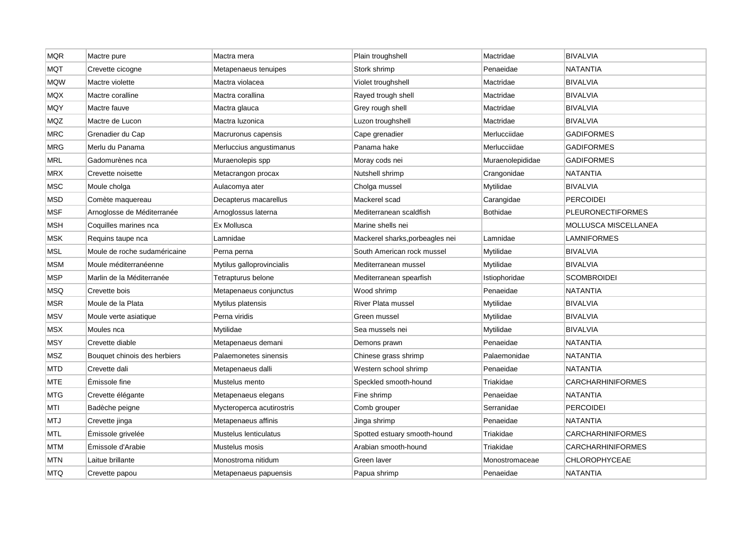| <b>MQR</b> | Mactre pure                  | Mactra mera               | Plain troughshell               | Mactridae        | <b>BIVALVIA</b>             |
|------------|------------------------------|---------------------------|---------------------------------|------------------|-----------------------------|
| <b>MQT</b> | Crevette cicogne             | Metapenaeus tenuipes      | Stork shrimp                    | Penaeidae        | NATANTIA                    |
| <b>MQW</b> | Mactre violette              | Mactra violacea           | Violet troughshell              | Mactridae        | <b>BIVALVIA</b>             |
| MQX        | Mactre coralline             | Mactra corallina          | Rayed trough shell              | Mactridae        | <b>BIVALVIA</b>             |
| <b>MQY</b> | Mactre fauve                 | Mactra glauca             | Grey rough shell                | Mactridae        | <b>BIVALVIA</b>             |
| <b>MQZ</b> | Mactre de Lucon              | Mactra Iuzonica           | Luzon troughshell               | Mactridae        | <b>BIVALVIA</b>             |
| <b>MRC</b> | Grenadier du Cap             | Macruronus capensis       | Cape grenadier                  | Merlucciidae     | <b>GADIFORMES</b>           |
| MRG        | Merlu du Panama              | Merluccius angustimanus   | Panama hake                     | Merlucciidae     | GADIFORMES                  |
| <b>MRL</b> | Gadomurènes nca              | Muraenolepis spp          | Moray cods nei                  | Muraenolepididae | <b>GADIFORMES</b>           |
| <b>MRX</b> | Crevette noisette            | Metacrangon procax        | Nutshell shrimp                 | Crangonidae      | <b>NATANTIA</b>             |
| <b>MSC</b> | Moule cholga                 | Aulacomya ater            | Cholga mussel                   | Mytilidae        | <b>BIVALVIA</b>             |
| MSD        | Comète maquereau             | Decapterus macarellus     | Mackerel scad                   | Carangidae       | <b>PERCOIDEI</b>            |
| MSF        | Arnoglosse de Méditerranée   | Arnoglossus laterna       | Mediterranean scaldfish         | Bothidae         | <b>PLEURONECTIFORMES</b>    |
| <b>MSH</b> | Coquilles marines nca        | Ex Mollusca               | Marine shells nei               |                  | <b>MOLLUSCA MISCELLANEA</b> |
| <b>MSK</b> | Requins taupe nca            | Lamnidae                  | Mackerel sharks, porbeagles nei | Lamnidae         | LAMNIFORMES                 |
| <b>MSL</b> | Moule de roche sudaméricaine | Perna perna               | South American rock mussel      | Mytilidae        | <b>BIVALVIA</b>             |
| <b>MSM</b> | Moule méditerranéenne        | Mytilus galloprovincialis | Mediterranean mussel            | Mytilidae        | <b>BIVALVIA</b>             |
| <b>MSP</b> | Marlin de la Méditerranée    | Tetrapturus belone        | Mediterranean spearfish         | Istiophoridae    | <b>SCOMBROIDEI</b>          |
| MSQ        | Crevette bois                | Metapenaeus conjunctus    | Wood shrimp                     | Penaeidae        | <b>NATANTIA</b>             |
| <b>MSR</b> | Moule de la Plata            | Mytilus platensis         | River Plata mussel              | Mytilidae        | <b>BIVALVIA</b>             |
| MSV        | Moule verte asiatique        | Perna viridis             | Green mussel                    | Mytilidae        | <b>BIVALVIA</b>             |
| <b>MSX</b> | Moules nca                   | Mytilidae                 | Sea mussels nei                 | Mytilidae        | <b>BIVALVIA</b>             |
| MSY        | Crevette diable              | Metapenaeus demani        | Demons prawn                    | Penaeidae        | NATANTIA                    |
| <b>MSZ</b> | Bouquet chinois des herbiers | Palaemonetes sinensis     | Chinese grass shrimp            | Palaemonidae     | <b>NATANTIA</b>             |
| MTD        | Crevette dali                | Metapenaeus dalli         | Western school shrimp           | Penaeidae        | NATANTIA                    |
| <b>MTE</b> | Émissole fine                | Mustelus mento            | Speckled smooth-hound           | Triakidae        | CARCHARHINIFORMES           |
| <b>MTG</b> | Crevette élégante            | Metapenaeus elegans       | Fine shrimp                     | Penaeidae        | NATANTIA                    |
| MTI        | Badèche peigne               | Mycteroperca acutirostris | Comb grouper                    | Serranidae       | <b>PERCOIDEI</b>            |
| <b>MTJ</b> | Crevette jinga               | Metapenaeus affinis       | Jinga shrimp                    | Penaeidae        | <b>NATANTIA</b>             |
| MTL        | Émissole grivelée            | Mustelus lenticulatus     | Spotted estuary smooth-hound    | Triakidae        | CARCHARHINIFORMES           |
| <b>MTM</b> | Émissole d'Arabie            | Mustelus mosis            | Arabian smooth-hound            | Triakidae        | <b>CARCHARHINIFORMES</b>    |
| MTN        | Laitue brillante             | Monostroma nitidum        | Green laver                     | Monostromaceae   | <b>CHLOROPHYCEAE</b>        |
| <b>MTQ</b> | Crevette papou               | Metapenaeus papuensis     | Papua shrimp                    | Penaeidae        | <b>NATANTIA</b>             |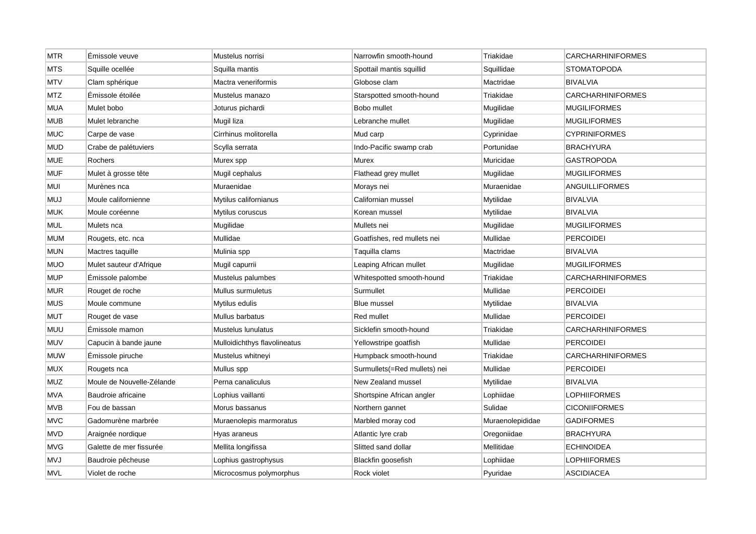| <b>MTR</b> | Émissole veuve            | Mustelus norrisi             | Narrowfin smooth-hound       | Triakidae        | <b>CARCHARHINIFORMES</b> |
|------------|---------------------------|------------------------------|------------------------------|------------------|--------------------------|
| <b>MTS</b> | Squille ocellée           | Squilla mantis               | Spottail mantis squillid     | Squillidae       | <b>STOMATOPODA</b>       |
| <b>MTV</b> | Clam sphérique            | Mactra veneriformis          | Globose clam                 | Mactridae        | <b>BIVALVIA</b>          |
| MTZ        | Émissole étoilée          | Mustelus manazo              | Starspotted smooth-hound     | Triakidae        | <b>CARCHARHINIFORMES</b> |
| <b>MUA</b> | Mulet bobo                | Joturus pichardi             | Bobo mullet                  | Mugilidae        | <b>MUGILIFORMES</b>      |
| <b>MUB</b> | Mulet lebranche           | Mugil liza                   | Lebranche mullet             | Mugilidae        | <b>MUGILIFORMES</b>      |
| <b>MUC</b> | Carpe de vase             | Cirrhinus molitorella        | Mud carp                     | Cyprinidae       | <b>CYPRINIFORMES</b>     |
| <b>MUD</b> | Crabe de palétuviers      | Scylla serrata               | Indo-Pacific swamp crab      | Portunidae       | <b>BRACHYURA</b>         |
| <b>MUE</b> | Rochers                   | Murex spp                    | Murex                        | Muricidae        | <b>GASTROPODA</b>        |
| <b>MUF</b> | Mulet à grosse tête       | Mugil cephalus               | Flathead grey mullet         | Mugilidae        | <b>MUGILIFORMES</b>      |
| <b>MUI</b> | Murènes nca               | Muraenidae                   | Morays nei                   | Muraenidae       | ANGUILLIFORMES           |
| <b>MUJ</b> | Moule californienne       | Mytilus californianus        | Californian mussel           | Mytilidae        | <b>BIVALVIA</b>          |
| <b>MUK</b> | Moule coréenne            | Mytilus coruscus             | Korean mussel                | Mytilidae        | <b>BIVALVIA</b>          |
| <b>MUL</b> | Mulets nca                | Mugilidae                    | Mullets nei                  | Mugilidae        | <b>MUGILIFORMES</b>      |
| <b>MUM</b> | Rougets, etc. nca         | Mullidae                     | Goatfishes, red mullets nei  | Mullidae         | <b>PERCOIDEI</b>         |
| <b>MUN</b> | Mactres taquille          | Mulinia spp                  | Taquilla clams               | Mactridae        | <b>BIVALVIA</b>          |
| <b>MUO</b> | Mulet sauteur d'Afrique   | Mugil capurrii               | Leaping African mullet       | Mugilidae        | <b>MUGILIFORMES</b>      |
| <b>MUP</b> | Emissole palombe          | Mustelus palumbes            | Whitespotted smooth-hound    | Triakidae        | <b>CARCHARHINIFORMES</b> |
| <b>MUR</b> | Rouget de roche           | Mullus surmuletus            | Surmullet                    | Mullidae         | <b>PERCOIDEI</b>         |
| <b>MUS</b> | Moule commune             | Mytilus edulis               | <b>Blue mussel</b>           | Mytilidae        | <b>BIVALVIA</b>          |
| <b>MUT</b> | Rouget de vase            | Mullus barbatus              | Red mullet                   | Mullidae         | <b>PERCOIDEI</b>         |
| <b>MUU</b> | Emissole mamon            | Mustelus Iunulatus           | Sicklefin smooth-hound       | Triakidae        | <b>CARCHARHINIFORMES</b> |
| <b>MUV</b> | Capucin à bande jaune     | Mulloidichthys flavolineatus | Yellowstripe goatfish        | Mullidae         | <b>PERCOIDEI</b>         |
| <b>MUW</b> | Émissole piruche          | Mustelus whitneyi            | Humpback smooth-hound        | Triakidae        | <b>CARCHARHINIFORMES</b> |
| <b>MUX</b> | Rougets nca               | Mullus spp                   | Surmullets(=Red mullets) nei | Mullidae         | <b>PERCOIDEI</b>         |
| MUZ        | Moule de Nouvelle-Zélande | Perna canaliculus            | New Zealand mussel           | Mytilidae        | <b>BIVALVIA</b>          |
| MVA        | Baudroie africaine        | Lophius vaillanti            | Shortspine African angler    | Lophiidae        | LOPHIIFORMES             |
| <b>MVB</b> | Fou de bassan             | Morus bassanus               | Northern gannet              | Sulidae          | <b>CICONIIFORMES</b>     |
| <b>MVC</b> | Gadomurène marbrée        | Muraenolepis marmoratus      | Marbled moray cod            | Muraenolepididae | <b>GADIFORMES</b>        |
| MVD        | Araignée nordique         | Hyas araneus                 | Atlantic lyre crab           | Oregoniidae      | <b>BRACHYURA</b>         |
| <b>MVG</b> | Galette de mer fissurée   | Mellita longifissa           | Slitted sand dollar          | Mellitidae       | <b>ECHINOIDEA</b>        |
| <b>MVJ</b> | Baudroie pêcheuse         | Lophius gastrophysus         | Blackfin goosefish           | Lophiidae        | LOPHIIFORMES             |
| <b>MVL</b> | Violet de roche           | Microcosmus polymorphus      | Rock violet                  | Pyuridae         | <b>ASCIDIACEA</b>        |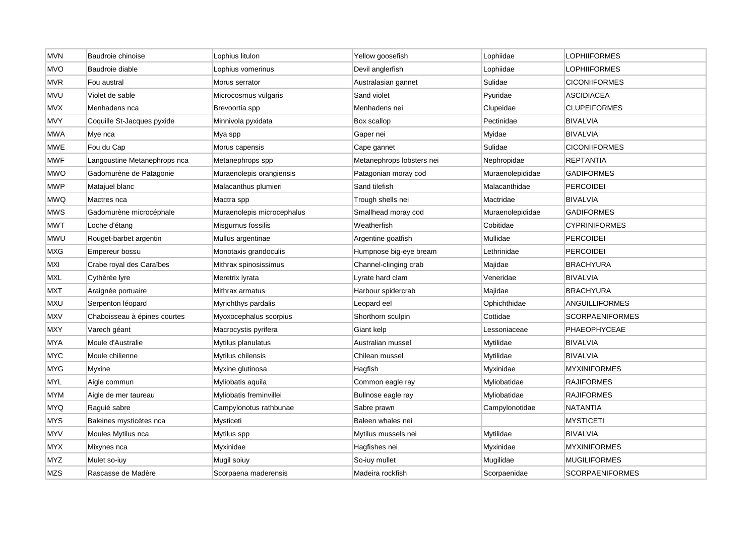| <b>MVN</b> | Baudroie chinoise            | Lophius litulon            | Yellow goosefish          | Lophiidae        | <b>LOPHIIFORMES</b>    |
|------------|------------------------------|----------------------------|---------------------------|------------------|------------------------|
| <b>MVO</b> | Baudroie diable              | Lophius vomerinus          | Devil anglerfish          | Lophiidae        | LOPHIIFORMES           |
| <b>MVR</b> | Fou austral                  | Morus serrator             | Australasian gannet       | Sulidae          | <b>CICONIIFORMES</b>   |
| <b>MVU</b> | Violet de sable              | Microcosmus vulgaris       | Sand violet               | Pyuridae         | ASCIDIACEA             |
| <b>MVX</b> | Menhadens nca                | Brevoortia spp             | Menhadens nei             | Clupeidae        | <b>CLUPEIFORMES</b>    |
| <b>MVY</b> | Coquille St-Jacques pyxide   | Minnivola pyxidata         | Box scallop               | Pectinidae       | <b>BIVALVIA</b>        |
| MWA        | Mye nca                      | Mya spp                    | Gaper nei                 | Myidae           | <b>BIVALVIA</b>        |
| <b>MWE</b> | Fou du Cap                   | Morus capensis             | Cape gannet               | Sulidae          | <b>CICONIIFORMES</b>   |
| MWF        | Langoustine Metanephrops nca | Metanephrops spp           | Metanephrops lobsters nei | Nephropidae      | <b>REPTANTIA</b>       |
| <b>MWO</b> | Gadomurène de Patagonie      | Muraenolepis orangiensis   | Patagonian moray cod      | Muraenolepididae | <b>GADIFORMES</b>      |
| <b>MWP</b> | Matajuel blanc               | Malacanthus plumieri       | Sand tilefish             | Malacanthidae    | <b>PERCOIDEI</b>       |
| <b>MWQ</b> | Mactres nca                  | Mactra spp                 | Trough shells nei         | Mactridae        | <b>BIVALVIA</b>        |
| <b>MWS</b> | Gadomurène microcéphale      | Muraenolepis microcephalus | Smallhead moray cod       | Muraenolepididae | <b>GADIFORMES</b>      |
| <b>MWT</b> | Loche d'étang                | Misgurnus fossilis         | Weatherfish               | Cobitidae        | <b>CYPRINIFORMES</b>   |
| <b>MWU</b> | Rouget-barbet argentin       | Mullus argentinae          | Argentine goatfish        | Mullidae         | <b>PERCOIDEI</b>       |
| MXG        | Empereur bossu               | Monotaxis grandoculis      | Humpnose big-eye bream    | Lethrinidae      | <b>PERCOIDEI</b>       |
| MXI        | Crabe royal des Caraïbes     | Mithrax spinosissimus      | Channel-clinging crab     | Majidae          | <b>BRACHYURA</b>       |
| <b>MXL</b> | Cythérée lyre                | Meretrix Iyrata            | Lyrate hard clam          | Veneridae        | <b>BIVALVIA</b>        |
| <b>MXT</b> | Araignée portuaire           | Mithrax armatus            | Harbour spidercrab        | Majidae          | <b>BRACHYURA</b>       |
| <b>MXU</b> | Serpenton léopard            | Myrichthys pardalis        | Leopard eel               | Ophichthidae     | <b>ANGUILLIFORMES</b>  |
| <b>MXV</b> | Chaboisseau à épines courtes | Myoxocephalus scorpius     | Shorthorn sculpin         | Cottidae         | <b>SCORPAENIFORMES</b> |
| <b>MXY</b> | Varech géant                 | Macrocystis pyrifera       | Giant kelp                | Lessoniaceae     | PHAEOPHYCEAE           |
| MYA        | Moule d'Australie            | Mytilus planulatus         | Australian mussel         | Mytilidae        | <b>BIVALVIA</b>        |
| <b>MYC</b> | Moule chilienne              | Mytilus chilensis          | Chilean mussel            | Mytilidae        | <b>BIVALVIA</b>        |
| MYG        | Myxine                       | Myxine glutinosa           | Hagfish                   | Myxinidae        | <b>MYXINIFORMES</b>    |
| <b>MYL</b> | Aigle commun                 | Myliobatis aquila          | Common eagle ray          | Myliobatidae     | <b>RAJIFORMES</b>      |
| MYM        | Aigle de mer taureau         | Myliobatis freminvillei    | Bullnose eagle ray        | Myliobatidae     | <b>RAJIFORMES</b>      |
| <b>MYQ</b> | Raguié sabre                 | Campylonotus rathbunae     | Sabre prawn               | Campylonotidae   | <b>NATANTIA</b>        |
| <b>MYS</b> | Baleines mysticètes nca      | Mysticeti                  | Baleen whales nei         |                  | <b>MYSTICETI</b>       |
| <b>MYV</b> | Moules Mytilus nca           | Mytilus spp                | Mytilus mussels nei       | Mytilidae        | <b>BIVALVIA</b>        |
| <b>MYX</b> | Mixynes nca                  | Myxinidae                  | Hagfishes nei             | Myxinidae        | <b>MYXINIFORMES</b>    |
| MYZ        | Mulet so-iuy                 | Mugil soiuy                | So-iuy mullet             | Mugilidae        | <b>MUGILIFORMES</b>    |
| <b>MZS</b> | Rascasse de Madère           | Scorpaena maderensis       | Madeira rockfish          | Scorpaenidae     | <b>SCORPAENIFORMES</b> |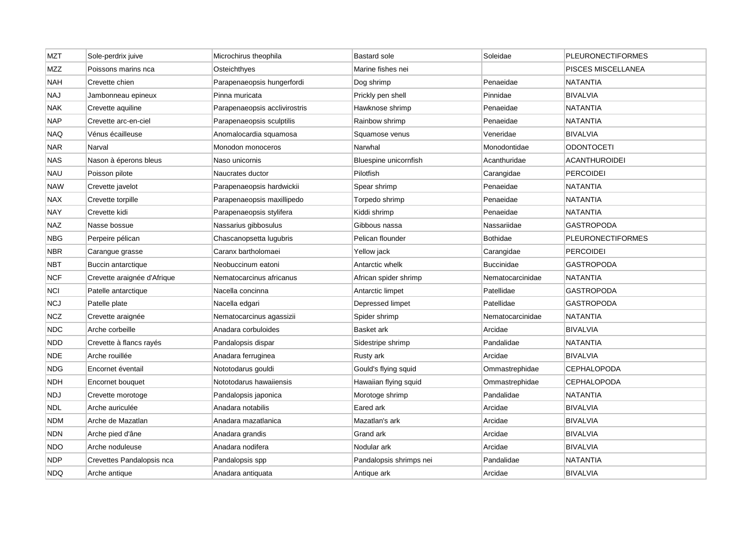| <b>MZT</b> | Sole-perdrix juive          | Microchirus theophila         | <b>Bastard sole</b>     | Soleidae          | <b>PLEURONECTIFORMES</b> |
|------------|-----------------------------|-------------------------------|-------------------------|-------------------|--------------------------|
| <b>MZZ</b> | Poissons marins nca         | Osteichthyes                  | Marine fishes nei       |                   | PISCES MISCELLANEA       |
| NAH        | Crevette chien              | Parapenaeopsis hungerfordi    | Dog shrimp              | Penaeidae         | NATANTIA                 |
| NAJ        | Jambonneau epineux          | Pinna muricata                | Prickly pen shell       | Pinnidae          | <b>BIVALVIA</b>          |
| NAK        | Crevette aquiline           | Parapenaeopsis acclivirostris | Hawknose shrimp         | Penaeidae         | <b>NATANTIA</b>          |
| <b>NAP</b> | Crevette arc-en-ciel        | Parapenaeopsis sculptilis     | Rainbow shrimp          | Penaeidae         | <b>NATANTIA</b>          |
| <b>NAQ</b> | Vénus écailleuse            | Anomalocardia squamosa        | Squamose venus          | Veneridae         | BIVALVIA                 |
| NAR        | Narval                      | Monodon monoceros             | Narwhal                 | Monodontidae      | <b>ODONTOCETI</b>        |
| <b>NAS</b> | Nason à éperons bleus       | Naso unicornis                | Bluespine unicornfish   | Acanthuridae      | <b>ACANTHUROIDEI</b>     |
| NAU        | Poisson pilote              | Naucrates ductor              | Pilotfish               | Carangidae        | <b>PERCOIDEI</b>         |
| <b>NAW</b> | Crevette javelot            | Parapenaeopsis hardwickii     | Spear shrimp            | Penaeidae         | NATANTIA                 |
| <b>NAX</b> | Crevette torpille           | Parapenaeopsis maxillipedo    | Torpedo shrimp          | Penaeidae         | NATANTIA                 |
| <b>NAY</b> | Crevette kidi               | Parapenaeopsis stylifera      | Kiddi shrimp            | Penaeidae         | NATANTIA                 |
| <b>NAZ</b> | Nasse bossue                | Nassarius gibbosulus          | Gibbous nassa           | Nassariidae       | <b>GASTROPODA</b>        |
| <b>NBG</b> | Perpeire pélican            | Chascanopsetta lugubris       | Pelican flounder        | <b>Bothidae</b>   | <b>PLEURONECTIFORMES</b> |
| NBR        | Carangue grasse             | Caranx bartholomaei           | Yellow jack             | Carangidae        | PERCOIDEI                |
| NBT        | Buccin antarctique          | Neobuccinum eatoni            | Antarctic whelk         | <b>Buccinidae</b> | GASTROPODA               |
| <b>NCF</b> | Crevette araignée d'Afrique | Nematocarcinus africanus      | African spider shrimp   | Nematocarcinidae  | NATANTIA                 |
| <b>NCI</b> | Patelle antarctique         | Nacella concinna              | Antarctic limpet        | Patellidae        | GASTROPODA               |
| NCJ        | Patelle plate               | Nacella edgari                | Depressed limpet        | Patellidae        | GASTROPODA               |
| <b>NCZ</b> | Crevette araignée           | Nematocarcinus agassizii      | Spider shrimp           | Nematocarcinidae  | NATANTIA                 |
| <b>NDC</b> | Arche corbeille             | Anadara corbuloides           | Basket ark              | Arcidae           | <b>BIVALVIA</b>          |
| NDD        | Crevette à flancs rayés     | Pandalopsis dispar            | Sidestripe shrimp       | Pandalidae        | NATANTIA                 |
| NDE.       | Arche rouillée              | Anadara ferruginea            | Rusty ark               | Arcidae           | <b>BIVALVIA</b>          |
| <b>NDG</b> | Encornet éventail           | Nototodarus gouldi            | Gould's flying squid    | Ommastrephidae    | <b>CEPHALOPODA</b>       |
| NDH        | Encornet bouquet            | Nototodarus hawaiiensis       | Hawaiian flying squid   | Ommastrephidae    | CEPHALOPODA              |
| <b>NDJ</b> | Crevette morotoge           | Pandalopsis japonica          | Morotoge shrimp         | Pandalidae        | NATANTIA                 |
| <b>NDL</b> | Arche auriculée             | Anadara notabilis             | Eared ark               | Arcidae           | <b>BIVALVIA</b>          |
| <b>NDM</b> | Arche de Mazatlan           | Anadara mazatlanica           | Mazatlan's ark          | Arcidae           | <b>BIVALVIA</b>          |
| <b>NDN</b> | Arche pied d'âne            | Anadara grandis               | Grand ark               | Arcidae           | <b>BIVALVIA</b>          |
| <b>NDO</b> | Arche noduleuse             | Anadara nodifera              | Nodular ark             | Arcidae           | BIVALVIA                 |
| NDP        | Crevettes Pandalopsis nca   | Pandalopsis spp               | Pandalopsis shrimps nei | Pandalidae        | <b>NATANTIA</b>          |
| <b>NDQ</b> | Arche antique               | Anadara antiquata             | Antique ark             | Arcidae           | <b>BIVALVIA</b>          |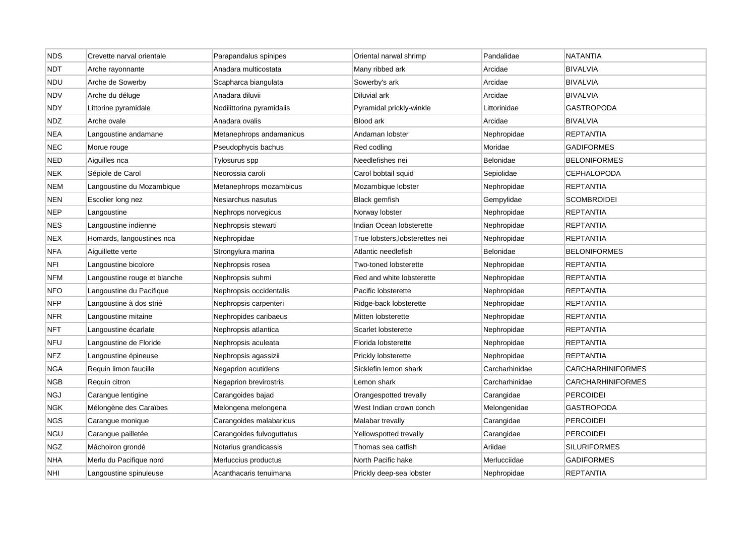| <b>NDS</b> | Crevette narval orientale    | Parapandalus spinipes     | Oriental narwal shrimp          | Pandalidae     | <b>NATANTIA</b>          |
|------------|------------------------------|---------------------------|---------------------------------|----------------|--------------------------|
| <b>NDT</b> | Arche rayonnante             | Anadara multicostata      | Many ribbed ark                 | Arcidae        | <b>BIVALVIA</b>          |
| <b>NDU</b> | Arche de Sowerby             | Scapharca biangulata      | Sowerby's ark                   | Arcidae        | <b>BIVALVIA</b>          |
| NDV        | Arche du déluge              | Anadara diluvii           | Diluvial ark                    | Arcidae        | <b>BIVALVIA</b>          |
| <b>NDY</b> | Littorine pyramidale         | Nodilittorina pyramidalis | Pyramidal prickly-winkle        | Littorinidae   | <b>GASTROPODA</b>        |
| <b>NDZ</b> | Arche ovale                  | Anadara ovalis            | Blood ark                       | Arcidae        | <b>BIVALVIA</b>          |
| <b>NEA</b> | Langoustine andamane         | Metanephrops andamanicus  | Andaman lobster                 | Nephropidae    | REPTANTIA                |
| NEC        | Morue rouge                  | Pseudophycis bachus       | Red codling                     | Moridae        | GADIFORMES               |
| <b>NED</b> | Aiguilles nca                | Tylosurus spp             | Needlefishes nei                | Belonidae      | <b>BELONIFORMES</b>      |
| <b>NEK</b> | Sépiole de Carol             | Neorossia caroli          | Carol bobtail squid             | Sepiolidae     | <b>CEPHALOPODA</b>       |
| <b>NEM</b> | Langoustine du Mozambique    | Metanephrops mozambicus   | Mozambique lobster              | Nephropidae    | <b>REPTANTIA</b>         |
| <b>NEN</b> | Escolier long nez            | Nesiarchus nasutus        | Black gemfish                   | Gempylidae     | <b>SCOMBROIDEI</b>       |
| <b>NEP</b> | Langoustine                  | Nephrops norvegicus       | Norway lobster                  | Nephropidae    | <b>REPTANTIA</b>         |
| <b>NES</b> | Langoustine indienne         | Nephropsis stewarti       | Indian Ocean lobsterette        | Nephropidae    | <b>REPTANTIA</b>         |
| <b>NEX</b> | Homards, langoustines nca    | Nephropidae               | True lobsters, lobsterettes nei | Nephropidae    | REPTANTIA                |
| <b>NFA</b> | Aiguillette verte            | Strongylura marina        | Atlantic needlefish             | Belonidae      | <b>BELONIFORMES</b>      |
| NFI        | Langoustine bicolore         | Nephropsis rosea          | Two-toned lobsterette           | Nephropidae    | <b>REPTANTIA</b>         |
| NFM        | Langoustine rouge et blanche | Nephropsis suhmi          | Red and white lobsterette       | Nephropidae    | REPTANTIA                |
| <b>NFO</b> | Langoustine du Pacifique     | Nephropsis occidentalis   | Pacific lobsterette             | Nephropidae    | REPTANTIA                |
| <b>NFP</b> | Langoustine à dos strié      | Nephropsis carpenteri     | Ridge-back lobsterette          | Nephropidae    | <b>REPTANTIA</b>         |
| <b>NFR</b> | Langoustine mitaine          | Nephropides caribaeus     | Mitten lobsterette              | Nephropidae    | <b>REPTANTIA</b>         |
| <b>NFT</b> | Langoustine écarlate         | Nephropsis atlantica      | Scarlet lobsterette             | Nephropidae    | <b>REPTANTIA</b>         |
| <b>NFU</b> | Langoustine de Floride       | Nephropsis aculeata       | Florida lobsterette             | Nephropidae    | <b>REPTANTIA</b>         |
| <b>NFZ</b> | Langoustine épineuse         | Nephropsis agassizii      | Prickly lobsterette             | Nephropidae    | REPTANTIA                |
| NGA        | Requin limon faucille        | Negaprion acutidens       | Sicklefin lemon shark           | Carcharhinidae | <b>CARCHARHINIFORMES</b> |
| <b>NGB</b> | Requin citron                | Negaprion brevirostris    | Lemon shark                     | Carcharhinidae | CARCHARHINIFORMES        |
| NGJ        | Carangue lentigine           | Carangoides bajad         | Orangespotted trevally          | Carangidae     | <b>PERCOIDEI</b>         |
| NGK        | Mélongène des Caraïbes       | Melongena melongena       | West Indian crown conch         | Melongenidae   | <b>GASTROPODA</b>        |
| NGS        | Carangue monique             | Carangoides malabaricus   | Malabar trevally                | Carangidae     | <b>PERCOIDEI</b>         |
| NGU        | Carangue pailletée           | Carangoides fulvoguttatus | Yellowspotted trevally          | Carangidae     | <b>PERCOIDEI</b>         |
| NGZ        | Mâchoiron grondé             | Notarius grandicassis     | Thomas sea catfish              | Ariidae        | <b>SILURIFORMES</b>      |
| <b>NHA</b> | Merlu du Pacifique nord      | Merluccius productus      | North Pacific hake              | Merlucciidae   | <b>GADIFORMES</b>        |
| <b>NHI</b> | Langoustine spinuleuse       | Acanthacaris tenuimana    | Prickly deep-sea lobster        | Nephropidae    | <b>REPTANTIA</b>         |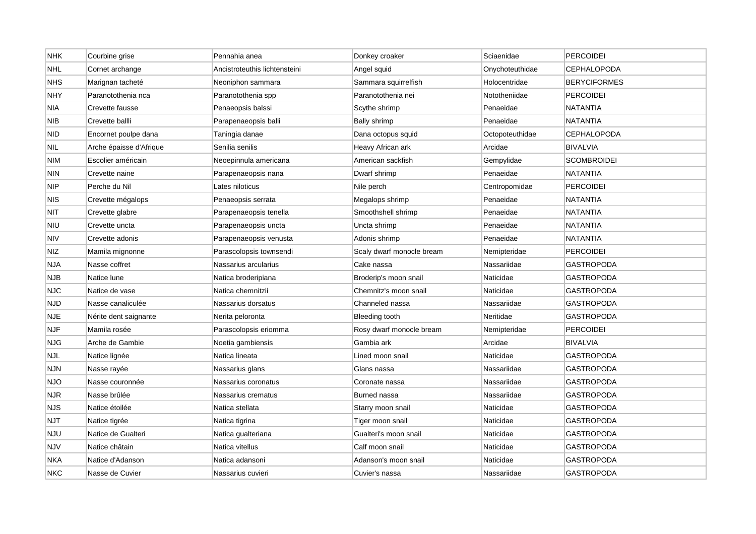| <b>NHK</b> | Courbine grise          | Pennahia anea                 | Donkey croaker            | Sciaenidae      | <b>PERCOIDEI</b>    |
|------------|-------------------------|-------------------------------|---------------------------|-----------------|---------------------|
| <b>NHL</b> | Cornet archange         | Ancistroteuthis lichtensteini | Angel squid               | Onychoteuthidae | <b>CEPHALOPODA</b>  |
| <b>NHS</b> | Marignan tacheté        | Neoniphon sammara             | Sammara squirrelfish      | Holocentridae   | <b>BERYCIFORMES</b> |
| <b>NHY</b> | Paranotothenia nca      | Paranotothenia spp            | Paranotothenia nei        | Nototheniidae   | PERCOIDEI           |
| <b>NIA</b> | Crevette fausse         | Penaeopsis balssi             | Scythe shrimp             | Penaeidae       | NATANTIA            |
| <b>NIB</b> | Crevette ballli         | Parapenaeopsis balli          | Bally shrimp              | Penaeidae       | <b>NATANTIA</b>     |
| <b>NID</b> | Encornet poulpe dana    | Taningia danae                | Dana octopus squid        | Octopoteuthidae | <b>CEPHALOPODA</b>  |
| <b>NIL</b> | Arche épaisse d'Afrique | Senilia senilis               | Heavy African ark         | Arcidae         | <b>BIVALVIA</b>     |
| NIM        | Escolier américain      | Neoepinnula americana         | American sackfish         | Gempylidae      | <b>SCOMBROIDEI</b>  |
| <b>NIN</b> | Crevette naine          | Parapenaeopsis nana           | Dwarf shrimp              | Penaeidae       | NATANTIA            |
| <b>NIP</b> | Perche du Nil           | Lates niloticus               | Nile perch                | Centropomidae   | <b>PERCOIDEI</b>    |
| <b>NIS</b> | Crevette mégalops       | Penaeopsis serrata            | Megalops shrimp           | Penaeidae       | NATANTIA            |
| <b>NIT</b> | Crevette glabre         | Parapenaeopsis tenella        | Smoothshell shrimp        | Penaeidae       | <b>NATANTIA</b>     |
| <b>NIU</b> | Crevette uncta          | Parapenaeopsis uncta          | Uncta shrimp              | Penaeidae       | NATANTIA            |
| <b>NIV</b> | Crevette adonis         | Parapenaeopsis venusta        | Adonis shrimp             | Penaeidae       | NATANTIA            |
| <b>NIZ</b> | Mamila mignonne         | Parascolopsis townsendi       | Scaly dwarf monocle bream | Nemipteridae    | <b>PERCOIDEI</b>    |
| <b>NJA</b> | Nasse coffret           | Nassarius arcularius          | Cake nassa                | Nassariidae     | GASTROPODA          |
| <b>NJB</b> | Natice lune             | Natica broderipiana           | Broderip's moon snail     | Naticidae       | GASTROPODA          |
| <b>NJC</b> | Natice de vase          | Natica chemnitzii             | Chemnitz's moon snail     | Naticidae       | GASTROPODA          |
| <b>NJD</b> | Nasse canaliculée       | Nassarius dorsatus            | Channeled nassa           | Nassariidae     | <b>GASTROPODA</b>   |
| <b>NJE</b> | Nérite dent saignante   | Nerita peloronta              | Bleeding tooth            | Neritidae       | <b>GASTROPODA</b>   |
| <b>NJF</b> | Mamila rosée            | Parascolopsis eriomma         | Rosy dwarf monocle bream  | Nemipteridae    | <b>PERCOIDEI</b>    |
| <b>NJG</b> | Arche de Gambie         | Noetia gambiensis             | Gambia ark                | Arcidae         | <b>BIVALVIA</b>     |
| NJL        | Natice lignée           | Natica lineata                | Lined moon snail          | Naticidae       | <b>GASTROPODA</b>   |
| <b>NJN</b> | Nasse rayée             | Nassarius glans               | Glans nassa               | Nassariidae     | <b>GASTROPODA</b>   |
| <b>NJO</b> | Nasse couronnée         | Nassarius coronatus           | Coronate nassa            | Nassariidae     | GASTROPODA          |
| <b>NJR</b> | Nasse brûlée            | Nassarius crematus            | Burned nassa              | Nassariidae     | GASTROPODA          |
| <b>NJS</b> | Natice étoilée          | Natica stellata               | Starry moon snail         | Naticidae       | <b>GASTROPODA</b>   |
| <b>NJT</b> | Natice tigrée           | Natica tigrina                | Tiger moon snail          | Naticidae       | GASTROPODA          |
| NJU        | Natice de Gualteri      | Natica gualteriana            | Gualteri's moon snail     | Naticidae       | GASTROPODA          |
| <b>NJV</b> | Natice châtain          | Natica vitellus               | Calf moon snail           | Naticidae       | <b>GASTROPODA</b>   |
| <b>NKA</b> | Natice d'Adanson        | Natica adansoni               | Adanson's moon snail      | Naticidae       | GASTROPODA          |
| <b>NKC</b> | Nasse de Cuvier         | Nassarius cuvieri             | Cuvier's nassa            | Nassariidae     | <b>GASTROPODA</b>   |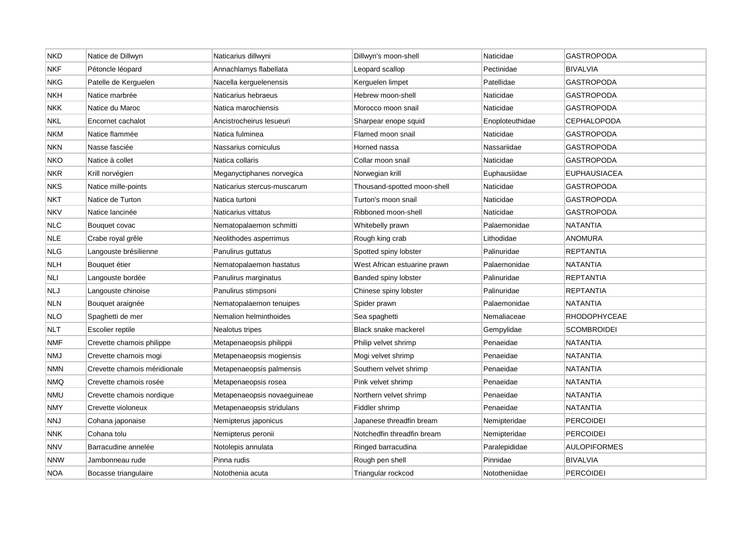| <b>NKD</b> | Natice de Dillwyn            | Naticarius dillwyni         | Dillwyn's moon-shell         | Naticidae       | <b>GASTROPODA</b>   |
|------------|------------------------------|-----------------------------|------------------------------|-----------------|---------------------|
| <b>NKF</b> | Pétoncle léopard             | Annachlamys flabellata      | Leopard scallop              | Pectinidae      | <b>BIVALVIA</b>     |
| <b>NKG</b> | Patelle de Kerguelen         | Nacella kerguelenensis      | Kerguelen limpet             | Patellidae      | <b>GASTROPODA</b>   |
| <b>NKH</b> | Natice marbrée               | Naticarius hebraeus         | Hebrew moon-shell            | Naticidae       | GASTROPODA          |
| <b>NKK</b> | Natice du Maroc              | Natica marochiensis         | Morocco moon snail           | Naticidae       | <b>GASTROPODA</b>   |
| <b>NKL</b> | Encornet cachalot            | Ancistrocheirus Iesueuri    | Sharpear enope squid         | Enoploteuthidae | <b>CEPHALOPODA</b>  |
| <b>NKM</b> | Natice flammée               | Natica fulminea             | Flamed moon snail            | Naticidae       | GASTROPODA          |
| NKN        | Nasse fasciée                | Nassarius corniculus        | Horned nassa                 | Nassariidae     | GASTROPODA          |
| NKO        | Natice à collet              | Natica collaris             | Collar moon snail            | Naticidae       | GASTROPODA          |
| <b>NKR</b> | Krill norvégien              | Meganyctiphanes norvegica   | Norwegian krill              | Euphausiidae    | <b>EUPHAUSIACEA</b> |
| <b>NKS</b> | Natice mille-points          | Naticarius stercus-muscarum | Thousand-spotted moon-shell  | Naticidae       | <b>GASTROPODA</b>   |
| <b>NKT</b> | Natice de Turton             | Natica turtoni              | Turton's moon snail          | Naticidae       | GASTROPODA          |
| <b>NKV</b> | Natice lancinée              | Naticarius vittatus         | Ribboned moon-shell          | Naticidae       | <b>GASTROPODA</b>   |
| <b>NLC</b> | Bouquet covac                | Nematopalaemon schmitti     | Whitebelly prawn             | Palaemonidae    | NATANTIA            |
| <b>NLE</b> | Crabe royal grêle            | Neolithodes asperrimus      | Rough king crab              | Lithodidae      | <b>ANOMURA</b>      |
| <b>NLG</b> | Langouste brésilienne        | Panulirus guttatus          | Spotted spiny lobster        | Palinuridae     | <b>REPTANTIA</b>    |
| <b>NLH</b> | Bouquet étier                | Nematopalaemon hastatus     | West African estuarine prawn | Palaemonidae    | <b>NATANTIA</b>     |
| <b>NLI</b> | Langouste bordée             | Panulirus marginatus        | Banded spiny lobster         | Palinuridae     | <b>REPTANTIA</b>    |
| NLJ        | Langouste chinoise           | Panulirus stimpsoni         | Chinese spiny lobster        | Palinuridae     | REPTANTIA           |
| NLN        | Bouquet araignée             | Nematopalaemon tenuipes     | Spider prawn                 | Palaemonidae    | <b>NATANTIA</b>     |
| <b>NLO</b> | Spaghetti de mer             | Nemalion helminthoides      | Sea spaghetti                | Nemaliaceae     | <b>RHODOPHYCEAE</b> |
| <b>NLT</b> | Escolier reptile             | Nealotus tripes             | Black snake mackerel         | Gempylidae      | <b>SCOMBROIDEI</b>  |
| <b>NMF</b> | Crevette chamois philippe    | Metapenaeopsis philippii    | Philip velvet shrimp         | Penaeidae       | <b>NATANTIA</b>     |
| NMJ        | Crevette chamois mogi        | Metapenaeopsis mogiensis    | Mogi velvet shrimp           | Penaeidae       | NATANTIA            |
| NMN        | Crevette chamois méridionale | Metapenaeopsis palmensis    | Southern velvet shrimp       | Penaeidae       | NATANTIA            |
| <b>NMQ</b> | Crevette chamois rosée       | Metapenaeopsis rosea        | Pink velvet shrimp           | Penaeidae       | <b>NATANTIA</b>     |
| <b>NMU</b> | Crevette chamois nordique    | Metapenaeopsis novaeguineae | Northern velvet shrimp       | Penaeidae       | NATANTIA            |
| <b>NMY</b> | Crevette violoneux           | Metapenaeopsis stridulans   | Fiddler shrimp               | Penaeidae       | <b>NATANTIA</b>     |
| NNJ        | Cohana japonaise             | Nemipterus japonicus        | Japanese threadfin bream     | Nemipteridae    | <b>PERCOIDEI</b>    |
| <b>NNK</b> | Cohana tolu                  | Nemipterus peronii          | Notchedfin threadfin bream   | Nemipteridae    | PERCOIDEI           |
| <b>NNV</b> | Barracudine annelée          | Notolepis annulata          | Ringed barracudina           | Paralepididae   | <b>AULOPIFORMES</b> |
| <b>NNW</b> | Jambonneau rude              | Pinna rudis                 | Rough pen shell              | Pinnidae        | <b>BIVALVIA</b>     |
| <b>NOA</b> | Bocasse triangulaire         | Notothenia acuta            | Triangular rockcod           | Nototheniidae   | <b>PERCOIDEI</b>    |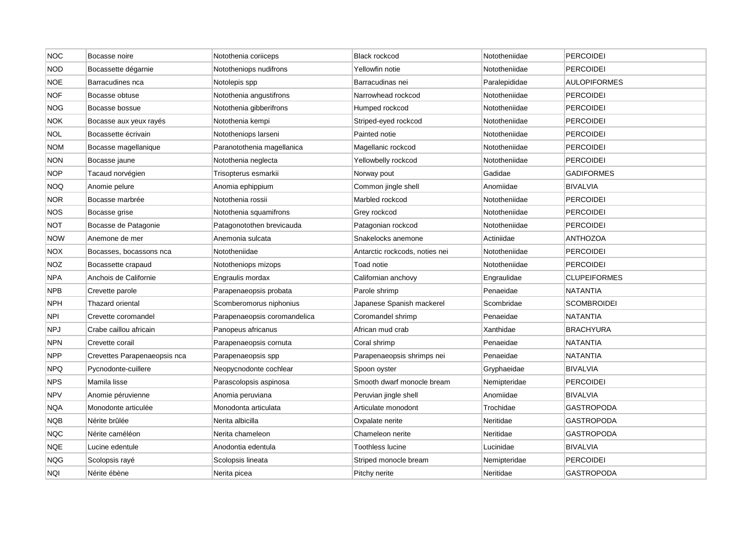| <b>NOC</b> | Bocasse noire                | Notothenia coriiceps         | <b>Black rockcod</b>           | Nototheniidae | <b>PERCOIDEI</b>    |
|------------|------------------------------|------------------------------|--------------------------------|---------------|---------------------|
| <b>NOD</b> | Bocassette dégarnie          | Nototheniops nudifrons       | Yellowfin notie                | Nototheniidae | <b>PERCOIDEI</b>    |
| <b>NOE</b> | Barracudines nca             | Notolepis spp                | Barracudinas nei               | Paralepididae | <b>AULOPIFORMES</b> |
| <b>NOF</b> | Bocasse obtuse               | Notothenia angustifrons      | Narrowhead rockcod             | Nototheniidae | PERCOIDEI           |
| NOG        | Bocasse bossue               | Notothenia gibberifrons      | Humped rockcod                 | Nototheniidae | <b>PERCOIDEI</b>    |
| <b>NOK</b> | Bocasse aux yeux rayés       | Notothenia kempi             | Striped-eyed rockcod           | Nototheniidae | <b>PERCOIDEI</b>    |
| <b>NOL</b> | Bocassette écrivain          | Nototheniops larseni         | Painted notie                  | Nototheniidae | <b>PERCOIDEI</b>    |
| NOM        | Bocasse magellanique         | Paranotothenia magellanica   | Magellanic rockcod             | Nototheniidae | PERCOIDEI           |
| NON        | Bocasse jaune                | Notothenia neglecta          | Yellowbelly rockcod            | Nototheniidae | <b>PERCOIDEI</b>    |
| <b>NOP</b> | Tacaud norvégien             | Trisopterus esmarkii         | Norway pout                    | Gadidae       | <b>GADIFORMES</b>   |
| <b>NOQ</b> | Anomie pelure                | Anomia ephippium             | Common jingle shell            | Anomiidae     | <b>BIVALVIA</b>     |
| NOR        | Bocasse marbrée              | Notothenia rossii            | Marbled rockcod                | Nototheniidae | <b>PERCOIDEI</b>    |
| <b>NOS</b> | Bocasse grise                | Notothenia squamifrons       | Grey rockcod                   | Nototheniidae | <b>PERCOIDEI</b>    |
| NOT        | Bocasse de Patagonie         | Patagonotothen brevicauda    | Patagonian rockcod             | Nototheniidae | <b>PERCOIDEI</b>    |
| <b>NOW</b> | Anemone de mer               | Anemonia sulcata             | Snakelocks anemone             | Actiniidae    | <b>ANTHOZOA</b>     |
| <b>NOX</b> | Bocasses, bocassons nca      | Nototheniidae                | Antarctic rockcods, noties nei | Nototheniidae | <b>PERCOIDEI</b>    |
| <b>NOZ</b> | Bocassette crapaud           | Nototheniops mizops          | Toad notie                     | Nototheniidae | <b>PERCOIDEI</b>    |
| <b>NPA</b> | Anchois de Californie        | Engraulis mordax             | Californian anchovy            | Engraulidae   | <b>CLUPEIFORMES</b> |
| <b>NPB</b> | Crevette parole              | Parapenaeopsis probata       | Parole shrimp                  | Penaeidae     | NATANTIA            |
| <b>NPH</b> | Thazard oriental             | Scomberomorus niphonius      | Japanese Spanish mackerel      | Scombridae    | <b>SCOMBROIDEI</b>  |
| <b>NPI</b> | Crevette coromandel          | Parapenaeopsis coromandelica | Coromandel shrimp              | Penaeidae     | NATANTIA            |
| <b>NPJ</b> | Crabe caillou africain       | Panopeus africanus           | African mud crab               | Xanthidae     | <b>BRACHYURA</b>    |
| NPN        | Crevette corail              | Parapenaeopsis cornuta       | Coral shrimp                   | Penaeidae     | NATANTIA            |
| NPP        | Crevettes Parapenaeopsis nca | Parapenaeopsis spp           | Parapenaeopsis shrimps nei     | Penaeidae     | <b>NATANTIA</b>     |
| NPQ        | Pycnodonte-cuillere          | Neopycnodonte cochlear       | Spoon oyster                   | Gryphaeidae   | BIVALVIA            |
| <b>NPS</b> | Mamila lisse                 | Parascolopsis aspinosa       | Smooth dwarf monocle bream     | Nemipteridae  | <b>PERCOIDEI</b>    |
| <b>NPV</b> | Anomie péruvienne            | Anomia peruviana             | Peruvian jingle shell          | Anomiidae     | <b>BIVALVIA</b>     |
| <b>NQA</b> | Monodonte articulée          | Monodonta articulata         | Articulate monodont            | Trochidae     | <b>GASTROPODA</b>   |
| NQB        | Nérite brûlée                | Nerita albicilla             | Oxpalate nerite                | Neritidae     | <b>GASTROPODA</b>   |
| <b>NQC</b> | Nérite caméléon              | Nerita chameleon             | Chameleon nerite               | Neritidae     | GASTROPODA          |
| NQE        | Lucine edentule              | Anodontia edentula           | Toothless lucine               | Lucinidae     | <b>BIVALVIA</b>     |
| <b>NQG</b> | Scolopsis rayé               | Scolopsis lineata            | Striped monocle bream          | Nemipteridae  | PERCOIDEI           |
| <b>NQI</b> | Nérite ébène                 | Nerita picea                 | Pitchy nerite                  | Neritidae     | <b>GASTROPODA</b>   |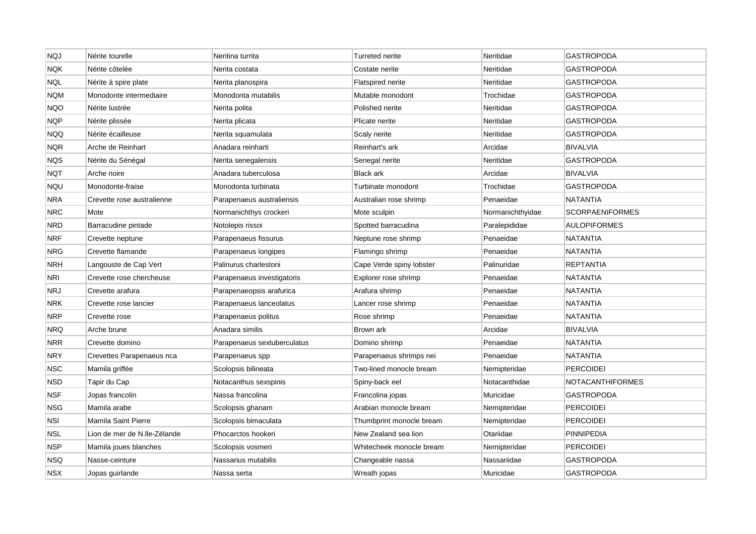| <b>NQJ</b> | Nérite tourelle              | Neritina turrita            | <b>Turreted nerite</b>   | Neritidae        | <b>GASTROPODA</b>      |
|------------|------------------------------|-----------------------------|--------------------------|------------------|------------------------|
| <b>NQK</b> | Nérite côtelée               | Nerita costata              | Costate nerite           | Neritidae        | <b>GASTROPODA</b>      |
| <b>NQL</b> | Nérite à spire plate         | Nerita planospira           | <b>Flatspired nerite</b> | Neritidae        | <b>GASTROPODA</b>      |
| <b>NQM</b> | Monodonte intermediaire      | Monodonta mutabilis         | Mutable monodont         | Trochidae        | GASTROPODA             |
| <b>NQO</b> | Nérite lustrée               | Nerita polita               | Polished nerite          | Neritidae        | <b>GASTROPODA</b>      |
| <b>NQP</b> | Nérite plissée               | Nerita plicata              | Plicate nerite           | Neritidae        | <b>GASTROPODA</b>      |
| <b>NQQ</b> | Nérite écailleuse            | Nerita squamulata           | Scaly nerite             | Neritidae        | GASTROPODA             |
| NQR        | Arche de Reinhart            | Anadara reinharti           | Reinhart's ark           | Arcidae          | <b>BIVALVIA</b>        |
| NQS        | Nérite du Sénégal            | Nerita senegalensis         | Senegal nerite           | Neritidae        | <b>GASTROPODA</b>      |
| NQT        | Arche noire                  | Anadara tuberculosa         | <b>Black ark</b>         | Arcidae          | <b>BIVALVIA</b>        |
| <b>NQU</b> | Monodonte-fraise             | Monodonta turbinata         | Turbinate monodont       | Trochidae        | <b>GASTROPODA</b>      |
| NRA        | Crevette rose australienne   | Parapenaeus australiensis   | Australian rose shrimp   | Penaeidae        | NATANTIA               |
| <b>NRC</b> | Mote                         | Normanichthys crockeri      | Mote sculpin             | Normanichthyidae | <b>SCORPAENIFORMES</b> |
| NRD        | Barracudine pintade          | Notolepis rissoi            | Spotted barracudina      | Paralepididae    | <b>AULOPIFORMES</b>    |
| <b>NRF</b> | Crevette neptune             | Parapenaeus fissurus        | Neptune rose shrimp      | Penaeidae        | NATANTIA               |
| <b>NRG</b> | Crevette flamande            | Parapenaeus longipes        | Flamingo shrimp          | Penaeidae        | <b>NATANTIA</b>        |
| NRH        | Langouste de Cap Vert        | Palinurus charlestoni       | Cape Verde spiny lobster | Palinuridae      | <b>REPTANTIA</b>       |
| NRI        | Crevette rose chercheuse     | Parapenaeus investigatoris  | Explorer rose shrimp     | Penaeidae        | <b>NATANTIA</b>        |
| NRJ        | Crevette arafura             | Parapenaeopsis arafurica    | Arafura shrimp           | Penaeidae        | NATANTIA               |
| NRK        | Crevette rose lancier        | Parapenaeus lanceolatus     | Lancer rose shrimp       | Penaeidae        | <b>NATANTIA</b>        |
| <b>NRP</b> | Crevette rose                | Parapenaeus politus         | Rose shrimp              | Penaeidae        | <b>NATANTIA</b>        |
| NRQ        | Arche brune                  | Anadara similis             | Brown ark                | Arcidae          | <b>BIVALVIA</b>        |
| NRR        | Crevette domino              | Parapenaeus sextuberculatus | Domino shrimp            | Penaeidae        | <b>NATANTIA</b>        |
| <b>NRY</b> | Crevettes Parapenaeus nca    | Parapenaeus spp             | Parapenaeus shrimps nei  | Penaeidae        | <b>NATANTIA</b>        |
| NSC        | Mamila griffée               | Scolopsis bilineata         | Two-lined monocle bream  | Nemipteridae     | <b>PERCOIDEI</b>       |
| <b>NSD</b> | Tapir du Cap                 | Notacanthus sexspinis       | Spiny-back eel           | Notacanthidae    | NOTACANTHIFORMES       |
| <b>NSF</b> | Jopas francolin              | Nassa francolina            | Francolina jopas         | Muricidae        | <b>GASTROPODA</b>      |
| <b>NSG</b> | Mamila arabe                 | Scolopsis ghanam            | Arabian monocle bream    | Nemipteridae     | <b>PERCOIDEI</b>       |
| <b>NSI</b> | Mamila Saint Pierre          | Scolopsis bimaculata        | Thumbprint monocle bream | Nemipteridae     | <b>PERCOIDEI</b>       |
| NSL        | Lion de mer de N.lle-Zélande | Phocarctos hookeri          | New Zealand sea lion     | Otariidae        | PINNIPEDIA             |
| NSP        | Mamila joues blanches        | Scolopsis vosmeri           | Whitecheek monocle bream | Nemipteridae     | <b>PERCOIDEI</b>       |
| NSQ        | Nasse-ceinture               | Nassarius mutabilis         | Changeable nassa         | Nassariidae      | GASTROPODA             |
| <b>NSX</b> | Jopas guirlande              | Nassa serta                 | Wreath jopas             | Muricidae        | <b>GASTROPODA</b>      |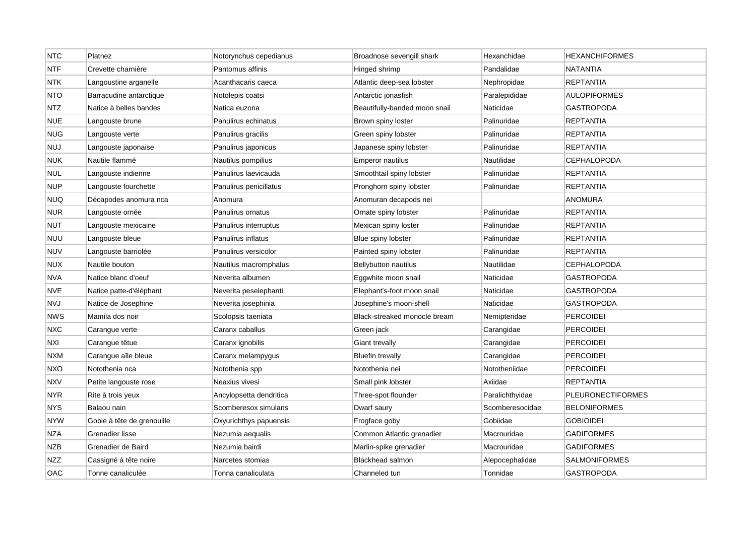| <b>NTC</b> | Platnez                    | Notorynchus cepedianus  | Broadnose sevengill shark     | Hexanchidae     | HEXANCHIFORMES           |
|------------|----------------------------|-------------------------|-------------------------------|-----------------|--------------------------|
| <b>NTF</b> | Crevette charnière         | Pantomus affinis        | Hinged shrimp                 | Pandalidae      | NATANTIA                 |
| <b>NTK</b> | Langoustine arganelle      | Acanthacaris caeca      | Atlantic deep-sea lobster     | Nephropidae     | REPTANTIA                |
| <b>NTO</b> | Barracudine antarctique    | Notolepis coatsi        | Antarctic jonasfish           | Paralepididae   | <b>AULOPIFORMES</b>      |
| <b>NTZ</b> | Natice à belles bandes     | Natica euzona           | Beautifully-banded moon snail | Naticidae       | <b>GASTROPODA</b>        |
| <b>NUE</b> | Langouste brune            | Panulirus echinatus     | Brown spiny loster            | Palinuridae     | <b>REPTANTIA</b>         |
| <b>NUG</b> | Langouste verte            | Panulirus gracilis      | Green spiny lobster           | Palinuridae     | <b>REPTANTIA</b>         |
| <b>NUJ</b> | Langouste japonaise        | Panulirus japonicus     | Japanese spiny lobster        | Palinuridae     | REPTANTIA                |
| <b>NUK</b> | Nautile flammé             | Nautilus pompilius      | Emperor nautilus              | Nautilidae      | <b>CEPHALOPODA</b>       |
| <b>NUL</b> | Langouste indienne         | Panulirus laevicauda    | Smoothtail spiny lobster      | Palinuridae     | REPTANTIA                |
| <b>NUP</b> | Langouste fourchette       | Panulirus penicillatus  | Pronghorn spiny lobster       | Palinuridae     | <b>REPTANTIA</b>         |
| <b>NUQ</b> | Décapodes anomura nca      | Anomura                 | Anomuran decapods nei         |                 | ANOMURA                  |
| <b>NUR</b> | Langouste ornée            | Panulirus ornatus       | Ornate spiny lobster          | Palinuridae     | <b>REPTANTIA</b>         |
| <b>NUT</b> | Langouste mexicaine        | Panulirus interruptus   | Mexican spiny loster          | Palinuridae     | <b>REPTANTIA</b>         |
| NUU        | Langouste bleue            | Panulirus inflatus      | Blue spiny lobster            | Palinuridae     | <b>REPTANTIA</b>         |
| <b>NUV</b> | Langouste barriolée        | Panulirus versicolor    | Painted spiny lobster         | Palinuridae     | REPTANTIA                |
| <b>NUX</b> | Nautile bouton             | Nautilus macromphalus   | Bellybutton nautilus          | Nautilidae      | <b>CEPHALOPODA</b>       |
| <b>NVA</b> | Natice blanc d'oeuf        | Neverita albumen        | Eggwhite moon snail           | Naticidae       | <b>GASTROPODA</b>        |
| <b>NVE</b> | Natice patte-d'éléphant    | Neverita peselephanti   | Elephant's-foot moon snail    | Naticidae       | GASTROPODA               |
| <b>NVJ</b> | Natice de Josephine        | Neverita josephinia     | Josephine's moon-shell        | Naticidae       | <b>GASTROPODA</b>        |
| NWS        | Mamila dos noir            | Scolopsis taeniata      | Black-streaked monocle bream  | Nemipteridae    | <b>PERCOIDEI</b>         |
| <b>NXC</b> | Carangue verte             | Caranx caballus         | Green jack                    | Carangidae      | <b>PERCOIDEI</b>         |
| NXI        | Carangue têtue             | Caranx ignobilis        | Giant trevally                | Carangidae      | <b>PERCOIDEI</b>         |
| <b>NXM</b> | Carangue aîle bleue        | Caranx melampygus       | <b>Bluefin trevally</b>       | Carangidae      | <b>PERCOIDEI</b>         |
| NXO        | Notothenia nca             | Notothenia spp          | Notothenia nei                | Nototheniidae   | <b>PERCOIDEI</b>         |
| <b>NXV</b> | Petite langouste rose      | Neaxius vivesi          | Small pink lobster            | Axiidae         | <b>REPTANTIA</b>         |
| <b>NYR</b> | Rite à trois yeux          | Ancylopsetta dendritica | Three-spot flounder           | Paralichthyidae | <b>PLEURONECTIFORMES</b> |
| <b>NYS</b> | Balaou nain                | Scomberesox simulans    | Dwarf saury                   | Scomberesocidae | <b>BELONIFORMES</b>      |
| <b>NYW</b> | Gobie à tête de grenouille | Oxyurichthys papuensis  | Frogface goby                 | Gobiidae        | <b>GOBIOIDEI</b>         |
| NZA        | Grenadier lisse            | Nezumia aequalis        | Common Atlantic grenadier     | Macrouridae     | <b>GADIFORMES</b>        |
| NZB        | Grenadier de Baird         | Nezumia bairdi          | Marlin-spike grenadier        | Macrouridae     | GADIFORMES               |
| NZZ        | Cassigné à tête noire      | Narcetes stomias        | Blackhead salmon              | Alepocephalidae | <b>SALMONIFORMES</b>     |
| OAC        | Tonne canaliculée          | Tonna canaliculata      | Channeled tun                 | Tonnidae        | GASTROPODA               |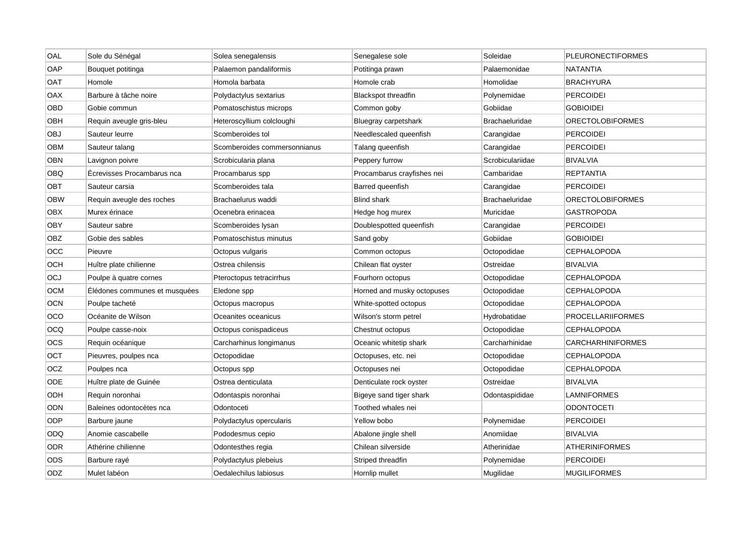| OAL        | Sole du Sénégal               | Solea senegalensis           | Senegalese sole            | Soleidae              | PLEURONECTIFORMES        |
|------------|-------------------------------|------------------------------|----------------------------|-----------------------|--------------------------|
| OAP        | Bouquet potitinga             | Palaemon pandaliformis       | Potitinga prawn            | Palaemonidae          | <b>NATANTIA</b>          |
| <b>OAT</b> | Homole                        | Homola barbata               | Homole crab                | Homolidae             | <b>BRACHYURA</b>         |
| OAX        | Barbure à tâche noire         | Polydactylus sextarius       | <b>Blackspot threadfin</b> | Polynemidae           | <b>PERCOIDEI</b>         |
| OBD        | Gobie commun                  | Pomatoschistus microps       | Common goby                | Gobiidae              | <b>GOBIOIDEI</b>         |
| OBH        | Requin aveugle gris-bleu      | Heteroscyllium colcloughi    | Bluegray carpetshark       | <b>Brachaeluridae</b> | <b>ORECTOLOBIFORMES</b>  |
| OBJ        | Sauteur leurre                | Scomberoides tol             | Needlescaled queenfish     | Carangidae            | <b>PERCOIDEI</b>         |
| ОВМ        | Sauteur talang                | Scomberoides commersonnianus | Talang queenfish           | Carangidae            | <b>PERCOIDEI</b>         |
| OBN        | Lavignon poivre               | Scrobicularia plana          | Peppery furrow             | Scrobiculariidae      | <b>BIVALVIA</b>          |
| OBQ        | Écrevisses Procambarus nca    | Procambarus spp              | Procambarus crayfishes nei | Cambaridae            | <b>REPTANTIA</b>         |
| OBT        | Sauteur carsia                | Scomberoides tala            | Barred queenfish           | Carangidae            | <b>PERCOIDEI</b>         |
| <b>OBW</b> | Requin aveugle des roches     | Brachaelurus waddi           | <b>Blind shark</b>         | <b>Brachaeluridae</b> | <b>ORECTOLOBIFORMES</b>  |
| <b>OBX</b> | Murex érinace                 | Ocenebra erinacea            | Hedge hog murex            | Muricidae             | <b>GASTROPODA</b>        |
| <b>OBY</b> | Sauteur sabre                 | Scomberoides lysan           | Doublespotted queenfish    | Carangidae            | <b>PERCOIDEI</b>         |
| OBZ        | Gobie des sables              | Pomatoschistus minutus       | Sand goby                  | Gobiidae              | <b>GOBIOIDEI</b>         |
| OCC        | Pieuvre                       | Octopus vulgaris             | Common octopus             | Octopodidae           | <b>CEPHALOPODA</b>       |
| OCH        | Huître plate chilienne        | Ostrea chilensis             | Chilean flat oyster        | Ostreidae             | <b>BIVALVIA</b>          |
| OCJ        | Poulpe à quatre cornes        | Pteroctopus tetracirrhus     | Fourhorn octopus           | Octopodidae           | <b>CEPHALOPODA</b>       |
| <b>OCM</b> | Elédones communes et musquées | Eledone spp                  | Horned and musky octopuses | Octopodidae           | <b>CEPHALOPODA</b>       |
| <b>OCN</b> | Poulpe tacheté                | Octopus macropus             | White-spotted octopus      | Octopodidae           | <b>CEPHALOPODA</b>       |
| OCO        | Océanite de Wilson            | Oceanites oceanicus          | Wilson's storm petrel      | Hydrobatidae          | <b>PROCELLARIIFORMES</b> |
| OCQ        | Poulpe casse-noix             | Octopus conispadiceus        | Chestnut octopus           | Octopodidae           | <b>CEPHALOPODA</b>       |
| <b>OCS</b> | Requin océanique              | Carcharhinus longimanus      | Oceanic whitetip shark     | Carcharhinidae        | <b>CARCHARHINIFORMES</b> |
| OCT        | Pieuvres, poulpes nca         | Octopodidae                  | Octopuses, etc. nei        | Octopodidae           | <b>CEPHALOPODA</b>       |
| <b>OCZ</b> | Poulpes nca                   | Octopus spp                  | Octopuses nei              | Octopodidae           | <b>CEPHALOPODA</b>       |
| <b>ODE</b> | Huître plate de Guinée        | Ostrea denticulata           | Denticulate rock oyster    | Ostreidae             | <b>BIVALVIA</b>          |
| ODH        | Requin noronhai               | Odontaspis noronhai          | Bigeye sand tiger shark    | Odontaspididae        | <b>LAMNIFORMES</b>       |
| ODN        | Baleines odontocètes nca      | Odontoceti                   | Toothed whales nei         |                       | <b>ODONTOCETI</b>        |
| ODP        | Barbure jaune                 | Polydactylus opercularis     | Yellow bobo                | Polynemidae           | <b>PERCOIDEI</b>         |
| ODQ        | Anomie cascabelle             | Pododesmus cepio             | Abalone jingle shell       | Anomiidae             | <b>BIVALVIA</b>          |
| <b>ODR</b> | Athérine chilienne            | Odontesthes regia            | Chilean silverside         | Atherinidae           | <b>ATHERINIFORMES</b>    |
| ODS        | Barbure rayé                  | Polydactylus plebeius        | Striped threadfin          | Polynemidae           | <b>PERCOIDEI</b>         |
| ODZ        | Mulet labéon                  | Oedalechilus labiosus        | Hornlip mullet             | Mugilidae             | <b>MUGILIFORMES</b>      |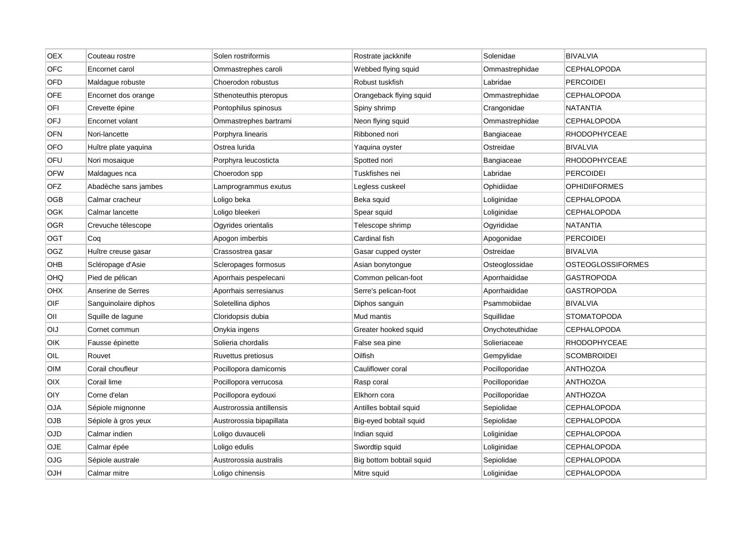| <b>OEX</b> | Couteau rostre       | Solen rostriformis       | Rostrate jackknife       | Solenidae       | <b>BIVALVIA</b>          |
|------------|----------------------|--------------------------|--------------------------|-----------------|--------------------------|
| <b>OFC</b> | Encornet carol       | Ommastrephes caroli      | Webbed flying squid      | Ommastrephidae  | CEPHALOPODA              |
| OFD        | Maldague robuste     | Choerodon robustus       | Robust tuskfish          | Labridae        | <b>PERCOIDEI</b>         |
| <b>OFE</b> | Encornet dos orange  | Sthenoteuthis pteropus   | Orangeback flying squid  | Ommastrephidae  | CEPHALOPODA              |
| OFI        | Crevette épine       | Pontophilus spinosus     | Spiny shrimp             | Crangonidae     | <b>NATANTIA</b>          |
| OFJ        | Encornet volant      | Ommastrephes bartrami    | Neon flying squid        | Ommastrephidae  | <b>CEPHALOPODA</b>       |
| <b>OFN</b> | Nori-lancette        | Porphyra linearis        | Ribboned nori            | Bangiaceae      | <b>RHODOPHYCEAE</b>      |
| <b>OFO</b> | Huître plate yaquina | Ostrea lurida            | Yaquina oyster           | Ostreidae       | <b>BIVALVIA</b>          |
| OFU        | Nori mosaique        | Porphyra leucosticta     | Spotted nori             | Bangiaceae      | <b>RHODOPHYCEAE</b>      |
| <b>OFW</b> | Maldagues nca        | Choerodon spp            | Tuskfishes nei           | Labridae        | <b>PERCOIDEI</b>         |
| <b>OFZ</b> | Abadèche sans jambes | Lamprogrammus exutus     | Legless cuskeel          | Ophidiidae      | <b>OPHIDIIFORMES</b>     |
| <b>OGB</b> | Calmar cracheur      | Loligo beka              | Beka squid               | Loliginidae     | <b>CEPHALOPODA</b>       |
| OGK        | Calmar lancette      | Loligo bleekeri          | Spear squid              | Loliginidae     | <b>CEPHALOPODA</b>       |
| <b>OGR</b> | Crevuche télescope   | Ogyrides orientalis      | Telescope shrimp         | Ogyrididae      | <b>NATANTIA</b>          |
| OGT        | Coq                  | Apogon imberbis          | Cardinal fish            | Apogonidae      | <b>PERCOIDEI</b>         |
| OGZ        | Huître creuse gasar  | Crassostrea gasar        | Gasar cupped oyster      | Ostreidae       | <b>BIVALVIA</b>          |
| OHB        | Scléropage d'Asie    | Scleropages formosus     | Asian bonytongue         | Osteoglossidae  | <b>OSTEOGLOSSIFORMES</b> |
| OHQ        | Pied de pélican      | Aporrhais pespelecani    | Common pelican-foot      | Aporrhaididae   | GASTROPODA               |
| <b>OHX</b> | Anserine de Serres   | Aporrhais serresianus    | Serre's pelican-foot     | Aporrhaididae   | GASTROPODA               |
| OIF        | Sanguinolaire diphos | Soletellina diphos       | Diphos sanguin           | Psammobiidae    | <b>BIVALVIA</b>          |
| OII        | Squille de lagune    | Cloridopsis dubia        | Mud mantis               | Squillidae      | <b>STOMATOPODA</b>       |
| <b>OIJ</b> | Cornet commun        | Onykia ingens            | Greater hooked squid     | Onychoteuthidae | <b>CEPHALOPODA</b>       |
| OIK        | Fausse épinette      | Solieria chordalis       | False sea pine           | Solieriaceae    | RHODOPHYCEAE             |
| OIL        | Rouvet               | Ruvettus pretiosus       | Oilfish                  | Gempylidae      | <b>SCOMBROIDEI</b>       |
| <b>OIM</b> | Corail choufleur     | Pocillopora damicornis   | Cauliflower coral        | Pocilloporidae  | <b>ANTHOZOA</b>          |
| OIX        | Corail lime          | Pocillopora verrucosa    | Rasp coral               | Pocilloporidae  | <b>ANTHOZOA</b>          |
| <b>OIY</b> | Corne d'elan         | Pocillopora eydouxi      | Elkhorn cora             | Pocilloporidae  | <b>ANTHOZOA</b>          |
| <b>OJA</b> | Sépiole mignonne     | Austrorossia antillensis | Antilles bobtail squid   | Sepiolidae      | <b>CEPHALOPODA</b>       |
| <b>OJB</b> | Sépiole à gros yeux  | Austrorossia bipapillata | Big-eyed bobtail squid   | Sepiolidae      | <b>CEPHALOPODA</b>       |
| OJD        | Calmar indien        | Loligo duvauceli         | Indian squid             | Loliginidae     | CEPHALOPODA              |
| OJE        | Calmar épée          | Loligo edulis            | Swordtip squid           | Loliginidae     | <b>CEPHALOPODA</b>       |
| OJG        | Sépiole australe     | Austrorossia australis   | Big bottom bobtail squid | Sepiolidae      | <b>CEPHALOPODA</b>       |
| <b>OJH</b> | Calmar mitre         | Loligo chinensis         | Mitre squid              | Loliginidae     | <b>CEPHALOPODA</b>       |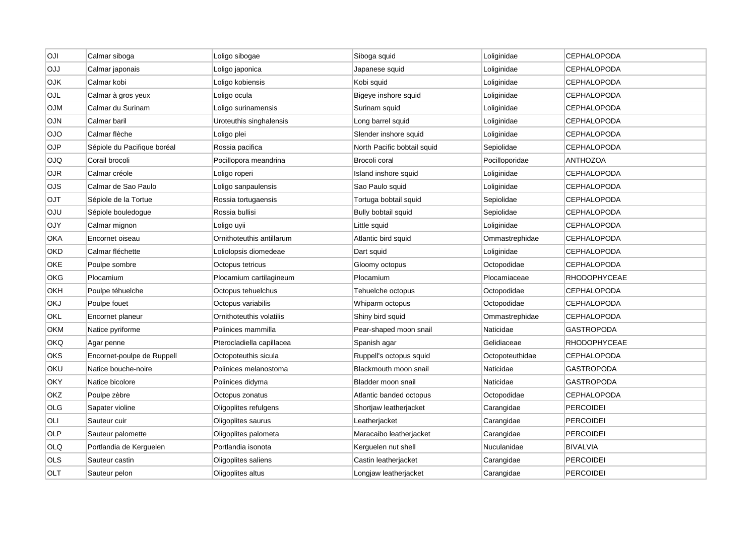| OJI        | Calmar siboga               | Loligo sibogae            | Siboga squid                | Loliginidae     | <b>CEPHALOPODA</b>  |
|------------|-----------------------------|---------------------------|-----------------------------|-----------------|---------------------|
| <b>OJJ</b> | Calmar japonais             | Loligo japonica           | Japanese squid              | Loliginidae     | <b>CEPHALOPODA</b>  |
| <b>OJK</b> | Calmar kobi                 | Loligo kobiensis          | Kobi squid                  | Loliginidae     | <b>CEPHALOPODA</b>  |
| OJL        | Calmar à gros yeux          | Loligo ocula              | Bigeye inshore squid        | Loliginidae     | CEPHALOPODA         |
| <b>OJM</b> | Calmar du Surinam           | Loligo surinamensis       | Surinam squid               | Loliginidae     | <b>CEPHALOPODA</b>  |
| OJN        | Calmar baril                | Uroteuthis singhalensis   | Long barrel squid           | Loliginidae     | <b>CEPHALOPODA</b>  |
| <b>OJO</b> | Calmar flèche               | Loligo plei               | Slender inshore squid       | Loliginidae     | <b>CEPHALOPODA</b>  |
| OJP        | Sépiole du Pacifique boréal | Rossia pacifica           | North Pacific bobtail squid | Sepiolidae      | <b>CEPHALOPODA</b>  |
| OJQ        | Corail brocoli              | Pocillopora meandrina     | Brocoli coral               | Pocilloporidae  | <b>ANTHOZOA</b>     |
| OJR        | Calmar créole               | Loligo roperi             | Island inshore squid        | Loliginidae     | <b>CEPHALOPODA</b>  |
| <b>OJS</b> | Calmar de Sao Paulo         | Loligo sanpaulensis       | Sao Paulo squid             | Loliginidae     | <b>CEPHALOPODA</b>  |
| OJT        | Sépiole de la Tortue        | Rossia tortugaensis       | Tortuga bobtail squid       | Sepiolidae      | CEPHALOPODA         |
| <b>OJU</b> | Sépiole bouledogue          | Rossia bullisi            | Bully bobtail squid         | Sepiolidae      | <b>CEPHALOPODA</b>  |
| <b>OJY</b> | Calmar mignon               | Loligo uyii               | Little squid                | Loliginidae     | <b>CEPHALOPODA</b>  |
| <b>OKA</b> | Encornet oiseau             | Ornithoteuthis antillarum | Atlantic bird squid         | Ommastrephidae  | CEPHALOPODA         |
| <b>OKD</b> | Calmar fléchette            | Loliolopsis diomedeae     | Dart squid                  | Loliginidae     | <b>CEPHALOPODA</b>  |
| OKE        | Poulpe sombre               | Octopus tetricus          | Gloomy octopus              | Octopodidae     | <b>CEPHALOPODA</b>  |
| OKG        | Plocamium                   | Plocamium cartilagineum   | Plocamium                   | Plocamiaceae    | <b>RHODOPHYCEAE</b> |
| ОКН        | Poulpe téhuelche            | Octopus tehuelchus        | Tehuelche octopus           | Octopodidae     | CEPHALOPODA         |
| <b>OKJ</b> | Poulpe fouet                | Octopus variabilis        | Whiparm octopus             | Octopodidae     | <b>CEPHALOPODA</b>  |
| OKL        | Encornet planeur            | Ornithoteuthis volatilis  | Shiny bird squid            | Ommastrephidae  | <b>CEPHALOPODA</b>  |
| <b>OKM</b> | Natice pyriforme            | Polinices mammilla        | Pear-shaped moon snail      | Naticidae       | <b>GASTROPODA</b>   |
| OKQ        | Agar penne                  | Pterocladiella capillacea | Spanish agar                | Gelidiaceae     | RHODOPHYCEAE        |
| OKS        | Encornet-poulpe de Ruppell  | Octopoteuthis sicula      | Ruppell's octopus squid     | Octopoteuthidae | CEPHALOPODA         |
| OKU        | Natice bouche-noire         | Polinices melanostoma     | Blackmouth moon snail       | Naticidae       | <b>GASTROPODA</b>   |
| <b>OKY</b> | Natice bicolore             | Polinices didyma          | Bladder moon snail          | Naticidae       | <b>GASTROPODA</b>   |
| OKZ        | Poulpe zèbre                | Octopus zonatus           | Atlantic banded octopus     | Octopodidae     | <b>CEPHALOPODA</b>  |
| OLG        | Sapater violine             | Oligoplites refulgens     | Shortjaw leatherjacket      | Carangidae      | <b>PERCOIDEI</b>    |
| OLI        | Sauteur cuir                | Oligoplites saurus        | Leatherjacket               | Carangidae      | <b>PERCOIDEI</b>    |
| <b>OLP</b> | Sauteur palomette           | Oligoplites palometa      | Maracaibo leatherjacket     | Carangidae      | <b>PERCOIDEI</b>    |
| OLQ        | Portlandia de Kerguelen     | Portlandia isonota        | Kerguelen nut shell         | Nuculanidae     | <b>BIVALVIA</b>     |
| OLS        | Sauteur castin              | Oligoplites saliens       | Castin leatherjacket        | Carangidae      | <b>PERCOIDEI</b>    |
| OLT        | Sauteur pelon               | Oligoplites altus         | Longjaw leatherjacket       | Carangidae      | <b>PERCOIDEI</b>    |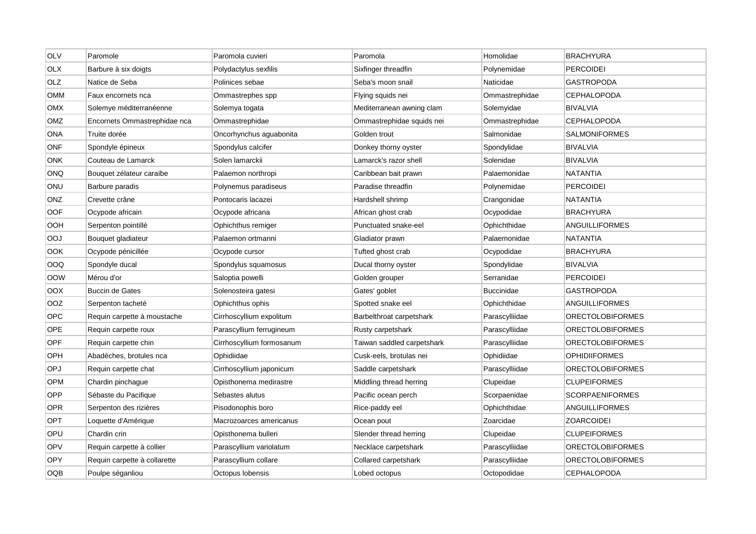| <b>OLV</b> | Paromole                     | Paromola cuvieri          | Paromola                   | Homolidae         | <b>BRACHYURA</b>        |
|------------|------------------------------|---------------------------|----------------------------|-------------------|-------------------------|
| <b>OLX</b> | Barbure à six doigts         | Polydactylus sexfilis     | Sixfinger threadfin        | Polynemidae       | <b>PERCOIDEI</b>        |
| OLZ        | Natice de Seba               | Polinices sebae           | Seba's moon snail          | Naticidae         | <b>GASTROPODA</b>       |
| OMM        | Faux encornets nca           | Ommastrephes spp          | Flying squids nei          | Ommastrephidae    | <b>CEPHALOPODA</b>      |
| <b>OMX</b> | Solemye méditerranéenne      | Solemya togata            | Mediterranean awning clam  | Solemyidae        | <b>BIVALVIA</b>         |
| OMZ        | Encornets Ommastrephidae nca | Ommastrephidae            | Ommastrephidae squids nei  | Ommastrephidae    | <b>CEPHALOPODA</b>      |
| ONA        | Truite dorée                 | Oncorhynchus aguabonita   | Golden trout               | Salmonidae        | <b>SALMONIFORMES</b>    |
| ONF        | Spondyle épineux             | Spondylus calcifer        | Donkey thorny oyster       | Spondylidae       | <b>BIVALVIA</b>         |
| <b>ONK</b> | Couteau de Lamarck           | Solen lamarckii           | Lamarck's razor shell      | Solenidae         | <b>BIVALVIA</b>         |
| <b>ONQ</b> | Bouquet zélateur caraïbe     | Palaemon northropi        | Caribbean bait prawn       | Palaemonidae      | <b>NATANTIA</b>         |
| ONU        | Barbure paradis              | Polynemus paradiseus      | Paradise threadfin         | Polynemidae       | PERCOIDEI               |
| <b>ONZ</b> | Crevette crâne               | Pontocaris lacazei        | Hardshell shrimp           | Crangonidae       | <b>NATANTIA</b>         |
| <b>OOF</b> | Ocypode africain             | Ocypode africana          | African ghost crab         | Ocypodidae        | <b>BRACHYURA</b>        |
| OOH        | Serpenton pointillé          | Ophichthus remiger        | Punctuated snake-eel       | Ophichthidae      | ANGUILLIFORMES          |
| OOJ        | Bouquet gladiateur           | Palaemon ortmanni         | Gladiator prawn            | Palaemonidae      | NATANTIA                |
| OOK        | Ocypode pénicillée           | Ocypode cursor            | Tufted ghost crab          | Ocypodidae        | <b>BRACHYURA</b>        |
| OOQ        | Spondyle ducal               | Spondylus squamosus       | Ducal thorny oyster        | Spondylidae       | <b>BIVALVIA</b>         |
| OOW        | Mérou d'or                   | Saloptia powelli          | Golden grouper             | Serranidae        | <b>PERCOIDEI</b>        |
| <b>OOX</b> | <b>Buccin de Gates</b>       | Solenosteira gatesi       | Gates' goblet              | <b>Buccinidae</b> | <b>GASTROPODA</b>       |
| <b>OOZ</b> | Serpenton tacheté            | Ophichthus ophis          | Spotted snake eel          | Ophichthidae      | <b>ANGUILLIFORMES</b>   |
| <b>OPC</b> | Requin carpette à moustache  | Cirrhoscyllium expolitum  | Barbelthroat carpetshark   | Parascylliidae    | <b>ORECTOLOBIFORMES</b> |
| <b>OPE</b> | Requin carpette roux         | Parascyllium ferrugineum  | Rusty carpetshark          | Parascylliidae    | <b>ORECTOLOBIFORMES</b> |
| <b>OPF</b> | Requin carpette chin         | Cirrhoscyllium formosanum | Taiwan saddled carpetshark | Parascylliidae    | <b>ORECTOLOBIFORMES</b> |
| OPH        | Abadèches, brotules nca      | Ophidiidae                | Cusk-eels, brotulas nei    | Ophidiidae        | <b>OPHIDIIFORMES</b>    |
| OPJ        | Requin carpette chat         | Cirrhoscyllium japonicum  | Saddle carpetshark         | Parascylliidae    | <b>ORECTOLOBIFORMES</b> |
| <b>OPM</b> | Chardin pinchague            | Opisthonema medirastre    | Middling thread herring    | Clupeidae         | <b>CLUPEIFORMES</b>     |
| OPP        | Sébaste du Pacifique         | Sebastes alutus           | Pacific ocean perch        | Scorpaenidae      | <b>SCORPAENIFORMES</b>  |
| <b>OPR</b> | Serpenton des rizières       | Pisodonophis boro         | Rice-paddy eel             | Ophichthidae      | ANGUILLIFORMES          |
| OPT        | Loquette d'Amérique          | Macrozoarces americanus   | Ocean pout                 | Zoarcidae         | <b>ZOARCOIDEI</b>       |
| OPU        | Chardin crin                 | Opisthonema bulleri       | Slender thread herring     | Clupeidae         | <b>CLUPEIFORMES</b>     |
| <b>OPV</b> | Requin carpette à collier    | Parascyllium variolatum   | Necklace carpetshark       | Parascylliidae    | <b>ORECTOLOBIFORMES</b> |
| OPY        | Requin carpette à collarette | Parascyllium collare      | Collared carpetshark       | Parascylliidae    | <b>ORECTOLOBIFORMES</b> |
| <b>OQB</b> | Poulpe séganliou             | Octopus lobensis          | Lobed octopus              | Octopodidae       | CEPHALOPODA             |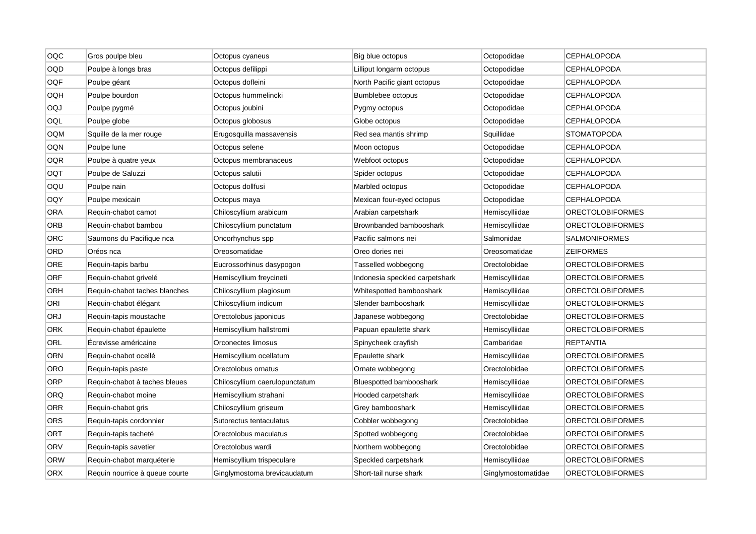| OQC        | Gros poulpe bleu               | Octopus cyaneus                | Big blue octopus               | Octopodidae        | <b>CEPHALOPODA</b>      |
|------------|--------------------------------|--------------------------------|--------------------------------|--------------------|-------------------------|
| OQD        | Poulpe à longs bras            | Octopus defilippi              | Lilliput longarm octopus       | Octopodidae        | <b>CEPHALOPODA</b>      |
| <b>OQF</b> | Poulpe géant                   | Octopus dofleini               | North Pacific giant octopus    | Octopodidae        | CEPHALOPODA             |
| OQH        | Poulpe bourdon                 | Octopus hummelincki            | Bumblebee octopus              | Octopodidae        | <b>CEPHALOPODA</b>      |
| OQJ        | Poulpe pygmé                   | Octopus joubini                | Pygmy octopus                  | Octopodidae        | CEPHALOPODA             |
| OQL        | Poulpe globe                   | Octopus globosus               | Globe octopus                  | Octopodidae        | <b>CEPHALOPODA</b>      |
| OQM        | Squille de la mer rouge        | Erugosquilla massavensis       | Red sea mantis shrimp          | Squillidae         | <b>STOMATOPODA</b>      |
| OQN        | Poulpe lune                    | Octopus selene                 | Moon octopus                   | Octopodidae        | CEPHALOPODA             |
| <b>OQR</b> | Poulpe à quatre yeux           | Octopus membranaceus           | Webfoot octopus                | Octopodidae        | <b>CEPHALOPODA</b>      |
| OQT        | Poulpe de Saluzzi              | Octopus salutii                | Spider octopus                 | Octopodidae        | <b>CEPHALOPODA</b>      |
| OQU        | Poulpe nain                    | Octopus dollfusi               | Marbled octopus                | Octopodidae        | <b>CEPHALOPODA</b>      |
| OQY        | Poulpe mexicain                | Octopus maya                   | Mexican four-eyed octopus      | Octopodidae        | CEPHALOPODA             |
| <b>ORA</b> | Requin-chabot camot            | Chiloscyllium arabicum         | Arabian carpetshark            | Hemiscylliidae     | <b>ORECTOLOBIFORMES</b> |
| ORB        | Requin-chabot bambou           | Chiloscyllium punctatum        | Brownbanded bambooshark        | Hemiscylliidae     | <b>ORECTOLOBIFORMES</b> |
| ORC        | Saumons du Pacifique nca       | Oncorhynchus spp               | Pacific salmons nei            | Salmonidae         | SALMONIFORMES           |
| ORD        | Oréos nca                      | Oreosomatidae                  | Oreo dories nei                | Oreosomatidae      | <b>ZEIFORMES</b>        |
| <b>ORE</b> | Requin-tapis barbu             | Eucrossorhinus dasypogon       | Tasselled wobbegong            | Orectolobidae      | <b>ORECTOLOBIFORMES</b> |
| <b>ORF</b> | Requin-chabot grivelé          | Hemiscyllium freycineti        | Indonesia speckled carpetshark | Hemiscylliidae     | <b>ORECTOLOBIFORMES</b> |
| ORH        | Requin-chabot taches blanches  | Chiloscyllium plagiosum        | Whitespotted bambooshark       | Hemiscylliidae     | ORECTOLOBIFORMES        |
| ORI        | Requin-chabot élégant          | Chiloscyllium indicum          | Slender bambooshark            | Hemiscylliidae     | <b>ORECTOLOBIFORMES</b> |
| ORJ        | Requin-tapis moustache         | Orectolobus japonicus          | Japanese wobbegong             | Orectolobidae      | <b>ORECTOLOBIFORMES</b> |
| ORK        | Requin-chabot épaulette        | Hemiscyllium hallstromi        | Papuan epaulette shark         | Hemiscylliidae     | <b>ORECTOLOBIFORMES</b> |
| ORL        | Ecrevisse américaine           | Orconectes limosus             | Spinycheek crayfish            | Cambaridae         | REPTANTIA               |
| ORN        | Requin-chabot ocellé           | Hemiscyllium ocellatum         | Epaulette shark                | Hemiscylliidae     | <b>ORECTOLOBIFORMES</b> |
| <b>ORO</b> | Requin-tapis paste             | Orectolobus ornatus            | Ornate wobbegong               | Orectolobidae      | <b>ORECTOLOBIFORMES</b> |
| ORP        | Requin-chabot à taches bleues  | Chiloscyllium caerulopunctatum | <b>Bluespotted bambooshark</b> | Hemiscylliidae     | ORECTOLOBIFORMES        |
| ORQ        | Requin-chabot moine            | Hemiscyllium strahani          | Hooded carpetshark             | Hemiscylliidae     | <b>ORECTOLOBIFORMES</b> |
| ORR        | Requin-chabot gris             | Chiloscyllium griseum          | Grey bambooshark               | Hemiscylliidae     | <b>ORECTOLOBIFORMES</b> |
| ORS        | Requin-tapis cordonnier        | Sutorectus tentaculatus        | Cobbler wobbegong              | Orectolobidae      | <b>ORECTOLOBIFORMES</b> |
| ORT        | Requin-tapis tacheté           | Orectolobus maculatus          | Spotted wobbegong              | Orectolobidae      | ORECTOLOBIFORMES        |
| ORV        | Requin-tapis savetier          | Orectolobus wardi              | Northern wobbegong             | Orectolobidae      | <b>ORECTOLOBIFORMES</b> |
| <b>ORW</b> | Requin-chabot marquéterie      | Hemiscyllium trispeculare      | Speckled carpetshark           | Hemiscylliidae     | <b>ORECTOLOBIFORMES</b> |
| <b>ORX</b> | Requin nourrice à queue courte | Ginglymostoma brevicaudatum    | Short-tail nurse shark         | Ginglymostomatidae | <b>ORECTOLOBIFORMES</b> |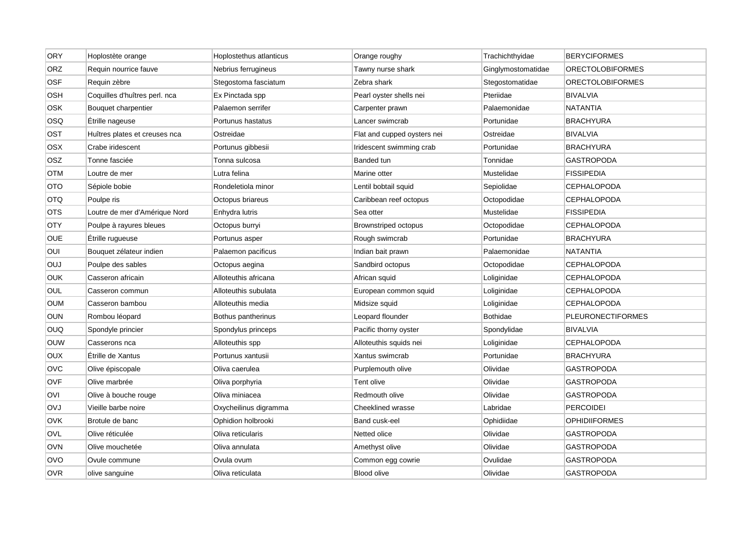| <b>ORY</b> | Hoplostète orange             | Hoplostethus atlanticus | Orange roughy               | Trachichthyidae    | <b>BERYCIFORMES</b>      |
|------------|-------------------------------|-------------------------|-----------------------------|--------------------|--------------------------|
| ORZ        | Requin nourrice fauve         | Nebrius ferrugineus     | Tawny nurse shark           | Ginglymostomatidae | <b>ORECTOLOBIFORMES</b>  |
| <b>OSF</b> | Requin zèbre                  | Stegostoma fasciatum    | Zebra shark                 | Stegostomatidae    | <b>ORECTOLOBIFORMES</b>  |
| OSH        | Coquilles d'huîtres perl. nca | Ex Pinctada spp         | Pearl oyster shells nei     | Pteriidae          | <b>BIVALVIA</b>          |
| OSK        | Bouquet charpentier           | Palaemon serrifer       | Carpenter prawn             | Palaemonidae       | <b>NATANTIA</b>          |
| OSQ        | Étrille nageuse               | Portunus hastatus       | Lancer swimcrab             | Portunidae         | <b>BRACHYURA</b>         |
| OST        | Huîtres plates et creuses nca | Ostreidae               | Flat and cupped oysters nei | Ostreidae          | <b>BIVALVIA</b>          |
| OSX        | Crabe iridescent              | Portunus gibbesii       | Iridescent swimming crab    | Portunidae         | <b>BRACHYURA</b>         |
| <b>OSZ</b> | Tonne fasciée                 | Tonna sulcosa           | Banded tun                  | Tonnidae           | <b>GASTROPODA</b>        |
| OTM        | Loutre de mer                 | Lutra felina            | Marine otter                | Mustelidae         | <b>FISSIPEDIA</b>        |
| OTO        | Sépiole bobie                 | Rondeletiola minor      | Lentil bobtail squid        | Sepiolidae         | <b>CEPHALOPODA</b>       |
| OTQ        | Poulpe ris                    | Octopus briareus        | Caribbean reef octopus      | Octopodidae        | <b>CEPHALOPODA</b>       |
| <b>OTS</b> | Loutre de mer d'Amérique Nord | Enhydra lutris          | Sea otter                   | Mustelidae         | <b>FISSIPEDIA</b>        |
| <b>OTY</b> | Poulpe à rayures bleues       | Octopus burryi          | Brownstriped octopus        | Octopodidae        | <b>CEPHALOPODA</b>       |
| <b>OUE</b> | Étrille rugueuse              | Portunus asper          | Rough swimcrab              | Portunidae         | <b>BRACHYURA</b>         |
| OUI        | Bouquet zélateur indien       | Palaemon pacificus      | Indian bait prawn           | Palaemonidae       | <b>NATANTIA</b>          |
| OUJ        | Poulpe des sables             | Octopus aegina          | Sandbird octopus            | Octopodidae        | <b>CEPHALOPODA</b>       |
| OUK        | Casseron africain             | Alloteuthis africana    | African squid               | Loliginidae        | <b>CEPHALOPODA</b>       |
| OUL        | Casseron commun               | Alloteuthis subulata    | European common squid       | Loliginidae        | <b>CEPHALOPODA</b>       |
| OUM        | Casseron bambou               | Alloteuthis media       | Midsize squid               | Loliginidae        | <b>CEPHALOPODA</b>       |
| OUN        | Rombou léopard                | Bothus pantherinus      | Leopard flounder            | <b>Bothidae</b>    | <b>PLEURONECTIFORMES</b> |
| OUQ        | Spondyle princier             | Spondylus princeps      | Pacific thorny oyster       | Spondylidae        | <b>BIVALVIA</b>          |
| OUW        | Casserons nca                 | Alloteuthis spp         | Alloteuthis squids nei      | Loliginidae        | <b>CEPHALOPODA</b>       |
| OUX        | Etrille de Xantus             | Portunus xantusii       | Xantus swimcrab             | Portunidae         | <b>BRACHYURA</b>         |
| <b>OVC</b> | Olive épiscopale              | Oliva caerulea          | Purplemouth olive           | Olividae           | <b>GASTROPODA</b>        |
| <b>OVF</b> | Olive marbrée                 | Oliva porphyria         | Tent olive                  | Olividae           | <b>GASTROPODA</b>        |
| OVI        | Olive à bouche rouge          | Oliva miniacea          | Redmouth olive              | Olividae           | <b>GASTROPODA</b>        |
| <b>OVJ</b> | Vieille barbe noire           | Oxycheilinus digramma   | Cheeklined wrasse           | Labridae           | <b>PERCOIDEI</b>         |
| OVK        | Brotule de banc               | Ophidion holbrooki      | Band cusk-eel               | Ophidiidae         | <b>OPHIDIIFORMES</b>     |
| OVL        | Olive réticulée               | Oliva reticularis       | Netted olice                | Olividae           | <b>GASTROPODA</b>        |
| <b>OVN</b> | Olive mouchetée               | Oliva annulata          | Amethyst olive              | Olividae           | <b>GASTROPODA</b>        |
| OVO        | Ovule commune                 | Ovula ovum              | Common egg cowrie           | Ovulidae           | <b>GASTROPODA</b>        |
| <b>OVR</b> | olive sanguine                | Oliva reticulata        | <b>Blood olive</b>          | Olividae           | <b>GASTROPODA</b>        |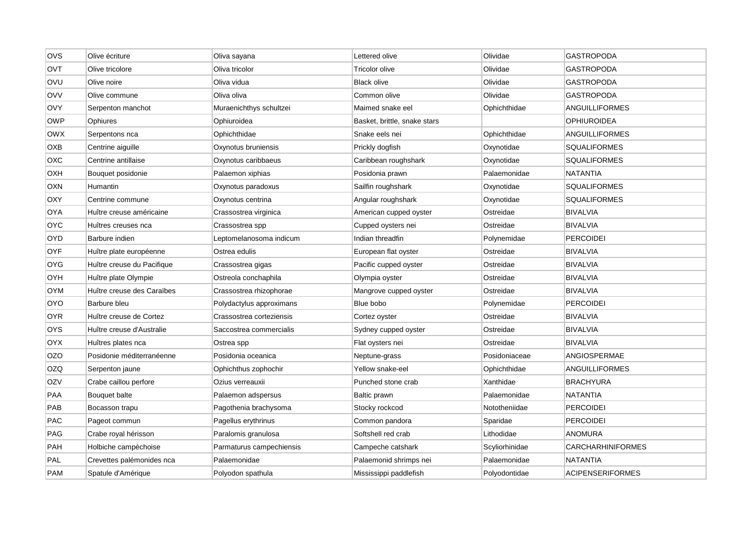| OVS        | Olive écriture             | Oliva sayana             | Lettered olive               | Olividae       | <b>GASTROPODA</b>        |
|------------|----------------------------|--------------------------|------------------------------|----------------|--------------------------|
| OVT        | Olive tricolore            | Oliva tricolor           | Tricolor olive               | Olividae       | GASTROPODA               |
| OVU        | Olive noire                | Oliva vidua              | <b>Black olive</b>           | Olividae       | <b>GASTROPODA</b>        |
| OVV        | Olive commune              | Oliva oliva              | Common olive                 | Olividae       | GASTROPODA               |
| OVY        | Serpenton manchot          | Muraenichthys schultzei  | Maimed snake eel             | Ophichthidae   | <b>ANGUILLIFORMES</b>    |
| <b>OWP</b> | Ophiures                   | Ophiuroidea              | Basket, brittle, snake stars |                | <b>OPHIUROIDEA</b>       |
| OWX        | Serpentons nca             | Ophichthidae             | Snake eels nei               | Ophichthidae   | ANGUILLIFORMES           |
| OXB        | Centrine aiguille          | Oxynotus bruniensis      | Prickly dogfish              | Oxynotidae     | SQUALIFORMES             |
| ОХС        | Centrine antillaise        | Oxynotus caribbaeus      | Caribbean roughshark         | Oxynotidae     | <b>SQUALIFORMES</b>      |
| ОХН        | Bouquet posidonie          | Palaemon xiphias         | Posidonia prawn              | Palaemonidae   | NATANTIA                 |
| OXN        | Humantin                   | Oxynotus paradoxus       | Sailfin roughshark           | Oxynotidae     | <b>SQUALIFORMES</b>      |
| OXY        | Centrine commune           | Oxynotus centrina        | Angular roughshark           | Oxynotidae     | <b>SQUALIFORMES</b>      |
| OYA        | Huître creuse américaine   | Crassostrea virginica    | American cupped oyster       | Ostreidae      | <b>BIVALVIA</b>          |
| <b>OYC</b> | Huîtres creuses nca        | Crassostrea spp          | Cupped oysters nei           | Ostreidae      | <b>BIVALVIA</b>          |
| OYD        | Barbure indien             | Leptomelanosoma indicum  | Indian threadfin             | Polynemidae    | <b>PERCOIDEI</b>         |
| OYF        | Huître plate européenne    | Ostrea edulis            | European flat oyster         | Ostreidae      | <b>BIVALVIA</b>          |
| OYG        | Huître creuse du Pacifique | Crassostrea gigas        | Pacific cupped oyster        | Ostreidae      | <b>BIVALVIA</b>          |
| OYH        | Huître plate Olympie       | Ostreola conchaphila     | Olympia oyster               | Ostreidae      | <b>BIVALVIA</b>          |
| OYM        | Huître creuse des Caraïbes | Crassostrea rhizophorae  | Mangrove cupped oyster       | Ostreidae      | <b>BIVALVIA</b>          |
| OYO        | Barbure bleu               | Polydactylus approximans | Blue bobo                    | Polynemidae    | <b>PERCOIDEI</b>         |
| OYR        | Huître creuse de Cortez    | Crassostrea corteziensis | Cortez oyster                | Ostreidae      | <b>BIVALVIA</b>          |
| OYS        | Huître creuse d'Australie  | Saccostrea commercialis  | Sydney cupped oyster         | Ostreidae      | <b>BIVALVIA</b>          |
| OYX        | Huîtres plates nca         | Ostrea spp               | Flat oysters nei             | Ostreidae      | <b>BIVALVIA</b>          |
| OZO        | Posidonie méditerranéenne  | Posidonia oceanica       | Neptune-grass                | Posidoniaceae  | <b>ANGIOSPERMAE</b>      |
| <b>OZQ</b> | Serpenton jaune            | Ophichthus zophochir     | Yellow snake-eel             | Ophichthidae   | <b>ANGUILLIFORMES</b>    |
| OZV        | Crabe caillou perfore      | Ozius verreauxii         | Punched stone crab           | Xanthidae      | <b>BRACHYURA</b>         |
| <b>PAA</b> | Bouquet balte              | Palaemon adspersus       | Baltic prawn                 | Palaemonidae   | <b>NATANTIA</b>          |
| PAB        | Bocasson trapu             | Pagothenia brachysoma    | Stocky rockcod               | Nototheniidae  | <b>PERCOIDEI</b>         |
| PAC        | Pageot commun              | Pagellus erythrinus      | Common pandora               | Sparidae       | <b>PERCOIDEI</b>         |
| PAG        | Crabe royal hérisson       | Paralomis granulosa      | Softshell red crab           | Lithodidae     | ANOMURA                  |
| PAH        | Holbiche campèchoise       | Parmaturus campechiensis | Campeche catshark            | Scyliorhinidae | <b>CARCHARHINIFORMES</b> |
| PAL        | Crevettes palémonides nca  | Palaemonidae             | Palaemonid shrimps nei       | Palaemonidae   | NATANTIA                 |
| <b>PAM</b> | Spatule d'Amérique         | Polyodon spathula        | Mississippi paddlefish       | Polyodontidae  | <b>ACIPENSERIFORMES</b>  |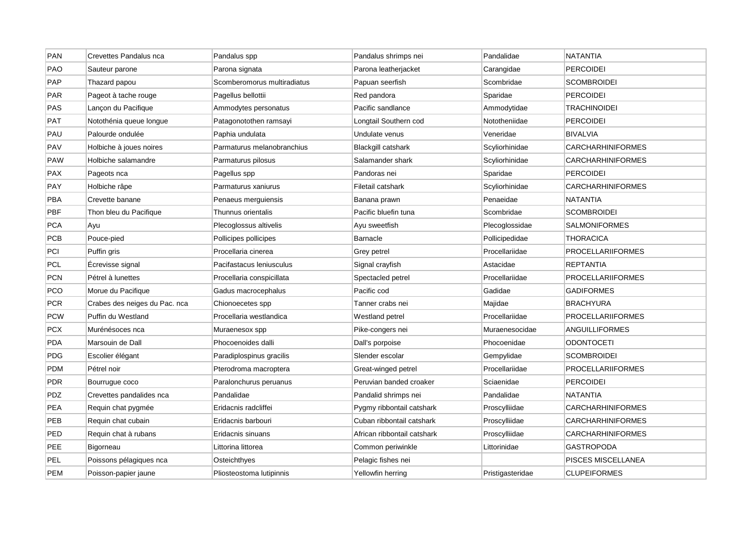| PAN        | Crevettes Pandalus nca        | Pandalus spp                | Pandalus shrimps nei        | Pandalidae       | <b>NATANTIA</b>          |
|------------|-------------------------------|-----------------------------|-----------------------------|------------------|--------------------------|
| <b>PAO</b> | Sauteur parone                | Parona signata              | Parona leatherjacket        | Carangidae       | <b>PERCOIDEI</b>         |
| <b>PAP</b> | Thazard papou                 | Scomberomorus multiradiatus | Papuan seerfish             | Scombridae       | <b>SCOMBROIDEI</b>       |
| PAR        | Pageot à tache rouge          | Pagellus bellottii          | Red pandora                 | Sparidae         | PERCOIDEI                |
| <b>PAS</b> | Lançon du Pacifique           | Ammodytes personatus        | Pacific sandlance           | Ammodytidae      | <b>TRACHINOIDEI</b>      |
| <b>PAT</b> | Notothénia queue longue       | Patagonotothen ramsayi      | Longtail Southern cod       | Nototheniidae    | PERCOIDEI                |
| PAU        | Palourde ondulée              | Paphia undulata             | Undulate venus              | Veneridae        | <b>BIVALVIA</b>          |
| PAV        | Holbiche à joues noires       | Parmaturus melanobranchius  | <b>Blackgill catshark</b>   | Scyliorhinidae   | <b>CARCHARHINIFORMES</b> |
| <b>PAW</b> | Holbiche salamandre           | Parmaturus pilosus          | Salamander shark            | Scyliorhinidae   | <b>CARCHARHINIFORMES</b> |
| <b>PAX</b> | Pageots nca                   | Pagellus spp                | Pandoras nei                | Sparidae         | <b>PERCOIDEI</b>         |
| PAY        | Holbiche râpe                 | Parmaturus xaniurus         | Filetail catshark           | Scyliorhinidae   | CARCHARHINIFORMES        |
| <b>PBA</b> | Crevette banane               | Penaeus merguiensis         | Banana prawn                | Penaeidae        | <b>NATANTIA</b>          |
| <b>PBF</b> | Thon bleu du Pacifique        | Thunnus orientalis          | Pacific bluefin tuna        | Scombridae       | <b>SCOMBROIDEI</b>       |
| <b>PCA</b> | Ayu                           | Plecoglossus altivelis      | Ayu sweetfish               | Plecoglossidae   | <b>SALMONIFORMES</b>     |
| <b>PCB</b> | Pouce-pied                    | Pollicipes pollicipes       | <b>Barnacle</b>             | Pollicipedidae   | <b>THORACICA</b>         |
| PCI        | Puffin gris                   | Procellaria cinerea         | Grey petrel                 | Procellariidae   | <b>PROCELLARIIFORMES</b> |
| <b>PCL</b> | Ecrevisse signal              | Pacifastacus leniusculus    | Signal crayfish             | Astacidae        | <b>REPTANTIA</b>         |
| <b>PCN</b> | Pétrel à lunettes             | Procellaria conspicillata   | Spectacled petrel           | Procellariidae   | <b>PROCELLARIIFORMES</b> |
| <b>PCO</b> | Morue du Pacifique            | Gadus macrocephalus         | Pacific cod                 | Gadidae          | <b>GADIFORMES</b>        |
| <b>PCR</b> | Crabes des neiges du Pac. nca | Chionoecetes spp            | Tanner crabs nei            | Majidae          | <b>BRACHYURA</b>         |
| <b>PCW</b> | Puffin du Westland            | Procellaria westlandica     | Westland petrel             | Procellariidae   | <b>PROCELLARIIFORMES</b> |
| <b>PCX</b> | Murénésoces nca               | Muraenesox spp              | Pike-congers nei            | Muraenesocidae   | ANGUILLIFORMES           |
| <b>PDA</b> | Marsouin de Dall              | Phocoenoides dalli          | Dall's porpoise             | Phocoenidae      | <b>ODONTOCETI</b>        |
| <b>PDG</b> | Escolier élégant              | Paradiplospinus gracilis    | Slender escolar             | Gempylidae       | <b>SCOMBROIDEI</b>       |
| <b>PDM</b> | Pétrel noir                   | Pterodroma macroptera       | Great-winged petrel         | Procellariidae   | <b>PROCELLARIIFORMES</b> |
| <b>PDR</b> | Bourrugue coco                | Paralonchurus peruanus      | Peruvian banded croaker     | Sciaenidae       | <b>PERCOIDEI</b>         |
| PDZ        | Crevettes pandalides nca      | Pandalidae                  | Pandalid shrimps nei        | Pandalidae       | <b>NATANTIA</b>          |
| <b>PEA</b> | Requin chat pygmée            | Eridacnis radcliffei        | Pygmy ribbontail catshark   | Proscylliidae    | <b>CARCHARHINIFORMES</b> |
| PEB        | Requin chat cubain            | Eridacnis barbouri          | Cuban ribbontail catshark   | Proscylliidae    | CARCHARHINIFORMES        |
| PED        | Requin chat à rubans          | Eridacnis sinuans           | African ribbontail catshark | Proscylliidae    | <b>CARCHARHINIFORMES</b> |
| PEE        | Bigorneau                     | Littorina littorea          | Common periwinkle           | Littorinidae     | <b>GASTROPODA</b>        |
| PEL        | Poissons pélagiques nca       | Osteichthyes                | Pelagic fishes nei          |                  | PISCES MISCELLANEA       |
| <b>PEM</b> | Poisson-papier jaune          | Pliosteostoma lutipinnis    | Yellowfin herring           | Pristigasteridae | <b>CLUPEIFORMES</b>      |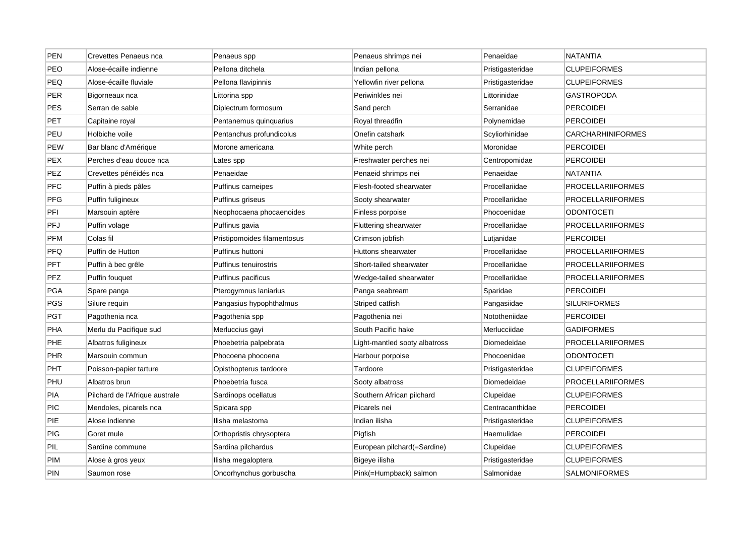| PEN        | Crevettes Penaeus nca          | Penaeus spp                 | Penaeus shrimps nei           | Penaeidae        | <b>NATANTIA</b>          |
|------------|--------------------------------|-----------------------------|-------------------------------|------------------|--------------------------|
| PEO        | Alose-écaille indienne         | Pellona ditchela            | Indian pellona                | Pristigasteridae | <b>CLUPEIFORMES</b>      |
| PEQ        | Alose-écaille fluviale         | Pellona flavipinnis         | Yellowfin river pellona       | Pristigasteridae | <b>CLUPEIFORMES</b>      |
| PER        | Bigorneaux nca                 | Littorina spp               | Periwinkles nei               | Littorinidae     | GASTROPODA               |
| <b>PES</b> | Serran de sable                | Diplectrum formosum         | Sand perch                    | Serranidae       | <b>PERCOIDEI</b>         |
| PET        | Capitaine royal                | Pentanemus quinquarius      | Royal threadfin               | Polynemidae      | <b>PERCOIDEI</b>         |
| PEU        | Holbiche voile                 | Pentanchus profundicolus    | Onefin catshark               | Scyliorhinidae   | <b>CARCHARHINIFORMES</b> |
| <b>PEW</b> | Bar blanc d'Amérique           | Morone americana            | White perch                   | Moronidae        | <b>PERCOIDEI</b>         |
| <b>PEX</b> | Perches d'eau douce nca        | Lates spp                   | Freshwater perches nei        | Centropomidae    | <b>PERCOIDEI</b>         |
| <b>PEZ</b> | Crevettes pénéidés nca         | Penaeidae                   | Penaeid shrimps nei           | Penaeidae        | NATANTIA                 |
| <b>PFC</b> | Puffin à pieds pâles           | Puffinus carneipes          | Flesh-footed shearwater       | Procellariidae   | <b>PROCELLARIIFORMES</b> |
| <b>PFG</b> | Puffin fuligineux              | Puffinus griseus            | Sooty shearwater              | Procellariidae   | <b>PROCELLARIIFORMES</b> |
| PFI        | Marsouin aptère                | Neophocaena phocaenoides    | Finless porpoise              | Phocoenidae      | <b>ODONTOCETI</b>        |
| PFJ        | Puffin volage                  | Puffinus gavia              | <b>Fluttering shearwater</b>  | Procellariidae   | <b>PROCELLARIIFORMES</b> |
| <b>PFM</b> | Colas fil                      | Pristipomoides filamentosus | Crimson jobfish               | Lutjanidae       | PERCOIDEI                |
| <b>PFQ</b> | Puffin de Hutton               | Puffinus huttoni            | Huttons shearwater            | Procellariidae   | <b>PROCELLARIIFORMES</b> |
| <b>PFT</b> | Puffin à bec grêle             | Puffinus tenuirostris       | Short-tailed shearwater       | Procellariidae   | <b>PROCELLARIIFORMES</b> |
| PFZ        | Puffin fouquet                 | Puffinus pacificus          | Wedge-tailed shearwater       | Procellariidae   | <b>PROCELLARIIFORMES</b> |
| <b>PGA</b> | Spare panga                    | Pterogymnus laniarius       | Panga seabream                | Sparidae         | <b>PERCOIDEI</b>         |
| <b>PGS</b> | Silure requin                  | Pangasius hypophthalmus     | Striped catfish               | Pangasiidae      | <b>SILURIFORMES</b>      |
| <b>PGT</b> | Pagothenia nca                 | Pagothenia spp              | Pagothenia nei                | Nototheniidae    | <b>PERCOIDEI</b>         |
| <b>PHA</b> | Merlu du Pacifique sud         | Merluccius gayi             | South Pacific hake            | Merlucciidae     | <b>GADIFORMES</b>        |
| <b>PHE</b> | Albatros fuligineux            | Phoebetria palpebrata       | Light-mantled sooty albatross | Diomedeidae      | <b>PROCELLARIIFORMES</b> |
| <b>PHR</b> | Marsouin commun                | Phocoena phocoena           | Harbour porpoise              | Phocoenidae      | <b>ODONTOCETI</b>        |
| PHT        | Poisson-papier tarture         | Opisthopterus tardoore      | Tardoore                      | Pristigasteridae | <b>CLUPEIFORMES</b>      |
| PHU        | Albatros brun                  | Phoebetria fusca            | Sooty albatross               | Diomedeidae      | PROCELLARIIFORMES        |
| <b>PIA</b> | Pilchard de l'Afrique australe | Sardinops ocellatus         | Southern African pilchard     | Clupeidae        | <b>CLUPEIFORMES</b>      |
| <b>PIC</b> | Mendoles, picarels nca         | Spicara spp                 | Picarels nei                  | Centracanthidae  | <b>PERCOIDEI</b>         |
| PIE        | Alose indienne                 | Ilisha melastoma            | Indian ilisha                 | Pristigasteridae | <b>CLUPEIFORMES</b>      |
| <b>PIG</b> | Goret mule                     | Orthopristis chrysoptera    | Pigfish                       | Haemulidae       | <b>PERCOIDEI</b>         |
| PIL        | Sardine commune                | Sardina pilchardus          | European pilchard(=Sardine)   | Clupeidae        | <b>CLUPEIFORMES</b>      |
| <b>PIM</b> | Alose à gros yeux              | Ilisha megaloptera          | Bigeye ilisha                 | Pristigasteridae | <b>CLUPEIFORMES</b>      |
| PIN        | Saumon rose                    | Oncorhynchus gorbuscha      | Pink(=Humpback) salmon        | Salmonidae       | <b>SALMONIFORMES</b>     |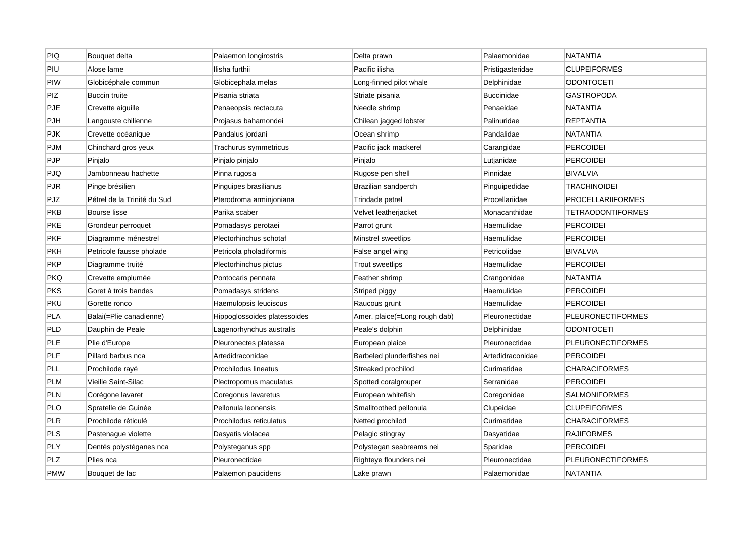| <b>PIQ</b> | Bouquet delta               | Palaemon longirostris        | Delta prawn                   | Palaemonidae      | NATANTIA                 |
|------------|-----------------------------|------------------------------|-------------------------------|-------------------|--------------------------|
| PIU        | Alose lame                  | Ilisha furthii               | Pacific ilisha                | Pristigasteridae  | <b>CLUPEIFORMES</b>      |
| PIW        | Globicéphale commun         | Globicephala melas           | Long-finned pilot whale       | Delphinidae       | <b>ODONTOCETI</b>        |
| PIZ        | Buccin truite               | Pisania striata              | Striate pisania               | <b>Buccinidae</b> | GASTROPODA               |
| <b>PJE</b> | Crevette aiguille           | Penaeopsis rectacuta         | Needle shrimp                 | Penaeidae         | <b>NATANTIA</b>          |
| PJH        | Langouste chilienne         | Projasus bahamondei          | Chilean jagged lobster        | Palinuridae       | <b>REPTANTIA</b>         |
| <b>PJK</b> | Crevette océanique          | Pandalus jordani             | Ocean shrimp                  | Pandalidae        | NATANTIA                 |
| <b>PJM</b> | Chinchard gros yeux         | Trachurus symmetricus        | Pacific jack mackerel         | Carangidae        | <b>PERCOIDEI</b>         |
| <b>PJP</b> | Pinjalo                     | Pinjalo pinjalo              | Pinjalo                       | Lutjanidae        | <b>PERCOIDEI</b>         |
| PJQ        | Jambonneau hachette         | Pinna rugosa                 | Rugose pen shell              | Pinnidae          | <b>BIVALVIA</b>          |
| <b>PJR</b> | Pinge brésilien             | Pinguipes brasilianus        | Brazilian sandperch           | Pinguipedidae     | <b>TRACHINOIDEI</b>      |
| PJZ        | Pétrel de la Trinité du Sud | Pterodroma arminjoniana      | Trindade petrel               | Procellariidae    | <b>PROCELLARIIFORMES</b> |
| <b>PKB</b> | Bourse lisse                | Parika scaber                | Velvet leatherjacket          | Monacanthidae     | <b>TETRAODONTIFORMES</b> |
| PKE        | Grondeur perroquet          | Pomadasys perotaei           | Parrot grunt                  | Haemulidae        | <b>PERCOIDEI</b>         |
| <b>PKF</b> | Diagramme ménestrel         | Plectorhinchus schotaf       | Minstrel sweetlips            | Haemulidae        | <b>PERCOIDEI</b>         |
| <b>PKH</b> | Petricole fausse pholade    | Petricola pholadiformis      | False angel wing              | Petricolidae      | <b>BIVALVIA</b>          |
| PKP        | Diagramme truité            | Plectorhinchus pictus        | Trout sweetlips               | Haemulidae        | <b>PERCOIDEI</b>         |
| PKQ        | Crevette emplumée           | Pontocaris pennata           | Feather shrimp                | Crangonidae       | NATANTIA                 |
| <b>PKS</b> | Goret à trois bandes        | Pomadasys stridens           | Striped piggy                 | Haemulidae        | PERCOIDEI                |
| PKU        | Gorette ronco               | Haemulopsis leuciscus        | Raucous grunt                 | Haemulidae        | <b>PERCOIDEI</b>         |
| PLA        | Balai(=Plie canadienne)     | Hippoglossoides platessoides | Amer. plaice(=Long rough dab) | Pleuronectidae    | <b>PLEURONECTIFORMES</b> |
| <b>PLD</b> | Dauphin de Peale            | Lagenorhynchus australis     | Peale's dolphin               | Delphinidae       | <b>ODONTOCETI</b>        |
| <b>PLE</b> | Plie d'Europe               | Pleuronectes platessa        | European plaice               | Pleuronectidae    | <b>PLEURONECTIFORMES</b> |
| PLF        | Pillard barbus nca          | Artedidraconidae             | Barbeled plunderfishes nei    | Artedidraconidae  | PERCOIDEI                |
| PLL        | Prochilode rayé             | Prochilodus lineatus         | Streaked prochilod            | Curimatidae       | <b>CHARACIFORMES</b>     |
| <b>PLM</b> | Vieille Saint-Silac         | Plectropomus maculatus       | Spotted coralgrouper          | Serranidae        | <b>PERCOIDEI</b>         |
| PLN        | Corégone lavaret            | Coregonus lavaretus          | European whitefish            | Coregonidae       | <b>SALMONIFORMES</b>     |
| PLO        | Spratelle de Guinée         | Pellonula leonensis          | Smalltoothed pellonula        | Clupeidae         | <b>CLUPEIFORMES</b>      |
| <b>PLR</b> | Prochilode réticulé         | Prochilodus reticulatus      | Netted prochilod              | Curimatidae       | <b>CHARACIFORMES</b>     |
| PLS        | Pastenague violette         | Dasyatis violacea            | Pelagic stingray              | Dasyatidae        | <b>RAJIFORMES</b>        |
| <b>PLY</b> | Dentés polystéganes nca     | Polysteganus spp             | Polystegan seabreams nei      | Sparidae          | <b>PERCOIDEI</b>         |
| PLZ        | Plies nca                   | Pleuronectidae               | Righteye flounders nei        | Pleuronectidae    | <b>PLEURONECTIFORMES</b> |
| <b>PMW</b> | Bouquet de lac              | Palaemon paucidens           | Lake prawn                    | Palaemonidae      | <b>NATANTIA</b>          |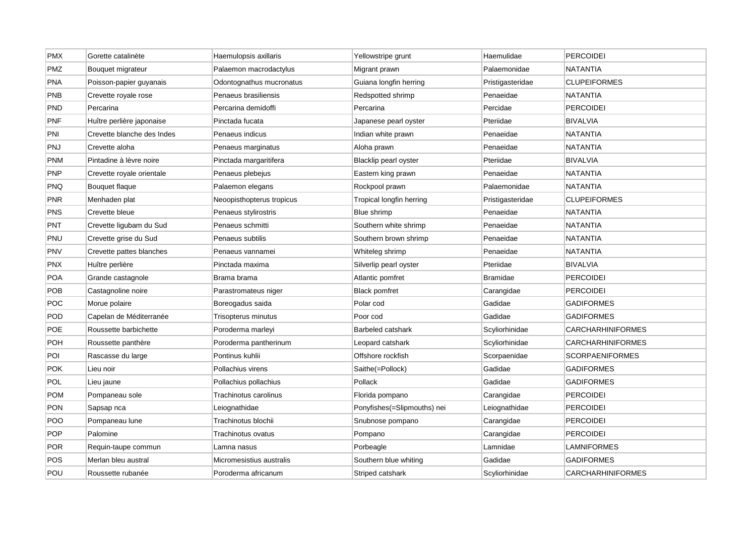| <b>PMX</b> | Gorette catalinète         | Haemulopsis axillaris     | Yellowstripe grunt          | Haemulidae       | <b>PERCOIDEI</b>         |
|------------|----------------------------|---------------------------|-----------------------------|------------------|--------------------------|
| PMZ        | Bouquet migrateur          | Palaemon macrodactylus    | Migrant prawn               | Palaemonidae     | <b>NATANTIA</b>          |
| <b>PNA</b> | Poisson-papier guyanais    | Odontognathus mucronatus  | Guiana longfin herring      | Pristigasteridae | <b>CLUPEIFORMES</b>      |
| <b>PNB</b> | Crevette royale rose       | Penaeus brasiliensis      | Redspotted shrimp           | Penaeidae        | NATANTIA                 |
| <b>PND</b> | Percarina                  | Percarina demidoffi       | Percarina                   | Percidae         | <b>PERCOIDEI</b>         |
| PNF        | Huître perlière japonaise  | Pinctada fucata           | Japanese pearl oyster       | Pteriidae        | <b>BIVALVIA</b>          |
| PNI        | Crevette blanche des Indes | Penaeus indicus           | Indian white prawn          | Penaeidae        | <b>NATANTIA</b>          |
| <b>PNJ</b> | Crevette aloha             | Penaeus marginatus        | Aloha prawn                 | Penaeidae        | <b>NATANTIA</b>          |
| <b>PNM</b> | Pintadine à lèvre noire    | Pinctada margaritifera    | Blacklip pearl oyster       | Pteriidae        | <b>BIVALVIA</b>          |
| <b>PNP</b> | Crevette royale orientale  | Penaeus plebejus          | Eastern king prawn          | Penaeidae        | <b>NATANTIA</b>          |
| <b>PNQ</b> | Bouquet flaque             | Palaemon elegans          | Rockpool prawn              | Palaemonidae     | NATANTIA                 |
| <b>PNR</b> | Menhaden plat              | Neoopisthopterus tropicus | Tropical longfin herring    | Pristigasteridae | <b>CLUPEIFORMES</b>      |
| PNS        | Crevette bleue             | Penaeus stylirostris      | Blue shrimp                 | Penaeidae        | <b>NATANTIA</b>          |
| <b>PNT</b> | Crevette ligubam du Sud    | Penaeus schmitti          | Southern white shrimp       | Penaeidae        | NATANTIA                 |
| PNU        | Crevette grise du Sud      | Penaeus subtilis          | Southern brown shrimp       | Penaeidae        | NATANTIA                 |
| <b>PNV</b> | Crevette pattes blanches   | Penaeus vannamei          | Whiteleg shrimp             | Penaeidae        | <b>NATANTIA</b>          |
| <b>PNX</b> | Huître perlière            | Pinctada maxima           | Silverlip pearl oyster      | Pteriidae        | <b>BIVALVIA</b>          |
| <b>POA</b> | Grande castagnole          | Brama brama               | Atlantic pomfret            | <b>Bramidae</b>  | <b>PERCOIDEI</b>         |
| <b>POB</b> | Castagnoline noire         | Parastromateus niger      | <b>Black pomfret</b>        | Carangidae       | <b>PERCOIDEI</b>         |
| <b>POC</b> | Morue polaire              | Boreogadus saida          | Polar cod                   | Gadidae          | <b>GADIFORMES</b>        |
| POD        | Capelan de Méditerranée    | Trisopterus minutus       | Poor cod                    | Gadidae          | <b>GADIFORMES</b>        |
| <b>POE</b> | Roussette barbichette      | Poroderma marleyi         | <b>Barbeled catshark</b>    | Scyliorhinidae   | CARCHARHINIFORMES        |
| <b>POH</b> | Roussette panthère         | Poroderma pantherinum     | Leopard catshark            | Scyliorhinidae   | <b>CARCHARHINIFORMES</b> |
| POI        | Rascasse du large          | Pontinus kuhlii           | Offshore rockfish           | Scorpaenidae     | <b>SCORPAENIFORMES</b>   |
| <b>POK</b> | Lieu noir                  | Pollachius virens         | Saithe(=Pollock)            | Gadidae          | <b>GADIFORMES</b>        |
| <b>POL</b> | Lieu jaune                 | Pollachius pollachius     | Pollack                     | Gadidae          | GADIFORMES               |
| <b>POM</b> | Pompaneau sole             | Trachinotus carolinus     | Florida pompano             | Carangidae       | PERCOIDEI                |
| <b>PON</b> | Sapsap nca                 | Leiognathidae             | Ponyfishes(=Slipmouths) nei | Leiognathidae    | <b>PERCOIDEI</b>         |
| POO        | Pompaneau lune             | Trachinotus blochii       | Snubnose pompano            | Carangidae       | <b>PERCOIDEI</b>         |
| POP        | Palomine                   | Trachinotus ovatus        | Pompano                     | Carangidae       | <b>PERCOIDEI</b>         |
| <b>POR</b> | Requin-taupe commun        | Lamna nasus               | Porbeagle                   | Lamnidae         | <b>LAMNIFORMES</b>       |
| <b>POS</b> | Merlan bleu austral        | Micromesistius australis  | Southern blue whiting       | Gadidae          | <b>GADIFORMES</b>        |
| POU        | Roussette rubanée          | Poroderma africanum       | Striped catshark            | Scyliorhinidae   | <b>CARCHARHINIFORMES</b> |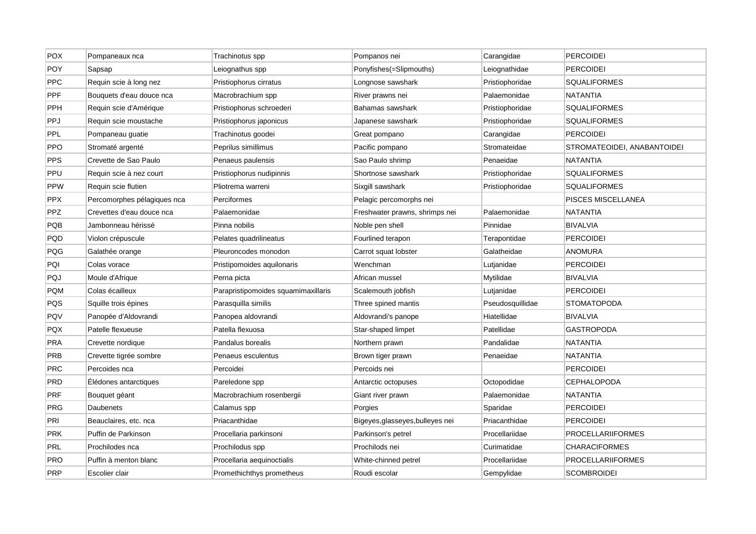| <b>POX</b> | Pompaneaux nca              | Trachinotus spp                     | Pompanos nei                     | Carangidae       | <b>PERCOIDEI</b>            |
|------------|-----------------------------|-------------------------------------|----------------------------------|------------------|-----------------------------|
| POY        | Sapsap                      | Leiognathus spp                     | Ponyfishes(=Slipmouths)          | Leiognathidae    | <b>PERCOIDEI</b>            |
| <b>PPC</b> | Requin scie à long nez      | Pristiophorus cirratus              | Longnose sawshark                | Pristiophoridae  | <b>SQUALIFORMES</b>         |
| PPF        | Bouquets d'eau douce nca    | Macrobrachium spp                   | River prawns nei                 | Palaemonidae     | NATANTIA                    |
| PPH        | Requin scie d'Amérique      | Pristiophorus schroederi            | Bahamas sawshark                 | Pristiophoridae  | <b>SQUALIFORMES</b>         |
| PPJ        | Requin scie moustache       | Pristiophorus japonicus             | Japanese sawshark                | Pristiophoridae  | <b>SQUALIFORMES</b>         |
| <b>PPL</b> | Pompaneau guatie            | Trachinotus goodei                  | Great pompano                    | Carangidae       | <b>PERCOIDEI</b>            |
| <b>PPO</b> | Stromaté argenté            | Peprilus simillimus                 | Pacific pompano                  | Stromateidae     | STROMATEOIDEI, ANABANTOIDEI |
| PPS        | Crevette de Sao Paulo       | Penaeus paulensis                   | Sao Paulo shrimp                 | Penaeidae        | NATANTIA                    |
| PPU        | Requin scie à nez court     | Pristiophorus nudipinnis            | Shortnose sawshark               | Pristiophoridae  | <b>SQUALIFORMES</b>         |
| <b>PPW</b> | Requin scie flutien         | Pliotrema warreni                   | Sixgill sawshark                 | Pristiophoridae  | <b>SQUALIFORMES</b>         |
| <b>PPX</b> | Percomorphes pélagiques nca | Perciformes                         | Pelagic percomorphs nei          |                  | PISCES MISCELLANEA          |
| <b>PPZ</b> | Crevettes d'eau douce nca   | Palaemonidae                        | Freshwater prawns, shrimps nei   | Palaemonidae     | <b>NATANTIA</b>             |
| PQB        | Jambonneau hérissé          | Pinna nobilis                       | Noble pen shell                  | Pinnidae         | BIVALVIA                    |
| PQD        | Violon crépuscule           | Pelates quadrilineatus              | Fourlined terapon                | Terapontidae     | <b>PERCOIDEI</b>            |
| PQG        | Galathée orange             | Pleuroncodes monodon                | Carrot squat lobster             | Galatheidae      | <b>ANOMURA</b>              |
| PQI        | Colas vorace                | Pristipomoides aquilonaris          | Wenchman                         | Lutjanidae       | <b>PERCOIDEI</b>            |
| PQJ        | Moule d'Afrique             | Perna picta                         | African mussel                   | Mytilidae        | <b>BIVALVIA</b>             |
| <b>PQM</b> | Colas écailleux             | Parapristipomoides squamimaxillaris | Scalemouth jobfish               | Lutjanidae       | PERCOIDEI                   |
| PQS        | Squille trois épines        | Parasquilla similis                 | Three spined mantis              | Pseudosquillidae | <b>STOMATOPODA</b>          |
| PQV        | Panopée d'Aldovrandi        | Panopea aldovrandi                  | Aldovrandi's panope              | Hiatellidae      | <b>BIVALVIA</b>             |
| <b>PQX</b> | Patelle flexueuse           | Patella flexuosa                    | Star-shaped limpet               | Patellidae       | <b>GASTROPODA</b>           |
| PRA        | Crevette nordique           | Pandalus borealis                   | Northern prawn                   | Pandalidae       | NATANTIA                    |
| <b>PRB</b> | Crevette tigrée sombre      | Penaeus esculentus                  | Brown tiger prawn                | Penaeidae        | NATANTIA                    |
| <b>PRC</b> | Percoides nca               | Percoidei                           | Percoids nei                     |                  | <b>PERCOIDEI</b>            |
| <b>PRD</b> | Elédones antarctiques       | Pareledone spp                      | Antarctic octopuses              | Octopodidae      | CEPHALOPODA                 |
| PRF        | Bouquet géant               | Macrobrachium rosenbergii           | Giant river prawn                | Palaemonidae     | NATANTIA                    |
| PRG        | <b>Daubenets</b>            | Calamus spp                         | Porgies                          | Sparidae         | <b>PERCOIDEI</b>            |
| PRI        | Beauclaires, etc. nca       | Priacanthidae                       | Bigeyes, glasseyes, bulleyes nei | Priacanthidae    | <b>PERCOIDEI</b>            |
| PRK        | Puffin de Parkinson         | Procellaria parkinsoni              | Parkinson's petrel               | Procellariidae   | PROCELLARIIFORMES           |
| PRL        | Prochilodes nca             | Prochilodus spp                     | Prochilods nei                   | Curimatidae      | <b>CHARACIFORMES</b>        |
| PRO        | Puffin à menton blanc       | Procellaria aequinoctialis          | White-chinned petrel             | Procellariidae   | <b>PROCELLARIIFORMES</b>    |
| PRP        | Escolier clair              | Promethichthys prometheus           | Roudi escolar                    | Gempylidae       | <b>SCOMBROIDEI</b>          |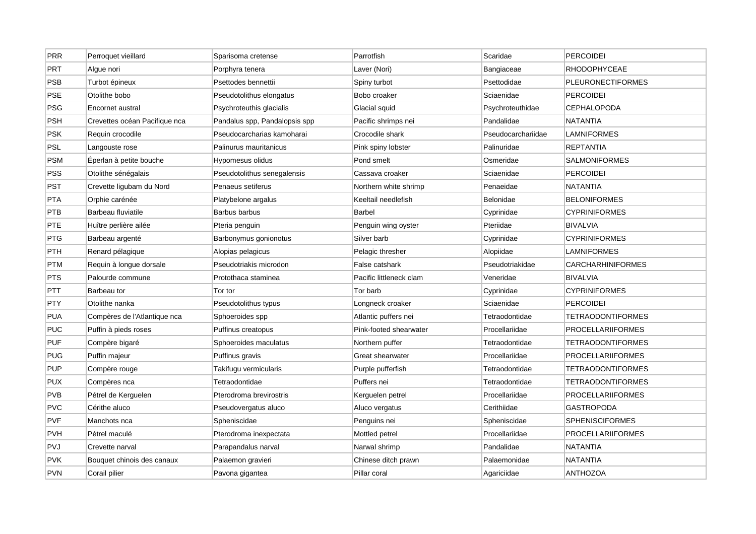| <b>PRR</b> | Perroquet vieillard           | Sparisoma cretense            | Parrotfish              | Scaridae           | PERCOIDEI                |
|------------|-------------------------------|-------------------------------|-------------------------|--------------------|--------------------------|
| <b>PRT</b> | Algue nori                    | Porphyra tenera               | Laver (Nori)            | Bangiaceae         | <b>RHODOPHYCEAE</b>      |
| <b>PSB</b> | Turbot épineux                | Psettodes bennettii           | Spiny turbot            | Psettodidae        | <b>PLEURONECTIFORMES</b> |
| PSE        | Otolithe bobo                 | Pseudotolithus elongatus      | Bobo croaker            | Sciaenidae         | PERCOIDEI                |
| <b>PSG</b> | Encornet austral              | Psychroteuthis glacialis      | Glacial squid           | Psychroteuthidae   | <b>CEPHALOPODA</b>       |
| <b>PSH</b> | Crevettes océan Pacifique nca | Pandalus spp, Pandalopsis spp | Pacific shrimps nei     | Pandalidae         | <b>NATANTIA</b>          |
| <b>PSK</b> | Requin crocodile              | Pseudocarcharias kamoharai    | Crocodile shark         | Pseudocarchariidae | LAMNIFORMES              |
| <b>PSL</b> | Langouste rose                | Palinurus mauritanicus        | Pink spiny lobster      | Palinuridae        | <b>REPTANTIA</b>         |
| <b>PSM</b> | Éperlan à petite bouche       | Hypomesus olidus              | Pond smelt              | Osmeridae          | <b>SALMONIFORMES</b>     |
| PSS        | Otolithe sénégalais           | Pseudotolithus senegalensis   | Cassava croaker         | Sciaenidae         | PERCOIDEI                |
| <b>PST</b> | Crevette ligubam du Nord      | Penaeus setiferus             | Northern white shrimp   | Penaeidae          | NATANTIA                 |
| <b>PTA</b> | Orphie carénée                | Platybelone argalus           | Keeltail needlefish     | Belonidae          | <b>BELONIFORMES</b>      |
| <b>PTB</b> | Barbeau fluviatile            | Barbus barbus                 | <b>Barbel</b>           | Cyprinidae         | <b>CYPRINIFORMES</b>     |
| PTE        | Huître perlière ailée         | Pteria penguin                | Penguin wing oyster     | Pteriidae          | <b>BIVALVIA</b>          |
| PTG        | Barbeau argenté               | Barbonymus gonionotus         | Silver barb             | Cyprinidae         | <b>CYPRINIFORMES</b>     |
| <b>PTH</b> | Renard pélagique              | Alopias pelagicus             | Pelagic thresher        | Alopiidae          | <b>LAMNIFORMES</b>       |
| <b>PTM</b> | Requin à longue dorsale       | Pseudotriakis microdon        | False catshark          | Pseudotriakidae    | <b>CARCHARHINIFORMES</b> |
| <b>PTS</b> | Palourde commune              | Protothaca staminea           | Pacific littleneck clam | Veneridae          | <b>BIVALVIA</b>          |
| <b>PTT</b> | Barbeau tor                   | Tor tor                       | Tor barb                | Cyprinidae         | <b>CYPRINIFORMES</b>     |
| <b>PTY</b> | Otolithe nanka                | Pseudotolithus typus          | Longneck croaker        | Sciaenidae         | <b>PERCOIDEI</b>         |
| <b>PUA</b> | Compères de l'Atlantique nca  | Sphoeroides spp               | Atlantic puffers nei    | Tetraodontidae     | <b>TETRAODONTIFORMES</b> |
| <b>PUC</b> | Puffin à pieds roses          | Puffinus creatopus            | Pink-footed shearwater  | Procellariidae     | <b>PROCELLARIIFORMES</b> |
| <b>PUF</b> | Compère bigaré                | Sphoeroides maculatus         | Northern puffer         | Tetraodontidae     | <b>TETRAODONTIFORMES</b> |
| <b>PUG</b> | Puffin majeur                 | Puffinus gravis               | Great shearwater        | Procellariidae     | PROCELLARIIFORMES        |
| <b>PUP</b> | Compère rouge                 | Takifugu vermicularis         | Purple pufferfish       | Tetraodontidae     | <b>TETRAODONTIFORMES</b> |
| <b>PUX</b> | Compères nca                  | Tetraodontidae                | Puffers nei             | Tetraodontidae     | TETRAODONTIFORMES        |
| <b>PVB</b> | Pétrel de Kerguelen           | Pterodroma brevirostris       | Kerguelen petrel        | Procellariidae     | <b>PROCELLARIIFORMES</b> |
| <b>PVC</b> | Cérithe aluco                 | Pseudovergatus aluco          | Aluco vergatus          | Cerithiidae        | <b>GASTROPODA</b>        |
| <b>PVF</b> | Manchots nca                  | Spheniscidae                  | Penguins nei            | Spheniscidae       | <b>SPHENISCIFORMES</b>   |
| <b>PVH</b> | Pétrel maculé                 | Pterodroma inexpectata        | Mottled petrel          | Procellariidae     | PROCELLARIIFORMES        |
| <b>PVJ</b> | Crevette narval               | Parapandalus narval           | Narwal shrimp           | Pandalidae         | <b>NATANTIA</b>          |
| <b>PVK</b> | Bouquet chinois des canaux    | Palaemon gravieri             | Chinese ditch prawn     | Palaemonidae       | NATANTIA                 |
| PVN        | Corail pilier                 | Pavona gigantea               | Pillar coral            | Agariciidae        | <b>ANTHOZOA</b>          |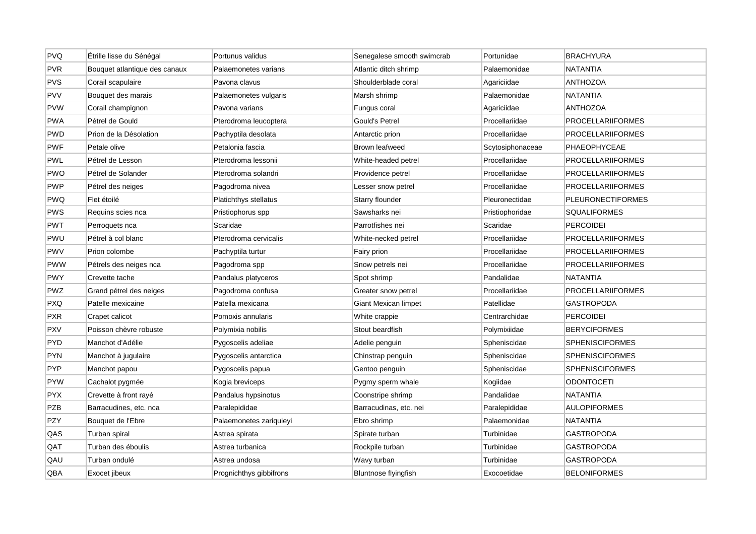| <b>PVQ</b> | Étrille lisse du Sénégal      | Portunus validus        | Senegalese smooth swimcrab  | Portunidae       | <b>BRACHYURA</b>         |
|------------|-------------------------------|-------------------------|-----------------------------|------------------|--------------------------|
| <b>PVR</b> | Bouquet atlantique des canaux | Palaemonetes varians    | Atlantic ditch shrimp       | Palaemonidae     | <b>NATANTIA</b>          |
| PVS        | Corail scapulaire             | Pavona clavus           | Shoulderblade coral         | Agariciidae      | <b>ANTHOZOA</b>          |
| <b>PVV</b> | Bouquet des marais            | Palaemonetes vulgaris   | Marsh shrimp                | Palaemonidae     | NATANTIA                 |
| <b>PVW</b> | Corail champignon             | Pavona varians          | Fungus coral                | Agariciidae      | <b>ANTHOZOA</b>          |
| <b>PWA</b> | Pétrel de Gould               | Pterodroma leucoptera   | Gould's Petrel              | Procellariidae   | <b>PROCELLARIIFORMES</b> |
| <b>PWD</b> | Prion de la Désolation        | Pachyptila desolata     | Antarctic prion             | Procellariidae   | <b>PROCELLARIIFORMES</b> |
| PWF        | Petale olive                  | Petalonia fascia        | Brown leafweed              | Scytosiphonaceae | PHAEOPHYCEAE             |
| <b>PWL</b> | Pétrel de Lesson              | Pterodroma lessonii     | White-headed petrel         | Procellariidae   | <b>PROCELLARIIFORMES</b> |
| <b>PWO</b> | Pétrel de Solander            | Pterodroma solandri     | Providence petrel           | Procellariidae   | <b>PROCELLARIIFORMES</b> |
| <b>PWP</b> | Pétrel des neiges             | Pagodroma nivea         | Lesser snow petrel          | Procellariidae   | PROCELLARIIFORMES        |
| <b>PWQ</b> | Flet étoilé                   | Platichthys stellatus   | Starry flounder             | Pleuronectidae   | <b>PLEURONECTIFORMES</b> |
| <b>PWS</b> | Requins scies nca             | Pristiophorus spp       | Sawsharks nei               | Pristiophoridae  | <b>SQUALIFORMES</b>      |
| PWT        | Perroquets nca                | Scaridae                | Parrotfishes nei            | Scaridae         | <b>PERCOIDEI</b>         |
| <b>PWU</b> | Pétrel à col blanc            | Pterodroma cervicalis   | White-necked petrel         | Procellariidae   | PROCELLARIIFORMES        |
| <b>PWV</b> | Prion colombe                 | Pachyptila turtur       | Fairy prion                 | Procellariidae   | <b>PROCELLARIIFORMES</b> |
| <b>PWW</b> | Pétrels des neiges nca        | Pagodroma spp           | Snow petrels nei            | Procellariidae   | <b>PROCELLARIIFORMES</b> |
| <b>PWY</b> | Crevette tache                | Pandalus platyceros     | Spot shrimp                 | Pandalidae       | NATANTIA                 |
| <b>PWZ</b> | Grand pétrel des neiges       | Pagodroma confusa       | Greater snow petrel         | Procellariidae   | PROCELLARIIFORMES        |
| <b>PXQ</b> | Patelle mexicaine             | Patella mexicana        | Giant Mexican limpet        | Patellidae       | GASTROPODA               |
| <b>PXR</b> | Crapet calicot                | Pomoxis annularis       | White crappie               | Centrarchidae    | <b>PERCOIDEI</b>         |
| <b>PXV</b> | Poisson chèvre robuste        | Polymixia nobilis       | Stout beardfish             | Polymixiidae     | <b>BERYCIFORMES</b>      |
| <b>PYD</b> | Manchot d'Adélie              | Pygoscelis adeliae      | Adelie penguin              | Spheniscidae     | <b>SPHENISCIFORMES</b>   |
| <b>PYN</b> | Manchot à jugulaire           | Pygoscelis antarctica   | Chinstrap penguin           | Spheniscidae     | <b>SPHENISCIFORMES</b>   |
| <b>PYP</b> | Manchot papou                 | Pygoscelis papua        | Gentoo penguin              | Spheniscidae     | <b>SPHENISCIFORMES</b>   |
| <b>PYW</b> | Cachalot pygmée               | Kogia breviceps         | Pygmy sperm whale           | Kogiidae         | <b>ODONTOCETI</b>        |
| <b>PYX</b> | Crevette à front rayé         | Pandalus hypsinotus     | Coonstripe shrimp           | Pandalidae       | NATANTIA                 |
| <b>PZB</b> | Barracudines, etc. nca        | Paralepididae           | Barracudinas, etc. nei      | Paralepididae    | <b>AULOPIFORMES</b>      |
| PZY        | Bouquet de l'Ebre             | Palaemonetes zariquieyi | Ebro shrimp                 | Palaemonidae     | <b>NATANTIA</b>          |
| QAS        | Turban spiral                 | Astrea spirata          | Spirate turban              | Turbinidae       | GASTROPODA               |
| QAT        | Turban des éboulis            | Astrea turbanica        | Rockpile turban             | Turbinidae       | <b>GASTROPODA</b>        |
| QAU        | Turban ondulé                 | Astrea undosa           | Wavy turban                 | Turbinidae       | GASTROPODA               |
| QBA        | Exocet jibeux                 | Prognichthys gibbifrons | <b>Bluntnose flyingfish</b> | Exocoetidae      | <b>BELONIFORMES</b>      |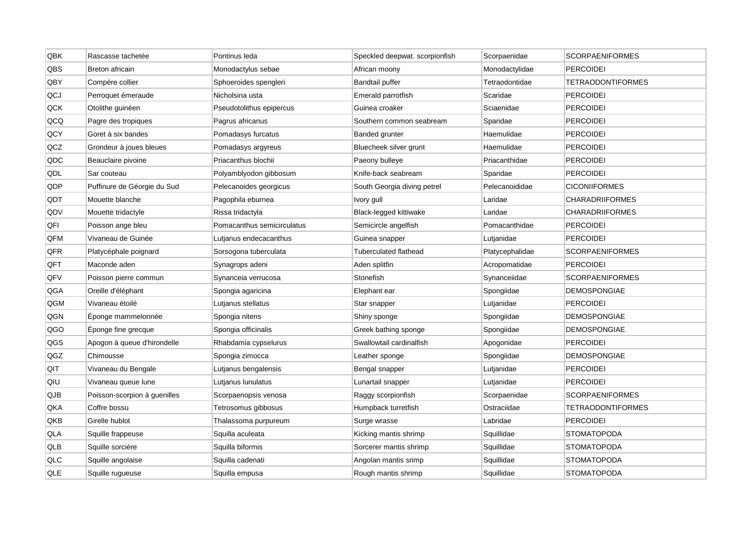| QBK        | Rascasse tachetée            | Pontinus leda              | Speckled deepwat. scorpionfish | Scorpaenidae    | <b>SCORPAENIFORMES</b>   |
|------------|------------------------------|----------------------------|--------------------------------|-----------------|--------------------------|
| QBS        | Breton africain              | Monodactylus sebae         | African moony                  | Monodactylidae  | <b>PERCOIDEI</b>         |
| QBY        | Compère collier              | Sphoeroides spengleri      | <b>Bandtail puffer</b>         | Tetraodontidae  | <b>TETRAODONTIFORMES</b> |
| QCJ        | Perroquet émeraude           | Nicholsina usta            | Emerald parrotfish             | Scaridae        | <b>PERCOIDEI</b>         |
| QCK        | Otolithe guinéen             | Pseudotolithus epipercus   | Guinea croaker                 | Sciaenidae      | <b>PERCOIDEI</b>         |
| QCQ        | Pagre des tropiques          | Pagrus africanus           | Southern common seabream       | Sparidae        | <b>PERCOIDEI</b>         |
| <b>QCY</b> | Goret à six bandes           | Pomadasys furcatus         | Banded grunter                 | Haemulidae      | <b>PERCOIDEI</b>         |
| QCZ        | Grondeur à joues bleues      | Pomadasys argyreus         | Bluecheek silver grunt         | Haemulidae      | <b>PERCOIDEI</b>         |
| QDC        | Beauclaire pivoine           | Priacanthus blochii        | Paeony bulleye                 | Priacanthidae   | <b>PERCOIDEI</b>         |
| QDL        | Sar couteau                  | Polyamblyodon gibbosum     | Knife-back seabream            | Sparidae        | <b>PERCOIDEI</b>         |
| QDP        | Puffinure de Géorgie du Sud  | Pelecanoides georgicus     | South Georgia diving petrel    | Pelecanoididae  | <b>CICONIIFORMES</b>     |
| QDT        | Mouette blanche              | Pagophila eburnea          | Ivory gull                     | Laridae         | <b>CHARADRIIFORMES</b>   |
| QDV        | Mouette tridactyle           | Rissa tridactyla           | Black-legged kittiwake         | Laridae         | <b>CHARADRIIFORMES</b>   |
| QFI        | Poisson ange bleu            | Pomacanthus semicirculatus | Semicircle angelfish           | Pomacanthidae   | PERCOIDEI                |
| QFM        | Vivaneau de Guinée           | Lutjanus endecacanthus     | Guinea snapper                 | Lutjanidae      | <b>PERCOIDEI</b>         |
| QFR        | Platycéphale poignard        | Sorsogona tuberculata      | Tuberculated flathead          | Platycephalidae | <b>SCORPAENIFORMES</b>   |
| QFT        | Maconde aden                 | Synagrops adeni            | Aden splitfin                  | Acropomatidae   | <b>PERCOIDEI</b>         |
| QFV        | Poisson pierre commun        | Synanceia verrucosa        | Stonefish                      | Synanceiidae    | <b>SCORPAENIFORMES</b>   |
| QGA        | Oreille d'éléphant           | Spongia agaricina          | Elephant ear                   | Spongiidae      | <b>DEMOSPONGIAE</b>      |
| QGM        | Vivaneau étoilé              | Lutjanus stellatus         | Star snapper                   | Lutjanidae      | <b>PERCOIDEI</b>         |
| QGN        | Eponge mammelonnée           | Spongia nitens             | Shiny sponge                   | Spongiidae      | <b>DEMOSPONGIAE</b>      |
| QGO        | Eponge fine grecque          | Spongia officinalis        | Greek bathing sponge           | Spongiidae      | <b>DEMOSPONGIAE</b>      |
| QGS        | Apogon à queue d'hirondelle  | Rhabdamia cypselurus       | Swallowtail cardinalfish       | Apogonidae      | <b>PERCOIDEI</b>         |
| QGZ        | Chimousse                    | Spongia zimocca            | Leather sponge                 | Spongiidae      | <b>DEMOSPONGIAE</b>      |
| QIT        | Vivaneau du Bengale          | Lutjanus bengalensis       | Bengal snapper                 | Lutjanidae      | <b>PERCOIDEI</b>         |
| QIU        | Vivaneau queue lune          | Lutjanus lunulatus         | Lunartail snapper              | Lutjanidae      | <b>PERCOIDEI</b>         |
| QJB        | Poisson-scorpion à guenilles | Scorpaenopsis venosa       | Raggy scorpionfish             | Scorpaenidae    | <b>SCORPAENIFORMES</b>   |
| QKA        | Coffre bossu                 | Tetrosomus gibbosus        | Humpback turretfish            | Ostraciidae     | <b>TETRAODONTIFORMES</b> |
| QKB        | Girelle hublot               | Thalassoma purpureum       | Surge wrasse                   | Labridae        | <b>PERCOIDEI</b>         |
| QLA        | Squille frappeuse            | Squilla aculeata           | Kicking mantis shrimp          | Squillidae      | <b>STOMATOPODA</b>       |
| QLB        | Squille sorcière             | Squilla biformis           | Sorcerer mantis shrimp         | Squillidae      | <b>STOMATOPODA</b>       |
| QLC        | Squille angolaise            | Squilla cadenati           | Angolan mantis srimp           | Squillidae      | <b>STOMATOPODA</b>       |
| QLE        | Squille rugueuse             | Squilla empusa             | Rough mantis shrimp            | Squillidae      | <b>STOMATOPODA</b>       |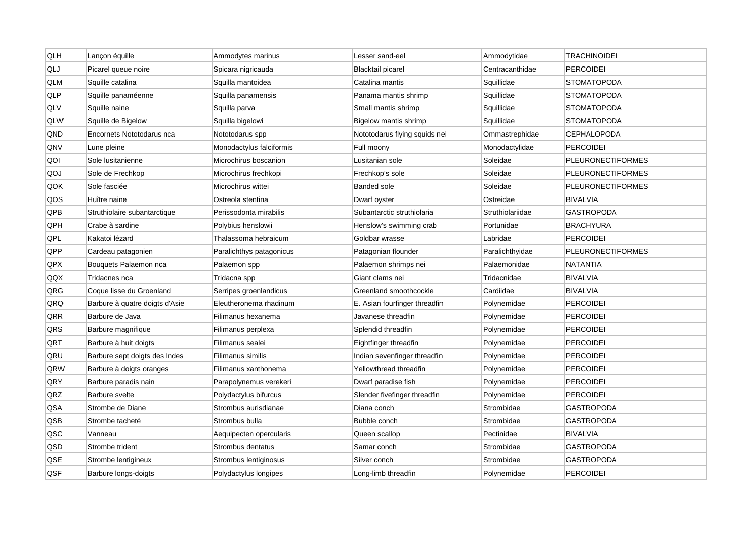| QLH | Lançon équille                 | Ammodytes marinus        | Lesser sand-eel               | Ammodytidae      | <b>TRACHINOIDEI</b>      |
|-----|--------------------------------|--------------------------|-------------------------------|------------------|--------------------------|
| QLJ | Picarel queue noire            | Spicara nigricauda       | <b>Blacktail picarel</b>      | Centracanthidae  | <b>PERCOIDEI</b>         |
| QLM | Squille catalina               | Squilla mantoidea        | Catalina mantis               | Squillidae       | <b>STOMATOPODA</b>       |
| QLP | Squille panaméenne             | Squilla panamensis       | Panama mantis shrimp          | Squillidae       | <b>STOMATOPODA</b>       |
| QLV | Squille naine                  | Squilla parva            | Small mantis shrimp           | Squillidae       | <b>STOMATOPODA</b>       |
| QLW | Squille de Bigelow             | Squilla bigelowi         | Bigelow mantis shrimp         | Squillidae       | <b>STOMATOPODA</b>       |
| QND | Encornets Nototodarus nca      | Nototodarus spp          | Nototodarus flying squids nei | Ommastrephidae   | <b>CEPHALOPODA</b>       |
| QNV | Lune pleine                    | Monodactylus falciformis | Full moony                    | Monodactylidae   | PERCOIDEI                |
| QOI | Sole lusitanienne              | Microchirus boscanion    | Lusitanian sole               | Soleidae         | <b>PLEURONECTIFORMES</b> |
| QOJ | Sole de Frechkop               | Microchirus frechkopi    | Frechkop's sole               | Soleidae         | <b>PLEURONECTIFORMES</b> |
| QOK | Sole fasciée                   | Microchirus wittei       | <b>Banded sole</b>            | Soleidae         | <b>PLEURONECTIFORMES</b> |
| QOS | Huître naine                   | Ostreola stentina        | Dwarf oyster                  | Ostreidae        | <b>BIVALVIA</b>          |
| QPB | Struthiolaire subantarctique   | Perissodonta mirabilis   | Subantarctic struthiolaria    | Struthiolariidae | <b>GASTROPODA</b>        |
| QPH | Crabe à sardine                | Polybius henslowii       | Henslow's swimming crab       | Portunidae       | <b>BRACHYURA</b>         |
| QPL | Kakatoi lézard                 | Thalassoma hebraicum     | Goldbar wrasse                | Labridae         | PERCOIDEI                |
| QPP | Cardeau patagonien             | Paralichthys patagonicus | Patagonian flounder           | Paralichthyidae  | <b>PLEURONECTIFORMES</b> |
| QPX | Bouquets Palaemon nca          | Palaemon spp             | Palaemon shrimps nei          | Palaemonidae     | <b>NATANTIA</b>          |
| QQX | Tridacnes nca                  | Tridacna spp             | Giant clams nei               | Tridacnidae      | <b>BIVALVIA</b>          |
| QRG | Coque lisse du Groenland       | Serripes groenlandicus   | Greenland smoothcockle        | Cardiidae        | <b>BIVALVIA</b>          |
| QRQ | Barbure à quatre doigts d'Asie | Eleutheronema rhadinum   | E. Asian fourfinger threadfin | Polynemidae      | <b>PERCOIDEI</b>         |
| QRR | Barbure de Java                | Filimanus hexanema       | Javanese threadfin            | Polynemidae      | <b>PERCOIDEI</b>         |
| QRS | Barbure magnifique             | Filimanus perplexa       | Splendid threadfin            | Polynemidae      | <b>PERCOIDEI</b>         |
| QRT | Barbure à huit doigts          | Filimanus sealei         | Eightfinger threadfin         | Polynemidae      | <b>PERCOIDEI</b>         |
| QRU | Barbure sept doigts des Indes  | <b>Filimanus similis</b> | Indian sevenfinger threadfin  | Polynemidae      | <b>PERCOIDEI</b>         |
| QRW | Barbure à doigts oranges       | Filimanus xanthonema     | Yellowthread threadfin        | Polynemidae      | PERCOIDEI                |
| QRY | Barbure paradis nain           | Parapolynemus verekeri   | Dwarf paradise fish           | Polynemidae      | <b>PERCOIDEI</b>         |
| QRZ | Barbure svelte                 | Polydactylus bifurcus    | Slender fivefinger threadfin  | Polynemidae      | <b>PERCOIDEI</b>         |
| QSA | Strombe de Diane               | Strombus aurisdianae     | Diana conch                   | Strombidae       | <b>GASTROPODA</b>        |
| QSB | Strombe tacheté                | Strombus bulla           | Bubble conch                  | Strombidae       | <b>GASTROPODA</b>        |
| QSC | Vanneau                        | Aequipecten opercularis  | Queen scallop                 | Pectinidae       | <b>BIVALVIA</b>          |
| QSD | Strombe trident                | Strombus dentatus        | Samar conch                   | Strombidae       | <b>GASTROPODA</b>        |
| QSE | Strombe lentigineux            | Strombus lentiginosus    | Silver conch                  | Strombidae       | GASTROPODA               |
| QSF | Barbure longs-doigts           | Polydactylus longipes    | Long-limb threadfin           | Polynemidae      | <b>PERCOIDEI</b>         |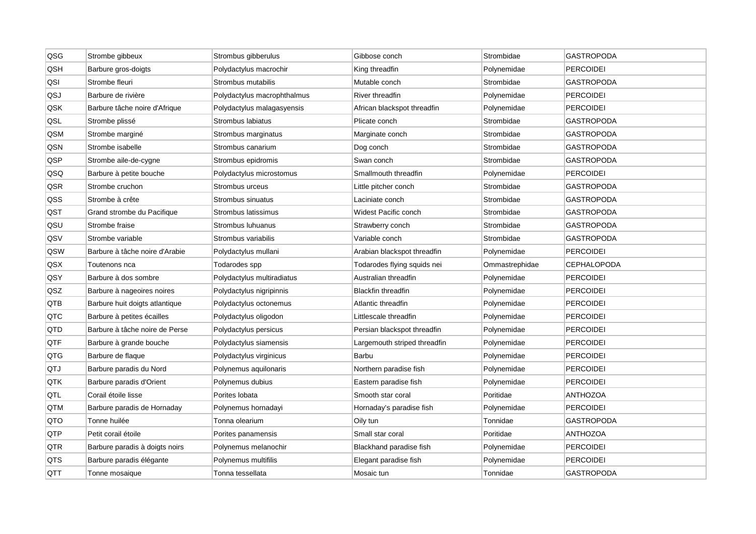| QSG | Strombe gibbeux                | Strombus gibberulus         | Gibbose conch                | Strombidae     | <b>GASTROPODA</b>  |
|-----|--------------------------------|-----------------------------|------------------------------|----------------|--------------------|
| QSH | Barbure gros-doigts            | Polydactylus macrochir      | King threadfin               | Polynemidae    | <b>PERCOIDEI</b>   |
| QSI | Strombe fleuri                 | Strombus mutabilis          | Mutable conch                | Strombidae     | GASTROPODA         |
| QSJ | Barbure de rivière             | Polydactylus macrophthalmus | <b>River threadfin</b>       | Polynemidae    | <b>PERCOIDEI</b>   |
| QSK | Barbure tâche noire d'Afrique  | Polydactylus malagasyensis  | African blackspot threadfin  | Polynemidae    | <b>PERCOIDEI</b>   |
| QSL | Strombe plissé                 | Strombus labiatus           | Plicate conch                | Strombidae     | <b>GASTROPODA</b>  |
| QSM | Strombe marginé                | Strombus marginatus         | Marginate conch              | Strombidae     | GASTROPODA         |
| QSN | Strombe isabelle               | Strombus canarium           | Dog conch                    | Strombidae     | GASTROPODA         |
| QSP | Strombe aile-de-cygne          | Strombus epidromis          | Swan conch                   | Strombidae     | <b>GASTROPODA</b>  |
| QSQ | Barbure à petite bouche        | Polydactylus microstomus    | Smallmouth threadfin         | Polynemidae    | PERCOIDEI          |
| QSR | Strombe cruchon                | Strombus urceus             | Little pitcher conch         | Strombidae     | <b>GASTROPODA</b>  |
| QSS | Strombe à crête                | Strombus sinuatus           | Laciniate conch              | Strombidae     | GASTROPODA         |
| QST | Grand strombe du Pacifique     | Strombus latissimus         | Widest Pacific conch         | Strombidae     | <b>GASTROPODA</b>  |
| QSU | Strombe fraise                 | Strombus Iuhuanus           | Strawberry conch             | Strombidae     | <b>GASTROPODA</b>  |
| QSV | Strombe variable               | Strombus variabilis         | Variable conch               | Strombidae     | GASTROPODA         |
| QSW | Barbure à tâche noire d'Arabie | Polydactylus mullani        | Arabian blackspot threadfin  | Polynemidae    | <b>PERCOIDEI</b>   |
| QSX | Toutenons nca                  | Todarodes spp               | Todarodes flying squids nei  | Ommastrephidae | <b>CEPHALOPODA</b> |
| QSY | Barbure à dos sombre           | Polydactylus multiradiatus  | Australian threadfin         | Polynemidae    | <b>PERCOIDEI</b>   |
| QSZ | Barbure à nageoires noires     | Polydactylus nigripinnis    | <b>Blackfin threadfin</b>    | Polynemidae    | PERCOIDEI          |
| QTB | Barbure huit doigts atlantique | Polydactylus octonemus      | Atlantic threadfin           | Polynemidae    | <b>PERCOIDEI</b>   |
| QTC | Barbure à petites écailles     | Polydactylus oligodon       | Littlescale threadfin        | Polynemidae    | <b>PERCOIDEI</b>   |
| QTD | Barbure à tâche noire de Perse | Polydactylus persicus       | Persian blackspot threadfin  | Polynemidae    | <b>PERCOIDEI</b>   |
| QTF | Barbure à grande bouche        | Polydactylus siamensis      | Largemouth striped threadfin | Polynemidae    | <b>PERCOIDEI</b>   |
| QTG | Barbure de flaque              | Polydactylus virginicus     | Barbu                        | Polynemidae    | <b>PERCOIDEI</b>   |
| QTJ | Barbure paradis du Nord        | Polynemus aquilonaris       | Northern paradise fish       | Polynemidae    | <b>PERCOIDEI</b>   |
| QTK | Barbure paradis d'Orient       | Polynemus dubius            | Eastern paradise fish        | Polynemidae    | PERCOIDEI          |
| QTL | Corail étoile lisse            | Porites lobata              | Smooth star coral            | Poritidae      | <b>ANTHOZOA</b>    |
| QTM | Barbure paradis de Hornaday    | Polynemus hornadayi         | Hornaday's paradise fish     | Polynemidae    | <b>PERCOIDEI</b>   |
| QTO | Tonne huilée                   | Tonna olearium              | Oily tun                     | Tonnidae       | <b>GASTROPODA</b>  |
| QTP | Petit corail étoile            | Porites panamensis          | Small star coral             | Poritidae      | <b>ANTHOZOA</b>    |
| QTR | Barbure paradis à doigts noirs | Polynemus melanochir        | Blackhand paradise fish      | Polynemidae    | <b>PERCOIDEI</b>   |
| QTS | Barbure paradis élégante       | Polynemus multifilis        | Elegant paradise fish        | Polynemidae    | <b>PERCOIDEI</b>   |
| QTT | Tonne mosaique                 | Tonna tessellata            | Mosaic tun                   | Tonnidae       | GASTROPODA         |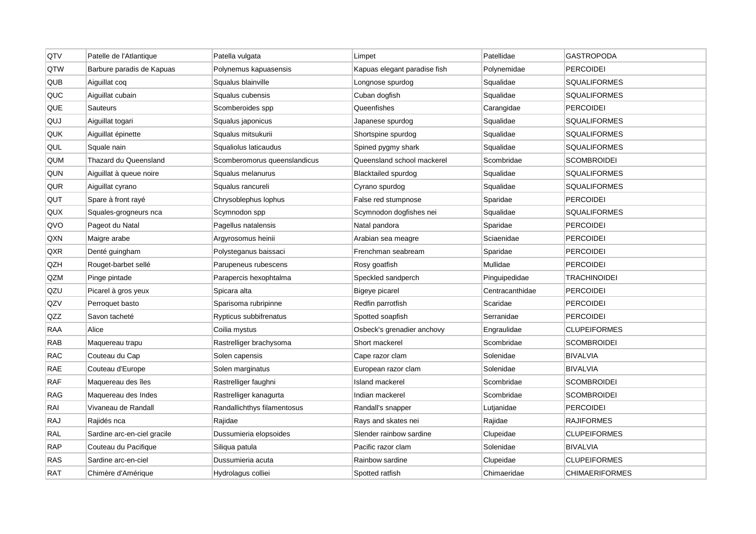| QTV        | Patelle de l'Atlantique     | Patella vulgata              | Limpet                       | Patellidae      | <b>GASTROPODA</b>     |
|------------|-----------------------------|------------------------------|------------------------------|-----------------|-----------------------|
| QTW        | Barbure paradis de Kapuas   | Polynemus kapuasensis        | Kapuas elegant paradise fish | Polynemidae     | <b>PERCOIDEI</b>      |
| QUB        | Aiguillat coq               | Squalus blainville           | Longnose spurdog             | Squalidae       | <b>SQUALIFORMES</b>   |
| QUC        | Aiguillat cubain            | Squalus cubensis             | Cuban dogfish                | Squalidae       | <b>SQUALIFORMES</b>   |
| QUE        | Sauteurs                    | Scomberoides spp             | Queenfishes                  | Carangidae      | <b>PERCOIDEI</b>      |
| QUJ        | Aiguillat togari            | Squalus japonicus            | Japanese spurdog             | Squalidae       | <b>SQUALIFORMES</b>   |
| QUK        | Aiguillat épinette          | Squalus mitsukurii           | Shortspine spurdog           | Squalidae       | <b>SQUALIFORMES</b>   |
| QUL        | Squale nain                 | Squaliolus laticaudus        | Spined pygmy shark           | Squalidae       | SQUALIFORMES          |
| QUM        | Thazard du Queensland       | Scomberomorus queenslandicus | Queensland school mackerel   | Scombridae      | <b>SCOMBROIDEI</b>    |
| QUN        | Aiguillat à queue noire     | Squalus melanurus            | <b>Blacktailed spurdog</b>   | Squalidae       | <b>SQUALIFORMES</b>   |
| QUR        | Aiguillat cyrano            | Squalus rancureli            | Cyrano spurdog               | Squalidae       | <b>SQUALIFORMES</b>   |
| QUT        | Spare à front rayé          | Chrysoblephus lophus         | False red stumpnose          | Sparidae        | <b>PERCOIDEI</b>      |
| QUX        | Squales-grogneurs nca       | Scymnodon spp                | Scymnodon dogfishes nei      | Squalidae       | <b>SQUALIFORMES</b>   |
| QVO        | Pageot du Natal             | Pagellus natalensis          | Natal pandora                | Sparidae        | <b>PERCOIDEI</b>      |
| QXN        | Maigre arabe                | Argyrosomus heinii           | Arabian sea meagre           | Sciaenidae      | <b>PERCOIDEI</b>      |
| QXR        | Denté guingham              | Polysteganus baissaci        | Frenchman seabream           | Sparidae        | PERCOIDEI             |
| QZH        | Rouget-barbet sellé         | Parupeneus rubescens         | Rosy goatfish                | Mullidae        | <b>PERCOIDEI</b>      |
| QZM        | Pinge pintade               | Parapercis hexophtalma       | Speckled sandperch           | Pinguipedidae   | <b>TRACHINOIDEI</b>   |
| QZU        | Picarel à gros yeux         | Spicara alta                 | Bigeye picarel               | Centracanthidae | PERCOIDEI             |
| QZV        | Perroquet basto             | Sparisoma rubripinne         | Redfin parrotfish            | Scaridae        | <b>PERCOIDEI</b>      |
| QZZ        | Savon tacheté               | Rypticus subbifrenatus       | Spotted soapfish             | Serranidae      | <b>PERCOIDEI</b>      |
| RAA        | Alice                       | Coilia mystus                | Osbeck's grenadier anchovy   | Engraulidae     | <b>CLUPEIFORMES</b>   |
| RAB        | Maquereau trapu             | Rastrelliger brachysoma      | Short mackerel               | Scombridae      | <b>SCOMBROIDEI</b>    |
| <b>RAC</b> | Couteau du Cap              | Solen capensis               | Cape razor clam              | Solenidae       | BIVALVIA              |
| RAE        | Couteau d'Europe            | Solen marginatus             | European razor clam          | Solenidae       | <b>BIVALVIA</b>       |
| <b>RAF</b> | Maquereau des îles          | Rastrelliger faughni         | Island mackerel              | Scombridae      | <b>SCOMBROIDEI</b>    |
| RAG        | Maquereau des Indes         | Rastrelliger kanagurta       | Indian mackerel              | Scombridae      | <b>SCOMBROIDEI</b>    |
| RAI        | Vivaneau de Randall         | Randallichthys filamentosus  | Randall's snapper            | Lutjanidae      | <b>PERCOIDEI</b>      |
| <b>RAJ</b> | Rajidés nca                 | Rajidae                      | Rays and skates nei          | Rajidae         | <b>RAJIFORMES</b>     |
| RAL        | Sardine arc-en-ciel gracile | Dussumieria elopsoides       | Slender rainbow sardine      | Clupeidae       | <b>CLUPEIFORMES</b>   |
| <b>RAP</b> | Couteau du Pacifique        | Siliqua patula               | Pacific razor clam           | Solenidae       | <b>BIVALVIA</b>       |
| RAS        | Sardine arc-en-ciel         | Dussumieria acuta            | Rainbow sardine              | Clupeidae       | <b>CLUPEIFORMES</b>   |
| <b>RAT</b> | Chimère d'Amérique          | Hydrolagus colliei           | Spotted ratfish              | Chimaeridae     | <b>CHIMAERIFORMES</b> |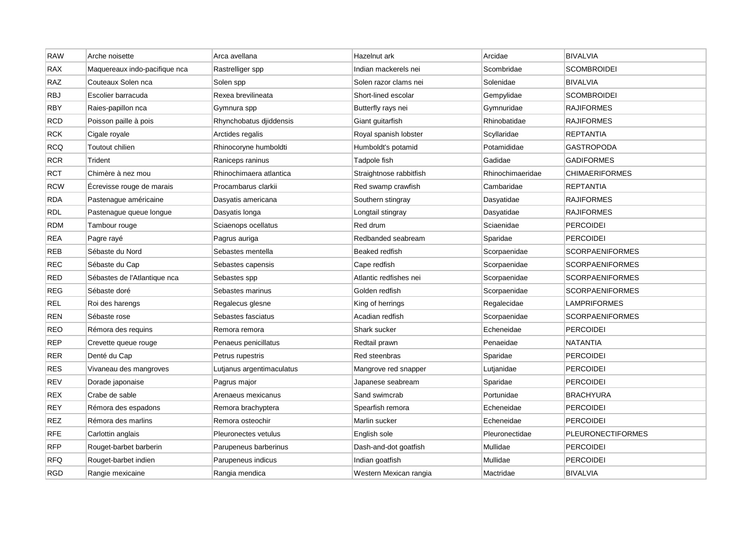| <b>RAW</b> | Arche noisette                | Arca avellana             | Hazelnut ark            | Arcidae          | <b>BIVALVIA</b>          |
|------------|-------------------------------|---------------------------|-------------------------|------------------|--------------------------|
| <b>RAX</b> | Maquereaux indo-pacifique nca | Rastrelliger spp          | Indian mackerels nei    | Scombridae       | <b>SCOMBROIDEI</b>       |
| <b>RAZ</b> | Couteaux Solen nca            | Solen spp                 | Solen razor clams nei   | Solenidae        | <b>BIVALVIA</b>          |
| <b>RBJ</b> | Escolier barracuda            | Rexea brevilineata        | Short-lined escolar     | Gempylidae       | <b>SCOMBROIDEI</b>       |
| <b>RBY</b> | Raies-papillon nca            | Gymnura spp               | Butterfly rays nei      | Gymnuridae       | <b>RAJIFORMES</b>        |
| <b>RCD</b> | Poisson paille à pois         | Rhynchobatus djiddensis   | Giant guitarfish        | Rhinobatidae     | <b>RAJIFORMES</b>        |
| <b>RCK</b> | Cigale royale                 | Arctides regalis          | Royal spanish lobster   | Scyllaridae      | REPTANTIA                |
| <b>RCQ</b> | Toutout chilien               | Rhinocoryne humboldti     | Humboldt's potamid      | Potamididae      | <b>GASTROPODA</b>        |
| <b>RCR</b> | Trident                       | Raniceps raninus          | Tadpole fish            | Gadidae          | <b>GADIFORMES</b>        |
| <b>RCT</b> | Chimère à nez mou             | Rhinochimaera atlantica   | Straightnose rabbitfish | Rhinochimaeridae | <b>CHIMAERIFORMES</b>    |
| <b>RCW</b> | Ecrevisse rouge de marais     | Procambarus clarkii       | Red swamp crawfish      | Cambaridae       | <b>REPTANTIA</b>         |
| <b>RDA</b> | Pastenague américaine         | Dasyatis americana        | Southern stingray       | Dasyatidae       | <b>RAJIFORMES</b>        |
| <b>RDL</b> | Pastenague queue longue       | Dasyatis longa            | Longtail stingray       | Dasyatidae       | <b>RAJIFORMES</b>        |
| <b>RDM</b> | Tambour rouge                 | Sciaenops ocellatus       | Red drum                | Sciaenidae       | <b>PERCOIDEI</b>         |
| <b>REA</b> | Pagre rayé                    | Pagrus auriga             | Redbanded seabream      | Sparidae         | <b>PERCOIDEI</b>         |
| <b>REB</b> | Sébaste du Nord               | Sebastes mentella         | Beaked redfish          | Scorpaenidae     | <b>SCORPAENIFORMES</b>   |
| <b>REC</b> | Sébaste du Cap                | Sebastes capensis         | Cape redfish            | Scorpaenidae     | <b>SCORPAENIFORMES</b>   |
| <b>RED</b> | Sébastes de l'Atlantique nca  | Sebastes spp              | Atlantic redfishes nei  | Scorpaenidae     | <b>SCORPAENIFORMES</b>   |
| <b>REG</b> | Sébaste doré                  | Sebastes marinus          | Golden redfish          | Scorpaenidae     | SCORPAENIFORMES          |
| <b>REL</b> | Roi des harengs               | Regalecus glesne          | King of herrings        | Regalecidae      | <b>LAMPRIFORMES</b>      |
| <b>REN</b> | Sébaste rose                  | Sebastes fasciatus        | Acadian redfish         | Scorpaenidae     | <b>SCORPAENIFORMES</b>   |
| <b>REO</b> | Rémora des requins            | Remora remora             | Shark sucker            | Echeneidae       | <b>PERCOIDEI</b>         |
| <b>REP</b> | Crevette queue rouge          | Penaeus penicillatus      | Redtail prawn           | Penaeidae        | <b>NATANTIA</b>          |
| <b>RER</b> | Denté du Cap                  | Petrus rupestris          | Red steenbras           | Sparidae         | <b>PERCOIDEI</b>         |
| <b>RES</b> | Vivaneau des mangroves        | Lutjanus argentimaculatus | Mangrove red snapper    | Lutjanidae       | <b>PERCOIDEI</b>         |
| <b>REV</b> | Dorade japonaise              | Pagrus major              | Japanese seabream       | Sparidae         | <b>PERCOIDEI</b>         |
| <b>REX</b> | Crabe de sable                | Arenaeus mexicanus        | Sand swimcrab           | Portunidae       | <b>BRACHYURA</b>         |
| <b>REY</b> | Rémora des espadons           | Remora brachyptera        | Spearfish remora        | Echeneidae       | <b>PERCOIDEI</b>         |
| <b>REZ</b> | Rémora des marlins            | Remora osteochir          | Marlin sucker           | Echeneidae       | <b>PERCOIDEI</b>         |
| <b>RFE</b> | Carlottin anglais             | Pleuronectes vetulus      | English sole            | Pleuronectidae   | <b>PLEURONECTIFORMES</b> |
| <b>RFP</b> | Rouget-barbet barberin        | Parupeneus barberinus     | Dash-and-dot goatfish   | Mullidae         | <b>PERCOIDEI</b>         |
| <b>RFQ</b> | Rouget-barbet indien          | Parupeneus indicus        | Indian goatfish         | Mullidae         | <b>PERCOIDEI</b>         |
| <b>RGD</b> | Rangie mexicaine              | Rangia mendica            | Western Mexican rangia  | Mactridae        | <b>BIVALVIA</b>          |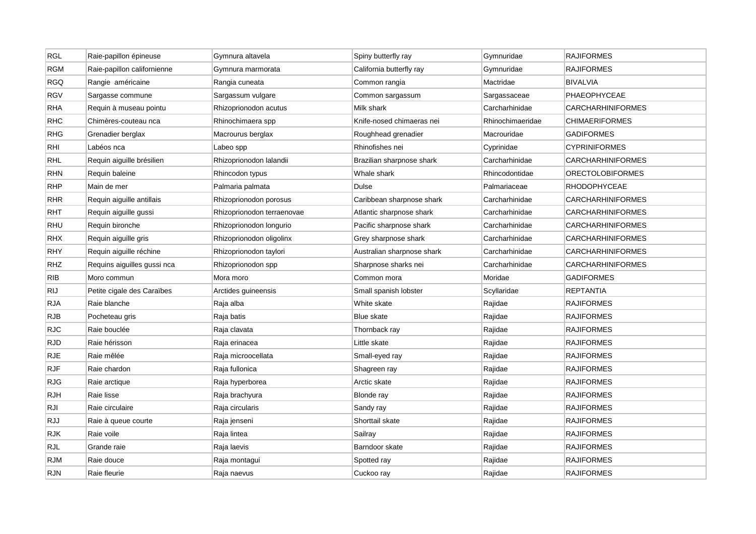| <b>RGL</b> | Raie-papillon épineuse      | Gymnura altavela           | Spiny butterfly ray        | Gymnuridae       | <b>RAJIFORMES</b>        |
|------------|-----------------------------|----------------------------|----------------------------|------------------|--------------------------|
| RGM        | Raie-papillon californienne | Gymnura marmorata          | California butterfly ray   | Gymnuridae       | <b>RAJIFORMES</b>        |
| <b>RGQ</b> | Rangie américaine           | Rangia cuneata             | Common rangia              | Mactridae        | <b>BIVALVIA</b>          |
| <b>RGV</b> | Sargasse commune            | Sargassum vulgare          | Common sargassum           | Sargassaceae     | PHAEOPHYCEAE             |
| RHA        | Requin à museau pointu      | Rhizoprionodon acutus      | Milk shark                 | Carcharhinidae   | <b>CARCHARHINIFORMES</b> |
| RHC        | Chimères-couteau nca        | Rhinochimaera spp          | Knife-nosed chimaeras nei  | Rhinochimaeridae | <b>CHIMAERIFORMES</b>    |
| <b>RHG</b> | Grenadier berglax           | Macrourus berglax          | Roughhead grenadier        | Macrouridae      | <b>GADIFORMES</b>        |
| rhi        | Labéos nca                  | Labeo spp                  | Rhinofishes nei            | Cyprinidae       | <b>CYPRINIFORMES</b>     |
| RHL        | Requin aiguille brésilien   | Rhizoprionodon lalandii    | Brazilian sharpnose shark  | Carcharhinidae   | <b>CARCHARHINIFORMES</b> |
| RHN        | Requin baleine              | Rhincodon typus            | Whale shark                | Rhincodontidae   | <b>ORECTOLOBIFORMES</b>  |
| RHP        | Main de mer                 | Palmaria palmata           | Dulse                      | Palmariaceae     | <b>RHODOPHYCEAE</b>      |
| RHR        | Requin aiguille antillais   | Rhizoprionodon porosus     | Caribbean sharpnose shark  | Carcharhinidae   | CARCHARHINIFORMES        |
| <b>RHT</b> | Requin aiguille gussi       | Rhizoprionodon terraenovae | Atlantic sharpnose shark   | Carcharhinidae   | <b>CARCHARHINIFORMES</b> |
| RHU        | Requin bironche             | Rhizoprionodon longurio    | Pacific sharpnose shark    | Carcharhinidae   | <b>CARCHARHINIFORMES</b> |
| <b>RHX</b> | Requin aiguille gris        | Rhizoprionodon oligolinx   | Grey sharpnose shark       | Carcharhinidae   | CARCHARHINIFORMES        |
| RHY        | Requin aiguille réchine     | Rhizoprionodon taylori     | Australian sharpnose shark | Carcharhinidae   | <b>CARCHARHINIFORMES</b> |
| RHZ        | Requins aiguilles gussi nca | Rhizoprionodon spp         | Sharpnose sharks nei       | Carcharhinidae   | CARCHARHINIFORMES        |
| <b>RIB</b> | Moro commun                 | Mora moro                  | Common mora                | Moridae          | <b>GADIFORMES</b>        |
| <b>RIJ</b> | Petite cigale des Caraïbes  | Arctides guineensis        | Small spanish lobster      | Scyllaridae      | REPTANTIA                |
| <b>RJA</b> | Raie blanche                | Raja alba                  | White skate                | Rajidae          | <b>RAJIFORMES</b>        |
| <b>RJB</b> | Pocheteau gris              | Raja batis                 | <b>Blue skate</b>          | Rajidae          | <b>RAJIFORMES</b>        |
| RJC        | Raie bouclée                | Raja clavata               | Thornback ray              | Rajidae          | <b>RAJIFORMES</b>        |
| RJD        | Raie hérisson               | Raja erinacea              | Little skate               | Rajidae          | <b>RAJIFORMES</b>        |
| RJE        | Raie mêlée                  | Raja microocellata         | Small-eyed ray             | Rajidae          | <b>RAJIFORMES</b>        |
| RJF        | Raie chardon                | Raja fullonica             | Shagreen ray               | Rajidae          | <b>RAJIFORMES</b>        |
| <b>RJG</b> | Raie arctique               | Raja hyperborea            | Arctic skate               | Rajidae          | <b>RAJIFORMES</b>        |
| RJH        | Raie lisse                  | Raja brachyura             | <b>Blonde ray</b>          | Rajidae          | <b>RAJIFORMES</b>        |
| RJI        | Raie circulaire             | Raja circularis            | Sandy ray                  | Rajidae          | <b>RAJIFORMES</b>        |
| RJJ        | Raie à queue courte         | Raja jenseni               | Shorttail skate            | Rajidae          | <b>RAJIFORMES</b>        |
| <b>RJK</b> | Raie voile                  | Raja lintea                | Sailray                    | Rajidae          | <b>RAJIFORMES</b>        |
| <b>RJL</b> | Grande raie                 | Raja laevis                | Barndoor skate             | Rajidae          | <b>RAJIFORMES</b>        |
| <b>RJM</b> | Raie douce                  | Raja montagui              | Spotted ray                | Rajidae          | <b>RAJIFORMES</b>        |
| <b>RJN</b> | Raie fleurie                | Raja naevus                | Cuckoo ray                 | Rajidae          | <b>RAJIFORMES</b>        |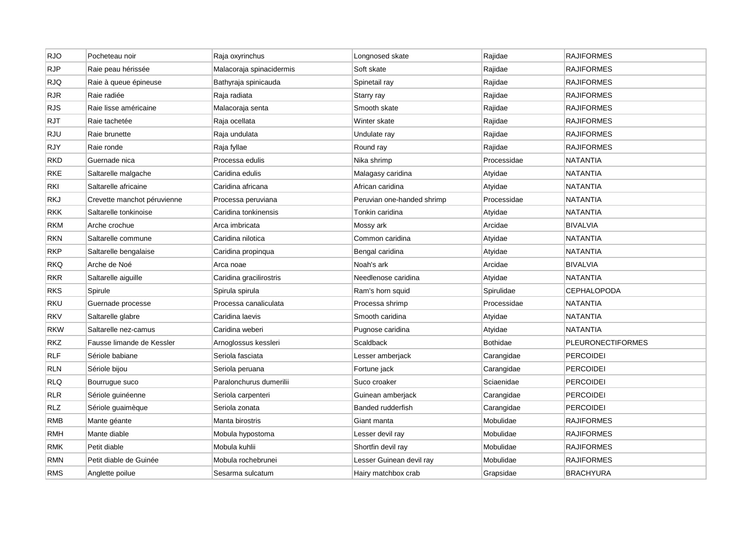| <b>RJO</b> | Pocheteau noir              | Raja oxyrinchus          | Longnosed skate            | Rajidae         | <b>RAJIFORMES</b>        |
|------------|-----------------------------|--------------------------|----------------------------|-----------------|--------------------------|
| <b>RJP</b> | Raie peau hérissée          | Malacoraja spinacidermis | Soft skate                 | Rajidae         | <b>RAJIFORMES</b>        |
| <b>RJQ</b> | Raie à queue épineuse       | Bathyraja spinicauda     | Spinetail ray              | Rajidae         | <b>RAJIFORMES</b>        |
| <b>RJR</b> | Raie radiée                 | Raja radiata             | Starry ray                 | Rajidae         | <b>RAJIFORMES</b>        |
| <b>RJS</b> | Raie lisse américaine       | Malacoraja senta         | Smooth skate               | Rajidae         | <b>RAJIFORMES</b>        |
| <b>RJT</b> | Raie tachetée               | Raja ocellata            | Winter skate               | Rajidae         | <b>RAJIFORMES</b>        |
| <b>RJU</b> | Raie brunette               | Raja undulata            | Undulate ray               | Rajidae         | <b>RAJIFORMES</b>        |
| RJY        | Raie ronde                  | Raja fyllae              | Round ray                  | Rajidae         | <b>RAJIFORMES</b>        |
| <b>RKD</b> | Guernade nica               | Processa edulis          | Nika shrimp                | Processidae     | <b>NATANTIA</b>          |
| <b>RKE</b> | Saltarelle malgache         | Caridina edulis          | Malagasy caridina          | Atyidae         | <b>NATANTIA</b>          |
| RKI        | Saltarelle africaine        | Caridina africana        | African caridina           | Atyidae         | <b>NATANTIA</b>          |
| <b>RKJ</b> | Crevette manchot péruvienne | Processa peruviana       | Peruvian one-handed shrimp | Processidae     | <b>NATANTIA</b>          |
| <b>RKK</b> | Saltarelle tonkinoise       | Caridina tonkinensis     | Tonkin caridina            | Atyidae         | <b>NATANTIA</b>          |
| <b>RKM</b> | Arche crochue               | Arca imbricata           | Mossy ark                  | Arcidae         | <b>BIVALVIA</b>          |
| RKN        | Saltarelle commune          | Caridina nilotica        | Common caridina            | Atyidae         | <b>NATANTIA</b>          |
| <b>RKP</b> | Saltarelle bengalaise       | Caridina propinqua       | Bengal caridina            | Atyidae         | <b>NATANTIA</b>          |
| <b>RKQ</b> | Arche de Noé                | Arca noae                | Noah's ark                 | Arcidae         | <b>BIVALVIA</b>          |
| <b>RKR</b> | Saltarelle aiguille         | Caridina gracilirostris  | Needlenose caridina        | Atyidae         | <b>NATANTIA</b>          |
| <b>RKS</b> | Spirule                     | Spirula spirula          | Ram's horn squid           | Spirulidae      | <b>CEPHALOPODA</b>       |
| <b>RKU</b> | Guernade processe           | Processa canaliculata    | Processa shrimp            | Processidae     | <b>NATANTIA</b>          |
| <b>RKV</b> | Saltarelle glabre           | Caridina laevis          | Smooth caridina            | Atyidae         | <b>NATANTIA</b>          |
| <b>RKW</b> | Saltarelle nez-camus        | Caridina weberi          | Pugnose caridina           | Atyidae         | <b>NATANTIA</b>          |
| <b>RKZ</b> | Fausse limande de Kessler   | Arnoglossus kessleri     | Scaldback                  | <b>Bothidae</b> | <b>PLEURONECTIFORMES</b> |
| <b>RLF</b> | Sériole babiane             | Seriola fasciata         | Lesser amberjack           | Carangidae      | <b>PERCOIDEI</b>         |
| <b>RLN</b> | Sériole bijou               | Seriola peruana          | Fortune jack               | Carangidae      | <b>PERCOIDEI</b>         |
| <b>RLQ</b> | Bourrugue suco              | Paralonchurus dumerilii  | Suco croaker               | Sciaenidae      | <b>PERCOIDEI</b>         |
| <b>RLR</b> | Sériole guinéenne           | Seriola carpenteri       | Guinean amberjack          | Carangidae      | <b>PERCOIDEI</b>         |
| <b>RLZ</b> | Sériole guaimèque           | Seriola zonata           | Banded rudderfish          | Carangidae      | PERCOIDEI                |
| <b>RMB</b> | Mante géante                | Manta birostris          | Giant manta                | Mobulidae       | <b>RAJIFORMES</b>        |
| RMH        | Mante diable                | Mobula hypostoma         | Lesser devil ray           | Mobulidae       | <b>RAJIFORMES</b>        |
| <b>RMK</b> | Petit diable                | Mobula kuhlii            | Shortfin devil ray         | Mobulidae       | <b>RAJIFORMES</b>        |
| <b>RMN</b> | Petit diable de Guinée      | Mobula rochebrunei       | Lesser Guinean devil ray   | Mobulidae       | <b>RAJIFORMES</b>        |
| <b>RMS</b> | Anglette poilue             | Sesarma sulcatum         | Hairy matchbox crab        | Grapsidae       | <b>BRACHYURA</b>         |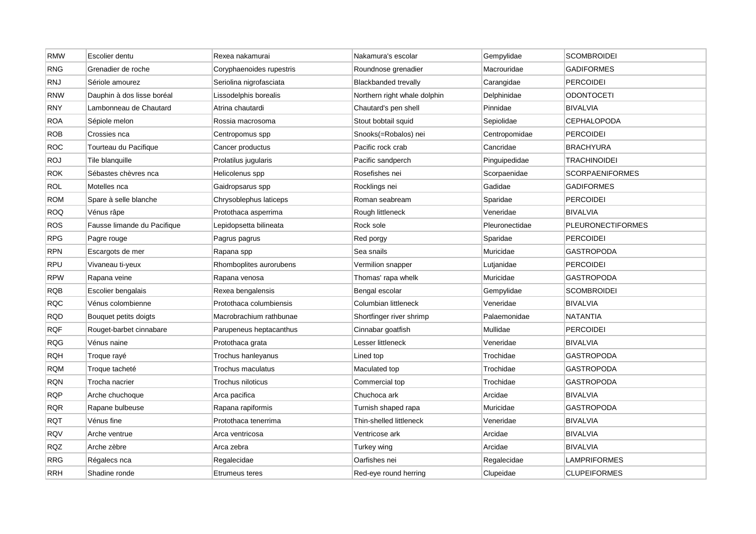| RMW        | Escolier dentu              | Rexea nakamurai          | Nakamura's escolar           | Gempylidae     | <b>SCOMBROIDEI</b>       |
|------------|-----------------------------|--------------------------|------------------------------|----------------|--------------------------|
| <b>RNG</b> | Grenadier de roche          | Coryphaenoides rupestris | Roundnose grenadier          | Macrouridae    | <b>GADIFORMES</b>        |
| RNJ        | Sériole amourez             | Seriolina nigrofasciata  | <b>Blackbanded trevally</b>  | Carangidae     | <b>PERCOIDEI</b>         |
| <b>RNW</b> | Dauphin à dos lisse boréal  | Lissodelphis borealis    | Northern right whale dolphin | Delphinidae    | <b>ODONTOCETI</b>        |
| RNY        | Lambonneau de Chautard      | Atrina chautardi         | Chautard's pen shell         | Pinnidae       | <b>BIVALVIA</b>          |
| <b>ROA</b> | Sépiole melon               | Rossia macrosoma         | Stout bobtail squid          | Sepiolidae     | <b>CEPHALOPODA</b>       |
| <b>ROB</b> | Crossies nca                | Centropomus spp          | Snooks(=Robalos) nei         | Centropomidae  | <b>PERCOIDEI</b>         |
| ROC        | Tourteau du Pacifique       | Cancer productus         | Pacific rock crab            | Cancridae      | <b>BRACHYURA</b>         |
| <b>ROJ</b> | Tile blanquille             | Prolatilus jugularis     | Pacific sandperch            | Pinguipedidae  | <b>TRACHINOIDEI</b>      |
| <b>ROK</b> | Sébastes chèvres nca        | Helicolenus spp          | Rosefishes nei               | Scorpaenidae   | <b>SCORPAENIFORMES</b>   |
| <b>ROL</b> | Motelles nca                | Gaidropsarus spp         | Rocklings nei                | Gadidae        | <b>GADIFORMES</b>        |
| <b>ROM</b> | Spare à selle blanche       | Chrysoblephus laticeps   | Roman seabream               | Sparidae       | <b>PERCOIDEI</b>         |
| <b>ROQ</b> | Vénus râpe                  | Protothaca asperrima     | Rough littleneck             | Veneridae      | <b>BIVALVIA</b>          |
| <b>ROS</b> | Fausse limande du Pacifique | Lepidopsetta bilineata   | Rock sole                    | Pleuronectidae | <b>PLEURONECTIFORMES</b> |
| <b>RPG</b> | Pagre rouge                 | Pagrus pagrus            | Red porgy                    | Sparidae       | <b>PERCOIDEI</b>         |
| <b>RPN</b> | Escargots de mer            | Rapana spp               | Sea snails                   | Muricidae      | <b>GASTROPODA</b>        |
| <b>RPU</b> | Vivaneau ti-yeux            | Rhomboplites aurorubens  | Vermilion snapper            | Lutjanidae     | <b>PERCOIDEI</b>         |
| <b>RPW</b> | Rapana veine                | Rapana venosa            | Thomas' rapa whelk           | Muricidae      | <b>GASTROPODA</b>        |
| <b>RQB</b> | Escolier bengalais          | Rexea bengalensis        | Bengal escolar               | Gempylidae     | <b>SCOMBROIDEI</b>       |
| <b>RQC</b> | Vénus colombienne           | Protothaca columbiensis  | Columbian littleneck         | Veneridae      | <b>BIVALVIA</b>          |
| <b>RQD</b> | Bouquet petits doigts       | Macrobrachium rathbunae  | Shortfinger river shrimp     | Palaemonidae   | <b>NATANTIA</b>          |
| <b>RQF</b> | Rouget-barbet cinnabare     | Parupeneus heptacanthus  | Cinnabar goatfish            | Mullidae       | <b>PERCOIDEI</b>         |
| <b>RQG</b> | Vénus naine                 | Protothaca grata         | Lesser littleneck            | Veneridae      | <b>BIVALVIA</b>          |
| <b>RQH</b> | Troque rayé                 | Trochus hanleyanus       | Lined top                    | Trochidae      | <b>GASTROPODA</b>        |
| <b>RQM</b> | Troque tacheté              | Trochus maculatus        | Maculated top                | Trochidae      | <b>GASTROPODA</b>        |
| <b>RQN</b> | Trocha nacrier              | Trochus niloticus        | Commercial top               | Trochidae      | <b>GASTROPODA</b>        |
| <b>RQP</b> | Arche chuchoque             | Arca pacifica            | Chuchoca ark                 | Arcidae        | <b>BIVALVIA</b>          |
| <b>RQR</b> | Rapane bulbeuse             | Rapana rapiformis        | Turnish shaped rapa          | Muricidae      | <b>GASTROPODA</b>        |
| <b>RQT</b> | Vénus fine                  | Protothaca tenerrima     | Thin-shelled littleneck      | Veneridae      | <b>BIVALVIA</b>          |
| <b>RQV</b> | Arche ventrue               | Arca ventricosa          | Ventricose ark               | Arcidae        | <b>BIVALVIA</b>          |
| <b>RQZ</b> | Arche zèbre                 | Arca zebra               | Turkey wing                  | Arcidae        | <b>BIVALVIA</b>          |
| <b>RRG</b> | Régalecs nca                | Regalecidae              | Oarfishes nei                | Regalecidae    | <b>LAMPRIFORMES</b>      |
| <b>RRH</b> | Shadine ronde               | Etrumeus teres           | Red-eye round herring        | Clupeidae      | <b>CLUPEIFORMES</b>      |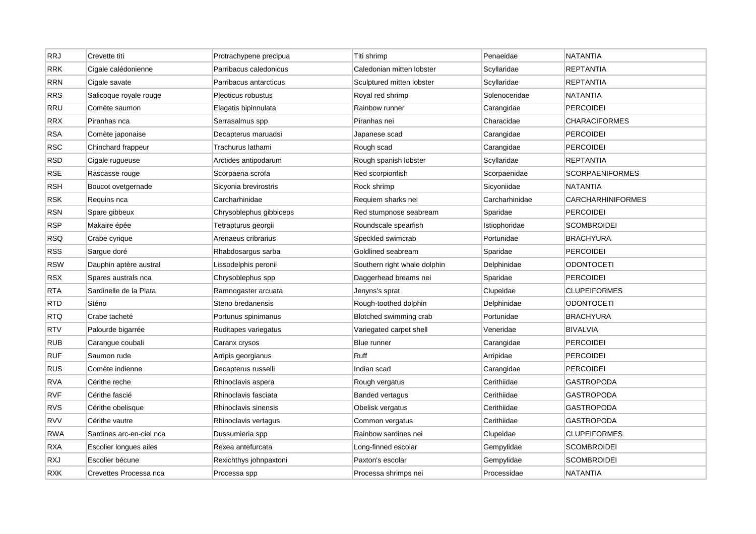| <b>RRJ</b> | Crevette titi            | Protrachypene precipua  | Titi shrimp                  | Penaeidae      | <b>NATANTIA</b>          |
|------------|--------------------------|-------------------------|------------------------------|----------------|--------------------------|
| <b>RRK</b> | Cigale calédonienne      | Parribacus caledonicus  | Caledonian mitten lobster    | Scyllaridae    | <b>REPTANTIA</b>         |
| <b>RRN</b> | Cigale savate            | Parribacus antarcticus  | Sculptured mitten lobster    | Scyllaridae    | <b>REPTANTIA</b>         |
| <b>RRS</b> | Salicoque royale rouge   | Pleoticus robustus      | Royal red shrimp             | Solenoceridae  | NATANTIA                 |
| <b>RRU</b> | Comète saumon            | Elagatis bipinnulata    | Rainbow runner               | Carangidae     | <b>PERCOIDEI</b>         |
| <b>RRX</b> | Piranhas nca             | Serrasalmus spp         | Piranhas nei                 | Characidae     | <b>CHARACIFORMES</b>     |
| <b>RSA</b> | Comète japonaise         | Decapterus maruadsi     | Japanese scad                | Carangidae     | <b>PERCOIDEI</b>         |
| RSC        | Chinchard frappeur       | Trachurus lathami       | Rough scad                   | Carangidae     | <b>PERCOIDEI</b>         |
| <b>RSD</b> | Cigale rugueuse          | Arctides antipodarum    | Rough spanish lobster        | Scyllaridae    | <b>REPTANTIA</b>         |
| RSE        | Rascasse rouge           | Scorpaena scrofa        | Red scorpionfish             | Scorpaenidae   | <b>SCORPAENIFORMES</b>   |
| <b>RSH</b> | Boucot ovetgernade       | Sicyonia brevirostris   | Rock shrimp                  | Sicyoniidae    | NATANTIA                 |
| <b>RSK</b> | Requins nca              | Carcharhinidae          | Requiem sharks nei           | Carcharhinidae | <b>CARCHARHINIFORMES</b> |
| <b>RSN</b> | Spare gibbeux            | Chrysoblephus gibbiceps | Red stumpnose seabream       | Sparidae       | <b>PERCOIDEI</b>         |
| <b>RSP</b> | Makaire épée             | Tetrapturus georgii     | Roundscale spearfish         | Istiophoridae  | <b>SCOMBROIDEI</b>       |
| <b>RSQ</b> | Crabe cyrique            | Arenaeus cribrarius     | Speckled swimcrab            | Portunidae     | <b>BRACHYURA</b>         |
| <b>RSS</b> | Sargue doré              | Rhabdosargus sarba      | Goldlined seabream           | Sparidae       | <b>PERCOIDEI</b>         |
| <b>RSW</b> | Dauphin aptère austral   | Lissodelphis peronii    | Southern right whale dolphin | Delphinidae    | <b>ODONTOCETI</b>        |
| <b>RSX</b> | Spares australs nca      | Chrysoblephus spp       | Daggerhead breams nei        | Sparidae       | <b>PERCOIDEI</b>         |
| <b>RTA</b> | Sardinelle de la Plata   | Ramnogaster arcuata     | Jenyns's sprat               | Clupeidae      | <b>CLUPEIFORMES</b>      |
| <b>RTD</b> | Sténo                    | Steno bredanensis       | Rough-toothed dolphin        | Delphinidae    | <b>ODONTOCETI</b>        |
| <b>RTQ</b> | Crabe tacheté            | Portunus spinimanus     | Blotched swimming crab       | Portunidae     | <b>BRACHYURA</b>         |
| <b>RTV</b> | Palourde bigarrée        | Ruditapes variegatus    | Variegated carpet shell      | Veneridae      | <b>BIVALVIA</b>          |
| <b>RUB</b> | Carangue coubali         | Caranx crysos           | Blue runner                  | Carangidae     | <b>PERCOIDEI</b>         |
| <b>RUF</b> | Saumon rude              | Arripis georgianus      | Ruff                         | Arripidae      | <b>PERCOIDEI</b>         |
| <b>RUS</b> | Comète indienne          | Decapterus russelli     | Indian scad                  | Carangidae     | <b>PERCOIDEI</b>         |
| <b>RVA</b> | Cérithe reche            | Rhinoclavis aspera      | Rough vergatus               | Cerithiidae    | GASTROPODA               |
| <b>RVF</b> | Cérithe fascié           | Rhinoclavis fasciata    | <b>Banded vertagus</b>       | Cerithiidae    | <b>GASTROPODA</b>        |
| <b>RVS</b> | Cérithe obelisque        | Rhinoclavis sinensis    | Obelisk vergatus             | Cerithiidae    | <b>GASTROPODA</b>        |
| <b>RVV</b> | Cérithe vautre           | Rhinoclavis vertagus    | Common vergatus              | Cerithiidae    | <b>GASTROPODA</b>        |
| <b>RWA</b> | Sardines arc-en-ciel nca | Dussumieria spp         | Rainbow sardines nei         | Clupeidae      | <b>CLUPEIFORMES</b>      |
| <b>RXA</b> | Escolier longues ailes   | Rexea antefurcata       | Long-finned escolar          | Gempylidae     | <b>SCOMBROIDEI</b>       |
| RXJ        | Escolier bécune          | Rexichthys johnpaxtoni  | Paxton's escolar             | Gempylidae     | <b>SCOMBROIDEI</b>       |
| <b>RXK</b> | Crevettes Processa nca   | Processa spp            | Processa shrimps nei         | Processidae    | <b>NATANTIA</b>          |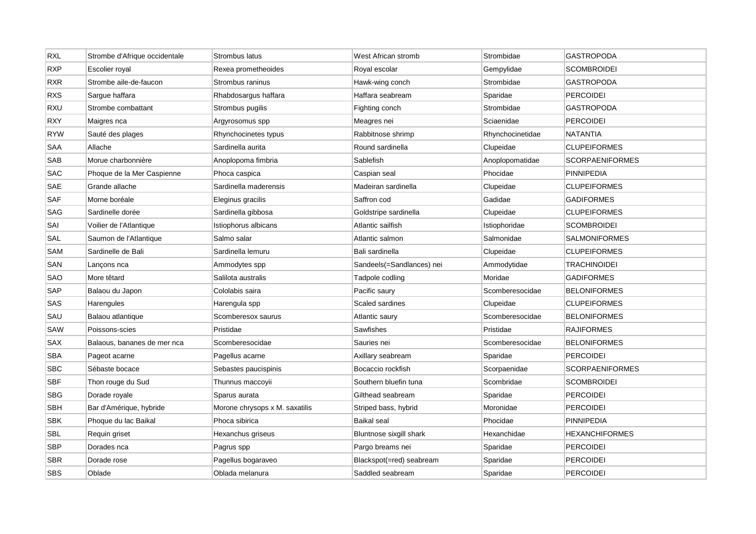| <b>RXL</b> | Strombe d'Afrique occidentale | Strombus latus                 | West African stromb       | Strombidae       | <b>GASTROPODA</b>      |
|------------|-------------------------------|--------------------------------|---------------------------|------------------|------------------------|
| <b>RXP</b> | Escolier royal                | Rexea prometheoides            | Royal escolar             | Gempylidae       | <b>SCOMBROIDEI</b>     |
| <b>RXR</b> | Strombe aile-de-faucon        | Strombus raninus               | Hawk-wing conch           | Strombidae       | <b>GASTROPODA</b>      |
| <b>RXS</b> | Sargue haffara                | Rhabdosargus haffara           | Haffara seabream          | Sparidae         | PERCOIDEI              |
| <b>RXU</b> | Strombe combattant            | Strombus pugilis               | Fighting conch            | Strombidae       | <b>GASTROPODA</b>      |
| <b>RXY</b> | Maigres nca                   | Argyrosomus spp                | Meagres nei               | Sciaenidae       | <b>PERCOIDEI</b>       |
| <b>RYW</b> | Sauté des plages              | Rhynchocinetes typus           | Rabbitnose shrimp         | Rhynchocinetidae | <b>NATANTIA</b>        |
| SAA        | Allache                       | Sardinella aurita              | Round sardinella          | Clupeidae        | <b>CLUPEIFORMES</b>    |
| SAB        | Morue charbonnière            | Anoplopoma fimbria             | Sablefish                 | Anoplopomatidae  | <b>SCORPAENIFORMES</b> |
| <b>SAC</b> | Phoque de la Mer Caspienne    | Phoca caspica                  | Caspian seal              | Phocidae         | <b>PINNIPEDIA</b>      |
| SAE        | Grande allache                | Sardinella maderensis          | Madeiran sardinella       | Clupeidae        | <b>CLUPEIFORMES</b>    |
| <b>SAF</b> | Morne boréale                 | Eleginus gracilis              | Saffron cod               | Gadidae          | <b>GADIFORMES</b>      |
| SAG        | Sardinelle dorée              | Sardinella gibbosa             | Goldstripe sardinella     | Clupeidae        | <b>CLUPEIFORMES</b>    |
| SAI        | Voilier de l'Atlantique       | Istiophorus albicans           | Atlantic sailfish         | Istiophoridae    | <b>SCOMBROIDEI</b>     |
| SAL        | Saumon de l'Atlantique        | Salmo salar                    | Atlantic salmon           | Salmonidae       | <b>SALMONIFORMES</b>   |
| SAM        | Sardinelle de Bali            | Sardinella lemuru              | Bali sardinella           | Clupeidae        | <b>CLUPEIFORMES</b>    |
| SAN        | Lançons nca                   | Ammodytes spp                  | Sandeels(=Sandlances) nei | Ammodytidae      | <b>TRACHINOIDEI</b>    |
| SAO        | More têtard                   | Salilota australis             | Tadpole codling           | Moridae          | <b>GADIFORMES</b>      |
| SAP        | Balaou du Japon               | Cololabis saira                | Pacific saury             | Scomberesocidae  | <b>BELONIFORMES</b>    |
| SAS        | Harengules                    | Harengula spp                  | Scaled sardines           | Clupeidae        | <b>CLUPEIFORMES</b>    |
| SAU        | Balaou atlantique             | Scomberesox saurus             | Atlantic saury            | Scomberesocidae  | <b>BELONIFORMES</b>    |
| SAW        | Poissons-scies                | Pristidae                      | Sawfishes                 | Pristidae        | <b>RAJIFORMES</b>      |
| SAX        | Balaous, bananes de mer nca   | Scomberesocidae                | Sauries nei               | Scomberesocidae  | <b>BELONIFORMES</b>    |
| <b>SBA</b> | Pageot acarne                 | Pagellus acarne                | Axillary seabream         | Sparidae         | <b>PERCOIDEI</b>       |
| <b>SBC</b> | Sébaste bocace                | Sebastes paucispinis           | Bocaccio rockfish         | Scorpaenidae     | <b>SCORPAENIFORMES</b> |
| <b>SBF</b> | Thon rouge du Sud             | Thunnus maccoyii               | Southern bluefin tuna     | Scombridae       | <b>SCOMBROIDEI</b>     |
| <b>SBG</b> | Dorade royale                 | Sparus aurata                  | Gilthead seabream         | Sparidae         | <b>PERCOIDEI</b>       |
| <b>SBH</b> | Bar d'Amérique, hybride       | Morone chrysops x M. saxatilis | Striped bass, hybrid      | Moronidae        | <b>PERCOIDEI</b>       |
| <b>SBK</b> | Phoque du lac Baikal          | Phoca sibirica                 | Baikal seal               | Phocidae         | <b>PINNIPEDIA</b>      |
| SBL        | Requin griset                 | Hexanchus griseus              | Bluntnose sixgill shark   | Hexanchidae      | HEXANCHIFORMES         |
| <b>SBP</b> | Dorades nca                   | Pagrus spp                     | Pargo breams nei          | Sparidae         | <b>PERCOIDEI</b>       |
| SBR        | Dorade rose                   | Pagellus bogaraveo             | Blackspot(=red) seabream  | Sparidae         | <b>PERCOIDEI</b>       |
| <b>SBS</b> | Oblade                        | Oblada melanura                | Saddled seabream          | Sparidae         | <b>PERCOIDEI</b>       |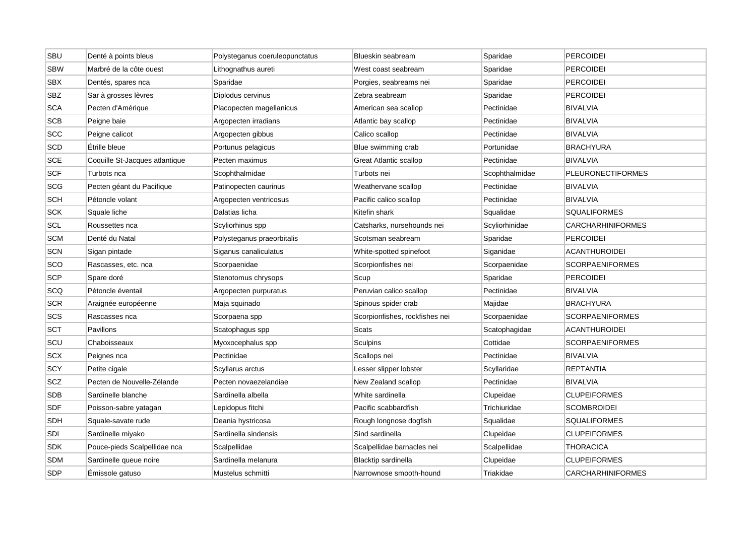| SBU        | Denté à points bleus           | Polysteganus coeruleopunctatus | Blueskin seabream              | Sparidae       | <b>PERCOIDEI</b>         |
|------------|--------------------------------|--------------------------------|--------------------------------|----------------|--------------------------|
| <b>SBW</b> | Marbré de la côte ouest        | Lithognathus aureti            | West coast seabream            | Sparidae       | <b>PERCOIDEI</b>         |
| <b>SBX</b> | Dentés, spares nca             | Sparidae                       | Porgies, seabreams nei         | Sparidae       | <b>PERCOIDEI</b>         |
| <b>SBZ</b> | Sar à grosses lèvres           | Diplodus cervinus              | Zebra seabream                 | Sparidae       | <b>PERCOIDEI</b>         |
| <b>SCA</b> | Pecten d'Amérique              | Placopecten magellanicus       | American sea scallop           | Pectinidae     | <b>BIVALVIA</b>          |
| <b>SCB</b> | Peigne baie                    | Argopecten irradians           | Atlantic bay scallop           | Pectinidae     | <b>BIVALVIA</b>          |
| <b>SCC</b> | Peigne calicot                 | Argopecten gibbus              | Calico scallop                 | Pectinidae     | <b>BIVALVIA</b>          |
| <b>SCD</b> | Étrille bleue                  | Portunus pelagicus             | Blue swimming crab             | Portunidae     | <b>BRACHYURA</b>         |
| <b>SCE</b> | Coquille St-Jacques atlantique | Pecten maximus                 | <b>Great Atlantic scallop</b>  | Pectinidae     | <b>BIVALVIA</b>          |
| <b>SCF</b> | Turbots nca                    | Scophthalmidae                 | Turbots nei                    | Scophthalmidae | <b>PLEURONECTIFORMES</b> |
| <b>SCG</b> | Pecten géant du Pacifique      | Patinopecten caurinus          | Weathervane scallop            | Pectinidae     | <b>BIVALVIA</b>          |
| SCH        | Pétoncle volant                | Argopecten ventricosus         | Pacific calico scallop         | Pectinidae     | <b>BIVALVIA</b>          |
| <b>SCK</b> | Squale liche                   | Dalatias licha                 | Kitefin shark                  | Squalidae      | <b>SQUALIFORMES</b>      |
| <b>SCL</b> | Roussettes nca                 | Scyliorhinus spp               | Catsharks, nursehounds nei     | Scyliorhinidae | <b>CARCHARHINIFORMES</b> |
| <b>SCM</b> | Denté du Natal                 | Polysteganus praeorbitalis     | Scotsman seabream              | Sparidae       | <b>PERCOIDEI</b>         |
| SCN        | Sigan pintade                  | Siganus canaliculatus          | White-spotted spinefoot        | Siganidae      | <b>ACANTHUROIDEI</b>     |
| SCO        | Rascasses, etc. nca            | Scorpaenidae                   | Scorpionfishes nei             | Scorpaenidae   | <b>SCORPAENIFORMES</b>   |
| <b>SCP</b> | Spare doré                     | Stenotomus chrysops            | Scup                           | Sparidae       | <b>PERCOIDEI</b>         |
| SCQ        | Pétoncle éventail              | Argopecten purpuratus          | Peruvian calico scallop        | Pectinidae     | <b>BIVALVIA</b>          |
| SCR        | Araignée européenne            | Maja squinado                  | Spinous spider crab            | Majidae        | <b>BRACHYURA</b>         |
| <b>SCS</b> | Rascasses nca                  | Scorpaena spp                  | Scorpionfishes, rockfishes nei | Scorpaenidae   | <b>SCORPAENIFORMES</b>   |
| <b>SCT</b> | Pavillons                      | Scatophagus spp                | <b>Scats</b>                   | Scatophagidae  | <b>ACANTHUROIDEI</b>     |
| scu        | Chaboisseaux                   | Myoxocephalus spp              | Sculpins                       | Cottidae       | <b>SCORPAENIFORMES</b>   |
| <b>SCX</b> | Peignes nca                    | Pectinidae                     | Scallops nei                   | Pectinidae     | <b>BIVALVIA</b>          |
| SCY        | Petite cigale                  | Scyllarus arctus               | Lesser slipper lobster         | Scyllaridae    | <b>REPTANTIA</b>         |
| <b>SCZ</b> | Pecten de Nouvelle-Zélande     | Pecten novaezelandiae          | New Zealand scallop            | Pectinidae     | <b>BIVALVIA</b>          |
| <b>SDB</b> | Sardinelle blanche             | Sardinella albella             | White sardinella               | Clupeidae      | <b>CLUPEIFORMES</b>      |
| <b>SDF</b> | Poisson-sabre yatagan          | Lepidopus fitchi               | Pacific scabbardfish           | Trichiuridae   | <b>SCOMBROIDEI</b>       |
| SDH        | Squale-savate rude             | Deania hystricosa              | Rough longnose dogfish         | Squalidae      | <b>SQUALIFORMES</b>      |
| <b>SDI</b> | Sardinelle miyako              | Sardinella sindensis           | Sind sardinella                | Clupeidae      | <b>CLUPEIFORMES</b>      |
| <b>SDK</b> | Pouce-pieds Scalpellidae nca   | Scalpellidae                   | Scalpellidae barnacles nei     | Scalpellidae   | <b>THORACICA</b>         |
| <b>SDM</b> | Sardinelle queue noire         | Sardinella melanura            | Blacktip sardinella            | Clupeidae      | <b>CLUPEIFORMES</b>      |
| <b>SDP</b> | Émissole gatuso                | Mustelus schmitti              | Narrownose smooth-hound        | Triakidae      | <b>CARCHARHINIFORMES</b> |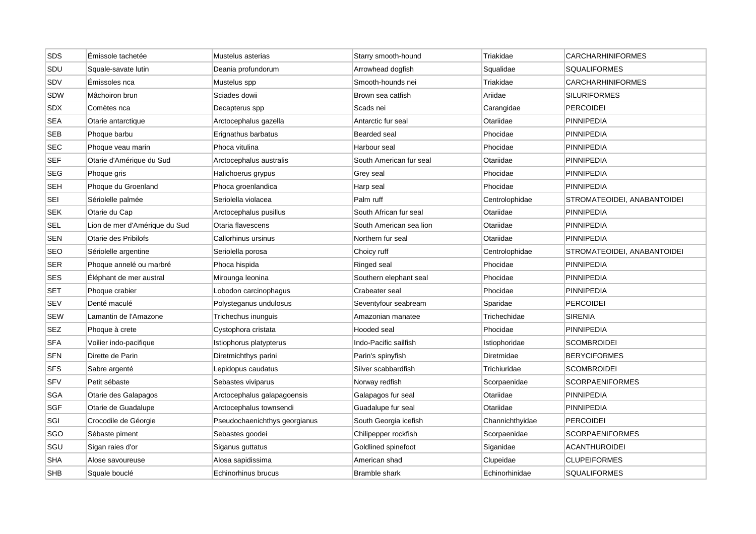| SDS        | Émissole tachetée             | Mustelus asterias             | Starry smooth-hound     | Triakidae       | <b>CARCHARHINIFORMES</b>    |
|------------|-------------------------------|-------------------------------|-------------------------|-----------------|-----------------------------|
| SDU        | Squale-savate lutin           | Deania profundorum            | Arrowhead dogfish       | Squalidae       | <b>SQUALIFORMES</b>         |
| SDV        | Emissoles nca                 | Mustelus spp                  | Smooth-hounds nei       | Triakidae       | <b>CARCHARHINIFORMES</b>    |
| SDW        | Mâchoiron brun                | Sciades dowii                 | Brown sea catfish       | Ariidae         | <b>SILURIFORMES</b>         |
| <b>SDX</b> | Comètes nca                   | Decapterus spp                | Scads nei               | Carangidae      | <b>PERCOIDEI</b>            |
| <b>SEA</b> | Otarie antarctique            | Arctocephalus gazella         | Antarctic fur seal      | Otariidae       | <b>PINNIPEDIA</b>           |
| <b>SEB</b> | Phoque barbu                  | Erignathus barbatus           | Bearded seal            | Phocidae        | <b>PINNIPEDIA</b>           |
| <b>SEC</b> | Phoque veau marin             | Phoca vitulina                | Harbour seal            | Phocidae        | <b>PINNIPEDIA</b>           |
| <b>SEF</b> | Otarie d'Amérique du Sud      | Arctocephalus australis       | South American fur seal | Otariidae       | <b>PINNIPEDIA</b>           |
| <b>SEG</b> | Phoque gris                   | Halichoerus grypus            | Grey seal               | Phocidae        | PINNIPEDIA                  |
| <b>SEH</b> | Phoque du Groenland           | Phoca groenlandica            | Harp seal               | Phocidae        | <b>PINNIPEDIA</b>           |
| <b>SEI</b> | Sériolelle palmée             | Seriolella violacea           | Palm ruff               | Centrolophidae  | STROMATEOIDEI, ANABANTOIDEI |
| <b>SEK</b> | Otarie du Cap                 | Arctocephalus pusillus        | South African fur seal  | Otariidae       | <b>PINNIPEDIA</b>           |
| <b>SEL</b> | Lion de mer d'Amérique du Sud | Otaria flavescens             | South American sea lion | Otariidae       | <b>PINNIPEDIA</b>           |
| <b>SEN</b> | Otarie des Pribilofs          | Callorhinus ursinus           | Northern fur seal       | Otariidae       | PINNIPEDIA                  |
| <b>SEO</b> | Sériolelle argentine          | Seriolella porosa             | Choicy ruff             | Centrolophidae  | STROMATEOIDEI, ANABANTOIDEI |
| <b>SER</b> | Phoque annelé ou marbré       | Phoca hispida                 | Ringed seal             | Phocidae        | <b>PINNIPEDIA</b>           |
| <b>SES</b> | Eléphant de mer austral       | Mirounga leonina              | Southern elephant seal  | Phocidae        | <b>PINNIPEDIA</b>           |
| <b>SET</b> | Phoque crabier                | Lobodon carcinophagus         | Crabeater seal          | Phocidae        | PINNIPEDIA                  |
| <b>SEV</b> | Denté maculé                  | Polysteganus undulosus        | Seventyfour seabream    | Sparidae        | <b>PERCOIDEI</b>            |
| <b>SEW</b> | Lamantin de l'Amazone         | Trichechus inunguis           | Amazonian manatee       | Trichechidae    | <b>SIRENIA</b>              |
| <b>SEZ</b> | Phoque à crete                | Cystophora cristata           | Hooded seal             | Phocidae        | <b>PINNIPEDIA</b>           |
| <b>SFA</b> | Voilier indo-pacifique        | Istiophorus platypterus       | Indo-Pacific sailfish   | Istiophoridae   | <b>SCOMBROIDEI</b>          |
| <b>SFN</b> | Dirette de Parin              | Diretmichthys parini          | Parin's spinyfish       | Diretmidae      | <b>BERYCIFORMES</b>         |
| <b>SFS</b> | Sabre argenté                 | Lepidopus caudatus            | Silver scabbardfish     | Trichiuridae    | <b>SCOMBROIDEI</b>          |
| <b>SFV</b> | Petit sébaste                 | Sebastes viviparus            | Norway redfish          | Scorpaenidae    | SCORPAENIFORMES             |
| <b>SGA</b> | Otarie des Galapagos          | Arctocephalus galapagoensis   | Galapagos fur seal      | Otariidae       | <b>PINNIPEDIA</b>           |
| <b>SGF</b> | Otarie de Guadalupe           | Arctocephalus townsendi       | Guadalupe fur seal      | Otariidae       | <b>PINNIPEDIA</b>           |
| SGI        | Crocodile de Géorgie          | Pseudochaenichthys georgianus | South Georgia icefish   | Channichthyidae | <b>PERCOIDEI</b>            |
| SGO        | Sébaste piment                | Sebastes goodei               | Chilipepper rockfish    | Scorpaenidae    | SCORPAENIFORMES             |
| SGU        | Sigan raies d'or              | Siganus guttatus              | Goldlined spinefoot     | Siganidae       | <b>ACANTHUROIDEI</b>        |
| <b>SHA</b> | Alose savoureuse              | Alosa sapidissima             | American shad           | Clupeidae       | <b>CLUPEIFORMES</b>         |
| <b>SHB</b> | Squale bouclé                 | Echinorhinus brucus           | <b>Bramble shark</b>    | Echinorhinidae  | SQUALIFORMES                |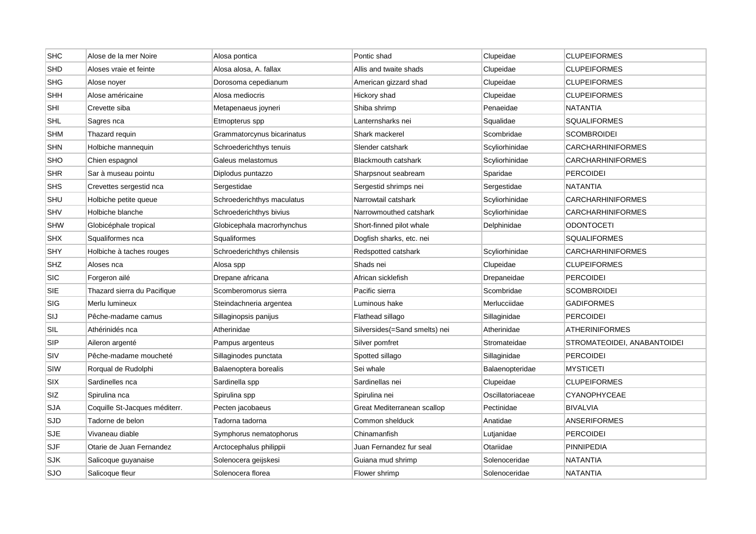| <b>SHC</b> | Alose de la mer Noire         | Alosa pontica              | Pontic shad                   | Clupeidae        | <b>CLUPEIFORMES</b>         |
|------------|-------------------------------|----------------------------|-------------------------------|------------------|-----------------------------|
| <b>SHD</b> | Aloses vraie et feinte        | Alosa alosa, A. fallax     | Allis and twaite shads        | Clupeidae        | <b>CLUPEIFORMES</b>         |
| <b>SHG</b> | Alose nover                   | Dorosoma cepedianum        | American gizzard shad         | Clupeidae        | <b>CLUPEIFORMES</b>         |
| <b>SHH</b> | Alose américaine              | Alosa mediocris            | Hickory shad                  | Clupeidae        | <b>CLUPEIFORMES</b>         |
| SHI        | Crevette siba                 | Metapenaeus joyneri        | Shiba shrimp                  | Penaeidae        | <b>NATANTIA</b>             |
| <b>SHL</b> | Sagres nca                    | Etmopterus spp             | Lanternsharks nei             | Squalidae        | <b>SQUALIFORMES</b>         |
| <b>SHM</b> | Thazard requin                | Grammatorcynus bicarinatus | Shark mackerel                | Scombridae       | <b>SCOMBROIDEI</b>          |
| <b>SHN</b> | Holbiche mannequin            | Schroederichthys tenuis    | Slender catshark              | Scyliorhinidae   | <b>CARCHARHINIFORMES</b>    |
| SHO        | Chien espagnol                | Galeus melastomus          | <b>Blackmouth catshark</b>    | Scyliorhinidae   | <b>CARCHARHINIFORMES</b>    |
| <b>SHR</b> | Sar à museau pointu           | Diplodus puntazzo          | Sharpsnout seabream           | Sparidae         | <b>PERCOIDEI</b>            |
| <b>SHS</b> | Crevettes sergestid nca       | Sergestidae                | Sergestid shrimps nei         | Sergestidae      | <b>NATANTIA</b>             |
| SHU        | Holbiche petite queue         | Schroederichthys maculatus | Narrowtail catshark           | Scyliorhinidae   | <b>CARCHARHINIFORMES</b>    |
| SHV        | Holbiche blanche              | Schroederichthys bivius    | Narrowmouthed catshark        | Scyliorhinidae   | <b>CARCHARHINIFORMES</b>    |
| <b>SHW</b> | Globicéphale tropical         | Globicephala macrorhynchus | Short-finned pilot whale      | Delphinidae      | <b>ODONTOCETI</b>           |
| <b>SHX</b> | Squaliformes nca              | Squaliformes               | Dogfish sharks, etc. nei      |                  | <b>SQUALIFORMES</b>         |
| SHY        | Holbiche à taches rouges      | Schroederichthys chilensis | Redspotted catshark           | Scyliorhinidae   | <b>CARCHARHINIFORMES</b>    |
| <b>SHZ</b> | Aloses nca                    | Alosa spp                  | Shads nei                     | Clupeidae        | <b>CLUPEIFORMES</b>         |
| <b>SIC</b> | Forgeron ailé                 | Drepane africana           | African sicklefish            | Drepaneidae      | <b>PERCOIDEI</b>            |
| SIE        | Thazard sierra du Pacifique   | Scomberomorus sierra       | Pacific sierra                | Scombridae       | SCOMBROIDEI                 |
| <b>SIG</b> | Merlu lumineux                | Steindachneria argentea    | Luminous hake                 | Merlucciidae     | <b>GADIFORMES</b>           |
| SIJ        | Pêche-madame camus            | Sillaginopsis panijus      | Flathead sillago              | Sillaginidae     | <b>PERCOIDEI</b>            |
| SIL        | Athérinidés nca               | Atherinidae                | Silversides(=Sand smelts) nei | Atherinidae      | <b>ATHERINIFORMES</b>       |
| <b>SIP</b> | Aileron argenté               | Pampus argenteus           | Silver pomfret                | Stromateidae     | STROMATEOIDEI, ANABANTOIDEI |
| SIV        | Pêche-madame moucheté         | Sillaginodes punctata      | Spotted sillago               | Sillaginidae     | PERCOIDEI                   |
| SIW        | Rorqual de Rudolphi           | Balaenoptera borealis      | Sei whale                     | Balaenopteridae  | <b>MYSTICETI</b>            |
| SIX        | Sardinelles nca               | Sardinella spp             | Sardinellas nei               | Clupeidae        | <b>CLUPEIFORMES</b>         |
| SIZ        | Spirulina nca                 | Spirulina spp              | Spirulina nei                 | Oscillatoriaceae | <b>CYANOPHYCEAE</b>         |
| <b>SJA</b> | Coquille St-Jacques méditerr. | Pecten jacobaeus           | Great Mediterranean scallop   | Pectinidae       | <b>BIVALVIA</b>             |
| <b>SJD</b> | Tadorne de belon              | Tadorna tadorna            | Common shelduck               | Anatidae         | <b>ANSERIFORMES</b>         |
| SJE        | Vivaneau diable               | Symphorus nematophorus     | Chinamanfish                  | Lutjanidae       | PERCOIDEI                   |
| <b>SJF</b> | Otarie de Juan Fernandez      | Arctocephalus philippii    | Juan Fernandez fur seal       | Otariidae        | <b>PINNIPEDIA</b>           |
| SJK        | Salicoque guyanaise           | Solenocera geijskesi       | Guiana mud shrimp             | Solenoceridae    | NATANTIA                    |
| <b>SJO</b> | Salicoque fleur               | Solenocera florea          | Flower shrimp                 | Solenoceridae    | <b>NATANTIA</b>             |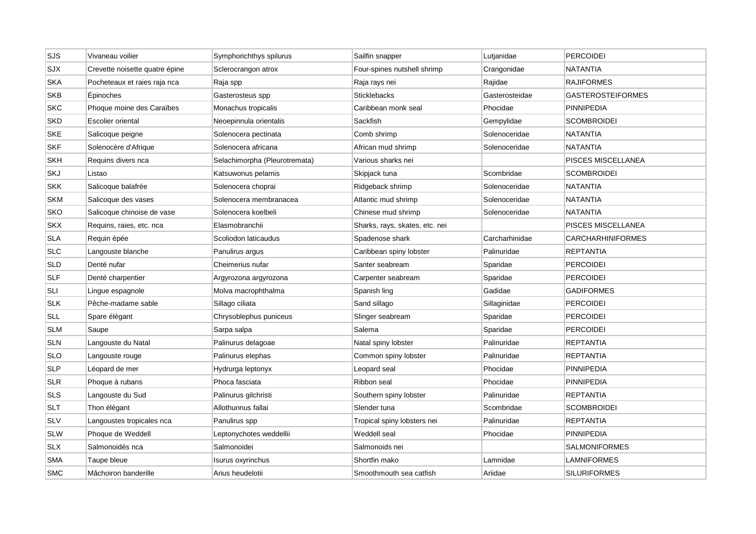| SJS        | Vivaneau voilier               | Symphorichthys spilurus       | Sailfin snapper                | Lutjanidae     | PERCOIDEI                 |
|------------|--------------------------------|-------------------------------|--------------------------------|----------------|---------------------------|
| SJX        | Crevette noisette quatre épine | Sclerocrangon atrox           | Four-spines nutshell shrimp    | Crangonidae    | <b>NATANTIA</b>           |
| <b>SKA</b> | Pocheteaux et raies raja nca   | Raja spp                      | Raja rays nei                  | Rajidae        | <b>RAJIFORMES</b>         |
| <b>SKB</b> | Epinoches                      | Gasterosteus spp              | <b>Sticklebacks</b>            | Gasterosteidae | <b>GASTEROSTEIFORMES</b>  |
| <b>SKC</b> | Phoque moine des Caraïbes      | Monachus tropicalis           | Caribbean monk seal            | Phocidae       | <b>PINNIPEDIA</b>         |
| <b>SKD</b> | Escolier oriental              | Neoepinnula orientalis        | Sackfish                       | Gempylidae     | <b>SCOMBROIDEI</b>        |
| <b>SKE</b> | Salicoque peigne               | Solenocera pectinata          | Comb shrimp                    | Solenoceridae  | NATANTIA                  |
| <b>SKF</b> | Solenocère d'Afrique           | Solenocera africana           | African mud shrimp             | Solenoceridae  | NATANTIA                  |
| <b>SKH</b> | Requins divers nca             | Selachimorpha (Pleurotremata) | Various sharks nei             |                | PISCES MISCELLANEA        |
| SKJ        | Listao                         | Katsuwonus pelamis            | Skipjack tuna                  | Scombridae     | <b>SCOMBROIDEI</b>        |
| <b>SKK</b> | Salicoque balafrée             | Solenocera choprai            | Ridgeback shrimp               | Solenoceridae  | NATANTIA                  |
| <b>SKM</b> | Salicoque des vases            | Solenocera membranacea        | Atlantic mud shrimp            | Solenoceridae  | <b>NATANTIA</b>           |
| SKO        | Salicoque chinoise de vase     | Solenocera koelbeli           | Chinese mud shrimp             | Solenoceridae  | <b>NATANTIA</b>           |
| <b>SKX</b> | Requins, raies, etc. nca       | Elasmobranchii                | Sharks, rays, skates, etc. nei |                | <b>PISCES MISCELLANEA</b> |
| <b>SLA</b> | Requin épée                    | Scoliodon laticaudus          | Spadenose shark                | Carcharhinidae | <b>CARCHARHINIFORMES</b>  |
| <b>SLC</b> | Langouste blanche              | Panulirus argus               | Caribbean spiny lobster        | Palinuridae    | <b>REPTANTIA</b>          |
| <b>SLD</b> | Denté nufar                    | Cheimerius nufar              | Santer seabream                | Sparidae       | <b>PERCOIDEI</b>          |
| <b>SLF</b> | Denté charpentier              | Argyrozona argyrozona         | Carpenter seabream             | Sparidae       | <b>PERCOIDEI</b>          |
| <b>SLI</b> | Lingue espagnole               | Molva macrophthalma           | Spanish ling                   | Gadidae        | GADIFORMES                |
| <b>SLK</b> | Pêche-madame sable             | Sillago ciliata               | Sand sillago                   | Sillaginidae   | <b>PERCOIDEI</b>          |
| <b>SLL</b> | Spare élégant                  | Chrysoblephus puniceus        | Slinger seabream               | Sparidae       | PERCOIDEI                 |
| <b>SLM</b> | Saupe                          | Sarpa salpa                   | Salema                         | Sparidae       | <b>PERCOIDEI</b>          |
| <b>SLN</b> | Langouste du Natal             | Palinurus delagoae            | Natal spiny lobster            | Palinuridae    | <b>REPTANTIA</b>          |
| <b>SLO</b> | Langouste rouge                | Palinurus elephas             | Common spiny lobster           | Palinuridae    | <b>REPTANTIA</b>          |
| <b>SLP</b> | Léopard de mer                 | Hydrurga leptonyx             | Leopard seal                   | Phocidae       | <b>PINNIPEDIA</b>         |
| <b>SLR</b> | Phoque à rubans                | Phoca fasciata                | Ribbon seal                    | Phocidae       | PINNIPEDIA                |
| <b>SLS</b> | Langouste du Sud               | Palinurus gilchristi          | Southern spiny lobster         | Palinuridae    | <b>REPTANTIA</b>          |
| <b>SLT</b> | Thon élégant                   | Allothunnus fallai            | Slender tuna                   | Scombridae     | <b>SCOMBROIDEI</b>        |
| <b>SLV</b> | Langoustes tropicales nca      | Panulirus spp                 | Tropical spiny lobsters nei    | Palinuridae    | <b>REPTANTIA</b>          |
| <b>SLW</b> | Phoque de Weddell              | Leptonychotes weddellii       | Weddell seal                   | Phocidae       | PINNIPEDIA                |
| <b>SLX</b> | Salmonoidés nca                | Salmonoidei                   | Salmonoids nei                 |                | <b>SALMONIFORMES</b>      |
| <b>SMA</b> | Taupe bleue                    | Isurus oxyrinchus             | Shortfin mako                  | Lamnidae       | LAMNIFORMES               |
| <b>SMC</b> | Mâchoiron banderille           | Arius heudelotii              | Smoothmouth sea catfish        | Ariidae        | <b>SILURIFORMES</b>       |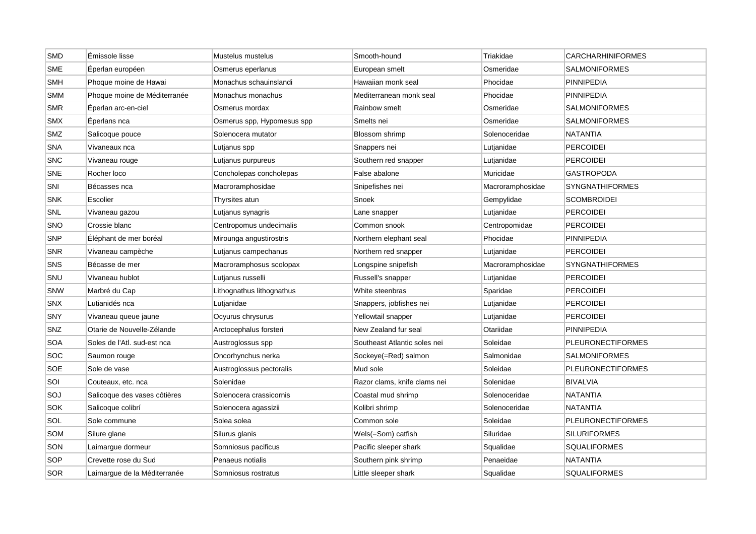| <b>SMD</b> | Émissole lisse               | Mustelus mustelus          | Smooth-hound                 | Triakidae        | <b>CARCHARHINIFORMES</b> |
|------------|------------------------------|----------------------------|------------------------------|------------------|--------------------------|
| <b>SME</b> | Éperlan européen             | Osmerus eperlanus          | European smelt               | Osmeridae        | SALMONIFORMES            |
| SMH        | Phoque moine de Hawai        | Monachus schauinslandi     | Hawaiian monk seal           | Phocidae         | <b>PINNIPEDIA</b>        |
| <b>SMM</b> | Phoque moine de Méditerranée | Monachus monachus          | Mediterranean monk seal      | Phocidae         | <b>PINNIPEDIA</b>        |
| <b>SMR</b> | Éperlan arc-en-ciel          | Osmerus mordax             | Rainbow smelt                | Osmeridae        | <b>SALMONIFORMES</b>     |
| <b>SMX</b> | Éperlans nca                 | Osmerus spp, Hypomesus spp | Smelts nei                   | Osmeridae        | SALMONIFORMES            |
| SMZ        | Salicoque pouce              | Solenocera mutator         | Blossom shrimp               | Solenoceridae    | <b>NATANTIA</b>          |
| <b>SNA</b> | Vivaneaux nca                | Lutjanus spp               | Snappers nei                 | Lutjanidae       | PERCOIDEI                |
| <b>SNC</b> | Vivaneau rouge               | Lutjanus purpureus         | Southern red snapper         | Lutjanidae       | <b>PERCOIDEI</b>         |
| <b>SNE</b> | Rocher loco                  | Concholepas concholepas    | False abalone                | Muricidae        | <b>GASTROPODA</b>        |
| SNI        | Bécasses nca                 | Macroramphosidae           | Snipefishes nei              | Macroramphosidae | <b>SYNGNATHIFORMES</b>   |
| <b>SNK</b> | Escolier                     | Thyrsites atun             | Snoek                        | Gempylidae       | <b>SCOMBROIDEI</b>       |
| SNL        | Vivaneau gazou               | Lutjanus synagris          | Lane snapper                 | Lutjanidae       | <b>PERCOIDEI</b>         |
| SNO        | Crossie blanc                | Centropomus undecimalis    | Common snook                 | Centropomidae    | <b>PERCOIDEI</b>         |
| SNP        | Éléphant de mer boréal       | Mirounga angustirostris    | Northern elephant seal       | Phocidae         | <b>PINNIPEDIA</b>        |
| SNR        | Vivaneau campèche            | Lutjanus campechanus       | Northern red snapper         | Lutjanidae       | <b>PERCOIDEI</b>         |
| <b>SNS</b> | Bécasse de mer               | Macroramphosus scolopax    | Longspine snipefish          | Macroramphosidae | <b>SYNGNATHIFORMES</b>   |
| SNU        | Vivaneau hublot              | Lutjanus russelli          | Russell's snapper            | Lutjanidae       | <b>PERCOIDEI</b>         |
| SNW        | Marbré du Cap                | Lithognathus lithognathus  | White steenbras              | Sparidae         | <b>PERCOIDEI</b>         |
| <b>SNX</b> | Lutianidés nca               | Lutjanidae                 | Snappers, jobfishes nei      | Lutjanidae       | <b>PERCOIDEI</b>         |
| SNY        | Vivaneau queue jaune         | Ocyurus chrysurus          | Yellowtail snapper           | Lutjanidae       | <b>PERCOIDEI</b>         |
| SNZ        | Otarie de Nouvelle-Zélande   | Arctocephalus forsteri     | New Zealand fur seal         | Otariidae        | <b>PINNIPEDIA</b>        |
| <b>SOA</b> | Soles de l'Atl. sud-est nca  | Austroglossus spp          | Southeast Atlantic soles nei | Soleidae         | <b>PLEURONECTIFORMES</b> |
| <b>SOC</b> | Saumon rouge                 | Oncorhynchus nerka         | Sockeye(=Red) salmon         | Salmonidae       | <b>SALMONIFORMES</b>     |
| SOE        | Sole de vase                 | Austroglossus pectoralis   | Mud sole                     | Soleidae         | <b>PLEURONECTIFORMES</b> |
| SOI        | Couteaux, etc. nca           | Solenidae                  | Razor clams, knife clams nei | Solenidae        | <b>BIVALVIA</b>          |
| SOJ        | Salicoque des vases côtières | Solenocera crassicornis    | Coastal mud shrimp           | Solenoceridae    | <b>NATANTIA</b>          |
| <b>SOK</b> | Salicoque colibrí            | Solenocera agassizii       | Kolibri shrimp               | Solenoceridae    | <b>NATANTIA</b>          |
| SOL        | Sole commune                 | Solea solea                | Common sole                  | Soleidae         | <b>PLEURONECTIFORMES</b> |
| SOM        | Silure glane                 | Silurus glanis             | Wels(=Som) catfish           | Siluridae        | <b>SILURIFORMES</b>      |
| SON        | Laimargue dormeur            | Somniosus pacificus        | Pacific sleeper shark        | Squalidae        | <b>SQUALIFORMES</b>      |
| SOP        | Crevette rose du Sud         | Penaeus notialis           | Southern pink shrimp         | Penaeidae        | <b>NATANTIA</b>          |
| <b>SOR</b> | Laimarque de la Méditerranée | Somniosus rostratus        | Little sleeper shark         | Squalidae        | SQUALIFORMES             |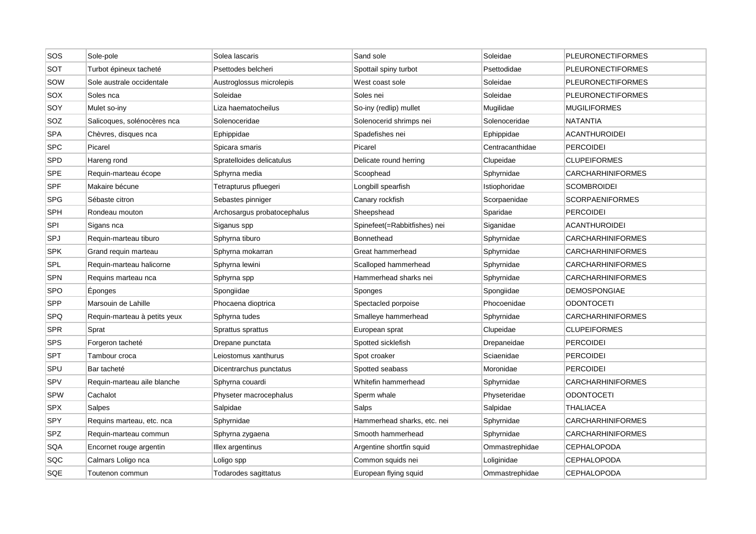| SOS        | Sole-pole                    | Solea lascaris              | Sand sole                    | Soleidae        | <b>PLEURONECTIFORMES</b> |
|------------|------------------------------|-----------------------------|------------------------------|-----------------|--------------------------|
| SOT        | Turbot épineux tacheté       | Psettodes belcheri          | Spottail spiny turbot        | Psettodidae     | <b>PLEURONECTIFORMES</b> |
| SOW        | Sole australe occidentale    | Austroglossus microlepis    | West coast sole              | Soleidae        | <b>PLEURONECTIFORMES</b> |
| SOX        | Soles nca                    | Soleidae                    | Soles nei                    | Soleidae        | PLEURONECTIFORMES        |
| SOY        | Mulet so-iny                 | Liza haematocheilus         | So-iny (redlip) mullet       | Mugilidae       | <b>MUGILIFORMES</b>      |
| SOZ        | Salicoques, solénocères nca  | Solenoceridae               | Solenocerid shrimps nei      | Solenoceridae   | <b>NATANTIA</b>          |
| <b>SPA</b> | Chèvres, disques nca         | Ephippidae                  | Spadefishes nei              | Ephippidae      | <b>ACANTHUROIDEI</b>     |
| SPC        | Picarel                      | Spicara smaris              | Picarel                      | Centracanthidae | <b>PERCOIDEI</b>         |
| <b>SPD</b> | Hareng rond                  | Spratelloides delicatulus   | Delicate round herring       | Clupeidae       | <b>CLUPEIFORMES</b>      |
| <b>SPE</b> | Requin-marteau écope         | Sphyrna media               | Scoophead                    | Sphyrnidae      | <b>CARCHARHINIFORMES</b> |
| SPF        | Makaire bécune               | Tetrapturus pfluegeri       | Longbill spearfish           | Istiophoridae   | <b>SCOMBROIDEI</b>       |
| SPG        | Sébaste citron               | Sebastes pinniger           | Canary rockfish              | Scorpaenidae    | <b>SCORPAENIFORMES</b>   |
| <b>SPH</b> | Rondeau mouton               | Archosargus probatocephalus | Sheepshead                   | Sparidae        | <b>PERCOIDEI</b>         |
| <b>SPI</b> | Sigans nca                   | Siganus spp                 | Spinefeet(=Rabbitfishes) nei | Siganidae       | <b>ACANTHUROIDEI</b>     |
| SPJ        | Requin-marteau tiburo        | Sphyrna tiburo              | <b>Bonnethead</b>            | Sphyrnidae      | <b>CARCHARHINIFORMES</b> |
| <b>SPK</b> | Grand requin marteau         | Sphyrna mokarran            | Great hammerhead             | Sphyrnidae      | <b>CARCHARHINIFORMES</b> |
| SPL        | Requin-marteau halicorne     | Sphyrna lewini              | Scalloped hammerhead         | Sphyrnidae      | <b>CARCHARHINIFORMES</b> |
| <b>SPN</b> | Requins marteau nca          | Sphyrna spp                 | Hammerhead sharks nei        | Sphyrnidae      | <b>CARCHARHINIFORMES</b> |
| SPO        | Éponges                      | Spongiidae                  | Sponges                      | Spongiidae      | <b>DEMOSPONGIAE</b>      |
| <b>SPP</b> | Marsouin de Lahille          | Phocaena dioptrica          | Spectacled porpoise          | Phocoenidae     | <b>ODONTOCETI</b>        |
| SPQ        | Requin-marteau à petits yeux | Sphyrna tudes               | Smalleye hammerhead          | Sphyrnidae      | <b>CARCHARHINIFORMES</b> |
| <b>SPR</b> | Sprat                        | Sprattus sprattus           | European sprat               | Clupeidae       | <b>CLUPEIFORMES</b>      |
| SPS        | Forgeron tacheté             | Drepane punctata            | Spotted sicklefish           | Drepaneidae     | <b>PERCOIDEI</b>         |
| <b>SPT</b> | Tambour croca                | Leiostomus xanthurus        | Spot croaker                 | Sciaenidae      | <b>PERCOIDEI</b>         |
| SPU        | Bar tacheté                  | Dicentrarchus punctatus     | Spotted seabass              | Moronidae       | <b>PERCOIDEI</b>         |
| SPV        | Requin-marteau aile blanche  | Sphyrna couardi             | Whitefin hammerhead          | Sphyrnidae      | <b>CARCHARHINIFORMES</b> |
| <b>SPW</b> | Cachalot                     | Physeter macrocephalus      | Sperm whale                  | Physeteridae    | <b>ODONTOCETI</b>        |
| <b>SPX</b> | Salpes                       | Salpidae                    | Salps                        | Salpidae        | <b>THALIACEA</b>         |
| <b>SPY</b> | Requins marteau, etc. nca    | Sphyrnidae                  | Hammerhead sharks, etc. nei  | Sphyrnidae      | <b>CARCHARHINIFORMES</b> |
| SPZ        | Requin-marteau commun        | Sphyrna zygaena             | Smooth hammerhead            | Sphyrnidae      | <b>CARCHARHINIFORMES</b> |
| SQA        | Encornet rouge argentin      | Illex argentinus            | Argentine shortfin squid     | Ommastrephidae  | <b>CEPHALOPODA</b>       |
| SQC        | Calmars Loligo nca           | Loligo spp                  | Common squids nei            | Loliginidae     | <b>CEPHALOPODA</b>       |
| <b>SQE</b> | Toutenon commun              | Todarodes sagittatus        | European flying squid        | Ommastrephidae  | <b>CEPHALOPODA</b>       |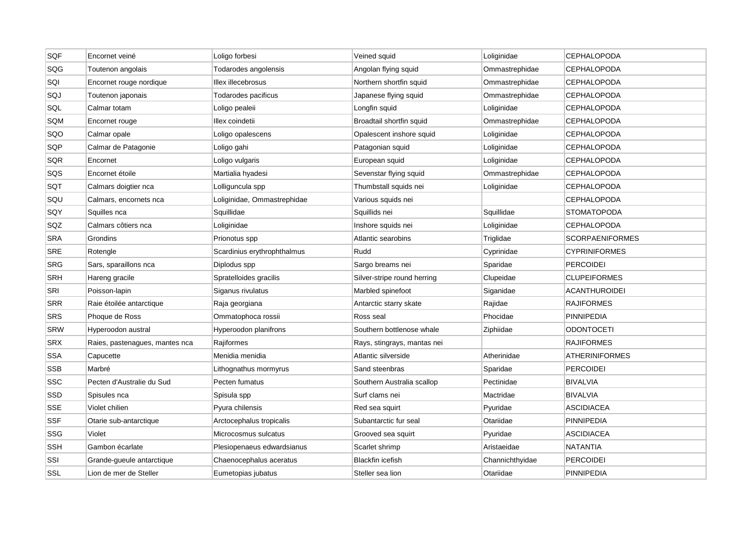| SQF        | Encornet veiné                 | Loligo forbesi              | Veined squid                | Loliginidae     | <b>CEPHALOPODA</b>     |
|------------|--------------------------------|-----------------------------|-----------------------------|-----------------|------------------------|
| SQG        | Toutenon angolais              | Todarodes angolensis        | Angolan flying squid        | Ommastrephidae  | <b>CEPHALOPODA</b>     |
| SQI        | Encornet rouge nordique        | Illex illecebrosus          | Northern shortfin squid     | Ommastrephidae  | CEPHALOPODA            |
| SQJ        | Toutenon japonais              | Todarodes pacificus         | Japanese flying squid       | Ommastrephidae  | CEPHALOPODA            |
| SQL        | Calmar totam                   | Loligo pealeii              | Longfin squid               | Loliginidae     | <b>CEPHALOPODA</b>     |
| SQM        | Encornet rouge                 | Illex coindetii             | Broadtail shortfin squid    | Ommastrephidae  | <b>CEPHALOPODA</b>     |
| SQO        | Calmar opale                   | Loligo opalescens           | Opalescent inshore squid    | Loliginidae     | <b>CEPHALOPODA</b>     |
| SQP        | Calmar de Patagonie            | Loligo gahi                 | Patagonian squid            | Loliginidae     | <b>CEPHALOPODA</b>     |
| SQR        | Encornet                       | Loligo vulgaris             | European squid              | Loliginidae     | <b>CEPHALOPODA</b>     |
| SQS        | Encornet étoile                | Martialia hyadesi           | Sevenstar flying squid      | Ommastrephidae  | <b>CEPHALOPODA</b>     |
| SQT        | Calmars doigtier nca           | Lolliguncula spp            | Thumbstall squids nei       | Loliginidae     | <b>CEPHALOPODA</b>     |
| SQU        | Calmars, encornets nca         | Loliginidae, Ommastrephidae | Various squids nei          |                 | <b>CEPHALOPODA</b>     |
| SQY        | Squilles nca                   | Squillidae                  | Squillids nei               | Squillidae      | <b>STOMATOPODA</b>     |
| SQZ        | Calmars côtiers nca            | Loliginidae                 | Inshore squids nei          | Loliginidae     | <b>CEPHALOPODA</b>     |
| <b>SRA</b> | Grondins                       | Prionotus spp               | Atlantic searobins          | Triglidae       | <b>SCORPAENIFORMES</b> |
| <b>SRE</b> | Rotengle                       | Scardinius erythrophthalmus | Rudd                        | Cyprinidae      | <b>CYPRINIFORMES</b>   |
| SRG        | Sars, sparaillons nca          | Diplodus spp                | Sargo breams nei            | Sparidae        | <b>PERCOIDEI</b>       |
| <b>SRH</b> | Hareng gracile                 | Spratelloides gracilis      | Silver-stripe round herring | Clupeidae       | <b>CLUPEIFORMES</b>    |
| SRI        | Poisson-lapin                  | Siganus rivulatus           | Marbled spinefoot           | Siganidae       | ACANTHUROIDEI          |
| <b>SRR</b> | Raie étoilée antarctique       | Raja georgiana              | Antarctic starry skate      | Rajidae         | <b>RAJIFORMES</b>      |
| <b>SRS</b> | Phoque de Ross                 | Ommatophoca rossii          | Ross seal                   | Phocidae        | <b>PINNIPEDIA</b>      |
| <b>SRW</b> | Hyperoodon austral             | Hyperoodon planifrons       | Southern bottlenose whale   | Ziphiidae       | <b>ODONTOCETI</b>      |
| <b>SRX</b> | Raies, pastenagues, mantes nca | Rajiformes                  | Rays, stingrays, mantas nei |                 | <b>RAJIFORMES</b>      |
| <b>SSA</b> | Capucette                      | Menidia menidia             | Atlantic silverside         | Atherinidae     | <b>ATHERINIFORMES</b>  |
| <b>SSB</b> | Marbré                         | Lithognathus mormyrus       | Sand steenbras              | Sparidae        | <b>PERCOIDEI</b>       |
| <b>SSC</b> | Pecten d'Australie du Sud      | Pecten fumatus              | Southern Australia scallop  | Pectinidae      | <b>BIVALVIA</b>        |
| SSD        | Spisules nca                   | Spisula spp                 | Surf clams nei              | Mactridae       | <b>BIVALVIA</b>        |
| <b>SSE</b> | Violet chilien                 | Pyura chilensis             | Red sea squirt              | Pyuridae        | <b>ASCIDIACEA</b>      |
| <b>SSF</b> | Otarie sub-antarctique         | Arctocephalus tropicalis    | Subantarctic fur seal       | Otariidae       | <b>PINNIPEDIA</b>      |
| SSG        | Violet                         | Microcosmus sulcatus        | Grooved sea squirt          | Pyuridae        | ASCIDIACEA             |
| <b>SSH</b> | Gambon écarlate                | Plesiopenaeus edwardsianus  | Scarlet shrimp              | Aristaeidae     | <b>NATANTIA</b>        |
| SSI        | Grande-gueule antarctique      | Chaenocephalus aceratus     | <b>Blackfin icefish</b>     | Channichthyidae | PERCOIDEI              |
| SSL        | Lion de mer de Steller         | Eumetopias jubatus          | Steller sea lion            | Otariidae       | <b>PINNIPEDIA</b>      |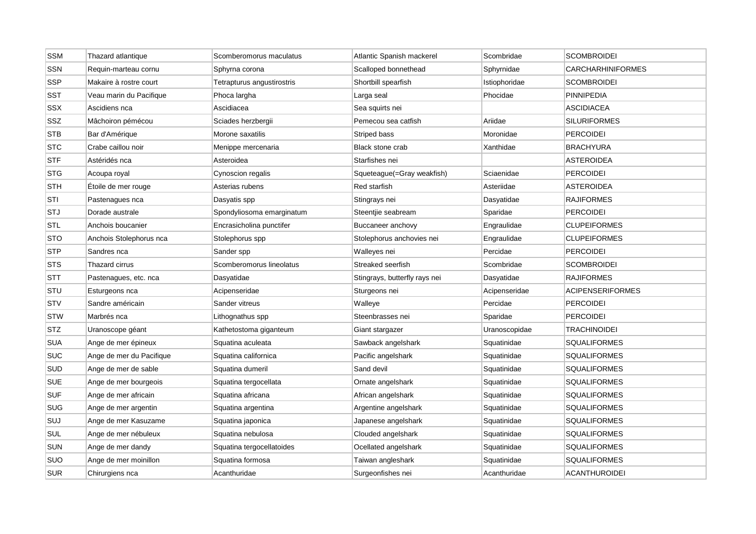| <b>SSM</b>              | Thazard atlantique       | Scomberomorus maculatus    | Atlantic Spanish mackerel     | Scombridae    | <b>SCOMBROIDEI</b>       |
|-------------------------|--------------------------|----------------------------|-------------------------------|---------------|--------------------------|
| SSN                     | Requin-marteau cornu     | Sphyrna corona             | Scalloped bonnethead          | Sphyrnidae    | <b>CARCHARHINIFORMES</b> |
| <b>SSP</b>              | Makaire à rostre court   | Tetrapturus angustirostris | Shortbill spearfish           | Istiophoridae | <b>SCOMBROIDEI</b>       |
| SST                     | Veau marin du Pacifique  | Phoca largha               | Larga seal                    | Phocidae      | PINNIPEDIA               |
| <b>SSX</b>              | Ascidiens nca            | Ascidiacea                 | Sea squirts nei               |               | <b>ASCIDIACEA</b>        |
| SSZ                     | Mâchoiron pémécou        | Sciades herzbergii         | Pemecou sea catfish           | Ariidae       | <b>SILURIFORMES</b>      |
| <b>STB</b>              | Bar d'Amérique           | Morone saxatilis           | Striped bass                  | Moronidae     | <b>PERCOIDEI</b>         |
| <b>STC</b>              | Crabe caillou noir       | Menippe mercenaria         | <b>Black stone crab</b>       | Xanthidae     | <b>BRACHYURA</b>         |
| STF                     | Astéridés nca            | Asteroidea                 | Starfishes nei                |               | <b>ASTEROIDEA</b>        |
| <b>STG</b>              | Acoupa royal             | Cynoscion regalis          | Squeteague(=Gray weakfish)    | Sciaenidae    | <b>PERCOIDEI</b>         |
| <b>STH</b>              | Etoile de mer rouge      | Asterias rubens            | Red starfish                  | Asteriidae    | <b>ASTEROIDEA</b>        |
| STI                     | Pastenagues nca          | Dasyatis spp               | Stingrays nei                 | Dasyatidae    | <b>RAJIFORMES</b>        |
| <b>STJ</b>              | Dorade australe          | Spondyliosoma emarginatum  | Steentjie seabream            | Sparidae      | <b>PERCOIDEI</b>         |
| <b>STL</b>              | Anchois boucanier        | Encrasicholina punctifer   | Buccaneer anchovy             | Engraulidae   | <b>CLUPEIFORMES</b>      |
| <b>STO</b>              | Anchois Stolephorus nca  | Stolephorus spp            | Stolephorus anchovies nei     | Engraulidae   | <b>CLUPEIFORMES</b>      |
| <b>STP</b>              | Sandres nca              | Sander spp                 | Walleyes nei                  | Percidae      | <b>PERCOIDEI</b>         |
| <b>STS</b>              | Thazard cirrus           | Scomberomorus lineolatus   | Streaked seerfish             | Scombridae    | <b>SCOMBROIDEI</b>       |
| $\overline{\text{STT}}$ | Pastenagues, etc. nca    | Dasyatidae                 | Stingrays, butterfly rays nei | Dasyatidae    | <b>RAJIFORMES</b>        |
| STU                     | Esturgeons nca           | Acipenseridae              | Sturgeons nei                 | Acipenseridae | <b>ACIPENSERIFORMES</b>  |
| STV                     | Sandre américain         | Sander vitreus             | Walleye                       | Percidae      | <b>PERCOIDEI</b>         |
| <b>STW</b>              | Marbrés nca              | Lithognathus spp           | Steenbrasses nei              | Sparidae      | <b>PERCOIDEI</b>         |
| <b>STZ</b>              | Uranoscope géant         | Kathetostoma giganteum     | Giant stargazer               | Uranoscopidae | <b>TRACHINOIDEI</b>      |
| <b>SUA</b>              | Ange de mer épineux      | Squatina aculeata          | Sawback angelshark            | Squatinidae   | <b>SQUALIFORMES</b>      |
| <b>SUC</b>              | Ange de mer du Pacifique | Squatina californica       | Pacific angelshark            | Squatinidae   | <b>SQUALIFORMES</b>      |
| SUD                     | Ange de mer de sable     | Squatina dumeril           | Sand devil                    | Squatinidae   | <b>SQUALIFORMES</b>      |
| SUE                     | Ange de mer bourgeois    | Squatina tergocellata      | Ornate angelshark             | Squatinidae   | <b>SQUALIFORMES</b>      |
| <b>SUF</b>              | Ange de mer africain     | Squatina africana          | African angelshark            | Squatinidae   | <b>SQUALIFORMES</b>      |
| <b>SUG</b>              | Ange de mer argentin     | Squatina argentina         | Argentine angelshark          | Squatinidae   | <b>SQUALIFORMES</b>      |
| <b>SUJ</b>              | Ange de mer Kasuzame     | Squatina japonica          | Japanese angelshark           | Squatinidae   | <b>SQUALIFORMES</b>      |
| SUL                     | Ange de mer nébuleux     | Squatina nebulosa          | Clouded angelshark            | Squatinidae   | <b>SQUALIFORMES</b>      |
| <b>SUN</b>              | Ange de mer dandy        | Squatina tergocellatoides  | Ocellated angelshark          | Squatinidae   | <b>SQUALIFORMES</b>      |
| SUO                     | Ange de mer moinillon    | Squatina formosa           | Taiwan angleshark             | Squatinidae   | <b>SQUALIFORMES</b>      |
| <b>SUR</b>              | Chirurgiens nca          | Acanthuridae               | Surgeonfishes nei             | Acanthuridae  | <b>ACANTHUROIDEI</b>     |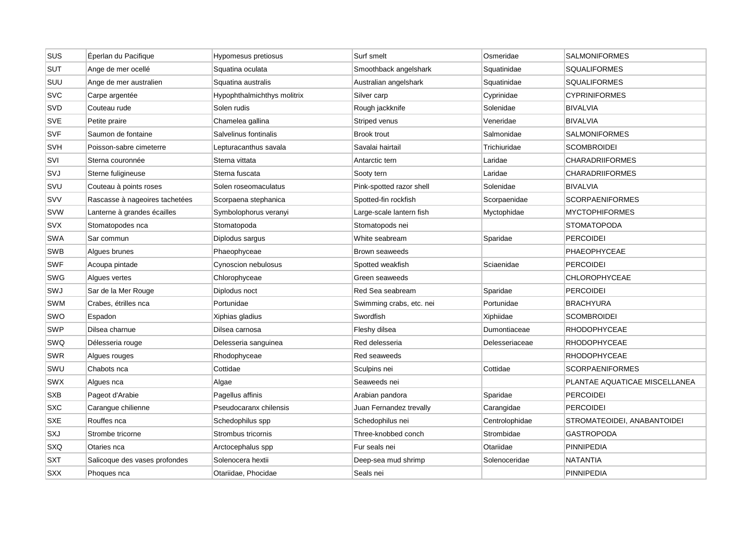| sus        | Éperlan du Pacifique           | Hypomesus pretiosus         | Surf smelt               | Osmeridae      | <b>SALMONIFORMES</b>          |
|------------|--------------------------------|-----------------------------|--------------------------|----------------|-------------------------------|
| <b>SUT</b> | Ange de mer ocellé             | Squatina oculata            | Smoothback angelshark    | Squatinidae    | <b>SQUALIFORMES</b>           |
| <b>SUU</b> | Ange de mer australien         | Squatina australis          | Australian angelshark    | Squatinidae    | <b>SQUALIFORMES</b>           |
| <b>SVC</b> | Carpe argentée                 | Hypophthalmichthys molitrix | Silver carp              | Cyprinidae     | <b>CYPRINIFORMES</b>          |
| <b>SVD</b> | Couteau rude                   | Solen rudis                 | Rough jackknife          | Solenidae      | <b>BIVALVIA</b>               |
| <b>SVE</b> | Petite praire                  | Chamelea gallina            | Striped venus            | Veneridae      | <b>BIVALVIA</b>               |
| <b>SVF</b> | Saumon de fontaine             | Salvelinus fontinalis       | <b>Brook trout</b>       | Salmonidae     | <b>SALMONIFORMES</b>          |
| <b>SVH</b> | Poisson-sabre cimeterre        | Lepturacanthus savala       | Savalai hairtail         | Trichiuridae   | <b>SCOMBROIDEI</b>            |
| <b>SVI</b> | Sterna couronnée               | Sterna vittata              | Antarctic tern           | Laridae        | <b>CHARADRIIFORMES</b>        |
| SVJ        | Sterne fuligineuse             | Sterna fuscata              | Sooty tern               | Laridae        | <b>CHARADRIIFORMES</b>        |
| SVU        | Couteau à points roses         | Solen roseomaculatus        | Pink-spotted razor shell | Solenidae      | <b>BIVALVIA</b>               |
| SVV        | Rascasse à nageoires tachetées | Scorpaena stephanica        | Spotted-fin rockfish     | Scorpaenidae   | <b>SCORPAENIFORMES</b>        |
| <b>SVW</b> | Lanterne à grandes écailles    | Symbolophorus veranyi       | Large-scale lantern fish | Myctophidae    | <b>MYCTOPHIFORMES</b>         |
| <b>SVX</b> | Stomatopodes nca               | Stomatopoda                 | Stomatopods nei          |                | <b>STOMATOPODA</b>            |
| <b>SWA</b> | Sar commun                     | Diplodus sargus             | White seabream           | Sparidae       | <b>PERCOIDEI</b>              |
| <b>SWB</b> | Algues brunes                  | Phaeophyceae                | Brown seaweeds           |                | PHAEOPHYCEAE                  |
| <b>SWF</b> | Acoupa pintade                 | Cynoscion nebulosus         | Spotted weakfish         | Sciaenidae     | <b>PERCOIDEI</b>              |
| <b>SWG</b> | Algues vertes                  | Chlorophyceae               | Green seaweeds           |                | <b>CHLOROPHYCEAE</b>          |
| SWJ        | Sar de la Mer Rouge            | Diplodus noct               | Red Sea seabream         | Sparidae       | <b>PERCOIDEI</b>              |
| <b>SWM</b> | Crabes, étrilles nca           | Portunidae                  | Swimming crabs, etc. nei | Portunidae     | <b>BRACHYURA</b>              |
| SWO        | Espadon                        | Xiphias gladius             | Swordfish                | Xiphiidae      | <b>SCOMBROIDEI</b>            |
| <b>SWP</b> | Dilsea charnue                 | Dilsea carnosa              | Fleshy dilsea            | Dumontiaceae   | <b>RHODOPHYCEAE</b>           |
| SWQ        | Délesseria rouge               | Delesseria sanguinea        | Red delesseria           | Delesseriaceae | RHODOPHYCEAE                  |
| <b>SWR</b> | Algues rouges                  | Rhodophyceae                | Red seaweeds             |                | <b>RHODOPHYCEAE</b>           |
| SWU        | Chabots nca                    | Cottidae                    | Sculpins nei             | Cottidae       | <b>SCORPAENIFORMES</b>        |
| <b>SWX</b> | Algues nca                     | Algae                       | Seaweeds nei             |                | PLANTAE AQUATICAE MISCELLANEA |
| <b>SXB</b> | Pageot d'Arabie                | Pagellus affinis            | Arabian pandora          | Sparidae       | <b>PERCOIDEI</b>              |
| <b>SXC</b> | Carangue chilienne             | Pseudocaranx chilensis      | Juan Fernandez trevally  | Carangidae     | <b>PERCOIDEI</b>              |
| <b>SXE</b> | Rouffes nca                    | Schedophilus spp            | Schedophilus nei         | Centrolophidae | STROMATEOIDEI, ANABANTOIDEI   |
| SXJ        | Strombe tricorne               | Strombus tricornis          | Three-knobbed conch      | Strombidae     | <b>GASTROPODA</b>             |
| SXQ        | Otaries nca                    | Arctocephalus spp           | Fur seals nei            | Otariidae      | <b>PINNIPEDIA</b>             |
| <b>SXT</b> | Salicoque des vases profondes  | Solenocera hextii           | Deep-sea mud shrimp      | Solenoceridae  | <b>NATANTIA</b>               |
| <b>SXX</b> | Phoques nca                    | Otariidae, Phocidae         | Seals nei                |                | <b>PINNIPEDIA</b>             |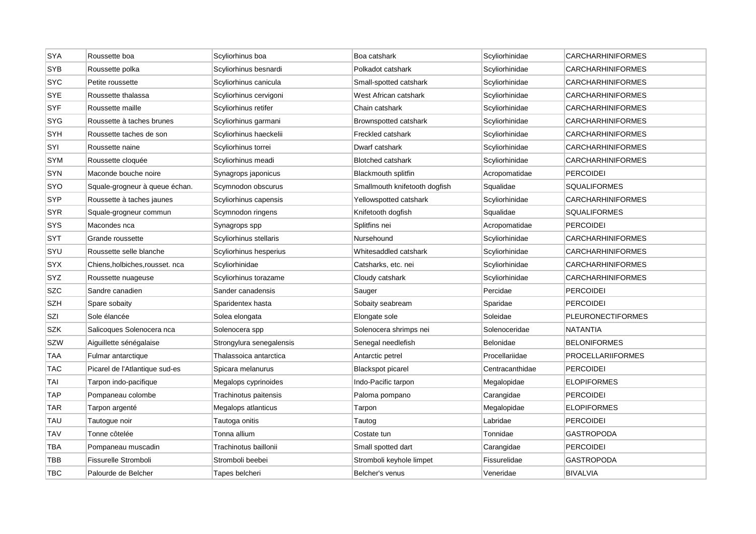| <b>SYA</b> | Roussette boa                   | Scyliorhinus boa         | Boa catshark                  | Scyliorhinidae  | <b>CARCHARHINIFORMES</b> |
|------------|---------------------------------|--------------------------|-------------------------------|-----------------|--------------------------|
| <b>SYB</b> | Roussette polka                 | Scyliorhinus besnardi    | Polkadot catshark             | Scyliorhinidae  | <b>CARCHARHINIFORMES</b> |
| <b>SYC</b> | Petite roussette                | Scyliorhinus canicula    | Small-spotted catshark        | Scyliorhinidae  | <b>CARCHARHINIFORMES</b> |
| <b>SYE</b> | Roussette thalassa              | Scyliorhinus cervigoni   | West African catshark         | Scyliorhinidae  | <b>CARCHARHINIFORMES</b> |
| <b>SYF</b> | Roussette maille                | Scyliorhinus retifer     | Chain catshark                | Scyliorhinidae  | <b>CARCHARHINIFORMES</b> |
| <b>SYG</b> | Roussette à taches brunes       | Scyliorhinus garmani     | Brownspotted catshark         | Scyliorhinidae  | <b>CARCHARHINIFORMES</b> |
| SYH        | Roussette taches de son         | Scyliorhinus haeckelii   | Freckled catshark             | Scyliorhinidae  | <b>CARCHARHINIFORMES</b> |
| SYI        | Roussette naine                 | Scyliorhinus torrei      | Dwarf catshark                | Scyliorhinidae  | <b>CARCHARHINIFORMES</b> |
| <b>SYM</b> | Roussette cloquée               | Scyliorhinus meadi       | <b>Blotched catshark</b>      | Scyliorhinidae  | <b>CARCHARHINIFORMES</b> |
| <b>SYN</b> | Maconde bouche noire            | Synagrops japonicus      | <b>Blackmouth splitfin</b>    | Acropomatidae   | <b>PERCOIDEI</b>         |
| <b>SYO</b> | Squale-grogneur à queue échan.  | Scymnodon obscurus       | Smallmouth knifetooth dogfish | Squalidae       | <b>SQUALIFORMES</b>      |
| <b>SYP</b> | Roussette à taches jaunes       | Scyliorhinus capensis    | Yellowspotted catshark        | Scyliorhinidae  | <b>CARCHARHINIFORMES</b> |
| <b>SYR</b> | Squale-grogneur commun          | Scymnodon ringens        | Knifetooth dogfish            | Squalidae       | <b>SQUALIFORMES</b>      |
| <b>SYS</b> | Macondes nca                    | Synagrops spp            | Splitfins nei                 | Acropomatidae   | <b>PERCOIDEI</b>         |
| SYT        | Grande roussette                | Scyliorhinus stellaris   | Nursehound                    | Scyliorhinidae  | <b>CARCHARHINIFORMES</b> |
| SYU        | Roussette selle blanche         | Scyliorhinus hesperius   | Whitesaddled catshark         | Scyliorhinidae  | <b>CARCHARHINIFORMES</b> |
| <b>SYX</b> | Chiens, holbiches, rousset. nca | Scyliorhinidae           | Catsharks, etc. nei           | Scyliorhinidae  | <b>CARCHARHINIFORMES</b> |
| SYZ        | Roussette nuageuse              | Scyliorhinus torazame    | Cloudy catshark               | Scyliorhinidae  | <b>CARCHARHINIFORMES</b> |
| <b>SZC</b> | Sandre canadien                 | Sander canadensis        | Sauger                        | Percidae        | <b>PERCOIDEI</b>         |
| <b>SZH</b> | Spare sobaity                   | Sparidentex hasta        | Sobaity seabream              | Sparidae        | <b>PERCOIDEI</b>         |
| SZI        | Sole élancée                    | Solea elongata           | Elongate sole                 | Soleidae        | <b>PLEURONECTIFORMES</b> |
| <b>SZK</b> | Salicoques Solenocera nca       | Solenocera spp           | Solenocera shrimps nei        | Solenoceridae   | <b>NATANTIA</b>          |
| <b>SZW</b> | Aiguillette sénégalaise         | Strongylura senegalensis | Senegal needlefish            | Belonidae       | <b>BELONIFORMES</b>      |
| <b>TAA</b> | Fulmar antarctique              | Thalassoica antarctica   | Antarctic petrel              | Procellariidae  | <b>PROCELLARIIFORMES</b> |
| TAC        | Picarel de l'Atlantique sud-es  | Spicara melanurus        | <b>Blackspot picarel</b>      | Centracanthidae | <b>PERCOIDEI</b>         |
| TAI        | Tarpon indo-pacifique           | Megalops cyprinoides     | Indo-Pacific tarpon           | Megalopidae     | <b>ELOPIFORMES</b>       |
| <b>TAP</b> | Pompaneau colombe               | Trachinotus paitensis    | Paloma pompano                | Carangidae      | <b>PERCOIDEI</b>         |
| <b>TAR</b> | Tarpon argenté                  | Megalops atlanticus      | Tarpon                        | Megalopidae     | <b>ELOPIFORMES</b>       |
| <b>TAU</b> | Tautogue noir                   | Tautoga onitis           | Tautog                        | Labridae        | <b>PERCOIDEI</b>         |
| <b>TAV</b> | Tonne côtelée                   | Tonna allium             | Costate tun                   | Tonnidae        | <b>GASTROPODA</b>        |
| TBA        | Pompaneau muscadin              | Trachinotus baillonii    | Small spotted dart            | Carangidae      | <b>PERCOIDEI</b>         |
| TBB        | Fissurelle Stromboli            | Stromboli beebei         | Stromboli keyhole limpet      | Fissurelidae    | <b>GASTROPODA</b>        |
| <b>TBC</b> | Palourde de Belcher             | Tapes belcheri           | Belcher's venus               | Veneridae       | <b>BIVALVIA</b>          |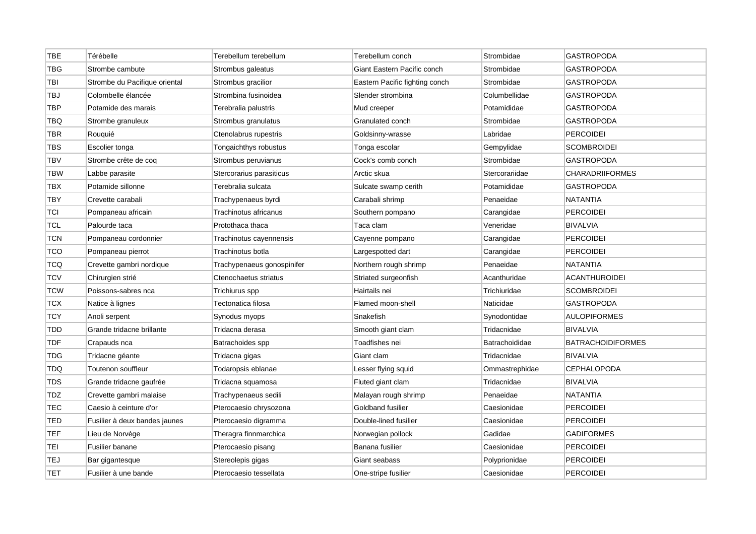| <b>TBE</b> | Térébelle                     | Terebellum terebellum      | Terebellum conch               | Strombidae     | <b>GASTROPODA</b>        |
|------------|-------------------------------|----------------------------|--------------------------------|----------------|--------------------------|
| TBG        | Strombe cambute               | Strombus galeatus          | Giant Eastern Pacific conch    | Strombidae     | <b>GASTROPODA</b>        |
| TBI        | Strombe du Pacifique oriental | Strombus gracilior         | Eastern Pacific fighting conch | Strombidae     | <b>GASTROPODA</b>        |
| TBJ        | Colombelle élancée            | Strombina fusinoidea       | Slender strombina              | Columbellidae  | GASTROPODA               |
| TBP        | Potamide des marais           | Terebralia palustris       | Mud creeper                    | Potamididae    | <b>GASTROPODA</b>        |
| TBQ        | Strombe granuleux             | Strombus granulatus        | Granulated conch               | Strombidae     | GASTROPODA               |
| TBR        | Rouquié                       | Ctenolabrus rupestris      | Goldsinny-wrasse               | Labridae       | <b>PERCOIDEI</b>         |
| TBS        | Escolier tonga                | Tongaichthys robustus      | Tonga escolar                  | Gempylidae     | <b>SCOMBROIDEI</b>       |
| <b>TBV</b> | Strombe crête de coq          | Strombus peruvianus        | Cock's comb conch              | Strombidae     | <b>GASTROPODA</b>        |
| <b>TBW</b> | Labbe parasite                | Stercorarius parasiticus   | Arctic skua                    | Stercorariidae | <b>CHARADRIIFORMES</b>   |
| TBX        | Potamide sillonne             | Terebralia sulcata         | Sulcate swamp cerith           | Potamididae    | <b>GASTROPODA</b>        |
| TBY        | Crevette carabali             | Trachypenaeus byrdi        | Carabali shrimp                | Penaeidae      | <b>NATANTIA</b>          |
| <b>TCI</b> | Pompaneau africain            | Trachinotus africanus      | Southern pompano               | Carangidae     | <b>PERCOIDEI</b>         |
| <b>TCL</b> | Palourde taca                 | Protothaca thaca           | Taca clam                      | Veneridae      | <b>BIVALVIA</b>          |
| TCN        | Pompaneau cordonnier          | Trachinotus cayennensis    | Cayenne pompano                | Carangidae     | <b>PERCOIDEI</b>         |
| TCO        | Pompaneau pierrot             | Trachinotus botla          | Largespotted dart              | Carangidae     | <b>PERCOIDEI</b>         |
| TCQ        | Crevette gambri nordique      | Trachypenaeus gonospinifer | Northern rough shrimp          | Penaeidae      | <b>NATANTIA</b>          |
| <b>TCV</b> | Chirurgien strié              | Ctenochaetus striatus      | Striated surgeonfish           | Acanthuridae   | <b>ACANTHUROIDEI</b>     |
| <b>TCW</b> | Poissons-sabres nca           | Trichiurus spp             | Hairtails nei                  | Trichiuridae   | SCOMBROIDEI              |
| TCX        | Natice à lignes               | Tectonatica filosa         | Flamed moon-shell              | Naticidae      | GASTROPODA               |
| <b>TCY</b> | Anoli serpent                 | Synodus myops              | Snakefish                      | Synodontidae   | <b>AULOPIFORMES</b>      |
| <b>TDD</b> | Grande tridacne brillante     | Tridacna derasa            | Smooth giant clam              | Tridacnidae    | <b>BIVALVIA</b>          |
| <b>TDF</b> | Crapauds nca                  | Batrachoides spp           | Toadfishes nei                 | Batrachoididae | <b>BATRACHOIDIFORMES</b> |
| TDG        | Tridacne géante               | Tridacna gigas             | Giant clam                     | Tridacnidae    | <b>BIVALVIA</b>          |
| TDQ        | Toutenon souffleur            | Todaropsis eblanae         | Lesser flying squid            | Ommastrephidae | <b>CEPHALOPODA</b>       |
| TDS        | Grande tridacne gaufrée       | Tridacna squamosa          | Fluted giant clam              | Tridacnidae    | <b>BIVALVIA</b>          |
| TDZ        | Crevette gambri malaise       | Trachypenaeus sedili       | Malayan rough shrimp           | Penaeidae      | NATANTIA                 |
| <b>TEC</b> | Caesio à ceinture d'or        | Pterocaesio chrysozona     | Goldband fusilier              | Caesionidae    | <b>PERCOIDEI</b>         |
| <b>TED</b> | Fusilier à deux bandes jaunes | Pterocaesio digramma       | Double-lined fusilier          | Caesionidae    | <b>PERCOIDEI</b>         |
| TEF        | Lieu de Norvège               | Theragra finnmarchica      | Norwegian pollock              | Gadidae        | <b>GADIFORMES</b>        |
| TEI        | Fusilier banane               | Pterocaesio pisang         | Banana fusilier                | Caesionidae    | <b>PERCOIDEI</b>         |
| TEJ        | Bar gigantesque               | Stereolepis gigas          | Giant seabass                  | Polyprionidae  | PERCOIDEI                |
| <b>TET</b> | Fusilier à une bande          | Pterocaesio tessellata     | One-stripe fusilier            | Caesionidae    | <b>PERCOIDEI</b>         |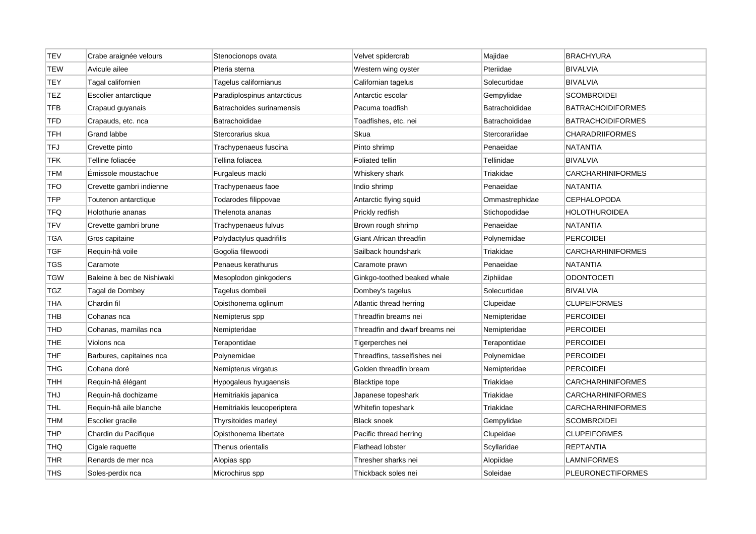| <b>TEV</b> | Crabe araignée velours     | Stenocionops ovata          | Velvet spidercrab              | Majidae        | <b>BRACHYURA</b>         |
|------------|----------------------------|-----------------------------|--------------------------------|----------------|--------------------------|
| <b>TEW</b> | Avicule ailee              | Pteria sterna               | Western wing oyster            | Pteriidae      | <b>BIVALVIA</b>          |
| <b>TEY</b> | Tagal californien          | Tagelus californianus       | Californian tagelus            | Solecurtidae   | <b>BIVALVIA</b>          |
| TEZ        | Escolier antarctique       | Paradiplospinus antarcticus | Antarctic escolar              | Gempylidae     | <b>SCOMBROIDEI</b>       |
| <b>TFB</b> | Crapaud guyanais           | Batrachoides surinamensis   | Pacuma toadfish                | Batrachoididae | <b>BATRACHOIDIFORMES</b> |
| <b>TFD</b> | Crapauds, etc. nca         | Batrachoididae              | Toadfishes, etc. nei           | Batrachoididae | <b>BATRACHOIDIFORMES</b> |
| TFH        | Grand labbe                | Stercorarius skua           | Skua                           | Stercorariidae | <b>CHARADRIIFORMES</b>   |
| <b>TFJ</b> | Crevette pinto             | Trachypenaeus fuscina       | Pinto shrimp                   | Penaeidae      | <b>NATANTIA</b>          |
| <b>TFK</b> | Telline foliacée           | Tellina foliacea            | <b>Foliated tellin</b>         | Tellinidae     | <b>BIVALVIA</b>          |
| <b>TFM</b> | Emissole moustachue        | Furgaleus macki             | Whiskery shark                 | Triakidae      | <b>CARCHARHINIFORMES</b> |
| <b>TFO</b> | Crevette gambri indienne   | Trachypenaeus faoe          | Indio shrimp                   | Penaeidae      | <b>NATANTIA</b>          |
| <b>TFP</b> | Toutenon antarctique       | Todarodes filippovae        | Antarctic flying squid         | Ommastrephidae | <b>CEPHALOPODA</b>       |
| <b>TFQ</b> | Holothurie ananas          | Thelenota ananas            | Prickly redfish                | Stichopodidae  | <b>HOLOTHUROIDEA</b>     |
| <b>TFV</b> | Crevette gambri brune      | Trachypenaeus fulvus        | Brown rough shrimp             | Penaeidae      | <b>NATANTIA</b>          |
| TGA        | Gros capitaine             | Polydactylus quadrifilis    | Giant African threadfin        | Polynemidae    | PERCOIDEI                |
| TGF        | Requin-hâ voile            | Gogolia filewoodi           | Sailback houndshark            | Triakidae      | <b>CARCHARHINIFORMES</b> |
| <b>TGS</b> | Caramote                   | Penaeus kerathurus          | Caramote prawn                 | Penaeidae      | <b>NATANTIA</b>          |
| <b>TGW</b> | Baleine à bec de Nishiwaki | Mesoplodon ginkgodens       | Ginkgo-toothed beaked whale    | Ziphiidae      | <b>ODONTOCETI</b>        |
| <b>TGZ</b> | Tagal de Dombey            | Tagelus dombeii             | Dombey's tagelus               | Solecurtidae   | <b>BIVALVIA</b>          |
| <b>THA</b> | Chardin fil                | Opisthonema oglinum         | Atlantic thread herring        | Clupeidae      | <b>CLUPEIFORMES</b>      |
| <b>THB</b> | Cohanas nca                | Nemipterus spp              | Threadfin breams nei           | Nemipteridae   | <b>PERCOIDEI</b>         |
| <b>THD</b> | Cohanas, mamilas nca       | Nemipteridae                | Threadfin and dwarf breams nei | Nemipteridae   | <b>PERCOIDEI</b>         |
| <b>THE</b> | Violons nca                | Terapontidae                | Tigerperches nei               | Terapontidae   | <b>PERCOIDEI</b>         |
| <b>THF</b> | Barbures, capitaines nca   | Polynemidae                 | Threadfins, tasselfishes nei   | Polynemidae    | <b>PERCOIDEI</b>         |
| THG        | Cohana doré                | Nemipterus virgatus         | Golden threadfin bream         | Nemipteridae   | <b>PERCOIDEI</b>         |
| THH        | Requin-hâ élégant          | Hypogaleus hyugaensis       | <b>Blacktipe tope</b>          | Triakidae      | <b>CARCHARHINIFORMES</b> |
| <b>THJ</b> | Requin-hâ dochizame        | Hemitriakis japanica        | Japanese topeshark             | Triakidae      | <b>CARCHARHINIFORMES</b> |
| THL        | Requin-hâ aile blanche     | Hemitriakis leucoperiptera  | Whitefin topeshark             | Triakidae      | <b>CARCHARHINIFORMES</b> |
| <b>THM</b> | Escolier gracile           | Thyrsitoides marleyi        | <b>Black snoek</b>             | Gempylidae     | <b>SCOMBROIDEI</b>       |
| <b>THP</b> | Chardin du Pacifique       | Opisthonema libertate       | Pacific thread herring         | Clupeidae      | <b>CLUPEIFORMES</b>      |
| <b>THQ</b> | Cigale raquette            | Thenus orientalis           | <b>Flathead lobster</b>        | Scyllaridae    | <b>REPTANTIA</b>         |
| <b>THR</b> | Renards de mer nca         | Alopias spp                 | Thresher sharks nei            | Alopiidae      | <b>LAMNIFORMES</b>       |
| <b>THS</b> | Soles-perdix nca           | Microchirus spp             | Thickback soles nei            | Soleidae       | <b>PLEURONECTIFORMES</b> |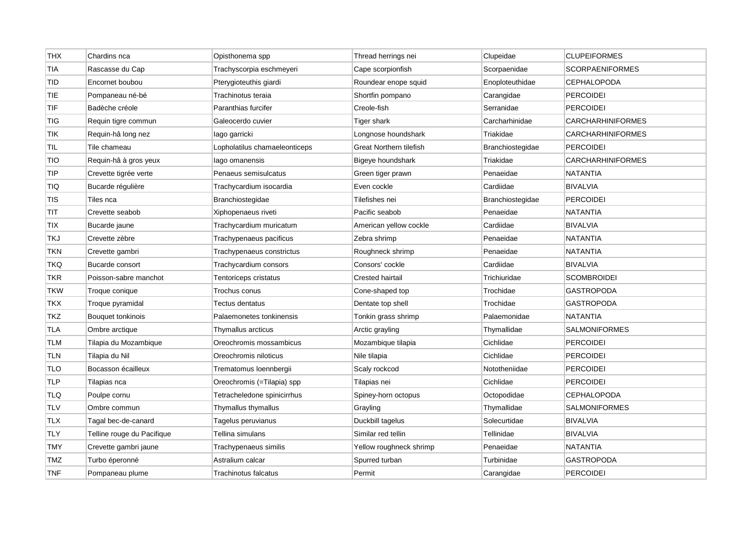| <b>THX</b> | Chardins nca               | Opisthonema spp               | Thread herrings nei     | Clupeidae        | <b>CLUPEIFORMES</b>      |
|------------|----------------------------|-------------------------------|-------------------------|------------------|--------------------------|
| <b>TIA</b> | Rascasse du Cap            | Trachyscorpia eschmeyeri      | Cape scorpionfish       | Scorpaenidae     | <b>SCORPAENIFORMES</b>   |
| TID        | Encornet boubou            | Pterygioteuthis giardi        | Roundear enope squid    | Enoploteuthidae  | CEPHALOPODA              |
| <b>TIE</b> | Pompaneau né-bé            | Trachinotus teraia            | Shortfin pompano        | Carangidae       | <b>PERCOIDEI</b>         |
| <b>TIF</b> | Badèche créole             | Paranthias furcifer           | Creole-fish             | Serranidae       | <b>PERCOIDEI</b>         |
| TIG        | Requin tigre commun        | Galeocerdo cuvier             | Tiger shark             | Carcharhinidae   | <b>CARCHARHINIFORMES</b> |
| <b>TIK</b> | Requin-hâ long nez         | lago garricki                 | Longnose houndshark     | Triakidae        | <b>CARCHARHINIFORMES</b> |
| TIL        | Tile chameau               | Lopholatilus chamaeleonticeps | Great Northern tilefish | Branchiostegidae | <b>PERCOIDEI</b>         |
| TIO        | Requin-hâ à gros yeux      | lago omanensis                | Bigeye houndshark       | Triakidae        | <b>CARCHARHINIFORMES</b> |
| <b>TIP</b> | Crevette tigrée verte      | Penaeus semisulcatus          | Green tiger prawn       | Penaeidae        | <b>NATANTIA</b>          |
| TIQ        | Bucarde régulière          | Trachycardium isocardia       | Even cockle             | Cardiidae        | <b>BIVALVIA</b>          |
| <b>TIS</b> | Tiles nca                  | Branchiostegidae              | Tilefishes nei          | Branchiostegidae | <b>PERCOIDEI</b>         |
| TIT        | Crevette seabob            | Xiphopenaeus riveti           | Pacific seabob          | Penaeidae        | <b>NATANTIA</b>          |
| <b>TIX</b> | Bucarde jaune              | Trachycardium muricatum       | American yellow cockle  | Cardiidae        | <b>BIVALVIA</b>          |
| TKJ        | Crevette zèbre             | Trachypenaeus pacificus       | Zebra shrimp            | Penaeidae        | <b>NATANTIA</b>          |
| <b>TKN</b> | Crevette gambri            | Trachypenaeus constrictus     | Roughneck shrimp        | Penaeidae        | <b>NATANTIA</b>          |
| TKQ        | Bucarde consort            | Trachycardium consors         | Consors' cockle         | Cardiidae        | <b>BIVALVIA</b>          |
| <b>TKR</b> | Poisson-sabre manchot      | Tentoriceps cristatus         | Crested hairtail        | Trichiuridae     | <b>SCOMBROIDEI</b>       |
| <b>TKW</b> | Troque conique             | Trochus conus                 | Cone-shaped top         | Trochidae        | <b>GASTROPODA</b>        |
| <b>TKX</b> | Troque pyramidal           | Tectus dentatus               | Dentate top shell       | Trochidae        | <b>GASTROPODA</b>        |
| <b>TKZ</b> | Bouquet tonkinois          | Palaemonetes tonkinensis      | Tonkin grass shrimp     | Palaemonidae     | <b>NATANTIA</b>          |
| <b>TLA</b> | Ombre arctique             | Thymallus arcticus            | Arctic grayling         | Thymallidae      | <b>SALMONIFORMES</b>     |
| <b>TLM</b> | Tilapia du Mozambique      | Oreochromis mossambicus       | Mozambique tilapia      | Cichlidae        | <b>PERCOIDEI</b>         |
| <b>TLN</b> | Tilapia du Nil             | Oreochromis niloticus         | Nile tilapia            | Cichlidae        | <b>PERCOIDEI</b>         |
| <b>TLO</b> | Bocasson écailleux         | Trematomus loennbergii        | Scaly rockcod           | Nototheniidae    | <b>PERCOIDEI</b>         |
| <b>TLP</b> | Tilapias nca               | Oreochromis (=Tilapia) spp    | Tilapias nei            | Cichlidae        | <b>PERCOIDEI</b>         |
| TLQ        | Poulpe cornu               | Tetracheledone spinicirrhus   | Spiney-horn octopus     | Octopodidae      | <b>CEPHALOPODA</b>       |
| <b>TLV</b> | Ombre commun               | Thymallus thymallus           | Grayling                | Thymallidae      | <b>SALMONIFORMES</b>     |
| <b>TLX</b> | Tagal bec-de-canard        | Tagelus peruvianus            | Duckbill tagelus        | Solecurtidae     | <b>BIVALVIA</b>          |
| TLY        | Telline rouge du Pacifique | Tellina simulans              | Similar red tellin      | Tellinidae       | <b>BIVALVIA</b>          |
| <b>TMY</b> | Crevette gambri jaune      | Trachypenaeus similis         | Yellow roughneck shrimp | Penaeidae        | <b>NATANTIA</b>          |
| <b>TMZ</b> | Turbo éperonné             | Astralium calcar              | Spurred turban          | Turbinidae       | <b>GASTROPODA</b>        |
| <b>TNF</b> | Pompaneau plume            | Trachinotus falcatus          | Permit                  | Carangidae       | <b>PERCOIDEI</b>         |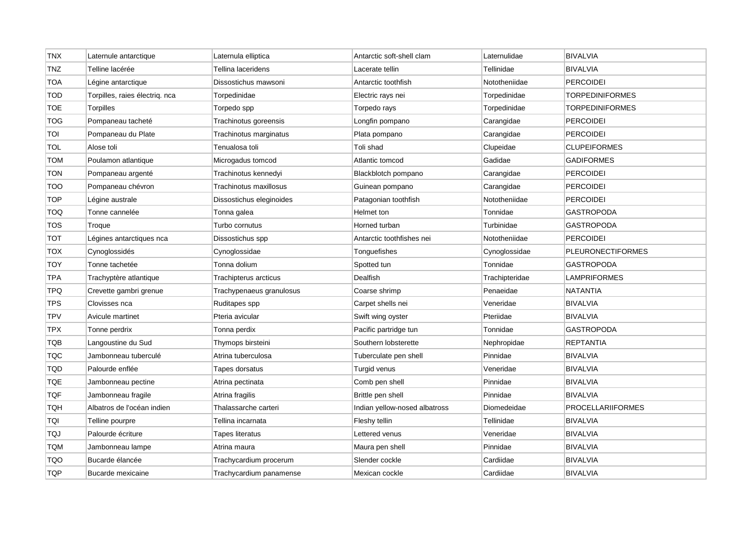| TNX        | Laternule antarctique          | Laternula elliptica      | Antarctic soft-shell clam     | Laternulidae   | <b>BIVALVIA</b>          |
|------------|--------------------------------|--------------------------|-------------------------------|----------------|--------------------------|
| <b>TNZ</b> | Telline lacérée                | Tellina laceridens       | Lacerate tellin               | Tellinidae     | <b>BIVALVIA</b>          |
| <b>TOA</b> | Légine antarctique             | Dissostichus mawsoni     | Antarctic toothfish           | Nototheniidae  | <b>PERCOIDEI</b>         |
| <b>TOD</b> | Torpilles, raies électriq. nca | Torpedinidae             | Electric rays nei             | Torpedinidae   | <b>TORPEDINIFORMES</b>   |
| <b>TOE</b> | Torpilles                      | Torpedo spp              | Torpedo rays                  | Torpedinidae   | <b>TORPEDINIFORMES</b>   |
| <b>TOG</b> | Pompaneau tacheté              | Trachinotus goreensis    | Longfin pompano               | Carangidae     | <b>PERCOIDEI</b>         |
| TOI        | Pompaneau du Plate             | Trachinotus marginatus   | Plata pompano                 | Carangidae     | <b>PERCOIDEI</b>         |
| TOL        | Alose toli                     | Tenualosa toli           | Toli shad                     | Clupeidae      | <b>CLUPEIFORMES</b>      |
| TOM        | Poulamon atlantique            | Microgadus tomcod        | Atlantic tomcod               | Gadidae        | <b>GADIFORMES</b>        |
| TON        | Pompaneau argenté              | Trachinotus kennedyi     | Blackblotch pompano           | Carangidae     | <b>PERCOIDEI</b>         |
| <b>TOO</b> | Pompaneau chévron              | Trachinotus maxillosus   | Guinean pompano               | Carangidae     | <b>PERCOIDEI</b>         |
| <b>TOP</b> | Légine australe                | Dissostichus eleginoides | Patagonian toothfish          | Nototheniidae  | <b>PERCOIDEI</b>         |
| <b>TOQ</b> | Tonne cannelée                 | Tonna galea              | Helmet ton                    | Tonnidae       | <b>GASTROPODA</b>        |
| <b>TOS</b> | Troque                         | Turbo cornutus           | Horned turban                 | Turbinidae     | <b>GASTROPODA</b>        |
| тот        | Légines antarctiques nca       | Dissostichus spp         | Antarctic toothfishes nei     | Nototheniidae  | <b>PERCOIDEI</b>         |
| TOX        | Cynoglossidés                  | Cynoglossidae            | Tonguefishes                  | Cynoglossidae  | <b>PLEURONECTIFORMES</b> |
| <b>TOY</b> | Tonne tachetée                 | Tonna dolium             | Spotted tun                   | Tonnidae       | <b>GASTROPODA</b>        |
| <b>TPA</b> | Trachyptère atlantique         | Trachipterus arcticus    | Dealfish                      | Trachipteridae | <b>LAMPRIFORMES</b>      |
| <b>TPQ</b> | Crevette gambri grenue         | Trachypenaeus granulosus | Coarse shrimp                 | Penaeidae      | <b>NATANTIA</b>          |
| <b>TPS</b> | Clovisses nca                  | Ruditapes spp            | Carpet shells nei             | Veneridae      | <b>BIVALVIA</b>          |
| <b>TPV</b> | Avicule martinet               | Pteria avicular          | Swift wing oyster             | Pteriidae      | <b>BIVALVIA</b>          |
| <b>TPX</b> | Tonne perdrix                  | Tonna perdix             | Pacific partridge tun         | Tonnidae       | <b>GASTROPODA</b>        |
| TQB        | Langoustine du Sud             | Thymops birsteini        | Southern lobsterette          | Nephropidae    | <b>REPTANTIA</b>         |
| TQC        | Jambonneau tuberculé           | Atrina tuberculosa       | Tuberculate pen shell         | Pinnidae       | <b>BIVALVIA</b>          |
| <b>TQD</b> | Palourde enflée                | Tapes dorsatus           | Turgid venus                  | Veneridae      | <b>BIVALVIA</b>          |
| TQE        | Jambonneau pectine             | Atrina pectinata         | Comb pen shell                | Pinnidae       | <b>BIVALVIA</b>          |
| <b>TQF</b> | Jambonneau fragile             | Atrina fragilis          | Brittle pen shell             | Pinnidae       | <b>BIVALVIA</b>          |
| <b>TQH</b> | Albatros de l'océan indien     | Thalassarche carteri     | Indian yellow-nosed albatross | Diomedeidae    | <b>PROCELLARIIFORMES</b> |
| TQI        | Telline pourpre                | Tellina incarnata        | Fleshy tellin                 | Tellinidae     | <b>BIVALVIA</b>          |
| TQJ        | Palourde écriture              | Tapes literatus          | Lettered venus                | Veneridae      | <b>BIVALVIA</b>          |
| <b>TQM</b> | Jambonneau lampe               | Atrina maura             | Maura pen shell               | Pinnidae       | <b>BIVALVIA</b>          |
| <b>TQO</b> | Bucarde élancée                | Trachycardium procerum   | Slender cockle                | Cardiidae      | <b>BIVALVIA</b>          |
| <b>TQP</b> | Bucarde mexicaine              | Trachycardium panamense  | Mexican cockle                | Cardiidae      | <b>BIVALVIA</b>          |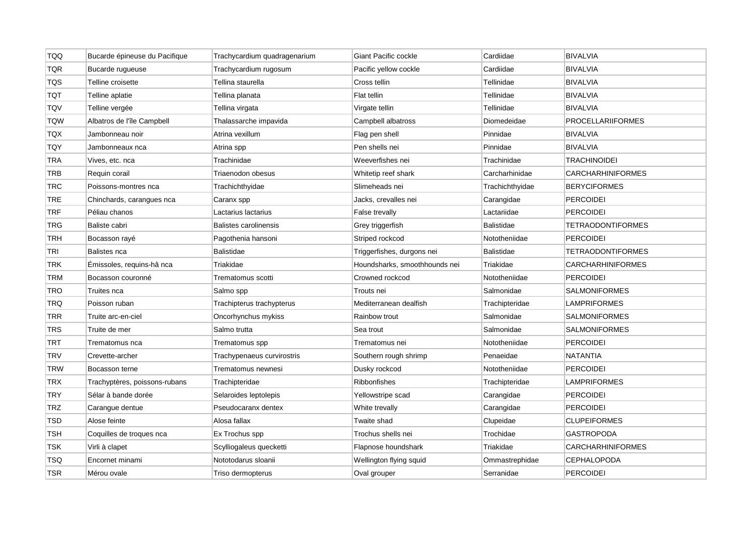| <b>TQQ</b> | Bucarde épineuse du Pacifique | Trachycardium quadragenarium | Giant Pacific cockle          | Cardiidae         | <b>BIVALVIA</b>          |
|------------|-------------------------------|------------------------------|-------------------------------|-------------------|--------------------------|
| <b>TQR</b> | Bucarde rugueuse              | Trachycardium rugosum        | Pacific yellow cockle         | Cardiidae         | <b>BIVALVIA</b>          |
| <b>TQS</b> | Telline croisette             | Tellina staurella            | Cross tellin                  | Tellinidae        | <b>BIVALVIA</b>          |
| тот        | Telline aplatie               | Tellina planata              | Flat tellin                   | Tellinidae        | <b>BIVALVIA</b>          |
| TQV        | Telline vergée                | Tellina virgata              | Virgate tellin                | Tellinidae        | <b>BIVALVIA</b>          |
| <b>TQW</b> | Albatros de l'île Campbell    | Thalassarche impavida        | Campbell albatross            | Diomedeidae       | <b>PROCELLARIIFORMES</b> |
| <b>TQX</b> | Jambonneau noir               | Atrina vexillum              | Flag pen shell                | Pinnidae          | <b>BIVALVIA</b>          |
| TQY        | Jambonneaux nca               | Atrina spp                   | Pen shells nei                | Pinnidae          | <b>BIVALVIA</b>          |
| TRA        | Vives, etc. nca               | Trachinidae                  | Weeverfishes nei              | Trachinidae       | <b>TRACHINOIDEI</b>      |
| <b>TRB</b> | Requin corail                 | Triaenodon obesus            | Whitetip reef shark           | Carcharhinidae    | <b>CARCHARHINIFORMES</b> |
| <b>TRC</b> | Poissons-montres nca          | Trachichthyidae              | Slimeheads nei                | Trachichthyidae   | <b>BERYCIFORMES</b>      |
| <b>TRE</b> | Chinchards, carangues nca     | Caranx spp                   | Jacks, crevalles nei          | Carangidae        | <b>PERCOIDEI</b>         |
| <b>TRF</b> | Péliau chanos                 | Lactarius lactarius          | False trevally                | Lactariidae       | <b>PERCOIDEI</b>         |
| <b>TRG</b> | Baliste cabri                 | Balistes carolinensis        | Grey triggerfish              | <b>Balistidae</b> | <b>TETRAODONTIFORMES</b> |
| <b>TRH</b> | Bocasson rayé                 | Pagothenia hansoni           | Striped rockcod               | Nototheniidae     | <b>PERCOIDEI</b>         |
| TRI        | Balistes nca                  | Balistidae                   | Triggerfishes, durgons nei    | Balistidae        | <b>TETRAODONTIFORMES</b> |
| <b>TRK</b> | Émissoles, requins-hâ nca     | Triakidae                    | Houndsharks, smoothhounds nei | Triakidae         | <b>CARCHARHINIFORMES</b> |
| <b>TRM</b> | Bocasson couronné             | Trematomus scotti            | Crowned rockcod               | Nototheniidae     | <b>PERCOIDEI</b>         |
| TRO        | Truites nca                   | Salmo spp                    | Trouts nei                    | Salmonidae        | <b>SALMONIFORMES</b>     |
| <b>TRQ</b> | Poisson ruban                 | Trachipterus trachypterus    | Mediterranean dealfish        | Trachipteridae    | <b>LAMPRIFORMES</b>      |
| <b>TRR</b> | Truite arc-en-ciel            | Oncorhynchus mykiss          | Rainbow trout                 | Salmonidae        | <b>SALMONIFORMES</b>     |
| <b>TRS</b> | Truite de mer                 | Salmo trutta                 | Sea trout                     | Salmonidae        | <b>SALMONIFORMES</b>     |
| <b>TRT</b> | Trematomus nca                | Trematomus spp               | Trematomus nei                | Nototheniidae     | <b>PERCOIDEI</b>         |
| <b>TRV</b> | Crevette-archer               | Trachypenaeus curvirostris   | Southern rough shrimp         | Penaeidae         | <b>NATANTIA</b>          |
| <b>TRW</b> | Bocasson terne                | Trematomus newnesi           | Dusky rockcod                 | Nototheniidae     | <b>PERCOIDEI</b>         |
| <b>TRX</b> | Trachyptères, poissons-rubans | Trachipteridae               | <b>Ribbonfishes</b>           | Trachipteridae    | <b>LAMPRIFORMES</b>      |
| <b>TRY</b> | Sélar à bande dorée           | Selaroides leptolepis        | Yellowstripe scad             | Carangidae        | <b>PERCOIDEI</b>         |
| <b>TRZ</b> | Carangue dentue               | Pseudocaranx dentex          | White trevally                | Carangidae        | <b>PERCOIDEI</b>         |
| <b>TSD</b> | Alose feinte                  | Alosa fallax                 | Twaite shad                   | Clupeidae         | <b>CLUPEIFORMES</b>      |
| TSH        | Coquilles de troques nca      | Ex Trochus spp               | Trochus shells nei            | Trochidae         | GASTROPODA               |
| TSK        | Virli à clapet                | Scylliogaleus quecketti      | Flapnose houndshark           | Triakidae         | <b>CARCHARHINIFORMES</b> |
| TSQ        | Encornet minami               | Nototodarus sloanii          | Wellington flying squid       | Ommastrephidae    | <b>CEPHALOPODA</b>       |
| <b>TSR</b> | Mérou ovale                   | Triso dermopterus            | Oval grouper                  | Serranidae        | <b>PERCOIDEI</b>         |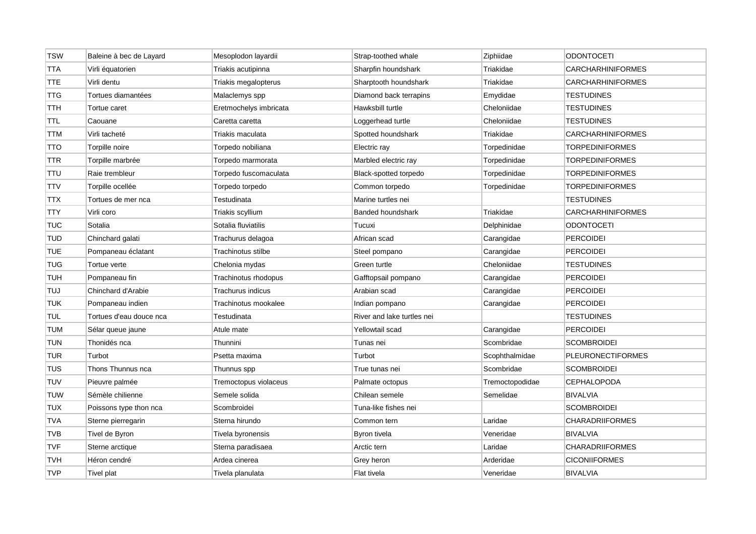| <b>TSW</b> | Baleine à bec de Layard | Mesoplodon layardii    | Strap-toothed whale        | Ziphiidae       | <b>ODONTOCETI</b>        |
|------------|-------------------------|------------------------|----------------------------|-----------------|--------------------------|
| <b>TTA</b> | Virli équatorien        | Triakis acutipinna     | Sharpfin houndshark        | Triakidae       | <b>CARCHARHINIFORMES</b> |
| <b>TTE</b> | Virli dentu             | Triakis megalopterus   | Sharptooth houndshark      | Triakidae       | <b>CARCHARHINIFORMES</b> |
| <b>TTG</b> | Tortues diamantées      | Malaclemys spp         | Diamond back terrapins     | Emydidae        | <b>TESTUDINES</b>        |
| TTH        | Tortue caret            | Eretmochelys imbricata | Hawksbill turtle           | Cheloniidae     | <b>TESTUDINES</b>        |
| <b>TTL</b> | Caouane                 | Caretta caretta        | Loggerhead turtle          | Cheloniidae     | <b>TESTUDINES</b>        |
| <b>TTM</b> | Virli tacheté           | Triakis maculata       | Spotted houndshark         | Triakidae       | <b>CARCHARHINIFORMES</b> |
| <b>TTO</b> | Torpille noire          | Torpedo nobiliana      | Electric ray               | Torpedinidae    | <b>TORPEDINIFORMES</b>   |
| TTR        | Torpille marbrée        | Torpedo marmorata      | Marbled electric ray       | Torpedinidae    | <b>TORPEDINIFORMES</b>   |
| <b>TTU</b> | Raie trembleur          | Torpedo fuscomaculata  | Black-spotted torpedo      | Torpedinidae    | <b>TORPEDINIFORMES</b>   |
| <b>TTV</b> | Torpille ocellée        | Torpedo torpedo        | Common torpedo             | Torpedinidae    | <b>TORPEDINIFORMES</b>   |
| TTX        | Tortues de mer nca      | Testudinata            | Marine turtles nei         |                 | <b>TESTUDINES</b>        |
| <b>TTY</b> | Virli coro              | Triakis scyllium       | <b>Banded houndshark</b>   | Triakidae       | <b>CARCHARHINIFORMES</b> |
| <b>TUC</b> | Sotalia                 | Sotalia fluviatilis    | Tucuxi                     | Delphinidae     | <b>ODONTOCETI</b>        |
| <b>TUD</b> | Chinchard galati        | Trachurus delagoa      | African scad               | Carangidae      | PERCOIDEI                |
| <b>TUE</b> | Pompaneau éclatant      | Trachinotus stilbe     | Steel pompano              | Carangidae      | <b>PERCOIDEI</b>         |
| <b>TUG</b> | Tortue verte            | Chelonia mydas         | Green turtle               | Cheloniidae     | <b>TESTUDINES</b>        |
| <b>TUH</b> | Pompaneau fin           | Trachinotus rhodopus   | Gafftopsail pompano        | Carangidae      | <b>PERCOIDEI</b>         |
| <b>TUJ</b> | Chinchard d'Arabie      | Trachurus indicus      | Arabian scad               | Carangidae      | <b>PERCOIDEI</b>         |
| <b>TUK</b> | Pompaneau indien        | Trachinotus mookalee   | Indian pompano             | Carangidae      | <b>PERCOIDEI</b>         |
| <b>TUL</b> | Tortues d'eau douce nca | Testudinata            | River and lake turtles nei |                 | <b>TESTUDINES</b>        |
| <b>TUM</b> | Sélar queue jaune       | Atule mate             | Yellowtail scad            | Carangidae      | <b>PERCOIDEI</b>         |
| <b>TUN</b> | Thonidés nca            | Thunnini               | Tunas nei                  | Scombridae      | <b>SCOMBROIDEI</b>       |
| <b>TUR</b> | Turbot                  | Psetta maxima          | Turbot                     | Scophthalmidae  | <b>PLEURONECTIFORMES</b> |
| <b>TUS</b> | Thons Thunnus nca       | Thunnus spp            | True tunas nei             | Scombridae      | <b>SCOMBROIDEI</b>       |
| <b>TUV</b> | Pieuvre palmée          | Tremoctopus violaceus  | Palmate octopus            | Tremoctopodidae | <b>CEPHALOPODA</b>       |
| <b>TUW</b> | Sémèle chilienne        | Semele solida          | Chilean semele             | Semelidae       | <b>BIVALVIA</b>          |
| <b>TUX</b> | Poissons type thon nca  | Scombroidei            | Tuna-like fishes nei       |                 | <b>SCOMBROIDEI</b>       |
| <b>TVA</b> | Sterne pierregarin      | Sterna hirundo         | Common tern                | Laridae         | <b>CHARADRIIFORMES</b>   |
| <b>TVB</b> | Tivel de Byron          | Tivela byronensis      | Byron tivela               | Veneridae       | <b>BIVALVIA</b>          |
| <b>TVF</b> | Sterne arctique         | Sterna paradisaea      | Arctic tern                | Laridae         | <b>CHARADRIIFORMES</b>   |
| <b>TVH</b> | Héron cendré            | Ardea cinerea          | Grey heron                 | Arderidae       | <b>CICONIIFORMES</b>     |
| <b>TVP</b> | Tivel plat              | Tivela planulata       | Flat tivela                | Veneridae       | <b>BIVALVIA</b>          |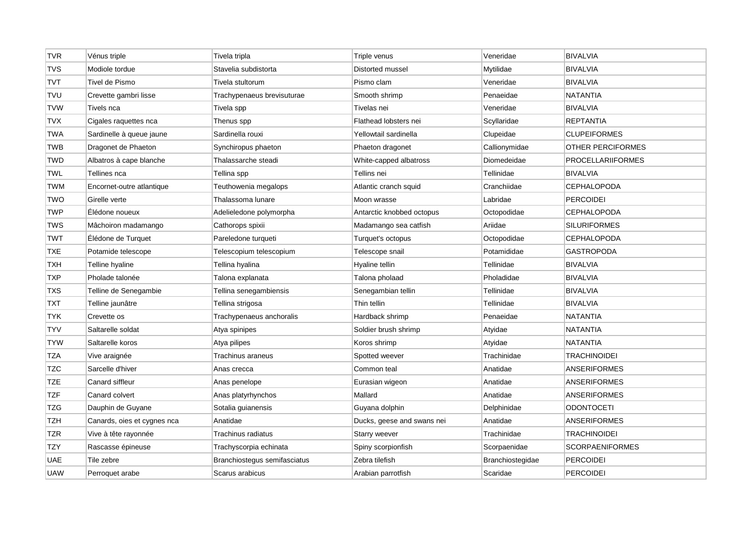| <b>TVR</b> | Vénus triple                | Tivela tripla                | Triple venus               | Veneridae        | <b>BIVALVIA</b>          |
|------------|-----------------------------|------------------------------|----------------------------|------------------|--------------------------|
| <b>TVS</b> | Modiole tordue              | Stavelia subdistorta         | Distorted mussel           | Mytilidae        | <b>BIVALVIA</b>          |
| <b>TVT</b> | Tivel de Pismo              | Tivela stultorum             | Pismo clam                 | Veneridae        | <b>BIVALVIA</b>          |
| <b>TVU</b> | Crevette gambri lisse       | Trachypenaeus brevisuturae   | Smooth shrimp              | Penaeidae        | <b>NATANTIA</b>          |
| <b>TVW</b> | Tivels nca                  | Tivela spp                   | Tivelas nei                | Veneridae        | <b>BIVALVIA</b>          |
| <b>TVX</b> | Cigales raquettes nca       | Thenus spp                   | Flathead lobsters nei      | Scyllaridae      | <b>REPTANTIA</b>         |
| <b>TWA</b> | Sardinelle à queue jaune    | Sardinella rouxi             | Yellowtail sardinella      | Clupeidae        | <b>CLUPEIFORMES</b>      |
| <b>TWB</b> | Dragonet de Phaeton         | Synchiropus phaeton          | Phaeton dragonet           | Callionymidae    | OTHER PERCIFORMES        |
| <b>TWD</b> | Albatros à cape blanche     | Thalassarche steadi          | White-capped albatross     | Diomedeidae      | <b>PROCELLARIIFORMES</b> |
| <b>TWL</b> | Tellines nca                | Tellina spp                  | Tellins nei                | Tellinidae       | <b>BIVALVIA</b>          |
| <b>TWM</b> | Encornet-outre atlantique   | Teuthowenia megalops         | Atlantic cranch squid      | Cranchiidae      | <b>CEPHALOPODA</b>       |
| <b>TWO</b> | Girelle verte               | Thalassoma lunare            | Moon wrasse                | Labridae         | <b>PERCOIDEI</b>         |
| <b>TWP</b> | Élédone noueux              | Adelieledone polymorpha      | Antarctic knobbed octopus  | Octopodidae      | <b>CEPHALOPODA</b>       |
| <b>TWS</b> | Mâchoiron madamango         | Cathorops spixii             | Madamango sea catfish      | Ariidae          | <b>SILURIFORMES</b>      |
| <b>TWT</b> | Elédone de Turquet          | Pareledone turqueti          | Turquet's octopus          | Octopodidae      | <b>CEPHALOPODA</b>       |
| <b>TXE</b> | Potamide telescope          | Telescopium telescopium      | Telescope snail            | Potamididae      | <b>GASTROPODA</b>        |
| <b>TXH</b> | Telline hyaline             | Tellina hyalina              | Hyaline tellin             | Tellinidae       | <b>BIVALVIA</b>          |
| <b>TXP</b> | Pholade talonée             | Talona explanata             | Talona pholaad             | Pholadidae       | <b>BIVALVIA</b>          |
| <b>TXS</b> | Telline de Senegambie       | Tellina senegambiensis       | Senegambian tellin         | Tellinidae       | <b>BIVALVIA</b>          |
| TXT        | Telline jaunâtre            | Tellina strigosa             | Thin tellin                | Tellinidae       | <b>BIVALVIA</b>          |
| <b>TYK</b> | Crevette os                 | Trachypenaeus anchoralis     | Hardback shrimp            | Penaeidae        | <b>NATANTIA</b>          |
| <b>TYV</b> | Saltarelle soldat           | Atya spinipes                | Soldier brush shrimp       | Atyidae          | <b>NATANTIA</b>          |
| <b>TYW</b> | Saltarelle koros            | Atya pilipes                 | Koros shrimp               | Atyidae          | <b>NATANTIA</b>          |
| <b>TZA</b> | Vive araignée               | Trachinus araneus            | Spotted weever             | Trachinidae      | TRACHINOIDEI             |
| <b>TZC</b> | Sarcelle d'hiver            | Anas crecca                  | Common teal                | Anatidae         | <b>ANSERIFORMES</b>      |
| TZE        | Canard siffleur             | Anas penelope                | Eurasian wigeon            | Anatidae         | <b>ANSERIFORMES</b>      |
| <b>TZF</b> | Canard colvert              | Anas platyrhynchos           | Mallard                    | Anatidae         | <b>ANSERIFORMES</b>      |
| TZG        | Dauphin de Guyane           | Sotalia guianensis           | Guyana dolphin             | Delphinidae      | <b>ODONTOCETI</b>        |
| TZH        | Canards, oies et cygnes nca | Anatidae                     | Ducks, geese and swans nei | Anatidae         | <b>ANSERIFORMES</b>      |
| TZR        | Vive à tête rayonnée        | Trachinus radiatus           | <b>Starry weever</b>       | Trachinidae      | <b>TRACHINOIDEI</b>      |
| TZY        | Rascasse épineuse           | Trachyscorpia echinata       | Spiny scorpionfish         | Scorpaenidae     | <b>SCORPAENIFORMES</b>   |
| UAE        | Tile zebre                  | Branchiostegus semifasciatus | Zebra tilefish             | Branchiostegidae | <b>PERCOIDEI</b>         |
| <b>UAW</b> | Perroquet arabe             | Scarus arabicus              | Arabian parrotfish         | Scaridae         | PERCOIDEI                |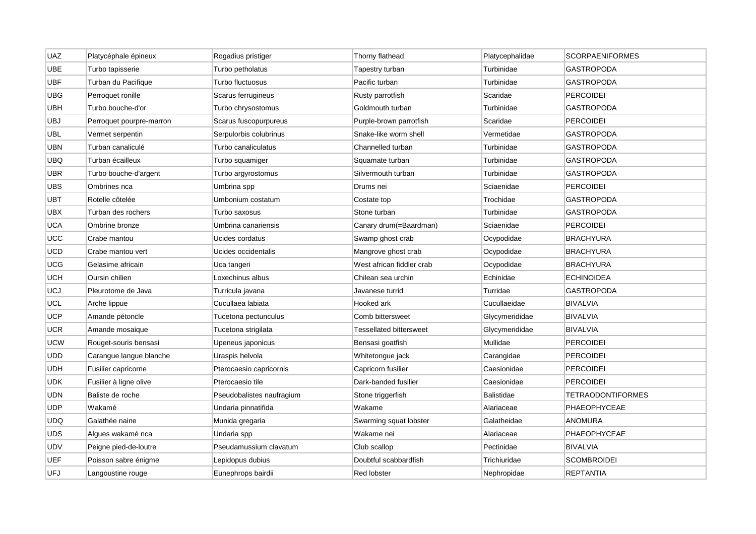| <b>UAZ</b> | Platycéphale épineux     | Rogadius pristiger        | Thorny flathead           | Platycephalidae   | <b>SCORPAENIFORMES</b>   |
|------------|--------------------------|---------------------------|---------------------------|-------------------|--------------------------|
| <b>UBE</b> | Turbo tapisserie         | Turbo petholatus          | Tapestry turban           | Turbinidae        | <b>GASTROPODA</b>        |
| <b>UBF</b> | Turban du Pacifique      | Turbo fluctuosus          | Pacific turban            | Turbinidae        | <b>GASTROPODA</b>        |
| UBG        | Perroquet ronille        | Scarus ferrugineus        | Rusty parrotfish          | Scaridae          | <b>PERCOIDEI</b>         |
| <b>UBH</b> | Turbo bouche-d'or        | Turbo chrysostomus        | Goldmouth turban          | Turbinidae        | <b>GASTROPODA</b>        |
| <b>UBJ</b> | Perroquet pourpre-marron | Scarus fuscopurpureus     | Purple-brown parrotfish   | Scaridae          | <b>PERCOIDEI</b>         |
| <b>UBL</b> | Vermet serpentin         | Serpulorbis colubrinus    | Snake-like worm shell     | Vermetidae        | <b>GASTROPODA</b>        |
| UBN        | Turban canaliculé        | Turbo canaliculatus       | Channelled turban         | Turbinidae        | <b>GASTROPODA</b>        |
| UBQ        | Turban écailleux         | Turbo squamiger           | Squamate turban           | Turbinidae        | <b>GASTROPODA</b>        |
| UBR        | Turbo bouche-d'argent    | Turbo argyrostomus        | Silvermouth turban        | Turbinidae        | <b>GASTROPODA</b>        |
| <b>UBS</b> | Ombrines nca             | Umbrina spp               | Drums nei                 | Sciaenidae        | <b>PERCOIDEI</b>         |
| UBT        | Rotelle côtelée          | Umbonium costatum         | Costate top               | Trochidae         | <b>GASTROPODA</b>        |
| <b>UBX</b> | Turban des rochers       | Turbo saxosus             | Stone turban              | Turbinidae        | <b>GASTROPODA</b>        |
| <b>UCA</b> | Ombrine bronze           | Umbrina canariensis       | Canary drum(=Baardman)    | Sciaenidae        | <b>PERCOIDEI</b>         |
| UCC        | Crabe mantou             | Ucides cordatus           | Swamp ghost crab          | Ocypodidae        | <b>BRACHYURA</b>         |
| <b>UCD</b> | Crabe mantou vert        | Ucides occidentalis       | Mangrove ghost crab       | Ocypodidae        | <b>BRACHYURA</b>         |
| UCG        | Gelasime africain        | Uca tangeri               | West african fiddler crab | Ocypodidae        | <b>BRACHYURA</b>         |
| <b>UCH</b> | Oursin chilien           | Loxechinus albus          | Chilean sea urchin        | Echinidae         | <b>ECHINOIDEA</b>        |
| <b>UCJ</b> | Pleurotome de Java       | Turricula javana          | Javanese turrid           | Turridae          | <b>GASTROPODA</b>        |
| UCL        | Arche lippue             | Cucullaea labiata         | Hooked ark                | Cucullaeidae      | <b>BIVALVIA</b>          |
| <b>UCP</b> | Amande pétoncle          | Tucetona pectunculus      | Comb bittersweet          | Glycymerididae    | <b>BIVALVIA</b>          |
| <b>UCR</b> | Amande mosaique          | Tucetona strigilata       | Tessellated bittersweet   | Glycymerididae    | <b>BIVALVIA</b>          |
| UCW        | Rouget-souris bensasi    | Upeneus japonicus         | Bensasi goatfish          | Mullidae          | <b>PERCOIDEI</b>         |
| UDD        | Carangue langue blanche  | Uraspis helvola           | Whitetongue jack          | Carangidae        | <b>PERCOIDEI</b>         |
| UDH        | Fusilier capricorne      | Pterocaesio capricornis   | Capricorn fusilier        | Caesionidae       | <b>PERCOIDEI</b>         |
| <b>UDK</b> | Fusilier à ligne olive   | Pterocaesio tile          | Dark-banded fusilier      | Caesionidae       | <b>PERCOIDEI</b>         |
| <b>UDN</b> | Baliste de roche         | Pseudobalistes naufragium | Stone triggerfish         | <b>Balistidae</b> | <b>TETRAODONTIFORMES</b> |
| <b>UDP</b> | Wakamé                   | Undaria pinnatifida       | Wakame                    | Alariaceae        | PHAEOPHYCEAE             |
| <b>UDQ</b> | Galathée naine           | Munida gregaria           | Swarming squat lobster    | Galatheidae       | <b>ANOMURA</b>           |
| UDS        | Algues wakamé nca        | Undaria spp               | Wakame nei                | Alariaceae        | PHAEOPHYCEAE             |
| <b>UDV</b> | Peigne pied-de-loutre    | Pseudamussium clavatum    | Club scallop              | Pectinidae        | <b>BIVALVIA</b>          |
| <b>UEF</b> | Poisson sabre énigme     | Lepidopus dubius          | Doubtful scabbardfish     | Trichiuridae      | <b>SCOMBROIDEI</b>       |
| UFJ        | Langoustine rouge        | Eunephrops bairdii        | <b>Red lobster</b>        | Nephropidae       | <b>REPTANTIA</b>         |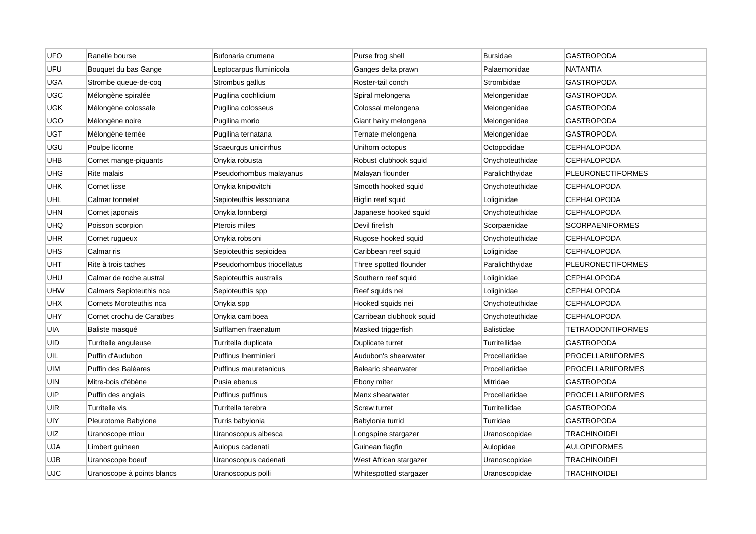| <b>UFO</b> | Ranelle bourse             | Bufonaria crumena          | Purse frog shell           | <b>Bursidae</b>   | <b>GASTROPODA</b>        |
|------------|----------------------------|----------------------------|----------------------------|-------------------|--------------------------|
| UFU        | Bouquet du bas Gange       | Leptocarpus fluminicola    | Ganges delta prawn         | Palaemonidae      | <b>NATANTIA</b>          |
| <b>UGA</b> | Strombe queue-de-coq       | Strombus gallus            | Roster-tail conch          | Strombidae        | <b>GASTROPODA</b>        |
| <b>UGC</b> | Mélongène spiralée         | Pugilina cochlidium        | Spiral melongena           | Melongenidae      | GASTROPODA               |
| UGK        | Mélongène colossale        | Pugilina colosseus         | Colossal melongena         | Melongenidae      | GASTROPODA               |
| <b>UGO</b> | Mélongène noire            | Pugilina morio             | Giant hairy melongena      | Melongenidae      | <b>GASTROPODA</b>        |
| <b>UGT</b> | Mélongène ternée           | Pugilina ternatana         | Ternate melongena          | Melongenidae      | GASTROPODA               |
| UGU        | Poulpe licorne             | Scaeurgus unicirrhus       | Unihorn octopus            | Octopodidae       | CEPHALOPODA              |
| UHB        | Cornet mange-piquants      | Onykia robusta             | Robust clubhook squid      | Onychoteuthidae   | <b>CEPHALOPODA</b>       |
| UHG        | <b>Rite malais</b>         | Pseudorhombus malayanus    | Malayan flounder           | Paralichthyidae   | <b>PLEURONECTIFORMES</b> |
| UHK        | <b>Cornet lisse</b>        | Onykia knipovitchi         | Smooth hooked squid        | Onychoteuthidae   | CEPHALOPODA              |
| <b>UHL</b> | Calmar tonnelet            | Sepioteuthis lessoniana    | Bigfin reef squid          | Loliginidae       | <b>CEPHALOPODA</b>       |
| UHN        | Cornet japonais            | Onykia lonnbergi           | Japanese hooked squid      | Onychoteuthidae   | <b>CEPHALOPODA</b>       |
| <b>UHQ</b> | Poisson scorpion           | Pterois miles              | Devil firefish             | Scorpaenidae      | <b>SCORPAENIFORMES</b>   |
| UHR        | Cornet rugueux             | Onykia robsoni             | Rugose hooked squid        | Onychoteuthidae   | CEPHALOPODA              |
| <b>UHS</b> | Calmar ris                 | Sepioteuthis sepioidea     | Caribbean reef squid       | Loliginidae       | <b>CEPHALOPODA</b>       |
| UHT        | Rite à trois taches        | Pseudorhombus triocellatus | Three spotted flounder     | Paralichthyidae   | <b>PLEURONECTIFORMES</b> |
| UHU        | Calmar de roche austral    | Sepioteuthis australis     | Southern reef squid        | Loliginidae       | <b>CEPHALOPODA</b>       |
| <b>UHW</b> | Calmars Sepioteuthis nca   | Sepioteuthis spp           | Reef squids nei            | Loliginidae       | <b>CEPHALOPODA</b>       |
| <b>UHX</b> | Cornets Moroteuthis nca    | Onykia spp                 | Hooked squids nei          | Onychoteuthidae   | <b>CEPHALOPODA</b>       |
| UHY        | Cornet crochu de Caraïbes  | Onykia carriboea           | Carribean clubhook squid   | Onychoteuthidae   | <b>CEPHALOPODA</b>       |
| UIA        | Baliste masqué             | Sufflamen fraenatum        | Masked triggerfish         | <b>Balistidae</b> | <b>TETRAODONTIFORMES</b> |
| UID        | Turritelle anguleuse       | Turritella duplicata       | Duplicate turret           | Turritellidae     | <b>GASTROPODA</b>        |
| UIL        | Puffin d'Audubon           | Puffinus Iherminieri       | Audubon's shearwater       | Procellariidae    | PROCELLARIIFORMES        |
| UIM        | Puffin des Baléares        | Puffinus mauretanicus      | <b>Balearic shearwater</b> | Procellariidae    | <b>PROCELLARIIFORMES</b> |
| UIN        | Mitre-bois d'ébène         | Pusia ebenus               | Ebony miter                | Mitridae          | GASTROPODA               |
| UIP        | Puffin des anglais         | Puffinus puffinus          | Manx shearwater            | Procellariidae    | <b>PROCELLARIIFORMES</b> |
| UIR        | Turritelle vis             | Turritella terebra         | <b>Screw turret</b>        | Turritellidae     | <b>GASTROPODA</b>        |
| UIY        | Pleurotome Babylone        | Turris babylonia           | Babylonia turrid           | Turridae          | GASTROPODA               |
| UIZ        | Uranoscope miou            | Uranoscopus albesca        | Longspine stargazer        | Uranoscopidae     | TRACHINOIDEI             |
| <b>UJA</b> | Limbert guineen            | Aulopus cadenati           | Guinean flagfin            | Aulopidae         | <b>AULOPIFORMES</b>      |
| UJB        | Uranoscope boeuf           | Uranoscopus cadenati       | West African stargazer     | Uranoscopidae     | <b>TRACHINOIDEI</b>      |
| <b>UJC</b> | Uranoscope à points blancs | Uranoscopus polli          | Whitespotted stargazer     | Uranoscopidae     | <b>TRACHINOIDEI</b>      |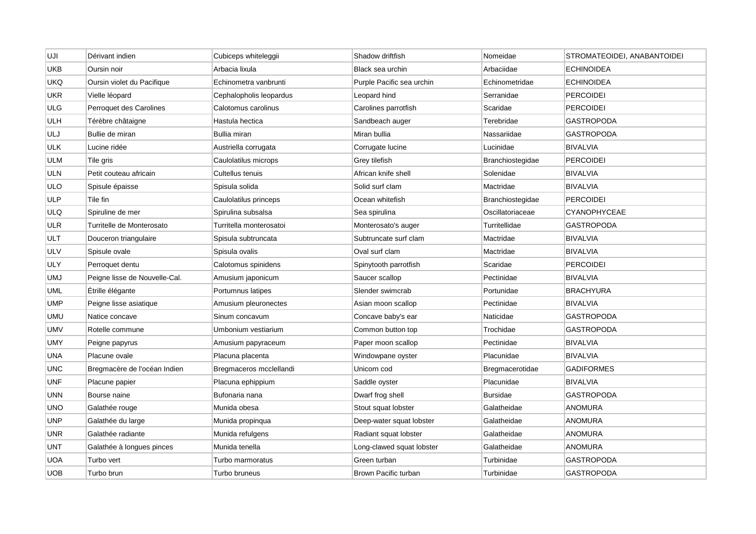| UJI        | Dérivant indien               | Cubiceps whiteleggii    | Shadow driftfish          | Nomeidae         | STROMATEOIDEI, ANABANTOIDEI |
|------------|-------------------------------|-------------------------|---------------------------|------------------|-----------------------------|
| UKB        | Oursin noir                   | Arbacia lixula          | Black sea urchin          | Arbaciidae       | <b>ECHINOIDEA</b>           |
| UKQ        | Oursin violet du Pacifique    | Echinometra vanbrunti   | Purple Pacific sea urchin | Echinometridae   | <b>ECHINOIDEA</b>           |
| <b>UKR</b> | Vielle léopard                | Cephalopholis leopardus | Leopard hind              | Serranidae       | <b>PERCOIDEI</b>            |
| ULG        | Perroquet des Carolines       | Calotomus carolinus     | Carolines parrotfish      | Scaridae         | <b>PERCOIDEI</b>            |
| <b>ULH</b> | Térèbre châtaigne             | Hastula hectica         | Sandbeach auger           | Terebridae       | <b>GASTROPODA</b>           |
| ULJ        | Bullie de miran               | Bullia miran            | Miran bullia              | Nassariidae      | <b>GASTROPODA</b>           |
| ULK        | Lucine ridée                  | Austriella corrugata    | Corrugate lucine          | Lucinidae        | <b>BIVALVIA</b>             |
| ULM        | Tile gris                     | Caulolatilus microps    | Grey tilefish             | Branchiostegidae | <b>PERCOIDEI</b>            |
| ULN        | Petit couteau africain        | Cultellus tenuis        | African knife shell       | Solenidae        | <b>BIVALVIA</b>             |
| ULO        | Spisule épaisse               | Spisula solida          | Solid surf clam           | Mactridae        | <b>BIVALVIA</b>             |
| ULP        | Tile fin                      | Caulolatilus princeps   | Ocean whitefish           | Branchiostegidae | <b>PERCOIDEI</b>            |
| <b>ULQ</b> | Spiruline de mer              | Spirulina subsalsa      | Sea spirulina             | Oscillatoriaceae | <b>CYANOPHYCEAE</b>         |
| ULR        | Turritelle de Monterosato     | Turritella monterosatoi | Monterosato's auger       | Turritellidae    | <b>GASTROPODA</b>           |
| ULT        | Douceron triangulaire         | Spisula subtruncata     | Subtruncate surf clam     | Mactridae        | <b>BIVALVIA</b>             |
| ULV        | Spisule ovale                 | Spisula ovalis          | Oval surf clam            | Mactridae        | <b>BIVALVIA</b>             |
| ULY        | Perroquet dentu               | Calotomus spinidens     | Spinytooth parrotfish     | Scaridae         | <b>PERCOIDEI</b>            |
| UMJ        | Peigne lisse de Nouvelle-Cal. | Amusium japonicum       | Saucer scallop            | Pectinidae       | <b>BIVALVIA</b>             |
| UML        | Étrille élégante              | Portumnus latipes       | Slender swimcrab          | Portunidae       | <b>BRACHYURA</b>            |
| UMP        | Peigne lisse asiatique        | Amusium pleuronectes    | Asian moon scallop        | Pectinidae       | <b>BIVALVIA</b>             |
| UMU        | Natice concave                | Sinum concavum          | Concave baby's ear        | Naticidae        | <b>GASTROPODA</b>           |
| UMV        | Rotelle commune               | Umbonium vestiarium     | Common button top         | Trochidae        | <b>GASTROPODA</b>           |
| UMY        | Peigne papyrus                | Amusium papyraceum      | Paper moon scallop        | Pectinidae       | <b>BIVALVIA</b>             |
| UNA        | Placune ovale                 | Placuna placenta        | Windowpane oyster         | Placunidae       | <b>BIVALVIA</b>             |
| <b>UNC</b> | Bregmacère de l'océan Indien  | Bregmaceros mcclellandi | Unicorn cod               | Bregmacerotidae  | <b>GADIFORMES</b>           |
| UNF        | Placune papier                | Placuna ephippium       | Saddle oyster             | Placunidae       | <b>BIVALVIA</b>             |
| UNN        | Bourse naine                  | Bufonaria nana          | Dwarf frog shell          | <b>Bursidae</b>  | <b>GASTROPODA</b>           |
| <b>UNO</b> | Galathée rouge                | Munida obesa            | Stout squat lobster       | Galatheidae      | <b>ANOMURA</b>              |
| UNP        | Galathée du large             | Munida propinqua        | Deep-water squat lobster  | Galatheidae      | <b>ANOMURA</b>              |
| UNR        | Galathée radiante             | Munida refulgens        | Radiant squat lobster     | Galatheidae      | <b>ANOMURA</b>              |
| UNT        | Galathée à longues pinces     | Munida tenella          | Long-clawed squat lobster | Galatheidae      | <b>ANOMURA</b>              |
| UOA        | Turbo vert                    | Turbo marmoratus        | Green turban              | Turbinidae       | <b>GASTROPODA</b>           |
| UOB        | Turbo brun                    | Turbo bruneus           | Brown Pacific turban      | Turbinidae       | <b>GASTROPODA</b>           |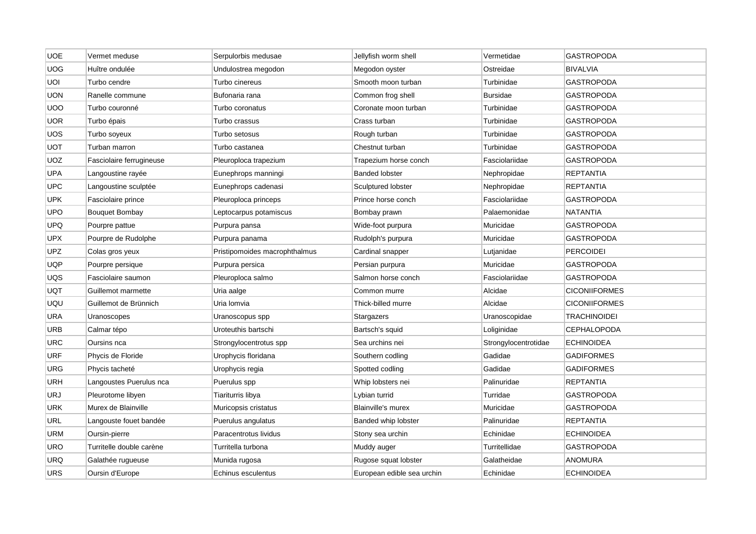| <b>UOE</b> | Vermet meduse            | Serpulorbis medusae           | Jellyfish worm shell       | Vermetidae           | <b>GASTROPODA</b>    |
|------------|--------------------------|-------------------------------|----------------------------|----------------------|----------------------|
| <b>UOG</b> | Huître ondulée           | Undulostrea megodon           | Megodon oyster             | Ostreidae            | <b>BIVALVIA</b>      |
| UOI        | Turbo cendre             | Turbo cinereus                | Smooth moon turban         | Turbinidae           | <b>GASTROPODA</b>    |
| <b>UON</b> | Ranelle commune          | Bufonaria rana                | Common frog shell          | <b>Bursidae</b>      | GASTROPODA           |
| <b>UOO</b> | Turbo couronné           | Turbo coronatus               | Coronate moon turban       | Turbinidae           | <b>GASTROPODA</b>    |
| <b>UOR</b> | Turbo épais              | Turbo crassus                 | Crass turban               | Turbinidae           | <b>GASTROPODA</b>    |
| <b>UOS</b> | Turbo soyeux             | Turbo setosus                 | Rough turban               | Turbinidae           | <b>GASTROPODA</b>    |
| UOT        | Turban marron            | Turbo castanea                | Chestnut turban            | Turbinidae           | GASTROPODA           |
| UOZ        | Fasciolaire ferrugineuse | Pleuroploca trapezium         | Trapezium horse conch      | Fasciolariidae       | <b>GASTROPODA</b>    |
| UPA        | Langoustine rayée        | Eunephrops manningi           | <b>Banded lobster</b>      | Nephropidae          | <b>REPTANTIA</b>     |
| <b>UPC</b> | Langoustine sculptée     | Eunephrops cadenasi           | Sculptured lobster         | Nephropidae          | <b>REPTANTIA</b>     |
| <b>UPK</b> | Fasciolaire prince       | Pleuroploca princeps          | Prince horse conch         | Fasciolariidae       | <b>GASTROPODA</b>    |
| <b>UPO</b> | <b>Bouquet Bombay</b>    | Leptocarpus potamiscus        | Bombay prawn               | Palaemonidae         | <b>NATANTIA</b>      |
| <b>UPQ</b> | Pourpre pattue           | Purpura pansa                 | Wide-foot purpura          | Muricidae            | <b>GASTROPODA</b>    |
| <b>UPX</b> | Pourpre de Rudolphe      | Purpura panama                | Rudolph's purpura          | Muricidae            | <b>GASTROPODA</b>    |
| UPZ.       | Colas gros yeux          | Pristipomoides macrophthalmus | Cardinal snapper           | Lutjanidae           | <b>PERCOIDEI</b>     |
| <b>UQP</b> | Pourpre persique         | Purpura persica               | Persian purpura            | Muricidae            | <b>GASTROPODA</b>    |
| UQS        | Fasciolaire saumon       | Pleuroploca salmo             | Salmon horse conch         | Fasciolariidae       | GASTROPODA           |
| <b>UQT</b> | Guillemot marmette       | Uria aalge                    | Common murre               | Alcidae              | <b>CICONIIFORMES</b> |
| UQU        | Guillemot de Brünnich    | Uria Iomvia                   | Thick-billed murre         | Alcidae              | <b>CICONIIFORMES</b> |
| <b>URA</b> | Uranoscopes              | Uranoscopus spp               | Stargazers                 | Uranoscopidae        | <b>TRACHINOIDEI</b>  |
| <b>URB</b> | Calmar tépo              | Uroteuthis bartschi           | Bartsch's squid            | Loliginidae          | <b>CEPHALOPODA</b>   |
| <b>URC</b> | Oursins nca              | Strongylocentrotus spp        | Sea urchins nei            | Strongylocentrotidae | <b>ECHINOIDEA</b>    |
| URF        | Phycis de Floride        | Urophycis floridana           | Southern codling           | Gadidae              | <b>GADIFORMES</b>    |
| <b>URG</b> | Phycis tacheté           | Urophycis regia               | Spotted codling            | Gadidae              | <b>GADIFORMES</b>    |
| <b>URH</b> | Langoustes Puerulus nca  | Puerulus spp                  | Whip lobsters nei          | Palinuridae          | REPTANTIA            |
| <b>URJ</b> | Pleurotome libyen        | Tiariturris libya             | Lybian turrid              | Turridae             | <b>GASTROPODA</b>    |
| <b>URK</b> | Murex de Blainville      | Muricopsis cristatus          | <b>Blainville's murex</b>  | Muricidae            | <b>GASTROPODA</b>    |
| URL        | Langouste fouet bandée   | Puerulus angulatus            | Banded whip lobster        | Palinuridae          | <b>REPTANTIA</b>     |
| URM        | Oursin-pierre            | Paracentrotus lividus         | Stony sea urchin           | Echinidae            | ECHINOIDEA           |
| URO        | Turritelle double carène | Turritella turbona            | Muddy auger                | Turritellidae        | <b>GASTROPODA</b>    |
| URQ        | Galathée rugueuse        | Munida rugosa                 | Rugose squat lobster       | Galatheidae          | <b>ANOMURA</b>       |
| <b>URS</b> | Oursin d'Europe          | Echinus esculentus            | European edible sea urchin | Echinidae            | <b>ECHINOIDEA</b>    |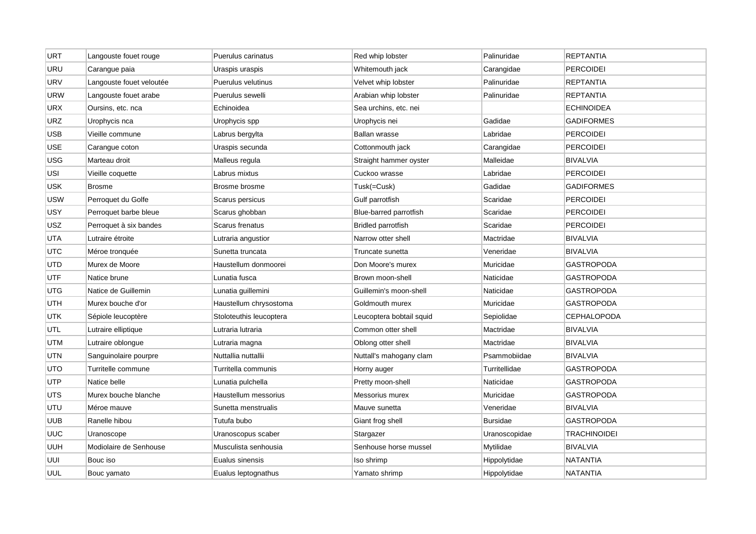| <b>URT</b> | Langouste fouet rouge    | Puerulus carinatus      | Red whip lobster          | Palinuridae     | <b>REPTANTIA</b>    |
|------------|--------------------------|-------------------------|---------------------------|-----------------|---------------------|
| URU        | Carangue paia            | Uraspis uraspis         | Whitemouth jack           | Carangidae      | <b>PERCOIDEI</b>    |
| <b>URV</b> | Langouste fouet veloutée | Puerulus velutinus      | Velvet whip lobster       | Palinuridae     | <b>REPTANTIA</b>    |
| <b>URW</b> | Langouste fouet arabe    | Puerulus sewelli        | Arabian whip lobster      | Palinuridae     | <b>REPTANTIA</b>    |
| <b>URX</b> | Oursins, etc. nca        | Echinoidea              | Sea urchins, etc. nei     |                 | <b>ECHINOIDEA</b>   |
| <b>URZ</b> | Urophycis nca            | Urophycis spp           | Urophycis nei             | Gadidae         | <b>GADIFORMES</b>   |
| <b>USB</b> | Vieille commune          | Labrus bergylta         | Ballan wrasse             | Labridae        | <b>PERCOIDEI</b>    |
| USE        | Carangue coton           | Uraspis secunda         | Cottonmouth jack          | Carangidae      | <b>PERCOIDEI</b>    |
| USG        | Marteau droit            | Malleus regula          | Straight hammer oyster    | Malleidae       | <b>BIVALVIA</b>     |
| USI        | Vieille coquette         | Labrus mixtus           | Cuckoo wrasse             | Labridae        | <b>PERCOIDEI</b>    |
| <b>USK</b> | <b>Brosme</b>            | Brosme brosme           | Tusk(=Cusk)               | Gadidae         | <b>GADIFORMES</b>   |
| USW        | Perroquet du Golfe       | Scarus persicus         | Gulf parrotfish           | Scaridae        | <b>PERCOIDEI</b>    |
| <b>USY</b> | Perroquet barbe bleue    | Scarus ghobban          | Blue-barred parrotfish    | Scaridae        | <b>PERCOIDEI</b>    |
| USZ        | Perroquet à six bandes   | Scarus frenatus         | <b>Bridled parrotfish</b> | Scaridae        | <b>PERCOIDEI</b>    |
| <b>UTA</b> | Lutraire étroite         | Lutraria angustior      | Narrow otter shell        | Mactridae       | <b>BIVALVIA</b>     |
| <b>UTC</b> | Méroe tronquée           | Sunetta truncata        | Truncate sunetta          | Veneridae       | <b>BIVALVIA</b>     |
| <b>UTD</b> | Murex de Moore           | Haustellum donmoorei    | Don Moore's murex         | Muricidae       | <b>GASTROPODA</b>   |
| <b>UTF</b> | Natice brune             | Lunatia fusca           | Brown moon-shell          | Naticidae       | <b>GASTROPODA</b>   |
| UTG        | Natice de Guillemin      | Lunatia guillemini      | Guillemin's moon-shell    | Naticidae       | <b>GASTROPODA</b>   |
| UTH        | Murex bouche d'or        | Haustellum chrysostoma  | Goldmouth murex           | Muricidae       | <b>GASTROPODA</b>   |
| <b>UTK</b> | Sépiole leucoptère       | Stoloteuthis leucoptera | Leucoptera bobtail squid  | Sepiolidae      | <b>CEPHALOPODA</b>  |
| UTL        | Lutraire elliptique      | Lutraria lutraria       | Common otter shell        | Mactridae       | <b>BIVALVIA</b>     |
| UTM        | Lutraire oblongue        | Lutraria magna          | Oblong otter shell        | Mactridae       | <b>BIVALVIA</b>     |
| <b>UTN</b> | Sanguinolaire pourpre    | Nuttallia nuttallii     | Nuttall's mahogany clam   | Psammobiidae    | BIVALVIA            |
| UTO        | Turritelle commune       | Turritella communis     | Horny auger               | Turritellidae   | <b>GASTROPODA</b>   |
| UTP        | Natice belle             | Lunatia pulchella       | Pretty moon-shell         | Naticidae       | <b>GASTROPODA</b>   |
| <b>UTS</b> | Murex bouche blanche     | Haustellum messorius    | Messorius murex           | Muricidae       | <b>GASTROPODA</b>   |
| <b>UTU</b> | Méroe mauve              | Sunetta menstrualis     | Mauve sunetta             | Veneridae       | <b>BIVALVIA</b>     |
| UUB        | Ranelle hibou            | Tutufa bubo             | Giant frog shell          | <b>Bursidae</b> | <b>GASTROPODA</b>   |
| <b>UUC</b> | Uranoscope               | Uranoscopus scaber      | Stargazer                 | Uranoscopidae   | <b>TRACHINOIDEI</b> |
| UUH        | Modiolaire de Senhouse   | Musculista senhousia    | Senhouse horse mussel     | Mytilidae       | <b>BIVALVIA</b>     |
| UUI        | Bouc iso                 | Eualus sinensis         | Iso shrimp                | Hippolytidae    | <b>NATANTIA</b>     |
| UUL        | Bouc yamato              | Eualus leptognathus     | Yamato shrimp             | Hippolytidae    | <b>NATANTIA</b>     |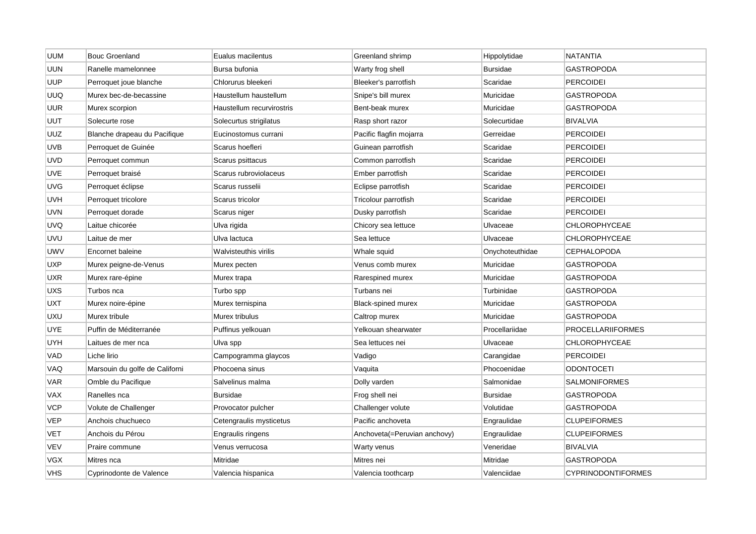| <b>UUM</b> | <b>Bouc Groenland</b>          | Eualus macilentus         | Greenland shrimp             | Hippolytidae    | <b>NATANTIA</b>           |
|------------|--------------------------------|---------------------------|------------------------------|-----------------|---------------------------|
| <b>UUN</b> | Ranelle mamelonnee             | Bursa bufonia             | Warty frog shell             | <b>Bursidae</b> | <b>GASTROPODA</b>         |
| <b>UUP</b> | Perroquet joue blanche         | Chlorurus bleekeri        | Bleeker's parrotfish         | Scaridae        | <b>PERCOIDEI</b>          |
| UUQ        | Murex bec-de-becassine         | Haustellum haustellum     | Snipe's bill murex           | Muricidae       | GASTROPODA                |
| UUR        | Murex scorpion                 | Haustellum recurvirostris | Bent-beak murex              | Muricidae       | <b>GASTROPODA</b>         |
| UUT        | Solecurte rose                 | Solecurtus strigilatus    | Rasp short razor             | Solecurtidae    | <b>BIVALVIA</b>           |
| UUZ        | Blanche drapeau du Pacifique   | Eucinostomus currani      | Pacific flagfin mojarra      | Gerreidae       | <b>PERCOIDEI</b>          |
| UVB        | Perroquet de Guinée            | Scarus hoefleri           | Guinean parrotfish           | Scaridae        | <b>PERCOIDEI</b>          |
| UVD        | Perroquet commun               | Scarus psittacus          | Common parrotfish            | Scaridae        | <b>PERCOIDEI</b>          |
| <b>UVE</b> | Perroquet braisé               | Scarus rubroviolaceus     | Ember parrotfish             | Scaridae        | <b>PERCOIDEI</b>          |
| <b>UVG</b> | Perroquet éclipse              | Scarus russelii           | Eclipse parrotfish           | Scaridae        | PERCOIDEI                 |
| UVH        | Perroquet tricolore            | Scarus tricolor           | Tricolour parrotfish         | Scaridae        | <b>PERCOIDEI</b>          |
| <b>UVN</b> | Perroquet dorade               | Scarus niger              | Dusky parrotfish             | Scaridae        | <b>PERCOIDEI</b>          |
| <b>UVQ</b> | Laitue chicorée                | Ulva rigida               | Chicory sea lettuce          | Ulvaceae        | CHLOROPHYCEAE             |
| UVU        | Laitue de mer                  | Ulva lactuca              | Sea lettuce                  | Ulvaceae        | CHLOROPHYCEAE             |
| UWV        | Encornet baleine               | Walvisteuthis virilis     | Whale squid                  | Onychoteuthidae | <b>CEPHALOPODA</b>        |
| UXP        | Murex peigne-de-Venus          | Murex pecten              | Venus comb murex             | Muricidae       | GASTROPODA                |
| <b>UXR</b> | Murex rare-épine               | Murex trapa               | Rarespined murex             | Muricidae       | <b>GASTROPODA</b>         |
| UXS        | Turbos nca                     | Turbo spp                 | Turbans nei                  | Turbinidae      | GASTROPODA                |
| UXT        | Murex noire-épine              | Murex ternispina          | Black-spined murex           | Muricidae       | <b>GASTROPODA</b>         |
| <b>UXU</b> | Murex tribule                  | Murex tribulus            | Caltrop murex                | Muricidae       | <b>GASTROPODA</b>         |
| <b>UYE</b> | Puffin de Méditerranée         | Puffinus yelkouan         | Yelkouan shearwater          | Procellariidae  | <b>PROCELLARIIFORMES</b>  |
| UYH        | Laitues de mer nca             | Ulva spp                  | Sea lettuces nei             | Ulvaceae        | <b>CHLOROPHYCEAE</b>      |
| VAD        | Liche lirio                    | Campogramma glaycos       | Vadigo                       | Carangidae      | <b>PERCOIDEI</b>          |
| VAQ        | Marsouin du golfe de Californi | Phocoena sinus            | Vaquita                      | Phocoenidae     | <b>ODONTOCETI</b>         |
| <b>VAR</b> | Omble du Pacifique             | Salvelinus malma          | Dolly varden                 | Salmonidae      | SALMONIFORMES             |
| VAX        | Ranelles nca                   | Bursidae                  | Frog shell nei               | <b>Bursidae</b> | <b>GASTROPODA</b>         |
| <b>VCP</b> | Volute de Challenger           | Provocator pulcher        | Challenger volute            | Volutidae       | <b>GASTROPODA</b>         |
| <b>VEP</b> | Anchois chuchueco              | Cetengraulis mysticetus   | Pacific anchoveta            | Engraulidae     | <b>CLUPEIFORMES</b>       |
| VET        | Anchois du Pérou               | Engraulis ringens         | Anchoveta(=Peruvian anchovy) | Engraulidae     | <b>CLUPEIFORMES</b>       |
| VEV        | Praire commune                 | Venus verrucosa           | Warty venus                  | Veneridae       | <b>BIVALVIA</b>           |
| VGX        | Mitres nca                     | Mitridae                  | Mitres nei                   | Mitridae        | <b>GASTROPODA</b>         |
| VHS        | Cyprinodonte de Valence        | Valencia hispanica        | Valencia toothcarp           | Valenciidae     | <b>CYPRINODONTIFORMES</b> |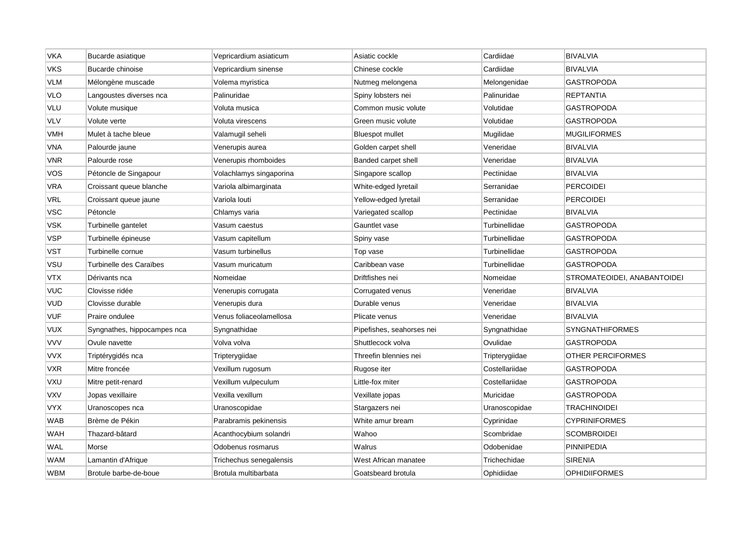| <b>VKA</b> | Bucarde asiatique           | Vepricardium asiaticum  | Asiatic cockle            | Cardiidae      | <b>BIVALVIA</b>             |
|------------|-----------------------------|-------------------------|---------------------------|----------------|-----------------------------|
| VKS        | Bucarde chinoise            | Vepricardium sinense    | Chinese cockle            | Cardiidae      | <b>BIVALVIA</b>             |
| <b>VLM</b> | Mélongène muscade           | Volema myristica        | Nutmeg melongena          | Melongenidae   | <b>GASTROPODA</b>           |
| <b>VLO</b> | Langoustes diverses nca     | Palinuridae             | Spiny lobsters nei        | Palinuridae    | <b>REPTANTIA</b>            |
| VLU        | Volute musique              | Voluta musica           | Common music volute       | Volutidae      | <b>GASTROPODA</b>           |
| <b>VLV</b> | Volute verte                | Voluta virescens        | Green music volute        | Volutidae      | <b>GASTROPODA</b>           |
| VMH        | Mulet à tache bleue         | Valamugil seheli        | <b>Bluespot mullet</b>    | Mugilidae      | <b>MUGILIFORMES</b>         |
| VNA        | Palourde jaune              | Venerupis aurea         | Golden carpet shell       | Veneridae      | <b>BIVALVIA</b>             |
| VNR        | Palourde rose               | Venerupis rhomboides    | Banded carpet shell       | Veneridae      | <b>BIVALVIA</b>             |
| vos        | Pétoncle de Singapour       | Volachlamys singaporina | Singapore scallop         | Pectinidae     | <b>BIVALVIA</b>             |
| VRA        | Croissant queue blanche     | Variola albimarginata   | White-edged lyretail      | Serranidae     | <b>PERCOIDEI</b>            |
| VRL        | Croissant queue jaune       | Variola louti           | Yellow-edged lyretail     | Serranidae     | <b>PERCOIDEI</b>            |
| <b>VSC</b> | Pétoncle                    | Chlamys varia           | Variegated scallop        | Pectinidae     | <b>BIVALVIA</b>             |
| VSK        | Turbinelle gantelet         | Vasum caestus           | Gauntlet vase             | Turbinellidae  | <b>GASTROPODA</b>           |
| <b>VSP</b> | Turbinelle épineuse         | Vasum capitellum        | Spiny vase                | Turbinellidae  | GASTROPODA                  |
| <b>VST</b> | Turbinelle cornue           | Vasum turbinellus       | Top vase                  | Turbinellidae  | <b>GASTROPODA</b>           |
| VSU        | Turbinelle des Caraïbes     | Vasum muricatum         | Caribbean vase            | Turbinellidae  | <b>GASTROPODA</b>           |
| <b>VTX</b> | Dérivants nca               | Nomeidae                | Driftfishes nei           | Nomeidae       | STROMATEOIDEI, ANABANTOIDEI |
| <b>VUC</b> | Clovisse ridée              | Venerupis corrugata     | Corrugated venus          | Veneridae      | <b>BIVALVIA</b>             |
| <b>VUD</b> | Clovisse durable            | Venerupis dura          | Durable venus             | Veneridae      | <b>BIVALVIA</b>             |
| <b>VUF</b> | Praire ondulee              | Venus foliaceolamellosa | Plicate venus             | Veneridae      | <b>BIVALVIA</b>             |
| VUX        | Syngnathes, hippocampes nca | Syngnathidae            | Pipefishes, seahorses nei | Syngnathidae   | <b>SYNGNATHIFORMES</b>      |
| VVV        | Ovule navette               | Volva volva             | Shuttlecock volva         | Ovulidae       | <b>GASTROPODA</b>           |
| <b>VVX</b> | Triptérygidés nca           | Tripterygiidae          | Threefin blennies nei     | Tripterygiidae | <b>OTHER PERCIFORMES</b>    |
| <b>VXR</b> | Mitre froncée               | Vexillum rugosum        | Rugose iter               | Costellariidae | <b>GASTROPODA</b>           |
| VXU        | Mitre petit-renard          | Vexillum vulpeculum     | Little-fox miter          | Costellariidae | GASTROPODA                  |
| <b>VXV</b> | Jopas vexillaire            | Vexilla vexillum        | Vexillate jopas           | Muricidae      | <b>GASTROPODA</b>           |
| <b>VYX</b> | Uranoscopes nca             | Uranoscopidae           | Stargazers nei            | Uranoscopidae  | <b>TRACHINOIDEI</b>         |
| <b>WAB</b> | Brème de Pékin              | Parabramis pekinensis   | White amur bream          | Cyprinidae     | <b>CYPRINIFORMES</b>        |
| WAH        | Thazard-bâtard              | Acanthocybium solandri  | Wahoo                     | Scombridae     | SCOMBROIDEI                 |
| WAL        | Morse                       | Odobenus rosmarus       | Walrus                    | Odobenidae     | PINNIPEDIA                  |
| WAM        | Lamantin d'Afrique          | Trichechus senegalensis | West African manatee      | Trichechidae   | <b>SIRENIA</b>              |
| <b>WBM</b> | Brotule barbe-de-boue       | Brotula multibarbata    | Goatsbeard brotula        | Ophidiidae     | <b>OPHIDIIFORMES</b>        |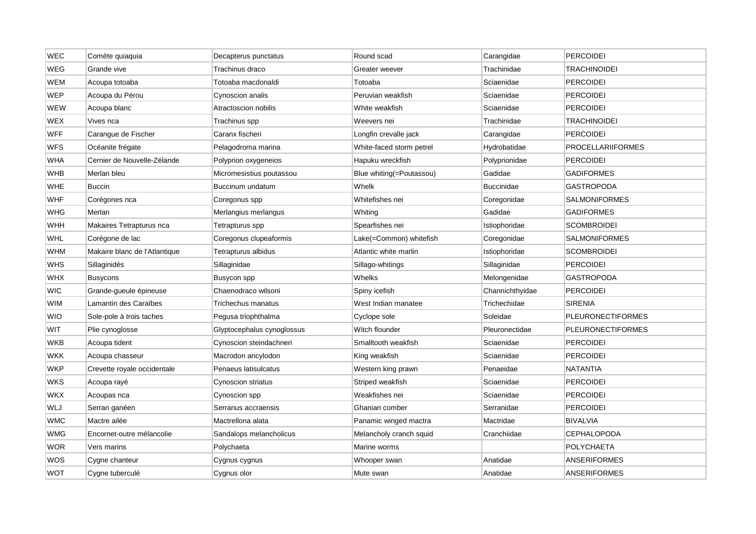| WEC        | Comète quiaquia               | Decapterus punctatus       | Round scad               | Carangidae        | <b>PERCOIDEI</b>         |
|------------|-------------------------------|----------------------------|--------------------------|-------------------|--------------------------|
| WEG        | Grande vive                   | Trachinus draco            | Greater weever           | Trachinidae       | <b>TRACHINOIDEI</b>      |
| WEM        | Acoupa totoaba                | Totoaba macdonaldi         | Totoaba                  | Sciaenidae        | <b>PERCOIDEI</b>         |
| WEP        | Acoupa du Pérou               | Cynoscion analis           | Peruvian weakfish        | Sciaenidae        | PERCOIDEI                |
| WEW        | Acoupa blanc                  | Atractoscion nobilis       | White weakfish           | Sciaenidae        | <b>PERCOIDEI</b>         |
| WEX        | Vives nca                     | Trachinus spp              | Weevers nei              | Trachinidae       | <b>TRACHINOIDEI</b>      |
| <b>WFF</b> | Carangue de Fischer           | Caranx fischeri            | Longfin crevalle jack    | Carangidae        | <b>PERCOIDEI</b>         |
| WFS        | Océanite frégate              | Pelagodroma marina         | White-faced storm petrel | Hydrobatidae      | <b>PROCELLARIIFORMES</b> |
| <b>WHA</b> | Cernier de Nouvelle-Zélande   | Polyprion oxygeneios       | Hapuku wreckfish         | Polyprionidae     | <b>PERCOIDEI</b>         |
| WHB        | Merlan bleu                   | Micromesistius poutassou   | Blue whiting(=Poutassou) | Gadidae           | <b>GADIFORMES</b>        |
| <b>WHE</b> | <b>Buccin</b>                 | Buccinum undatum           | Whelk                    | <b>Buccinidae</b> | GASTROPODA               |
| WHF        | Corégones nca                 | Coregonus spp              | Whitefishes nei          | Coregonidae       | SALMONIFORMES            |
| WHG        | Merlan                        | Merlangius merlangus       | Whiting                  | Gadidae           | <b>GADIFORMES</b>        |
| WHH        | Makaires Tetrapturus nca      | Tetrapturus spp            | Spearfishes nei          | Istiophoridae     | <b>SCOMBROIDEI</b>       |
| <b>WHL</b> | Corégone de lac               | Coregonus clupeaformis     | Lake(=Common) whitefish  | Coregonidae       | <b>SALMONIFORMES</b>     |
| WHM        | Makaire blanc de l'Atlantique | Tetrapturus albidus        | Atlantic white marlin    | Istiophoridae     | <b>SCOMBROIDEI</b>       |
| <b>WHS</b> | Sillaginidés                  | Sillaginidae               | Sillago-whitings         | Sillaginidae      | <b>PERCOIDEI</b>         |
| <b>WHX</b> | <b>Busycons</b>               | Busycon spp                | Whelks                   | Melongenidae      | GASTROPODA               |
| WIC        | Grande-gueule épineuse        | Chaenodraco wilsoni        | Spiny icefish            | Channichthyidae   | <b>PERCOIDEI</b>         |
| WIM        | Lamantin des Caraïbes         | Trichechus manatus         | West Indian manatee      | Trichechidae      | <b>SIRENIA</b>           |
| WIO        | Sole-pole à trois taches      | Pegusa triophthalma        | Cyclope sole             | Soleidae          | <b>PLEURONECTIFORMES</b> |
| WIT        | Plie cynoglosse               | Glyptocephalus cynoglossus | Witch flounder           | Pleuronectidae    | <b>PLEURONECTIFORMES</b> |
| WKB        | Acoupa tident                 | Cynoscion steindachneri    | Smalltooth weakfish      | Sciaenidae        | PERCOIDEI                |
| WKK        | Acoupa chasseur               | Macrodon ancylodon         | King weakfish            | Sciaenidae        | <b>PERCOIDEI</b>         |
| WKP        | Crevette royale occidentale   | Penaeus latisulcatus       | Western king prawn       | Penaeidae         | NATANTIA                 |
| WKS        | Acoupa rayé                   | Cynoscion striatus         | Striped weakfish         | Sciaenidae        | <b>PERCOIDEI</b>         |
| WKX        | Acoupas nca                   | Cynoscion spp              | Weakfishes nei           | Sciaenidae        | <b>PERCOIDEI</b>         |
| WLJ        | Serran ganéen                 | Serranus accraensis        | Ghanian comber           | Serranidae        | <b>PERCOIDEI</b>         |
| <b>WMC</b> | Mactre ailée                  | Mactrellona alata          | Panamic winged mactra    | Mactridae         | <b>BIVALVIA</b>          |
| <b>WMG</b> | Encornet-outre mélancolie     | Sandalops melancholicus    | Melancholy cranch squid  | Cranchiidae       | CEPHALOPODA              |
| WOR        | Vers marins                   | Polychaeta                 | Marine worms             |                   | POLYCHAETA               |
| wos        | Cygne chanteur                | Cygnus cygnus              | Whooper swan             | Anatidae          | <b>ANSERIFORMES</b>      |
| <b>WOT</b> | Cygne tuberculé               | Cygnus olor                | Mute swan                | Anatidae          | <b>ANSERIFORMES</b>      |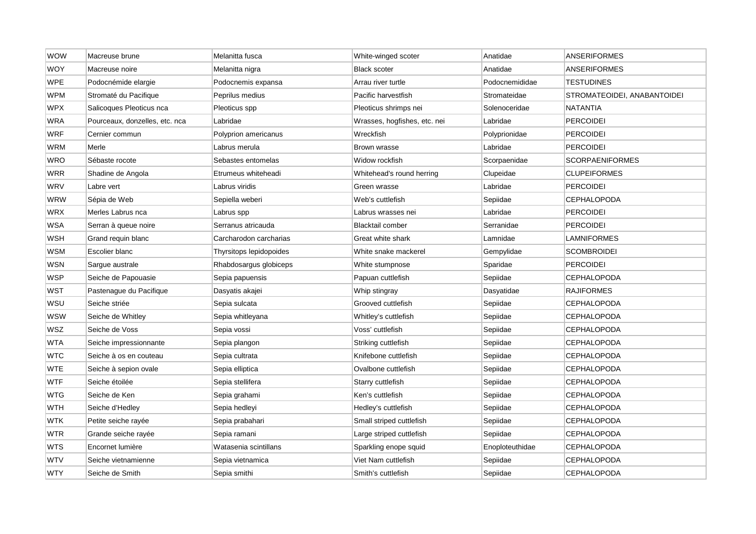| <b>WOW</b> | Macreuse brune                 | Melanitta fusca         | White-winged scoter          | Anatidae        | <b>ANSERIFORMES</b>         |
|------------|--------------------------------|-------------------------|------------------------------|-----------------|-----------------------------|
| WOY        | Macreuse noire                 | Melanitta nigra         | <b>Black scoter</b>          | Anatidae        | <b>ANSERIFORMES</b>         |
| <b>WPE</b> | Podocnémide elargie            | Podocnemis expansa      | Arrau river turtle           | Podocnemididae  | <b>TESTUDINES</b>           |
| <b>WPM</b> | Stromaté du Pacifique          | Peprilus medius         | Pacific harvestfish          | Stromateidae    | STROMATEOIDEI, ANABANTOIDEI |
| <b>WPX</b> | Salicoques Pleoticus nca       | Pleoticus spp           | Pleoticus shrimps nei        | Solenoceridae   | NATANTIA                    |
| <b>WRA</b> | Pourceaux, donzelles, etc. nca | Labridae                | Wrasses, hogfishes, etc. nei | Labridae        | <b>PERCOIDEI</b>            |
| <b>WRF</b> | Cernier commun                 | Polyprion americanus    | Wreckfish                    | Polyprionidae   | <b>PERCOIDEI</b>            |
| <b>WRM</b> | Merle                          | Labrus merula           | Brown wrasse                 | Labridae        | <b>PERCOIDEI</b>            |
| <b>WRO</b> | Sébaste rocote                 | Sebastes entomelas      | Widow rockfish               | Scorpaenidae    | <b>SCORPAENIFORMES</b>      |
| <b>WRR</b> | Shadine de Angola              | Etrumeus whiteheadi     | Whitehead's round herring    | Clupeidae       | <b>CLUPEIFORMES</b>         |
| WRV        | Labre vert                     | Labrus viridis          | Green wrasse                 | Labridae        | <b>PERCOIDEI</b>            |
| WRW        | Sépia de Web                   | Sepiella weberi         | Web's cuttlefish             | Sepiidae        | <b>CEPHALOPODA</b>          |
| WRX        | Merles Labrus nca              | Labrus spp              | Labrus wrasses nei           | Labridae        | <b>PERCOIDEI</b>            |
| <b>WSA</b> | Serran à queue noire           | Serranus atricauda      | <b>Blacktail comber</b>      | Serranidae      | <b>PERCOIDEI</b>            |
| WSH        | Grand requin blanc             | Carcharodon carcharias  | Great white shark            | Lamnidae        | LAMNIFORMES                 |
| <b>WSM</b> | Escolier blanc                 | Thyrsitops lepidopoides | White snake mackerel         | Gempylidae      | <b>SCOMBROIDEI</b>          |
| <b>WSN</b> | Sargue australe                | Rhabdosargus globiceps  | White stumpnose              | Sparidae        | <b>PERCOIDEI</b>            |
| <b>WSP</b> | Seiche de Papouasie            | Sepia papuensis         | Papuan cuttlefish            | Sepiidae        | <b>CEPHALOPODA</b>          |
| <b>WST</b> | Pastenague du Pacifique        | Dasyatis akajei         | Whip stingray                | Dasyatidae      | RAJIFORMES                  |
| WSU        | Seiche striée                  | Sepia sulcata           | Grooved cuttlefish           | Sepiidae        | <b>CEPHALOPODA</b>          |
| wsw        | Seiche de Whitley              | Sepia whitleyana        | Whitley's cuttlefish         | Sepiidae        | <b>CEPHALOPODA</b>          |
| <b>WSZ</b> | Seiche de Voss                 | Sepia vossi             | Voss' cuttlefish             | Sepiidae        | <b>CEPHALOPODA</b>          |
| WTA        | Seiche impressionnante         | Sepia plangon           | Striking cuttlefish          | Sepiidae        | <b>CEPHALOPODA</b>          |
| <b>WTC</b> | Seiche à os en couteau         | Sepia cultrata          | Knifebone cuttlefish         | Sepiidae        | <b>CEPHALOPODA</b>          |
| WTE        | Seiche à sepion ovale          | Sepia elliptica         | Ovalbone cuttlefish          | Sepiidae        | CEPHALOPODA                 |
| <b>WTF</b> | Seiche étoilée                 | Sepia stellifera        | Starry cuttlefish            | Sepiidae        | <b>CEPHALOPODA</b>          |
| <b>WTG</b> | Seiche de Ken                  | Sepia grahami           | Ken's cuttlefish             | Sepiidae        | <b>CEPHALOPODA</b>          |
| <b>WTH</b> | Seiche d'Hedley                | Sepia hedleyi           | Hedley's cuttlefish          | Sepiidae        | <b>CEPHALOPODA</b>          |
| <b>WTK</b> | Petite seiche rayée            | Sepia prabahari         | Small striped cuttlefish     | Sepiidae        | <b>CEPHALOPODA</b>          |
| WTR        | Grande seiche rayée            | Sepia ramani            | Large striped cuttlefish     | Sepiidae        | CEPHALOPODA                 |
| <b>WTS</b> | Encornet lumière               | Watasenia scintillans   | Sparkling enope squid        | Enoploteuthidae | <b>CEPHALOPODA</b>          |
| <b>WTV</b> | Seiche vietnamienne            | Sepia vietnamica        | Viet Nam cuttlefish          | Sepiidae        | <b>CEPHALOPODA</b>          |
| <b>WTY</b> | Seiche de Smith                | Sepia smithi            | Smith's cuttlefish           | Sepiidae        | <b>CEPHALOPODA</b>          |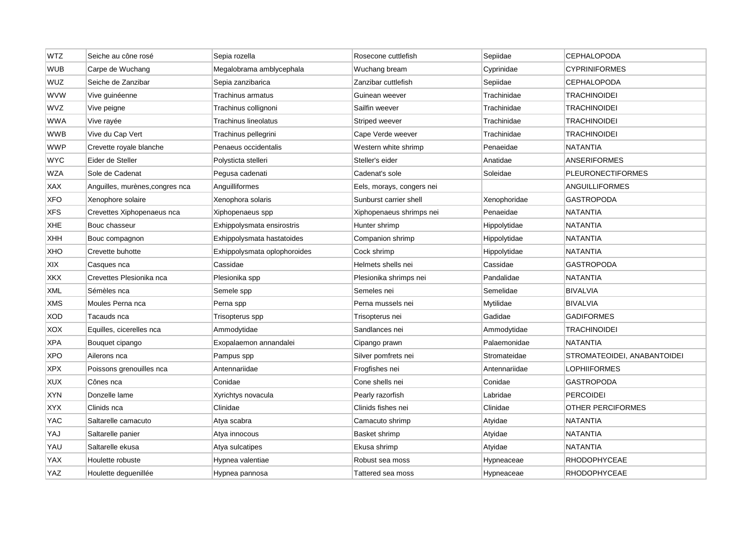| <b>WTZ</b> | Seiche au cône rosé            | Sepia rozella                | Rosecone cuttlefish       | Sepiidae      | <b>CEPHALOPODA</b>          |
|------------|--------------------------------|------------------------------|---------------------------|---------------|-----------------------------|
| <b>WUB</b> | Carpe de Wuchang               | Megalobrama amblycephala     | Wuchang bream             | Cyprinidae    | <b>CYPRINIFORMES</b>        |
| <b>WUZ</b> | Seiche de Zanzibar             | Sepia zanzibarica            | Zanzibar cuttlefish       | Sepiidae      | <b>CEPHALOPODA</b>          |
| <b>WVW</b> | Vive guinéenne                 | Trachinus armatus            | Guinean weever            | Trachinidae   | TRACHINOIDEI                |
| <b>WVZ</b> | Vive peigne                    | Trachinus collignoni         | Sailfin weever            | Trachinidae   | <b>TRACHINOIDEI</b>         |
| <b>WWA</b> | Vive rayée                     | Trachinus lineolatus         | Striped weever            | Trachinidae   | <b>TRACHINOIDEI</b>         |
| <b>WWB</b> | Vive du Cap Vert               | Trachinus pellegrini         | Cape Verde weever         | Trachinidae   | <b>TRACHINOIDEI</b>         |
| WWP        | Crevette royale blanche        | Penaeus occidentalis         | Western white shrimp      | Penaeidae     | NATANTIA                    |
| <b>WYC</b> | Eider de Steller               | Polysticta stelleri          | Steller's eider           | Anatidae      | <b>ANSERIFORMES</b>         |
| <b>WZA</b> | Sole de Cadenat                | Pegusa cadenati              | Cadenat's sole            | Soleidae      | <b>PLEURONECTIFORMES</b>    |
| <b>XAX</b> | Anguilles, murènes,congres nca | Anguilliformes               | Eels, morays, congers nei |               | ANGUILLIFORMES              |
| <b>XFO</b> | Xenophore solaire              | Xenophora solaris            | Sunburst carrier shell    | Xenophoridae  | <b>GASTROPODA</b>           |
| <b>XFS</b> | Crevettes Xiphopenaeus nca     | Xiphopenaeus spp             | Xiphopenaeus shrimps nei  | Penaeidae     | <b>NATANTIA</b>             |
| XHE        | Bouc chasseur                  | Exhippolysmata ensirostris   | Hunter shrimp             | Hippolytidae  | <b>NATANTIA</b>             |
| XHH        | Bouc compagnon                 | Exhippolysmata hastatoides   | Companion shrimp          | Hippolytidae  | NATANTIA                    |
| XHO        | Crevette buhotte               | Exhippolysmata oplophoroides | Cock shrimp               | Hippolytidae  | <b>NATANTIA</b>             |
| XIX        | Casques nca                    | Cassidae                     | Helmets shells nei        | Cassidae      | <b>GASTROPODA</b>           |
| XKX        | Crevettes Plesionika nca       | Plesionika spp               | Plesionika shrimps nei    | Pandalidae    | <b>NATANTIA</b>             |
| <b>XML</b> | Sémèles nca                    | Semele spp                   | Semeles nei               | Semelidae     | <b>BIVALVIA</b>             |
| <b>XMS</b> | Moules Perna nca               | Perna spp                    | Perna mussels nei         | Mytilidae     | <b>BIVALVIA</b>             |
| <b>XOD</b> | Tacauds nca                    | Trisopterus spp              | Trisopterus nei           | Gadidae       | <b>GADIFORMES</b>           |
| <b>XOX</b> | Equilles, cicerelles nca       | Ammodytidae                  | Sandlances nei            | Ammodytidae   | <b>TRACHINOIDEI</b>         |
| <b>XPA</b> | Bouquet cipango                | Exopalaemon annandalei       | Cipango prawn             | Palaemonidae  | <b>NATANTIA</b>             |
| <b>XPO</b> | Ailerons nca                   | Pampus spp                   | Silver pomfrets nei       | Stromateidae  | STROMATEOIDEI, ANABANTOIDEI |
| <b>XPX</b> | Poissons grenouilles nca       | Antennariidae                | Frogfishes nei            | Antennariidae | LOPHIIFORMES                |
| <b>XUX</b> | Cônes nca                      | Conidae                      | Cone shells nei           | Conidae       | <b>GASTROPODA</b>           |
| <b>XYN</b> | Donzelle lame                  | Xyrichtys novacula           | Pearly razorfish          | Labridae      | <b>PERCOIDEI</b>            |
| <b>XYX</b> | Clinids nca                    | Clinidae                     | Clinids fishes nei        | Clinidae      | OTHER PERCIFORMES           |
| <b>YAC</b> | Saltarelle camacuto            | Atya scabra                  | Camacuto shrimp           | Atyidae       | <b>NATANTIA</b>             |
| YAJ        | Saltarelle panier              | Atya innocous                | Basket shrimp             | Atyidae       | NATANTIA                    |
| YAU        | Saltarelle ekusa               | Atya sulcatipes              | Ekusa shrimp              | Atyidae       | <b>NATANTIA</b>             |
| YAX        | Houlette robuste               | Hypnea valentiae             | Robust sea moss           | Hypneaceae    | <b>RHODOPHYCEAE</b>         |
| YAZ        | Houlette dequenillée           | Hypnea pannosa               | Tattered sea moss         | Hypneaceae    | <b>RHODOPHYCEAE</b>         |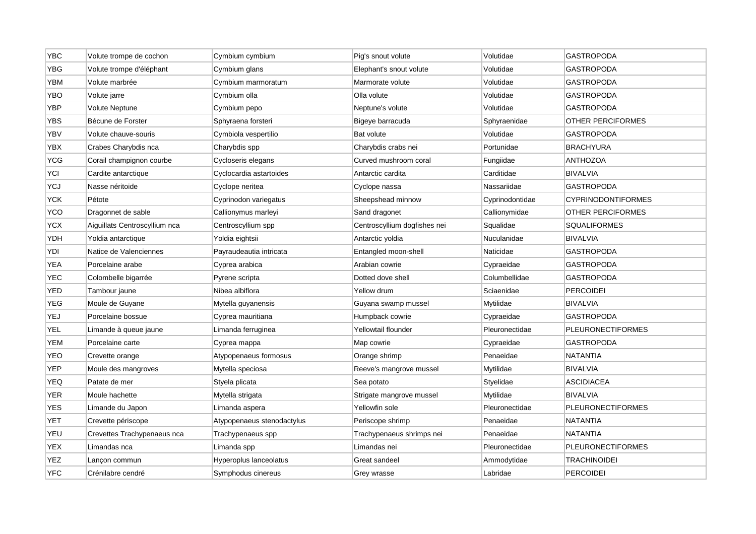| <b>YBC</b> | Volute trompe de cochon       | Cymbium cymbium            | Pig's snout volute           | Volutidae       | <b>GASTROPODA</b>         |
|------------|-------------------------------|----------------------------|------------------------------|-----------------|---------------------------|
| <b>YBG</b> | Volute trompe d'éléphant      | Cymbium glans              | Elephant's snout volute      | Volutidae       | <b>GASTROPODA</b>         |
| <b>YBM</b> | Volute marbrée                | Cymbium marmoratum         | Marmorate volute             | Volutidae       | <b>GASTROPODA</b>         |
| YBO        | Volute jarre                  | Cymbium olla               | Olla volute                  | Volutidae       | GASTROPODA                |
| <b>YBP</b> | Volute Neptune                | Cymbium pepo               | Neptune's volute             | Volutidae       | <b>GASTROPODA</b>         |
| <b>YBS</b> | Bécune de Forster             | Sphyraena forsteri         | Bigeye barracuda             | Sphyraenidae    | OTHER PERCIFORMES         |
| YBV        | Volute chauve-souris          | Cymbiola vespertilio       | Bat volute                   | Volutidae       | <b>GASTROPODA</b>         |
| YBX        | Crabes Charybdis nca          | Charybdis spp              | Charybdis crabs nei          | Portunidae      | <b>BRACHYURA</b>          |
| <b>YCG</b> | Corail champignon courbe      | Cycloseris elegans         | Curved mushroom coral        | Fungiidae       | <b>ANTHOZOA</b>           |
| YCI        | Cardite antarctique           | Cyclocardia astartoides    | Antarctic cardita            | Carditidae      | <b>BIVALVIA</b>           |
| <b>YCJ</b> | Nasse néritoide               | Cyclope neritea            | Cyclope nassa                | Nassariidae     | <b>GASTROPODA</b>         |
| YCK        | Pétote                        | Cyprinodon variegatus      | Sheepshead minnow            | Cyprinodontidae | <b>CYPRINODONTIFORMES</b> |
| <b>YCO</b> | Dragonnet de sable            | Callionymus marleyi        | Sand dragonet                | Callionymidae   | OTHER PERCIFORMES         |
| <b>YCX</b> | Aiguillats Centroscyllium nca | Centroscyllium spp         | Centroscyllium dogfishes nei | Squalidae       | <b>SQUALIFORMES</b>       |
| YDH        | Yoldia antarctique            | Yoldia eightsii            | Antarctic yoldia             | Nuculanidae     | <b>BIVALVIA</b>           |
| YDI        | Natice de Valenciennes        | Payraudeautia intricata    | Entangled moon-shell         | Naticidae       | <b>GASTROPODA</b>         |
| <b>YEA</b> | Porcelaine arabe              | Cyprea arabica             | Arabian cowrie               | Cypraeidae      | <b>GASTROPODA</b>         |
| <b>YEC</b> | Colombelle bigarrée           | Pyrene scripta             | Dotted dove shell            | Columbellidae   | GASTROPODA                |
| YED        | Tambour jaune                 | Nibea albiflora            | Yellow drum                  | Sciaenidae      | <b>PERCOIDEI</b>          |
| YEG        | Moule de Guyane               | Mytella guyanensis         | Guyana swamp mussel          | Mytilidae       | <b>BIVALVIA</b>           |
| YEJ        | Porcelaine bossue             | Cyprea mauritiana          | Humpback cowrie              | Cypraeidae      | <b>GASTROPODA</b>         |
| <b>YEL</b> | Limande à queue jaune         | Limanda ferruginea         | Yellowtail flounder          | Pleuronectidae  | <b>PLEURONECTIFORMES</b>  |
| YEM        | Porcelaine carte              | Cyprea mappa               | Map cowrie                   | Cypraeidae      | GASTROPODA                |
| YEO        | Crevette orange               | Atypopenaeus formosus      | Orange shrimp                | Penaeidae       | <b>NATANTIA</b>           |
| YEP        | Moule des mangroves           | Mytella speciosa           | Reeve's mangrove mussel      | Mytilidae       | BIVALVIA                  |
| <b>YEQ</b> | Patate de mer                 | Styela plicata             | Sea potato                   | Styelidae       | <b>ASCIDIACEA</b>         |
| <b>YER</b> | Moule hachette                | Mytella strigata           | Strigate mangrove mussel     | Mytilidae       | <b>BIVALVIA</b>           |
| <b>YES</b> | Limande du Japon              | Limanda aspera             | Yellowfin sole               | Pleuronectidae  | <b>PLEURONECTIFORMES</b>  |
| <b>YET</b> | Crevette périscope            | Atypopenaeus stenodactylus | Periscope shrimp             | Penaeidae       | <b>NATANTIA</b>           |
| YEU        | Crevettes Trachypenaeus nca   | Trachypenaeus spp          | Trachypenaeus shrimps nei    | Penaeidae       | NATANTIA                  |
| <b>YEX</b> | Limandas nca                  | Limanda spp                | Limandas nei                 | Pleuronectidae  | <b>PLEURONECTIFORMES</b>  |
| <b>YEZ</b> | Lançon commun                 | Hyperoplus lanceolatus     | Great sandeel                | Ammodytidae     | TRACHINOIDEI              |
| <b>YFC</b> | Crénilabre cendré             | Symphodus cinereus         | Grey wrasse                  | Labridae        | <b>PERCOIDEI</b>          |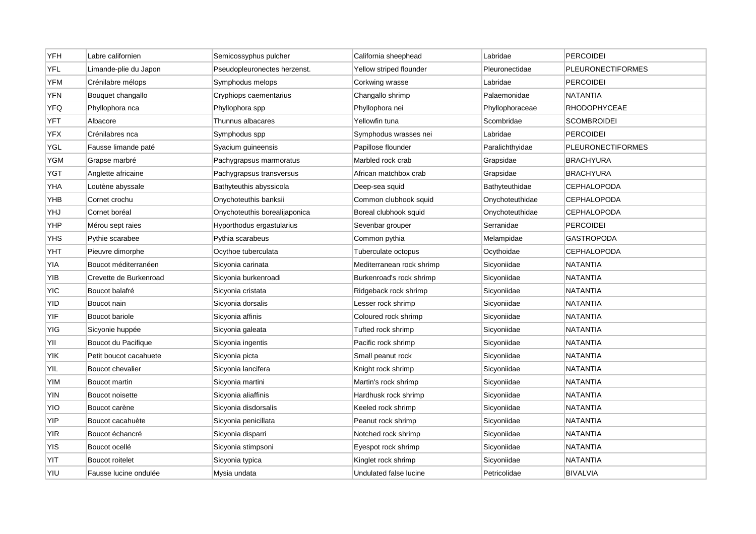| <b>YFH</b> | Labre californien      | Semicossyphus pulcher         | California sheephead      | Labridae        | <b>PERCOIDEI</b>         |
|------------|------------------------|-------------------------------|---------------------------|-----------------|--------------------------|
| <b>YFL</b> | Limande-plie du Japon  | Pseudopleuronectes herzenst.  | Yellow striped flounder   | Pleuronectidae  | <b>PLEURONECTIFORMES</b> |
| <b>YFM</b> | Crénilabre mélops      | Symphodus melops              | Corkwing wrasse           | Labridae        | <b>PERCOIDEI</b>         |
| <b>YFN</b> | Bouquet changallo      | Cryphiops caementarius        | Changallo shrimp          | Palaemonidae    | NATANTIA                 |
| <b>YFQ</b> | Phyllophora nca        | Phyllophora spp               | Phyllophora nei           | Phyllophoraceae | <b>RHODOPHYCEAE</b>      |
| YFT        | Albacore               | Thunnus albacares             | Yellowfin tuna            | Scombridae      | <b>SCOMBROIDEI</b>       |
| <b>YFX</b> | Crénilabres nca        | Symphodus spp                 | Symphodus wrasses nei     | Labridae        | <b>PERCOIDEI</b>         |
| YGL        | Fausse limande paté    | Syacium guineensis            | Papillose flounder        | Paralichthyidae | <b>PLEURONECTIFORMES</b> |
| YGM        | Grapse marbré          | Pachygrapsus marmoratus       | Marbled rock crab         | Grapsidae       | <b>BRACHYURA</b>         |
| YGT        | Anglette africaine     | Pachygrapsus transversus      | African matchbox crab     | Grapsidae       | <b>BRACHYURA</b>         |
| YHA        | Loutène abyssale       | Bathyteuthis abyssicola       | Deep-sea squid            | Bathyteuthidae  | <b>CEPHALOPODA</b>       |
| YHB        | Cornet crochu          | Onychoteuthis banksii         | Common clubhook squid     | Onychoteuthidae | <b>CEPHALOPODA</b>       |
| YHJ        | Cornet boréal          | Onychoteuthis borealijaponica | Boreal clubhook squid     | Onychoteuthidae | <b>CEPHALOPODA</b>       |
| YHP        | Mérou sept raies       | Hyporthodus ergastularius     | Sevenbar grouper          | Serranidae      | <b>PERCOIDEI</b>         |
| YHS        | Pythie scarabee        | Pythia scarabeus              | Common pythia             | Melampidae      | GASTROPODA               |
| YHT        | Pieuvre dimorphe       | Ocythoe tuberculata           | Tuberculate octopus       | Ocythoidae      | <b>CEPHALOPODA</b>       |
| YIA        | Boucot méditerranéen   | Sicyonia carinata             | Mediterranean rock shrimp | Sicvoniidae     | <b>NATANTIA</b>          |
| YIB        | Crevette de Burkenroad | Sicyonia burkenroadi          | Burkenroad's rock shrimp  | Sicyoniidae     | NATANTIA                 |
| <b>YIC</b> | Boucot balafré         | Sicyonia cristata             | Ridgeback rock shrimp     | Sicyoniidae     | NATANTIA                 |
| <b>YID</b> | Boucot nain            | Sicyonia dorsalis             | Lesser rock shrimp        | Sicyoniidae     | <b>NATANTIA</b>          |
| YIF        | Boucot bariole         | Sicyonia affinis              | Coloured rock shrimp      | Sicyoniidae     | <b>NATANTIA</b>          |
| YIG        | Sicyonie huppée        | Sicyonia galeata              | Tufted rock shrimp        | Sicyoniidae     | <b>NATANTIA</b>          |
| YII        | Boucot du Pacifique    | Sicyonia ingentis             | Pacific rock shrimp       | Sicyoniidae     | <b>NATANTIA</b>          |
| <b>YIK</b> | Petit boucot cacahuete | Sicyonia picta                | Small peanut rock         | Sicyoniidae     | <b>NATANTIA</b>          |
| YIL        | Boucot chevalier       | Sicyonia lancifera            | Knight rock shrimp        | Sicyoniidae     | <b>NATANTIA</b>          |
| <b>YIM</b> | Boucot martin          | Sicyonia martini              | Martin's rock shrimp      | Sicyoniidae     | NATANTIA                 |
| <b>YIN</b> | Boucot noisette        | Sicyonia aliaffinis           | Hardhusk rock shrimp      | Sicyoniidae     | <b>NATANTIA</b>          |
| YIO        | Boucot carène          | Sicyonia disdorsalis          | Keeled rock shrimp        | Sicyoniidae     | <b>NATANTIA</b>          |
| YIP        | Boucot cacahuète       | Sicyonia penicillata          | Peanut rock shrimp        | Sicyoniidae     | NATANTIA                 |
| YIR        | Boucot échancré        | Sicyonia disparri             | Notched rock shrimp       | Sicyoniidae     | <b>NATANTIA</b>          |
| <b>YIS</b> | Boucot ocellé          | Sicyonia stimpsoni            | Eyespot rock shrimp       | Sicyoniidae     | <b>NATANTIA</b>          |
| YIT        | Boucot roitelet        | Sicyonia typica               | Kinglet rock shrimp       | Sicyoniidae     | NATANTIA                 |
| YIU        | Fausse lucine ondulée  | Mysia undata                  | Undulated false lucine    | Petricolidae    | <b>BIVALVIA</b>          |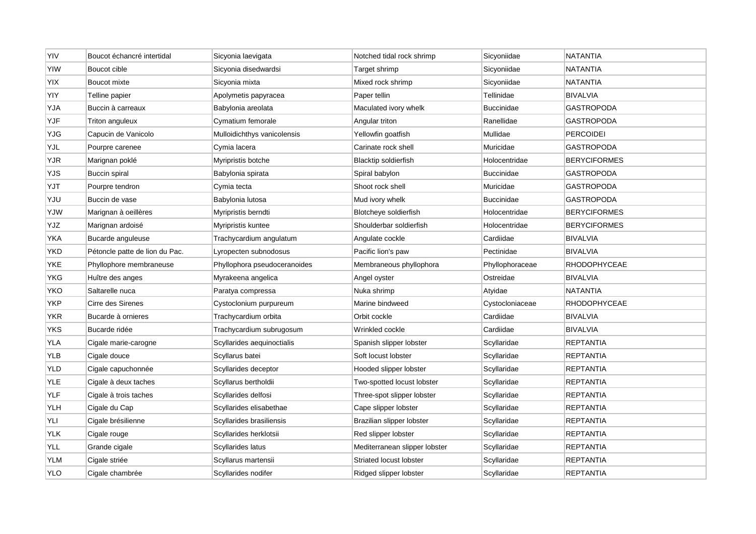| YIV        | Boucot échancré intertidal     | Sicyonia laevigata           | Notched tidal rock shrimp     | Sicyoniidae       | <b>NATANTIA</b>     |
|------------|--------------------------------|------------------------------|-------------------------------|-------------------|---------------------|
| <b>YIW</b> | Boucot cible                   | Sicyonia disedwardsi         | Target shrimp                 | Sicyoniidae       | <b>NATANTIA</b>     |
| YIX        | Boucot mixte                   | Sicyonia mixta               | Mixed rock shrimp             | Sicyoniidae       | <b>NATANTIA</b>     |
| YIY        | Telline papier                 | Apolymetis papyracea         | Paper tellin                  | Tellinidae        | <b>BIVALVIA</b>     |
| YJA        | Buccin à carreaux              | Babylonia areolata           | Maculated ivory whelk         | <b>Buccinidae</b> | <b>GASTROPODA</b>   |
| YJF        | Triton anguleux                | Cymatium femorale            | Angular triton                | Ranellidae        | <b>GASTROPODA</b>   |
| YJG        | Capucin de Vanicolo            | Mulloidichthys vanicolensis  | Yellowfin goatfish            | Mullidae          | <b>PERCOIDEI</b>    |
| YJL        | Pourpre carenee                | Cymia Iacera                 | Carinate rock shell           | Muricidae         | <b>GASTROPODA</b>   |
| <b>YJR</b> | Marignan poklé                 | Myripristis botche           | <b>Blacktip soldierfish</b>   | Holocentridae     | <b>BERYCIFORMES</b> |
| YJS        | Buccin spiral                  | Babylonia spirata            | Spiral babylon                | <b>Buccinidae</b> | <b>GASTROPODA</b>   |
| YJT        | Pourpre tendron                | Cymia tecta                  | Shoot rock shell              | Muricidae         | <b>GASTROPODA</b>   |
| YJU        | Buccin de vase                 | Babylonia lutosa             | Mud ivory whelk               | <b>Buccinidae</b> | GASTROPODA          |
| YJW        | Marignan à oeillères           | Myripristis berndti          | Blotcheye soldierfish         | Holocentridae     | <b>BERYCIFORMES</b> |
| YJZ        | Marignan ardoisé               | Myripristis kuntee           | Shoulderbar soldierfish       | Holocentridae     | <b>BERYCIFORMES</b> |
| YKA        | Bucarde anguleuse              | Trachycardium angulatum      | Angulate cockle               | Cardiidae         | <b>BIVALVIA</b>     |
| YKD        | Pétoncle patte de lion du Pac. | Lyropecten subnodosus        | Pacific lion's paw            | Pectinidae        | <b>BIVALVIA</b>     |
| YKE        | Phyllophore membraneuse        | Phyllophora pseudoceranoides | Membraneous phyllophora       | Phyllophoraceae   | <b>RHODOPHYCEAE</b> |
| YKG        | Huître des anges               | Myrakeena angelica           | Angel oyster                  | Ostreidae         | <b>BIVALVIA</b>     |
| YKO        | Saltarelle nuca                | Paratya compressa            | Nuka shrimp                   | Atyidae           | NATANTIA            |
| <b>YKP</b> | Cirre des Sirenes              | Cystoclonium purpureum       | Marine bindweed               | Cystocloniaceae   | <b>RHODOPHYCEAE</b> |
| <b>YKR</b> | Bucarde à ornieres             | Trachycardium orbita         | Orbit cockle                  | Cardiidae         | <b>BIVALVIA</b>     |
| <b>YKS</b> | Bucarde ridée                  | Trachycardium subrugosum     | Wrinkled cockle               | Cardiidae         | <b>BIVALVIA</b>     |
| YLA        | Cigale marie-carogne           | Scyllarides aequinoctialis   | Spanish slipper lobster       | Scyllaridae       | <b>REPTANTIA</b>    |
| YLB        | Cigale douce                   | Scyllarus batei              | Soft locust lobster           | Scyllaridae       | <b>REPTANTIA</b>    |
| YLD        | Cigale capuchonnée             | Scyllarides deceptor         | Hooded slipper lobster        | Scyllaridae       | <b>REPTANTIA</b>    |
| <b>YLE</b> | Cigale à deux taches           | Scyllarus bertholdii         | Two-spotted locust lobster    | Scyllaridae       | <b>REPTANTIA</b>    |
| YLF        | Cigale à trois taches          | Scyllarides delfosi          | Three-spot slipper lobster    | Scyllaridae       | REPTANTIA           |
| <b>YLH</b> | Cigale du Cap                  | Scyllarides elisabethae      | Cape slipper lobster          | Scyllaridae       | <b>REPTANTIA</b>    |
| YLI        | Cigale brésilienne             | Scyllarides brasiliensis     | Brazilian slipper lobster     | Scyllaridae       | <b>REPTANTIA</b>    |
| YLK        | Cigale rouge                   | Scyllarides herklotsii       | Red slipper lobster           | Scyllaridae       | REPTANTIA           |
| YLL        | Grande cigale                  | Scyllarides latus            | Mediterranean slipper lobster | Scyllaridae       | <b>REPTANTIA</b>    |
| YLM        | Cigale striée                  | Scyllarus martensii          | Striated locust lobster       | Scyllaridae       | REPTANTIA           |
| <b>YLO</b> | Cigale chambrée                | Scyllarides nodifer          | Ridged slipper lobster        | Scyllaridae       | <b>REPTANTIA</b>    |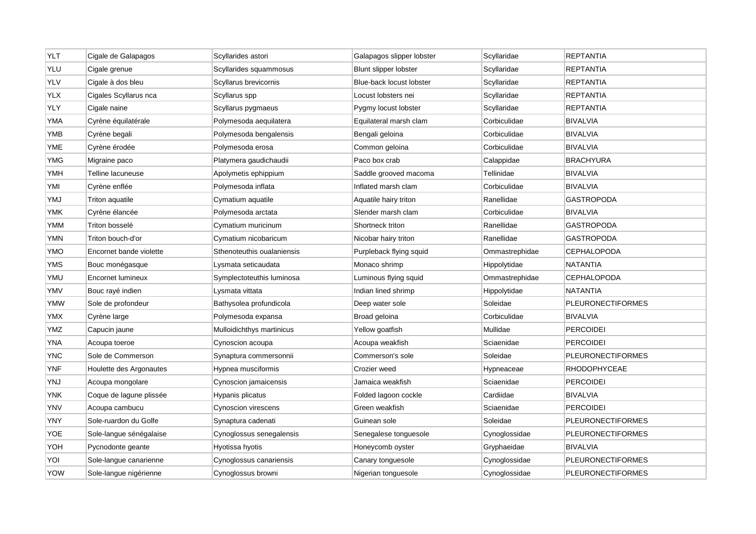| YLT        | Cigale de Galapagos     | Scyllarides astori         | Galapagos slipper lobster | Scyllaridae    | <b>REPTANTIA</b>         |
|------------|-------------------------|----------------------------|---------------------------|----------------|--------------------------|
| YLU        | Cigale grenue           | Scyllarides squammosus     | Blunt slipper lobster     | Scyllaridae    | <b>REPTANTIA</b>         |
| <b>YLV</b> | Cigale à dos bleu       | Scyllarus brevicornis      | Blue-back locust lobster  | Scyllaridae    | REPTANTIA                |
| YLX        | Cigales Scyllarus nca   | Scyllarus spp              | Locust lobsters nei       | Scyllaridae    | REPTANTIA                |
| YLY        | Cigale naine            | Scyllarus pygmaeus         | Pygmy locust lobster      | Scyllaridae    | <b>REPTANTIA</b>         |
| YMA        | Cyrène équilatérale     | Polymesoda aequilatera     | Equilateral marsh clam    | Corbiculidae   | <b>BIVALVIA</b>          |
| YMB        | Cyrène begali           | Polymesoda bengalensis     | Bengali geloina           | Corbiculidae   | <b>BIVALVIA</b>          |
| <b>YME</b> | Cyrène érodée           | Polymesoda erosa           | Common geloina            | Corbiculidae   | <b>BIVALVIA</b>          |
| <b>YMG</b> | Migraine paco           | Platymera gaudichaudii     | Paco box crab             | Calappidae     | <b>BRACHYURA</b>         |
| <b>YMH</b> | Telline lacuneuse       | Apolymetis ephippium       | Saddle grooved macoma     | Tellinidae     | <b>BIVALVIA</b>          |
| YMI        | Cyrène enflée           | Polymesoda inflata         | Inflated marsh clam       | Corbiculidae   | BIVALVIA                 |
| YMJ        | Triton aquatile         | Cymatium aquatile          | Aquatile hairy triton     | Ranellidae     | <b>GASTROPODA</b>        |
| <b>YMK</b> | Cyrène élancée          | Polymesoda arctata         | Slender marsh clam        | Corbiculidae   | <b>BIVALVIA</b>          |
| <b>YMM</b> | Triton bosselé          | Cymatium muricinum         | Shortneck triton          | Ranellidae     | <b>GASTROPODA</b>        |
| YMN        | Triton bouch-d'or       | Cymatium nicobaricum       | Nicobar hairy triton      | Ranellidae     | GASTROPODA               |
| YMO        | Encornet bande violette | Sthenoteuthis oualaniensis | Purpleback flying squid   | Ommastrephidae | <b>CEPHALOPODA</b>       |
| YMS        | Bouc monégasque         | Lysmata seticaudata        | Monaco shrimp             | Hippolytidae   | NATANTIA                 |
| YMU        | Encornet lumineux       | Symplectoteuthis luminosa  | Luminous flying squid     | Ommastrephidae | <b>CEPHALOPODA</b>       |
| YMV        | Bouc rayé indien        | Lysmata vittata            | Indian lined shrimp       | Hippolytidae   | NATANTIA                 |
| <b>YMW</b> | Sole de profondeur      | Bathysolea profundicola    | Deep water sole           | Soleidae       | <b>PLEURONECTIFORMES</b> |
| <b>YMX</b> | Cyrène large            | Polymesoda expansa         | Broad geloina             | Corbiculidae   | <b>BIVALVIA</b>          |
| <b>YMZ</b> | Capucin jaune           | Mulloidichthys martinicus  | Yellow goatfish           | Mullidae       | <b>PERCOIDEI</b>         |
| YNA        | Acoupa toeroe           | Cynoscion acoupa           | Acoupa weakfish           | Sciaenidae     | <b>PERCOIDEI</b>         |
| <b>YNC</b> | Sole de Commerson       | Synaptura commersonnii     | Commerson's sole          | Soleidae       | <b>PLEURONECTIFORMES</b> |
| <b>YNF</b> | Houlette des Argonautes | Hypnea musciformis         | Crozier weed              | Hypneaceae     | <b>RHODOPHYCEAE</b>      |
| YNJ        | Acoupa mongolare        | Cynoscion jamaicensis      | Jamaica weakfish          | Sciaenidae     | <b>PERCOIDEI</b>         |
| <b>YNK</b> | Coque de lagune plissée | Hypanis plicatus           | Folded lagoon cockle      | Cardiidae      | <b>BIVALVIA</b>          |
| YNV        | Acoupa cambucu          | Cynoscion virescens        | Green weakfish            | Sciaenidae     | <b>PERCOIDEI</b>         |
| YNY        | Sole-ruardon du Golfe   | Synaptura cadenati         | Guinean sole              | Soleidae       | <b>PLEURONECTIFORMES</b> |
| YOE        | Sole-langue sénégalaise | Cynoglossus senegalensis   | Senegalese tonguesole     | Cynoglossidae  | <b>PLEURONECTIFORMES</b> |
| YOH        | Pycnodonte geante       | Hyotissa hyotis            | Honeycomb oyster          | Gryphaeidae    | <b>BIVALVIA</b>          |
| YOI        | Sole-langue canarienne  | Cynoglossus canariensis    | Canary tonguesole         | Cynoglossidae  | <b>PLEURONECTIFORMES</b> |
| YOW        | Sole-langue nigérienne  | Cynoglossus browni         | Nigerian tonguesole       | Cynoglossidae  | PLEURONECTIFORMES        |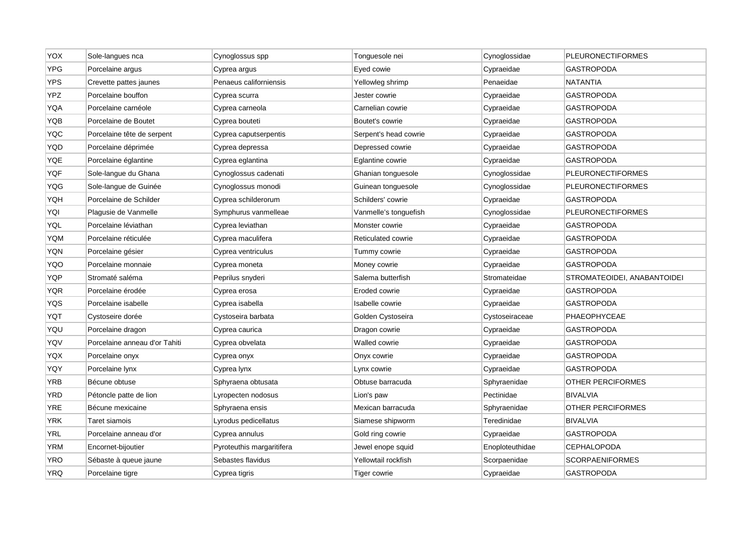| YOX        | Sole-langues nca              | Cynoglossus spp           | Tonguesole nei        | Cynoglossidae   | <b>PLEURONECTIFORMES</b>    |
|------------|-------------------------------|---------------------------|-----------------------|-----------------|-----------------------------|
| <b>YPG</b> | Porcelaine argus              | Cyprea argus              | Eyed cowie            | Cypraeidae      | <b>GASTROPODA</b>           |
| <b>YPS</b> | Crevette pattes jaunes        | Penaeus californiensis    | Yellowleg shrimp      | Penaeidae       | <b>NATANTIA</b>             |
| YPZ        | Porcelaine bouffon            | Cyprea scurra             | Jester cowrie         | Cypraeidae      | <b>GASTROPODA</b>           |
| YQA        | Porcelaine carnéole           | Cyprea carneola           | Carnelian cowrie      | Cypraeidae      | <b>GASTROPODA</b>           |
| YQB        | Porcelaine de Boutet          | Cyprea bouteti            | Boutet's cowrie       | Cypraeidae      | <b>GASTROPODA</b>           |
| <b>YQC</b> | Porcelaine tête de serpent    | Cyprea caputserpentis     | Serpent's head cowrie | Cypraeidae      | <b>GASTROPODA</b>           |
| YQD        | Porcelaine déprimée           | Cyprea depressa           | Depressed cowrie      | Cypraeidae      | <b>GASTROPODA</b>           |
| YQE        | Porcelaine églantine          | Cyprea eglantina          | Eglantine cowrie      | Cypraeidae      | <b>GASTROPODA</b>           |
| YQF        | Sole-langue du Ghana          | Cynoglossus cadenati      | Ghanian tonguesole    | Cynoglossidae   | <b>PLEURONECTIFORMES</b>    |
| YQG        | Sole-langue de Guinée         | Cynoglossus monodi        | Guinean tonguesole    | Cynoglossidae   | <b>PLEURONECTIFORMES</b>    |
| YQH        | Porcelaine de Schilder        | Cyprea schilderorum       | Schilders' cowrie     | Cypraeidae      | <b>GASTROPODA</b>           |
| YQI        | Plagusie de Vanmelle          | Symphurus vanmelleae      | Vanmelle's tonguefish | Cynoglossidae   | <b>PLEURONECTIFORMES</b>    |
| <b>YQL</b> | Porcelaine léviathan          | Cyprea leviathan          | Monster cowrie        | Cypraeidae      | <b>GASTROPODA</b>           |
| <b>YQM</b> | Porcelaine réticulée          | Cyprea maculifera         | Reticulated cowrie    | Cypraeidae      | <b>GASTROPODA</b>           |
| <b>YQN</b> | Porcelaine gésier             | Cyprea ventriculus        | Tummy cowrie          | Cypraeidae      | <b>GASTROPODA</b>           |
| YQO        | Porcelaine monnaie            | Cyprea moneta             | Money cowrie          | Cypraeidae      | <b>GASTROPODA</b>           |
| <b>YQP</b> | Stromaté saléma               | Peprilus snyderi          | Salema butterfish     | Stromateidae    | STROMATEOIDEI, ANABANTOIDEI |
| YQR        | Porcelaine érodée             | Cyprea erosa              | Eroded cowrie         | Cypraeidae      | <b>GASTROPODA</b>           |
| <b>YQS</b> | Porcelaine isabelle           | Cyprea isabella           | Isabelle cowrie       | Cypraeidae      | <b>GASTROPODA</b>           |
| YQT        | Cystoseire dorée              | Cystoseira barbata        | Golden Cystoseira     | Cystoseiraceae  | PHAEOPHYCEAE                |
| YQU        | Porcelaine dragon             | Cyprea caurica            | Dragon cowrie         | Cypraeidae      | <b>GASTROPODA</b>           |
| YQV        | Porcelaine anneau d'or Tahiti | Cyprea obvelata           | Walled cowrie         | Cypraeidae      | <b>GASTROPODA</b>           |
| YQX        | Porcelaine onyx               | Cyprea onyx               | Onyx cowrie           | Cypraeidae      | <b>GASTROPODA</b>           |
| YQY        | Porcelaine lynx               | Cyprea lynx               | Lynx cowrie           | Cypraeidae      | <b>GASTROPODA</b>           |
| <b>YRB</b> | Bécune obtuse                 | Sphyraena obtusata        | Obtuse barracuda      | Sphyraenidae    | <b>OTHER PERCIFORMES</b>    |
| <b>YRD</b> | Pétoncle patte de lion        | Lyropecten nodosus        | Lion's paw            | Pectinidae      | <b>BIVALVIA</b>             |
| <b>YRE</b> | Bécune mexicaine              | Sphyraena ensis           | Mexican barracuda     | Sphyraenidae    | <b>OTHER PERCIFORMES</b>    |
| <b>YRK</b> | Taret siamois                 | Lyrodus pedicellatus      | Siamese shipworm      | Teredinidae     | <b>BIVALVIA</b>             |
| YRL        | Porcelaine anneau d'or        | Cyprea annulus            | Gold ring cowrie      | Cypraeidae      | <b>GASTROPODA</b>           |
| YRM        | Encornet-bijoutier            | Pyroteuthis margaritifera | Jewel enope squid     | Enoploteuthidae | <b>CEPHALOPODA</b>          |
| YRO        | Sébaste à queue jaune         | Sebastes flavidus         | Yellowtail rockfish   | Scorpaenidae    | <b>SCORPAENIFORMES</b>      |
| <b>YRQ</b> | Porcelaine tigre              | Cyprea tigris             | Tiger cowrie          | Cypraeidae      | <b>GASTROPODA</b>           |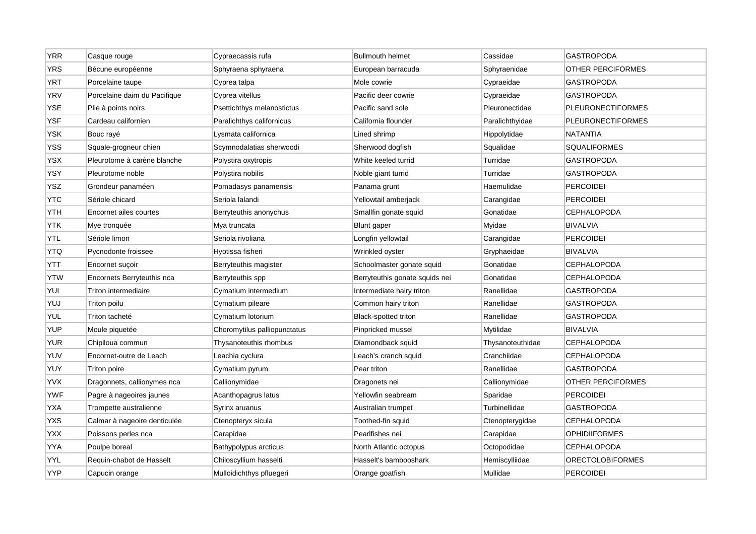| <b>YRR</b> | Casque rouge                 | Cypraecassis rufa            | <b>Bullmouth helmet</b>        | Cassidae         | <b>GASTROPODA</b>        |
|------------|------------------------------|------------------------------|--------------------------------|------------------|--------------------------|
| <b>YRS</b> | Bécune européenne            | Sphyraena sphyraena          | European barracuda             | Sphyraenidae     | OTHER PERCIFORMES        |
| <b>YRT</b> | Porcelaine taupe             | Cyprea talpa                 | Mole cowrie                    | Cypraeidae       | <b>GASTROPODA</b>        |
| <b>YRV</b> | Porcelaine daim du Pacifique | Cyprea vitellus              | Pacific deer cowrie            | Cypraeidae       | GASTROPODA               |
| <b>YSE</b> | Plie à points noirs          | Psettichthys melanostictus   | Pacific sand sole              | Pleuronectidae   | <b>PLEURONECTIFORMES</b> |
| <b>YSF</b> | Cardeau californien          | Paralichthys californicus    | California flounder            | Paralichthyidae  | <b>PLEURONECTIFORMES</b> |
| <b>YSK</b> | Bouc rayé                    | Lysmata californica          | Lined shrimp                   | Hippolytidae     | <b>NATANTIA</b>          |
| YSS        | Squale-grogneur chien        | Scymnodalatias sherwoodi     | Sherwood dogfish               | Squalidae        | SQUALIFORMES             |
| YSX        | Pleurotome à carène blanche  | Polystira oxytropis          | White keeled turrid            | Turridae         | <b>GASTROPODA</b>        |
| YSY        | Pleurotome noble             | Polystira nobilis            | Noble giant turrid             | Turridae         | <b>GASTROPODA</b>        |
| <b>YSZ</b> | Grondeur panaméen            | Pomadasys panamensis         | Panama grunt                   | Haemulidae       | <b>PERCOIDEI</b>         |
| <b>YTC</b> | Sériole chicard              | Seriola lalandi              | Yellowtail amberjack           | Carangidae       | <b>PERCOIDEI</b>         |
| <b>YTH</b> | Encornet ailes courtes       | Berryteuthis anonychus       | Smallfin gonate squid          | Gonatidae        | <b>CEPHALOPODA</b>       |
| <b>YTK</b> | Mye tronquée                 | Mya truncata                 | <b>Blunt</b> gaper             | Myidae           | <b>BIVALVIA</b>          |
| YTL        | Sériole limon                | Seriola rivoliana            | Longfin yellowtail             | Carangidae       | <b>PERCOIDEI</b>         |
| <b>YTQ</b> | Pycnodonte froissee          | Hyotissa fisheri             | Wrinkled oyster                | Gryphaeidae      | <b>BIVALVIA</b>          |
| YTT        | Encornet sucoir              | Berryteuthis magister        | Schoolmaster gonate squid      | Gonatidae        | <b>CEPHALOPODA</b>       |
| <b>YTW</b> | Encornets Berryteuthis nca   | Berryteuthis spp             | Berryteuthis gonate squids nei | Gonatidae        | <b>CEPHALOPODA</b>       |
| YUI        | Triton intermediaire         | Cymatium intermedium         | Intermediate hairy triton      | Ranellidae       | GASTROPODA               |
| YUJ        | Triton poilu                 | Cymatium pileare             | Common hairy triton            | Ranellidae       | GASTROPODA               |
| YUL        | Triton tacheté               | Cymatium lotorium            | <b>Black-spotted triton</b>    | Ranellidae       | <b>GASTROPODA</b>        |
| <b>YUP</b> | Moule piquetée               | Choromytilus palliopunctatus | Pinpricked mussel              | Mytilidae        | <b>BIVALVIA</b>          |
| <b>YUR</b> | Chipiloua commun             | Thysanoteuthis rhombus       | Diamondback squid              | Thysanoteuthidae | <b>CEPHALOPODA</b>       |
| YUV        | Encornet-outre de Leach      | Leachia cyclura              | Leach's cranch squid           | Cranchiidae      | <b>CEPHALOPODA</b>       |
| <b>YUY</b> | Triton poire                 | Cymatium pyrum               | Pear triton                    | Ranellidae       | <b>GASTROPODA</b>        |
| <b>YVX</b> | Dragonnets, callionymes nca  | Callionymidae                | Dragonets nei                  | Callionymidae    | OTHER PERCIFORMES        |
| <b>YWF</b> | Pagre à nageoires jaunes     | Acanthopagrus latus          | Yellowfin seabream             | Sparidae         | <b>PERCOIDEI</b>         |
| <b>YXA</b> | Trompette australienne       | Syrinx aruanus               | Australian trumpet             | Turbinellidae    | <b>GASTROPODA</b>        |
| <b>YXS</b> | Calmar à nageoire denticulée | Ctenopteryx sicula           | Toothed-fin squid              | Ctenopterygidae  | <b>CEPHALOPODA</b>       |
| YXX        | Poissons perles nca          | Carapidae                    | Pearlfishes nei                | Carapidae        | <b>OPHIDIIFORMES</b>     |
| YYA        | Poulpe boreal                | Bathypolypus arcticus        | North Atlantic octopus         | Octopodidae      | <b>CEPHALOPODA</b>       |
| YYL        | Requin-chabot de Hasselt     | Chiloscyllium hasselti       | Hasselt's bambooshark          | Hemiscylliidae   | <b>ORECTOLOBIFORMES</b>  |
| <b>YYP</b> | Capucin orange               | Mulloidichthys pfluegeri     | Orange goatfish                | Mullidae         | <b>PERCOIDEI</b>         |